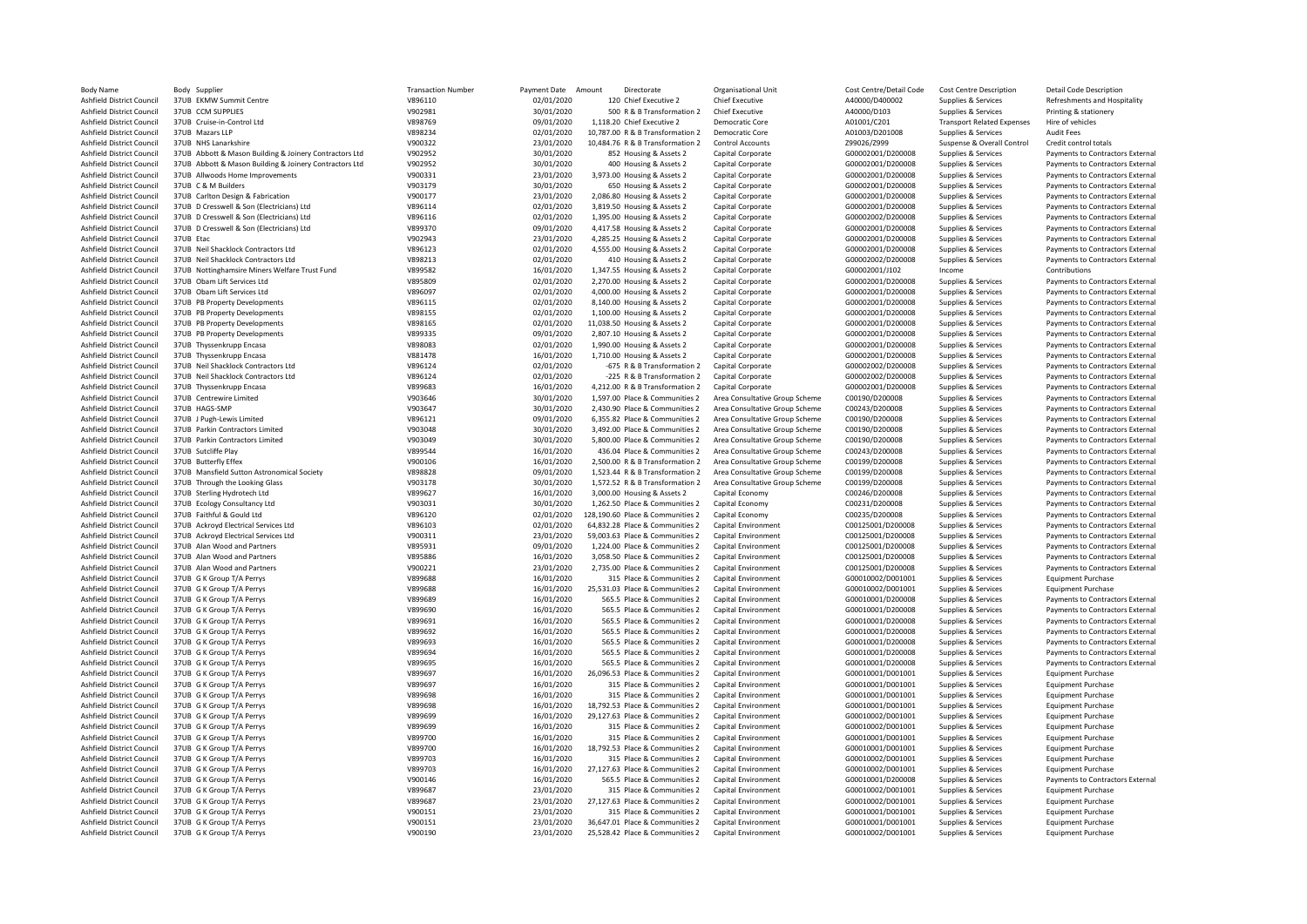| <b>Body Name</b>                 | Body Supplier                                          | <b>Transaction Number</b> | Payment Date | Amount<br>Directorate            | Organisational Unit            | Cost Centre/Detail Code | Cost Centre Description           | <b>Detail Code Description</b>   |
|----------------------------------|--------------------------------------------------------|---------------------------|--------------|----------------------------------|--------------------------------|-------------------------|-----------------------------------|----------------------------------|
| Ashfield District Council        | 37UB EKMW Summit Centre                                | V896110                   | 02/01/2020   | 120 Chief Executive 2            | <b>Chief Executive</b>         | A40000/D400002          | Supplies & Services               | Refreshments and Hospitality     |
| Ashfield District Council        | 37UB CCM SUPPLIES                                      | V902981                   | 30/01/2020   | 500 R & B Transformation 2       | Chief Executive                | A40000/D103             | Supplies & Services               | Printing & stationery            |
| Ashfield District Council        | 37UB Cruise-in-Control Ltd                             | V898769                   | 09/01/2020   | 1,118.20 Chief Executive 2       | Democratic Core                | A01001/C201             | <b>Transport Related Expenses</b> | Hire of vehicles                 |
| Ashfield District Council        | 37UB Mazars IIP                                        | V898234                   | 02/01/2020   | 10,787.00 R & B Transformation 2 | Democratic Core                | A01003/D201008          | Supplies & Services               | Audit Fees                       |
| Ashfield District Council        | 37UB NHS Lanarkshire                                   | V900322                   | 23/01/2020   | 10,484.76 R & B Transformation 2 | Control Accounts               | Z99026/Z999             | Suspense & Overall Control        | Credit control totals            |
| Ashfield District Council        | 37UB Abbott & Mason Building & Joinery Contractors Ltd | V902952                   | 30/01/2020   | 852 Housing & Assets 2           | Capital Corporate              | G00002001/D200008       | Supplies & Services               | Payments to Contractors External |
| Ashfield District Council        | 37UB Abbott & Mason Building & Joinery Contractors Ltd | V902952                   | 30/01/2020   | 400 Housing & Assets 2           | Capital Corporate              | G00002001/D200008       | Supplies & Services               | Payments to Contractors External |
| Ashfield District Council        | 37UB Allwoods Home Improvements                        | V900331                   | 23/01/2020   | 3,973.00 Housing & Assets 2      | Capital Corporate              | G00002001/D200008       | Supplies & Services               | Payments to Contractors External |
| Ashfield District Council        | 37UB C & M Builders                                    | V903179                   | 30/01/2020   | 650 Housing & Assets 2           | Capital Corporate              | G00002001/D200008       | Supplies & Services               | Payments to Contractors External |
| Ashfield District Council        | 37UB Carlton Design & Fabrication                      | V900177                   | 23/01/2020   | 2,086.80 Housing & Assets 2      | Capital Corporate              | G00002001/D200008       | Supplies & Services               | Payments to Contractors External |
| Ashfield District Council        | 37UB D Cresswell & Son (Electricians) Ltd              | V896114                   | 02/01/2020   | 3,819.50 Housing & Assets 2      | Capital Corporate              | G00002001/D200008       | Supplies & Services               | Payments to Contractors External |
| Ashfield District Council        | 37UB D Cresswell & Son (Electricians) Ltd              | V896116                   | 02/01/2020   | 1,395.00 Housing & Assets 2      | Capital Corporate              | G00002002/D200008       | Supplies & Services               | Payments to Contractors External |
| Ashfield District Council        | 37UB D Cresswell & Son (Electricians) Ltd              | V899370                   | 09/01/2020   | 4,417.58 Housing & Assets 2      | Capital Corporate              | G00002001/D200008       | Supplies & Services               | Payments to Contractors External |
| Ashfield District Council        | 37UB Etac                                              | V902943                   | 23/01/2020   | 4,285.25 Housing & Assets 2      | Capital Corporate              | G00002001/D200008       | Supplies & Services               | Payments to Contractors External |
| Ashfield District Council        | 37UB Neil Shacklock Contractors Ltd                    | V896123                   | 02/01/2020   | 4,555.00 Housing & Assets 2      | Capital Corporate              | G00002001/D200008       | Supplies & Services               | Payments to Contractors External |
| Ashfield District Council        | 37UB Neil Shacklock Contractors Ltd                    | V898213                   | 02/01/2020   | 410 Housing & Assets 2           | Capital Corporate              | G00002002/D200008       | Supplies & Services               | Payments to Contractors External |
| Ashfield District Council        | 37UB Nottinghamsire Miners Welfare Trust Fund          | V899582                   | 16/01/2020   | 1,347.55 Housing & Assets 2      | Capital Corporate              | G00002001/J102          | Income                            | Contributions                    |
| Ashfield District Council        | 37UB Obam Lift Services Ltd                            | V895809                   | 02/01/2020   | 2,270.00 Housing & Assets 2      | Capital Corporate              | G00002001/D200008       | Supplies & Services               | Payments to Contractors External |
| Ashfield District Council        | 37UB Obam Lift Services Ltd                            | V896097                   | 02/01/2020   | 4,000.00 Housing & Assets 2      | Capital Corporate              | G00002001/D200008       | Supplies & Services               | Payments to Contractors External |
| Ashfield District Council        | 37UB PB Property Developments                          | V896115                   | 02/01/2020   | 8,140.00 Housing & Assets 2      | Capital Corporate              | G00002001/D200008       | Supplies & Services               | Payments to Contractors External |
| <b>Ashfield District Council</b> | 37UB PB Property Developments                          | V898155                   | 02/01/2020   | 1,100.00 Housing & Assets 2      | Capital Corporate              | G00002001/D200008       | Supplies & Services               | Payments to Contractors External |
| Ashfield District Council        | 37UB PB Property Developments                          | V898165                   | 02/01/2020   | 11,038.50 Housing & Assets 2     | Capital Corporate              | G00002001/D200008       | Supplies & Services               | Payments to Contractors External |
| Ashfield District Council        | 37UB PB Property Developments                          | V899335                   | 09/01/2020   | 2,807.10 Housing & Assets 2      | Capital Corporate              | G00002001/D200008       | Supplies & Services               | Payments to Contractors External |
| Ashfield District Council        | 37UB Thyssenkrupp Encasa                               | V898083                   | 02/01/2020   | 1,990.00 Housing & Assets 2      | Capital Corporate              | G00002001/D200008       | Supplies & Services               | Payments to Contractors External |
| Ashfield District Council        | 37UB Thyssenkrupp Encasa                               | V881478                   | 16/01/2020   | 1,710.00 Housing & Assets 2      | Capital Corporate              | G00002001/D200008       | Supplies & Services               | Payments to Contractors External |
| Ashfield District Council        | 37UB Neil Shacklock Contractors Ltd                    | V896124                   | 02/01/2020   | -675 R & B Transformation 2      | Capital Corporate              | G00002002/D200008       | Supplies & Services               | Payments to Contractors External |
| Ashfield District Council        | 37UB Neil Shacklock Contractors Ltd                    | V896124                   | 02/01/2020   | -225 R & B Transformation 2      | Capital Corporate              | G00002002/D200008       | Supplies & Services               | Payments to Contractors External |
| Ashfield District Council        | 37UB Thyssenkrupp Encasa                               | V899683                   | 16/01/2020   | 4,212.00 R & B Transformation 2  | Capital Corporate              | G00002001/D200008       | Supplies & Services               | Payments to Contractors External |
| Ashfield District Council        | 37UB Centrewire Limited                                | V903646                   | 30/01/2020   | 1,597.00 Place & Communities 2   | Area Consultative Group Scheme | C00190/D200008          | Supplies & Services               | Payments to Contractors External |
| Ashfield District Council        | 37UB HAGS-SMP                                          | V903647                   | 30/01/2020   | 2,430.90 Place & Communities 2   | Area Consultative Group Scheme | C00243/D200008          | Supplies & Services               | Payments to Contractors External |
| Ashfield District Council        | 37UB J Pugh-Lewis Limited                              | V896121                   | 09/01/2020   | 6,355.82 Place & Communities 2   | Area Consultative Group Scheme | C00190/D200008          | Supplies & Services               | Payments to Contractors External |
| Ashfield District Council        | 37UB Parkin Contractors Limited                        | V903048                   | 30/01/2020   | 3,492.00 Place & Communities 2   | Area Consultative Group Scheme | C00190/D200008          | Supplies & Services               | Payments to Contractors External |
| Ashfield District Council        | 37UB Parkin Contractors Limited                        | V903049                   | 30/01/2020   | 5,800.00 Place & Communities 2   | Area Consultative Group Scheme | C00190/D200008          | Supplies & Services               | Payments to Contractors External |
| Ashfield District Council        | 37UB Sutcliffe Play                                    | V899544                   | 16/01/2020   | 436.04 Place & Communities 2     | Area Consultative Group Scheme | C00243/D200008          | Supplies & Services               | Payments to Contractors External |
| Ashfield District Council        | 37UB Butterfly Effex                                   | V900106                   | 16/01/2020   | 2.500.00 R & B Transformation 2  | Area Consultative Group Scheme | C00199/D200008          | Supplies & Services               | Payments to Contractors External |
| Ashfield District Council        | 37UB Mansfield Sutton Astronomical Society             | V898828                   | 09/01/2020   | 1,523.44 R & B Transformation 2  | Area Consultative Group Scheme | C00199/D200008          | Supplies & Services               | Payments to Contractors External |
| Ashfield District Council        | 37UB Through the Looking Glass                         | V903178                   | 30/01/2020   | 1,572.52 R & B Transformation 2  | Area Consultative Group Scheme | C00199/D200008          | Supplies & Services               | Payments to Contractors External |
| Ashfield District Council        | 37UB Sterling Hydrotech Ltd                            | V899627                   | 16/01/2020   | 3,000.00 Housing & Assets 2      | Capital Economy                | C00246/D200008          | Supplies & Services               | Payments to Contractors External |
| Ashfield District Council        | 37UB Ecology Consultancy Ltd                           | V903031                   | 30/01/2020   | 1,262.50 Place & Communities 2   | Capital Economy                | C00231/D200008          | Supplies & Services               | Payments to Contractors External |
| Ashfield District Council        | 37UB Faithful & Gould Ltd                              | V896120                   | 02/01/2020   | 128.190.60 Place & Communities 2 | Capital Economy                | C00235/D200008          | Supplies & Services               | Payments to Contractors External |
| Ashfield District Council        | 37UB Ackroyd Electrical Services Ltd                   | V896103                   | 02/01/2020   | 64,832.28 Place & Communities 2  | Capital Environment            | C00125001/D200008       | Supplies & Services               | Payments to Contractors External |
| Ashfield District Council        | 37UB Ackroyd Electrical Services Ltd                   | V900311                   | 23/01/2020   | 59,003.63 Place & Communities 2  | Capital Environment            | C00125001/D200008       | Supplies & Services               | Payments to Contractors External |
| Ashfield District Council        | 37UB Alan Wood and Partners                            | V895931                   | 09/01/2020   | 1,224.00 Place & Communities 2   | Capital Environment            | C00125001/D200008       | Supplies & Services               | Payments to Contractors External |
| Ashfield District Council        | 37UB Alan Wood and Partners                            | V895886                   | 16/01/2020   | 3,058.50 Place & Communities 2   | Capital Environment            | C00125001/D200008       | Supplies & Services               | Payments to Contractors External |
| Ashfield District Council        | 37UB Alan Wood and Partners                            | V900221                   | 23/01/2020   | 2,735.00 Place & Communities 2   | Capital Environment            | C00125001/D200008       | Supplies & Services               | Payments to Contractors External |
| Ashfield District Council        | 37UB G K Group T/A Perrys                              | V899688                   | 16/01/2020   | 315 Place & Communities 2        | Capital Environment            | G00010002/D001001       | Supplies & Services               | <b>Equipment Purchase</b>        |
| Ashfield District Council        | 37UB G K Group T/A Perrys                              | V899688                   | 16/01/2020   | 25,531.03 Place & Communities 2  | Capital Environment            | G00010002/D001001       | Supplies & Services               | <b>Equipment Purchase</b>        |
| Ashfield District Council        | 37UB G K Group T/A Perrys                              | V899689                   | 16/01/2020   | 565.5 Place & Communities 2      | Capital Environment            | G00010001/D200008       | Supplies & Services               | Payments to Contractors External |
| Ashfield District Council        | 37UB G K Group T/A Perrys                              | V899690                   | 16/01/2020   | 565.5 Place & Communities 2      | Capital Environment            | G00010001/D200008       | Supplies & Services               | Payments to Contractors External |
| Ashfield District Council        | 37UB G K Group T/A Perrys                              | V899691                   | 16/01/2020   | 565.5 Place & Communities 2      | Capital Environment            | G00010001/D200008       | Supplies & Services               | Payments to Contractors External |
| Ashfield District Council        | 37UB G K Group T/A Perrys                              | V899692                   | 16/01/2020   | 565.5 Place & Communities 2      | Capital Environment            | G00010001/D200008       | Supplies & Services               | Payments to Contractors External |
| Ashfield District Council        | 37UB G K Group T/A Perrys                              | V899693                   | 16/01/2020   | 565.5 Place & Communities 2      | Capital Environment            | G00010001/D200008       | Supplies & Services               | Payments to Contractors External |
| Ashfield District Council        | 37UB G K Group T/A Perrys                              | V899694                   | 16/01/2020   | 565.5 Place & Communities 2      | Capital Environment            | G00010001/D200008       | Supplies & Services               | Payments to Contractors External |
| Ashfield District Council        | 37UB G K Group T/A Perrys                              | V899695                   | 16/01/2020   | 565.5 Place & Communities 2      | <b>Capital Environment</b>     | G00010001/D200008       | Supplies & Services               | Payments to Contractors External |
| Ashfield District Council        | 37UB G K Group T/A Perrys                              | V899697                   | 16/01/2020   | 26,096.53 Place & Communities 2  | Capital Environment            | G00010001/D001001       | Supplies & Services               | <b>Equipment Purchase</b>        |
| Ashfield District Council        | 37UB G K Group T/A Perrys                              | V899697                   | 16/01/2020   | 315 Place & Communities 2        | Capital Environment            | G00010001/D001001       | Supplies & Services               | <b>Equipment Purchase</b>        |
| Ashfield District Council        | 37UB G K Group T/A Perrys                              | V899698                   | 16/01/2020   | 315 Place & Communities 2        | Capital Environment            | G00010001/D001001       | Supplies & Services               | <b>Equipment Purchase</b>        |
| Ashfield District Council        | 37UB G K Group T/A Perrys                              | V899698                   | 16/01/2020   | 18.792.53 Place & Communities 2  | Capital Environment            | G00010001/D001001       | Supplies & Services               | <b>Equipment Purchase</b>        |
| Ashfield District Council        | 37UB G K Group T/A Perrys                              | V899699                   | 16/01/2020   | 29,127.63 Place & Communities 2  | Capital Environment            | G00010002/D001001       | Supplies & Services               | <b>Equipment Purchase</b>        |
| Ashfield District Council        | 37UB G K Group T/A Perrys                              | V899699                   | 16/01/2020   | 315 Place & Communities 2        | Capital Environment            | G00010002/D001001       | Supplies & Services               | <b>Equipment Purchase</b>        |
| Ashfield District Council        | 37UB G K Group T/A Perrys                              | V899700                   | 16/01/2020   | 315 Place & Communities 2        | Capital Environment            | G00010001/D001001       | Supplies & Services               | <b>Equipment Purchase</b>        |
| Ashfield District Council        | 37UB G K Group T/A Perrys                              | V899700                   | 16/01/2020   | 18,792.53 Place & Communities 2  | Capital Environment            | G00010001/D001001       | Supplies & Services               | <b>Equipment Purchase</b>        |
| Ashfield District Council        | 37UB G K Group T/A Perrys                              | V899703                   | 16/01/2020   | 315 Place & Communities 2        | Capital Environment            | G00010002/D001001       | Supplies & Services               | <b>Equipment Purchase</b>        |
| Ashfield District Council        | 37UB G K Group T/A Perrys                              | V899703                   | 16/01/2020   | 27,127.63 Place & Communities 2  | Capital Environment            | G00010002/D001001       | Supplies & Services               | <b>Equipment Purchase</b>        |
| Ashfield District Council        | 37UB G K Group T/A Perrys                              | V900146                   | 16/01/2020   | 565.5 Place & Communities 2      | Capital Environment            | G00010001/D200008       | Supplies & Services               | Payments to Contractors External |
| Ashfield District Council        | 37UB G K Group T/A Perrys                              | V899687                   | 23/01/2020   | 315 Place & Communities 2        | Capital Environment            | G00010002/D001001       | Supplies & Services               | <b>Equipment Purchase</b>        |
| Ashfield District Council        | 37UB G K Group T/A Perrys                              | V899687                   | 23/01/2020   | 27,127.63 Place & Communities 2  | Capital Environment            | G00010002/D001001       | Supplies & Services               | Equipment Purchase               |
| Ashfield District Council        | 37UB G K Group T/A Perrys                              | V900151                   | 23/01/2020   | 315 Place & Communities 2        | Capital Environment            | G00010001/D001001       | Supplies & Services               | <b>Equipment Purchase</b>        |
| Ashfield District Council        | 37UB G K Group T/A Perrys                              | V900151                   | 23/01/2020   | 36,647.01 Place & Communities 2  | Capital Environment            | G00010001/D001001       | Supplies & Services               | <b>Equipment Purchase</b>        |
| Ashfield District Council        | 37UB G K Group T/A Perrys                              | V900190                   | 23/01/2020   | 25,528.42 Place & Communities 2  | Capital Environment            | G00010002/D001001       | Supplies & Services               | <b>Equipment Purchase</b>        |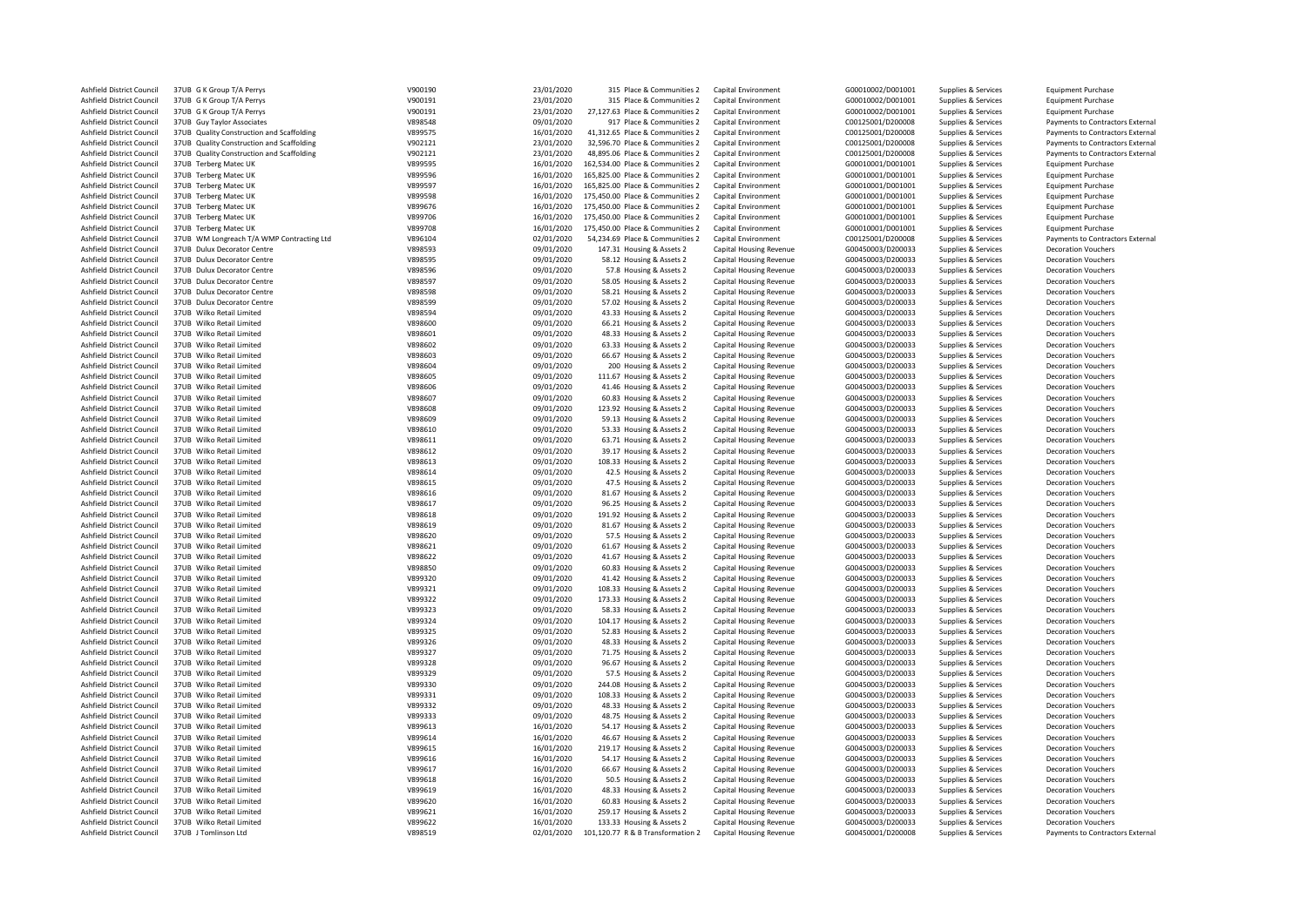| Ashfield District Council | 37UB G K Group T/A Perrys                 | V900190 | 23/01/2020 | 315 Place & Communities 2         | Capital Environment            | G00010002/D001001 | Supplies & Services | <b>Equipment Purchase</b>        |
|---------------------------|-------------------------------------------|---------|------------|-----------------------------------|--------------------------------|-------------------|---------------------|----------------------------------|
| Ashfield District Council | 37UB G K Group T/A Perrys                 | V900191 | 23/01/2020 | 315 Place & Communities 2         | Capital Environment            | G00010002/D001001 | Supplies & Services | <b>Equipment Purchase</b>        |
| Ashfield District Council | 37UB G K Group T/A Perrys                 | V900191 | 23/01/2020 | 27.127.63 Place & Communities 2   | Capital Environment            | G00010002/D001001 | Supplies & Services | <b>Equipment Purchase</b>        |
| Ashfield District Council | 37UB Guy Taylor Associates                | V898548 | 09/01/2020 | 917 Place & Communities 2         | Capital Environment            | C00125001/D200008 | Supplies & Services | Payments to Contractors External |
| Ashfield District Council | 37UB Quality Construction and Scaffolding | V899575 | 16/01/2020 | 41,312.65 Place & Communities 2   | Capital Environment            | C00125001/D200008 | Supplies & Services | Payments to Contractors External |
| Ashfield District Council | 37UB Quality Construction and Scaffolding | V902121 | 23/01/2020 | 32,596.70 Place & Communities 2   | Capital Environment            | C00125001/D200008 | Supplies & Services | Payments to Contractors External |
| Ashfield District Council | 37UB Quality Construction and Scaffolding | V902121 | 23/01/2020 | 48,895.06 Place & Communities 2   | Capital Environment            | C00125001/D200008 | Supplies & Services | Payments to Contractors External |
| Ashfield District Council | 37UB Terberg Matec UK                     | V899595 | 16/01/2020 | 162,534.00 Place & Communities 2  | Capital Environment            | G00010001/D001001 | Supplies & Services | <b>Equipment Purchase</b>        |
| Ashfield District Council | 37UB Terberg Matec UK                     | V899596 | 16/01/2020 | 165,825.00 Place & Communities 2  | Capital Environment            | G00010001/D001001 | Supplies & Services | <b>Equipment Purchase</b>        |
| Ashfield District Council | 37UB Terberg Matec UK                     | V899597 | 16/01/2020 | 165,825.00 Place & Communities 2  | Capital Environment            | G00010001/D001001 | Supplies & Services | <b>Equipment Purchase</b>        |
| Ashfield District Council | 37UB Terberg Matec UK                     | V899598 | 16/01/2020 | 175,450.00 Place & Communities 2  | Capital Environment            | G00010001/D001001 | Supplies & Services | <b>Equipment Purchase</b>        |
| Ashfield District Council | 37UB Terberg Matec UK                     | V899676 | 16/01/2020 | 175,450.00 Place & Communities 2  | Capital Environment            | G00010001/D001001 | Supplies & Services | <b>Equipment Purchase</b>        |
|                           |                                           |         |            |                                   |                                |                   |                     |                                  |
| Ashfield District Council | 37UB Terberg Matec UK                     | V899706 | 16/01/2020 | 175,450.00 Place & Communities 2  | Capital Environment            | G00010001/D001001 | Supplies & Services | <b>Equipment Purchase</b>        |
| Ashfield District Council | 37UB Terberg Matec UK                     | V899708 | 16/01/2020 | 175,450.00 Place & Communities 2  | Capital Environment            | G00010001/D001001 | Supplies & Services | <b>Equipment Purchase</b>        |
| Ashfield District Council | 37UB WM Longreach T/A WMP Contracting Ltd | V896104 | 02/01/2020 | 54,234.69 Place & Communities 2   | Capital Environment            | C00125001/D200008 | Supplies & Services | Payments to Contractors External |
| Ashfield District Council | 37UB Dulux Decorator Centre               | V898593 | 09/01/2020 | 147.31 Housing & Assets 2         | Capital Housing Revenue        | G00450003/D200033 | Supplies & Services | <b>Decoration Vouchers</b>       |
| Ashfield District Council | 37UB Dulux Decorator Centre               | V898595 | 09/01/2020 | 58.12 Housing & Assets 2          | Capital Housing Revenue        | G00450003/D200033 | Supplies & Services | <b>Decoration Vouchers</b>       |
| Ashfield District Council | 37UB Dulux Decorator Centre               | V898596 | 09/01/2020 | 57.8 Housing & Assets 2           | Capital Housing Revenue        | G00450003/D200033 | Supplies & Services | <b>Decoration Vouchers</b>       |
| Ashfield District Council | 37UB Dulux Decorator Centre               | V898597 | 09/01/2020 | 58.05 Housing & Assets 2          | Capital Housing Revenue        | G00450003/D200033 | Supplies & Services | <b>Decoration Vouchers</b>       |
| Ashfield District Council | 37UB Dulux Decorator Centre               | V898598 | 09/01/2020 | 58.21 Housing & Assets 2          | Capital Housing Revenue        | G00450003/D200033 | Supplies & Services | <b>Decoration Vouchers</b>       |
| Ashfield District Council | 37UB Dulux Decorator Centre               | V898599 | 09/01/2020 | 57.02 Housing & Assets 2          | Capital Housing Revenue        | G00450003/D200033 | Supplies & Services | <b>Decoration Vouchers</b>       |
| Ashfield District Council | 37UB Wilko Retail Limited                 | V898594 | 09/01/2020 | 43.33 Housing & Assets 2          | Capital Housing Revenue        | G00450003/D200033 | Supplies & Services | <b>Decoration Vouchers</b>       |
| Ashfield District Council | 37UB Wilko Retail Limited                 | V898600 | 09/01/2020 | 66.21 Housing & Assets 2          | Capital Housing Revenue        | G00450003/D200033 | Supplies & Services | <b>Decoration Vouchers</b>       |
| Ashfield District Council | 37UB Wilko Retail Limited                 | V898601 | 09/01/2020 | 48.33 Housing & Assets 2          | Capital Housing Revenue        | G00450003/D200033 | Supplies & Services | <b>Decoration Vouchers</b>       |
| Ashfield District Council | 37UB Wilko Retail Limited                 | V898602 | 09/01/2020 | 63.33 Housing & Assets 2          | Capital Housing Revenue        | G00450003/D200033 | Supplies & Services | <b>Decoration Vouchers</b>       |
| Ashfield District Council | 37UB Wilko Retail Limited                 | V898603 | 09/01/2020 | 66.67 Housing & Assets 2          | Capital Housing Revenue        | G00450003/D200033 | Supplies & Services | <b>Decoration Vouchers</b>       |
| Ashfield District Council | 37UB Wilko Retail Limited                 | V898604 | 09/01/2020 | 200 Housing & Assets 2            | Capital Housing Revenue        | G00450003/D200033 | Supplies & Services | <b>Decoration Vouchers</b>       |
| Ashfield District Council | 37UB Wilko Retail Limited                 | V898605 | 09/01/2020 | 111.67 Housing & Assets 2         | Capital Housing Revenue        | G00450003/D200033 | Supplies & Services | <b>Decoration Vouchers</b>       |
|                           | 37UB Wilko Retail Limited                 |         |            |                                   |                                |                   |                     |                                  |
| Ashfield District Council |                                           | V898606 | 09/01/2020 | 41.46 Housing & Assets 2          | Capital Housing Revenue        | G00450003/D200033 | Supplies & Services | <b>Decoration Vouchers</b>       |
| Ashfield District Council | 37UB Wilko Retail Limited                 | V898607 | 09/01/2020 | 60.83 Housing & Assets 2          | Capital Housing Revenue        | G00450003/D200033 | Supplies & Services | <b>Decoration Vouchers</b>       |
| Ashfield District Council | 37UB Wilko Retail Limited                 | V898608 | 09/01/2020 | 123.92 Housing & Assets 2         | Capital Housing Revenue        | G00450003/D200033 | Supplies & Services | <b>Decoration Vouchers</b>       |
| Ashfield District Council | 37UB Wilko Retail Limited                 | V898609 | 09/01/2020 | 59.13 Housing & Assets 2          | Capital Housing Revenue        | G00450003/D200033 | Supplies & Services | <b>Decoration Vouchers</b>       |
| Ashfield District Council | 37UB Wilko Retail Limited                 | V898610 | 09/01/2020 | 53.33 Housing & Assets 2          | Capital Housing Revenue        | G00450003/D200033 | Supplies & Services | <b>Decoration Vouchers</b>       |
| Ashfield District Council | 37UB Wilko Retail Limited                 | V898611 | 09/01/2020 | 63.71 Housing & Assets 2          | Capital Housing Revenue        | G00450003/D200033 | Supplies & Services | <b>Decoration Vouchers</b>       |
| Ashfield District Council | 37UB Wilko Retail Limited                 | V898612 | 09/01/2020 | 39.17 Housing & Assets 2          | Capital Housing Revenue        | G00450003/D200033 | Supplies & Services | <b>Decoration Vouchers</b>       |
| Ashfield District Council | 37UB Wilko Retail Limited                 | V898613 | 09/01/2020 | 108.33 Housing & Assets 2         | Capital Housing Revenue        | G00450003/D200033 | Supplies & Services | <b>Decoration Vouchers</b>       |
| Ashfield District Council | 37UB Wilko Retail Limited                 | V898614 | 09/01/2020 | 42.5 Housing & Assets 2           | Capital Housing Revenue        | G00450003/D200033 | Supplies & Services | <b>Decoration Vouchers</b>       |
| Ashfield District Council | 37UB Wilko Retail Limited                 | V898615 | 09/01/2020 | 47.5 Housing & Assets 2           | Capital Housing Revenue        | G00450003/D200033 | Supplies & Services | <b>Decoration Vouchers</b>       |
| Ashfield District Council | 37UB Wilko Retail Limited                 | V898616 | 09/01/2020 | 81.67 Housing & Assets 2          | Capital Housing Revenue        | G00450003/D200033 | Supplies & Services | <b>Decoration Vouchers</b>       |
| Ashfield District Council | 37UB Wilko Retail Limited                 | V898617 | 09/01/2020 | 96.25 Housing & Assets 2          | Capital Housing Revenue        | G00450003/D200033 | Supplies & Services | <b>Decoration Vouchers</b>       |
| Ashfield District Council | 37UB Wilko Retail Limited                 | V898618 | 09/01/2020 | 191.92 Housing & Assets 2         | Capital Housing Revenue        | G00450003/D200033 | Supplies & Services | <b>Decoration Vouchers</b>       |
| Ashfield District Council | 37UB Wilko Retail Limited                 | V898619 | 09/01/2020 | 81.67 Housing & Assets 2          | Capital Housing Revenue        | G00450003/D200033 | Supplies & Services | <b>Decoration Vouchers</b>       |
| Ashfield District Council | 37UB Wilko Retail Limited                 | V898620 | 09/01/2020 | 57.5 Housing & Assets 2           | Capital Housing Revenue        | G00450003/D200033 | Supplies & Services | <b>Decoration Vouchers</b>       |
| Ashfield District Council | 37UB Wilko Retail Limited                 | V898621 | 09/01/2020 | 61.67 Housing & Assets 2          | Capital Housing Revenue        | G00450003/D200033 | Supplies & Services | <b>Decoration Vouchers</b>       |
| Ashfield District Council | 37UB Wilko Retail Limited                 | V898622 | 09/01/2020 | 41.67 Housing & Assets 2          |                                | G00450003/D200033 |                     | <b>Decoration Vouchers</b>       |
|                           |                                           |         |            |                                   | Capital Housing Revenue        |                   | Supplies & Services |                                  |
| Ashfield District Council | 37UB Wilko Retail Limited                 | V898850 | 09/01/2020 | 60.83 Housing & Assets 2          | Capital Housing Revenue        | G00450003/D200033 | Supplies & Services | <b>Decoration Vouchers</b>       |
| Ashfield District Council | 37UB Wilko Retail Limited                 | V899320 | 09/01/2020 | 41.42 Housing & Assets 2          | Capital Housing Revenue        | G00450003/D200033 | Supplies & Services | <b>Decoration Vouchers</b>       |
| Ashfield District Council | 37UB Wilko Retail Limited                 | V899321 | 09/01/2020 | 108.33 Housing & Assets 2         | Capital Housing Revenue        | G00450003/D200033 | Supplies & Services | <b>Decoration Vouchers</b>       |
| Ashfield District Council | 37UB Wilko Retail Limited                 | V899322 | 09/01/2020 | 173.33 Housing & Assets 2         | Capital Housing Revenue        | G00450003/D200033 | Supplies & Services | <b>Decoration Vouchers</b>       |
| Ashfield District Council | 37UB Wilko Retail Limited                 | V899323 | 09/01/2020 | 58.33 Housing & Assets 2          | Capital Housing Revenue        | G00450003/D200033 | Supplies & Services | <b>Decoration Vouchers</b>       |
| Ashfield District Council | 37UB Wilko Retail Limited                 | V899324 | 09/01/2020 | 104.17 Housing & Assets 2         | Capital Housing Revenue        | G00450003/D200033 | Supplies & Services | <b>Decoration Vouchers</b>       |
| Ashfield District Council | 37UB Wilko Retail Limited                 | V899325 | 09/01/2020 | 52.83 Housing & Assets 2          | Capital Housing Revenue        | G00450003/D200033 | Supplies & Services | <b>Decoration Vouchers</b>       |
| Ashfield District Council | 37UB Wilko Retail Limited                 | V899326 | 09/01/2020 | 48.33 Housing & Assets 2          | Capital Housing Revenue        | G00450003/D200033 | Supplies & Services | <b>Decoration Vouchers</b>       |
| Ashfield District Council | 37UB Wilko Retail Limited                 | V899327 | 09/01/2020 | 71.75 Housing & Assets 2          | Capital Housing Revenue        | G00450003/D200033 | Supplies & Services | <b>Decoration Vouchers</b>       |
| Ashfield District Council | 37UB Wilko Retail Limited                 | V899328 | 09/01/2020 | 96.67 Housing & Assets 2          | Capital Housing Revenue        | G00450003/D200033 | Supplies & Services | <b>Decoration Vouchers</b>       |
| Ashfield District Council | 37UB Wilko Retail Limited                 | V899329 | 09/01/2020 | 57.5 Housing & Assets 2           | Capital Housing Revenue        | G00450003/D200033 | Supplies & Services | <b>Decoration Vouchers</b>       |
| Ashfield District Council | 37UB Wilko Retail Limited                 | V899330 | 09/01/2020 | 244.08 Housing & Assets 2         | Capital Housing Revenue        | G00450003/D200033 | Supplies & Services | <b>Decoration Vouchers</b>       |
| Ashfield District Council | 37UB Wilko Retail Limited                 | V899331 | 09/01/2020 | 108.33 Housing & Assets 2         | Capital Housing Revenue        | G00450003/D200033 | Supplies & Services | <b>Decoration Vouchers</b>       |
| Ashfield District Council | 37UB Wilko Retail Limited                 | V899332 | 09/01/2020 | 48.33 Housing & Assets 2          | Capital Housing Revenue        | G00450003/D200033 | Supplies & Services | <b>Decoration Vouchers</b>       |
| Ashfield District Council | 37UB Wilko Retail Limited                 | V899333 | 09/01/2020 | 48.75 Housing & Assets 2          | Capital Housing Revenue        | G00450003/D200033 | Supplies & Services | <b>Decoration Vouchers</b>       |
| Ashfield District Council | 37UB Wilko Retail Limited                 | V899613 | 16/01/2020 | 54.17 Housing & Assets 2          | Capital Housing Revenue        | G00450003/D200033 | Supplies & Services | <b>Decoration Vouchers</b>       |
|                           |                                           |         |            |                                   |                                |                   |                     |                                  |
| Ashfield District Council | 37UB Wilko Retail Limited                 | V899614 | 16/01/2020 | 46.67 Housing & Assets 2          | Capital Housing Revenue        | G00450003/D200033 | Supplies & Services | <b>Decoration Vouchers</b>       |
| Ashfield District Council | 37UB Wilko Retail Limited                 | V899615 | 16/01/2020 | 219.17 Housing & Assets 2         | Capital Housing Revenue        | G00450003/D200033 | Supplies & Services | <b>Decoration Vouchers</b>       |
| Ashfield District Council | 37UB Wilko Retail Limited                 | V899616 | 16/01/2020 | 54.17 Housing & Assets 2          | Capital Housing Revenue        | G00450003/D200033 | Supplies & Services | <b>Decoration Vouchers</b>       |
| Ashfield District Council | 37UB Wilko Retail Limited                 | V899617 | 16/01/2020 | 66.67 Housing & Assets 2          | Capital Housing Revenue        | G00450003/D200033 | Supplies & Services | <b>Decoration Vouchers</b>       |
| Ashfield District Council | 37UB Wilko Retail Limited                 | V899618 | 16/01/2020 | 50.5 Housing & Assets 2           | Capital Housing Revenue        | G00450003/D200033 | Supplies & Services | <b>Decoration Vouchers</b>       |
| Ashfield District Council | 37UB Wilko Retail Limited                 | V899619 | 16/01/2020 | 48.33 Housing & Assets 2          | Capital Housing Revenue        | G00450003/D200033 | Supplies & Services | <b>Decoration Vouchers</b>       |
| Ashfield District Council | 37UB Wilko Retail Limited                 | V899620 | 16/01/2020 | 60.83 Housing & Assets 2          | Capital Housing Revenue        | G00450003/D200033 | Supplies & Services | <b>Decoration Vouchers</b>       |
| Ashfield District Council | 37UB Wilko Retail Limited                 | V899621 | 16/01/2020 | 259.17 Housing & Assets 2         | Capital Housing Revenue        | G00450003/D200033 | Supplies & Services | <b>Decoration Vouchers</b>       |
| Ashfield District Council | 37UB Wilko Retail Limited                 | V899622 | 16/01/2020 | 133.33 Housing & Assets 2         | Capital Housing Revenue        | G00450003/D200033 | Supplies & Services | <b>Decoration Vouchers</b>       |
| Ashfield District Council | 37UB J Tomlinson Ltd                      | V898519 | 02/01/2020 | 101,120.77 R & B Transformation 2 | <b>Capital Housing Revenue</b> | G00450001/D200008 | Supplies & Services | Payments to Contractors External |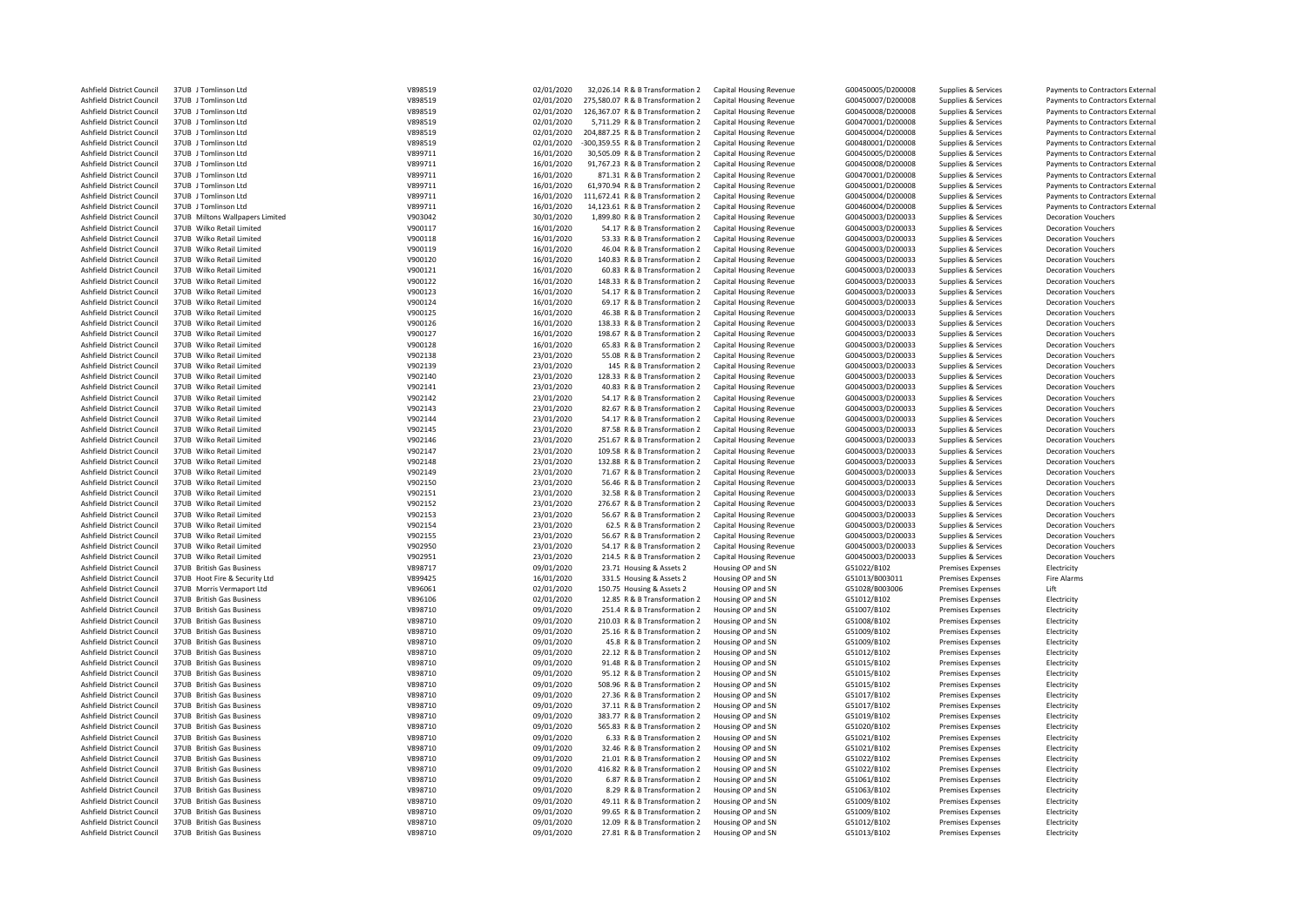| Ashfield District Council | 37UB J Tomlinson Ltd            | V898519 | 02/01/2020 | 32,026.14 R & B Transformation 2   | <b>Capital Housing Revenue</b> | G00450005/D200008 | Supplies & Services      | Payments to Contractors External |
|---------------------------|---------------------------------|---------|------------|------------------------------------|--------------------------------|-------------------|--------------------------|----------------------------------|
| Ashfield District Council | 37UB J Tomlinson Ltd            | V898519 | 02/01/2020 | 275,580.07 R & B Transformation 2  | Capital Housing Revenue        | G00450007/D200008 | Supplies & Services      | Payments to Contractors External |
| Ashfield District Council | 37UB J Tomlinson Ltd            | V898519 | 02/01/2020 | 126,367.07 R & B Transformation 2  | Capital Housing Revenue        | G00450008/D200008 | Supplies & Services      | Payments to Contractors External |
| Ashfield District Council | 37UB J Tomlinson Ltd            | V898519 | 02/01/2020 | 5,711.29 R & B Transformation 2    | Capital Housing Revenue        | G00470001/D200008 | Supplies & Services      | Payments to Contractors External |
| Ashfield District Council | 37UB J Tomlinson Ltd            | V898519 | 02/01/2020 | 204,887.25 R & B Transformation 2  | Capital Housing Revenue        | G00450004/D200008 | Supplies & Services      | Payments to Contractors External |
|                           |                                 |         |            |                                    |                                |                   |                          |                                  |
| Ashfield District Council | 37UB J Tomlinson Ltd            | V898519 | 02/01/2020 | -300,359.55 R & B Transformation 2 | Capital Housing Revenue        | G00480001/D200008 | Supplies & Services      | Payments to Contractors External |
| Ashfield District Council | 37UB J Tomlinson Ltd            | V899711 | 16/01/2020 | 30,505.09 R & B Transformation 2   | <b>Capital Housing Revenue</b> | G00450005/D200008 | Supplies & Services      | Payments to Contractors External |
| Ashfield District Council | 37UB J Tomlinson Ltd            | V899711 | 16/01/2020 | 91,767.23 R & B Transformation 2   | Capital Housing Revenue        | G00450008/D200008 | Supplies & Services      | Payments to Contractors External |
| Ashfield District Council | 37UB J Tomlinson Ltd            | V899711 | 16/01/2020 | 871.31 R & B Transformation 2      | Capital Housing Revenue        | G00470001/D200008 | Supplies & Services      | Payments to Contractors External |
| Ashfield District Council | 37UB J Tomlinson Ltd            | V899711 | 16/01/2020 | 61,970.94 R & B Transformation 2   | Capital Housing Revenue        | G00450001/D200008 | Supplies & Services      | Payments to Contractors External |
| Ashfield District Council | 37UB J Tomlinson Ltd            | V899711 | 16/01/2020 | 111,672.41 R & B Transformation 2  | Capital Housing Revenue        | G00450004/D200008 | Supplies & Services      | Payments to Contractors External |
| Ashfield District Council | 37UB J Tomlinson Ltd            | V899711 | 16/01/2020 | 14,123.61 R & B Transformation 2   | Capital Housing Revenue        | G00460004/D200008 | Supplies & Services      | Payments to Contractors External |
|                           |                                 |         |            |                                    |                                |                   |                          |                                  |
| Ashfield District Council | 37UB Miltons Wallpapers Limited | V903042 | 30/01/2020 | 1,899.80 R & B Transformation 2    | Capital Housing Revenue        | G00450003/D200033 | Supplies & Services      | <b>Decoration Vouchers</b>       |
| Ashfield District Council | 37UB Wilko Retail Limited       | V900117 | 16/01/2020 | 54.17 R & B Transformation 2       | <b>Capital Housing Revenue</b> | G00450003/D200033 | Supplies & Services      | <b>Decoration Vouchers</b>       |
| Ashfield District Council | 37UB Wilko Retail Limited       | V900118 | 16/01/2020 | 53.33 R & B Transformation 2       | <b>Capital Housing Revenue</b> | G00450003/D200033 | Supplies & Services      | <b>Decoration Vouchers</b>       |
| Ashfield District Council | 37UB Wilko Retail Limited       | V900119 | 16/01/2020 | 46.04 R & B Transformation 2       | Capital Housing Revenue        | G00450003/D200033 | Supplies & Services      | <b>Decoration Vouchers</b>       |
| Ashfield District Council | 37UB Wilko Retail Limited       | V900120 | 16/01/2020 | 140.83 R & B Transformation 2      | Capital Housing Revenue        | G00450003/D200033 | Supplies & Services      | <b>Decoration Vouchers</b>       |
| Ashfield District Council | 37UB Wilko Retail Limited       | V900121 | 16/01/2020 | 60.83 R & B Transformation 2       | Capital Housing Revenue        | G00450003/D200033 | Supplies & Services      | <b>Decoration Vouchers</b>       |
| Ashfield District Council | 37UB Wilko Retail Limited       | V900122 | 16/01/2020 | 148.33 R & B Transformation 2      | Capital Housing Revenue        | G00450003/D200033 | Supplies & Services      | <b>Decoration Vouchers</b>       |
|                           |                                 |         |            |                                    |                                |                   |                          |                                  |
| Ashfield District Council | 37UB Wilko Retail Limited       | V900123 | 16/01/2020 | 54.17 R & B Transformation 2       | Capital Housing Revenue        | G00450003/D200033 | Supplies & Services      | <b>Decoration Vouchers</b>       |
| Ashfield District Council | 37UB Wilko Retail Limited       | V900124 | 16/01/2020 | 69.17 R & B Transformation 2       | Capital Housing Revenue        | G00450003/D200033 | Supplies & Services      | <b>Decoration Vouchers</b>       |
| Ashfield District Council | 37UB Wilko Retail Limited       | V900125 | 16/01/2020 | 46.38 R & B Transformation 2       | Capital Housing Revenue        | G00450003/D200033 | Supplies & Services      | <b>Decoration Vouchers</b>       |
| Ashfield District Council | 37UB Wilko Retail Limited       | V900126 | 16/01/2020 | 138.33 R & B Transformation 2      | Capital Housing Revenue        | G00450003/D200033 | Supplies & Services      | <b>Decoration Vouchers</b>       |
| Ashfield District Council | 37UB Wilko Retail Limited       | V900127 | 16/01/2020 | 198.67 R & B Transformation 2      | Capital Housing Revenue        | G00450003/D200033 | Supplies & Services      | <b>Decoration Vouchers</b>       |
| Ashfield District Council | 37UB Wilko Retail Limited       | V900128 | 16/01/2020 | 65.83 R & B Transformation 2       | Capital Housing Revenue        | G00450003/D200033 | Supplies & Services      | <b>Decoration Vouchers</b>       |
| Ashfield District Council | 37UB Wilko Retail Limited       | V902138 | 23/01/2020 | 55.08 R & B Transformation 2       | Capital Housing Revenue        | G00450003/D200033 | Supplies & Services      | <b>Decoration Vouchers</b>       |
|                           | 37UB Wilko Retail Limited       |         |            |                                    |                                |                   |                          |                                  |
| Ashfield District Council |                                 | V902139 | 23/01/2020 | 145 R & B Transformation 2         | Capital Housing Revenue        | G00450003/D200033 | Supplies & Services      | <b>Decoration Vouchers</b>       |
| Ashfield District Council | 37UB Wilko Retail Limited       | V902140 | 23/01/2020 | 128.33 R & B Transformation 2      | Capital Housing Revenue        | G00450003/D200033 | Supplies & Services      | <b>Decoration Vouchers</b>       |
| Ashfield District Council | 37UB Wilko Retail Limited       | V902141 | 23/01/2020 | 40.83 R & B Transformation 2       | Capital Housing Revenue        | G00450003/D200033 | Supplies & Services      | <b>Decoration Vouchers</b>       |
| Ashfield District Council | 37UB Wilko Retail Limited       | V902142 | 23/01/2020 | 54.17 R & B Transformation 2       | Capital Housing Revenue        | G00450003/D200033 | Supplies & Services      | <b>Decoration Vouchers</b>       |
| Ashfield District Council | 37UB Wilko Retail Limited       | V902143 | 23/01/2020 | 82.67 R & B Transformation 2       | Capital Housing Revenue        | G00450003/D200033 | Supplies & Services      | <b>Decoration Vouchers</b>       |
| Ashfield District Council | 37UB Wilko Retail Limited       | V902144 | 23/01/2020 | 54.17 R & B Transformation 2       | Capital Housing Revenue        | G00450003/D200033 | Supplies & Services      | <b>Decoration Vouchers</b>       |
|                           |                                 |         |            |                                    |                                |                   |                          |                                  |
| Ashfield District Council | 37UB Wilko Retail Limited       | V902145 | 23/01/2020 | 87.58 R & B Transformation 2       | <b>Capital Housing Revenue</b> | G00450003/D200033 | Supplies & Services      | <b>Decoration Vouchers</b>       |
| Ashfield District Council | 37UB Wilko Retail Limited       | V902146 | 23/01/2020 | 251.67 R & B Transformation 2      | Capital Housing Revenue        | G00450003/D200033 | Supplies & Services      | <b>Decoration Vouchers</b>       |
| Ashfield District Council | 37UB Wilko Retail Limited       | V902147 | 23/01/2020 | 109.58 R & B Transformation 2      | Capital Housing Revenue        | G00450003/D200033 | Supplies & Services      | <b>Decoration Vouchers</b>       |
| Ashfield District Council | 37UB Wilko Retail Limited       | V902148 | 23/01/2020 | 132.88 R & B Transformation 2      | Capital Housing Revenue        | G00450003/D200033 | Supplies & Services      | <b>Decoration Vouchers</b>       |
| Ashfield District Council | 37UB Wilko Retail Limited       | V902149 | 23/01/2020 | 71.67 R & B Transformation 2       | Capital Housing Revenue        | G00450003/D200033 | Supplies & Services      | <b>Decoration Vouchers</b>       |
| Ashfield District Council | 37UB Wilko Retail Limited       | V902150 | 23/01/2020 | 56.46 R & B Transformation 2       | Capital Housing Revenue        | G00450003/D200033 | Supplies & Services      | <b>Decoration Vouchers</b>       |
| Ashfield District Council | 37UB Wilko Retail Limited       | V902151 | 23/01/2020 | 32.58 R & B Transformation 2       | Capital Housing Revenue        | G00450003/D200033 | Supplies & Services      | <b>Decoration Vouchers</b>       |
| Ashfield District Council | 37UB Wilko Retail Limited       | V902152 | 23/01/2020 | 276.67 R & B Transformation 2      | Capital Housing Revenue        | G00450003/D200033 | Supplies & Services      | <b>Decoration Vouchers</b>       |
|                           |                                 |         |            |                                    |                                |                   |                          |                                  |
| Ashfield District Council | 37UB Wilko Retail Limited       | V902153 | 23/01/2020 | 56.67 R & B Transformation 2       | Capital Housing Revenue        | G00450003/D200033 | Supplies & Services      | <b>Decoration Vouchers</b>       |
| Ashfield District Council | 37UB Wilko Retail Limited       | V902154 | 23/01/2020 | 62.5 R & B Transformation 2        | Capital Housing Revenue        | G00450003/D200033 | Supplies & Services      | <b>Decoration Vouchers</b>       |
| Ashfield District Council | 37UB Wilko Retail Limited       | V902155 | 23/01/2020 | 56.67 R & B Transformation 2       | Capital Housing Revenue        | G00450003/D200033 | Supplies & Services      | <b>Decoration Vouchers</b>       |
| Ashfield District Council | 37UB Wilko Retail Limited       | V902950 | 23/01/2020 | 54.17 R & B Transformation 2       | Capital Housing Revenue        | G00450003/D200033 | Supplies & Services      | <b>Decoration Vouchers</b>       |
| Ashfield District Council | 37UB Wilko Retail Limited       | V902951 | 23/01/2020 | 214.5 R & B Transformation 2       | Capital Housing Revenue        | G00450003/D200033 | Supplies & Services      | <b>Decoration Vouchers</b>       |
| Ashfield District Council | 37UB British Gas Business       | V898717 | 09/01/2020 | 23.71 Housing & Assets 2           | Housing OP and SN              | G51022/B102       | <b>Premises Expenses</b> | Electricity                      |
|                           |                                 |         |            |                                    |                                |                   |                          |                                  |
| Ashfield District Council | 37UB Hoot Fire & Security Ltd   | V899425 | 16/01/2020 | 331.5 Housing & Assets 2           | Housing OP and SN              | G51013/B003011    | <b>Premises Expenses</b> | Fire Alarms                      |
| Ashfield District Council | 37UB Morris Vermaport Ltd       | V896061 | 02/01/2020 | 150.75 Housing & Assets 2          | Housing OP and SN              | G51028/B003006    | <b>Premises Expenses</b> | Lift                             |
| Ashfield District Council | 37UB British Gas Business       | V896106 | 02/01/2020 | 12.85 R & B Transformation 2       | Housing OP and SN              | G51012/B102       | <b>Premises Expenses</b> | Electricity                      |
| Ashfield District Council | 37UB British Gas Business       | V898710 | 09/01/2020 | 251.4 R & B Transformation 2       | Housing OP and SN              | G51007/B102       | <b>Premises Expenses</b> | Electricity                      |
| Ashfield District Council | 37UB British Gas Business       | V898710 | 09/01/2020 | 210.03 R & B Transformation 2      | Housing OP and SN              | G51008/B102       | <b>Premises Expenses</b> | Electricity                      |
| Ashfield District Council | 37UB British Gas Business       | V898710 | 09/01/2020 | 25.16 R & B Transformation 2       | Housing OP and SN              | G51009/B102       | <b>Premises Expenses</b> | Electricity                      |
| Ashfield District Council | 37UB British Gas Business       | V898710 | 09/01/2020 | 45.8 R & B Transformation 2        | Housing OP and SN              | G51009/B102       | <b>Premises Expenses</b> | Electricity                      |
| Ashfield District Council | 37UB British Gas Business       | V898710 | 09/01/2020 | 22.12 R & B Transformation 2       | Housing OP and SN              | G51012/B102       | <b>Premises Expenses</b> | Electricity                      |
|                           |                                 |         |            |                                    |                                |                   |                          |                                  |
| Ashfield District Council | 37UB British Gas Business       | V898710 | 09/01/2020 | 91.48 R & B Transformation 2       | Housing OP and SN              | G51015/B102       | <b>Premises Expenses</b> | Electricity                      |
| Ashfield District Council | 37UB British Gas Business       | V898710 | 09/01/2020 | 95.12 R & B Transformation 2       | Housing OP and SN              | G51015/B102       | <b>Premises Expenses</b> | Electricity                      |
| Ashfield District Council | 37UB British Gas Business       | V898710 | 09/01/2020 | 508.96 R & B Transformation 2      | Housing OP and SN              | G51015/B102       | <b>Premises Expenses</b> | Electricity                      |
| Ashfield District Council | 37UB British Gas Business       | V898710 | 09/01/2020 | 27.36 R & B Transformation 2       | Housing OP and SN              | G51017/B102       | <b>Premises Expenses</b> | Electricity                      |
| Ashfield District Council | 37UB British Gas Business       | V898710 | 09/01/2020 | 37.11 R & B Transformation 2       | Housing OP and SN              | G51017/B102       | <b>Premises Expenses</b> | Electricity                      |
| Ashfield District Council | 37UB British Gas Business       | V898710 | 09/01/2020 | 383.77 R & B Transformation 2      | Housing OP and SN              | G51019/B102       | <b>Premises Expenses</b> | Electricity                      |
| Ashfield District Council | 37UB British Gas Business       | V898710 | 09/01/2020 | 565.83 R & B Transformation 2      | Housing OP and SN              | G51020/B102       | <b>Premises Expenses</b> | Electricity                      |
|                           |                                 |         |            |                                    |                                |                   |                          |                                  |
| Ashfield District Council | 37UB British Gas Business       | V898710 | 09/01/2020 | 6.33 R & B Transformation 2        | Housing OP and SN              | G51021/B102       | <b>Premises Expenses</b> | Electricity                      |
| Ashfield District Council | 37UB British Gas Business       | V898710 | 09/01/2020 | 32.46 R & B Transformation 2       | Housing OP and SN              | G51021/B102       | <b>Premises Expenses</b> | Electricity                      |
| Ashfield District Council | 37UB British Gas Business       | V898710 | 09/01/2020 | 21.01 R & B Transformation 2       | Housing OP and SN              | G51022/B102       | <b>Premises Expenses</b> | Electricity                      |
| Ashfield District Council | 37UB British Gas Business       | V898710 | 09/01/2020 | 416.82 R & B Transformation 2      | Housing OP and SN              | G51022/B102       | <b>Premises Expenses</b> | Electricity                      |
| Ashfield District Council | 37UB British Gas Business       | V898710 | 09/01/2020 | 6.87 R & B Transformation 2        | Housing OP and SN              | G51061/B102       | <b>Premises Expenses</b> | Electricity                      |
| Ashfield District Council | 37UB British Gas Business       | V898710 | 09/01/2020 | 8.29 R & B Transformation 2        | Housing OP and SN              | G51063/B102       | <b>Premises Expenses</b> | Electricity                      |
| Ashfield District Council | 37UB British Gas Business       | V898710 | 09/01/2020 | 49.11 R & B Transformation 2       | Housing OP and SN              | G51009/B102       | <b>Premises Expenses</b> |                                  |
|                           |                                 |         |            |                                    |                                |                   |                          | Electricity                      |
| Ashfield District Council | 37UB British Gas Business       | V898710 | 09/01/2020 | 99.65 R & B Transformation 2       | Housing OP and SN              | G51009/B102       | <b>Premises Expenses</b> | Electricity                      |
| Ashfield District Council | 37UB British Gas Business       | V898710 | 09/01/2020 | 12.09 R & B Transformation 2       | Housing OP and SN              | G51012/B102       | Premises Expenses        | Electricity                      |
| Ashfield District Council | 37UB British Gas Business       | V898710 | 09/01/2020 | 27.81 R & B Transformation 2       | Housing OP and SN              | G51013/B102       | <b>Premises Expenses</b> | Electricity                      |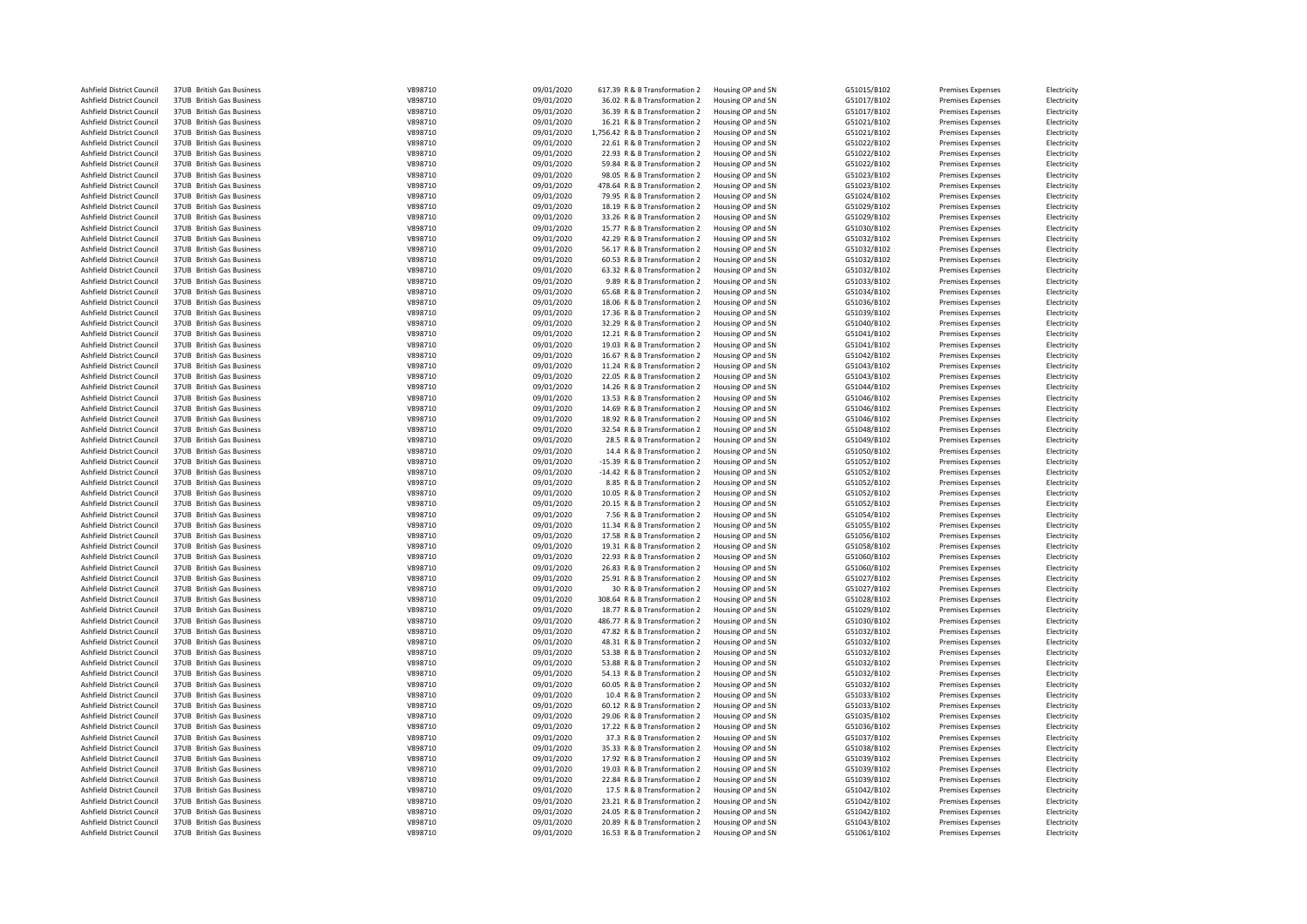| Ashfield District Council | 37UB British Gas Business | V898710 | 09/01/2020 | 617.39 R & B Transformation 2   | Housing OP and SN | G51015/B102 | <b>Premises Expenses</b> | Electricity |
|---------------------------|---------------------------|---------|------------|---------------------------------|-------------------|-------------|--------------------------|-------------|
| Ashfield District Council | 37UB British Gas Business | V898710 | 09/01/2020 | 36.02 R & B Transformation 2    | Housing OP and SN | G51017/B102 | <b>Premises Expenses</b> | Electricity |
| Ashfield District Council | 37UB British Gas Business | V898710 | 09/01/2020 | 36.39 R & B Transformation 2    | Housing OP and SN | G51017/B102 | <b>Premises Expenses</b> | Electricity |
|                           |                           |         |            |                                 |                   |             |                          |             |
| Ashfield District Council | 37UB British Gas Business | V898710 | 09/01/2020 | 16.21 R & B Transformation 2    | Housing OP and SN | G51021/B102 | <b>Premises Expenses</b> | Electricity |
| Ashfield District Council | 37UB British Gas Business | V898710 | 09/01/2020 | 1,756.42 R & B Transformation 2 | Housing OP and SN | G51021/B102 | Premises Expenses        | Electricity |
| Ashfield District Council | 37UB British Gas Business | V898710 | 09/01/2020 | 22.61 R & B Transformation 2    | Housing OP and SN | G51022/B102 | Premises Expenses        | Electricity |
| Ashfield District Council | 37UB British Gas Business | V898710 | 09/01/2020 | 22.93 R & B Transformation 2    | Housing OP and SN | G51022/B102 | <b>Premises Expenses</b> | Electricity |
| Ashfield District Council | 37UB British Gas Business | V898710 | 09/01/2020 | 59.84 R & B Transformation 2    | Housing OP and SN | G51022/B102 | Premises Expenses        | Electricity |
| Ashfield District Council | 37UB British Gas Business | V898710 | 09/01/2020 | 98.05 R & B Transformation 2    | Housing OP and SN | G51023/B102 | Premises Expenses        | Electricity |
|                           |                           |         |            |                                 |                   |             |                          |             |
| Ashfield District Council | 37UB British Gas Business | V898710 | 09/01/2020 | 478.64 R & B Transformation 2   | Housing OP and SN | G51023/B102 | <b>Premises Expenses</b> | Electricity |
| Ashfield District Council | 37UB British Gas Business | V898710 | 09/01/2020 | 79.95 R & B Transformation 2    | Housing OP and SN | G51024/B102 | <b>Premises Expenses</b> | Electricity |
| Ashfield District Council | 37UB British Gas Business | V898710 | 09/01/2020 | 18.19 R & B Transformation 2    | Housing OP and SN | G51029/B102 | <b>Premises Expenses</b> | Electricity |
| Ashfield District Council | 37UB British Gas Business | V898710 | 09/01/2020 | 33.26 R & B Transformation 2    | Housing OP and SN | G51029/B102 | <b>Premises Expenses</b> | Electricity |
| Ashfield District Council | 37UB British Gas Business | V898710 | 09/01/2020 | 15.77 R & B Transformation 2    | Housing OP and SN | G51030/B102 | <b>Premises Expenses</b> | Electricity |
| Ashfield District Council | 37UB British Gas Business | V898710 | 09/01/2020 | 42.29 R & B Transformation 2    | Housing OP and SN | G51032/B102 | <b>Premises Expenses</b> | Electricity |
| Ashfield District Council | 37UB British Gas Business | V898710 | 09/01/2020 | 56.17 R & B Transformation 2    | Housing OP and SN | G51032/B102 | <b>Premises Expenses</b> | Electricity |
|                           |                           |         |            |                                 |                   |             |                          |             |
| Ashfield District Council | 37UB British Gas Business | V898710 | 09/01/2020 | 60.53 R & B Transformation 2    | Housing OP and SN | G51032/B102 | <b>Premises Expenses</b> | Electricity |
| Ashfield District Council | 37UB British Gas Business | V898710 | 09/01/2020 | 63.32 R & B Transformation 2    | Housing OP and SN | G51032/B102 | <b>Premises Expenses</b> | Electricity |
| Ashfield District Council | 37UB British Gas Business | V898710 | 09/01/2020 | 9.89 R & B Transformation 2     | Housing OP and SN | G51033/B102 | <b>Premises Expenses</b> | Electricity |
| Ashfield District Council | 37UB British Gas Business | V898710 | 09/01/2020 | 65.68 R & B Transformation 2    | Housing OP and SN | G51034/B102 | <b>Premises Expenses</b> | Electricity |
| Ashfield District Council | 37UB British Gas Business | V898710 | 09/01/2020 | 18.06 R & B Transformation 2    | Housing OP and SN | G51036/B102 | <b>Premises Expenses</b> | Electricity |
| Ashfield District Council | 37UB British Gas Business | V898710 | 09/01/2020 | 17.36 R & B Transformation 2    | Housing OP and SN | G51039/B102 | <b>Premises Expenses</b> | Electricity |
| Ashfield District Council | 37UB British Gas Business | V898710 |            | 32.29 R & B Transformation 2    | Housing OP and SN |             | <b>Premises Expenses</b> |             |
|                           |                           |         | 09/01/2020 |                                 |                   | G51040/B102 |                          | Electricity |
| Ashfield District Council | 37UB British Gas Business | V898710 | 09/01/2020 | 12.21 R & B Transformation 2    | Housing OP and SN | G51041/B102 | Premises Expenses        | Electricity |
| Ashfield District Council | 37UB British Gas Business | V898710 | 09/01/2020 | 19.03 R & B Transformation 2    | Housing OP and SN | G51041/B102 | Premises Expenses        | Electricity |
| Ashfield District Council | 37UB British Gas Business | V898710 | 09/01/2020 | 16.67 R & B Transformation 2    | Housing OP and SN | G51042/B102 | <b>Premises Expenses</b> | Electricity |
| Ashfield District Council | 37UB British Gas Business | V898710 | 09/01/2020 | 11.24 R & B Transformation 2    | Housing OP and SN | G51043/B102 | <b>Premises Expenses</b> | Electricity |
| Ashfield District Council | 37UB British Gas Business | V898710 | 09/01/2020 | 22.05 R & B Transformation 2    | Housing OP and SN | G51043/B102 | <b>Premises Expenses</b> | Electricity |
| Ashfield District Council | 37UB British Gas Business | V898710 | 09/01/2020 | 14.26 R & B Transformation 2    | Housing OP and SN | G51044/B102 | <b>Premises Expenses</b> | Electricity |
|                           |                           |         |            |                                 |                   |             |                          |             |
| Ashfield District Council | 37UB British Gas Business | V898710 | 09/01/2020 | 13.53 R & B Transformation 2    | Housing OP and SN | G51046/B102 | <b>Premises Expenses</b> | Electricity |
| Ashfield District Council | 37UB British Gas Business | V898710 | 09/01/2020 | 14.69 R & B Transformation 2    | Housing OP and SN | G51046/B102 | <b>Premises Expenses</b> | Electricity |
| Ashfield District Council | 37UB British Gas Business | V898710 | 09/01/2020 | 18.92 R & B Transformation 2    | Housing OP and SN | G51046/B102 | <b>Premises Expenses</b> | Electricity |
| Ashfield District Council | 37UB British Gas Business | V898710 | 09/01/2020 | 32.54 R & B Transformation 2    | Housing OP and SN | G51048/B102 | <b>Premises Expenses</b> | Electricity |
| Ashfield District Council | 37UB British Gas Business | V898710 | 09/01/2020 | 28.5 R & B Transformation 2     | Housing OP and SN | G51049/B102 | <b>Premises Expenses</b> | Electricity |
| Ashfield District Council | 37UB British Gas Business | V898710 | 09/01/2020 | 14.4 R & B Transformation 2     | Housing OP and SN | G51050/B102 | <b>Premises Expenses</b> | Electricity |
| Ashfield District Council | 37UB British Gas Business | V898710 | 09/01/2020 | -15.39 R & B Transformation 2   | Housing OP and SN | G51052/B102 | Premises Expenses        | Electricity |
|                           |                           |         |            |                                 |                   |             |                          |             |
| Ashfield District Council | 37UB British Gas Business | V898710 | 09/01/2020 | -14.42 R & B Transformation 2   | Housing OP and SN | G51052/B102 | <b>Premises Expenses</b> | Electricity |
| Ashfield District Council | 37UB British Gas Business | V898710 | 09/01/2020 | 8.85 R & B Transformation 2     | Housing OP and SN | G51052/B102 | <b>Premises Expenses</b> | Electricity |
| Ashfield District Council | 37UB British Gas Business | V898710 | 09/01/2020 | 10.05 R & B Transformation 2    | Housing OP and SN | G51052/B102 | <b>Premises Expenses</b> | Electricity |
| Ashfield District Council | 37UB British Gas Business | V898710 | 09/01/2020 | 20.15 R & B Transformation 2    | Housing OP and SN | G51052/B102 | <b>Premises Expenses</b> | Electricity |
| Ashfield District Council | 37UB British Gas Business | V898710 | 09/01/2020 | 7.56 R & B Transformation 2     | Housing OP and SN | G51054/B102 | <b>Premises Expenses</b> | Electricity |
| Ashfield District Council | 37UB British Gas Business | V898710 | 09/01/2020 | 11.34 R & B Transformation 2    | Housing OP and SN | G51055/B102 | <b>Premises Expenses</b> | Electricity |
|                           |                           |         |            |                                 |                   |             |                          |             |
| Ashfield District Council | 37UB British Gas Business | V898710 | 09/01/2020 | 17.58 R & B Transformation 2    | Housing OP and SN | G51056/B102 | Premises Expenses        | Electricity |
| Ashfield District Council | 37UB British Gas Business | V898710 | 09/01/2020 | 19.31 R & B Transformation 2    | Housing OP and SN | G51058/B102 | Premises Expenses        | Electricity |
| Ashfield District Council | 37UB British Gas Business | V898710 | 09/01/2020 | 22.93 R & B Transformation 2    | Housing OP and SN | G51060/B102 | <b>Premises Expenses</b> | Electricity |
| Ashfield District Council | 37UB British Gas Business | V898710 | 09/01/2020 | 26.83 R & B Transformation 2    | Housing OP and SN | G51060/B102 | Premises Expenses        | Electricity |
| Ashfield District Council | 37UB British Gas Business | V898710 | 09/01/2020 | 25.91 R & B Transformation 2    | Housing OP and SN | G51027/B102 | <b>Premises Expenses</b> | Electricity |
| Ashfield District Council | 37UB British Gas Business | V898710 | 09/01/2020 | 30 R & B Transformation 2       | Housing OP and SN | G51027/B102 | <b>Premises Expenses</b> | Electricity |
| Ashfield District Council | 37UB British Gas Business | V898710 | 09/01/2020 | 308.64 R & B Transformation 2   | Housing OP and SN | G51028/B102 | <b>Premises Expenses</b> | Electricity |
|                           |                           |         |            |                                 |                   |             |                          |             |
| Ashfield District Council | 37UB British Gas Business | V898710 | 09/01/2020 | 18.77 R & B Transformation 2    | Housing OP and SN | G51029/B102 | <b>Premises Expenses</b> | Electricity |
| Ashfield District Council | 37UB British Gas Business | V898710 | 09/01/2020 | 486.77 R & B Transformation 2   | Housing OP and SN | G51030/B102 | <b>Premises Expenses</b> | Electricity |
| Ashfield District Council | 37UB British Gas Business | V898710 | 09/01/2020 | 47.82 R & B Transformation 2    | Housing OP and SN | G51032/B102 | <b>Premises Expenses</b> | Electricity |
| Ashfield District Council | 37UB British Gas Business | V898710 | 09/01/2020 | 48.31 R & B Transformation 2    | Housing OP and SN | G51032/B102 | Premises Expenses        | Electricity |
| Ashfield District Council | 37UB British Gas Business | V898710 | 09/01/2020 | 53.38 R & B Transformation 2    | Housing OP and SN | G51032/B102 | <b>Premises Expenses</b> | Electricity |
| Ashfield District Council | 37UB British Gas Business | V898710 | 09/01/2020 | 53.88 R & B Transformation 2    | Housing OP and SN | G51032/B102 | Premises Expenses        | Electricity |
| Ashfield District Council | 37UB British Gas Business | V898710 | 09/01/2020 | 54.13 R & B Transformation 2    | Housing OP and SN | G51032/B102 | <b>Premises Expenses</b> | Electricity |
|                           |                           |         |            |                                 |                   |             |                          |             |
| Ashfield District Council | 37UB British Gas Business | V898710 | 09/01/2020 | 60.05 R & B Transformation 2    | Housing OP and SN | G51032/B102 | <b>Premises Expenses</b> | Electricity |
| Ashfield District Council | 37UB British Gas Business | V898710 | 09/01/2020 | 10.4 R & B Transformation 2     | Housing OP and SN | G51033/B102 | <b>Premises Expenses</b> | Electricity |
| Ashfield District Council | 37UB British Gas Business | V898710 | 09/01/2020 | 60.12 R & B Transformation 2    | Housing OP and SN | G51033/B102 | <b>Premises Expenses</b> | Electricity |
| Ashfield District Council | 37UB British Gas Business | V898710 | 09/01/2020 | 29.06 R & B Transformation 2    | Housing OP and SN | G51035/B102 | <b>Premises Expenses</b> | Electricity |
| Ashfield District Council | 37UB British Gas Business | V898710 | 09/01/2020 | 17.22 R & B Transformation 2    | Housing OP and SN | G51036/B102 | <b>Premises Expenses</b> | Electricity |
| Ashfield District Council | 37UB British Gas Business | V898710 | 09/01/2020 | 37.3 R & B Transformation 2     | Housing OP and SN | G51037/B102 | <b>Premises Expenses</b> | Electricity |
| Ashfield District Council |                           |         | 09/01/2020 |                                 | Housing OP and SN | G51038/B102 |                          |             |
|                           | 37UB British Gas Business | V898710 |            | 35.33 R & B Transformation 2    |                   |             | <b>Premises Expenses</b> | Electricity |
| Ashfield District Council | 37UB British Gas Business | V898710 | 09/01/2020 | 17.92 R & B Transformation 2    | Housing OP and SN | G51039/B102 | <b>Premises Expenses</b> | Electricity |
| Ashfield District Council | 37UB British Gas Business | V898710 | 09/01/2020 | 19.03 R & B Transformation 2    | Housing OP and SN | G51039/B102 | <b>Premises Expenses</b> | Electricity |
| Ashfield District Council | 37UB British Gas Business | V898710 | 09/01/2020 | 22.84 R & B Transformation 2    | Housing OP and SN | G51039/B102 | <b>Premises Expenses</b> | Electricity |
| Ashfield District Council | 37UB British Gas Business | V898710 | 09/01/2020 | 17.5 R & B Transformation 2     | Housing OP and SN | G51042/B102 | <b>Premises Expenses</b> | Electricity |
| Ashfield District Council | 37UB British Gas Business | V898710 | 09/01/2020 | 23.21 R & B Transformation 2    | Housing OP and SN | G51042/B102 | <b>Premises Expenses</b> | Electricity |
| Ashfield District Council | 37UB British Gas Business | V898710 | 09/01/2020 | 24.05 R & B Transformation 2    | Housing OP and SN | G51042/B102 | <b>Premises Expenses</b> | Electricity |
| Ashfield District Council | 37UB British Gas Business | V898710 | 09/01/2020 | 20.89 R & B Transformation 2    | Housing OP and SN | G51043/B102 | Premises Expenses        | Electricity |
| Ashfield District Council | 37UB British Gas Business | V898710 | 09/01/2020 | 16.53 R & B Transformation 2    |                   | G51061/B102 |                          |             |
|                           |                           |         |            |                                 | Housing OP and SN |             | <b>Premises Expenses</b> | Electricity |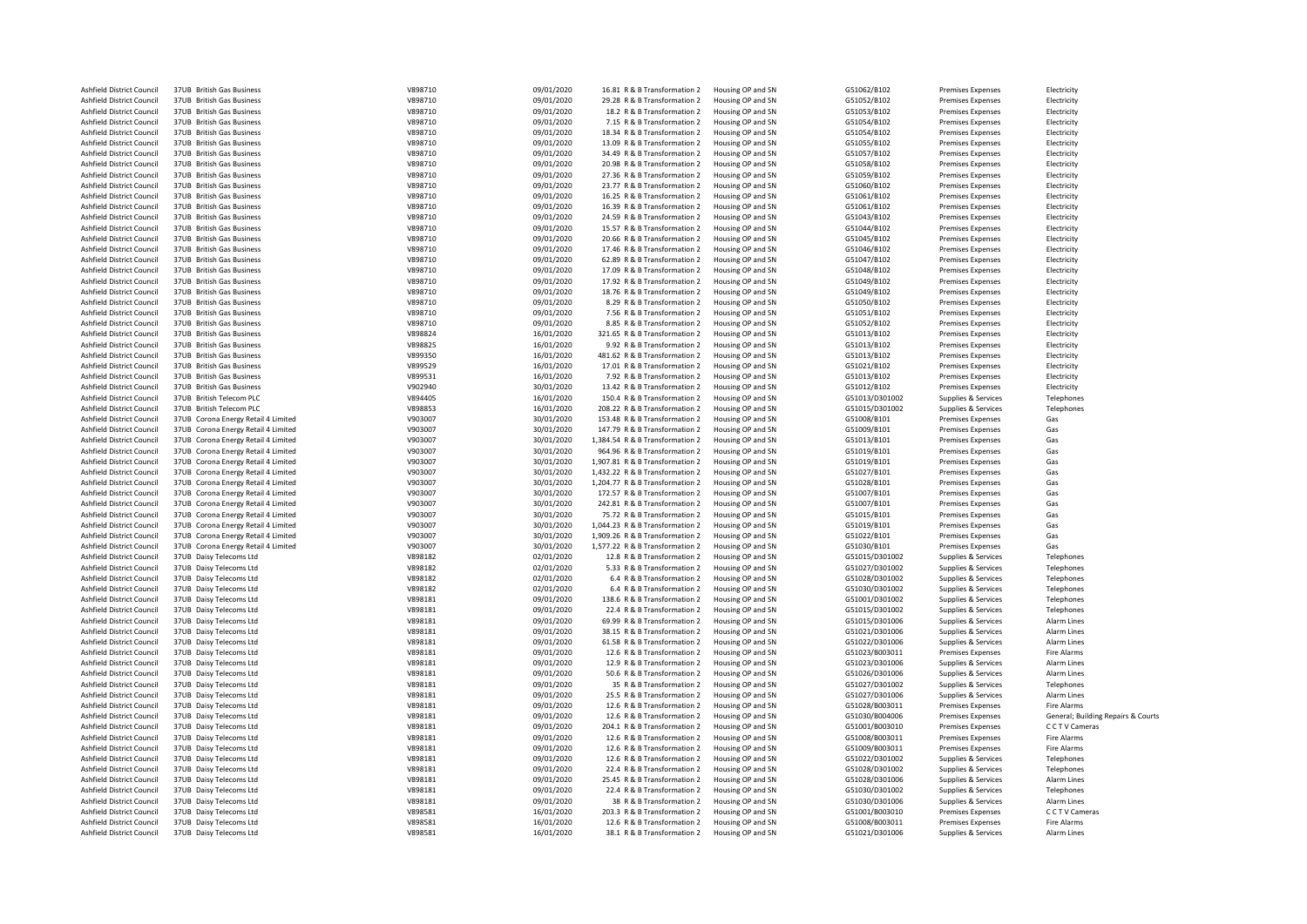| Ashfield District Council | 37UB British Gas Business           | V898710 | 09/01/2020 | 16.81 R & B Transformation 2    | Housing OP and SN | G51062/B102    | Premises Expenses        | Electricity                        |
|---------------------------|-------------------------------------|---------|------------|---------------------------------|-------------------|----------------|--------------------------|------------------------------------|
|                           |                                     |         |            |                                 |                   |                |                          |                                    |
| Ashfield District Council | 37UB British Gas Business           | V898710 | 09/01/2020 | 29.28 R & B Transformation 2    | Housing OP and SN | G51052/B102    | Premises Expenses        | Electricity                        |
| Ashfield District Council | 37UB British Gas Business           | V898710 | 09/01/2020 | 18.2 R & B Transformation 2     | Housing OP and SN | G51053/B102    | <b>Premises Expenses</b> | Electricity                        |
| Ashfield District Council | 37UB British Gas Business           | V898710 | 09/01/2020 | 7.15 R & B Transformation 2     | Housing OP and SN | G51054/B102    | <b>Premises Expenses</b> | Electricity                        |
| Ashfield District Council | 37UB British Gas Business           | V898710 | 09/01/2020 | 18.34 R & B Transformation 2    | Housing OP and SN | G51054/B102    | <b>Premises Expenses</b> | Electricity                        |
| Ashfield District Council | 37UB British Gas Business           | V898710 | 09/01/2020 | 13.09 R & B Transformation 2    | Housing OP and SN | G51055/B102    | <b>Premises Expenses</b> | Electricity                        |
| Ashfield District Council | 37UB British Gas Business           | V898710 | 09/01/2020 | 34.49 R & B Transformation 2    | Housing OP and SN | G51057/B102    | Premises Expenses        | Electricity                        |
| Ashfield District Council | 37UB British Gas Business           | V898710 |            | 20.98 R & B Transformation 2    | Housing OP and SN | G51058/B102    | Premises Expenses        |                                    |
|                           |                                     |         | 09/01/2020 |                                 |                   |                |                          | Electricity                        |
| Ashfield District Council | 37UB British Gas Business           | V898710 | 09/01/2020 | 27.36 R & B Transformation 2    | Housing OP and SN | G51059/B102    | <b>Premises Expenses</b> | Electricity                        |
| Ashfield District Council | 37UB British Gas Business           | V898710 | 09/01/2020 | 23.77 R & B Transformation 2    | Housing OP and SN | G51060/B102    | <b>Premises Expenses</b> | Electricity                        |
| Ashfield District Council | 37UB British Gas Business           | V898710 | 09/01/2020 | 16.25 R & B Transformation 2    | Housing OP and SN | G51061/B102    | <b>Premises Expenses</b> | Electricity                        |
| Ashfield District Council | 37UB British Gas Business           | V898710 | 09/01/2020 | 16.39 R & B Transformation 2    | Housing OP and SN | G51061/B102    | Premises Expenses        | Electricity                        |
| Ashfield District Council | 37UB British Gas Business           | V898710 | 09/01/2020 | 24.59 R & B Transformation 2    | Housing OP and SN | G51043/B102    | <b>Premises Expenses</b> | Electricity                        |
|                           |                                     |         |            |                                 |                   |                |                          |                                    |
| Ashfield District Council | 37UB British Gas Business           | V898710 | 09/01/2020 | 15.57 R & B Transformation 2    | Housing OP and SN | G51044/B102    | <b>Premises Expenses</b> | Electricity                        |
| Ashfield District Council | 37UB British Gas Business           | V898710 | 09/01/2020 | 20.66 R & B Transformation 2    | Housing OP and SN | G51045/B102    | <b>Premises Expenses</b> | Electricity                        |
| Ashfield District Council | 37UB British Gas Business           | V898710 | 09/01/2020 | 17.46 R & B Transformation 2    | Housing OP and SN | G51046/B102    | <b>Premises Expenses</b> | Electricity                        |
| Ashfield District Council | 37UB British Gas Business           | V898710 | 09/01/2020 | 62.89 R & B Transformation 2    | Housing OP and SN | G51047/B102    | <b>Premises Expenses</b> | Electricity                        |
| Ashfield District Council | 37UB British Gas Business           | V898710 | 09/01/2020 | 17.09 R & B Transformation 2    | Housing OP and SN | G51048/B102    | <b>Premises Expenses</b> | Electricity                        |
| Ashfield District Council | 37UB British Gas Business           | V898710 | 09/01/2020 | 17.92 R & B Transformation 2    | Housing OP and SN | G51049/B102    | <b>Premises Expenses</b> | Electricity                        |
|                           |                                     |         |            |                                 |                   |                |                          |                                    |
| Ashfield District Council | 37UB British Gas Business           | V898710 | 09/01/2020 | 18.76 R & B Transformation 2    | Housing OP and SN | G51049/B102    | <b>Premises Expenses</b> | Electricity                        |
| Ashfield District Council | 37UB British Gas Business           | V898710 | 09/01/2020 | 8.29 R & B Transformation 2     | Housing OP and SN | G51050/B102    | <b>Premises Expenses</b> | Electricity                        |
| Ashfield District Council | 37UB British Gas Business           | V898710 | 09/01/2020 | 7.56 R & B Transformation 2     | Housing OP and SN | G51051/B102    | <b>Premises Expenses</b> | Electricity                        |
| Ashfield District Council | 37UB British Gas Business           | V898710 | 09/01/2020 | 8.85 R & B Transformation 2     | Housing OP and SN | G51052/B102    | <b>Premises Expenses</b> | Electricity                        |
| Ashfield District Council | 37UB British Gas Business           | V898824 | 16/01/2020 | 321.65 R & B Transformation 2   | Housing OP and SN | G51013/B102    | <b>Premises Expenses</b> | Electricity                        |
| Ashfield District Council | 37UB British Gas Business           | V898825 | 16/01/2020 | 9.92 R & B Transformation 2     | Housing OP and SN | G51013/B102    | <b>Premises Expenses</b> | Electricity                        |
|                           |                                     |         |            |                                 |                   |                |                          |                                    |
| Ashfield District Council | 37UB British Gas Business           | V899350 | 16/01/2020 | 481.62 R & B Transformation 2   | Housing OP and SN | G51013/B102    | <b>Premises Expenses</b> | Electricity                        |
| Ashfield District Council | 37UB British Gas Business           | V899529 | 16/01/2020 | 17.01 R & B Transformation 2    | Housing OP and SN | G51021/B102    | <b>Premises Expenses</b> | Electricity                        |
| Ashfield District Council | 37UB British Gas Business           | V899531 | 16/01/2020 | 7.92 R & B Transformation 2     | Housing OP and SN | G51013/B102    | <b>Premises Expenses</b> | Electricity                        |
| Ashfield District Council | 37UB British Gas Business           | V902940 | 30/01/2020 | 13.42 R & B Transformation 2    | Housing OP and SN | G51012/B102    | Premises Expenses        | Electricity                        |
| Ashfield District Council | 37UB British Telecom PLC            | V894405 | 16/01/2020 | 150.4 R & B Transformation 2    | Housing OP and SN | G51013/D301002 | Supplies & Services      | Telephones                         |
| Ashfield District Council | 37UB British Telecom PLC            | V898853 | 16/01/2020 | 208.22 R & B Transformation 2   | Housing OP and SN | G51015/D301002 | Supplies & Services      | Telephones                         |
|                           |                                     |         |            |                                 |                   |                |                          |                                    |
| Ashfield District Council | 37UB Corona Energy Retail 4 Limited | V903007 | 30/01/2020 | 153.48 R & B Transformation 2   | Housing OP and SN | G51008/B101    | <b>Premises Expenses</b> | Gas                                |
| Ashfield District Council | 37UB Corona Energy Retail 4 Limited | V903007 | 30/01/2020 | 147.79 R & B Transformation 2   | Housing OP and SN | G51009/B101    | <b>Premises Expenses</b> | Gas                                |
| Ashfield District Council | 37UB Corona Energy Retail 4 Limited | V903007 | 30/01/2020 | 1,384.54 R & B Transformation 2 | Housing OP and SN | G51013/B101    | <b>Premises Expenses</b> | Gas                                |
| Ashfield District Council | 37UB Corona Energy Retail 4 Limited | V903007 | 30/01/2020 | 964.96 R & B Transformation 2   | Housing OP and SN | G51019/B101    | <b>Premises Expenses</b> | Gas                                |
| Ashfield District Council | 37UB Corona Energy Retail 4 Limited | V903007 | 30/01/2020 | 1,907.81 R & B Transformation 2 | Housing OP and SN | G51019/B101    | <b>Premises Expenses</b> | Gas                                |
|                           |                                     |         |            |                                 |                   |                |                          |                                    |
| Ashfield District Council | 37UB Corona Energy Retail 4 Limited | V903007 | 30/01/2020 | 1,432.22 R & B Transformation 2 | Housing OP and SN | G51027/B101    | <b>Premises Expenses</b> | Gas                                |
| Ashfield District Council | 37UB Corona Energy Retail 4 Limited | V903007 | 30/01/2020 | 1,204.77 R & B Transformation 2 | Housing OP and SN | G51028/B101    | <b>Premises Expenses</b> | Gas                                |
| Ashfield District Council | 37UB Corona Energy Retail 4 Limited | V903007 | 30/01/2020 | 172.57 R & B Transformation 2   | Housing OP and SN | G51007/B101    | Premises Expenses        | Gas                                |
| Ashfield District Council | 37UB Corona Energy Retail 4 Limited | V903007 | 30/01/2020 | 242.81 R & B Transformation 2   | Housing OP and SN | G51007/B101    | <b>Premises Expenses</b> | Gas                                |
| Ashfield District Council | 37UB Corona Energy Retail 4 Limited | V903007 | 30/01/2020 | 75.72 R & B Transformation 2    | Housing OP and SN | G51015/B101    | <b>Premises Expenses</b> | Gas                                |
| Ashfield District Council | 37UB Corona Energy Retail 4 Limited | V903007 | 30/01/2020 | 1,044.23 R & B Transformation 2 | Housing OP and SN | G51019/B101    | <b>Premises Expenses</b> | Gas                                |
|                           |                                     |         |            |                                 |                   |                |                          |                                    |
| Ashfield District Council | 37UB Corona Energy Retail 4 Limited | V903007 | 30/01/2020 | 1,909.26 R & B Transformation 2 | Housing OP and SN | G51022/B101    | <b>Premises Expenses</b> | Gas                                |
| Ashfield District Council | 37UB Corona Energy Retail 4 Limited | V903007 | 30/01/2020 | 1,577.22 R & B Transformation 2 | Housing OP and SN | G51030/B101    | Premises Expenses        | Gas                                |
| Ashfield District Council | 37UB Daisy Telecoms Ltd             | V898182 | 02/01/2020 | 12.8 R & B Transformation 2     | Housing OP and SN | G51015/D301002 | Supplies & Services      | Telephones                         |
| Ashfield District Council | 37UB Daisy Telecoms Ltd             | V898182 | 02/01/2020 | 5.33 R & B Transformation 2     | Housing OP and SN | G51027/D301002 | Supplies & Services      | Telephones                         |
| Ashfield District Council | 37UB Daisy Telecoms Ltd             | V898182 | 02/01/2020 | 6.4 R & B Transformation 2      | Housing OP and SN | G51028/D301002 | Supplies & Services      | Telephones                         |
| Ashfield District Council | 37UB Daisy Telecoms Ltd             | V898182 | 02/01/2020 | 6.4 R & B Transformation 2      | Housing OP and SN | G51030/D301002 | Supplies & Services      | Telephones                         |
|                           |                                     |         |            |                                 |                   |                |                          |                                    |
| Ashfield District Council | 37UB Daisy Telecoms Ltd             | V898181 | 09/01/2020 | 138.6 R & B Transformation 2    | Housing OP and SN | G51001/D301002 | Supplies & Services      | Telephones                         |
| Ashfield District Council | 37UB Daisy Telecoms Ltd             | V898181 | 09/01/2020 | 22.4 R & B Transformation 2     | Housing OP and SN | G51015/D301002 | Supplies & Services      | Telephones                         |
| Ashfield District Council | 37UB Daisy Telecoms Ltd             | V898181 | 09/01/2020 | 69.99 R & B Transformation 2    | Housing OP and SN | G51015/D301006 | Supplies & Services      | Alarm Lines                        |
| Ashfield District Council | 37UB Daisy Telecoms Ltd             | V898181 | 09/01/2020 | 38.15 R & B Transformation 2    | Housing OP and SN | G51021/D301006 | Supplies & Services      | Alarm Lines                        |
| Ashfield District Council | 37UB Daisy Telecoms Ltd             | V898181 | 09/01/2020 | 61.58 R & B Transformation 2    | Housing OP and SN | G51022/D301006 | Supplies & Services      | Alarm Lines                        |
| Ashfield District Council | 37UB Daisy Telecoms Ltd             | V898181 | 09/01/2020 | 12.6 R & B Transformation 2     | Housing OP and SN | G51023/B003011 | Premises Expenses        | Fire Alarms                        |
|                           |                                     |         |            |                                 |                   |                |                          |                                    |
| Ashfield District Council | 37UB Daisy Telecoms Ltd             | V898181 | 09/01/2020 | 12.9 R & B Transformation 2     | Housing OP and SN | G51023/D301006 | Supplies & Services      | Alarm Lines                        |
| Ashfield District Council | 37UB Daisy Telecoms Ltd             | V898181 | 09/01/2020 | 50.6 R & B Transformation 2     | Housing OP and SN | G51026/D301006 | Supplies & Services      | Alarm Lines                        |
| Ashfield District Council | 37UB Daisy Telecoms Ltd             | V898181 | 09/01/2020 | 35 R & B Transformation 2       | Housing OP and SN | G51027/D301002 | Supplies & Services      | Telephones                         |
| Ashfield District Council | 37UB Daisy Telecoms Ltd             | V898181 | 09/01/2020 | 25.5 R & B Transformation 2     | Housing OP and SN | G51027/D301006 | Supplies & Services      | Alarm Lines                        |
| Ashfield District Council | 37UB Daisy Telecoms Ltd             | V898181 | 09/01/2020 | 12.6 R & B Transformation 2     | Housing OP and SN | G51028/B003011 | Premises Expenses        | Fire Alarms                        |
| Ashfield District Council | 37UB Daisy Telecoms Ltd             | V898181 | 09/01/2020 | 12.6 R & B Transformation 2     | Housing OP and SN | G51030/B004006 | <b>Premises Expenses</b> | General; Building Repairs & Courts |
|                           |                                     |         |            |                                 |                   |                |                          |                                    |
| Ashfield District Council | 37UB Daisy Telecoms Ltd             | V898181 | 09/01/2020 | 204.1 R & B Transformation 2    | Housing OP and SN | G51001/B003010 | <b>Premises Expenses</b> | CCTV Cameras                       |
| Ashfield District Council | 37UB Daisy Telecoms Ltd             | V898181 | 09/01/2020 | 12.6 R & B Transformation 2     | Housing OP and SN | G51008/B003011 | <b>Premises Expenses</b> | Fire Alarms                        |
| Ashfield District Council | 37UB Daisy Telecoms Ltd             | V898181 | 09/01/2020 | 12.6 R & B Transformation 2     | Housing OP and SN | G51009/B003011 | <b>Premises Expenses</b> | <b>Fire Alarms</b>                 |
| Ashfield District Council | 37UB Daisy Telecoms Ltd             | V898181 | 09/01/2020 | 12.6 R & B Transformation 2     | Housing OP and SN | G51022/D301002 | Supplies & Services      | Telephones                         |
| Ashfield District Council | 37UB Daisy Telecoms Ltd             | V898181 | 09/01/2020 | 22.4 R & B Transformation 2     | Housing OP and SN | G51028/D301002 | Supplies & Services      | Telephones                         |
|                           |                                     |         |            |                                 |                   |                |                          |                                    |
| Ashfield District Council | 37UB Daisy Telecoms Ltd             | V898181 | 09/01/2020 | 25.45 R & B Transformation 2    | Housing OP and SN | G51028/D301006 | Supplies & Services      | Alarm Lines                        |
| Ashfield District Council | 37UB Daisy Telecoms Ltd             | V898181 | 09/01/2020 | 22.4 R & B Transformation 2     | Housing OP and SN | G51030/D301002 | Supplies & Services      | Telephones                         |
| Ashfield District Council | 37UB Daisy Telecoms Ltd             | V898181 | 09/01/2020 | 38 R & B Transformation 2       | Housing OP and SN | G51030/D301006 | Supplies & Services      | Alarm Lines                        |
| Ashfield District Council | 37UB Daisy Telecoms Ltd             | V898581 | 16/01/2020 | 203.3 R & B Transformation 2    | Housing OP and SN | G51001/B003010 | Premises Expenses        | CCTV Cameras                       |
| Ashfield District Council | 37UB Daisy Telecoms Ltd             | V898581 | 16/01/2020 | 12.6 R & B Transformation 2     | Housing OP and SN | G51008/B003011 | <b>Premises Expenses</b> | <b>Fire Alarms</b>                 |
| Ashfield District Council | 37UB Daisy Telecoms Ltd             | V898581 | 16/01/2020 | 38.1 R & B Transformation 2     | Housing OP and SN | G51021/D301006 | Supplies & Services      | Alarm Lines                        |
|                           |                                     |         |            |                                 |                   |                |                          |                                    |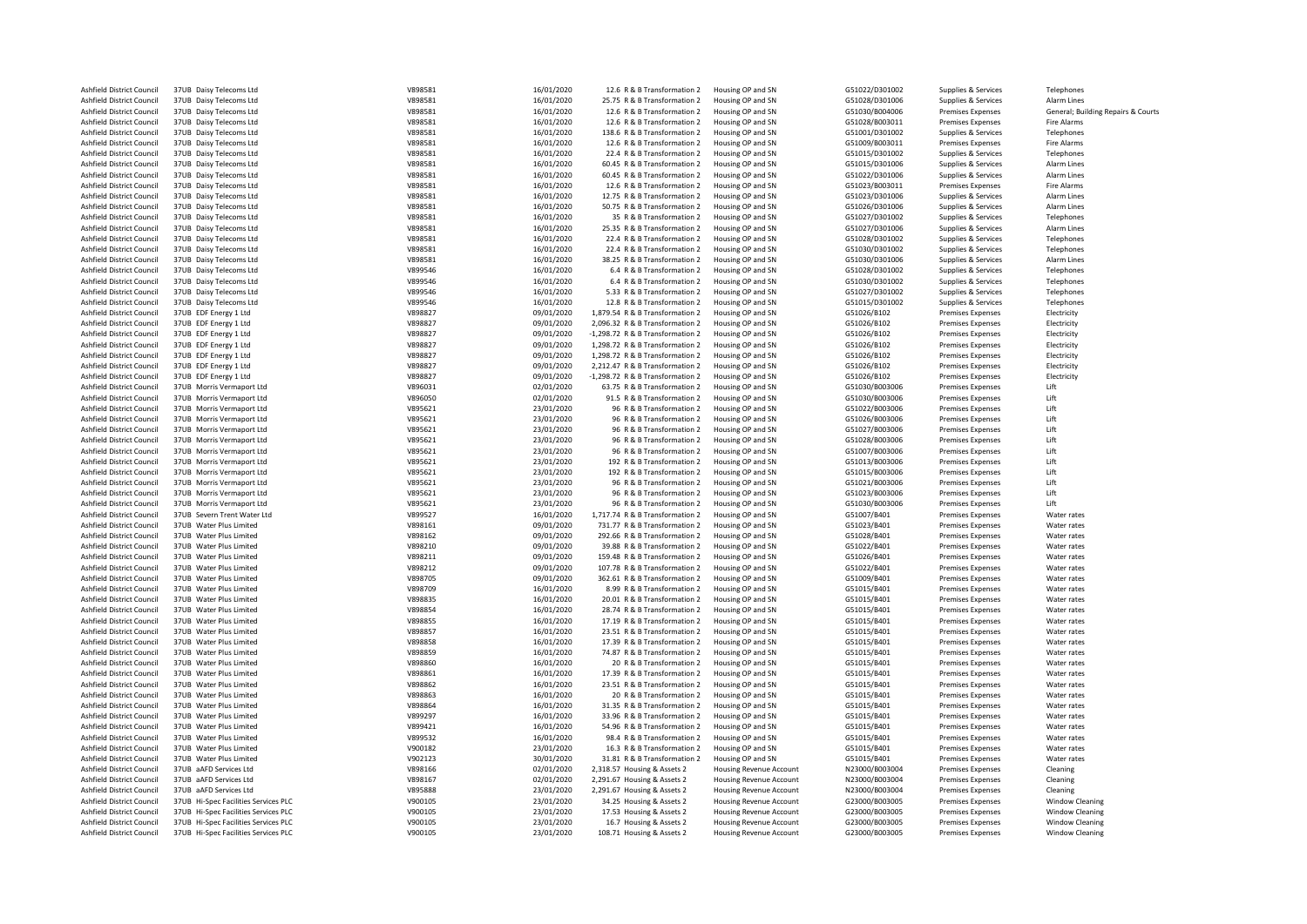| Ashfield District Council                              | 37UB Daisy Telecoms Ltd                        | V898581            | 16/01/2020               | 12.6 R & B Transformation 2                                        | Housing OP and SN                      | G51022/D301002             | Supplies & Services                                  | Telephones                         |
|--------------------------------------------------------|------------------------------------------------|--------------------|--------------------------|--------------------------------------------------------------------|----------------------------------------|----------------------------|------------------------------------------------------|------------------------------------|
| Ashfield District Council                              | 37UB Daisy Telecoms Ltd                        | V898581            | 16/01/2020               | 25.75 R & B Transformation 2                                       | Housing OP and SN                      | G51028/D301006             | Supplies & Services                                  | Alarm Lines                        |
| Ashfield District Council                              | 37UB Daisy Telecoms Ltd                        | V898581            | 16/01/2020               | 12.6 R & B Transformation 2                                        | Housing OP and SN                      | G51030/B004006             | <b>Premises Expenses</b>                             | General; Building Repairs & Courts |
| Ashfield District Council                              | 37UB Daisy Telecoms Ltd                        | V898581            | 16/01/2020               | 12.6 R & B Transformation 2                                        | Housing OP and SN                      | G51028/B003011             | <b>Premises Expenses</b>                             | Fire Alarms                        |
| Ashfield District Council                              | 37UB Daisy Telecoms Ltd                        | V898581            | 16/01/2020               | 138.6 R & B Transformation 2                                       | Housing OP and SN                      | G51001/D301002             | Supplies & Services                                  | Telephones                         |
| Ashfield District Council                              | 37UB Daisy Telecoms Ltd                        | V898581            | 16/01/2020               | 12.6 R & B Transformation 2                                        | Housing OP and SN                      | G51009/B003011             | Premises Expenses                                    | Fire Alarms                        |
| Ashfield District Council                              | 37UB Daisy Telecoms Ltd                        | V898581            | 16/01/2020               | 22.4 R & B Transformation 2                                        | Housing OP and SN                      | G51015/D301002             | Supplies & Services                                  | Telephones                         |
| Ashfield District Council                              | 37UB Daisy Telecoms Ltd                        | V898581            | 16/01/2020               | 60.45 R & B Transformation 2                                       | Housing OP and SN                      | G51015/D301006             | Supplies & Services                                  | Alarm Lines                        |
| Ashfield District Council                              | 37UB Daisy Telecoms Ltd                        | V898581            | 16/01/2020               | 60.45 R & B Transformation 2                                       | Housing OP and SN                      | G51022/D301006             | Supplies & Services                                  | Alarm Lines                        |
| Ashfield District Council                              | 37UB Daisy Telecoms Ltd                        | V898581            | 16/01/2020               | 12.6 R & B Transformation 2                                        | Housing OP and SN                      | G51023/B003011             | <b>Premises Expenses</b>                             | Fire Alarms                        |
| Ashfield District Council                              | 37UB Daisy Telecoms Ltd                        | V898581            | 16/01/2020               | 12.75 R & B Transformation 2                                       | Housing OP and SN                      | G51023/D301006             | Supplies & Services                                  | Alarm Lines                        |
| Ashfield District Council                              | 37UB Daisy Telecoms Ltd                        | V898581            | 16/01/2020               | 50.75 R & B Transformation 2                                       | Housing OP and SN                      | G51026/D301006             | Supplies & Services                                  | Alarm Lines                        |
| Ashfield District Council                              | 37UB Daisy Telecoms Ltd                        | V898581            | 16/01/2020               | 35 R & B Transformation 2                                          | Housing OP and SN                      | G51027/D301002             | Supplies & Services                                  | Telephones                         |
| Ashfield District Council                              | 37UB Daisy Telecoms Ltd                        | V898581            | 16/01/2020               | 25.35 R & B Transformation 2                                       | Housing OP and SN                      | G51027/D301006             | Supplies & Services                                  | Alarm Lines                        |
| Ashfield District Council                              | 37UB Daisy Telecoms Ltd                        | V898581            | 16/01/2020               | 22.4 R & B Transformation 2                                        | Housing OP and SN                      | G51028/D301002             | Supplies & Services                                  | Telephones                         |
| Ashfield District Council                              | 37UB Daisy Telecoms Ltd                        | V898581            | 16/01/2020               | 22.4 R & B Transformation 2                                        | Housing OP and SN                      | G51030/D301002             | Supplies & Services                                  | Telephones                         |
| Ashfield District Council                              | 37UB Daisy Telecoms Ltd                        | V898581            | 16/01/2020               | 38.25 R & B Transformation 2                                       | Housing OP and SN                      | G51030/D301006             | Supplies & Services                                  | Alarm Lines                        |
| Ashfield District Council                              | 37UB Daisy Telecoms Ltd                        | V899546            | 16/01/2020               | 6.4 R & B Transformation 2                                         | Housing OP and SN                      | G51028/D301002             | Supplies & Services                                  | Telephones                         |
| Ashfield District Council                              | 37UB Daisy Telecoms Ltd                        | V899546            | 16/01/2020               | 6.4 R & B Transformation 2                                         | Housing OP and SN                      | G51030/D301002             | Supplies & Services                                  | Telephones                         |
| Ashfield District Council                              | 37UB Daisy Telecoms Ltd                        | V899546            | 16/01/2020               | 5.33 R & B Transformation 2                                        | Housing OP and SN                      | G51027/D301002             | Supplies & Services                                  | Telephones                         |
| Ashfield District Council                              | 37UB Daisy Telecoms Ltd                        | V899546            | 16/01/2020               | 12.8 R & B Transformation 2                                        | Housing OP and SN                      | G51015/D301002             | Supplies & Services                                  | Telephones                         |
|                                                        |                                                |                    |                          |                                                                    |                                        |                            |                                                      |                                    |
| Ashfield District Council<br>Ashfield District Council | 37UB EDF Energy 1 Ltd<br>37UB EDF Energy 1 Ltd | V898827<br>V898827 | 09/01/2020<br>09/01/2020 | 1,879.54 R & B Transformation 2<br>2,096.32 R & B Transformation 2 | Housing OP and SN<br>Housing OP and SN | G51026/B102                | <b>Premises Expenses</b>                             | Electricity                        |
| Ashfield District Council                              | 37UB EDF Energy 1 Ltd                          | V898827            | 09/01/2020               | -1,298.72 R & B Transformation 2                                   | Housing OP and SN                      | G51026/B102<br>G51026/B102 | <b>Premises Expenses</b><br><b>Premises Expenses</b> | Electricity<br>Electricity         |
|                                                        |                                                |                    |                          |                                                                    |                                        |                            |                                                      |                                    |
| Ashfield District Council                              | 37UB EDF Energy 1 Ltd                          | V898827            | 09/01/2020               | 1,298.72 R & B Transformation 2                                    | Housing OP and SN                      | G51026/B102                | <b>Premises Expenses</b>                             | Electricity                        |
| Ashfield District Council                              | 37UB EDF Energy 1 Ltd                          | V898827            | 09/01/2020               | 1,298.72 R & B Transformation 2                                    | Housing OP and SN                      | G51026/B102                | <b>Premises Expenses</b>                             | Electricity                        |
| Ashfield District Council                              | 37UB EDF Energy 1 Ltd                          | V898827            | 09/01/2020               | 2,212.47 R & B Transformation 2                                    | Housing OP and SN                      | G51026/B102                | <b>Premises Expenses</b>                             | Electricity                        |
| Ashfield District Council                              | 37UB EDF Energy 1 Ltd                          | V898827            | 09/01/2020               | -1,298.72 R & B Transformation 2                                   | Housing OP and SN                      | G51026/B102                | <b>Premises Expenses</b>                             | Electricity                        |
| Ashfield District Council                              | 37UB Morris Vermaport Ltd                      | V896031            | 02/01/2020               | 63.75 R & B Transformation 2                                       | Housing OP and SN                      | G51030/B003006             | <b>Premises Expenses</b>                             | <b>Lift</b>                        |
| Ashfield District Council                              | 37UB Morris Vermaport Ltd                      | V896050            | 02/01/2020               | 91.5 R & B Transformation 2                                        | Housing OP and SN                      | G51030/B003006             | <b>Premises Expenses</b>                             | 1 ift                              |
| Ashfield District Council                              | 37UB Morris Vermaport Ltd                      | V895621            | 23/01/2020               | 96 R & B Transformation 2                                          | Housing OP and SN                      | G51022/B003006             | <b>Premises Expenses</b>                             | Lift                               |
| Ashfield District Council                              | 37UB Morris Vermaport Ltd                      | V895621            | 23/01/2020               | 96 R & B Transformation 2                                          | Housing OP and SN                      | G51026/B003006             | <b>Premises Expenses</b>                             | Lift                               |
| Ashfield District Council                              | 37UB Morris Vermaport Ltd                      | V895621            | 23/01/2020               | 96 R & B Transformation 2                                          | Housing OP and SN                      | G51027/B003006             | <b>Premises Expenses</b>                             | Lift                               |
| Ashfield District Council                              | 37UB Morris Vermaport Ltd                      | V895621            | 23/01/2020               | 96 R & B Transformation 2                                          | Housing OP and SN                      | G51028/B003006             | <b>Premises Expenses</b>                             | lift                               |
| Ashfield District Council                              | 37UB Morris Vermaport Ltd                      | V895621            | 23/01/2020               | 96 R & B Transformation 2                                          | Housing OP and SN                      | G51007/B003006             | <b>Premises Expenses</b>                             | 1 ift                              |
| Ashfield District Council                              | 37UB Morris Vermaport Ltd                      | V895621            | 23/01/2020               | 192 R & B Transformation 2                                         | Housing OP and SN                      | G51013/B003006             | <b>Premises Expenses</b>                             | Lift                               |
| Ashfield District Council                              | 37UB Morris Vermaport Ltd                      | V895621            | 23/01/2020               | 192 R & B Transformation 2                                         | Housing OP and SN                      | G51015/B003006             | <b>Premises Expenses</b>                             | Lift                               |
| Ashfield District Council                              | 37UB Morris Vermaport Ltd                      | V895621            | 23/01/2020               | 96 R & B Transformation 2                                          | Housing OP and SN                      | G51021/B003006             | <b>Premises Expenses</b>                             | Lift                               |
| Ashfield District Council                              | 37UB Morris Vermaport Ltd                      | V895621            | 23/01/2020               | 96 R & B Transformation 2                                          | Housing OP and SN                      | G51023/B003006             | <b>Premises Expenses</b>                             | <b>Lift</b>                        |
| Ashfield District Council                              | 37UB Morris Vermaport Ltd                      | V895621            | 23/01/2020               | 96 R & B Transformation 2                                          | Housing OP and SN                      | G51030/B003006             | <b>Premises Expenses</b>                             | Lift                               |
| Ashfield District Council                              | 37UB Severn Trent Water Ltd                    | V899527            | 16/01/2020               | 1,717.74 R & B Transformation 2                                    | Housing OP and SN                      | G51007/B401                | <b>Premises Expenses</b>                             | Water rates                        |
| Ashfield District Council                              | 37UB Water Plus Limited                        | V898161            | 09/01/2020               | 731.77 R & B Transformation 2                                      | Housing OP and SN                      | G51023/B401                | <b>Premises Expenses</b>                             | Water rates                        |
| Ashfield District Council                              | 37UB Water Plus Limited                        | V898162            | 09/01/2020               | 292.66 R & B Transformation 2                                      | Housing OP and SN                      | G51028/B401                | <b>Premises Expenses</b>                             | Water rates                        |
| Ashfield District Council                              | 37UB Water Plus Limited                        | V898210            | 09/01/2020               | 39.88 R & B Transformation 2                                       | Housing OP and SN                      | G51022/B401                | <b>Premises Expenses</b>                             | Water rates                        |
| Ashfield District Council                              | 37UB Water Plus Limited                        | V898211            | 09/01/2020               | 159.48 R & B Transformation 2                                      | Housing OP and SN                      | G51026/B401                | <b>Premises Expenses</b>                             | Water rates                        |
| Ashfield District Council                              | 37UB Water Plus Limited                        | V898212            | 09/01/2020               | 107.78 R & B Transformation 2                                      | Housing OP and SN                      | G51022/B401                | <b>Premises Expenses</b>                             | Water rates                        |
| Ashfield District Council                              | 37UB Water Plus Limited                        | V898705            | 09/01/2020               | 362.61 R & B Transformation 2                                      | Housing OP and SN                      | G51009/B401                | <b>Premises Expenses</b>                             | Water rates                        |
| Ashfield District Council                              | 37UB Water Plus Limited                        | V898709            | 16/01/2020               | 8.99 R & B Transformation 2                                        | Housing OP and SN                      | G51015/B401                | Premises Expenses                                    | Water rates                        |
| Ashfield District Council                              | 37UB Water Plus Limited                        | V898835            | 16/01/2020               | 20.01 R & B Transformation 2                                       | Housing OP and SN                      | G51015/B401                | <b>Premises Expenses</b>                             | Water rates                        |
| Ashfield District Council                              | 37UB Water Plus Limited                        | V898854            | 16/01/2020               | 28.74 R & B Transformation 2                                       | Housing OP and SN                      | G51015/B401                | <b>Premises Expenses</b>                             | Water rates                        |
| Ashfield District Council                              | 37UB Water Plus Limited                        | V898855            | 16/01/2020               | 17.19 R & B Transformation 2                                       | Housing OP and SN                      | G51015/B401                | <b>Premises Expenses</b>                             | Water rates                        |
| Ashfield District Council                              | 37UB Water Plus Limited                        | V898857            | 16/01/2020               | 23.51 R & B Transformation 2                                       | Housing OP and SN                      | G51015/B401                | <b>Premises Expenses</b>                             | Water rates                        |
| Ashfield District Council                              | 37UB Water Plus Limited                        | V898858            | 16/01/2020               | 17.39 R & B Transformation 2                                       | Housing OP and SN                      | G51015/B401                | <b>Premises Expenses</b>                             | Water rates                        |
| Ashfield District Council                              | 37UB Water Plus Limited                        | V898859            | 16/01/2020               | 74.87 R & B Transformation 2                                       | Housing OP and SN                      | G51015/B401                | <b>Premises Expenses</b>                             | Water rates                        |
| Ashfield District Council                              | 37UB Water Plus Limited                        | V898860            | 16/01/2020               | 20 R & B Transformation 2                                          | Housing OP and SN                      | G51015/B401                | <b>Premises Expenses</b>                             | Water rates                        |
| Ashfield District Council                              | 37UB Water Plus Limited                        | V898861            | 16/01/2020               | 17.39 R & B Transformation 2                                       | Housing OP and SN                      | G51015/B401                | <b>Premises Expenses</b>                             | Water rates                        |
| Ashfield District Council                              | 37UB Water Plus Limited                        | V898862            | 16/01/2020               | 23.51 R & B Transformation 2                                       | Housing OP and SN                      | G51015/B401                | <b>Premises Expenses</b>                             | Water rates                        |
|                                                        | 37UB Water Plus Limited                        | V898863            |                          |                                                                    |                                        |                            |                                                      |                                    |
| Ashfield District Council                              |                                                |                    | 16/01/2020               | 20 R & B Transformation 2                                          | Housing OP and SN                      | G51015/B401                | <b>Premises Expenses</b>                             | Water rates                        |
| Ashfield District Council                              | 37UB Water Plus Limited                        | V898864            | 16/01/2020               | 31.35 R & B Transformation 2                                       | Housing OP and SN                      | G51015/B401                | <b>Premises Expenses</b>                             | Water rates                        |
| Ashfield District Council                              | 37UB Water Plus Limited                        | V899297            | 16/01/2020               | 33.96 R & B Transformation 2                                       | Housing OP and SN                      | G51015/B401                | <b>Premises Expenses</b>                             | Water rates                        |
| Ashfield District Council                              | 37UB Water Plus Limited                        | V899421            | 16/01/2020               | 54.96 R & B Transformation 2                                       | Housing OP and SN                      | G51015/B401                | <b>Premises Expenses</b>                             | Water rates                        |
| Ashfield District Council                              | 37UB Water Plus Limited                        | V899532            | 16/01/2020               | 98.4 R & B Transformation 2                                        | Housing OP and SN                      | G51015/B401                | <b>Premises Expenses</b>                             | Water rates                        |
| Ashfield District Council                              | 37UB Water Plus Limited                        | V900182            | 23/01/2020               | 16.3 R & B Transformation 2                                        | Housing OP and SN                      | G51015/B401                | <b>Premises Expenses</b>                             | Water rates                        |
| Ashfield District Council                              | 37UB Water Plus Limited                        | V902123            | 30/01/2020               | 31.81 R & B Transformation 2                                       | Housing OP and SN                      | G51015/B401                | <b>Premises Expenses</b>                             | Water rates                        |
| Ashfield District Council                              | 37UB aAFD Services Ltd                         | V898166            | 02/01/2020               | 2,318.57 Housing & Assets 2                                        | <b>Housing Revenue Account</b>         | N23000/B003004             | Premises Expenses                                    | Cleaning                           |
| Ashfield District Council                              | 37UB aAFD Services Ltd                         | V898167            | 02/01/2020               | 2,291.67 Housing & Assets 2                                        | <b>Housing Revenue Account</b>         | N23000/B003004             | Premises Expenses                                    | Cleaning                           |
| Ashfield District Council                              | 37UB aAFD Services Ltd                         | V895888            | 23/01/2020               | 2,291.67 Housing & Assets 2                                        | Housing Revenue Account                | N23000/B003004             | <b>Premises Expenses</b>                             | Cleaning                           |
| Ashfield District Council                              | 37UB Hi-Spec Facilities Services PLC           | V900105            | 23/01/2020               | 34.25 Housing & Assets 2                                           | <b>Housing Revenue Account</b>         | G23000/B003005             | <b>Premises Expenses</b>                             | <b>Window Cleaning</b>             |
| Ashfield District Council                              | 37UB Hi-Spec Facilities Services PLC           | V900105            | 23/01/2020               | 17.53 Housing & Assets 2                                           | <b>Housing Revenue Account</b>         | G23000/B003005             | <b>Premises Expenses</b>                             | <b>Window Cleaning</b>             |
| Ashfield District Council                              | 37UB Hi-Spec Facilities Services PLC           | V900105            | 23/01/2020               | 16.7 Housing & Assets 2                                            | <b>Housing Revenue Account</b>         | G23000/B003005             | <b>Premises Expenses</b>                             | <b>Window Cleaning</b>             |
| Ashfield District Council                              | 37UB Hi-Spec Facilities Services PLC           | V900105            | 23/01/2020               | 108.71 Housing & Assets 2                                          | <b>Housing Revenue Account</b>         | G23000/B003005             | <b>Premises Expenses</b>                             | <b>Window Cleaning</b>             |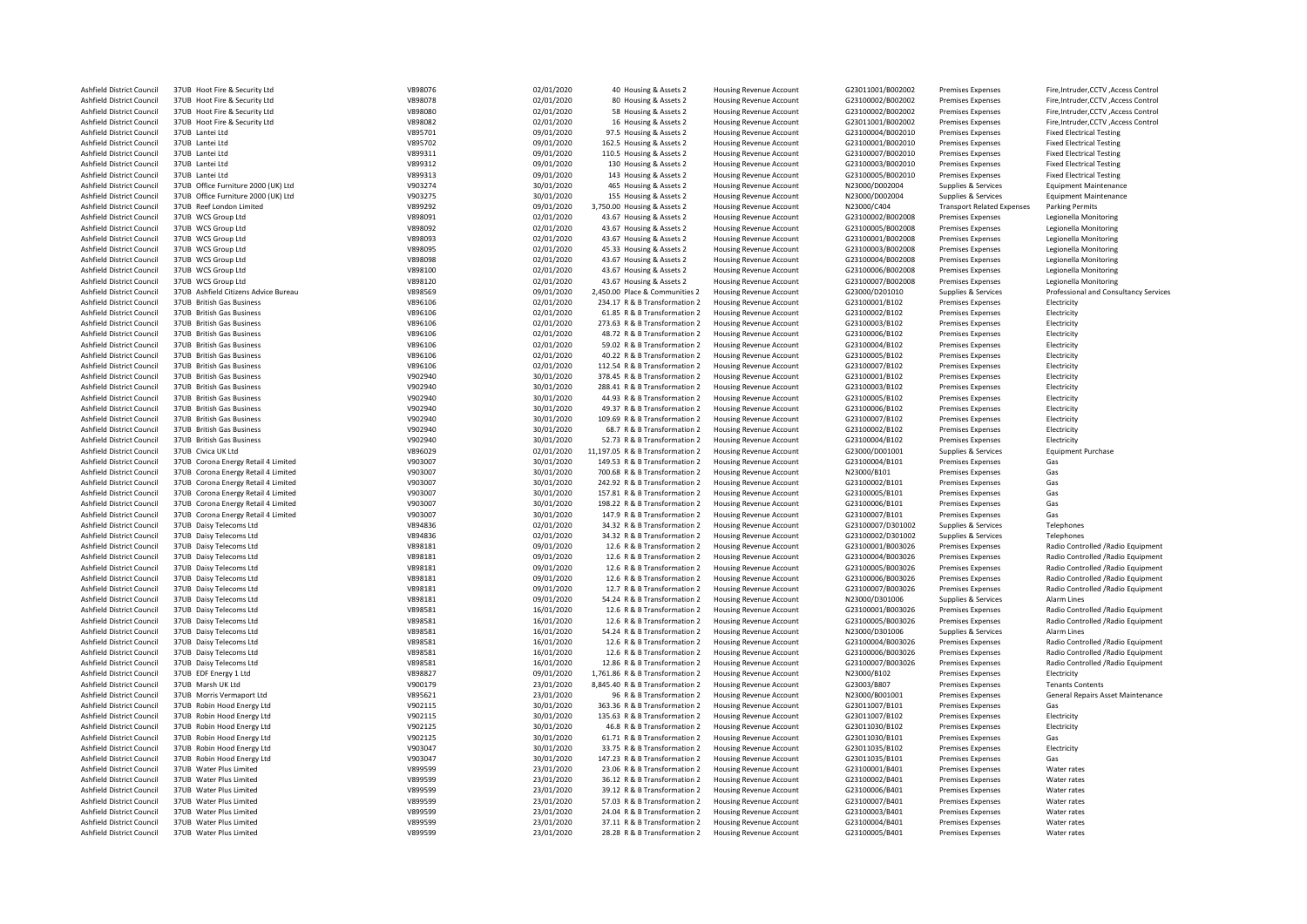| Ashfield District Council | 37UB Hoot Fire & Security Ltd        | V898076 | 02/01/2020 | 40 Housing & Assets 2            | <b>Housing Revenue Account</b> | G23011001/B002002 | <b>Premises Expenses</b>          | Fire, Intruder, CCTV, Access Control     |
|---------------------------|--------------------------------------|---------|------------|----------------------------------|--------------------------------|-------------------|-----------------------------------|------------------------------------------|
| Ashfield District Council | 37UB Hoot Fire & Security Ltd        | V898078 | 02/01/2020 | 80 Housing & Assets 2            | <b>Housing Revenue Account</b> | G23100002/B002002 | <b>Premises Expenses</b>          | Fire, Intruder, CCTV, Access Control     |
| Ashfield District Council | 37UB Hoot Fire & Security Ltd        | V898080 | 02/01/2020 | 58 Housing & Assets 2            | <b>Housing Revenue Account</b> | G23100002/B002002 | <b>Premises Expenses</b>          | Fire, Intruder, CCTV, Access Control     |
| Ashfield District Council | 37UB Hoot Fire & Security Ltd        | V898082 | 02/01/2020 | 16 Housing & Assets 2            | <b>Housing Revenue Account</b> | G23011001/B002002 | <b>Premises Expenses</b>          | Fire, Intruder, CCTV, Access Control     |
| Ashfield District Council | 37UB Lantei Ltd                      | V895701 | 09/01/2020 | 97.5 Housing & Assets 2          | <b>Housing Revenue Account</b> | G23100004/B002010 | <b>Premises Expenses</b>          | <b>Fixed Electrical Testing</b>          |
| Ashfield District Council | 37UB Lantei Ltd                      | V895702 | 09/01/2020 | 162.5 Housing & Assets 2         | <b>Housing Revenue Account</b> | G23100001/B002010 | <b>Premises Expenses</b>          | <b>Fixed Electrical Testing</b>          |
| Ashfield District Council | 37UB Lantei Ltd                      | V899311 | 09/01/2020 | 110.5 Housing & Assets 2         | <b>Housing Revenue Account</b> | G23100007/B002010 | <b>Premises Expenses</b>          | <b>Fixed Electrical Testing</b>          |
| Ashfield District Council | 37UB Lantei Ltd                      | V899312 | 09/01/2020 | 130 Housing & Assets 2           | <b>Housing Revenue Account</b> | G23100003/B002010 | <b>Premises Expenses</b>          | <b>Fixed Electrical Testing</b>          |
| Ashfield District Council | 37UB Lantei Ltd                      | V899313 | 09/01/2020 | 143 Housing & Assets 2           | <b>Housing Revenue Account</b> | G23100005/B002010 | <b>Premises Expenses</b>          | <b>Fixed Electrical Testing</b>          |
| Ashfield District Council | 37UB Office Furniture 2000 (UK) Ltd  | V903274 | 30/01/2020 | 465 Housing & Assets 2           | <b>Housing Revenue Account</b> | N23000/D002004    | Supplies & Services               | <b>Equipment Maintenance</b>             |
| Ashfield District Council | 37UB Office Furniture 2000 (UK) Ltd  | V903275 | 30/01/2020 | 155 Housing & Assets 2           | <b>Housing Revenue Account</b> | N23000/D002004    | Supplies & Services               | <b>Equipment Maintenance</b>             |
|                           |                                      |         |            | 3,750.00 Housing & Assets 2      |                                | N23000/C404       |                                   |                                          |
| Ashfield District Council | 37UB Reef London Limited             | V899292 | 09/01/2020 |                                  | <b>Housing Revenue Account</b> |                   | <b>Transport Related Expenses</b> | <b>Parking Permits</b>                   |
| Ashfield District Council | 37UB WCS Group Ltd                   | V898091 | 02/01/2020 | 43.67 Housing & Assets 2         | <b>Housing Revenue Account</b> | G23100002/B002008 | <b>Premises Expenses</b>          | Legionella Monitoring                    |
| Ashfield District Council | 37UB WCS Group Ltd                   | V898092 | 02/01/2020 | 43.67 Housing & Assets 2         | Housing Revenue Account        | G23100005/B002008 | Premises Expenses                 | Legionella Monitoring                    |
| Ashfield District Council | 37UB WCS Group Ltd                   | V898093 | 02/01/2020 | 43.67 Housing & Assets 2         | <b>Housing Revenue Account</b> | G23100001/B002008 | <b>Premises Expenses</b>          | Legionella Monitoring                    |
| Ashfield District Council | 37UB WCS Group Ltd                   | V898095 | 02/01/2020 | 45.33 Housing & Assets 2         | <b>Housing Revenue Account</b> | G23100003/B002008 | Premises Expenses                 | Legionella Monitoring                    |
| Ashfield District Council | 37UB WCS Group Ltd                   | V898098 | 02/01/2020 | 43.67 Housing & Assets 2         | <b>Housing Revenue Account</b> | G23100004/B002008 | <b>Premises Expenses</b>          | Legionella Monitoring                    |
| Ashfield District Council | 37UB WCS Group Ltd                   | V898100 | 02/01/2020 | 43.67 Housing & Assets 2         | <b>Housing Revenue Account</b> | G23100006/B002008 | <b>Premises Expenses</b>          | Legionella Monitoring                    |
| Ashfield District Council | 37UB WCS Group Ltd                   | V898120 | 02/01/2020 | 43.67 Housing & Assets 2         | Housing Revenue Account        | G23100007/B002008 | <b>Premises Expenses</b>          | Legionella Monitoring                    |
| Ashfield District Council | 37UB Ashfield Citizens Advice Bureau | V898569 | 09/01/2020 | 2,450.00 Place & Communities 2   | <b>Housing Revenue Account</b> | G23000/D201010    | Supplies & Services               | Professional and Consultancy Services    |
| Ashfield District Council | 37UB British Gas Business            | V896106 | 02/01/2020 | 234.17 R & B Transformation 2    | <b>Housing Revenue Account</b> | G23100001/B102    | <b>Premises Expenses</b>          | Electricity                              |
| Ashfield District Council | 37UB British Gas Business            | V896106 | 02/01/2020 | 61.85 R & B Transformation 2     | <b>Housing Revenue Account</b> | G23100002/B102    | <b>Premises Expenses</b>          | Electricity                              |
| Ashfield District Council | 37UB British Gas Business            | V896106 | 02/01/2020 | 273.63 R & B Transformation 2    | <b>Housing Revenue Account</b> | G23100003/B102    | Premises Expenses                 | Electricity                              |
| Ashfield District Council | 37UB British Gas Business            | V896106 | 02/01/2020 | 48.72 R & B Transformation 2     | <b>Housing Revenue Account</b> | G23100006/B102    | <b>Premises Expenses</b>          | Electricity                              |
| Ashfield District Council | 37UB British Gas Business            | V896106 | 02/01/2020 | 59.02 R & B Transformation 2     | Housing Revenue Account        | G23100004/B102    | <b>Premises Expenses</b>          | Electricity                              |
| Ashfield District Council | 37UB British Gas Business            | V896106 | 02/01/2020 | 40.22 R & B Transformation 2     | <b>Housing Revenue Account</b> | G23100005/B102    | <b>Premises Expenses</b>          | Electricity                              |
| Ashfield District Council | 37UB British Gas Business            | V896106 | 02/01/2020 | 112.54 R & B Transformation 2    | <b>Housing Revenue Account</b> | G23100007/B102    | <b>Premises Expenses</b>          | Electricity                              |
| Ashfield District Council | 37UB British Gas Business            | V902940 |            | 378.45 R & B Transformation 2    | <b>Housing Revenue Account</b> | G23100001/B102    |                                   |                                          |
|                           |                                      |         | 30/01/2020 |                                  |                                |                   | Premises Expenses                 | Electricity                              |
| Ashfield District Council | 37UB British Gas Business            | V902940 | 30/01/2020 | 288.41 R & B Transformation 2    | <b>Housing Revenue Account</b> | G23100003/B102    | <b>Premises Expenses</b>          | Electricity                              |
| Ashfield District Council | 37UB British Gas Business            | V902940 | 30/01/2020 | 44.93 R & B Transformation 2     | Housing Revenue Account        | G23100005/B102    | <b>Premises Expenses</b>          | Electricity                              |
| Ashfield District Council | 37UB British Gas Business            | V902940 | 30/01/2020 | 49.37 R & B Transformation 2     | <b>Housing Revenue Account</b> | G23100006/B102    | <b>Premises Expenses</b>          | Electricity                              |
| Ashfield District Council | 37UB British Gas Business            | V902940 | 30/01/2020 | 109.69 R & B Transformation 2    | <b>Housing Revenue Account</b> | G23100007/B102    | <b>Premises Expenses</b>          | Electricity                              |
| Ashfield District Council | 37UB British Gas Business            | V902940 | 30/01/2020 | 68.7 R & B Transformation 2      | Housing Revenue Account        | G23100002/B102    | <b>Premises Expenses</b>          | Electricity                              |
| Ashfield District Council | 37UB British Gas Business            | V902940 | 30/01/2020 | 52.73 R & B Transformation 2     | Housing Revenue Account        | G23100004/B102    | <b>Premises Expenses</b>          | Electricity                              |
| Ashfield District Council | 37UB Civica UK Ltd                   | V896029 | 02/01/2020 | 11,197.05 R & B Transformation 2 | <b>Housing Revenue Account</b> | G23000/D001001    | Supplies & Services               | <b>Equipment Purchase</b>                |
| Ashfield District Council | 37UB Corona Energy Retail 4 Limited  | V903007 | 30/01/2020 | 149.53 R & B Transformation 2    | Housing Revenue Account        | G23100004/B101    | <b>Premises Expenses</b>          | Gas                                      |
| Ashfield District Council | 37UB Corona Energy Retail 4 Limited  | V903007 | 30/01/2020 | 700.68 R & B Transformation 2    | <b>Housing Revenue Account</b> | N23000/B101       | <b>Premises Expenses</b>          | Gas                                      |
| Ashfield District Council | 37UB Corona Energy Retail 4 Limited  | V903007 | 30/01/2020 | 242.92 R & B Transformation 2    | <b>Housing Revenue Account</b> | G23100002/B101    | <b>Premises Expenses</b>          | Gas                                      |
| Ashfield District Council | 37UB Corona Energy Retail 4 Limited  | V903007 | 30/01/2020 | 157.81 R & B Transformation 2    | <b>Housing Revenue Account</b> | G23100005/B101    | <b>Premises Expenses</b>          | Gas                                      |
| Ashfield District Council | 37UB Corona Energy Retail 4 Limited  | V903007 | 30/01/2020 | 198.22 R & B Transformation 2    | <b>Housing Revenue Account</b> | G23100006/B101    | <b>Premises Expenses</b>          | Gas                                      |
| Ashfield District Council | 37UB Corona Energy Retail 4 Limited  | V903007 | 30/01/2020 | 147.9 R & B Transformation 2     | Housing Revenue Account        | G23100007/B101    | <b>Premises Expenses</b>          | Gas                                      |
| Ashfield District Council | 37UB Daisy Telecoms Ltd              | V894836 | 02/01/2020 | 34.32 R & B Transformation 2     | <b>Housing Revenue Account</b> | G23100007/D301002 | Supplies & Services               | Telephones                               |
| Ashfield District Council | 37UB Daisy Telecoms Ltd              | V894836 | 02/01/2020 | 34.32 R & B Transformation 2     | Housing Revenue Account        | G23100002/D301002 | Supplies & Services               | Telephones                               |
| Ashfield District Council | 37UB Daisy Telecoms Ltd              | V898181 | 09/01/2020 | 12.6 R & B Transformation 2      | Housing Revenue Account        | G23100001/B003026 | <b>Premises Expenses</b>          | Radio Controlled /Radio Equipment        |
|                           |                                      |         |            |                                  |                                |                   |                                   |                                          |
| Ashfield District Council | 37UB Daisy Telecoms Ltd              | V898181 | 09/01/2020 | 12.6 R & B Transformation 2      | <b>Housing Revenue Account</b> | G23100004/B003026 | Premises Expenses                 | Radio Controlled / Radio Equipment       |
| Ashfield District Council | 37UB Daisy Telecoms Ltd              | V898181 | 09/01/2020 | 12.6 R & B Transformation 2      | <b>Housing Revenue Account</b> | G23100005/B003026 | <b>Premises Expenses</b>          | Radio Controlled / Radio Equipment       |
| Ashfield District Council | 37UB Daisy Telecoms Ltd              | V898181 | 09/01/2020 | 12.6 R & B Transformation 2      | <b>Housing Revenue Account</b> | G23100006/B003026 | <b>Premises Expenses</b>          | Radio Controlled / Radio Equipment       |
| Ashfield District Council | 37UB Daisy Telecoms Ltd              | V898181 | 09/01/2020 | 12.7 R & B Transformation 2      | <b>Housing Revenue Account</b> | G23100007/B003026 | <b>Premises Expenses</b>          | Radio Controlled / Radio Equipment       |
| Ashfield District Council | 37UB Daisy Telecoms Ltd              | V898181 | 09/01/2020 | 54.24 R & B Transformation 2     | <b>Housing Revenue Account</b> | N23000/D301006    | Supplies & Services               | Alarm Lines                              |
| Ashfield District Council | 37UB Daisy Telecoms Ltd              | V898581 | 16/01/2020 | 12.6 R & B Transformation 2      | <b>Housing Revenue Account</b> | G23100001/B003026 | <b>Premises Expenses</b>          | Radio Controlled / Radio Equipment       |
| Ashfield District Council | 37UB Daisy Telecoms Ltd              | V898581 | 16/01/2020 | 12.6 R & B Transformation 2      | <b>Housing Revenue Account</b> | G23100005/B003026 | <b>Premises Expenses</b>          | Radio Controlled / Radio Equipment       |
| Ashfield District Council | 37UB Daisy Telecoms Ltd              | V898581 | 16/01/2020 | 54.24 R & B Transformation 2     | Housing Revenue Account        | N23000/D301006    | Supplies & Services               | Alarm Lines                              |
| Ashfield District Council | 37UB Daisy Telecoms Ltd              | V898581 | 16/01/2020 | 12.6 R & B Transformation 2      | <b>Housing Revenue Account</b> | G23100004/B003026 | <b>Premises Expenses</b>          | Radio Controlled / Radio Equipment       |
| Ashfield District Council | 37UB Daisy Telecoms Ltd              | V898581 | 16/01/2020 | 12.6 R & B Transformation 2      | <b>Housing Revenue Account</b> | G23100006/B003026 | Premises Expenses                 | Radio Controlled /Radio Equipment        |
| Ashfield District Council | 37UB Daisy Telecoms Ltd              | V898581 | 16/01/2020 | 12.86 R & B Transformation 2     | Housing Revenue Account        | G23100007/B003026 | <b>Premises Expenses</b>          | Radio Controlled / Radio Equipment       |
| Ashfield District Council | 37UB EDF Energy 1 Ltd                | V898827 | 09/01/2020 | 1,761.86 R & B Transformation 2  | <b>Housing Revenue Account</b> | N23000/B102       | <b>Premises Expenses</b>          | Electricity                              |
| Ashfield District Council | 37UB Marsh UK Ltd                    | V900179 | 23/01/2020 | 8,845.40 R & B Transformation 2  | <b>Housing Revenue Account</b> | G23003/B807       | <b>Premises Expenses</b>          | <b>Tenants Contents</b>                  |
| Ashfield District Council | 37UB Morris Vermaport Ltd            | V895621 | 23/01/2020 | 96 R & B Transformation 2        | <b>Housing Revenue Account</b> | N23000/B001001    | <b>Premises Expenses</b>          | <b>General Repairs Asset Maintenance</b> |
| Ashfield District Council | 37UB Robin Hood Energy Ltd           | V902115 | 30/01/2020 | 363.36 R & B Transformation 2    | <b>Housing Revenue Account</b> | G23011007/B101    | <b>Premises Expenses</b>          | Gas                                      |
|                           |                                      | V902115 |            |                                  |                                |                   |                                   |                                          |
| Ashfield District Council | 37UB Robin Hood Energy Ltd           |         | 30/01/2020 | 135.63 R & B Transformation 2    | <b>Housing Revenue Account</b> | G23011007/B102    | <b>Premises Expenses</b>          | Electricity                              |
| Ashfield District Council | 37UB Robin Hood Energy Ltd           | V902125 | 30/01/2020 | 46.8 R & B Transformation 2      | <b>Housing Revenue Account</b> | G23011030/B102    | <b>Premises Expenses</b>          | Electricity                              |
| Ashfield District Council | 37UB Robin Hood Energy Ltd           | V902125 | 30/01/2020 | 61.71 R & B Transformation 2     | <b>Housing Revenue Account</b> | G23011030/B101    | <b>Premises Expenses</b>          | Gas                                      |
| Ashfield District Council | 37UB Robin Hood Energy Ltd           | V903047 | 30/01/2020 | 33.75 R & B Transformation 2     | Housing Revenue Account        | G23011035/B102    | <b>Premises Expenses</b>          | Electricity                              |
| Ashfield District Council | 37UB Robin Hood Energy Ltd           | V903047 | 30/01/2020 | 147.23 R & B Transformation 2    | <b>Housing Revenue Account</b> | G23011035/B101    | Premises Expenses                 | Gas                                      |
| Ashfield District Council | 37UB Water Plus Limited              | V899599 | 23/01/2020 | 23.06 R & B Transformation 2     | <b>Housing Revenue Account</b> | G23100001/B401    | <b>Premises Expenses</b>          | Water rates                              |
| Ashfield District Council | 37UB Water Plus Limited              | V899599 | 23/01/2020 | 36.12 R & B Transformation 2     | <b>Housing Revenue Account</b> | G23100002/B401    | <b>Premises Expenses</b>          | Water rates                              |
| Ashfield District Council | 37UB Water Plus Limited              | V899599 | 23/01/2020 | 39.12 R & B Transformation 2     | <b>Housing Revenue Account</b> | G23100006/B401    | <b>Premises Expenses</b>          | Water rates                              |
| Ashfield District Council | 37UB Water Plus Limited              | V899599 | 23/01/2020 | 57.03 R & B Transformation 2     | <b>Housing Revenue Account</b> | G23100007/B401    | <b>Premises Expenses</b>          | Water rates                              |
| Ashfield District Council | 37UB Water Plus Limited              | V899599 | 23/01/2020 | 24.04 R & B Transformation 2     | Housing Revenue Account        | G23100003/B401    | <b>Premises Expenses</b>          | Water rates                              |
| Ashfield District Council | 37UB Water Plus Limited              | V899599 | 23/01/2020 | 37.11 R & B Transformation 2     | <b>Housing Revenue Account</b> | G23100004/B401    | <b>Premises Expenses</b>          | Water rates                              |
| Ashfield District Council | 37UB Water Plus Limited              | V899599 | 23/01/2020 | 28.28 R & B Transformation 2     | <b>Housing Revenue Account</b> | G23100005/B401    | <b>Premises Expenses</b>          | Water rates                              |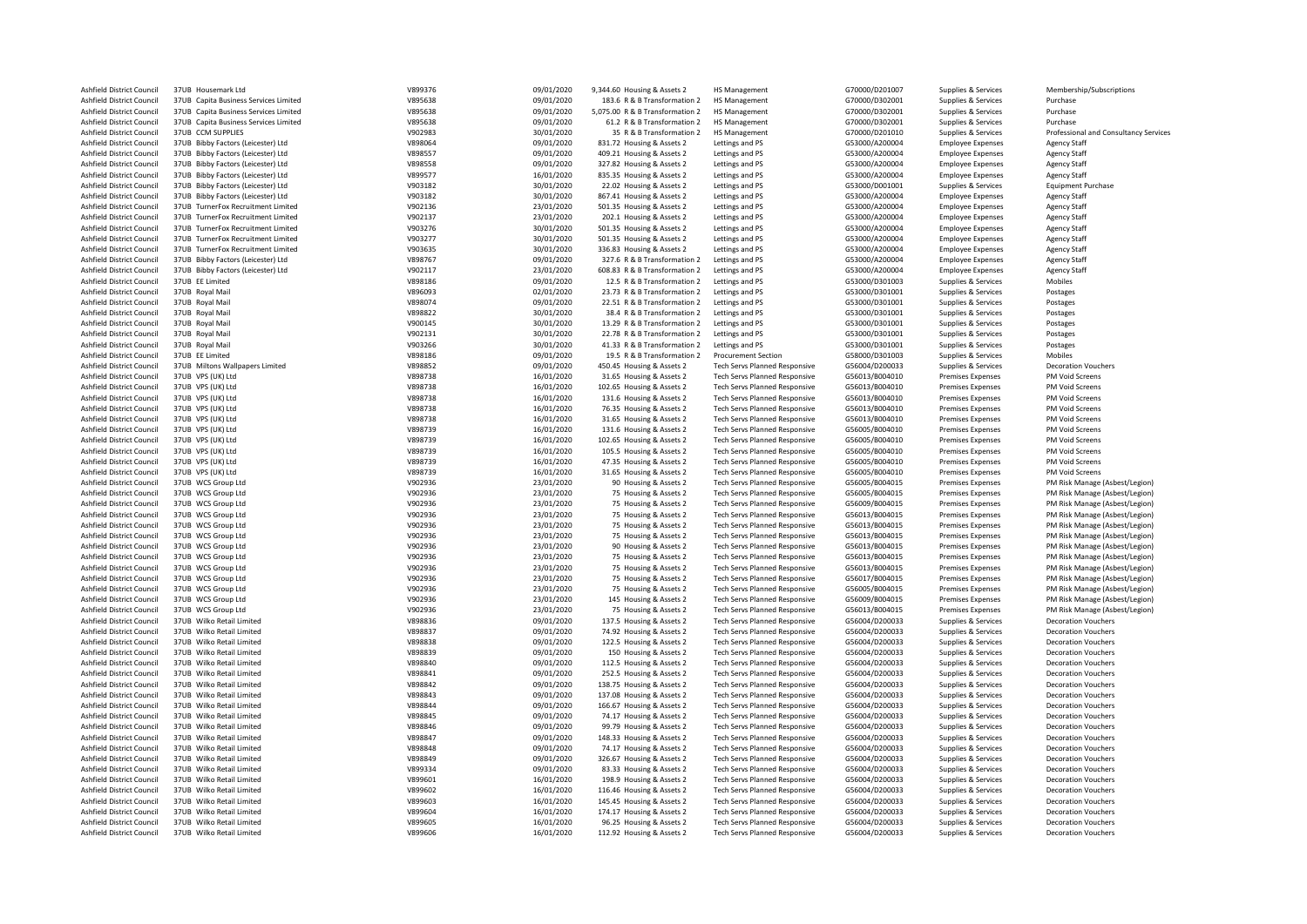| Ashfield District Council                              | 37UB Housemark Ltd                                     | V899376            | 09/01/2020               | 9,344.60 Housing & Assets 2                                 | HS Management                                                                | G70000/D201007                   | Supplies & Services                        | Membership/Subscriptions                                 |
|--------------------------------------------------------|--------------------------------------------------------|--------------------|--------------------------|-------------------------------------------------------------|------------------------------------------------------------------------------|----------------------------------|--------------------------------------------|----------------------------------------------------------|
| Ashfield District Council                              | 37UB Capita Business Services Limited                  | V895638            | 09/01/2020               | 183.6 R & B Transformation 2                                | <b>HS Management</b>                                                         | G70000/D302001                   | Supplies & Services                        | Purchase                                                 |
| Ashfield District Council                              | 37UB Capita Business Services Limited                  | V895638            | 09/01/2020               | 5,075.00 R & B Transformation 2                             | HS Management                                                                | G70000/D302001                   | Supplies & Services                        | Purchase                                                 |
| Ashfield District Council                              | 37UB Capita Business Services Limited                  | V895638            | 09/01/2020               | 61.2 R & B Transformation 2                                 | <b>HS Management</b>                                                         | G70000/D302001                   | Supplies & Services                        | Purchase                                                 |
| Ashfield District Council                              | 37UB CCM SUPPLIES                                      | V902983            | 30/01/2020               | 35 R & B Transformation 2                                   | <b>HS Management</b>                                                         | G70000/D201010                   | Supplies & Services                        | Professional and Consultancy Services                    |
| Ashfield District Council                              | 37UB Bibby Factors (Leicester) Ltd                     | V898064            | 09/01/2020               | 831.72 Housing & Assets 2                                   | Lettings and PS                                                              | G53000/A200004                   | <b>Employee Expenses</b>                   | <b>Agency Staff</b>                                      |
| Ashfield District Council                              | 37UB Bibby Factors (Leicester) Ltd                     | V898557            | 09/01/2020               | 409.21 Housing & Assets 2                                   | Lettings and PS                                                              | G53000/A200004                   | <b>Employee Expenses</b>                   | <b>Agency Staff</b>                                      |
| Ashfield District Council                              | 37UB Bibby Factors (Leicester) Ltd                     | V898558            | 09/01/2020               | 327.82 Housing & Assets 2                                   | Lettings and PS                                                              | G53000/A200004                   | <b>Employee Expenses</b>                   | <b>Agency Staff</b>                                      |
| Ashfield District Council                              | 37UB Bibby Factors (Leicester) Ltd                     | V899577            | 16/01/2020               | 835.35 Housing & Assets 2                                   | Lettings and PS                                                              | G53000/A200004                   | <b>Employee Expenses</b>                   | <b>Agency Staff</b>                                      |
| Ashfield District Council                              | 37UB Bibby Factors (Leicester) Ltd                     | V903182            | 30/01/2020               | 22.02 Housing & Assets 2                                    | Lettings and PS                                                              | G53000/D001001                   | Supplies & Services                        | <b>Equipment Purchase</b>                                |
| Ashfield District Council                              | 37UB Bibby Factors (Leicester) Ltd                     | V903182            | 30/01/2020               | 867.41 Housing & Assets 2                                   | Lettings and PS                                                              | G53000/A200004                   | <b>Employee Expenses</b>                   | <b>Agency Staff</b>                                      |
| Ashfield District Council                              | 37UB TurnerFox Recruitment Limited                     | V902136            | 23/01/2020               | 501.35 Housing & Assets 2                                   | Lettings and PS                                                              | G53000/A200004                   | <b>Employee Expenses</b>                   | <b>Agency Staff</b>                                      |
| Ashfield District Council                              | 37UB TurnerFox Recruitment Limited                     | V902137            | 23/01/2020               | 202.1 Housing & Assets 2                                    | Lettings and PS                                                              | G53000/A200004                   | <b>Employee Expenses</b>                   | <b>Agency Staff</b>                                      |
| Ashfield District Council                              | 37UB TurnerFox Recruitment Limited                     | V903276            | 30/01/2020               | 501.35 Housing & Assets 2                                   | Lettings and PS                                                              | G53000/A200004                   | <b>Employee Expenses</b>                   | <b>Agency Staff</b>                                      |
| Ashfield District Council                              | 37UB TurnerFox Recruitment Limited                     | V903277            | 30/01/2020               | 501.35 Housing & Assets 2                                   | Lettings and PS                                                              | G53000/A200004                   | <b>Employee Expenses</b>                   | <b>Agency Staff</b>                                      |
| Ashfield District Council                              | 37UB TurnerFox Recruitment Limited                     | V903635            | 30/01/2020               | 336.83 Housing & Assets 2                                   | Lettings and PS                                                              | G53000/A200004                   | <b>Employee Expenses</b>                   | <b>Agency Staff</b>                                      |
| Ashfield District Council                              | 37UB Bibby Factors (Leicester) Ltd                     | V898767            | 09/01/2020               | 327.6 R & B Transformation 2                                | Lettings and PS                                                              | G53000/A200004                   | <b>Employee Expenses</b>                   | <b>Agency Staff</b>                                      |
| Ashfield District Council                              | 37UB Bibby Factors (Leicester) Ltd                     | V902117            | 23/01/2020               | 608.83 R & B Transformation 2                               | Lettings and PS                                                              | G53000/A200004                   | <b>Employee Expenses</b>                   | <b>Agency Staff</b>                                      |
| Ashfield District Council                              | 37UB EE Limited<br>37UB Royal Mail                     | V898186<br>V896093 | 09/01/2020               | 12.5 R & B Transformation 2                                 | Lettings and PS                                                              | G53000/D301003                   | Supplies & Services                        | Mobiles                                                  |
| Ashfield District Council                              |                                                        |                    | 02/01/2020               | 23.73 R & B Transformation 2                                | Lettings and PS                                                              | G53000/D301001                   | Supplies & Services                        | Postages                                                 |
| Ashfield District Council                              | 37UB Royal Mail                                        | V898074            | 09/01/2020               | 22.51 R & B Transformation 2                                | Lettings and PS                                                              | G53000/D301001                   | Supplies & Services                        | Postages                                                 |
| Ashfield District Council<br>Ashfield District Council | 37UB Royal Mail<br>37UB Royal Mail                     | V898822<br>V900145 | 30/01/2020<br>30/01/2020 | 38.4 R & B Transformation 2<br>13.29 R & B Transformation 2 | Lettings and PS<br>Lettings and PS                                           | G53000/D301001<br>G53000/D301001 | Supplies & Services<br>Supplies & Services | Postages<br>Postages                                     |
| Ashfield District Council                              | 37UB Royal Mail                                        | V902131            | 30/01/2020               | 22.78 R & B Transformation 2                                | Lettings and PS                                                              | G53000/D301001                   | Supplies & Services                        | Postages                                                 |
| Ashfield District Council                              | 37UB Royal Mail                                        | V903266            | 30/01/2020               | 41.33 R & B Transformation 2                                |                                                                              | G53000/D301001                   |                                            |                                                          |
| Ashfield District Council                              | 37UB EE Limited                                        | V898186            | 09/01/2020               | 19.5 R & B Transformation 2                                 | Lettings and PS<br><b>Procurement Section</b>                                | G58000/D301003                   | Supplies & Services<br>Supplies & Services | Postages<br>Mobiles                                      |
| Ashfield District Council                              | 37UB Miltons Wallpapers Limited                        | V898852            | 09/01/2020               | 450.45 Housing & Assets 2                                   | Tech Servs Planned Responsive                                                | G56004/D200033                   | Supplies & Services                        | <b>Decoration Vouchers</b>                               |
| Ashfield District Council                              | 37UB VPS (UK) Ltd                                      | V898738            | 16/01/2020               | 31.65 Housing & Assets 2                                    | Tech Servs Planned Responsive                                                | G56013/B004010                   | <b>Premises Expenses</b>                   | PM Void Screens                                          |
| Ashfield District Council                              | 37UB VPS (UK) Ltd                                      | V898738            | 16/01/2020               | 102.65 Housing & Assets 2                                   | <b>Tech Servs Planned Responsive</b>                                         | G56013/B004010                   | Premises Expenses                          | PM Void Screens                                          |
| Ashfield District Council                              | 37UB VPS (UK) Ltd                                      | V898738            | 16/01/2020               | 131.6 Housing & Assets 2                                    | Tech Servs Planned Responsive                                                | G56013/B004010                   | Premises Expenses                          | PM Void Screens                                          |
| Ashfield District Council                              | 37UB VPS (UK) Ltd                                      | V898738            | 16/01/2020               | 76.35 Housing & Assets 2                                    | Tech Servs Planned Responsive                                                | G56013/B004010                   | <b>Premises Expenses</b>                   | PM Void Screens                                          |
| Ashfield District Council                              | 37UB VPS (UK) Ltd                                      | V898738            | 16/01/2020               | 31.65 Housing & Assets 2                                    | <b>Tech Servs Planned Responsive</b>                                         | G56013/B004010                   | Premises Expenses                          | PM Void Screens                                          |
| Ashfield District Council                              | 37UB VPS (UK) Ltd                                      | V898739            | 16/01/2020               | 131.6 Housing & Assets 2                                    | <b>Tech Servs Planned Responsive</b>                                         | G56005/B004010                   | Premises Expenses                          | PM Void Screens                                          |
| Ashfield District Council                              | 37UB VPS (UK) Ltd                                      | V898739            | 16/01/2020               | 102.65 Housing & Assets 2                                   | <b>Tech Servs Planned Responsive</b>                                         | G56005/B004010                   | Premises Expenses                          | PM Void Screens                                          |
| Ashfield District Council                              | 37UB VPS (UK) Ltd                                      | V898739            | 16/01/2020               | 105.5 Housing & Assets 2                                    | Tech Servs Planned Responsive                                                | G56005/B004010                   | <b>Premises Expenses</b>                   | PM Void Screens                                          |
| Ashfield District Council                              | 37UB VPS (UK) Ltd                                      | V898739            | 16/01/2020               | 47.35 Housing & Assets 2                                    | Tech Servs Planned Responsive                                                | G56005/B004010                   | <b>Premises Expenses</b>                   | PM Void Screens                                          |
| Ashfield District Council                              | 37UB VPS (UK) Ltd                                      | V898739            | 16/01/2020               | 31.65 Housing & Assets 2                                    | <b>Tech Servs Planned Responsive</b>                                         | G56005/B004010                   | Premises Expenses                          | PM Void Screens                                          |
| Ashfield District Council                              | 37UB WCS Group Ltd                                     | V902936            | 23/01/2020               | 90 Housing & Assets 2                                       | <b>Tech Servs Planned Responsive</b>                                         | G56005/B004015                   | <b>Premises Expenses</b>                   | PM Risk Manage (Asbest/Legion)                           |
| Ashfield District Council                              | 37UB WCS Group Ltd                                     | V902936            | 23/01/2020               | 75 Housing & Assets 2                                       | Tech Servs Planned Responsive                                                | G56005/B004015                   | <b>Premises Expenses</b>                   | PM Risk Manage (Asbest/Legion)                           |
| Ashfield District Council                              | 37UB WCS Group Ltd                                     | V902936            | 23/01/2020               | 75 Housing & Assets 2                                       | Tech Servs Planned Responsive                                                | G56009/B004015                   | <b>Premises Expenses</b>                   | PM Risk Manage (Asbest/Legion)                           |
| Ashfield District Council                              | 37UB WCS Group Ltd                                     | V902936            | 23/01/2020               | 75 Housing & Assets 2                                       | <b>Tech Servs Planned Responsive</b>                                         | G56013/B004015                   | <b>Premises Expenses</b>                   | PM Risk Manage (Asbest/Legion)                           |
| Ashfield District Council                              | 37UB WCS Group Ltd                                     | V902936            | 23/01/2020               | 75 Housing & Assets 2                                       | <b>Tech Servs Planned Responsive</b>                                         | G56013/B004015                   | Premises Expenses                          | PM Risk Manage (Asbest/Legion)                           |
| Ashfield District Council                              | 37UB WCS Group Ltd                                     | V902936            | 23/01/2020               | 75 Housing & Assets 2                                       | <b>Tech Servs Planned Responsive</b>                                         | G56013/B004015                   | <b>Premises Expenses</b>                   | PM Risk Manage (Asbest/Legion)                           |
| Ashfield District Council                              | 37UB WCS Group Ltd                                     | V902936            | 23/01/2020               | 90 Housing & Assets 2                                       | Tech Servs Planned Responsive                                                | G56013/B004015                   | <b>Premises Expenses</b>                   | PM Risk Manage (Asbest/Legion)                           |
| Ashfield District Council                              | 37UB WCS Group Ltd                                     | V902936            | 23/01/2020               | 75 Housing & Assets 2                                       | <b>Tech Servs Planned Responsive</b>                                         | G56013/B004015                   | Premises Expenses                          | PM Risk Manage (Asbest/Legion)                           |
| Ashfield District Council                              | 37UB WCS Group Ltd                                     | V902936            | 23/01/2020               | 75 Housing & Assets 2                                       | Tech Servs Planned Responsive                                                | G56013/B004015                   | <b>Premises Expenses</b>                   | PM Risk Manage (Asbest/Legion)                           |
| Ashfield District Council                              | 37UB WCS Group Ltd                                     | V902936            | 23/01/2020               | 75 Housing & Assets 2                                       | <b>Tech Servs Planned Responsive</b>                                         | G56017/B004015                   | Premises Expenses                          | PM Risk Manage (Asbest/Legion)                           |
| Ashfield District Council                              | 37UB WCS Group Ltd                                     | V902936            | 23/01/2020               | 75 Housing & Assets 2                                       | Tech Servs Planned Responsive                                                | G56005/B004015                   | Premises Expenses                          | PM Risk Manage (Asbest/Legion)                           |
| Ashfield District Council                              | 37UB WCS Group Ltd                                     | V902936            | 23/01/2020               | 145 Housing & Assets 2                                      | <b>Tech Servs Planned Responsive</b>                                         | G56009/B004015                   | <b>Premises Expenses</b>                   | PM Risk Manage (Asbest/Legion)                           |
| Ashfield District Council                              | 37UB WCS Group Ltd                                     | V902936            | 23/01/2020               | 75 Housing & Assets 2                                       | Tech Servs Planned Responsive                                                | G56013/B004015                   | Premises Expenses                          | PM Risk Manage (Asbest/Legion)                           |
| Ashfield District Council                              | 37UB Wilko Retail Limited                              | V898836            | 09/01/2020               | 137.5 Housing & Assets 2                                    | Tech Servs Planned Responsive                                                | G56004/D200033                   | Supplies & Services                        | <b>Decoration Vouchers</b>                               |
| Ashfield District Council                              | 37UB Wilko Retail Limited                              | V898837            | 09/01/2020               | 74.92 Housing & Assets 2                                    | <b>Tech Servs Planned Responsive</b>                                         | G56004/D200033                   | Supplies & Services                        | <b>Decoration Vouchers</b>                               |
| Ashfield District Council                              | 37UB Wilko Retail Limited                              | V898838            | 09/01/2020               | 122.5 Housing & Assets 2                                    | <b>Tech Servs Planned Responsive</b>                                         | G56004/D200033                   | Supplies & Services                        | <b>Decoration Vouchers</b>                               |
| Ashfield District Council                              | 37UB Wilko Retail Limited                              | V898839            | 09/01/2020               | 150 Housing & Assets 2                                      | Tech Servs Planned Responsive                                                | G56004/D200033                   | Supplies & Services                        | <b>Decoration Vouchers</b>                               |
| Ashfield District Council                              | 37UB Wilko Retail Limited                              | V898840            | 09/01/2020               | 112.5 Housing & Assets 2                                    | <b>Tech Servs Planned Responsive</b>                                         | G56004/D200033                   | Supplies & Services                        | <b>Decoration Vouchers</b>                               |
| Ashfield District Council                              | 37UB Wilko Retail Limited                              | V898841            | 09/01/2020               | 252.5 Housing & Assets 2                                    | <b>Tech Servs Planned Responsive</b>                                         | G56004/D200033                   | Supplies & Services                        | <b>Decoration Vouchers</b>                               |
| Ashfield District Council                              | 37UB Wilko Retail Limited                              | V898842            | 09/01/2020               | 138.75 Housing & Assets 2                                   | <b>Tech Servs Planned Responsive</b>                                         | G56004/D200033                   | Supplies & Services                        | <b>Decoration Vouchers</b>                               |
| Ashfield District Council                              | 37UB Wilko Retail Limited                              | V898843            | 09/01/2020               | 137.08 Housing & Assets 2                                   | <b>Tech Servs Planned Responsive</b>                                         | G56004/D200033                   | Supplies & Services                        | <b>Decoration Vouchers</b>                               |
| Ashfield District Council                              | 37UB Wilko Retail Limited                              | V898844            | 09/01/2020               | 166.67 Housing & Assets 2                                   | <b>Tech Servs Planned Responsive</b>                                         | G56004/D200033                   | Supplies & Services                        | <b>Decoration Vouchers</b>                               |
| Ashfield District Council                              | 37UB Wilko Retail Limited                              | V898845            | 09/01/2020               | 74.17 Housing & Assets 2                                    | Tech Servs Planned Responsive                                                | G56004/D200033                   | Supplies & Services                        | <b>Decoration Vouchers</b>                               |
| Ashfield District Council                              | 37UB Wilko Retail Limited                              | V898846            | 09/01/2020               | 99.79 Housing & Assets 2                                    | <b>Tech Servs Planned Responsive</b>                                         | G56004/D200033                   | Supplies & Services                        | <b>Decoration Vouchers</b>                               |
| Ashfield District Council                              | 37UB Wilko Retail Limited                              | V898847            | 09/01/2020               | 148.33 Housing & Assets 2                                   | Tech Servs Planned Responsive                                                | G56004/D200033                   | Supplies & Services                        | <b>Decoration Vouchers</b>                               |
| Ashfield District Council                              | 37UB Wilko Retail Limited                              | V898848            | 09/01/2020               | 74.17 Housing & Assets 2                                    | Tech Servs Planned Responsive                                                | G56004/D200033                   | Supplies & Services                        | <b>Decoration Vouchers</b>                               |
| Ashfield District Council                              | 37UB Wilko Retail Limited                              | V898849            | 09/01/2020               | 326.67 Housing & Assets 2                                   | Tech Servs Planned Responsive                                                | G56004/D200033                   | Supplies & Services                        | <b>Decoration Vouchers</b>                               |
| Ashfield District Council                              | 37UB Wilko Retail Limited                              | V899334            | 09/01/2020               | 83.33 Housing & Assets 2                                    | Tech Servs Planned Responsive                                                | G56004/D200033                   | Supplies & Services                        | <b>Decoration Vouchers</b>                               |
| Ashfield District Council                              | 37UB Wilko Retail Limited                              | V899601            | 16/01/2020               | 198.9 Housing & Assets 2                                    | <b>Tech Servs Planned Responsive</b>                                         | G56004/D200033                   | Supplies & Services                        | <b>Decoration Vouchers</b>                               |
| Ashfield District Council                              | 37UB Wilko Retail Limited                              | V899602            | 16/01/2020               | 116.46 Housing & Assets 2                                   | <b>Tech Servs Planned Responsive</b>                                         | G56004/D200033                   | Supplies & Services                        | <b>Decoration Vouchers</b>                               |
| Ashfield District Council<br>Ashfield District Council | 37UB Wilko Retail Limited<br>37UB Wilko Retail Limited | V899603<br>V899604 | 16/01/2020               | 145.45 Housing & Assets 2                                   | <b>Tech Servs Planned Responsive</b><br><b>Tech Servs Planned Responsive</b> | G56004/D200033                   | Supplies & Services                        | <b>Decoration Vouchers</b><br><b>Decoration Vouchers</b> |
|                                                        |                                                        |                    | 16/01/2020               | 174.17 Housing & Assets 2                                   |                                                                              | G56004/D200033                   | Supplies & Services                        |                                                          |
| Ashfield District Council<br>Ashfield District Council | 37UB Wilko Retail Limited<br>37UB Wilko Retail Limited | V899605<br>V899606 | 16/01/2020<br>16/01/2020 | 96.25 Housing & Assets 2<br>112.92 Housing & Assets 2       | <b>Tech Servs Planned Responsive</b><br><b>Tech Servs Planned Responsive</b> | G56004/D200033<br>G56004/D200033 | Supplies & Services                        | <b>Decoration Vouchers</b><br><b>Decoration Vouchers</b> |
|                                                        |                                                        |                    |                          |                                                             |                                                                              |                                  | Supplies & Services                        |                                                          |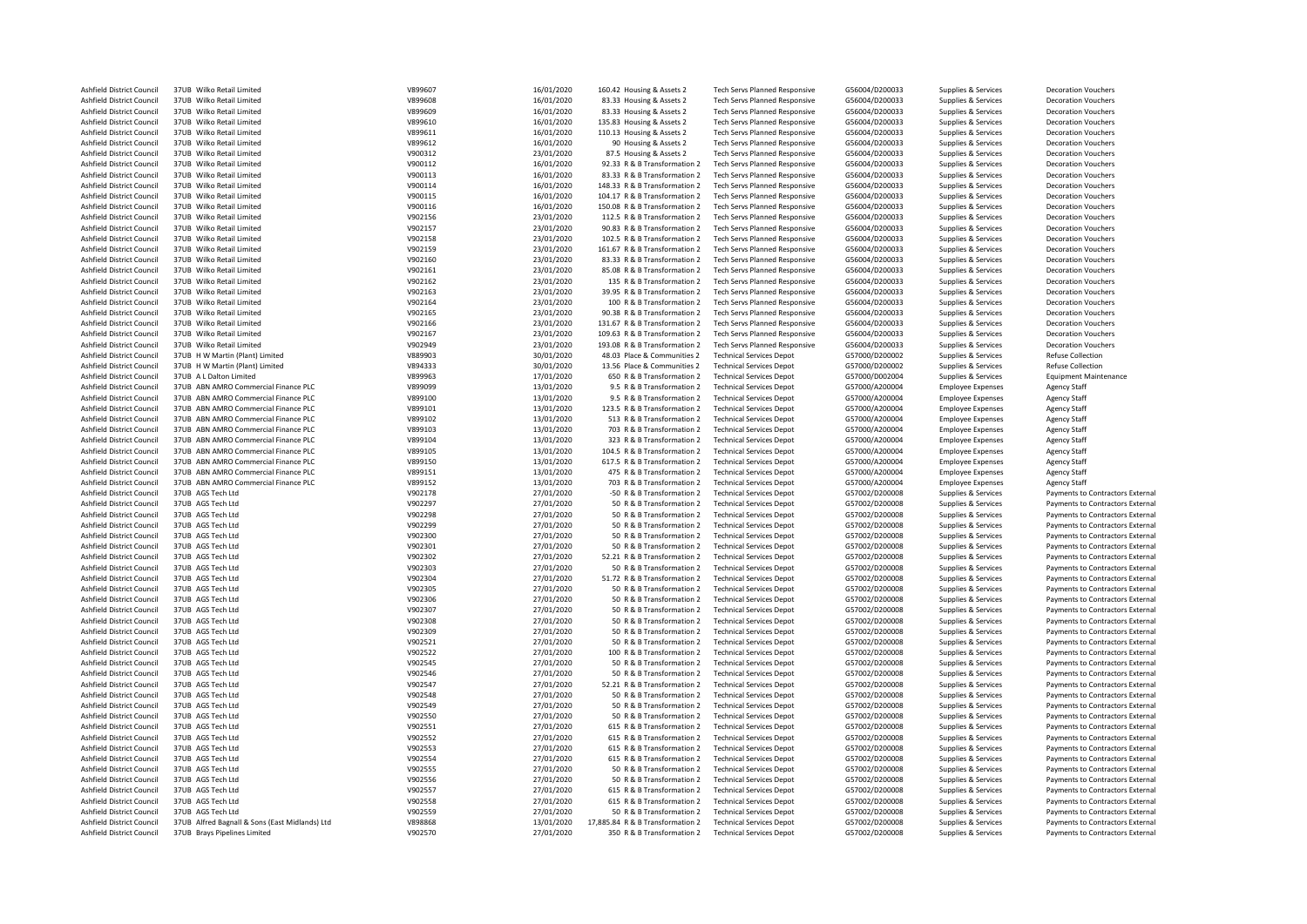| Ashfield District Council | 37UB Wilko Retail Limited                      | V899607 | 16/01/2020 | 160.42 Housing & Assets 2        | <b>Tech Servs Planned Responsive</b> | G56004/D200033 | Supplies & Services      | <b>Decoration Vouchers</b>       |
|---------------------------|------------------------------------------------|---------|------------|----------------------------------|--------------------------------------|----------------|--------------------------|----------------------------------|
| Ashfield District Council | 37UB Wilko Retail Limited                      | V899608 | 16/01/2020 | 83.33 Housing & Assets 2         | <b>Tech Servs Planned Responsive</b> | G56004/D200033 | Supplies & Services      | <b>Decoration Vouchers</b>       |
| Ashfield District Council | 37UB Wilko Retail Limited                      | V899609 | 16/01/2020 | 83.33 Housing & Assets 2         | <b>Tech Servs Planned Responsive</b> | G56004/D200033 | Supplies & Services      | <b>Decoration Vouchers</b>       |
| Ashfield District Council | 37UB Wilko Retail Limited                      | V899610 | 16/01/2020 | 135.83 Housing & Assets 2        | <b>Tech Servs Planned Responsive</b> | G56004/D200033 | Supplies & Services      | <b>Decoration Vouchers</b>       |
| Ashfield District Council | 37UB Wilko Retail Limited                      | V899611 | 16/01/2020 | 110.13 Housing & Assets 2        | <b>Tech Servs Planned Responsive</b> | G56004/D200033 | Supplies & Services      | <b>Decoration Vouchers</b>       |
| Ashfield District Council | 37UB Wilko Retail Limited                      | V899612 | 16/01/2020 | 90 Housing & Assets 2            | <b>Tech Servs Planned Responsive</b> | G56004/D200033 | Supplies & Services      | <b>Decoration Vouchers</b>       |
|                           | 37UB Wilko Retail Limited                      | V900312 |            |                                  |                                      |                |                          |                                  |
| Ashfield District Council |                                                |         | 23/01/2020 | 87.5 Housing & Assets 2          | Tech Servs Planned Responsive        | G56004/D200033 | Supplies & Services      | <b>Decoration Vouchers</b>       |
| Ashfield District Council | 37UB Wilko Retail Limited                      | V900112 | 16/01/2020 | 92.33 R & B Transformation 2     | <b>Tech Servs Planned Responsive</b> | G56004/D200033 | Supplies & Services      | <b>Decoration Vouchers</b>       |
| Ashfield District Council | 37UB Wilko Retail Limited                      | V900113 | 16/01/2020 | 83.33 R & B Transformation 2     | <b>Tech Servs Planned Responsive</b> | G56004/D200033 | Supplies & Services      | <b>Decoration Vouchers</b>       |
| Ashfield District Council | 37UB Wilko Retail Limited                      | V900114 | 16/01/2020 | 148.33 R & B Transformation 2    | <b>Tech Servs Planned Responsive</b> | G56004/D200033 | Supplies & Services      | <b>Decoration Vouchers</b>       |
| Ashfield District Council | 37UB Wilko Retail Limited                      | V900115 | 16/01/2020 | 104.17 R & B Transformation 2    | <b>Tech Servs Planned Responsive</b> | G56004/D200033 | Supplies & Services      | <b>Decoration Vouchers</b>       |
| Ashfield District Council | 37UB Wilko Retail Limited                      | V900116 | 16/01/2020 | 150.08 R & B Transformation 2    | <b>Tech Servs Planned Responsive</b> | G56004/D200033 | Supplies & Services      | <b>Decoration Vouchers</b>       |
| Ashfield District Council | 37UB Wilko Retail Limited                      | V902156 | 23/01/2020 | 112.5 R & B Transformation 2     | <b>Tech Servs Planned Responsive</b> | G56004/D200033 | Supplies & Services      | <b>Decoration Vouchers</b>       |
|                           |                                                |         |            |                                  |                                      |                |                          |                                  |
| Ashfield District Council | 37UB Wilko Retail Limited                      | V902157 | 23/01/2020 | 90.83 R & B Transformation 2     | <b>Tech Servs Planned Responsive</b> | G56004/D200033 | Supplies & Services      | <b>Decoration Vouchers</b>       |
| Ashfield District Council | 37UB Wilko Retail Limited                      | V902158 | 23/01/2020 | 102.5 R & B Transformation 2     | Tech Servs Planned Responsive        | G56004/D200033 | Supplies & Services      | <b>Decoration Vouchers</b>       |
| Ashfield District Council | 37UB Wilko Retail Limited                      | V902159 | 23/01/2020 | 161.67 R & B Transformation 2    | <b>Tech Servs Planned Responsive</b> | G56004/D200033 | Supplies & Services      | <b>Decoration Vouchers</b>       |
| Ashfield District Council | 37UB Wilko Retail Limited                      | V902160 | 23/01/2020 | 83.33 R & B Transformation 2     | <b>Tech Servs Planned Responsive</b> | G56004/D200033 | Supplies & Services      | <b>Decoration Vouchers</b>       |
| Ashfield District Council | 37UB Wilko Retail Limited                      | V902161 | 23/01/2020 | 85.08 R & B Transformation 2     | <b>Tech Servs Planned Responsive</b> | G56004/D200033 | Supplies & Services      | <b>Decoration Vouchers</b>       |
| Ashfield District Council | 37UB Wilko Retail Limited                      | V902162 | 23/01/2020 | 135 R & B Transformation 2       | Tech Servs Planned Responsive        | G56004/D200033 | Supplies & Services      | <b>Decoration Vouchers</b>       |
| Ashfield District Council | 37UB Wilko Retail Limited                      | V902163 | 23/01/2020 | 39.95 R & B Transformation 2     | Tech Servs Planned Responsive        | G56004/D200033 | Supplies & Services      | <b>Decoration Vouchers</b>       |
| Ashfield District Council | 37UB Wilko Retail Limited                      | V902164 | 23/01/2020 | 100 R & B Transformation 2       | <b>Tech Servs Planned Responsive</b> | G56004/D200033 | Supplies & Services      | <b>Decoration Vouchers</b>       |
|                           |                                                |         |            |                                  |                                      |                |                          |                                  |
| Ashfield District Council | 37UB Wilko Retail Limited                      | V902165 | 23/01/2020 | 90.38 R & B Transformation 2     | Tech Servs Planned Responsive        | G56004/D200033 | Supplies & Services      | <b>Decoration Vouchers</b>       |
| Ashfield District Council | 37UB Wilko Retail Limited                      | V902166 | 23/01/2020 | 131.67 R & B Transformation 2    | <b>Tech Servs Planned Responsive</b> | G56004/D200033 | Supplies & Services      | <b>Decoration Vouchers</b>       |
| Ashfield District Council | 37UB Wilko Retail Limited                      | V902167 | 23/01/2020 | 109.63 R & B Transformation 2    | <b>Tech Servs Planned Responsive</b> | G56004/D200033 | Supplies & Services      | <b>Decoration Vouchers</b>       |
| Ashfield District Council | 37UB Wilko Retail Limited                      | V902949 | 23/01/2020 | 193.08 R & B Transformation 2    | Tech Servs Planned Responsive        | G56004/D200033 | Supplies & Services      | <b>Decoration Vouchers</b>       |
| Ashfield District Council | 37UB H W Martin (Plant) Limited                | V889903 | 30/01/2020 | 48.03 Place & Communities 2      | <b>Technical Services Depot</b>      | G57000/D200002 | Supplies & Services      | <b>Refuse Collection</b>         |
| Ashfield District Council | 37UB H W Martin (Plant) Limited                | V894333 | 30/01/2020 | 13.56 Place & Communities 2      | <b>Technical Services Depot</b>      | G57000/D200002 | Supplies & Services      | <b>Refuse Collection</b>         |
| Ashfield District Council | 37UB A L Dalton Limited                        | V899963 | 17/01/2020 | 650 R & B Transformation 2       | <b>Technical Services Depot</b>      | G57000/D002004 | Supplies & Services      | <b>Equipment Maintenance</b>     |
|                           |                                                |         |            |                                  |                                      |                |                          |                                  |
| Ashfield District Council | 37UB ABN AMRO Commercial Finance PLC           | V899099 | 13/01/2020 | 9.5 R & B Transformation 2       | <b>Technical Services Depot</b>      | G57000/A200004 | <b>Employee Expenses</b> | <b>Agency Staff</b>              |
| Ashfield District Council | 37UB ABN AMRO Commercial Finance PLC           | V899100 | 13/01/2020 | 9.5 R & B Transformation 2       | <b>Technical Services Depot</b>      | G57000/A200004 | <b>Employee Expenses</b> | <b>Agency Staff</b>              |
| Ashfield District Council | 37UB ABN AMRO Commercial Finance PLC           | V899101 | 13/01/2020 | 123.5 R & B Transformation 2     | <b>Technical Services Depot</b>      | G57000/A200004 | <b>Employee Expenses</b> | <b>Agency Staff</b>              |
| Ashfield District Council | 37UB ABN AMRO Commercial Finance PLC           | V899102 | 13/01/2020 | 513 R & B Transformation 2       | <b>Technical Services Depot</b>      | G57000/A200004 | <b>Employee Expenses</b> | Agency Staff                     |
| Ashfield District Council | 37UB ABN AMRO Commercial Finance PLC           | V899103 | 13/01/2020 | 703 R & B Transformation 2       | <b>Technical Services Depot</b>      | G57000/A200004 | <b>Employee Expenses</b> | Agency Staff                     |
| Ashfield District Council | 37UB ABN AMRO Commercial Finance PLC           | V899104 | 13/01/2020 | 323 R & B Transformation 2       | <b>Technical Services Depot</b>      | G57000/A200004 | <b>Employee Expenses</b> | Agency Staff                     |
| Ashfield District Council | 37UB ABN AMRO Commercial Finance PLC           | V899105 | 13/01/2020 | 104.5 R & B Transformation 2     | <b>Technical Services Depot</b>      | G57000/A200004 | <b>Employee Expenses</b> | <b>Agency Staff</b>              |
| Ashfield District Council | 37UB ABN AMRO Commercial Finance PLC           | V899150 | 13/01/2020 | 617.5 R & B Transformation 2     | <b>Technical Services Depot</b>      | G57000/A200004 |                          |                                  |
|                           |                                                |         |            |                                  |                                      |                | <b>Employee Expenses</b> | <b>Agency Staff</b>              |
| Ashfield District Council | 37UB ABN AMRO Commercial Finance PLC           | V899151 | 13/01/2020 | 475 R & B Transformation 2       | <b>Technical Services Depot</b>      | G57000/A200004 | <b>Employee Expenses</b> | Agency Staff                     |
| Ashfield District Council | 37UB ABN AMRO Commercial Finance PLC           | V899152 | 13/01/2020 | 703 R & B Transformation 2       | <b>Technical Services Depot</b>      | G57000/A200004 | <b>Employee Expenses</b> | <b>Agency Staff</b>              |
| Ashfield District Council | 37UB AGS Tech Ltd                              | V902178 | 27/01/2020 | -50 R & B Transformation 2       | <b>Technical Services Depot</b>      | G57002/D200008 | Supplies & Services      | Payments to Contractors External |
| Ashfield District Council | 37UB AGS Tech Ltd                              | V902297 | 27/01/2020 | 50 R & B Transformation 2        | <b>Technical Services Depot</b>      | G57002/D200008 | Supplies & Services      | Payments to Contractors External |
| Ashfield District Council | 37UB AGS Tech Ltd                              | V902298 | 27/01/2020 | 50 R & B Transformation 2        | <b>Technical Services Depot</b>      | G57002/D200008 | Supplies & Services      | Payments to Contractors External |
| Ashfield District Council | 37UB AGS Tech Ltd                              | V902299 | 27/01/2020 | 50 R & B Transformation 2        | <b>Technical Services Depot</b>      | G57002/D200008 | Supplies & Services      | Payments to Contractors External |
| Ashfield District Council | 37UB AGS Tech Ltd                              | V902300 | 27/01/2020 | 50 R & B Transformation 2        | <b>Technical Services Depot</b>      | G57002/D200008 | Supplies & Services      | Payments to Contractors External |
|                           |                                                |         |            |                                  |                                      |                |                          |                                  |
| Ashfield District Council | 37UB AGS Tech Ltd                              | V902301 | 27/01/2020 | 50 R & B Transformation 2        | <b>Technical Services Depot</b>      | G57002/D200008 | Supplies & Services      | Payments to Contractors External |
| Ashfield District Council | 37UB AGS Tech Ltd                              | V902302 | 27/01/2020 | 52.21 R & B Transformation 2     | <b>Technical Services Depot</b>      | G57002/D200008 | Supplies & Services      | Payments to Contractors External |
| Ashfield District Council | 37UB AGS Tech Ltd                              | V902303 | 27/01/2020 | 50 R & B Transformation 2        | <b>Technical Services Depot</b>      | G57002/D200008 | Supplies & Services      | Payments to Contractors External |
| Ashfield District Council | 37UB AGS Tech Ltd                              | V902304 | 27/01/2020 | 51.72 R & B Transformation 2     | <b>Technical Services Depot</b>      | G57002/D200008 | Supplies & Services      | Payments to Contractors External |
| Ashfield District Council | 37UB AGS Tech Ltd                              | V902305 | 27/01/2020 | 50 R & B Transformation 2        | <b>Technical Services Depot</b>      | G57002/D200008 | Supplies & Services      | Payments to Contractors External |
| Ashfield District Council | 37UB AGS Tech Ltd                              | V902306 | 27/01/2020 | 50 R & B Transformation 2        | <b>Technical Services Depot</b>      | G57002/D200008 | Supplies & Services      | Payments to Contractors External |
| Ashfield District Council | 37UB AGS Tech Ltd                              | V902307 | 27/01/2020 | 50 R & B Transformation 2        | <b>Technical Services Depot</b>      | G57002/D200008 | Supplies & Services      | Payments to Contractors External |
| Ashfield District Council | 37UB AGS Tech Ltd                              | V902308 | 27/01/2020 | 50 R & B Transformation 2        | <b>Technical Services Depot</b>      | G57002/D200008 | Supplies & Services      | Payments to Contractors External |
| Ashfield District Council | 37UB AGS Tech Ltd                              | V902309 | 27/01/2020 | 50 R & B Transformation 2        | <b>Technical Services Depot</b>      | G57002/D200008 | Supplies & Services      | Payments to Contractors External |
|                           |                                                |         |            |                                  |                                      |                |                          |                                  |
| Ashfield District Council | 37UB AGS Tech Ltd                              | V902521 | 27/01/2020 | 50 R & B Transformation 2        | <b>Technical Services Depot</b>      | G57002/D200008 | Supplies & Services      | Payments to Contractors External |
| Ashfield District Council | 37UB AGS Tech Ltd                              | V902522 | 27/01/2020 | 100 R & B Transformation 2       | <b>Technical Services Depot</b>      | G57002/D200008 | Supplies & Services      | Payments to Contractors External |
| Ashfield District Council | 37UB AGS Tech Ltd                              | V902545 | 27/01/2020 | 50 R & B Transformation 2        | <b>Technical Services Depot</b>      | G57002/D200008 | Supplies & Services      | Payments to Contractors External |
| Ashfield District Council | 37UB AGS Tech Ltd                              | V902546 | 27/01/2020 | 50 R & B Transformation 2        | <b>Technical Services Depot</b>      | G57002/D200008 | Supplies & Services      | Payments to Contractors External |
| Ashfield District Council | 37UB AGS Tech Ltd                              | V902547 | 27/01/2020 | 52.21 R & B Transformation 2     | <b>Technical Services Depot</b>      | G57002/D200008 | Supplies & Services      | Payments to Contractors External |
| Ashfield District Council | 37UB AGS Tech Itd                              | V902548 | 27/01/2020 | 50 R & B Transformation 2        | <b>Technical Services Depot</b>      | G57002/D200008 | Supplies & Services      | Payments to Contractors External |
| Ashfield District Council | 37UB AGS Tech Ltd                              | V902549 | 27/01/2020 | 50 R & B Transformation 2        | <b>Technical Services Depot</b>      | G57002/D200008 |                          | Payments to Contractors External |
|                           |                                                |         |            |                                  |                                      |                | Supplies & Services      |                                  |
| Ashfield District Council | 37UB AGS Tech Ltd                              | V902550 | 27/01/2020 | 50 R & B Transformation 2        | <b>Technical Services Depot</b>      | G57002/D200008 | Supplies & Services      | Payments to Contractors External |
| Ashfield District Council | 37UB AGS Tech Ltd                              | V902551 | 27/01/2020 | 615 R & B Transformation 2       | <b>Technical Services Depot</b>      | G57002/D200008 | Supplies & Services      | Payments to Contractors External |
| Ashfield District Council | 37UB AGS Tech Ltd                              | V902552 | 27/01/2020 | 615 R & B Transformation 2       | <b>Technical Services Depot</b>      | G57002/D200008 | Supplies & Services      | Payments to Contractors External |
| Ashfield District Council | 37UB AGS Tech Ltd                              | V902553 | 27/01/2020 | 615 R & B Transformation 2       | <b>Technical Services Depot</b>      | G57002/D200008 | Supplies & Services      | Payments to Contractors External |
| Ashfield District Council | 37UB AGS Tech Ltd                              | V902554 | 27/01/2020 | 615 R & B Transformation 2       | <b>Technical Services Depot</b>      | G57002/D200008 | Supplies & Services      | Payments to Contractors External |
| Ashfield District Council | 37UB AGS Tech Ltd                              | V902555 | 27/01/2020 | 50 R & B Transformation 2        | <b>Technical Services Depot</b>      | G57002/D200008 | Supplies & Services      | Payments to Contractors External |
| Ashfield District Council | 37UB AGS Tech Ltd                              | V902556 | 27/01/2020 | 50 R & B Transformation 2        | <b>Technical Services Depot</b>      | G57002/D200008 | Supplies & Services      | Payments to Contractors External |
|                           |                                                |         |            |                                  |                                      |                |                          |                                  |
| Ashfield District Council | 37UB AGS Tech Ltd                              | V902557 | 27/01/2020 | 615 R & B Transformation 2       | <b>Technical Services Depot</b>      | G57002/D200008 | Supplies & Services      | Payments to Contractors External |
| Ashfield District Council | 37UB AGS Tech Ltd                              | V902558 | 27/01/2020 | 615 R & B Transformation 2       | <b>Technical Services Depot</b>      | G57002/D200008 | Supplies & Services      | Payments to Contractors External |
| Ashfield District Council | 37UB AGS Tech Ltd                              | V902559 | 27/01/2020 | 50 R & B Transformation 2        | <b>Technical Services Depot</b>      | G57002/D200008 | Supplies & Services      | Payments to Contractors External |
| Ashfield District Council | 37UB Alfred Bagnall & Sons (East Midlands) Ltd | V898868 | 13/01/2020 | 17,885.84 R & B Transformation 2 | <b>Technical Services Depot</b>      | G57002/D200008 | Supplies & Services      | Payments to Contractors External |
| Ashfield District Council | 37UB Brays Pipelines Limited                   | V902570 | 27/01/2020 | 350 R & B Transformation 2       | <b>Technical Services Depot</b>      | G57002/D200008 | Supplies & Services      | Payments to Contractors External |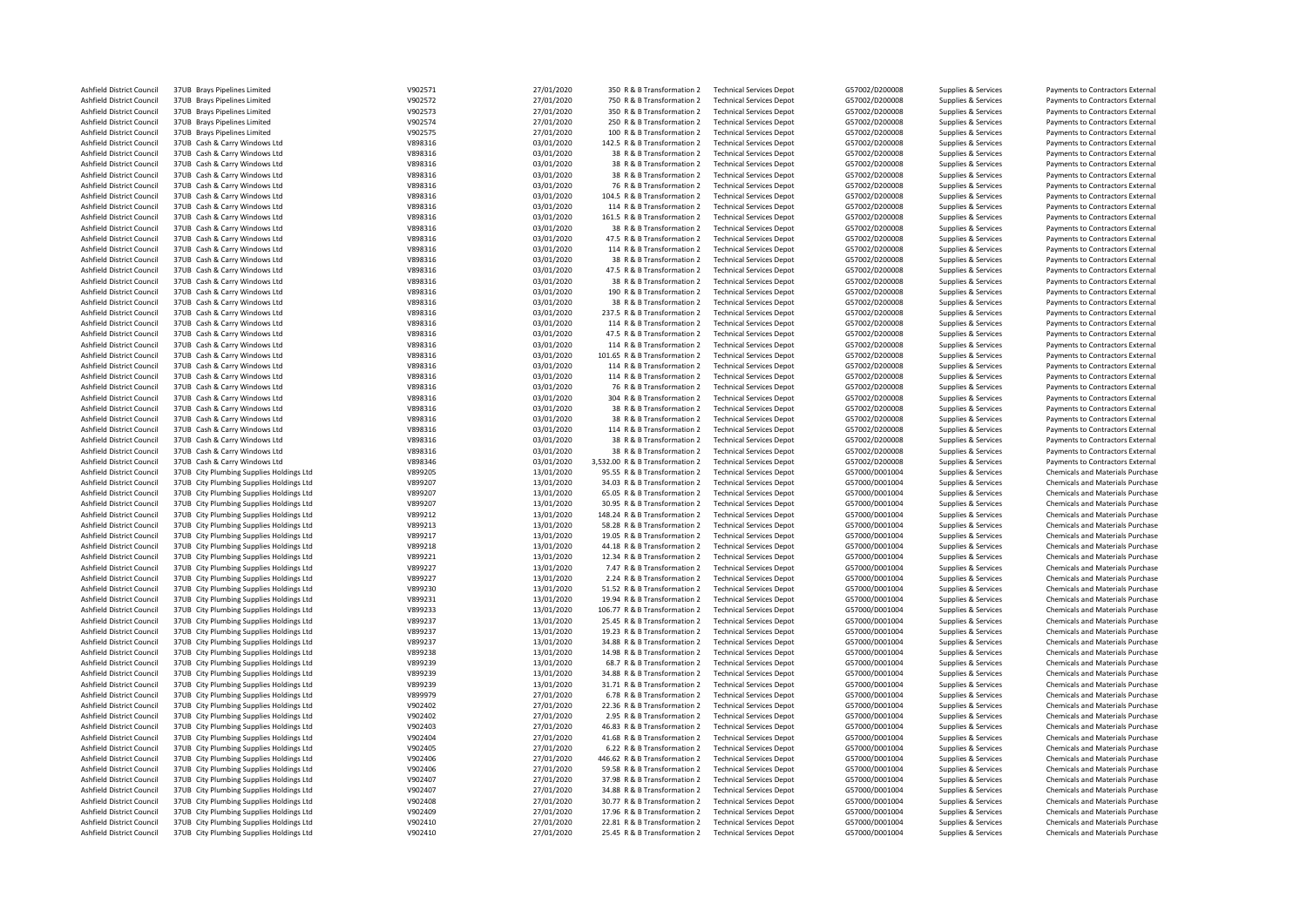| Ashfield District Council | 37UB Brays Pipelines Limited             | V902571 | 27/01/2020 | 350 R & B Transformation 2      | <b>Technical Services Depot</b> | G57002/D200008 | Supplies & Services | Payments to Contractors External        |
|---------------------------|------------------------------------------|---------|------------|---------------------------------|---------------------------------|----------------|---------------------|-----------------------------------------|
| Ashfield District Council | 37UB Brays Pipelines Limited             | V902572 | 27/01/2020 | 750 R & B Transformation 2      | <b>Technical Services Depot</b> | G57002/D200008 | Supplies & Services | Payments to Contractors External        |
| Ashfield District Council | 37UB Brays Pipelines Limited             | V902573 | 27/01/2020 | 350 R & B Transformation 2      | <b>Technical Services Depot</b> | G57002/D200008 | Supplies & Services | Payments to Contractors External        |
| Ashfield District Council | 37UB Brays Pipelines Limited             | V902574 | 27/01/2020 | 250 R & B Transformation 2      | <b>Technical Services Depot</b> | G57002/D200008 | Supplies & Services | Payments to Contractors External        |
| Ashfield District Council | 37UB Brays Pipelines Limited             | V902575 | 27/01/2020 | 100 R & B Transformation 2      | <b>Technical Services Depot</b> | G57002/D200008 | Supplies & Services | Payments to Contractors External        |
| Ashfield District Council | 37UB Cash & Carry Windows Ltd            | V898316 | 03/01/2020 | 142.5 R & B Transformation 2    | <b>Technical Services Depot</b> | G57002/D200008 | Supplies & Services | Payments to Contractors External        |
| Ashfield District Council | 37UB Cash & Carry Windows Ltd            | V898316 | 03/01/2020 | 38 R & B Transformation 2       | <b>Technical Services Depot</b> | G57002/D200008 | Supplies & Services | Payments to Contractors External        |
|                           |                                          |         |            |                                 |                                 |                |                     |                                         |
| Ashfield District Council | 37UB Cash & Carry Windows Ltd            | V898316 | 03/01/2020 | 38 R & B Transformation 2       | <b>Technical Services Depot</b> | G57002/D200008 | Supplies & Services | Payments to Contractors External        |
| Ashfield District Council | 37UB Cash & Carry Windows Ltd            | V898316 | 03/01/2020 | 38 R & B Transformation 2       | <b>Technical Services Depot</b> | G57002/D200008 | Supplies & Services | Payments to Contractors External        |
| Ashfield District Council | 37UB Cash & Carry Windows Ltd            | V898316 | 03/01/2020 | 76 R & B Transformation 2       | <b>Technical Services Depot</b> | G57002/D200008 | Supplies & Services | Payments to Contractors External        |
| Ashfield District Council | 37UB Cash & Carry Windows Ltd            | V898316 | 03/01/2020 | 104.5 R & B Transformation 2    | <b>Technical Services Depot</b> | G57002/D200008 | Supplies & Services | Payments to Contractors External        |
| Ashfield District Council | 37UB Cash & Carry Windows Ltd            | V898316 | 03/01/2020 | 114 R & B Transformation 2      | <b>Technical Services Depot</b> | G57002/D200008 | Supplies & Services | Payments to Contractors External        |
| Ashfield District Council | 37UB Cash & Carry Windows Ltd            | V898316 | 03/01/2020 | 161.5 R & B Transformation 2    | <b>Technical Services Depot</b> | G57002/D200008 | Supplies & Services | Payments to Contractors External        |
| Ashfield District Council | 37UB Cash & Carry Windows Ltd            | V898316 | 03/01/2020 | 38 R & B Transformation 2       | <b>Technical Services Depot</b> | G57002/D200008 | Supplies & Services | Payments to Contractors External        |
| Ashfield District Council | 37UB Cash & Carry Windows Ltd            | V898316 | 03/01/2020 | 47.5 R & B Transformation 2     | <b>Technical Services Depot</b> | G57002/D200008 | Supplies & Services | Payments to Contractors External        |
| Ashfield District Council | 37UB Cash & Carry Windows Ltd            | V898316 | 03/01/2020 | 114 R & B Transformation 2      | <b>Technical Services Depot</b> | G57002/D200008 | Supplies & Services | Payments to Contractors External        |
|                           |                                          |         |            |                                 |                                 |                |                     |                                         |
| Ashfield District Council | 37UB Cash & Carry Windows Ltd            | V898316 | 03/01/2020 | 38 R & B Transformation 2       | <b>Technical Services Depot</b> | G57002/D200008 | Supplies & Services | Payments to Contractors External        |
| Ashfield District Council | 37UB Cash & Carry Windows Ltd            | V898316 | 03/01/2020 | 47.5 R & B Transformation 2     | <b>Technical Services Depot</b> | G57002/D200008 | Supplies & Services | Payments to Contractors External        |
| Ashfield District Council | 37UB Cash & Carry Windows Ltd            | V898316 | 03/01/2020 | 38 R & B Transformation 2       | <b>Technical Services Depot</b> | G57002/D200008 | Supplies & Services | Payments to Contractors External        |
| Ashfield District Council | 37UB Cash & Carry Windows Ltd            | V898316 | 03/01/2020 | 190 R & B Transformation 2      | <b>Technical Services Depot</b> | G57002/D200008 | Supplies & Services | Payments to Contractors External        |
| Ashfield District Council | 37UB Cash & Carry Windows Ltd            | V898316 | 03/01/2020 | 38 R & B Transformation 2       | <b>Technical Services Depot</b> | G57002/D200008 | Supplies & Services | Payments to Contractors External        |
| Ashfield District Council | 37UB Cash & Carry Windows Ltd            | V898316 | 03/01/2020 | 237.5 R & B Transformation 2    | <b>Technical Services Depot</b> | G57002/D200008 | Supplies & Services | Payments to Contractors External        |
| Ashfield District Council | 37UB Cash & Carry Windows Ltd            | V898316 | 03/01/2020 | 114 R & B Transformation 2      | <b>Technical Services Depot</b> | G57002/D200008 | Supplies & Services | Payments to Contractors External        |
| Ashfield District Council | 37UB Cash & Carry Windows Ltd            | V898316 | 03/01/2020 | 47.5 R & B Transformation 2     | <b>Technical Services Depot</b> | G57002/D200008 | Supplies & Services | Payments to Contractors External        |
| Ashfield District Council | 37UB Cash & Carry Windows Ltd            | V898316 | 03/01/2020 | 114 R & B Transformation 2      | <b>Technical Services Depot</b> | G57002/D200008 | Supplies & Services | Payments to Contractors External        |
| Ashfield District Council | 37UB Cash & Carry Windows Ltd            | V898316 | 03/01/2020 | 101.65 R & B Transformation 2   | <b>Technical Services Depot</b> | G57002/D200008 | Supplies & Services | Payments to Contractors External        |
|                           |                                          |         |            |                                 |                                 |                |                     |                                         |
| Ashfield District Council | 37UB Cash & Carry Windows Ltd            | V898316 | 03/01/2020 | 114 R & B Transformation 2      | <b>Technical Services Depot</b> | G57002/D200008 | Supplies & Services | Payments to Contractors External        |
| Ashfield District Council | 37UB Cash & Carry Windows Ltd            | V898316 | 03/01/2020 | 114 R & B Transformation 2      | <b>Technical Services Depot</b> | G57002/D200008 | Supplies & Services | Payments to Contractors External        |
| Ashfield District Council | 37UB Cash & Carry Windows Ltd            | V898316 | 03/01/2020 | 76 R & B Transformation 2       | <b>Technical Services Depot</b> | G57002/D200008 | Supplies & Services | Payments to Contractors External        |
| Ashfield District Council | 37UB Cash & Carry Windows Ltd            | V898316 | 03/01/2020 | 304 R & B Transformation 2      | <b>Technical Services Depot</b> | G57002/D200008 | Supplies & Services | Payments to Contractors External        |
| Ashfield District Council | 37UB Cash & Carry Windows Ltd            | V898316 | 03/01/2020 | 38 R & B Transformation 2       | <b>Technical Services Depot</b> | G57002/D200008 | Supplies & Services | Payments to Contractors External        |
| Ashfield District Council | 37UB Cash & Carry Windows Ltd            | V898316 | 03/01/2020 | 38 R & B Transformation 2       | <b>Technical Services Depot</b> | G57002/D200008 | Supplies & Services | Payments to Contractors External        |
| Ashfield District Council | 37UB Cash & Carry Windows Ltd            | V898316 | 03/01/2020 | 114 R & B Transformation 2      | <b>Technical Services Depot</b> | G57002/D200008 | Supplies & Services | Payments to Contractors External        |
| Ashfield District Council | 37UB Cash & Carry Windows Ltd            | V898316 | 03/01/2020 | 38 R & B Transformation 2       | <b>Technical Services Depot</b> | G57002/D200008 | Supplies & Services | Payments to Contractors External        |
| Ashfield District Council | 37UB Cash & Carry Windows Ltd            | V898316 | 03/01/2020 | 38 R & B Transformation 2       | <b>Technical Services Depot</b> | G57002/D200008 | Supplies & Services | Payments to Contractors External        |
| Ashfield District Council | 37UB Cash & Carry Windows Ltd            | V898346 | 03/01/2020 | 3,532.00 R & B Transformation 2 | <b>Technical Services Depot</b> | G57002/D200008 | Supplies & Services | Payments to Contractors External        |
|                           |                                          |         |            |                                 |                                 |                |                     |                                         |
| Ashfield District Council | 37UB City Plumbing Supplies Holdings Ltd | V899205 | 13/01/2020 | 95.55 R & B Transformation 2    | <b>Technical Services Depot</b> | G57000/D001004 | Supplies & Services | Chemicals and Materials Purchase        |
| Ashfield District Council | 37UB City Plumbing Supplies Holdings Ltd | V899207 | 13/01/2020 | 34.03 R & B Transformation 2    | <b>Technical Services Depot</b> | G57000/D001004 | Supplies & Services | Chemicals and Materials Purchase        |
| Ashfield District Council | 37UB City Plumbing Supplies Holdings Ltd | V899207 | 13/01/2020 | 65.05 R & B Transformation 2    | <b>Technical Services Depot</b> | G57000/D001004 | Supplies & Services | <b>Chemicals and Materials Purchase</b> |
| Ashfield District Council | 37UB City Plumbing Supplies Holdings Ltd | V899207 | 13/01/2020 | 30.95 R & B Transformation 2    | <b>Technical Services Depot</b> | G57000/D001004 | Supplies & Services | Chemicals and Materials Purchase        |
| Ashfield District Council | 37UB City Plumbing Supplies Holdings Ltd | V899212 | 13/01/2020 | 148.24 R & B Transformation 2   | <b>Technical Services Depot</b> | G57000/D001004 | Supplies & Services | Chemicals and Materials Purchase        |
| Ashfield District Council | 37UB City Plumbing Supplies Holdings Ltd | V899213 | 13/01/2020 | 58.28 R & B Transformation 2    | <b>Technical Services Depot</b> | G57000/D001004 | Supplies & Services | Chemicals and Materials Purchase        |
| Ashfield District Council | 37UB City Plumbing Supplies Holdings Ltd | V899217 | 13/01/2020 | 19.05 R & B Transformation 2    | <b>Technical Services Depot</b> | G57000/D001004 | Supplies & Services | Chemicals and Materials Purchase        |
| Ashfield District Council | 37UB City Plumbing Supplies Holdings Ltd | V899218 | 13/01/2020 | 44.18 R & B Transformation 2    | <b>Technical Services Depot</b> | G57000/D001004 | Supplies & Services | Chemicals and Materials Purchase        |
| Ashfield District Council | 37UB City Plumbing Supplies Holdings Ltd | V899221 | 13/01/2020 | 12.34 R & B Transformation 2    | <b>Technical Services Depot</b> | G57000/D001004 | Supplies & Services | Chemicals and Materials Purchase        |
|                           |                                          |         |            |                                 |                                 |                |                     |                                         |
| Ashfield District Council | 37UB City Plumbing Supplies Holdings Ltd | V899227 | 13/01/2020 | 7.47 R & B Transformation 2     | <b>Technical Services Depot</b> | G57000/D001004 | Supplies & Services | Chemicals and Materials Purchase        |
| Ashfield District Council | 37UB City Plumbing Supplies Holdings Ltd | V899227 | 13/01/2020 | 2.24 R & B Transformation 2     | <b>Technical Services Depot</b> | G57000/D001004 | Supplies & Services | Chemicals and Materials Purchase        |
| Ashfield District Council | 37UB City Plumbing Supplies Holdings Ltd | V899230 | 13/01/2020 | 51.52 R & B Transformation 2    | <b>Technical Services Depot</b> | G57000/D001004 | Supplies & Services | Chemicals and Materials Purchase        |
| Ashfield District Council | 37UB City Plumbing Supplies Holdings Ltd | V899231 | 13/01/2020 | 19.94 R & B Transformation 2    | <b>Technical Services Depot</b> | G57000/D001004 | Supplies & Services | Chemicals and Materials Purchase        |
| Ashfield District Council | 37UB City Plumbing Supplies Holdings Ltd | V899233 | 13/01/2020 | 106.77 R & B Transformation 2   | <b>Technical Services Depot</b> | G57000/D001004 | Supplies & Services | Chemicals and Materials Purchase        |
| Ashfield District Council | 37UB City Plumbing Supplies Holdings Ltd | V899237 | 13/01/2020 | 25.45 R & B Transformation 2    | <b>Technical Services Depot</b> | G57000/D001004 | Supplies & Services | Chemicals and Materials Purchase        |
| Ashfield District Council | 37UB City Plumbing Supplies Holdings Ltd | V899237 | 13/01/2020 | 19.23 R & B Transformation 2    | <b>Technical Services Depot</b> | G57000/D001004 | Supplies & Services | Chemicals and Materials Purchase        |
| Ashfield District Council | 37UB City Plumbing Supplies Holdings Ltd | V899237 | 13/01/2020 | 34.88 R & B Transformation 2    | <b>Technical Services Depot</b> | G57000/D001004 | Supplies & Services | Chemicals and Materials Purchase        |
| Ashfield District Council | 37UB City Plumbing Supplies Holdings Ltd | V899238 | 13/01/2020 | 14.98 R & B Transformation 2    | <b>Technical Services Depot</b> | G57000/D001004 | Supplies & Services | Chemicals and Materials Purchase        |
|                           |                                          |         |            |                                 |                                 |                |                     |                                         |
| Ashfield District Council | 37UB City Plumbing Supplies Holdings Ltd | V899239 | 13/01/2020 | 68.7 R & B Transformation 2     | <b>Technical Services Depot</b> | G57000/D001004 | Supplies & Services | Chemicals and Materials Purchase        |
| Ashfield District Council | 37UB City Plumbing Supplies Holdings Ltd | V899239 | 13/01/2020 | 34.88 R & B Transformation 2    | <b>Technical Services Depot</b> | G57000/D001004 | Supplies & Services | Chemicals and Materials Purchase        |
| Ashfield District Council | 37UB City Plumbing Supplies Holdings Ltd | V899239 | 13/01/2020 | 31.71 R & B Transformation 2    | <b>Technical Services Depot</b> | G57000/D001004 | Supplies & Services | Chemicals and Materials Purchase        |
| Ashfield District Council | 37UB City Plumbing Supplies Holdings Ltd | V899979 | 27/01/2020 | 6.78 R & B Transformation 2     | <b>Technical Services Depot</b> | G57000/D001004 | Supplies & Services | Chemicals and Materials Purchase        |
| Ashfield District Council | 37UB City Plumbing Supplies Holdings Ltd | V902402 | 27/01/2020 | 22.36 R & B Transformation 2    | <b>Technical Services Depot</b> | G57000/D001004 | Supplies & Services | <b>Chemicals and Materials Purchase</b> |
| Ashfield District Council | 37UB City Plumbing Supplies Holdings Ltd | V902402 | 27/01/2020 | 2.95 R & B Transformation 2     | <b>Technical Services Depot</b> | G57000/D001004 | Supplies & Services | Chemicals and Materials Purchase        |
| Ashfield District Council | 37UB City Plumbing Supplies Holdings Ltd | V902403 | 27/01/2020 | 46.83 R & B Transformation 2    | <b>Technical Services Depot</b> | G57000/D001004 | Supplies & Services | Chemicals and Materials Purchase        |
| Ashfield District Council | 37UB City Plumbing Supplies Holdings Ltd | V902404 | 27/01/2020 | 41.68 R & B Transformation 2    | <b>Technical Services Depot</b> | G57000/D001004 | Supplies & Services | Chemicals and Materials Purchase        |
| Ashfield District Council | 37UB City Plumbing Supplies Holdings Ltd | V902405 | 27/01/2020 | 6.22 R & B Transformation 2     | <b>Technical Services Depot</b> | G57000/D001004 | Supplies & Services | Chemicals and Materials Purchase        |
|                           |                                          |         |            |                                 |                                 |                |                     |                                         |
| Ashfield District Council | 37UB City Plumbing Supplies Holdings Ltd | V902406 | 27/01/2020 | 446.62 R & B Transformation 2   | <b>Technical Services Depot</b> | G57000/D001004 | Supplies & Services | Chemicals and Materials Purchase        |
| Ashfield District Council | 37UB City Plumbing Supplies Holdings Ltd | V902406 | 27/01/2020 | 59.58 R & B Transformation 2    | <b>Technical Services Depot</b> | G57000/D001004 | Supplies & Services | Chemicals and Materials Purchase        |
| Ashfield District Council | 37UB City Plumbing Supplies Holdings Ltd | V902407 | 27/01/2020 | 37.98 R & B Transformation 2    | <b>Technical Services Depot</b> | G57000/D001004 | Supplies & Services | Chemicals and Materials Purchase        |
| Ashfield District Council | 37UB City Plumbing Supplies Holdings Ltd | V902407 | 27/01/2020 | 34.88 R & B Transformation 2    | <b>Technical Services Depot</b> | G57000/D001004 | Supplies & Services | Chemicals and Materials Purchase        |
| Ashfield District Council | 37UB City Plumbing Supplies Holdings Ltd | V902408 | 27/01/2020 | 30.77 R & B Transformation 2    | <b>Technical Services Depot</b> | G57000/D001004 | Supplies & Services | Chemicals and Materials Purchase        |
| Ashfield District Council | 37UB City Plumbing Supplies Holdings Ltd | V902409 | 27/01/2020 | 17.96 R & B Transformation 2    | <b>Technical Services Depot</b> | G57000/D001004 | Supplies & Services | Chemicals and Materials Purchase        |
| Ashfield District Council | 37UB City Plumbing Supplies Holdings Ltd | V902410 | 27/01/2020 | 22.81 R & B Transformation 2    | <b>Technical Services Depot</b> | G57000/D001004 | Supplies & Services | Chemicals and Materials Purchase        |
| Ashfield District Council | 37UB City Plumbing Supplies Holdings Ltd | V902410 | 27/01/2020 | 25.45 R & B Transformation 2    | <b>Technical Services Depot</b> | G57000/D001004 | Supplies & Services | Chemicals and Materials Purchase        |
|                           |                                          |         |            |                                 |                                 |                |                     |                                         |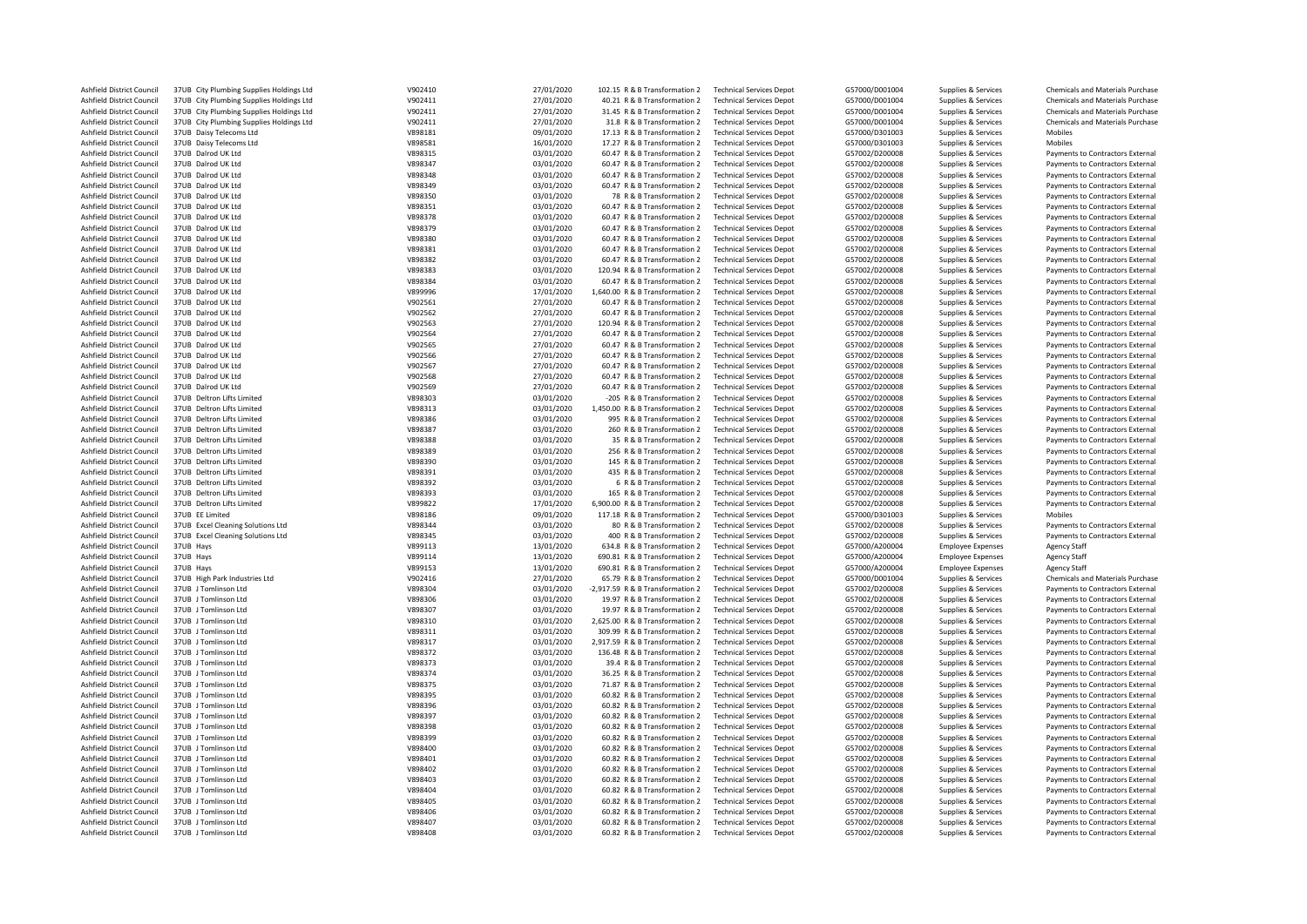| Ashfield District Council        | 37UB City Plumbing Supplies Holdings Ltd | V902410 | 27/01/2020 | 102.15 R & B Transformation 2    | <b>Technical Services Depot</b> | G57000/D001004 | Supplies & Services      | <b>Chemicals and Materials Purchase</b> |
|----------------------------------|------------------------------------------|---------|------------|----------------------------------|---------------------------------|----------------|--------------------------|-----------------------------------------|
| Ashfield District Council        | 37UB City Plumbing Supplies Holdings Ltd | V902411 | 27/01/2020 | 40.21 R & B Transformation 2     | <b>Technical Services Depot</b> | G57000/D001004 | Supplies & Services      | <b>Chemicals and Materials Purchase</b> |
| Ashfield District Council        | 37UB City Plumbing Supplies Holdings Ltd | V902411 | 27/01/2020 | 31.45 R & B Transformation 2     | <b>Technical Services Depot</b> | G57000/D001004 | Supplies & Services      | <b>Chemicals and Materials Purchase</b> |
| Ashfield District Council        | 37UB City Plumbing Supplies Holdings Ltd | V902411 | 27/01/2020 | 31.8 R & B Transformation 2      | <b>Technical Services Depot</b> | G57000/D001004 | Supplies & Services      | <b>Chemicals and Materials Purchase</b> |
| Ashfield District Council        | 37UB Daisy Telecoms Ltd                  | V898181 | 09/01/2020 | 17.13 R & B Transformation 2     | <b>Technical Services Depot</b> | G57000/D301003 | Supplies & Services      | Mobiles                                 |
| Ashfield District Council        | 37UB Daisy Telecoms Ltd                  | V898581 | 16/01/2020 | 17.27 R & B Transformation 2     | <b>Technical Services Depot</b> | G57000/D301003 | Supplies & Services      | Mobiles                                 |
| Ashfield District Council        | 37UB Dalrod UK Ltd                       | V898315 | 03/01/2020 | 60.47 R & B Transformation 2     | <b>Technical Services Depot</b> | G57002/D200008 | Supplies & Services      | Payments to Contractors External        |
| Ashfield District Council        | 37UB Dalrod UK Ltd                       | V898347 | 03/01/2020 | 60.47 R & B Transformation 2     | <b>Technical Services Depot</b> | G57002/D200008 | Supplies & Services      | Payments to Contractors External        |
| Ashfield District Council        | 37UB Dalrod UK Ltd                       | V898348 | 03/01/2020 | 60.47 R & B Transformation 2     | <b>Technical Services Depot</b> | G57002/D200008 | Supplies & Services      | Payments to Contractors External        |
| Ashfield District Council        | 37UB Dalrod UK Ltd                       | V898349 | 03/01/2020 | 60.47 R & B Transformation 2     | <b>Technical Services Depot</b> | G57002/D200008 | Supplies & Services      | Payments to Contractors External        |
| Ashfield District Council        | 37UB Dalrod UK Ltd                       | V898350 | 03/01/2020 | 78 R & B Transformation 2        | <b>Technical Services Depot</b> | G57002/D200008 | Supplies & Services      | Payments to Contractors External        |
| Ashfield District Council        | 37UB Dalrod UK Ltd                       | V898351 | 03/01/2020 | 60.47 R & B Transformation 2     | <b>Technical Services Depot</b> | G57002/D200008 | Supplies & Services      | Payments to Contractors External        |
| Ashfield District Council        | 37UB Dalrod UK Ltd                       | V898378 | 03/01/2020 | 60.47 R & B Transformation 2     | <b>Technical Services Depot</b> | G57002/D200008 | Supplies & Services      | Payments to Contractors External        |
| Ashfield District Council        | 37UB Dalrod UK Ltd                       | V898379 | 03/01/2020 | 60.47 R & B Transformation 2     | <b>Technical Services Depot</b> | G57002/D200008 | Supplies & Services      | Payments to Contractors External        |
| Ashfield District Council        | 37UB Dalrod UK Ltd                       | V898380 | 03/01/2020 | 60.47 R & B Transformation 2     | <b>Technical Services Depot</b> | G57002/D200008 | Supplies & Services      | Payments to Contractors External        |
| Ashfield District Council        | 37UB Dalrod UK Ltd                       | V898381 | 03/01/2020 | 60.47 R & B Transformation 2     | <b>Technical Services Depot</b> | G57002/D200008 | Supplies & Services      | Payments to Contractors External        |
|                                  | 37UB Dalrod UK Ltd                       | V898382 |            |                                  |                                 |                |                          |                                         |
| Ashfield District Council        |                                          |         | 03/01/2020 | 60.47 R & B Transformation 2     | <b>Technical Services Depot</b> | G57002/D200008 | Supplies & Services      | Payments to Contractors External        |
| Ashfield District Council        | 37UB Dalrod UK Ltd                       | V898383 | 03/01/2020 | 120.94 R & B Transformation 2    | <b>Technical Services Depot</b> | G57002/D200008 | Supplies & Services      | Payments to Contractors External        |
| Ashfield District Council        | 37UB Dalrod UK Ltd                       | V898384 | 03/01/2020 | 60.47 R & B Transformation 2     | <b>Technical Services Depot</b> | G57002/D200008 | Supplies & Services      | Payments to Contractors External        |
| Ashfield District Council        | 37UB Dalrod UK Ltd                       | V899996 | 17/01/2020 | 1,640.00 R & B Transformation 2  | <b>Technical Services Depot</b> | G57002/D200008 | Supplies & Services      | Payments to Contractors External        |
| Ashfield District Council        | 37UB Dalrod UK Ltd                       | V902561 | 27/01/2020 | 60.47 R & B Transformation 2     | <b>Technical Services Depot</b> | G57002/D200008 | Supplies & Services      | Payments to Contractors External        |
| Ashfield District Council        | 37UB Dalrod UK Ltd                       | V902562 | 27/01/2020 | 60.47 R & B Transformation 2     | <b>Technical Services Depot</b> | G57002/D200008 | Supplies & Services      | Payments to Contractors External        |
| Ashfield District Council        | 37UB Dalrod UK Ltd                       | V902563 | 27/01/2020 | 120.94 R & B Transformation 2    | <b>Technical Services Depot</b> | G57002/D200008 | Supplies & Services      | Payments to Contractors External        |
| Ashfield District Council        | 37UB Dalrod UK Ltd                       | V902564 | 27/01/2020 | 60.47 R & B Transformation 2     | <b>Technical Services Depot</b> | G57002/D200008 | Supplies & Services      | Payments to Contractors External        |
| Ashfield District Council        | 37UB Dalrod UK Ltd                       | V902565 | 27/01/2020 | 60.47 R & B Transformation 2     | <b>Technical Services Depot</b> | G57002/D200008 | Supplies & Services      | Payments to Contractors External        |
| Ashfield District Council        | 37UB Dalrod UK Ltd                       | V902566 | 27/01/2020 | 60.47 R & B Transformation 2     | <b>Technical Services Depot</b> | G57002/D200008 | Supplies & Services      | Payments to Contractors External        |
| Ashfield District Council        | 37UB Dalrod UK Ltd                       | V902567 | 27/01/2020 | 60.47 R & B Transformation 2     | <b>Technical Services Depot</b> | G57002/D200008 | Supplies & Services      | Payments to Contractors External        |
| Ashfield District Council        | 37UB Dalrod UK Ltd                       | V902568 | 27/01/2020 | 60.47 R & B Transformation 2     | <b>Technical Services Depot</b> | G57002/D200008 | Supplies & Services      | Payments to Contractors External        |
| Ashfield District Council        | 37UB Dalrod UK Ltd                       | V902569 | 27/01/2020 | 60.47 R & B Transformation 2     | <b>Technical Services Depot</b> | G57002/D200008 | Supplies & Services      | Payments to Contractors External        |
| Ashfield District Council        | 37UB Deltron Lifts Limited               | V898303 | 03/01/2020 | -205 R & B Transformation 2      | <b>Technical Services Depot</b> | G57002/D200008 | Supplies & Services      | Payments to Contractors External        |
|                                  | 37UB Deltron Lifts Limited               |         | 03/01/2020 |                                  |                                 |                |                          |                                         |
| Ashfield District Council        |                                          | V898313 |            | 1,450.00 R & B Transformation 2  | <b>Technical Services Depot</b> | G57002/D200008 | Supplies & Services      | Payments to Contractors External        |
| Ashfield District Council        | 37UB Deltron Lifts Limited               | V898386 | 03/01/2020 | 995 R & B Transformation 2       | <b>Technical Services Depot</b> | G57002/D200008 | Supplies & Services      | Payments to Contractors External        |
| Ashfield District Council        | 37UB Deltron Lifts Limited               | V898387 | 03/01/2020 | 260 R & B Transformation 2       | <b>Technical Services Depot</b> | G57002/D200008 | Supplies & Services      | Payments to Contractors External        |
| Ashfield District Council        | 37UB Deltron Lifts Limited               | V898388 | 03/01/2020 | 35 R & B Transformation 2        | <b>Technical Services Depot</b> | G57002/D200008 | Supplies & Services      | Payments to Contractors External        |
| Ashfield District Council        | 37UB Deltron Lifts Limited               | V898389 | 03/01/2020 | 256 R & B Transformation 2       | <b>Technical Services Depot</b> | G57002/D200008 | Supplies & Services      | Payments to Contractors External        |
| Ashfield District Council        | 37UB Deltron Lifts Limited               | V898390 | 03/01/2020 | 145 R & B Transformation 2       | <b>Technical Services Depot</b> | G57002/D200008 | Supplies & Services      | Payments to Contractors External        |
| <b>Ashfield District Council</b> | 37UB Deltron Lifts Limited               | V898391 | 03/01/2020 | 435 R & B Transformation 2       | <b>Technical Services Depot</b> | G57002/D200008 | Supplies & Services      | Payments to Contractors External        |
| Ashfield District Council        | 37UB Deltron Lifts Limited               | V898392 | 03/01/2020 | 6 R & B Transformation 2         | <b>Technical Services Depot</b> | G57002/D200008 | Supplies & Services      | Payments to Contractors External        |
| Ashfield District Council        | 37UB Deltron Lifts Limited               | V898393 | 03/01/2020 | 165 R & B Transformation 2       | <b>Technical Services Depot</b> | G57002/D200008 | Supplies & Services      | Payments to Contractors External        |
| Ashfield District Council        | 37UB Deltron Lifts Limited               | V899822 | 17/01/2020 | 6,900.00 R & B Transformation 2  | <b>Technical Services Depot</b> | G57002/D200008 | Supplies & Services      | Payments to Contractors External        |
| Ashfield District Council        | 37UB EE Limited                          | V898186 | 09/01/2020 | 117.18 R & B Transformation 2    | <b>Technical Services Depot</b> | G57000/D301003 | Supplies & Services      | Mobiles                                 |
| Ashfield District Council        | 37UB Excel Cleaning Solutions Ltd        | V898344 | 03/01/2020 | 80 R & B Transformation 2        | <b>Technical Services Depot</b> | G57002/D200008 | Supplies & Services      | Payments to Contractors External        |
| Ashfield District Council        | 37UB Excel Cleaning Solutions Ltd        | V898345 | 03/01/2020 | 400 R & B Transformation 2       | <b>Technical Services Depot</b> | G57002/D200008 | Supplies & Services      | Payments to Contractors External        |
| Ashfield District Council        | 37UB Havs                                | V899113 | 13/01/2020 | 634.8 R & B Transformation 2     | <b>Technical Services Depot</b> | G57000/A200004 | <b>Employee Expenses</b> | <b>Agency Staff</b>                     |
| Ashfield District Council        | 37UB Hays                                | V899114 | 13/01/2020 | 690.81 R & B Transformation 2    | <b>Technical Services Depot</b> | G57000/A200004 | <b>Employee Expenses</b> | <b>Agency Staff</b>                     |
|                                  |                                          |         |            |                                  |                                 |                |                          |                                         |
| Ashfield District Council        | 37UB Hays                                | V899153 | 13/01/2020 | 690.81 R & B Transformation 2    | <b>Technical Services Depot</b> | G57000/A200004 | <b>Employee Expenses</b> | <b>Agency Staff</b>                     |
| Ashfield District Council        | 37UB High Park Industries Ltd            | V902416 | 27/01/2020 | 65.79 R & B Transformation 2     | <b>Technical Services Depot</b> | G57000/D001004 | Supplies & Services      | <b>Chemicals and Materials Purchase</b> |
| Ashfield District Council        | 37UB J Tomlinson Ltd                     | V898304 | 03/01/2020 | -2,917.59 R & B Transformation 2 | <b>Technical Services Depot</b> | G57002/D200008 | Supplies & Services      | Payments to Contractors External        |
| Ashfield District Council        | 37UB J Tomlinson Ltd                     | V898306 | 03/01/2020 | 19.97 R & B Transformation 2     | <b>Technical Services Depot</b> | G57002/D200008 | Supplies & Services      | Payments to Contractors External        |
| Ashfield District Council        | 37UB J Tomlinson Ltd                     | V898307 | 03/01/2020 | 19.97 R & B Transformation 2     | <b>Technical Services Depot</b> | G57002/D200008 | Supplies & Services      | Payments to Contractors External        |
| Ashfield District Council        | 37UB J Tomlinson Ltd                     | V898310 | 03/01/2020 | 2,625.00 R & B Transformation 2  | <b>Technical Services Depot</b> | G57002/D200008 | Supplies & Services      | Payments to Contractors External        |
| Ashfield District Council        | 37UB J Tomlinson Ltd                     | V898311 | 03/01/2020 | 309.99 R & B Transformation 2    | <b>Technical Services Depot</b> | G57002/D200008 | Supplies & Services      | Payments to Contractors External        |
| Ashfield District Council        | 37UB J Tomlinson Ltd                     | V898317 | 03/01/2020 | 2,917.59 R & B Transformation 2  | <b>Technical Services Depot</b> | G57002/D200008 | Supplies & Services      | Payments to Contractors External        |
| Ashfield District Council        | 37UB J Tomlinson Ltd                     | V898372 | 03/01/2020 | 136.48 R & B Transformation 2    | <b>Technical Services Depot</b> | G57002/D200008 | Supplies & Services      | Payments to Contractors External        |
| Ashfield District Council        | 37UB J Tomlinson Ltd                     | V898373 | 03/01/2020 | 39.4 R & B Transformation 2      | <b>Technical Services Depot</b> | G57002/D200008 | Supplies & Services      | Payments to Contractors External        |
| Ashfield District Council        | 37UB J Tomlinson Ltd                     | V898374 | 03/01/2020 | 36.25 R & B Transformation 2     | <b>Technical Services Depot</b> | G57002/D200008 | Supplies & Services      | Payments to Contractors External        |
| Ashfield District Council        | 37UB J Tomlinson Ltd                     | V898375 | 03/01/2020 | 71.87 R & B Transformation 2     | <b>Technical Services Depot</b> | G57002/D200008 | Supplies & Services      | Payments to Contractors External        |
| Ashfield District Council        | 37UB J Tomlinson Ltd                     | V898395 | 03/01/2020 | 60.82 R & B Transformation 2     | <b>Technical Services Depot</b> | G57002/D200008 | Supplies & Services      | Payments to Contractors External        |
| Ashfield District Council        | 37UB J Tomlinson Ltd                     | V898396 | 03/01/2020 | 60.82 R & B Transformation 2     | <b>Technical Services Depot</b> | G57002/D200008 | Supplies & Services      | Payments to Contractors External        |
| Ashfield District Council        | 37UB J Tomlinson Ltd                     | V898397 | 03/01/2020 | 60.82 R & B Transformation 2     | <b>Technical Services Depot</b> | G57002/D200008 | Supplies & Services      | Payments to Contractors External        |
| Ashfield District Council        | 37UB J Tomlinson Ltd                     | V898398 | 03/01/2020 | 60.82 R & B Transformation 2     | <b>Technical Services Depot</b> | G57002/D200008 | Supplies & Services      | Payments to Contractors External        |
|                                  |                                          |         |            |                                  |                                 |                |                          |                                         |
| Ashfield District Council        | 37UB J Tomlinson Ltd                     | V898399 | 03/01/2020 | 60.82 R & B Transformation 2     | <b>Technical Services Depot</b> | G57002/D200008 | Supplies & Services      | Payments to Contractors External        |
| Ashfield District Council        | 37UB J Tomlinson Ltd                     | V898400 | 03/01/2020 | 60.82 R & B Transformation 2     | <b>Technical Services Depot</b> | G57002/D200008 | Supplies & Services      | Payments to Contractors External        |
| Ashfield District Council        | 37UB J Tomlinson Ltd                     | V898401 | 03/01/2020 | 60.82 R & B Transformation 2     | <b>Technical Services Depot</b> | G57002/D200008 | Supplies & Services      | Payments to Contractors External        |
| Ashfield District Council        | 37UB J Tomlinson Ltd                     | V898402 | 03/01/2020 | 60.82 R & B Transformation 2     | <b>Technical Services Depot</b> | G57002/D200008 | Supplies & Services      | Payments to Contractors External        |
| Ashfield District Council        | 37UB J Tomlinson Ltd                     | V898403 | 03/01/2020 | 60.82 R & B Transformation 2     | <b>Technical Services Depot</b> | G57002/D200008 | Supplies & Services      | Payments to Contractors External        |
| Ashfield District Council        | 37UB J Tomlinson Ltd                     | V898404 | 03/01/2020 | 60.82 R & B Transformation 2     | <b>Technical Services Depot</b> | G57002/D200008 | Supplies & Services      | Payments to Contractors External        |
| Ashfield District Council        | 37UB J Tomlinson Ltd                     | V898405 | 03/01/2020 | 60.82 R & B Transformation 2     | <b>Technical Services Depot</b> | G57002/D200008 | Supplies & Services      | Payments to Contractors External        |
| Ashfield District Council        | 37UB J Tomlinson Ltd                     | V898406 | 03/01/2020 | 60.82 R & B Transformation 2     | <b>Technical Services Depot</b> | G57002/D200008 | Supplies & Services      | Payments to Contractors External        |
| Ashfield District Council        | 37UB J Tomlinson Ltd                     | V898407 | 03/01/2020 | 60.82 R & B Transformation 2     | <b>Technical Services Depot</b> | G57002/D200008 | Supplies & Services      | Payments to Contractors External        |
| Ashfield District Council        | 37UB J Tomlinson Ltd                     | V898408 | 03/01/2020 | 60.82 R & B Transformation 2     | <b>Technical Services Depot</b> | G57002/D200008 | Supplies & Services      | Payments to Contractors External        |
|                                  |                                          |         |            |                                  |                                 |                |                          |                                         |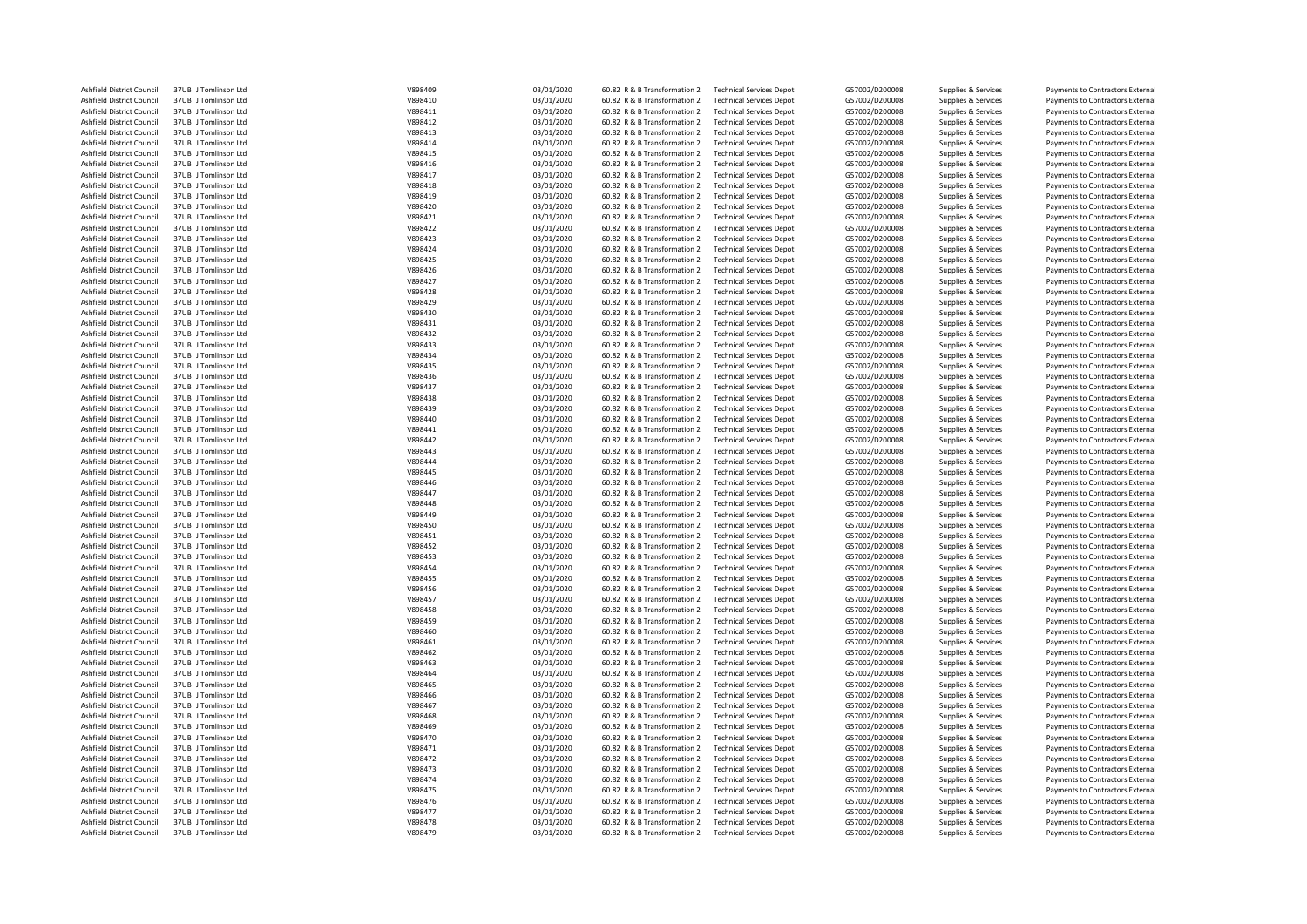| Ashfield District Council | 37UB J Tomlinson Ltd | V898409 | 03/01/2020 | 60.82 R & B Transformation 2 | <b>Technical Services Depot</b> | G57002/D200008 | Supplies & Services | Payments to Contractors External |
|---------------------------|----------------------|---------|------------|------------------------------|---------------------------------|----------------|---------------------|----------------------------------|
| Ashfield District Council | 37UB J Tomlinson Ltd | V898410 | 03/01/2020 | 60.82 R & B Transformation 2 | <b>Technical Services Depot</b> | G57002/D200008 | Supplies & Services | Payments to Contractors External |
| Ashfield District Council | 37UB J Tomlinson Ltd | V898411 | 03/01/2020 | 60.82 R & B Transformation 2 | <b>Technical Services Depot</b> | G57002/D200008 | Supplies & Services | Payments to Contractors External |
| Ashfield District Council | 37UB J Tomlinson Ltd | V898412 | 03/01/2020 | 60.82 R & B Transformation 2 | <b>Technical Services Depot</b> | G57002/D200008 | Supplies & Services | Payments to Contractors External |
| Ashfield District Council | 37UB J Tomlinson Ltd | V898413 | 03/01/2020 | 60.82 R & B Transformation 2 | <b>Technical Services Depot</b> | G57002/D200008 | Supplies & Services | Payments to Contractors External |
| Ashfield District Council | 37UB J Tomlinson Ltd | V898414 | 03/01/2020 | 60.82 R & B Transformation 2 | <b>Technical Services Depot</b> | G57002/D200008 | Supplies & Services | Payments to Contractors External |
| Ashfield District Council | 37UB J Tomlinson Ltd | V898415 | 03/01/2020 | 60.82 R & B Transformation 2 | <b>Technical Services Depot</b> | G57002/D200008 | Supplies & Services | Payments to Contractors External |
| Ashfield District Council | 37UB J Tomlinson Ltd | V898416 | 03/01/2020 | 60.82 R & B Transformation 2 | <b>Technical Services Depot</b> | G57002/D200008 | Supplies & Services | Payments to Contractors External |
| Ashfield District Council | 37UB J Tomlinson Ltd | V898417 | 03/01/2020 | 60.82 R & B Transformation 2 | <b>Technical Services Depot</b> | G57002/D200008 | Supplies & Services | Payments to Contractors External |
| Ashfield District Council | 37UB J Tomlinson Ltd | V898418 |            | 60.82 R & B Transformation 2 | <b>Technical Services Depot</b> | G57002/D200008 |                     | Payments to Contractors External |
|                           |                      | V898419 | 03/01/2020 |                              |                                 |                | Supplies & Services |                                  |
| Ashfield District Council | 37UB J Tomlinson Ltd |         | 03/01/2020 | 60.82 R & B Transformation 2 | <b>Technical Services Depot</b> | G57002/D200008 | Supplies & Services | Payments to Contractors External |
| Ashfield District Council | 37UB J Tomlinson Ltd | V898420 | 03/01/2020 | 60.82 R & B Transformation 2 | <b>Technical Services Depot</b> | G57002/D200008 | Supplies & Services | Payments to Contractors External |
| Ashfield District Council | 37UB J Tomlinson Ltd | V898421 | 03/01/2020 | 60.82 R & B Transformation 2 | <b>Technical Services Depot</b> | G57002/D200008 | Supplies & Services | Payments to Contractors External |
| Ashfield District Council | 37UB J Tomlinson Ltd | V898422 | 03/01/2020 | 60.82 R & B Transformation 2 | <b>Technical Services Depot</b> | G57002/D200008 | Supplies & Services | Payments to Contractors External |
| Ashfield District Council | 37UB J Tomlinson Ltd | V898423 | 03/01/2020 | 60.82 R & B Transformation 2 | <b>Technical Services Depot</b> | G57002/D200008 | Supplies & Services | Payments to Contractors External |
| Ashfield District Council | 37UB J Tomlinson Ltd | V898424 | 03/01/2020 | 60.82 R & B Transformation 2 | <b>Technical Services Depot</b> | G57002/D200008 | Supplies & Services | Payments to Contractors External |
| Ashfield District Council | 37UB J Tomlinson Ltd | V898425 | 03/01/2020 | 60.82 R & B Transformation 2 | <b>Technical Services Depot</b> | G57002/D200008 | Supplies & Services | Payments to Contractors External |
| Ashfield District Council | 37UB J Tomlinson Ltd | V898426 | 03/01/2020 | 60.82 R & B Transformation 2 | <b>Technical Services Depot</b> | G57002/D200008 | Supplies & Services | Payments to Contractors External |
| Ashfield District Council | 37UB J Tomlinson Ltd | V898427 | 03/01/2020 | 60.82 R & B Transformation 2 | <b>Technical Services Depot</b> | G57002/D200008 | Supplies & Services | Payments to Contractors External |
| Ashfield District Council | 37UB J Tomlinson Ltd | V898428 | 03/01/2020 | 60.82 R & B Transformation 2 | <b>Technical Services Depot</b> | G57002/D200008 | Supplies & Services | Payments to Contractors External |
| Ashfield District Council | 37UB J Tomlinson Ltd | V898429 | 03/01/2020 | 60.82 R & B Transformation 2 | <b>Technical Services Depot</b> | G57002/D200008 | Supplies & Services | Payments to Contractors External |
| Ashfield District Council | 37UB J Tomlinson Ltd | V898430 | 03/01/2020 | 60.82 R & B Transformation 2 | <b>Technical Services Depot</b> | G57002/D200008 | Supplies & Services | Payments to Contractors External |
| Ashfield District Council | 37UB J Tomlinson Ltd | V898431 | 03/01/2020 | 60.82 R & B Transformation 2 | <b>Technical Services Depot</b> | G57002/D200008 | Supplies & Services | Payments to Contractors External |
| Ashfield District Council | 37UB J Tomlinson Ltd | V898432 | 03/01/2020 | 60.82 R & B Transformation 2 | <b>Technical Services Depot</b> | G57002/D200008 | Supplies & Services | Payments to Contractors External |
| Ashfield District Council | 37UB J Tomlinson Ltd | V898433 | 03/01/2020 | 60.82 R & B Transformation 2 | <b>Technical Services Depot</b> | G57002/D200008 | Supplies & Services | Payments to Contractors External |
| Ashfield District Council | 37UB J Tomlinson Ltd | V898434 | 03/01/2020 | 60.82 R & B Transformation 2 | <b>Technical Services Depot</b> | G57002/D200008 | Supplies & Services | Payments to Contractors External |
| Ashfield District Council | 37UB J Tomlinson Ltd | V898435 | 03/01/2020 | 60.82 R & B Transformation 2 | <b>Technical Services Depot</b> | G57002/D200008 | Supplies & Services | Payments to Contractors External |
| Ashfield District Council | 37UB J Tomlinson Ltd | V898436 | 03/01/2020 | 60.82 R & B Transformation 2 | <b>Technical Services Depot</b> | G57002/D200008 | Supplies & Services | Payments to Contractors External |
| Ashfield District Council | 37UB J Tomlinson Ltd | V898437 | 03/01/2020 | 60.82 R & B Transformation 2 | <b>Technical Services Depot</b> | G57002/D200008 | Supplies & Services | Payments to Contractors External |
| Ashfield District Council | 37UB J Tomlinson Ltd | V898438 | 03/01/2020 | 60.82 R & B Transformation 2 | <b>Technical Services Depot</b> | G57002/D200008 | Supplies & Services | Payments to Contractors External |
| Ashfield District Council | 37UB J Tomlinson Ltd | V898439 | 03/01/2020 | 60.82 R & B Transformation 2 | <b>Technical Services Depot</b> | G57002/D200008 | Supplies & Services | Payments to Contractors External |
|                           | 37UB J Tomlinson Ltd | V898440 |            | 60.82 R & B Transformation 2 |                                 | G57002/D200008 |                     |                                  |
| Ashfield District Council |                      |         | 03/01/2020 |                              | <b>Technical Services Depot</b> |                | Supplies & Services | Payments to Contractors External |
| Ashfield District Council | 37UB J Tomlinson Ltd | V898441 | 03/01/2020 | 60.82 R & B Transformation 2 | <b>Technical Services Depot</b> | G57002/D200008 | Supplies & Services | Payments to Contractors External |
| Ashfield District Council | 37UB J Tomlinson Ltd | V898442 | 03/01/2020 | 60.82 R & B Transformation 2 | <b>Technical Services Depot</b> | G57002/D200008 | Supplies & Services | Payments to Contractors External |
| Ashfield District Council | 37UB J Tomlinson Ltd | V898443 | 03/01/2020 | 60.82 R & B Transformation 2 | <b>Technical Services Depot</b> | G57002/D200008 | Supplies & Services | Payments to Contractors External |
| Ashfield District Council | 37UB J Tomlinson Ltd | V898444 | 03/01/2020 | 60.82 R & B Transformation 2 | <b>Technical Services Depot</b> | G57002/D200008 | Supplies & Services | Payments to Contractors External |
| Ashfield District Council | 37UB J Tomlinson Ltd | V898445 | 03/01/2020 | 60.82 R & B Transformation 2 | <b>Technical Services Depot</b> | G57002/D200008 | Supplies & Services | Payments to Contractors External |
| Ashfield District Council | 37UB J Tomlinson Ltd | V898446 | 03/01/2020 | 60.82 R & B Transformation 2 | <b>Technical Services Depot</b> | G57002/D200008 | Supplies & Services | Payments to Contractors External |
| Ashfield District Council | 37UB J Tomlinson Ltd | V898447 | 03/01/2020 | 60.82 R & B Transformation 2 | <b>Technical Services Depot</b> | G57002/D200008 | Supplies & Services | Payments to Contractors External |
| Ashfield District Council | 37UB J Tomlinson Ltd | V898448 | 03/01/2020 | 60.82 R & B Transformation 2 | <b>Technical Services Depot</b> | G57002/D200008 | Supplies & Services | Payments to Contractors External |
| Ashfield District Council | 37UB J Tomlinson Ltd | V898449 | 03/01/2020 | 60.82 R & B Transformation 2 | <b>Technical Services Depot</b> | G57002/D200008 | Supplies & Services | Payments to Contractors External |
| Ashfield District Council | 37UB J Tomlinson Ltd | V898450 | 03/01/2020 | 60.82 R & B Transformation 2 | <b>Technical Services Depot</b> | G57002/D200008 | Supplies & Services | Payments to Contractors External |
| Ashfield District Council | 37UB J Tomlinson Ltd | V898451 | 03/01/2020 | 60.82 R & B Transformation 2 | <b>Technical Services Depot</b> | G57002/D200008 | Supplies & Services | Payments to Contractors External |
| Ashfield District Council | 37UB J Tomlinson Ltd | V898452 | 03/01/2020 | 60.82 R & B Transformation 2 | <b>Technical Services Depot</b> | G57002/D200008 | Supplies & Services | Payments to Contractors External |
| Ashfield District Council | 37UB J Tomlinson Ltd | V898453 | 03/01/2020 | 60.82 R & B Transformation 2 | <b>Technical Services Depot</b> | G57002/D200008 | Supplies & Services | Payments to Contractors External |
| Ashfield District Council | 37UB J Tomlinson Ltd | V898454 | 03/01/2020 | 60.82 R & B Transformation 2 | <b>Technical Services Depot</b> | G57002/D200008 | Supplies & Services | Payments to Contractors External |
| Ashfield District Council | 37UB J Tomlinson Ltd | V898455 | 03/01/2020 | 60.82 R & B Transformation 2 | <b>Technical Services Depot</b> | G57002/D200008 | Supplies & Services | Payments to Contractors External |
| Ashfield District Council | 37UB J Tomlinson Ltd | V898456 | 03/01/2020 | 60.82 R & B Transformation 2 | <b>Technical Services Depot</b> | G57002/D200008 | Supplies & Services | Payments to Contractors External |
| Ashfield District Council | 37UB J Tomlinson Ltd | V898457 | 03/01/2020 | 60.82 R & B Transformation 2 | <b>Technical Services Depot</b> | G57002/D200008 | Supplies & Services | Payments to Contractors External |
| Ashfield District Council | 37UB J Tomlinson Ltd | V898458 | 03/01/2020 | 60.82 R & B Transformation 2 | <b>Technical Services Depot</b> | G57002/D200008 | Supplies & Services | Payments to Contractors External |
| Ashfield District Council | 37UB J Tomlinson Ltd | V898459 | 03/01/2020 | 60.82 R & B Transformation 2 | <b>Technical Services Depot</b> | G57002/D200008 | Supplies & Services | Payments to Contractors External |
| Ashfield District Council | 37UB J Tomlinson Ltd | V898460 | 03/01/2020 | 60.82 R & B Transformation 2 | <b>Technical Services Depot</b> | G57002/D200008 | Supplies & Services | Payments to Contractors External |
| Ashfield District Council | 37UB J Tomlinson Ltd | V898461 | 03/01/2020 | 60.82 R & B Transformation 2 | <b>Technical Services Depot</b> | G57002/D200008 | Supplies & Services | Payments to Contractors External |
| Ashfield District Council | 37UB J Tomlinson Ltd | V898462 | 03/01/2020 | 60.82 R & B Transformation 2 | <b>Technical Services Depot</b> | G57002/D200008 | Supplies & Services | Payments to Contractors External |
| Ashfield District Council | 37UB J Tomlinson Ltd | V898463 | 03/01/2020 | 60.82 R & B Transformation 2 | <b>Technical Services Depot</b> | G57002/D200008 | Supplies & Services | Payments to Contractors External |
| Ashfield District Council | 37UB J Tomlinson Ltd | V898464 | 03/01/2020 | 60.82 R & B Transformation 2 | <b>Technical Services Depot</b> | G57002/D200008 | Supplies & Services | Payments to Contractors External |
| Ashfield District Council | 37UB J Tomlinson Ltd | V898465 | 03/01/2020 | 60.82 R & B Transformation 2 | <b>Technical Services Depot</b> | G57002/D200008 | Supplies & Services | Payments to Contractors External |
| Ashfield District Council | 37UB J Tomlinson Ltd | V898466 | 03/01/2020 | 60.82 R & B Transformation 2 | <b>Technical Services Depot</b> | G57002/D200008 | Supplies & Services | Payments to Contractors External |
| Ashfield District Council | 37UB J Tomlinson Ltd | V898467 | 03/01/2020 | 60.82 R & B Transformation 2 | <b>Technical Services Depot</b> | G57002/D200008 | Supplies & Services | Payments to Contractors External |
| Ashfield District Council | 37UB J Tomlinson Ltd | V898468 | 03/01/2020 | 60.82 R & B Transformation 2 | <b>Technical Services Depot</b> | G57002/D200008 | Supplies & Services | Payments to Contractors External |
|                           |                      | V898469 |            |                              |                                 |                |                     |                                  |
| Ashfield District Council | 37UB J Tomlinson Ltd |         | 03/01/2020 | 60.82 R & B Transformation 2 | <b>Technical Services Depot</b> | G57002/D200008 | Supplies & Services | Payments to Contractors External |
| Ashfield District Council | 37UB J Tomlinson Ltd | V898470 | 03/01/2020 | 60.82 R & B Transformation 2 | <b>Technical Services Depot</b> | G57002/D200008 | Supplies & Services | Payments to Contractors External |
| Ashfield District Council | 37UB J Tomlinson Ltd | V898471 | 03/01/2020 | 60.82 R & B Transformation 2 | <b>Technical Services Depot</b> | G57002/D200008 | Supplies & Services | Payments to Contractors External |
| Ashfield District Council | 37UB J Tomlinson Ltd | V898472 | 03/01/2020 | 60.82 R & B Transformation 2 | <b>Technical Services Depot</b> | G57002/D200008 | Supplies & Services | Payments to Contractors External |
| Ashfield District Council | 37UB J Tomlinson Ltd | V898473 | 03/01/2020 | 60.82 R & B Transformation 2 | <b>Technical Services Depot</b> | G57002/D200008 | Supplies & Services | Payments to Contractors External |
| Ashfield District Council | 37UB J Tomlinson Ltd | V898474 | 03/01/2020 | 60.82 R & B Transformation 2 | <b>Technical Services Depot</b> | G57002/D200008 | Supplies & Services | Payments to Contractors External |
| Ashfield District Council | 37UB J Tomlinson Ltd | V898475 | 03/01/2020 | 60.82 R & B Transformation 2 | <b>Technical Services Depot</b> | G57002/D200008 | Supplies & Services | Payments to Contractors External |
| Ashfield District Council | 37UB J Tomlinson Ltd | V898476 | 03/01/2020 | 60.82 R & B Transformation 2 | <b>Technical Services Depot</b> | G57002/D200008 | Supplies & Services | Payments to Contractors External |
| Ashfield District Council | 37UB J Tomlinson Ltd | V898477 | 03/01/2020 | 60.82 R & B Transformation 2 | <b>Technical Services Depot</b> | G57002/D200008 | Supplies & Services | Payments to Contractors External |
| Ashfield District Council | 37UB J Tomlinson Ltd | V898478 | 03/01/2020 | 60.82 R & B Transformation 2 | <b>Technical Services Depot</b> | G57002/D200008 | Supplies & Services | Payments to Contractors External |
| Ashfield District Council | 37UB J Tomlinson Ltd | V898479 | 03/01/2020 | 60.82 R & B Transformation 2 | <b>Technical Services Depot</b> | G57002/D200008 | Supplies & Services | Payments to Contractors External |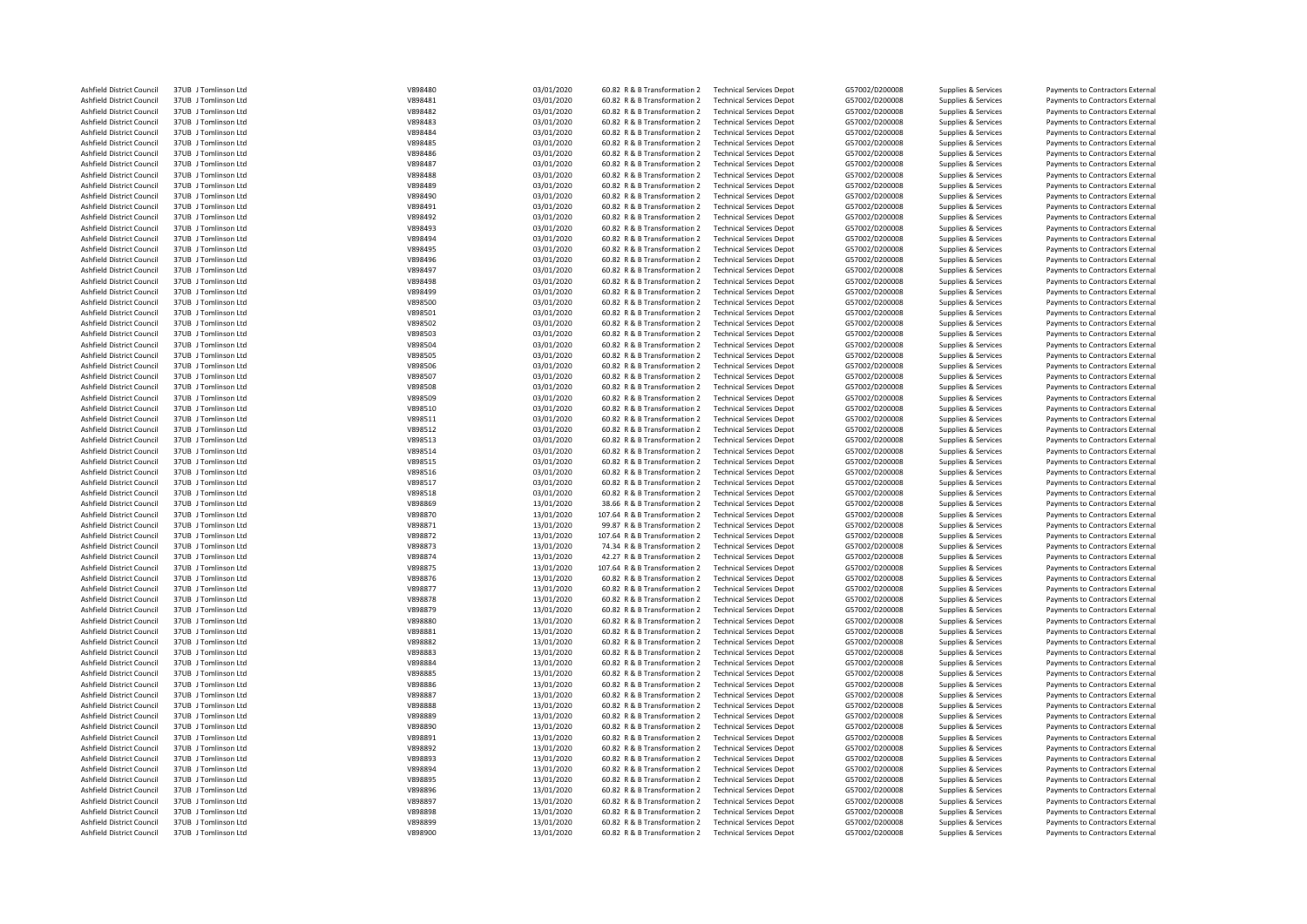| Ashfield District Council        | 37UB J Tomlinson Ltd | V898480 | 03/01/2020 | 60.82 R & B Transformation 2  | <b>Technical Services Depot</b> | G57002/D200008 | Supplies & Services | Payments to Contractors External |
|----------------------------------|----------------------|---------|------------|-------------------------------|---------------------------------|----------------|---------------------|----------------------------------|
| Ashfield District Council        | 37UB J Tomlinson Ltd | V898481 | 03/01/2020 | 60.82 R & B Transformation 2  | <b>Technical Services Depot</b> | G57002/D200008 | Supplies & Services | Payments to Contractors External |
| Ashfield District Council        | 37UB J Tomlinson Ltd | V898482 | 03/01/2020 | 60.82 R & B Transformation 2  | <b>Technical Services Depot</b> | G57002/D200008 | Supplies & Services | Payments to Contractors External |
| Ashfield District Council        | 37UB J Tomlinson Ltd | V898483 | 03/01/2020 | 60.82 R & B Transformation 2  | <b>Technical Services Depot</b> | G57002/D200008 | Supplies & Services | Payments to Contractors External |
|                                  |                      |         |            |                               |                                 |                |                     |                                  |
| Ashfield District Council        | 37UB J Tomlinson Ltd | V898484 | 03/01/2020 | 60.82 R & B Transformation 2  | <b>Technical Services Depot</b> | G57002/D200008 | Supplies & Services | Payments to Contractors External |
| Ashfield District Council        | 37UB J Tomlinson Ltd | V898485 | 03/01/2020 | 60.82 R & B Transformation 2  | <b>Technical Services Depot</b> | G57002/D200008 | Supplies & Services | Payments to Contractors External |
| Ashfield District Council        | 37UB J Tomlinson Ltd | V898486 | 03/01/2020 | 60.82 R & B Transformation 2  | <b>Technical Services Depot</b> | G57002/D200008 | Supplies & Services | Payments to Contractors External |
| Ashfield District Council        | 37UB J Tomlinson Ltd | V898487 | 03/01/2020 | 60.82 R & B Transformation 2  | <b>Technical Services Depot</b> | G57002/D200008 | Supplies & Services | Payments to Contractors External |
| Ashfield District Council        | 37UB J Tomlinson Ltd | V898488 | 03/01/2020 | 60.82 R & B Transformation 2  | <b>Technical Services Depot</b> | G57002/D200008 | Supplies & Services | Payments to Contractors External |
| Ashfield District Council        | 37UB J Tomlinson Ltd | V898489 | 03/01/2020 | 60.82 R & B Transformation 2  | <b>Technical Services Depot</b> | G57002/D200008 | Supplies & Services | Payments to Contractors External |
| Ashfield District Council        | 37UB J Tomlinson Ltd | V898490 | 03/01/2020 | 60.82 R & B Transformation 2  | <b>Technical Services Depot</b> | G57002/D200008 | Supplies & Services | Payments to Contractors External |
| Ashfield District Council        | 37UB J Tomlinson Ltd | V898491 | 03/01/2020 | 60.82 R & B Transformation 2  | <b>Technical Services Depot</b> | G57002/D200008 | Supplies & Services | Payments to Contractors External |
| Ashfield District Council        | 37UB J Tomlinson Ltd | V898492 | 03/01/2020 | 60.82 R & B Transformation 2  | <b>Technical Services Depot</b> | G57002/D200008 | Supplies & Services | Payments to Contractors External |
| Ashfield District Council        | 37UB J Tomlinson Ltd | V898493 | 03/01/2020 | 60.82 R & B Transformation 2  | <b>Technical Services Depot</b> | G57002/D200008 | Supplies & Services | Payments to Contractors External |
|                                  |                      |         |            |                               |                                 |                |                     |                                  |
| Ashfield District Council        | 37UB J Tomlinson Ltd | V898494 | 03/01/2020 | 60.82 R & B Transformation 2  | <b>Technical Services Depot</b> | G57002/D200008 | Supplies & Services | Payments to Contractors External |
| Ashfield District Council        | 37UB J Tomlinson Ltd | V898495 | 03/01/2020 | 60.82 R & B Transformation 2  | <b>Technical Services Depot</b> | G57002/D200008 | Supplies & Services | Payments to Contractors External |
| Ashfield District Council        | 37UB J Tomlinson Ltd | V898496 | 03/01/2020 | 60.82 R & B Transformation 2  | <b>Technical Services Depot</b> | G57002/D200008 | Supplies & Services | Payments to Contractors External |
| Ashfield District Council        | 37UB J Tomlinson Ltd | V898497 | 03/01/2020 | 60.82 R & B Transformation 2  | <b>Technical Services Depot</b> | G57002/D200008 | Supplies & Services | Payments to Contractors External |
| Ashfield District Council        | 37UB J Tomlinson Ltd | V898498 | 03/01/2020 | 60.82 R & B Transformation 2  | <b>Technical Services Depot</b> | G57002/D200008 | Supplies & Services | Payments to Contractors External |
| Ashfield District Council        | 37UB J Tomlinson Ltd | V898499 | 03/01/2020 | 60.82 R & B Transformation 2  | <b>Technical Services Depot</b> | G57002/D200008 | Supplies & Services | Payments to Contractors External |
| Ashfield District Council        | 37UB J Tomlinson Ltd | V898500 | 03/01/2020 | 60.82 R & B Transformation 2  | <b>Technical Services Depot</b> | G57002/D200008 | Supplies & Services | Payments to Contractors External |
| <b>Ashfield District Council</b> | 37UB J Tomlinson Ltd | V898501 | 03/01/2020 | 60.82 R & B Transformation 2  | <b>Technical Services Depot</b> | G57002/D200008 | Supplies & Services | Payments to Contractors External |
| Ashfield District Council        | 37UB J Tomlinson Ltd | V898502 | 03/01/2020 | 60.82 R & B Transformation 2  | <b>Technical Services Depot</b> | G57002/D200008 | Supplies & Services | Payments to Contractors External |
|                                  |                      | V898503 | 03/01/2020 |                               |                                 |                |                     |                                  |
| Ashfield District Council        | 37UB J Tomlinson Ltd |         |            | 60.82 R & B Transformation 2  | <b>Technical Services Depot</b> | G57002/D200008 | Supplies & Services | Payments to Contractors External |
| Ashfield District Council        | 37UB Tomlinson Itd   | V898504 | 03/01/2020 | 60.82 R & B Transformation 2  | <b>Technical Services Depot</b> | G57002/D200008 | Supplies & Services | Payments to Contractors External |
| Ashfield District Council        | 37UB J Tomlinson Ltd | V898505 | 03/01/2020 | 60.82 R & B Transformation 2  | <b>Technical Services Depot</b> | G57002/D200008 | Supplies & Services | Payments to Contractors External |
| Ashfield District Council        | 37UB J Tomlinson Ltd | V898506 | 03/01/2020 | 60.82 R & B Transformation 2  | <b>Technical Services Depot</b> | G57002/D200008 | Supplies & Services | Payments to Contractors External |
| Ashfield District Council        | 37UB J Tomlinson Ltd | V898507 | 03/01/2020 | 60.82 R & B Transformation 2  | <b>Technical Services Depot</b> | G57002/D200008 | Supplies & Services | Payments to Contractors External |
| Ashfield District Council        | 37UB J Tomlinson Ltd | V898508 | 03/01/2020 | 60.82 R & B Transformation 2  | <b>Technical Services Depot</b> | G57002/D200008 | Supplies & Services | Payments to Contractors External |
| Ashfield District Council        | 37UB J Tomlinson Ltd | V898509 | 03/01/2020 | 60.82 R & B Transformation 2  | <b>Technical Services Depot</b> | G57002/D200008 | Supplies & Services | Payments to Contractors External |
| Ashfield District Council        | 37UB J Tomlinson Ltd | V898510 | 03/01/2020 | 60.82 R & B Transformation 2  | <b>Technical Services Depot</b> | G57002/D200008 | Supplies & Services | Payments to Contractors External |
| Ashfield District Council        | 37UB J Tomlinson Ltd | V898511 | 03/01/2020 | 60.82 R & B Transformation 2  | <b>Technical Services Depot</b> | G57002/D200008 | Supplies & Services | Payments to Contractors External |
| Ashfield District Council        | 37UB J Tomlinson Ltd | V898512 | 03/01/2020 | 60.82 R & B Transformation 2  | <b>Technical Services Depot</b> | G57002/D200008 | Supplies & Services | Payments to Contractors External |
| Ashfield District Council        | 37UB J Tomlinson Ltd | V898513 | 03/01/2020 | 60.82 R & B Transformation 2  | <b>Technical Services Depot</b> | G57002/D200008 | Supplies & Services |                                  |
|                                  |                      |         |            |                               |                                 |                |                     | Payments to Contractors External |
| Ashfield District Council        | 37UB J Tomlinson Ltd | V898514 | 03/01/2020 | 60.82 R & B Transformation 2  | <b>Technical Services Depot</b> | G57002/D200008 | Supplies & Services | Payments to Contractors External |
| Ashfield District Council        | 37UB J Tomlinson Ltd | V898515 | 03/01/2020 | 60.82 R & B Transformation 2  | <b>Technical Services Depot</b> | G57002/D200008 | Supplies & Services | Payments to Contractors External |
| Ashfield District Council        | 37UB J Tomlinson Ltd | V898516 | 03/01/2020 | 60.82 R & B Transformation 2  | <b>Technical Services Depot</b> | G57002/D200008 | Supplies & Services | Payments to Contractors External |
| Ashfield District Council        | 37UB J Tomlinson Ltd | V898517 | 03/01/2020 | 60.82 R & B Transformation 2  | <b>Technical Services Depot</b> | G57002/D200008 | Supplies & Services | Payments to Contractors External |
| Ashfield District Council        | 37UB J Tomlinson Ltd | V898518 | 03/01/2020 | 60.82 R & B Transformation 2  | <b>Technical Services Depot</b> | G57002/D200008 | Supplies & Services | Payments to Contractors External |
| Ashfield District Council        | 37UB J Tomlinson Ltd | V898869 | 13/01/2020 | 38.66 R & B Transformation 2  | <b>Technical Services Depot</b> | G57002/D200008 | Supplies & Services | Payments to Contractors External |
| Ashfield District Council        | 37UB J Tomlinson Ltd | V898870 | 13/01/2020 | 107.64 R & B Transformation 2 | <b>Technical Services Depot</b> | G57002/D200008 | Supplies & Services | Payments to Contractors External |
| Ashfield District Council        | 37UB J Tomlinson Ltd | V898871 | 13/01/2020 | 99.87 R & B Transformation 2  | <b>Technical Services Depot</b> | G57002/D200008 | Supplies & Services | Payments to Contractors External |
| Ashfield District Council        | 37UB J Tomlinson Ltd | V898872 | 13/01/2020 | 107.64 R & B Transformation 2 | <b>Technical Services Depot</b> | G57002/D200008 | Supplies & Services | Payments to Contractors External |
| Ashfield District Council        | 37UB J Tomlinson Ltd | V898873 | 13/01/2020 | 74.34 R & B Transformation 2  | <b>Technical Services Depot</b> | G57002/D200008 | Supplies & Services | Payments to Contractors External |
|                                  |                      |         |            |                               |                                 |                |                     |                                  |
| Ashfield District Council        | 37UB J Tomlinson Ltd | V898874 | 13/01/2020 | 42.27 R & B Transformation 2  | <b>Technical Services Depot</b> | G57002/D200008 | Supplies & Services | Payments to Contractors External |
| Ashfield District Council        | 37UB J Tomlinson Ltd | V898875 | 13/01/2020 | 107.64 R & B Transformation 2 | <b>Technical Services Depot</b> | G57002/D200008 | Supplies & Services | Payments to Contractors External |
| Ashfield District Council        | 37UB J Tomlinson Ltd | V898876 | 13/01/2020 | 60.82 R & B Transformation 2  | <b>Technical Services Depot</b> | G57002/D200008 | Supplies & Services | Payments to Contractors External |
| Ashfield District Council        | 37UB J Tomlinson Ltd | V898877 | 13/01/2020 | 60.82 R & B Transformation 2  | <b>Technical Services Depot</b> | G57002/D200008 | Supplies & Services | Payments to Contractors External |
| Ashfield District Council        | 37UB J Tomlinson Ltd | V898878 | 13/01/2020 | 60.82 R & B Transformation 2  | <b>Technical Services Depot</b> | G57002/D200008 | Supplies & Services | Payments to Contractors External |
| Ashfield District Council        | 37UB J Tomlinson Ltd | V898879 | 13/01/2020 | 60.82 R & B Transformation 2  | <b>Technical Services Depot</b> | G57002/D200008 | Supplies & Services | Payments to Contractors External |
| Ashfield District Council        | 37UB J Tomlinson Ltd | V898880 | 13/01/2020 | 60.82 R & B Transformation 2  | <b>Technical Services Depot</b> | G57002/D200008 | Supplies & Services | Payments to Contractors External |
| Ashfield District Council        | 37UB J Tomlinson Ltd | V898881 | 13/01/2020 | 60.82 R & B Transformation 2  | <b>Technical Services Depot</b> | G57002/D200008 | Supplies & Services | Payments to Contractors External |
| Ashfield District Council        | 37UB J Tomlinson Ltd | V898882 | 13/01/2020 | 60.82 R & B Transformation 2  | <b>Technical Services Depot</b> | G57002/D200008 | Supplies & Services | Payments to Contractors External |
| Ashfield District Council        | 37UB J Tomlinson Ltd | V898883 | 13/01/2020 | 60.82 R & B Transformation 2  | <b>Technical Services Depot</b> | G57002/D200008 | Supplies & Services | Payments to Contractors External |
| Ashfield District Council        | 37UB J Tomlinson Ltd | V898884 |            | 60.82 R & B Transformation 2  | <b>Technical Services Depot</b> | G57002/D200008 |                     |                                  |
|                                  |                      |         | 13/01/2020 |                               |                                 |                | Supplies & Services | Payments to Contractors External |
| Ashfield District Council        | 37UB J Tomlinson Ltd | V898885 | 13/01/2020 | 60.82 R & B Transformation 2  | <b>Technical Services Depot</b> | G57002/D200008 | Supplies & Services | Payments to Contractors External |
| Ashfield District Council        | 37UB J Tomlinson Ltd | V898886 | 13/01/2020 | 60.82 R & B Transformation 2  | <b>Technical Services Depot</b> | G57002/D200008 | Supplies & Services | Payments to Contractors External |
| Ashfield District Council        | 37UB J Tomlinson Ltd | V898887 | 13/01/2020 | 60.82 R & B Transformation 2  | <b>Technical Services Depot</b> | G57002/D200008 | Supplies & Services | Payments to Contractors External |
| Ashfield District Council        | 37UB J Tomlinson Ltd | V898888 | 13/01/2020 | 60.82 R & B Transformation 2  | <b>Technical Services Depot</b> | G57002/D200008 | Supplies & Services | Payments to Contractors External |
| Ashfield District Council        | 37UB J Tomlinson Ltd | V898889 | 13/01/2020 | 60.82 R & B Transformation 2  | <b>Technical Services Depot</b> | G57002/D200008 | Supplies & Services | Payments to Contractors External |
| Ashfield District Council        | 37UB J Tomlinson Ltd | V898890 | 13/01/2020 | 60.82 R & B Transformation 2  | <b>Technical Services Depot</b> | G57002/D200008 | Supplies & Services | Payments to Contractors External |
| Ashfield District Council        | 37UB J Tomlinson Ltd | V898891 | 13/01/2020 | 60.82 R & B Transformation 2  | <b>Technical Services Depot</b> | G57002/D200008 | Supplies & Services | Payments to Contractors External |
| Ashfield District Council        | 37UB J Tomlinson Ltd | V898892 | 13/01/2020 | 60.82 R & B Transformation 2  | <b>Technical Services Depot</b> | G57002/D200008 | Supplies & Services | Payments to Contractors External |
| Ashfield District Council        | 37UB J Tomlinson Ltd | V898893 | 13/01/2020 | 60.82 R & B Transformation 2  | <b>Technical Services Depot</b> | G57002/D200008 | Supplies & Services | Payments to Contractors External |
| Ashfield District Council        | 37UB J Tomlinson Ltd | V898894 |            | 60.82 R & B Transformation 2  |                                 | G57002/D200008 |                     |                                  |
|                                  |                      |         | 13/01/2020 |                               | <b>Technical Services Depot</b> |                | Supplies & Services | Payments to Contractors External |
| Ashfield District Council        | 37UB J Tomlinson Ltd | V898895 | 13/01/2020 | 60.82 R & B Transformation 2  | <b>Technical Services Depot</b> | G57002/D200008 | Supplies & Services | Payments to Contractors External |
| Ashfield District Council        | 37UB J Tomlinson Ltd | V898896 | 13/01/2020 | 60.82 R & B Transformation 2  | <b>Technical Services Depot</b> | G57002/D200008 | Supplies & Services | Payments to Contractors External |
| Ashfield District Council        | 37UB J Tomlinson Ltd | V898897 | 13/01/2020 | 60.82 R & B Transformation 2  | <b>Technical Services Depot</b> | G57002/D200008 | Supplies & Services | Payments to Contractors External |
| Ashfield District Council        | 37UB J Tomlinson Ltd | V898898 | 13/01/2020 | 60.82 R & B Transformation 2  | <b>Technical Services Depot</b> | G57002/D200008 | Supplies & Services | Payments to Contractors External |
| Ashfield District Council        | 37UB J Tomlinson Ltd | V898899 | 13/01/2020 | 60.82 R & B Transformation 2  | <b>Technical Services Depot</b> | G57002/D200008 | Supplies & Services | Payments to Contractors External |
| Ashfield District Council        | 37UB J Tomlinson Ltd | V898900 | 13/01/2020 | 60.82 R & B Transformation 2  | <b>Technical Services Depot</b> | G57002/D200008 | Supplies & Services | Payments to Contractors External |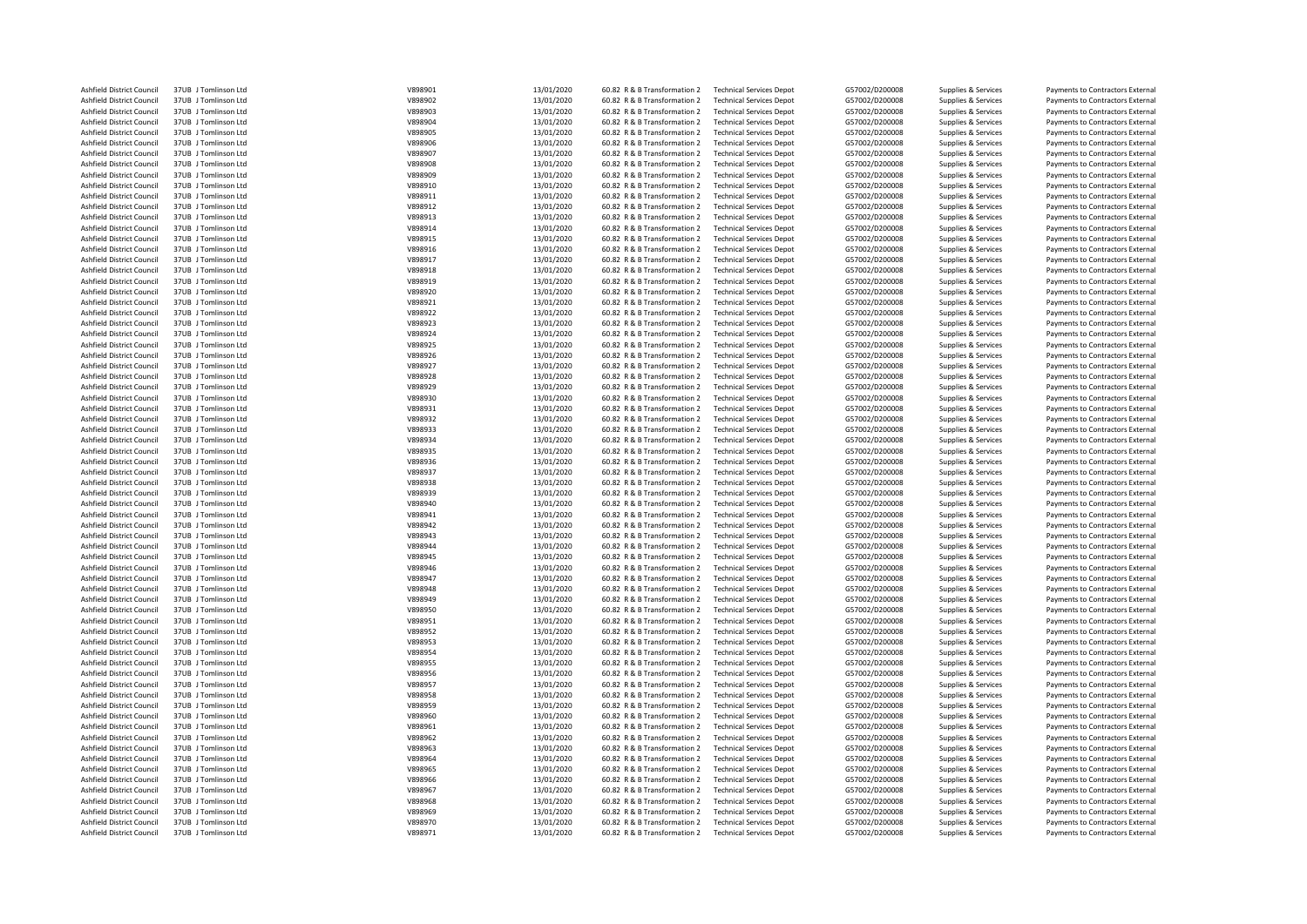| Ashfield District Council | 37UB J Tomlinson Ltd | V898901 | 13/01/2020 | 60.82 R & B Transformation 2 | <b>Technical Services Depot</b> | G57002/D200008 | Supplies & Services | Payments to Contractors External |
|---------------------------|----------------------|---------|------------|------------------------------|---------------------------------|----------------|---------------------|----------------------------------|
| Ashfield District Council | 37UB J Tomlinson Ltd | V898902 | 13/01/2020 | 60.82 R & B Transformation 2 | <b>Technical Services Depot</b> | G57002/D200008 | Supplies & Services | Payments to Contractors External |
| Ashfield District Council | 37UB J Tomlinson Ltd | V898903 | 13/01/2020 | 60.82 R & B Transformation 2 | <b>Technical Services Depot</b> | G57002/D200008 | Supplies & Services | Payments to Contractors External |
| Ashfield District Council | 37UB J Tomlinson Ltd | V898904 | 13/01/2020 | 60.82 R & B Transformation 2 | <b>Technical Services Depot</b> | G57002/D200008 | Supplies & Services | Payments to Contractors External |
| Ashfield District Council | 37UB J Tomlinson Ltd | V898905 | 13/01/2020 | 60.82 R & B Transformation 2 | <b>Technical Services Depot</b> | G57002/D200008 | Supplies & Services | Payments to Contractors External |
| Ashfield District Council | 37UB J Tomlinson Ltd | V898906 | 13/01/2020 | 60.82 R & B Transformation 2 | <b>Technical Services Depot</b> | G57002/D200008 | Supplies & Services | Payments to Contractors External |
| Ashfield District Council | 37UB J Tomlinson Ltd | V898907 | 13/01/2020 | 60.82 R & B Transformation 2 | <b>Technical Services Depot</b> | G57002/D200008 | Supplies & Services | Payments to Contractors External |
| Ashfield District Council | 37UB J Tomlinson Ltd | V898908 | 13/01/2020 | 60.82 R & B Transformation 2 | <b>Technical Services Depot</b> | G57002/D200008 | Supplies & Services | Payments to Contractors External |
| Ashfield District Council | 37UB J Tomlinson Ltd | V898909 | 13/01/2020 | 60.82 R & B Transformation 2 | <b>Technical Services Depot</b> | G57002/D200008 | Supplies & Services | Payments to Contractors External |
| Ashfield District Council | 37UB J Tomlinson Ltd | V898910 | 13/01/2020 | 60.82 R & B Transformation 2 | <b>Technical Services Depot</b> | G57002/D200008 | Supplies & Services | Payments to Contractors External |
| Ashfield District Council | 37UB J Tomlinson Ltd | V898911 | 13/01/2020 | 60.82 R & B Transformation 2 | <b>Technical Services Depot</b> | G57002/D200008 | Supplies & Services | Payments to Contractors External |
| Ashfield District Council | 37UB J Tomlinson Ltd | V898912 | 13/01/2020 | 60.82 R & B Transformation 2 | <b>Technical Services Depot</b> | G57002/D200008 | Supplies & Services | Payments to Contractors External |
|                           | 37UB J Tomlinson Ltd | V898913 | 13/01/2020 | 60.82 R & B Transformation 2 |                                 | G57002/D200008 |                     |                                  |
| Ashfield District Council |                      |         |            |                              | <b>Technical Services Depot</b> |                | Supplies & Services | Payments to Contractors External |
| Ashfield District Council | 37UB J Tomlinson Ltd | V898914 | 13/01/2020 | 60.82 R & B Transformation 2 | <b>Technical Services Depot</b> | G57002/D200008 | Supplies & Services | Payments to Contractors External |
| Ashfield District Council | 37UB J Tomlinson Ltd | V898915 | 13/01/2020 | 60.82 R & B Transformation 2 | <b>Technical Services Depot</b> | G57002/D200008 | Supplies & Services | Payments to Contractors External |
| Ashfield District Council | 37UB J Tomlinson Ltd | V898916 | 13/01/2020 | 60.82 R & B Transformation 2 | <b>Technical Services Depot</b> | G57002/D200008 | Supplies & Services | Payments to Contractors External |
| Ashfield District Council | 37UB J Tomlinson Ltd | V898917 | 13/01/2020 | 60.82 R & B Transformation 2 | <b>Technical Services Depot</b> | G57002/D200008 | Supplies & Services | Payments to Contractors External |
| Ashfield District Council | 37UB   Tomlinson Itd | V898918 | 13/01/2020 | 60.82 R & B Transformation 2 | <b>Technical Services Depot</b> | G57002/D200008 | Supplies & Services | Payments to Contractors External |
| Ashfield District Council | 37UB J Tomlinson Ltd | V898919 | 13/01/2020 | 60.82 R & B Transformation 2 | <b>Technical Services Depot</b> | G57002/D200008 | Supplies & Services | Payments to Contractors External |
| Ashfield District Council | 37UB J Tomlinson Ltd | V898920 | 13/01/2020 | 60.82 R & B Transformation 2 | <b>Technical Services Depot</b> | G57002/D200008 | Supplies & Services | Payments to Contractors External |
| Ashfield District Council | 37UB J Tomlinson Ltd | V898921 | 13/01/2020 | 60.82 R & B Transformation 2 | <b>Technical Services Depot</b> | G57002/D200008 | Supplies & Services | Payments to Contractors External |
| Ashfield District Council | 37UB J Tomlinson Ltd | V898922 | 13/01/2020 | 60.82 R & B Transformation 2 | <b>Technical Services Depot</b> | G57002/D200008 | Supplies & Services | Payments to Contractors External |
| Ashfield District Council | 37UB J Tomlinson Ltd | V898923 | 13/01/2020 | 60.82 R & B Transformation 2 | <b>Technical Services Depot</b> | G57002/D200008 | Supplies & Services | Payments to Contractors External |
| Ashfield District Council | 37UB J Tomlinson Ltd | V898924 | 13/01/2020 | 60.82 R & B Transformation 2 | <b>Technical Services Depot</b> | G57002/D200008 | Supplies & Services | Payments to Contractors External |
| Ashfield District Council | 37UB J Tomlinson Ltd | V898925 | 13/01/2020 | 60.82 R & B Transformation 2 | <b>Technical Services Depot</b> | G57002/D200008 | Supplies & Services | Payments to Contractors External |
| Ashfield District Council | 37UB J Tomlinson Ltd | V898926 | 13/01/2020 | 60.82 R & B Transformation 2 | <b>Technical Services Depot</b> | G57002/D200008 | Supplies & Services | Payments to Contractors External |
| Ashfield District Council | 37UB J Tomlinson Ltd | V898927 |            |                              | <b>Technical Services Depot</b> |                |                     |                                  |
|                           |                      |         | 13/01/2020 | 60.82 R & B Transformation 2 |                                 | G57002/D200008 | Supplies & Services | Payments to Contractors External |
| Ashfield District Council | 37UB J Tomlinson Ltd | V898928 | 13/01/2020 | 60.82 R & B Transformation 2 | <b>Technical Services Depot</b> | G57002/D200008 | Supplies & Services | Payments to Contractors External |
| Ashfield District Council | 37UB J Tomlinson Ltd | V898929 | 13/01/2020 | 60.82 R & B Transformation 2 | <b>Technical Services Depot</b> | G57002/D200008 | Supplies & Services | Payments to Contractors External |
| Ashfield District Council | 37UB J Tomlinson Ltd | V898930 | 13/01/2020 | 60.82 R & B Transformation 2 | <b>Technical Services Depot</b> | G57002/D200008 | Supplies & Services | Payments to Contractors External |
| Ashfield District Council | 37UB J Tomlinson Ltd | V898931 | 13/01/2020 | 60.82 R & B Transformation 2 | <b>Technical Services Depot</b> | G57002/D200008 | Supplies & Services | Payments to Contractors External |
| Ashfield District Council | 37UB J Tomlinson Ltd | V898932 | 13/01/2020 | 60.82 R & B Transformation 2 | <b>Technical Services Depot</b> | G57002/D200008 | Supplies & Services | Payments to Contractors External |
| Ashfield District Council | 37UB J Tomlinson Ltd | V898933 | 13/01/2020 | 60.82 R & B Transformation 2 | <b>Technical Services Depot</b> | G57002/D200008 | Supplies & Services | Payments to Contractors External |
| Ashfield District Council | 37UB J Tomlinson Ltd | V898934 | 13/01/2020 | 60.82 R & B Transformation 2 | <b>Technical Services Depot</b> | G57002/D200008 | Supplies & Services | Payments to Contractors External |
| Ashfield District Council | 37UB J Tomlinson Ltd | V898935 | 13/01/2020 | 60.82 R & B Transformation 2 | <b>Technical Services Depot</b> | G57002/D200008 | Supplies & Services | Payments to Contractors External |
| Ashfield District Council | 37UB J Tomlinson Ltd | V898936 | 13/01/2020 | 60.82 R & B Transformation 2 | <b>Technical Services Depot</b> | G57002/D200008 | Supplies & Services | Payments to Contractors External |
| Ashfield District Council | 37UB J Tomlinson Ltd | V898937 | 13/01/2020 | 60.82 R & B Transformation 2 | <b>Technical Services Depot</b> | G57002/D200008 | Supplies & Services | Payments to Contractors External |
| Ashfield District Council | 37UB J Tomlinson Ltd | V898938 | 13/01/2020 | 60.82 R & B Transformation 2 | <b>Technical Services Depot</b> | G57002/D200008 | Supplies & Services | Payments to Contractors External |
| Ashfield District Council | 37UB J Tomlinson Ltd | V898939 | 13/01/2020 | 60.82 R & B Transformation 2 | <b>Technical Services Depot</b> | G57002/D200008 | Supplies & Services | Payments to Contractors External |
| Ashfield District Council | 37UB J Tomlinson Ltd | V898940 | 13/01/2020 | 60.82 R & B Transformation 2 | <b>Technical Services Depot</b> | G57002/D200008 | Supplies & Services | Payments to Contractors External |
| Ashfield District Council | 37UB J Tomlinson Ltd | V898941 | 13/01/2020 | 60.82 R & B Transformation 2 | <b>Technical Services Depot</b> | G57002/D200008 |                     |                                  |
|                           |                      |         |            |                              |                                 |                | Supplies & Services | Payments to Contractors External |
| Ashfield District Council | 37UB J Tomlinson Ltd | V898942 | 13/01/2020 | 60.82 R & B Transformation 2 | <b>Technical Services Depot</b> | G57002/D200008 | Supplies & Services | Payments to Contractors External |
| Ashfield District Council | 37UB J Tomlinson Ltd | V898943 | 13/01/2020 | 60.82 R & B Transformation 2 | <b>Technical Services Depot</b> | G57002/D200008 | Supplies & Services | Payments to Contractors External |
| Ashfield District Council | 37UB J Tomlinson Ltd | V898944 | 13/01/2020 | 60.82 R & B Transformation 2 | <b>Technical Services Depot</b> | G57002/D200008 | Supplies & Services | Payments to Contractors External |
| Ashfield District Council | 37UB J Tomlinson Ltd | V898945 | 13/01/2020 | 60.82 R & B Transformation 2 | <b>Technical Services Depot</b> | G57002/D200008 | Supplies & Services | Payments to Contractors External |
| Ashfield District Council | 37UB J Tomlinson Ltd | V898946 | 13/01/2020 | 60.82 R & B Transformation 2 | <b>Technical Services Depot</b> | G57002/D200008 | Supplies & Services | Payments to Contractors External |
| Ashfield District Council | 37UB J Tomlinson Ltd | V898947 | 13/01/2020 | 60.82 R & B Transformation 2 | <b>Technical Services Depot</b> | G57002/D200008 | Supplies & Services | Payments to Contractors External |
| Ashfield District Council | 37UB J Tomlinson Ltd | V898948 | 13/01/2020 | 60.82 R & B Transformation 2 | <b>Technical Services Depot</b> | G57002/D200008 | Supplies & Services | Payments to Contractors External |
| Ashfield District Council | 37UB J Tomlinson Ltd | V898949 | 13/01/2020 | 60.82 R & B Transformation 2 | <b>Technical Services Depot</b> | G57002/D200008 | Supplies & Services | Payments to Contractors External |
| Ashfield District Council | 37UB J Tomlinson Ltd | V898950 | 13/01/2020 | 60.82 R & B Transformation 2 | <b>Technical Services Depot</b> | G57002/D200008 | Supplies & Services | Payments to Contractors External |
| Ashfield District Council | 37UB J Tomlinson Ltd | V898951 | 13/01/2020 | 60.82 R & B Transformation 2 | <b>Technical Services Depot</b> | G57002/D200008 | Supplies & Services | Payments to Contractors External |
| Ashfield District Council | 37UB J Tomlinson Ltd | V898952 | 13/01/2020 | 60.82 R & B Transformation 2 | <b>Technical Services Depot</b> | G57002/D200008 | Supplies & Services | Payments to Contractors External |
| Ashfield District Council | 37UB J Tomlinson Ltd | V898953 | 13/01/2020 | 60.82 R & B Transformation 2 | <b>Technical Services Depot</b> | G57002/D200008 | Supplies & Services | Payments to Contractors External |
| Ashfield District Council | 37UB J Tomlinson Ltd | V898954 | 13/01/2020 | 60.82 R & B Transformation 2 | <b>Technical Services Depot</b> | G57002/D200008 | Supplies & Services | Payments to Contractors External |
| Ashfield District Council | 37UB J Tomlinson Ltd | V898955 | 13/01/2020 | 60.82 R & B Transformation 2 | <b>Technical Services Depot</b> | G57002/D200008 | Supplies & Services | Payments to Contractors External |
| Ashfield District Council | 37UB J Tomlinson Ltd | V898956 | 13/01/2020 | 60.82 R & B Transformation 2 | <b>Technical Services Depot</b> | G57002/D200008 | Supplies & Services | Payments to Contractors External |
| Ashfield District Council | 37UB J Tomlinson Ltd | V898957 |            | 60.82 R & B Transformation 2 | <b>Technical Services Depot</b> | G57002/D200008 | Supplies & Services | Payments to Contractors External |
|                           |                      |         | 13/01/2020 |                              |                                 |                |                     |                                  |
| Ashfield District Council | 37UB J Tomlinson Ltd | V898958 | 13/01/2020 | 60.82 R & B Transformation 2 | <b>Technical Services Depot</b> | G57002/D200008 | Supplies & Services | Payments to Contractors External |
| Ashfield District Council | 37UB J Tomlinson Ltd | V898959 | 13/01/2020 | 60.82 R & B Transformation 2 | <b>Technical Services Depot</b> | G57002/D200008 | Supplies & Services | Payments to Contractors External |
| Ashfield District Council | 37UB J Tomlinson Ltd | V898960 | 13/01/2020 | 60.82 R & B Transformation 2 | <b>Technical Services Depot</b> | G57002/D200008 | Supplies & Services | Payments to Contractors External |
| Ashfield District Council | 37UB J Tomlinson Ltd | V898961 | 13/01/2020 | 60.82 R & B Transformation 2 | <b>Technical Services Depot</b> | G57002/D200008 | Supplies & Services | Payments to Contractors External |
| Ashfield District Council | 37UB J Tomlinson Ltd | V898962 | 13/01/2020 | 60.82 R & B Transformation 2 | <b>Technical Services Depot</b> | G57002/D200008 | Supplies & Services | Payments to Contractors External |
| Ashfield District Council | 37UB J Tomlinson Ltd | V898963 | 13/01/2020 | 60.82 R & B Transformation 2 | <b>Technical Services Depot</b> | G57002/D200008 | Supplies & Services | Payments to Contractors External |
| Ashfield District Council | 37UB J Tomlinson Ltd | V898964 | 13/01/2020 | 60.82 R & B Transformation 2 | <b>Technical Services Depot</b> | G57002/D200008 | Supplies & Services | Payments to Contractors External |
| Ashfield District Council | 37UB J Tomlinson Ltd | V898965 | 13/01/2020 | 60.82 R & B Transformation 2 | <b>Technical Services Depot</b> | G57002/D200008 | Supplies & Services | Payments to Contractors External |
| Ashfield District Council | 37UB J Tomlinson Ltd | V898966 | 13/01/2020 | 60.82 R & B Transformation 2 | <b>Technical Services Depot</b> | G57002/D200008 | Supplies & Services | Payments to Contractors External |
| Ashfield District Council | 37UB J Tomlinson Ltd | V898967 | 13/01/2020 | 60.82 R & B Transformation 2 | <b>Technical Services Depot</b> | G57002/D200008 | Supplies & Services | Payments to Contractors External |
| Ashfield District Council | 37UB J Tomlinson Ltd | V898968 | 13/01/2020 | 60.82 R & B Transformation 2 | <b>Technical Services Depot</b> | G57002/D200008 | Supplies & Services | Payments to Contractors External |
| Ashfield District Council | 37UB J Tomlinson Ltd | V898969 | 13/01/2020 | 60.82 R & B Transformation 2 | <b>Technical Services Depot</b> | G57002/D200008 | Supplies & Services | Payments to Contractors External |
| Ashfield District Council | 37UB J Tomlinson Ltd | V898970 | 13/01/2020 | 60.82 R & B Transformation 2 | <b>Technical Services Depot</b> | G57002/D200008 | Supplies & Services | Payments to Contractors External |
| Ashfield District Council | 37UB J Tomlinson Ltd | V898971 | 13/01/2020 | 60.82 R & B Transformation 2 | <b>Technical Services Depot</b> | G57002/D200008 | Supplies & Services | Payments to Contractors External |
|                           |                      |         |            |                              |                                 |                |                     |                                  |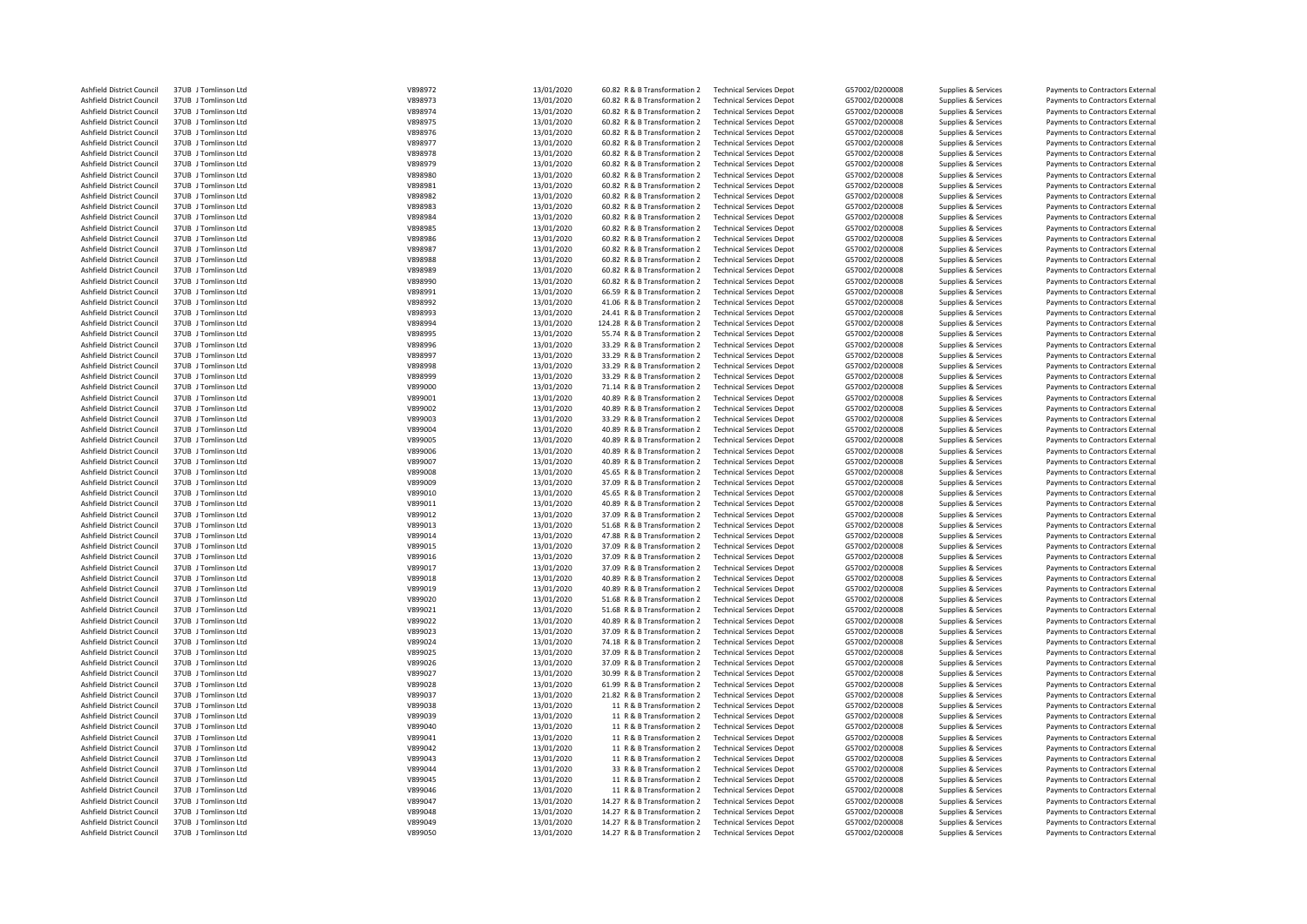| Ashfield District Council | 37UB J Tomlinson Ltd | V898972 | 13/01/2020 | 60.82 R & B Transformation 2  | <b>Technical Services Depot</b> | G57002/D200008 | Supplies & Services | Payments to Contractors External |
|---------------------------|----------------------|---------|------------|-------------------------------|---------------------------------|----------------|---------------------|----------------------------------|
| Ashfield District Council | 37UB J Tomlinson Ltd | V898973 | 13/01/2020 | 60.82 R & B Transformation 2  | <b>Technical Services Depot</b> | G57002/D200008 | Supplies & Services | Payments to Contractors External |
| Ashfield District Council | 37UB J Tomlinson Ltd | V898974 | 13/01/2020 | 60.82 R & B Transformation 2  | <b>Technical Services Depot</b> | G57002/D200008 | Supplies & Services | Payments to Contractors External |
| Ashfield District Council | 37UB J Tomlinson Ltd | V898975 | 13/01/2020 | 60.82 R & B Transformation 2  | <b>Technical Services Depot</b> | G57002/D200008 | Supplies & Services | Payments to Contractors External |
| Ashfield District Council | 37UB J Tomlinson Ltd | V898976 | 13/01/2020 | 60.82 R & B Transformation 2  | <b>Technical Services Depot</b> | G57002/D200008 | Supplies & Services | Payments to Contractors External |
| Ashfield District Council | 37UB J Tomlinson Ltd | V898977 | 13/01/2020 | 60.82 R & B Transformation 2  | <b>Technical Services Depot</b> | G57002/D200008 | Supplies & Services | Payments to Contractors External |
| Ashfield District Council | 37UB J Tomlinson Ltd | V898978 | 13/01/2020 | 60.82 R & B Transformation 2  | <b>Technical Services Depot</b> | G57002/D200008 | Supplies & Services | Payments to Contractors External |
| Ashfield District Council | 37UB J Tomlinson Ltd | V898979 | 13/01/2020 | 60.82 R & B Transformation 2  | <b>Technical Services Depot</b> | G57002/D200008 | Supplies & Services | Payments to Contractors External |
| Ashfield District Council | 37UB J Tomlinson Ltd | V898980 | 13/01/2020 | 60.82 R & B Transformation 2  | <b>Technical Services Depot</b> | G57002/D200008 | Supplies & Services | Payments to Contractors External |
| Ashfield District Council | 37UB J Tomlinson Ltd | V898981 | 13/01/2020 | 60.82 R & B Transformation 2  | <b>Technical Services Depot</b> | G57002/D200008 | Supplies & Services | Payments to Contractors External |
| Ashfield District Council | 37UB J Tomlinson Ltd | V898982 | 13/01/2020 | 60.82 R & B Transformation 2  | <b>Technical Services Depot</b> | G57002/D200008 | Supplies & Services | Payments to Contractors External |
| Ashfield District Council | 37UB J Tomlinson Ltd | V898983 | 13/01/2020 | 60.82 R & B Transformation 2  | <b>Technical Services Depot</b> | G57002/D200008 | Supplies & Services | Payments to Contractors External |
|                           |                      | V898984 |            | 60.82 R & B Transformation 2  |                                 |                |                     |                                  |
| Ashfield District Council | 37UB J Tomlinson Ltd |         | 13/01/2020 |                               | <b>Technical Services Depot</b> | G57002/D200008 | Supplies & Services | Payments to Contractors External |
| Ashfield District Council | 37UB J Tomlinson Ltd | V898985 | 13/01/2020 | 60.82 R & B Transformation 2  | <b>Technical Services Depot</b> | G57002/D200008 | Supplies & Services | Payments to Contractors External |
| Ashfield District Council | 37UB J Tomlinson Ltd | V898986 | 13/01/2020 | 60.82 R & B Transformation 2  | <b>Technical Services Depot</b> | G57002/D200008 | Supplies & Services | Payments to Contractors External |
| Ashfield District Council | 37UB J Tomlinson Ltd | V898987 | 13/01/2020 | 60.82 R & B Transformation 2  | <b>Technical Services Depot</b> | G57002/D200008 | Supplies & Services | Payments to Contractors External |
| Ashfield District Council | 37UB J Tomlinson Ltd | V898988 | 13/01/2020 | 60.82 R & B Transformation 2  | <b>Technical Services Depot</b> | G57002/D200008 | Supplies & Services | Payments to Contractors External |
| Ashfield District Council | 37UB   Tomlinson Itd | V898989 | 13/01/2020 | 60.82 R & B Transformation 2  | <b>Technical Services Depot</b> | G57002/D200008 | Supplies & Services | Payments to Contractors External |
| Ashfield District Council | 37UB J Tomlinson Ltd | V898990 | 13/01/2020 | 60.82 R & B Transformation 2  | <b>Technical Services Depot</b> | G57002/D200008 | Supplies & Services | Payments to Contractors External |
| Ashfield District Council | 37UB J Tomlinson Ltd | V898991 | 13/01/2020 | 66.59 R & B Transformation 2  | <b>Technical Services Depot</b> | G57002/D200008 | Supplies & Services | Payments to Contractors External |
| Ashfield District Council | 37UB J Tomlinson Ltd | V898992 | 13/01/2020 | 41.06 R & B Transformation 2  | <b>Technical Services Depot</b> | G57002/D200008 | Supplies & Services | Payments to Contractors External |
| Ashfield District Council | 37UB J Tomlinson Ltd | V898993 | 13/01/2020 | 24.41 R & B Transformation 2  | <b>Technical Services Depot</b> | G57002/D200008 | Supplies & Services | Payments to Contractors External |
| Ashfield District Council | 37UB J Tomlinson Ltd | V898994 | 13/01/2020 | 124.28 R & B Transformation 2 | <b>Technical Services Depot</b> | G57002/D200008 | Supplies & Services | Payments to Contractors External |
| Ashfield District Council | 37UB J Tomlinson Ltd | V898995 | 13/01/2020 | 55.74 R & B Transformation 2  | <b>Technical Services Depot</b> | G57002/D200008 | Supplies & Services | Payments to Contractors External |
| Ashfield District Council | 37UB J Tomlinson Ltd | V898996 | 13/01/2020 | 33.29 R & B Transformation 2  | <b>Technical Services Depot</b> | G57002/D200008 | Supplies & Services | Payments to Contractors External |
| Ashfield District Council | 37UB J Tomlinson Ltd | V898997 | 13/01/2020 | 33.29 R & B Transformation 2  | <b>Technical Services Depot</b> | G57002/D200008 |                     | Payments to Contractors External |
|                           |                      |         |            |                               |                                 |                | Supplies & Services |                                  |
| Ashfield District Council | 37UB J Tomlinson Ltd | V898998 | 13/01/2020 | 33.29 R & B Transformation 2  | <b>Technical Services Depot</b> | G57002/D200008 | Supplies & Services | Payments to Contractors External |
| Ashfield District Council | 37UB J Tomlinson Ltd | V898999 | 13/01/2020 | 33.29 R & B Transformation 2  | <b>Technical Services Depot</b> | G57002/D200008 | Supplies & Services | Payments to Contractors External |
| Ashfield District Council | 37UB J Tomlinson Ltd | V899000 | 13/01/2020 | 71.14 R & B Transformation 2  | <b>Technical Services Depot</b> | G57002/D200008 | Supplies & Services | Payments to Contractors External |
| Ashfield District Council | 37UB J Tomlinson Ltd | V899001 | 13/01/2020 | 40.89 R & B Transformation 2  | <b>Technical Services Depot</b> | G57002/D200008 | Supplies & Services | Payments to Contractors External |
| Ashfield District Council | 37UB J Tomlinson Ltd | V899002 | 13/01/2020 | 40.89 R & B Transformation 2  | <b>Technical Services Depot</b> | G57002/D200008 | Supplies & Services | Payments to Contractors External |
| Ashfield District Council | 37UB J Tomlinson Ltd | V899003 | 13/01/2020 | 33.29 R & B Transformation 2  | <b>Technical Services Depot</b> | G57002/D200008 | Supplies & Services | Payments to Contractors External |
| Ashfield District Council | 37UB J Tomlinson Ltd | V899004 | 13/01/2020 | 40.89 R & B Transformation 2  | <b>Technical Services Depot</b> | G57002/D200008 | Supplies & Services | Payments to Contractors External |
| Ashfield District Council | 37UB J Tomlinson Ltd | V899005 | 13/01/2020 | 40.89 R & B Transformation 2  | <b>Technical Services Depot</b> | G57002/D200008 | Supplies & Services | Payments to Contractors External |
| Ashfield District Council | 37UB J Tomlinson Ltd | V899006 | 13/01/2020 | 40.89 R & B Transformation 2  | <b>Technical Services Depot</b> | G57002/D200008 | Supplies & Services | Payments to Contractors External |
| Ashfield District Council | 37UB J Tomlinson Ltd | V899007 | 13/01/2020 | 40.89 R & B Transformation 2  | <b>Technical Services Depot</b> | G57002/D200008 | Supplies & Services | Payments to Contractors External |
| Ashfield District Council | 37UB J Tomlinson Ltd | V899008 | 13/01/2020 | 45.65 R & B Transformation 2  | <b>Technical Services Depot</b> | G57002/D200008 | Supplies & Services | Payments to Contractors External |
| Ashfield District Council | 37UB J Tomlinson Ltd | V899009 | 13/01/2020 | 37.09 R & B Transformation 2  | <b>Technical Services Depot</b> | G57002/D200008 | Supplies & Services | Payments to Contractors External |
| Ashfield District Council | 37UB J Tomlinson Ltd | V899010 | 13/01/2020 | 45.65 R & B Transformation 2  | <b>Technical Services Depot</b> | G57002/D200008 | Supplies & Services | Payments to Contractors External |
| Ashfield District Council | 37UB J Tomlinson Ltd | V899011 | 13/01/2020 | 40.89 R & B Transformation 2  | <b>Technical Services Depot</b> | G57002/D200008 | Supplies & Services | Payments to Contractors External |
| Ashfield District Council | 37UB J Tomlinson Ltd | V899012 | 13/01/2020 | 37.09 R & B Transformation 2  | <b>Technical Services Depot</b> | G57002/D200008 |                     |                                  |
|                           |                      |         |            |                               |                                 |                | Supplies & Services | Payments to Contractors External |
| Ashfield District Council | 37UB J Tomlinson Ltd | V899013 | 13/01/2020 | 51.68 R & B Transformation 2  | <b>Technical Services Depot</b> | G57002/D200008 | Supplies & Services | Payments to Contractors External |
| Ashfield District Council | 37UB J Tomlinson Ltd | V899014 | 13/01/2020 | 47.88 R & B Transformation 2  | <b>Technical Services Depot</b> | G57002/D200008 | Supplies & Services | Payments to Contractors External |
| Ashfield District Council | 37UB J Tomlinson Ltd | V899015 | 13/01/2020 | 37.09 R & B Transformation 2  | <b>Technical Services Depot</b> | G57002/D200008 | Supplies & Services | Payments to Contractors External |
| Ashfield District Council | 37UB J Tomlinson Ltd | V899016 | 13/01/2020 | 37.09 R & B Transformation 2  | <b>Technical Services Depot</b> | G57002/D200008 | Supplies & Services | Payments to Contractors External |
| Ashfield District Council | 37UB J Tomlinson Ltd | V899017 | 13/01/2020 | 37.09 R & B Transformation 2  | <b>Technical Services Depot</b> | G57002/D200008 | Supplies & Services | Payments to Contractors External |
| Ashfield District Council | 37UB J Tomlinson Ltd | V899018 | 13/01/2020 | 40.89 R & B Transformation 2  | <b>Technical Services Depot</b> | G57002/D200008 | Supplies & Services | Payments to Contractors External |
| Ashfield District Council | 37UB J Tomlinson Ltd | V899019 | 13/01/2020 | 40.89 R & B Transformation 2  | <b>Technical Services Depot</b> | G57002/D200008 | Supplies & Services | Payments to Contractors External |
| Ashfield District Council | 37UB J Tomlinson Ltd | V899020 | 13/01/2020 | 51.68 R & B Transformation 2  | <b>Technical Services Depot</b> | G57002/D200008 | Supplies & Services | Payments to Contractors External |
| Ashfield District Council | 37UB J Tomlinson Ltd | V899021 | 13/01/2020 | 51.68 R & B Transformation 2  | <b>Technical Services Depot</b> | G57002/D200008 | Supplies & Services | Payments to Contractors External |
| Ashfield District Council | 37UB J Tomlinson Ltd | V899022 | 13/01/2020 | 40.89 R & B Transformation 2  | <b>Technical Services Depot</b> | G57002/D200008 | Supplies & Services | Payments to Contractors External |
| Ashfield District Council | 37UB J Tomlinson Ltd | V899023 | 13/01/2020 | 37.09 R & B Transformation 2  | <b>Technical Services Depot</b> | G57002/D200008 | Supplies & Services | Payments to Contractors External |
| Ashfield District Council | 37UB J Tomlinson Ltd | V899024 | 13/01/2020 | 74.18 R & B Transformation 2  | <b>Technical Services Depot</b> | G57002/D200008 | Supplies & Services | Payments to Contractors External |
| Ashfield District Council | 37UB J Tomlinson Ltd | V899025 | 13/01/2020 | 37.09 R & B Transformation 2  | <b>Technical Services Depot</b> | G57002/D200008 | Supplies & Services | Payments to Contractors External |
| Ashfield District Council | 37UB J Tomlinson Ltd | V899026 | 13/01/2020 | 37.09 R & B Transformation 2  | <b>Technical Services Depot</b> | G57002/D200008 | Supplies & Services | Payments to Contractors External |
|                           | 37UB J Tomlinson Ltd | V899027 | 13/01/2020 | 30.99 R & B Transformation 2  |                                 | G57002/D200008 |                     |                                  |
| Ashfield District Council |                      |         |            |                               | <b>Technical Services Depot</b> |                | Supplies & Services | Payments to Contractors External |
| Ashfield District Council | 37UB J Tomlinson Ltd | V899028 | 13/01/2020 | 61.99 R & B Transformation 2  | <b>Technical Services Depot</b> | G57002/D200008 | Supplies & Services | Payments to Contractors External |
| Ashfield District Council | 37UB J Tomlinson Ltd | V899037 | 13/01/2020 | 21.82 R & B Transformation 2  | <b>Technical Services Depot</b> | G57002/D200008 | Supplies & Services | Payments to Contractors External |
| Ashfield District Council | 37UB J Tomlinson Ltd | V899038 | 13/01/2020 | 11 R & B Transformation 2     | <b>Technical Services Depot</b> | G57002/D200008 | Supplies & Services | Payments to Contractors External |
| Ashfield District Council | 37UB J Tomlinson Ltd | V899039 | 13/01/2020 | 11 R & B Transformation 2     | <b>Technical Services Depot</b> | G57002/D200008 | Supplies & Services | Payments to Contractors External |
| Ashfield District Council | 37UB J Tomlinson Ltd | V899040 | 13/01/2020 | 11 R & B Transformation 2     | <b>Technical Services Depot</b> | G57002/D200008 | Supplies & Services | Payments to Contractors External |
| Ashfield District Council | 37UB J Tomlinson Ltd | V899041 | 13/01/2020 | 11 R & B Transformation 2     | <b>Technical Services Depot</b> | G57002/D200008 | Supplies & Services | Payments to Contractors External |
| Ashfield District Council | 37UB J Tomlinson Ltd | V899042 | 13/01/2020 | 11 R & B Transformation 2     | <b>Technical Services Depot</b> | G57002/D200008 | Supplies & Services | Payments to Contractors External |
| Ashfield District Council | 37UB J Tomlinson Ltd | V899043 | 13/01/2020 | 11 R & B Transformation 2     | <b>Technical Services Depot</b> | G57002/D200008 | Supplies & Services | Payments to Contractors External |
| Ashfield District Council | 37UB J Tomlinson Ltd | V899044 | 13/01/2020 | 33 R & B Transformation 2     | <b>Technical Services Depot</b> | G57002/D200008 | Supplies & Services | Payments to Contractors External |
| Ashfield District Council | 37UB J Tomlinson Ltd | V899045 | 13/01/2020 | 11 R & B Transformation 2     | <b>Technical Services Depot</b> | G57002/D200008 | Supplies & Services | Payments to Contractors External |
| Ashfield District Council | 37UB J Tomlinson Ltd | V899046 | 13/01/2020 | 11 R & B Transformation 2     | <b>Technical Services Depot</b> | G57002/D200008 | Supplies & Services | Payments to Contractors External |
| Ashfield District Council | 37UB J Tomlinson Ltd | V899047 | 13/01/2020 | 14.27 R & B Transformation 2  | <b>Technical Services Depot</b> | G57002/D200008 | Supplies & Services | Payments to Contractors External |
| Ashfield District Council | 37UB J Tomlinson Ltd | V899048 | 13/01/2020 | 14.27 R & B Transformation 2  | <b>Technical Services Depot</b> | G57002/D200008 | Supplies & Services | Payments to Contractors External |
| Ashfield District Council | 37UB J Tomlinson Ltd | V899049 | 13/01/2020 | 14.27 R & B Transformation 2  | <b>Technical Services Depot</b> | G57002/D200008 | Supplies & Services | Payments to Contractors External |
| Ashfield District Council | 37UB J Tomlinson Ltd | V899050 | 13/01/2020 | 14.27 R & B Transformation 2  | <b>Technical Services Depot</b> | G57002/D200008 | Supplies & Services | Payments to Contractors External |
|                           |                      |         |            |                               |                                 |                |                     |                                  |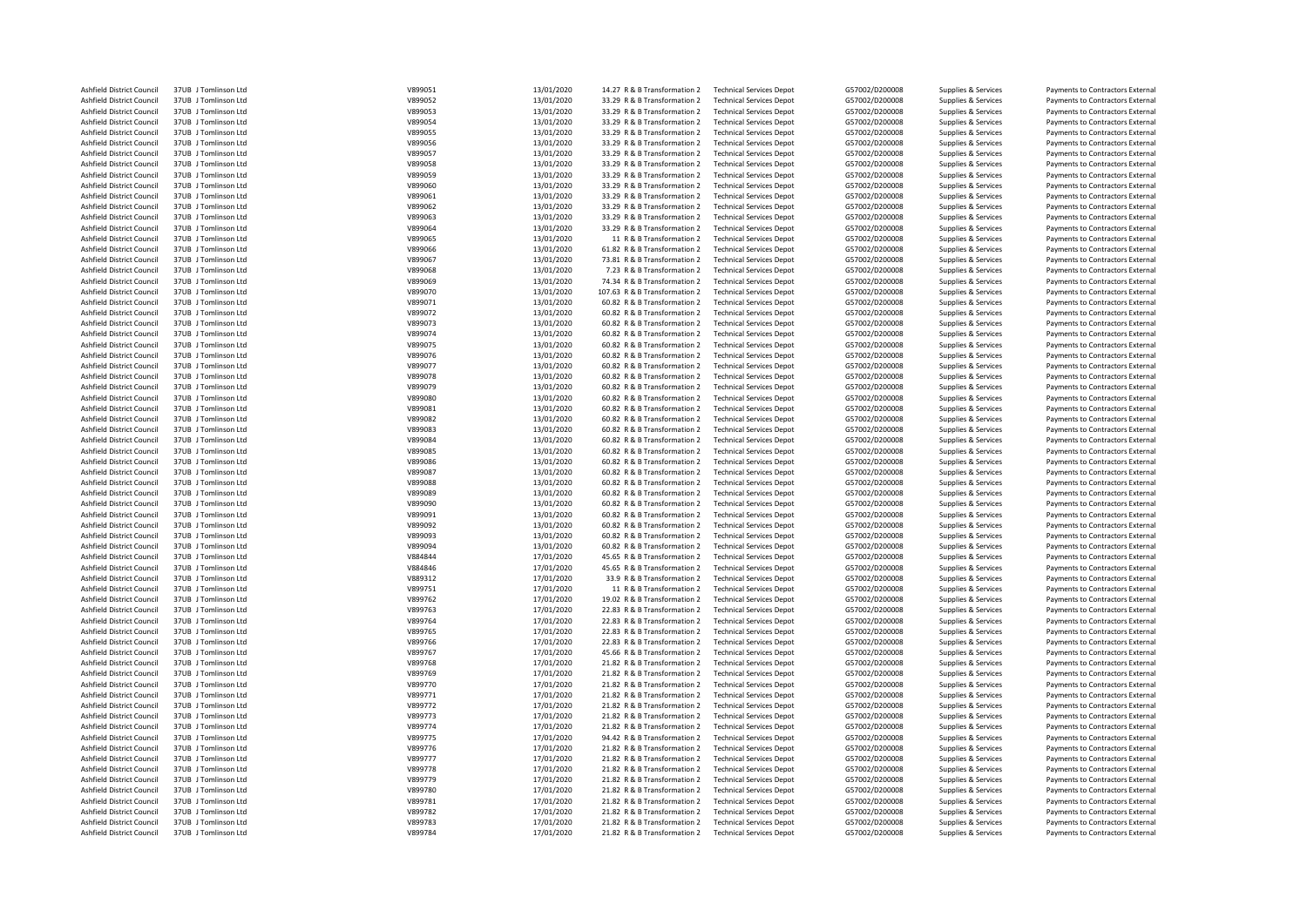| Ashfield District Council | 37UB J Tomlinson Ltd | V899051 | 13/01/2020 | 14.27 R & B Transformation 2  | <b>Technical Services Depot</b> | G57002/D200008 | Supplies & Services | Payments to Contractors External |
|---------------------------|----------------------|---------|------------|-------------------------------|---------------------------------|----------------|---------------------|----------------------------------|
| Ashfield District Council | 37UB J Tomlinson Ltd | V899052 | 13/01/2020 | 33.29 R & B Transformation 2  | <b>Technical Services Depot</b> | G57002/D200008 | Supplies & Services | Payments to Contractors External |
| Ashfield District Council | 37UB J Tomlinson Ltd | V899053 | 13/01/2020 | 33.29 R & B Transformation 2  | <b>Technical Services Depot</b> | G57002/D200008 | Supplies & Services | Payments to Contractors External |
| Ashfield District Council | 37UB J Tomlinson Ltd | V899054 | 13/01/2020 | 33.29 R & B Transformation 2  | <b>Technical Services Depot</b> | G57002/D200008 | Supplies & Services | Payments to Contractors External |
| Ashfield District Council | 37UB J Tomlinson Ltd | V899055 | 13/01/2020 | 33.29 R & B Transformation 2  | <b>Technical Services Depot</b> | G57002/D200008 | Supplies & Services | Payments to Contractors External |
| Ashfield District Council | 37UB J Tomlinson Ltd | V899056 | 13/01/2020 | 33.29 R & B Transformation 2  | <b>Technical Services Depot</b> | G57002/D200008 | Supplies & Services | Payments to Contractors External |
| Ashfield District Council | 37UB J Tomlinson Ltd | V899057 | 13/01/2020 | 33.29 R & B Transformation 2  | <b>Technical Services Depot</b> | G57002/D200008 | Supplies & Services | Payments to Contractors External |
| Ashfield District Council | 37UB J Tomlinson Ltd | V899058 | 13/01/2020 | 33.29 R & B Transformation 2  | <b>Technical Services Depot</b> | G57002/D200008 | Supplies & Services | Payments to Contractors External |
| Ashfield District Council | 37UB J Tomlinson Ltd | V899059 | 13/01/2020 | 33.29 R & B Transformation 2  | <b>Technical Services Depot</b> | G57002/D200008 | Supplies & Services | Payments to Contractors External |
| Ashfield District Council | 37UB J Tomlinson Ltd | V899060 | 13/01/2020 | 33.29 R & B Transformation 2  | <b>Technical Services Depot</b> | G57002/D200008 | Supplies & Services | Payments to Contractors External |
| Ashfield District Council | 37UB J Tomlinson Ltd | V899061 | 13/01/2020 | 33.29 R & B Transformation 2  | <b>Technical Services Depot</b> | G57002/D200008 | Supplies & Services | Payments to Contractors External |
| Ashfield District Council | 37UB J Tomlinson Ltd | V899062 | 13/01/2020 | 33.29 R & B Transformation 2  | <b>Technical Services Depot</b> | G57002/D200008 | Supplies & Services | Payments to Contractors External |
| Ashfield District Council | 37UB J Tomlinson Ltd | V899063 | 13/01/2020 | 33.29 R & B Transformation 2  | <b>Technical Services Depot</b> | G57002/D200008 | Supplies & Services | Payments to Contractors External |
|                           |                      |         |            |                               |                                 |                |                     |                                  |
| Ashfield District Council | 37UB J Tomlinson Ltd | V899064 | 13/01/2020 | 33.29 R & B Transformation 2  | <b>Technical Services Depot</b> | G57002/D200008 | Supplies & Services | Payments to Contractors External |
| Ashfield District Council | 37UB J Tomlinson Ltd | V899065 | 13/01/2020 | 11 R & B Transformation 2     | <b>Technical Services Depot</b> | G57002/D200008 | Supplies & Services | Payments to Contractors External |
| Ashfield District Council | 37UB J Tomlinson Ltd | V899066 | 13/01/2020 | 61.82 R & B Transformation 2  | <b>Technical Services Depot</b> | G57002/D200008 | Supplies & Services | Payments to Contractors External |
| Ashfield District Council | 37UB J Tomlinson Ltd | V899067 | 13/01/2020 | 73.81 R & B Transformation 2  | <b>Technical Services Depot</b> | G57002/D200008 | Supplies & Services | Payments to Contractors External |
| Ashfield District Council | 37UB   Tomlinson Itd | V899068 | 13/01/2020 | 7.23 R & B Transformation 2   | <b>Technical Services Depot</b> | G57002/D200008 | Supplies & Services | Payments to Contractors External |
| Ashfield District Council | 37UB J Tomlinson Ltd | V899069 | 13/01/2020 | 74.34 R & B Transformation 2  | <b>Technical Services Depot</b> | G57002/D200008 | Supplies & Services | Payments to Contractors External |
| Ashfield District Council | 37UB J Tomlinson Ltd | V899070 | 13/01/2020 | 107.63 R & B Transformation 2 | <b>Technical Services Depot</b> | G57002/D200008 | Supplies & Services | Payments to Contractors External |
| Ashfield District Council | 37UB J Tomlinson Ltd | V899071 | 13/01/2020 | 60.82 R & B Transformation 2  | <b>Technical Services Depot</b> | G57002/D200008 | Supplies & Services | Payments to Contractors External |
| Ashfield District Council | 37UB J Tomlinson Ltd | V899072 | 13/01/2020 | 60.82 R & B Transformation 2  | <b>Technical Services Depot</b> | G57002/D200008 | Supplies & Services | Payments to Contractors External |
| Ashfield District Council | 37UB J Tomlinson Ltd | V899073 | 13/01/2020 | 60.82 R & B Transformation 2  | <b>Technical Services Depot</b> | G57002/D200008 | Supplies & Services | Payments to Contractors External |
| Ashfield District Council | 37UB J Tomlinson Ltd | V899074 | 13/01/2020 | 60.82 R & B Transformation 2  | <b>Technical Services Depot</b> | G57002/D200008 | Supplies & Services | Payments to Contractors External |
| Ashfield District Council | 37UB J Tomlinson Ltd | V899075 | 13/01/2020 | 60.82 R & B Transformation 2  | <b>Technical Services Depot</b> | G57002/D200008 | Supplies & Services | Payments to Contractors External |
| Ashfield District Council | 37UB J Tomlinson Ltd | V899076 | 13/01/2020 | 60.82 R & B Transformation 2  | <b>Technical Services Depot</b> | G57002/D200008 | Supplies & Services | Payments to Contractors External |
| Ashfield District Council | 37UB J Tomlinson Ltd | V899077 | 13/01/2020 | 60.82 R & B Transformation 2  | <b>Technical Services Depot</b> | G57002/D200008 | Supplies & Services | Payments to Contractors External |
| Ashfield District Council | 37UB J Tomlinson Ltd | V899078 | 13/01/2020 | 60.82 R & B Transformation 2  | <b>Technical Services Depot</b> | G57002/D200008 |                     | Payments to Contractors External |
|                           |                      |         |            |                               |                                 |                | Supplies & Services |                                  |
| Ashfield District Council | 37UB J Tomlinson Ltd | V899079 | 13/01/2020 | 60.82 R & B Transformation 2  | <b>Technical Services Depot</b> | G57002/D200008 | Supplies & Services | Payments to Contractors External |
| Ashfield District Council | 37UB J Tomlinson Ltd | V899080 | 13/01/2020 | 60.82 R & B Transformation 2  | <b>Technical Services Depot</b> | G57002/D200008 | Supplies & Services | Payments to Contractors External |
| Ashfield District Council | 37UB J Tomlinson Ltd | V899081 | 13/01/2020 | 60.82 R & B Transformation 2  | <b>Technical Services Depot</b> | G57002/D200008 | Supplies & Services | Payments to Contractors External |
| Ashfield District Council | 37UB J Tomlinson Ltd | V899082 | 13/01/2020 | 60.82 R & B Transformation 2  | <b>Technical Services Depot</b> | G57002/D200008 | Supplies & Services | Payments to Contractors External |
| Ashfield District Council | 37UB J Tomlinson Ltd | V899083 | 13/01/2020 | 60.82 R & B Transformation 2  | <b>Technical Services Depot</b> | G57002/D200008 | Supplies & Services | Payments to Contractors External |
| Ashfield District Council | 37UB J Tomlinson Ltd | V899084 | 13/01/2020 | 60.82 R & B Transformation 2  | <b>Technical Services Depot</b> | G57002/D200008 | Supplies & Services | Payments to Contractors External |
| Ashfield District Council | 37UB J Tomlinson Ltd | V899085 | 13/01/2020 | 60.82 R & B Transformation 2  | <b>Technical Services Depot</b> | G57002/D200008 | Supplies & Services | Payments to Contractors External |
| Ashfield District Council | 37UB J Tomlinson Ltd | V899086 | 13/01/2020 | 60.82 R & B Transformation 2  | <b>Technical Services Depot</b> | G57002/D200008 | Supplies & Services | Payments to Contractors External |
| Ashfield District Council | 37UB J Tomlinson Ltd | V899087 | 13/01/2020 | 60.82 R & B Transformation 2  | <b>Technical Services Depot</b> | G57002/D200008 | Supplies & Services | Payments to Contractors External |
| Ashfield District Council | 37UB J Tomlinson Ltd | V899088 | 13/01/2020 | 60.82 R & B Transformation 2  | <b>Technical Services Depot</b> | G57002/D200008 | Supplies & Services | Payments to Contractors External |
| Ashfield District Council | 37UB J Tomlinson Ltd | V899089 | 13/01/2020 | 60.82 R & B Transformation 2  | <b>Technical Services Depot</b> | G57002/D200008 | Supplies & Services | Payments to Contractors External |
| Ashfield District Council | 37UB J Tomlinson Ltd | V899090 | 13/01/2020 | 60.82 R & B Transformation 2  | <b>Technical Services Depot</b> | G57002/D200008 | Supplies & Services | Payments to Contractors External |
| Ashfield District Council | 37UB J Tomlinson Ltd | V899091 | 13/01/2020 | 60.82 R & B Transformation 2  | <b>Technical Services Depot</b> | G57002/D200008 | Supplies & Services | Payments to Contractors External |
| Ashfield District Council | 37UB J Tomlinson Ltd | V899092 | 13/01/2020 | 60.82 R & B Transformation 2  | <b>Technical Services Depot</b> | G57002/D200008 | Supplies & Services | Payments to Contractors External |
| Ashfield District Council | 37UB J Tomlinson Ltd | V899093 | 13/01/2020 | 60.82 R & B Transformation 2  | <b>Technical Services Depot</b> | G57002/D200008 | Supplies & Services |                                  |
| Ashfield District Council | 37UB J Tomlinson Ltd | V899094 | 13/01/2020 | 60.82 R & B Transformation 2  | <b>Technical Services Depot</b> | G57002/D200008 |                     | Payments to Contractors External |
|                           |                      |         |            |                               |                                 |                | Supplies & Services | Payments to Contractors External |
| Ashfield District Council | 37UB J Tomlinson Ltd | V884844 | 17/01/2020 | 45.65 R & B Transformation 2  | <b>Technical Services Depot</b> | G57002/D200008 | Supplies & Services | Payments to Contractors External |
| Ashfield District Council | 37UB J Tomlinson Ltd | V884846 | 17/01/2020 | 45.65 R & B Transformation 2  | <b>Technical Services Depot</b> | G57002/D200008 | Supplies & Services | Payments to Contractors External |
| Ashfield District Council | 37UB J Tomlinson Ltd | V889312 | 17/01/2020 | 33.9 R & B Transformation 2   | <b>Technical Services Depot</b> | G57002/D200008 | Supplies & Services | Payments to Contractors External |
| Ashfield District Council | 37UB J Tomlinson Ltd | V899751 | 17/01/2020 | 11 R & B Transformation 2     | <b>Technical Services Depot</b> | G57002/D200008 | Supplies & Services | Payments to Contractors External |
| Ashfield District Council | 37UB J Tomlinson Ltd | V899762 | 17/01/2020 | 19.02 R & B Transformation 2  | <b>Technical Services Depot</b> | G57002/D200008 | Supplies & Services | Payments to Contractors External |
| Ashfield District Council | 37UB J Tomlinson Ltd | V899763 | 17/01/2020 | 22.83 R & B Transformation 2  | <b>Technical Services Depot</b> | G57002/D200008 | Supplies & Services | Payments to Contractors External |
| Ashfield District Council | 37UB J Tomlinson Ltd | V899764 | 17/01/2020 | 22.83 R & B Transformation 2  | <b>Technical Services Depot</b> | G57002/D200008 | Supplies & Services | Payments to Contractors External |
| Ashfield District Council | 37UB J Tomlinson Ltd | V899765 | 17/01/2020 | 22.83 R & B Transformation 2  | <b>Technical Services Depot</b> | G57002/D200008 | Supplies & Services | Payments to Contractors External |
| Ashfield District Council | 37UB J Tomlinson Ltd | V899766 | 17/01/2020 | 22.83 R & B Transformation 2  | <b>Technical Services Depot</b> | G57002/D200008 | Supplies & Services | Payments to Contractors External |
| Ashfield District Council | 37UB J Tomlinson Ltd | V899767 | 17/01/2020 | 45.66 R & B Transformation 2  | <b>Technical Services Depot</b> | G57002/D200008 | Supplies & Services | Payments to Contractors External |
| Ashfield District Council | 37UB J Tomlinson Ltd | V899768 | 17/01/2020 | 21.82 R & B Transformation 2  | <b>Technical Services Depot</b> | G57002/D200008 | Supplies & Services | Payments to Contractors External |
| Ashfield District Council | 37UB J Tomlinson Ltd | V899769 | 17/01/2020 | 21.82 R & B Transformation 2  | <b>Technical Services Depot</b> | G57002/D200008 | Supplies & Services | Payments to Contractors External |
| Ashfield District Council | 37UB J Tomlinson Ltd | V899770 | 17/01/2020 | 21.82 R & B Transformation 2  | <b>Technical Services Depot</b> | G57002/D200008 | Supplies & Services | Payments to Contractors External |
| Ashfield District Council | 37UB J Tomlinson Ltd | V899771 | 17/01/2020 | 21.82 R & B Transformation 2  | <b>Technical Services Depot</b> | G57002/D200008 | Supplies & Services | Payments to Contractors External |
| Ashfield District Council | 37UB J Tomlinson Ltd | V899772 | 17/01/2020 | 21.82 R & B Transformation 2  | <b>Technical Services Depot</b> | G57002/D200008 | Supplies & Services | Payments to Contractors External |
|                           |                      |         |            |                               |                                 |                |                     |                                  |
| Ashfield District Council | 37UB J Tomlinson Ltd | V899773 | 17/01/2020 | 21.82 R & B Transformation 2  | <b>Technical Services Depot</b> | G57002/D200008 | Supplies & Services | Payments to Contractors External |
| Ashfield District Council | 37UB J Tomlinson Ltd | V899774 | 17/01/2020 | 21.82 R & B Transformation 2  | <b>Technical Services Depot</b> | G57002/D200008 | Supplies & Services | Payments to Contractors External |
| Ashfield District Council | 37UB J Tomlinson Ltd | V899775 | 17/01/2020 | 94.42 R & B Transformation 2  | <b>Technical Services Depot</b> | G57002/D200008 | Supplies & Services | Payments to Contractors External |
| Ashfield District Council | 37UB J Tomlinson Ltd | V899776 | 17/01/2020 | 21.82 R & B Transformation 2  | <b>Technical Services Depot</b> | G57002/D200008 | Supplies & Services | Payments to Contractors External |
| Ashfield District Council | 37UB J Tomlinson Ltd | V899777 | 17/01/2020 | 21.82 R & B Transformation 2  | <b>Technical Services Depot</b> | G57002/D200008 | Supplies & Services | Payments to Contractors External |
| Ashfield District Council | 37UB J Tomlinson Ltd | V899778 | 17/01/2020 | 21.82 R & B Transformation 2  | <b>Technical Services Depot</b> | G57002/D200008 | Supplies & Services | Payments to Contractors External |
| Ashfield District Council | 37UB J Tomlinson Ltd | V899779 | 17/01/2020 | 21.82 R & B Transformation 2  | <b>Technical Services Depot</b> | G57002/D200008 | Supplies & Services | Payments to Contractors External |
| Ashfield District Council | 37UB J Tomlinson Ltd | V899780 | 17/01/2020 | 21.82 R & B Transformation 2  | <b>Technical Services Depot</b> | G57002/D200008 | Supplies & Services | Payments to Contractors External |
| Ashfield District Council | 37UB J Tomlinson Ltd | V899781 | 17/01/2020 | 21.82 R & B Transformation 2  | <b>Technical Services Depot</b> | G57002/D200008 | Supplies & Services | Payments to Contractors External |
| Ashfield District Council | 37UB J Tomlinson Ltd | V899782 | 17/01/2020 | 21.82 R & B Transformation 2  | <b>Technical Services Depot</b> | G57002/D200008 | Supplies & Services | Payments to Contractors External |
| Ashfield District Council | 37UB J Tomlinson Ltd | V899783 | 17/01/2020 | 21.82 R & B Transformation 2  | <b>Technical Services Depot</b> | G57002/D200008 | Supplies & Services | Payments to Contractors External |
| Ashfield District Council | 37UB J Tomlinson Ltd | V899784 | 17/01/2020 | 21.82 R & B Transformation 2  | <b>Technical Services Depot</b> | G57002/D200008 | Supplies & Services | Payments to Contractors External |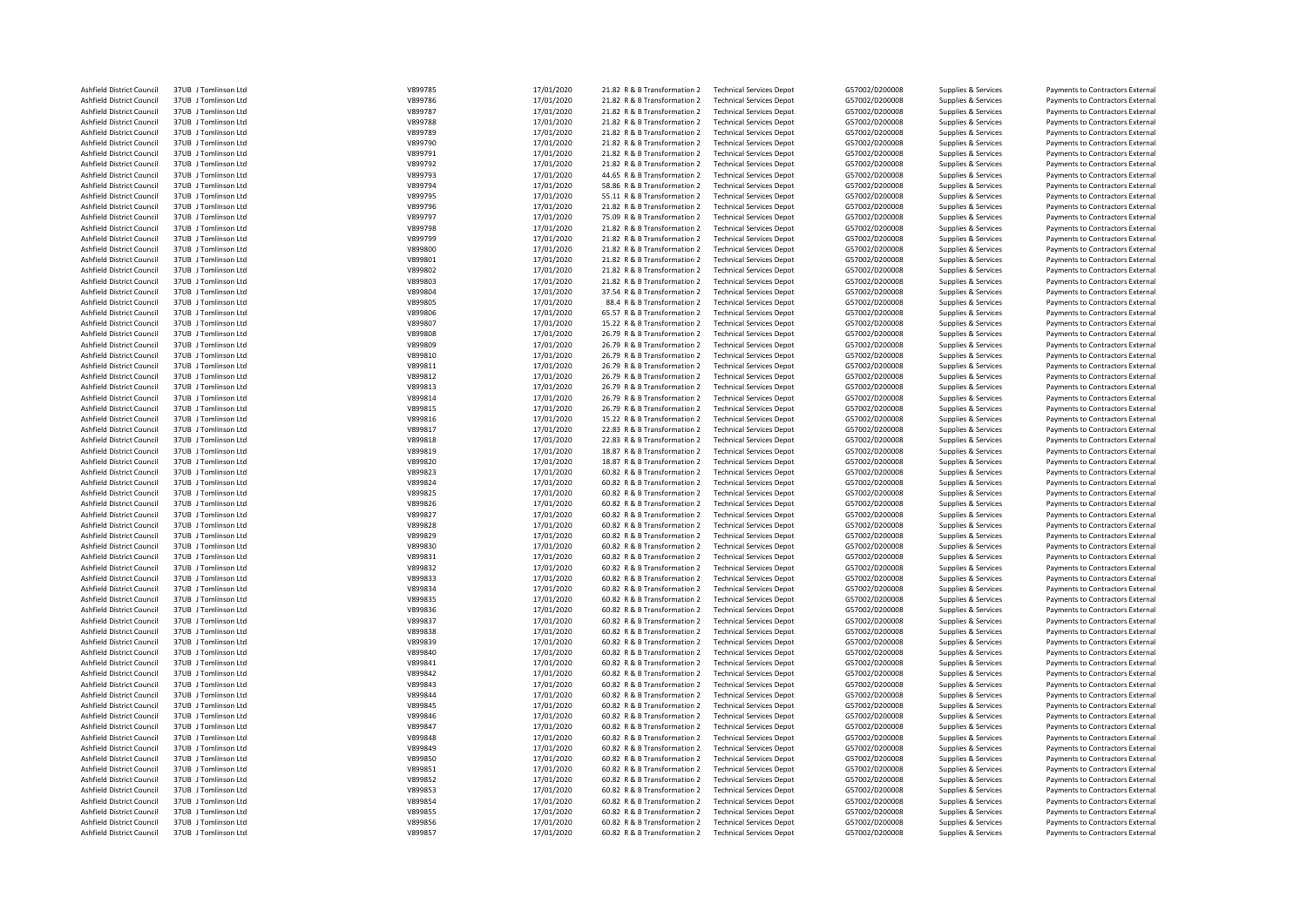| Ashfield District Council | 37UB J Tomlinson Ltd | V899785 | 17/01/2020 | 21.82 R & B Transformation 2 | <b>Technical Services Depot</b> | G57002/D200008 | Supplies & Services | Payments to Contractors External |
|---------------------------|----------------------|---------|------------|------------------------------|---------------------------------|----------------|---------------------|----------------------------------|
| Ashfield District Council | 37UB J Tomlinson Ltd | V899786 | 17/01/2020 | 21.82 R & B Transformation 2 | <b>Technical Services Depot</b> | G57002/D200008 | Supplies & Services | Payments to Contractors External |
| Ashfield District Council | 37UB J Tomlinson Ltd | V899787 | 17/01/2020 | 21.82 R & B Transformation 2 | <b>Technical Services Depot</b> | G57002/D200008 | Supplies & Services | Payments to Contractors External |
| Ashfield District Council | 37UB J Tomlinson Ltd | V899788 | 17/01/2020 | 21.82 R & B Transformation 2 | <b>Technical Services Depot</b> | G57002/D200008 | Supplies & Services | Payments to Contractors External |
| Ashfield District Council | 37UB J Tomlinson Ltd | V899789 | 17/01/2020 | 21.82 R & B Transformation 2 | <b>Technical Services Depot</b> | G57002/D200008 | Supplies & Services | Payments to Contractors External |
| Ashfield District Council | 37UB J Tomlinson Ltd | V899790 | 17/01/2020 | 21.82 R & B Transformation 2 | <b>Technical Services Depot</b> | G57002/D200008 | Supplies & Services | Payments to Contractors External |
| Ashfield District Council | 37UB J Tomlinson Ltd | V899791 |            | 21.82 R & B Transformation 2 | <b>Technical Services Depot</b> | G57002/D200008 |                     | Payments to Contractors External |
|                           |                      |         | 17/01/2020 |                              |                                 |                | Supplies & Services |                                  |
| Ashfield District Council | 37UB J Tomlinson Ltd | V899792 | 17/01/2020 | 21.82 R & B Transformation 2 | <b>Technical Services Depot</b> | G57002/D200008 | Supplies & Services | Payments to Contractors External |
| Ashfield District Council | 37UB J Tomlinson Ltd | V899793 | 17/01/2020 | 44.65 R & B Transformation 2 | <b>Technical Services Depot</b> | G57002/D200008 | Supplies & Services | Payments to Contractors External |
| Ashfield District Council | 37UB J Tomlinson Ltd | V899794 | 17/01/2020 | 58.86 R & B Transformation 2 | <b>Technical Services Depot</b> | G57002/D200008 | Supplies & Services | Payments to Contractors External |
| Ashfield District Council | 37UB J Tomlinson Ltd | V899795 | 17/01/2020 | 55.11 R & B Transformation 2 | <b>Technical Services Depot</b> | G57002/D200008 | Supplies & Services | Payments to Contractors External |
| Ashfield District Council | 37UB J Tomlinson Ltd | V899796 | 17/01/2020 | 21.82 R & B Transformation 2 | <b>Technical Services Depot</b> | G57002/D200008 | Supplies & Services | Payments to Contractors External |
| Ashfield District Council | 37UB J Tomlinson Ltd | V899797 | 17/01/2020 | 75.09 R & B Transformation 2 | <b>Technical Services Depot</b> | G57002/D200008 | Supplies & Services | Payments to Contractors External |
| Ashfield District Council | 37UB J Tomlinson Ltd | V899798 | 17/01/2020 | 21.82 R & B Transformation 2 | <b>Technical Services Depot</b> | G57002/D200008 | Supplies & Services | Payments to Contractors External |
| Ashfield District Council | 37UB J Tomlinson Ltd | V899799 | 17/01/2020 | 21.82 R & B Transformation 2 | <b>Technical Services Depot</b> | G57002/D200008 | Supplies & Services | Payments to Contractors External |
| Ashfield District Council | 37UB J Tomlinson Ltd | V899800 | 17/01/2020 | 21.82 R & B Transformation 2 | <b>Technical Services Depot</b> | G57002/D200008 | Supplies & Services | Payments to Contractors External |
| Ashfield District Council | 37UB J Tomlinson Ltd | V899801 | 17/01/2020 | 21.82 R & B Transformation 2 | <b>Technical Services Depot</b> | G57002/D200008 | Supplies & Services | Payments to Contractors External |
| Ashfield District Council | 37UB J Tomlinson Ltd | V899802 | 17/01/2020 | 21.82 R & B Transformation 2 | <b>Technical Services Depot</b> | G57002/D200008 | Supplies & Services | Payments to Contractors External |
|                           |                      |         |            |                              |                                 |                |                     |                                  |
| Ashfield District Council | 37UB J Tomlinson Ltd | V899803 | 17/01/2020 | 21.82 R & B Transformation 2 | <b>Technical Services Depot</b> | G57002/D200008 | Supplies & Services | Payments to Contractors External |
| Ashfield District Council | 37UB J Tomlinson Ltd | V899804 | 17/01/2020 | 37.54 R & B Transformation 2 | <b>Technical Services Depot</b> | G57002/D200008 | Supplies & Services | Payments to Contractors External |
| Ashfield District Council | 37UB J Tomlinson Ltd | V899805 | 17/01/2020 | 88.4 R & B Transformation 2  | <b>Technical Services Depot</b> | G57002/D200008 | Supplies & Services | Payments to Contractors External |
| Ashfield District Council | 37UB J Tomlinson Ltd | V899806 | 17/01/2020 | 65.57 R & B Transformation 2 | <b>Technical Services Depot</b> | G57002/D200008 | Supplies & Services | Payments to Contractors External |
| Ashfield District Council | 37UB J Tomlinson Ltd | V899807 | 17/01/2020 | 15.22 R & B Transformation 2 | <b>Technical Services Depot</b> | G57002/D200008 | Supplies & Services | Payments to Contractors External |
| Ashfield District Council | 37UB J Tomlinson Ltd | V899808 | 17/01/2020 | 26.79 R & B Transformation 2 | <b>Technical Services Depot</b> | G57002/D200008 | Supplies & Services | Payments to Contractors External |
| Ashfield District Council | 37UB J Tomlinson Ltd | V899809 | 17/01/2020 | 26.79 R & B Transformation 2 | <b>Technical Services Depot</b> | G57002/D200008 | Supplies & Services | Payments to Contractors External |
| Ashfield District Council | 37UB J Tomlinson Ltd | V899810 | 17/01/2020 | 26.79 R & B Transformation 2 | <b>Technical Services Depot</b> | G57002/D200008 | Supplies & Services | Payments to Contractors External |
| Ashfield District Council | 37UB J Tomlinson Ltd | V899811 | 17/01/2020 | 26.79 R & B Transformation 2 | <b>Technical Services Depot</b> | G57002/D200008 | Supplies & Services | Payments to Contractors External |
| Ashfield District Council | 37UB J Tomlinson Ltd | V899812 | 17/01/2020 | 26.79 R & B Transformation 2 | <b>Technical Services Depot</b> | G57002/D200008 | Supplies & Services | Payments to Contractors External |
| Ashfield District Council | 37UB J Tomlinson Ltd | V899813 | 17/01/2020 | 26.79 R & B Transformation 2 | <b>Technical Services Depot</b> | G57002/D200008 | Supplies & Services | Payments to Contractors External |
| Ashfield District Council | 37UB J Tomlinson Ltd | V899814 | 17/01/2020 | 26.79 R & B Transformation 2 | <b>Technical Services Depot</b> | G57002/D200008 | Supplies & Services | Payments to Contractors External |
|                           |                      |         |            |                              |                                 |                |                     |                                  |
| Ashfield District Council | 37UB J Tomlinson Ltd | V899815 | 17/01/2020 | 26.79 R & B Transformation 2 | <b>Technical Services Depot</b> | G57002/D200008 | Supplies & Services | Payments to Contractors External |
| Ashfield District Council | 37UB J Tomlinson Ltd | V899816 | 17/01/2020 | 15.22 R & B Transformation 2 | <b>Technical Services Depot</b> | G57002/D200008 | Supplies & Services | Payments to Contractors External |
| Ashfield District Council | 37UB J Tomlinson Ltd | V899817 | 17/01/2020 | 22.83 R & B Transformation 2 | <b>Technical Services Depot</b> | G57002/D200008 | Supplies & Services | Payments to Contractors External |
| Ashfield District Council | 37UB J Tomlinson Ltd | V899818 | 17/01/2020 | 22.83 R & B Transformation 2 | <b>Technical Services Depot</b> | G57002/D200008 | Supplies & Services | Payments to Contractors External |
| Ashfield District Council | 37UB J Tomlinson Ltd | V899819 | 17/01/2020 | 18.87 R & B Transformation 2 | <b>Technical Services Depot</b> | G57002/D200008 | Supplies & Services | Payments to Contractors External |
| Ashfield District Council | 37UB J Tomlinson Ltd | V899820 | 17/01/2020 | 18.87 R & B Transformation 2 | <b>Technical Services Depot</b> | G57002/D200008 | Supplies & Services | Payments to Contractors External |
| Ashfield District Council | 37UB J Tomlinson Ltd | V899823 | 17/01/2020 | 60.82 R & B Transformation 2 | <b>Technical Services Depot</b> | G57002/D200008 | Supplies & Services | Payments to Contractors External |
| Ashfield District Council | 37UB J Tomlinson Ltd | V899824 | 17/01/2020 | 60.82 R & B Transformation 2 | <b>Technical Services Depot</b> | G57002/D200008 | Supplies & Services | Payments to Contractors External |
| Ashfield District Council | 37UB J Tomlinson Ltd | V899825 | 17/01/2020 | 60.82 R & B Transformation 2 | <b>Technical Services Depot</b> | G57002/D200008 | Supplies & Services | Payments to Contractors External |
| Ashfield District Council | 37UB J Tomlinson Ltd | V899826 | 17/01/2020 | 60.82 R & B Transformation 2 | <b>Technical Services Depot</b> | G57002/D200008 | Supplies & Services | Payments to Contractors External |
| Ashfield District Council | 37UB J Tomlinson Ltd | V899827 | 17/01/2020 | 60.82 R & B Transformation 2 | <b>Technical Services Depot</b> | G57002/D200008 | Supplies & Services | Payments to Contractors External |
| Ashfield District Council | 37UB J Tomlinson Ltd | V899828 | 17/01/2020 | 60.82 R & B Transformation 2 | <b>Technical Services Depot</b> | G57002/D200008 | Supplies & Services | Payments to Contractors External |
| Ashfield District Council | 37UB J Tomlinson Ltd | V899829 |            | 60.82 R & B Transformation 2 | <b>Technical Services Depot</b> | G57002/D200008 |                     |                                  |
|                           |                      |         | 17/01/2020 |                              |                                 |                | Supplies & Services | Payments to Contractors External |
| Ashfield District Council | 37UB J Tomlinson Ltd | V899830 | 17/01/2020 | 60.82 R & B Transformation 2 | <b>Technical Services Depot</b> | G57002/D200008 | Supplies & Services | Payments to Contractors External |
| Ashfield District Council | 37UB J Tomlinson Ltd | V899831 | 17/01/2020 | 60.82 R & B Transformation 2 | <b>Technical Services Depot</b> | G57002/D200008 | Supplies & Services | Payments to Contractors External |
| Ashfield District Council | 37UB J Tomlinson Ltd | V899832 | 17/01/2020 | 60.82 R & B Transformation 2 | <b>Technical Services Depot</b> | G57002/D200008 | Supplies & Services | Payments to Contractors External |
| Ashfield District Council | 37UB J Tomlinson Ltd | V899833 | 17/01/2020 | 60.82 R & B Transformation 2 | <b>Technical Services Depot</b> | G57002/D200008 | Supplies & Services | Payments to Contractors External |
| Ashfield District Council | 37UB J Tomlinson Ltd | V899834 | 17/01/2020 | 60.82 R & B Transformation 2 | <b>Technical Services Depot</b> | G57002/D200008 | Supplies & Services | Payments to Contractors External |
| Ashfield District Council | 37UB J Tomlinson Ltd | V899835 | 17/01/2020 | 60.82 R & B Transformation 2 | <b>Technical Services Depot</b> | G57002/D200008 | Supplies & Services | Payments to Contractors External |
| Ashfield District Council | 37UB J Tomlinson Ltd | V899836 | 17/01/2020 | 60.82 R & B Transformation 2 | <b>Technical Services Depot</b> | G57002/D200008 | Supplies & Services | Payments to Contractors External |
| Ashfield District Council | 37UB J Tomlinson Ltd | V899837 | 17/01/2020 | 60.82 R & B Transformation 2 | <b>Technical Services Depot</b> | G57002/D200008 | Supplies & Services | Payments to Contractors External |
| Ashfield District Council | 37UB J Tomlinson Ltd | V899838 | 17/01/2020 | 60.82 R & B Transformation 2 | <b>Technical Services Depot</b> | G57002/D200008 | Supplies & Services | Payments to Contractors External |
| Ashfield District Council | 37UB J Tomlinson Ltd | V899839 | 17/01/2020 | 60.82 R & B Transformation 2 | <b>Technical Services Depot</b> | G57002/D200008 | Supplies & Services | Payments to Contractors External |
| Ashfield District Council | 37UB J Tomlinson Ltd | V899840 | 17/01/2020 | 60.82 R & B Transformation 2 | <b>Technical Services Depot</b> | G57002/D200008 | Supplies & Services | Payments to Contractors External |
|                           | 37UB J Tomlinson Ltd | V899841 |            | 60.82 R & B Transformation 2 |                                 |                |                     |                                  |
| Ashfield District Council |                      |         | 17/01/2020 |                              | <b>Technical Services Depot</b> | G57002/D200008 | Supplies & Services | Payments to Contractors External |
| Ashfield District Council | 37UB J Tomlinson Ltd | V899842 | 17/01/2020 | 60.82 R & B Transformation 2 | <b>Technical Services Depot</b> | G57002/D200008 | Supplies & Services | Payments to Contractors External |
| Ashfield District Council | 37UB J Tomlinson Ltd | V899843 | 17/01/2020 | 60.82 R & B Transformation 2 | <b>Technical Services Depot</b> | G57002/D200008 | Supplies & Services | Payments to Contractors External |
| Ashfield District Council | 37UB J Tomlinson Ltd | V899844 | 17/01/2020 | 60.82 R & B Transformation 2 | <b>Technical Services Depot</b> | G57002/D200008 | Supplies & Services | Payments to Contractors External |
| Ashfield District Council | 37UB J Tomlinson Ltd | V899845 | 17/01/2020 | 60.82 R & B Transformation 2 | <b>Technical Services Depot</b> | G57002/D200008 | Supplies & Services | Payments to Contractors External |
| Ashfield District Council | 37UB J Tomlinson Ltd | V899846 | 17/01/2020 | 60.82 R & B Transformation 2 | <b>Technical Services Depot</b> | G57002/D200008 | Supplies & Services | Payments to Contractors External |
| Ashfield District Council | 37UB J Tomlinson Ltd | V899847 | 17/01/2020 | 60.82 R & B Transformation 2 | <b>Technical Services Depot</b> | G57002/D200008 | Supplies & Services | Payments to Contractors External |
| Ashfield District Council | 37UB J Tomlinson Ltd | V899848 | 17/01/2020 | 60.82 R & B Transformation 2 | <b>Technical Services Depot</b> | G57002/D200008 | Supplies & Services | Payments to Contractors External |
| Ashfield District Council | 37UB J Tomlinson Ltd | V899849 | 17/01/2020 | 60.82 R & B Transformation 2 | <b>Technical Services Depot</b> | G57002/D200008 | Supplies & Services | Payments to Contractors External |
| Ashfield District Council | 37UB J Tomlinson Ltd | V899850 | 17/01/2020 | 60.82 R & B Transformation 2 | <b>Technical Services Depot</b> | G57002/D200008 | Supplies & Services | Payments to Contractors External |
| Ashfield District Council | 37UB J Tomlinson Ltd | V899851 | 17/01/2020 | 60.82 R & B Transformation 2 | <b>Technical Services Depot</b> | G57002/D200008 | Supplies & Services | Payments to Contractors External |
| Ashfield District Council | 37UB J Tomlinson Ltd | V899852 | 17/01/2020 | 60.82 R & B Transformation 2 | <b>Technical Services Depot</b> | G57002/D200008 | Supplies & Services | Payments to Contractors External |
| Ashfield District Council | 37UB J Tomlinson Ltd | V899853 | 17/01/2020 | 60.82 R & B Transformation 2 | <b>Technical Services Depot</b> | G57002/D200008 | Supplies & Services | Payments to Contractors External |
|                           |                      |         |            |                              |                                 |                |                     |                                  |
| Ashfield District Council | 37UB J Tomlinson Ltd | V899854 | 17/01/2020 | 60.82 R & B Transformation 2 | <b>Technical Services Depot</b> | G57002/D200008 | Supplies & Services | Payments to Contractors External |
| Ashfield District Council | 37UB J Tomlinson Ltd | V899855 | 17/01/2020 | 60.82 R & B Transformation 2 | <b>Technical Services Depot</b> | G57002/D200008 | Supplies & Services | Payments to Contractors External |
| Ashfield District Council | 37UB J Tomlinson Ltd | V899856 | 17/01/2020 | 60.82 R & B Transformation 2 | <b>Technical Services Depot</b> | G57002/D200008 | Supplies & Services | Payments to Contractors External |
| Ashfield District Council | 37UB J Tomlinson Ltd | V899857 | 17/01/2020 | 60.82 R & B Transformation 2 | <b>Technical Services Depot</b> | G57002/D200008 | Supplies & Services | Payments to Contractors External |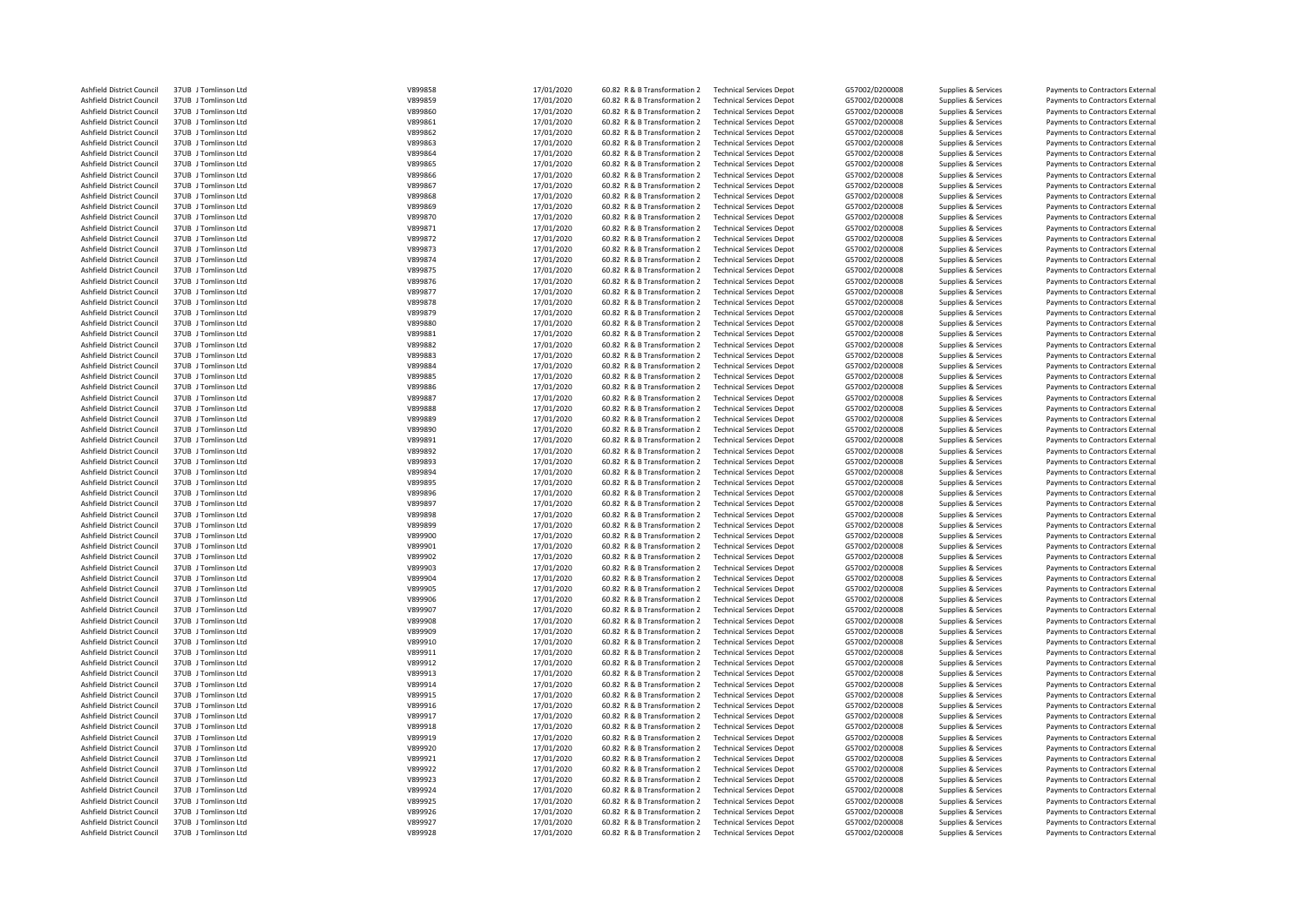| Ashfield District Council | 37UB J Tomlinson Ltd | V899858 | 17/01/2020 | 60.82 R & B Transformation 2 | <b>Technical Services Depot</b> | G57002/D200008 | Supplies & Services | Payments to Contractors External |
|---------------------------|----------------------|---------|------------|------------------------------|---------------------------------|----------------|---------------------|----------------------------------|
| Ashfield District Council | 37UB J Tomlinson Ltd | V899859 | 17/01/2020 | 60.82 R & B Transformation 2 | <b>Technical Services Depot</b> | G57002/D200008 | Supplies & Services | Payments to Contractors External |
| Ashfield District Council | 37UB J Tomlinson Ltd | V899860 | 17/01/2020 | 60.82 R & B Transformation 2 | <b>Technical Services Depot</b> | G57002/D200008 | Supplies & Services | Payments to Contractors External |
| Ashfield District Council | 37UB J Tomlinson Ltd | V899861 | 17/01/2020 | 60.82 R & B Transformation 2 | <b>Technical Services Depot</b> | G57002/D200008 | Supplies & Services | Payments to Contractors External |
| Ashfield District Council | 37UB J Tomlinson Ltd | V899862 | 17/01/2020 | 60.82 R & B Transformation 2 | <b>Technical Services Depot</b> | G57002/D200008 | Supplies & Services | Payments to Contractors External |
| Ashfield District Council | 37UB J Tomlinson Ltd | V899863 | 17/01/2020 | 60.82 R & B Transformation 2 | <b>Technical Services Depot</b> | G57002/D200008 | Supplies & Services | Payments to Contractors External |
| Ashfield District Council | 37UB J Tomlinson Ltd | V899864 |            | 60.82 R & B Transformation 2 | <b>Technical Services Depot</b> | G57002/D200008 |                     | Payments to Contractors External |
|                           |                      |         | 17/01/2020 |                              |                                 |                | Supplies & Services |                                  |
| Ashfield District Council | 37UB J Tomlinson Ltd | V899865 | 17/01/2020 | 60.82 R & B Transformation 2 | <b>Technical Services Depot</b> | G57002/D200008 | Supplies & Services | Payments to Contractors External |
| Ashfield District Council | 37UB J Tomlinson Ltd | V899866 | 17/01/2020 | 60.82 R & B Transformation 2 | <b>Technical Services Depot</b> | G57002/D200008 | Supplies & Services | Payments to Contractors External |
| Ashfield District Council | 37UB J Tomlinson Ltd | V899867 | 17/01/2020 | 60.82 R & B Transformation 2 | <b>Technical Services Depot</b> | G57002/D200008 | Supplies & Services | Payments to Contractors External |
| Ashfield District Council | 37UB J Tomlinson Ltd | V899868 | 17/01/2020 | 60.82 R & B Transformation 2 | <b>Technical Services Depot</b> | G57002/D200008 | Supplies & Services | Payments to Contractors External |
| Ashfield District Council | 37UB J Tomlinson Ltd | V899869 | 17/01/2020 | 60.82 R & B Transformation 2 | <b>Technical Services Depot</b> | G57002/D200008 | Supplies & Services | Payments to Contractors External |
| Ashfield District Council | 37UB J Tomlinson Ltd | V899870 | 17/01/2020 | 60.82 R & B Transformation 2 | <b>Technical Services Depot</b> | G57002/D200008 | Supplies & Services | Payments to Contractors External |
| Ashfield District Council | 37UB J Tomlinson Ltd | V899871 | 17/01/2020 | 60.82 R & B Transformation 2 | <b>Technical Services Depot</b> | G57002/D200008 | Supplies & Services | Payments to Contractors External |
| Ashfield District Council | 37UB J Tomlinson Ltd | V899872 | 17/01/2020 | 60.82 R & B Transformation 2 | <b>Technical Services Depot</b> | G57002/D200008 | Supplies & Services | Payments to Contractors External |
| Ashfield District Council | 37UB J Tomlinson Ltd | V899873 | 17/01/2020 | 60.82 R & B Transformation 2 | <b>Technical Services Depot</b> | G57002/D200008 | Supplies & Services | Payments to Contractors External |
|                           |                      |         |            |                              |                                 |                |                     |                                  |
| Ashfield District Council | 37UB J Tomlinson Ltd | V899874 | 17/01/2020 | 60.82 R & B Transformation 2 | <b>Technical Services Depot</b> | G57002/D200008 | Supplies & Services | Payments to Contractors External |
| Ashfield District Council | 37UB J Tomlinson Ltd | V899875 | 17/01/2020 | 60.82 R & B Transformation 2 | <b>Technical Services Depot</b> | G57002/D200008 | Supplies & Services | Payments to Contractors External |
| Ashfield District Council | 37UB J Tomlinson Ltd | V899876 | 17/01/2020 | 60.82 R & B Transformation 2 | <b>Technical Services Depot</b> | G57002/D200008 | Supplies & Services | Payments to Contractors External |
| Ashfield District Council | 37UB J Tomlinson Ltd | V899877 | 17/01/2020 | 60.82 R & B Transformation 2 | <b>Technical Services Depot</b> | G57002/D200008 | Supplies & Services | Payments to Contractors External |
| Ashfield District Council | 37UB J Tomlinson Ltd | V899878 | 17/01/2020 | 60.82 R & B Transformation 2 | <b>Technical Services Depot</b> | G57002/D200008 | Supplies & Services | Payments to Contractors External |
| Ashfield District Council | 37UB J Tomlinson Ltd | V899879 | 17/01/2020 | 60.82 R & B Transformation 2 | <b>Technical Services Depot</b> | G57002/D200008 | Supplies & Services | Payments to Contractors External |
| Ashfield District Council | 37UB J Tomlinson Ltd | V899880 | 17/01/2020 | 60.82 R & B Transformation 2 | <b>Technical Services Depot</b> | G57002/D200008 | Supplies & Services | Payments to Contractors External |
| Ashfield District Council | 37UB J Tomlinson Ltd | V899881 | 17/01/2020 | 60.82 R & B Transformation 2 | <b>Technical Services Depot</b> | G57002/D200008 | Supplies & Services | Payments to Contractors External |
| Ashfield District Council | 37UB J Tomlinson Ltd | V899882 | 17/01/2020 | 60.82 R & B Transformation 2 | <b>Technical Services Depot</b> | G57002/D200008 | Supplies & Services | Payments to Contractors External |
|                           |                      |         |            |                              |                                 |                |                     |                                  |
| Ashfield District Council | 37UB J Tomlinson Ltd | V899883 | 17/01/2020 | 60.82 R & B Transformation 2 | <b>Technical Services Depot</b> | G57002/D200008 | Supplies & Services | Payments to Contractors External |
| Ashfield District Council | 37UB J Tomlinson Ltd | V899884 | 17/01/2020 | 60.82 R & B Transformation 2 | <b>Technical Services Depot</b> | G57002/D200008 | Supplies & Services | Payments to Contractors External |
| Ashfield District Council | 37UB J Tomlinson Ltd | V899885 | 17/01/2020 | 60.82 R & B Transformation 2 | <b>Technical Services Depot</b> | G57002/D200008 | Supplies & Services | Payments to Contractors External |
| Ashfield District Council | 37UB J Tomlinson Ltd | V899886 | 17/01/2020 | 60.82 R & B Transformation 2 | <b>Technical Services Depot</b> | G57002/D200008 | Supplies & Services | Payments to Contractors External |
| Ashfield District Council | 37UB J Tomlinson Ltd | V899887 | 17/01/2020 | 60.82 R & B Transformation 2 | <b>Technical Services Depot</b> | G57002/D200008 | Supplies & Services | Payments to Contractors External |
| Ashfield District Council | 37UB J Tomlinson Ltd | V899888 | 17/01/2020 | 60.82 R & B Transformation 2 | <b>Technical Services Depot</b> | G57002/D200008 | Supplies & Services | Payments to Contractors External |
| Ashfield District Council | 37UB J Tomlinson Ltd | V899889 | 17/01/2020 | 60.82 R & B Transformation 2 | <b>Technical Services Depot</b> | G57002/D200008 | Supplies & Services | Payments to Contractors External |
| Ashfield District Council | 37UB J Tomlinson Ltd | V899890 | 17/01/2020 | 60.82 R & B Transformation 2 | <b>Technical Services Depot</b> | G57002/D200008 | Supplies & Services | Payments to Contractors External |
| Ashfield District Council | 37UB J Tomlinson Ltd | V899891 | 17/01/2020 | 60.82 R & B Transformation 2 | <b>Technical Services Depot</b> | G57002/D200008 | Supplies & Services | Payments to Contractors External |
| Ashfield District Council | 37UB J Tomlinson Ltd | V899892 | 17/01/2020 | 60.82 R & B Transformation 2 | <b>Technical Services Depot</b> | G57002/D200008 | Supplies & Services | Payments to Contractors External |
|                           | 37UB J Tomlinson Ltd | V899893 |            |                              |                                 |                |                     |                                  |
| Ashfield District Council |                      |         | 17/01/2020 | 60.82 R & B Transformation 2 | <b>Technical Services Depot</b> | G57002/D200008 | Supplies & Services | Payments to Contractors External |
| Ashfield District Council | 37UB J Tomlinson Ltd | V899894 | 17/01/2020 | 60.82 R & B Transformation 2 | <b>Technical Services Depot</b> | G57002/D200008 | Supplies & Services | Payments to Contractors External |
| Ashfield District Council | 37UB J Tomlinson Ltd | V899895 | 17/01/2020 | 60.82 R & B Transformation 2 | <b>Technical Services Depot</b> | G57002/D200008 | Supplies & Services | Payments to Contractors External |
| Ashfield District Council | 37UB J Tomlinson Ltd | V899896 | 17/01/2020 | 60.82 R & B Transformation 2 | <b>Technical Services Depot</b> | G57002/D200008 | Supplies & Services | Payments to Contractors External |
| Ashfield District Council | 37UB J Tomlinson Ltd | V899897 | 17/01/2020 | 60.82 R & B Transformation 2 | <b>Technical Services Depot</b> | G57002/D200008 | Supplies & Services | Payments to Contractors External |
| Ashfield District Council | 37UB J Tomlinson Ltd | V899898 | 17/01/2020 | 60.82 R & B Transformation 2 | <b>Technical Services Depot</b> | G57002/D200008 | Supplies & Services | Payments to Contractors External |
| Ashfield District Council | 37UB J Tomlinson Ltd | V899899 | 17/01/2020 | 60.82 R & B Transformation 2 | <b>Technical Services Depot</b> | G57002/D200008 | Supplies & Services | Payments to Contractors External |
| Ashfield District Council | 37UB J Tomlinson Ltd | V899900 | 17/01/2020 | 60.82 R & B Transformation 2 | <b>Technical Services Depot</b> | G57002/D200008 | Supplies & Services | Payments to Contractors External |
| Ashfield District Council | 37UB J Tomlinson Ltd | V899901 | 17/01/2020 | 60.82 R & B Transformation 2 | <b>Technical Services Depot</b> | G57002/D200008 | Supplies & Services | Payments to Contractors External |
|                           | 37UB J Tomlinson Ltd | V899902 |            |                              |                                 |                |                     |                                  |
| Ashfield District Council |                      |         | 17/01/2020 | 60.82 R & B Transformation 2 | <b>Technical Services Depot</b> | G57002/D200008 | Supplies & Services | Payments to Contractors External |
| Ashfield District Council | 37UB J Tomlinson Ltd | V899903 | 17/01/2020 | 60.82 R & B Transformation 2 | <b>Technical Services Depot</b> | G57002/D200008 | Supplies & Services | Payments to Contractors External |
| Ashfield District Council | 37UB J Tomlinson Ltd | V899904 | 17/01/2020 | 60.82 R & B Transformation 2 | <b>Technical Services Depot</b> | G57002/D200008 | Supplies & Services | Payments to Contractors External |
| Ashfield District Council | 37UB J Tomlinson Ltd | V899905 | 17/01/2020 | 60.82 R & B Transformation 2 | <b>Technical Services Depot</b> | G57002/D200008 | Supplies & Services | Payments to Contractors External |
| Ashfield District Council | 37UB J Tomlinson Ltd | V899906 | 17/01/2020 | 60.82 R & B Transformation 2 | <b>Technical Services Depot</b> | G57002/D200008 | Supplies & Services | Payments to Contractors External |
| Ashfield District Council | 37UB J Tomlinson Ltd | V899907 | 17/01/2020 | 60.82 R & B Transformation 2 | <b>Technical Services Depot</b> | G57002/D200008 | Supplies & Services | Payments to Contractors External |
| Ashfield District Council | 37UB J Tomlinson Ltd | V899908 | 17/01/2020 | 60.82 R & B Transformation 2 | <b>Technical Services Depot</b> | G57002/D200008 | Supplies & Services | Payments to Contractors External |
| Ashfield District Council | 37UB J Tomlinson Ltd | V899909 | 17/01/2020 | 60.82 R & B Transformation 2 | <b>Technical Services Depot</b> | G57002/D200008 | Supplies & Services | Payments to Contractors External |
| Ashfield District Council | 37UB J Tomlinson Ltd | V899910 | 17/01/2020 | 60.82 R & B Transformation 2 | <b>Technical Services Depot</b> | G57002/D200008 | Supplies & Services | Payments to Contractors External |
| Ashfield District Council | 37UB J Tomlinson Ltd | V899911 | 17/01/2020 | 60.82 R & B Transformation 2 | <b>Technical Services Depot</b> | G57002/D200008 |                     |                                  |
|                           |                      |         |            |                              |                                 |                | Supplies & Services | Payments to Contractors External |
| Ashfield District Council | 37UB J Tomlinson Ltd | V899912 | 17/01/2020 | 60.82 R & B Transformation 2 | <b>Technical Services Depot</b> | G57002/D200008 | Supplies & Services | Payments to Contractors External |
| Ashfield District Council | 37UB J Tomlinson Ltd | V899913 | 17/01/2020 | 60.82 R & B Transformation 2 | <b>Technical Services Depot</b> | G57002/D200008 | Supplies & Services | Payments to Contractors External |
| Ashfield District Council | 37UB J Tomlinson Ltd | V899914 | 17/01/2020 | 60.82 R & B Transformation 2 | <b>Technical Services Depot</b> | G57002/D200008 | Supplies & Services | Payments to Contractors External |
| Ashfield District Council | 37UB J Tomlinson Ltd | V899915 | 17/01/2020 | 60.82 R & B Transformation 2 | <b>Technical Services Depot</b> | G57002/D200008 | Supplies & Services | Payments to Contractors External |
| Ashfield District Council | 37UB J Tomlinson Ltd | V899916 | 17/01/2020 | 60.82 R & B Transformation 2 | <b>Technical Services Depot</b> | G57002/D200008 | Supplies & Services | Payments to Contractors External |
| Ashfield District Council | 37UB J Tomlinson Ltd | V899917 | 17/01/2020 | 60.82 R & B Transformation 2 | <b>Technical Services Depot</b> | G57002/D200008 | Supplies & Services | Payments to Contractors External |
| Ashfield District Council | 37UB J Tomlinson Ltd | V899918 | 17/01/2020 | 60.82 R & B Transformation 2 | <b>Technical Services Depot</b> | G57002/D200008 | Supplies & Services | Payments to Contractors External |
| Ashfield District Council | 37UB J Tomlinson Ltd | V899919 | 17/01/2020 | 60.82 R & B Transformation 2 | <b>Technical Services Depot</b> | G57002/D200008 | Supplies & Services | Payments to Contractors External |
| Ashfield District Council | 37UB J Tomlinson Ltd | V899920 | 17/01/2020 | 60.82 R & B Transformation 2 | <b>Technical Services Depot</b> | G57002/D200008 | Supplies & Services | Payments to Contractors External |
|                           | 37UB J Tomlinson Ltd |         |            |                              |                                 |                |                     |                                  |
| Ashfield District Council |                      | V899921 | 17/01/2020 | 60.82 R & B Transformation 2 | <b>Technical Services Depot</b> | G57002/D200008 | Supplies & Services | Payments to Contractors External |
| Ashfield District Council | 37UB J Tomlinson Ltd | V899922 | 17/01/2020 | 60.82 R & B Transformation 2 | <b>Technical Services Depot</b> | G57002/D200008 | Supplies & Services | Payments to Contractors External |
| Ashfield District Council | 37UB J Tomlinson Ltd | V899923 | 17/01/2020 | 60.82 R & B Transformation 2 | <b>Technical Services Depot</b> | G57002/D200008 | Supplies & Services | Payments to Contractors External |
| Ashfield District Council | 37UB J Tomlinson Ltd | V899924 | 17/01/2020 | 60.82 R & B Transformation 2 | <b>Technical Services Depot</b> | G57002/D200008 | Supplies & Services | Payments to Contractors External |
| Ashfield District Council | 37UB J Tomlinson Ltd | V899925 | 17/01/2020 | 60.82 R & B Transformation 2 | <b>Technical Services Depot</b> | G57002/D200008 | Supplies & Services | Payments to Contractors External |
| Ashfield District Council | 37UB J Tomlinson Ltd | V899926 | 17/01/2020 | 60.82 R & B Transformation 2 | <b>Technical Services Depot</b> | G57002/D200008 | Supplies & Services | Payments to Contractors External |
| Ashfield District Council | 37UB J Tomlinson Ltd | V899927 | 17/01/2020 | 60.82 R & B Transformation 2 | <b>Technical Services Depot</b> | G57002/D200008 | Supplies & Services | Payments to Contractors External |
| Ashfield District Council | 37UB J Tomlinson Ltd | V899928 | 17/01/2020 | 60.82 R & B Transformation 2 | <b>Technical Services Depot</b> | G57002/D200008 | Supplies & Services | Payments to Contractors External |
|                           |                      |         |            |                              |                                 |                |                     |                                  |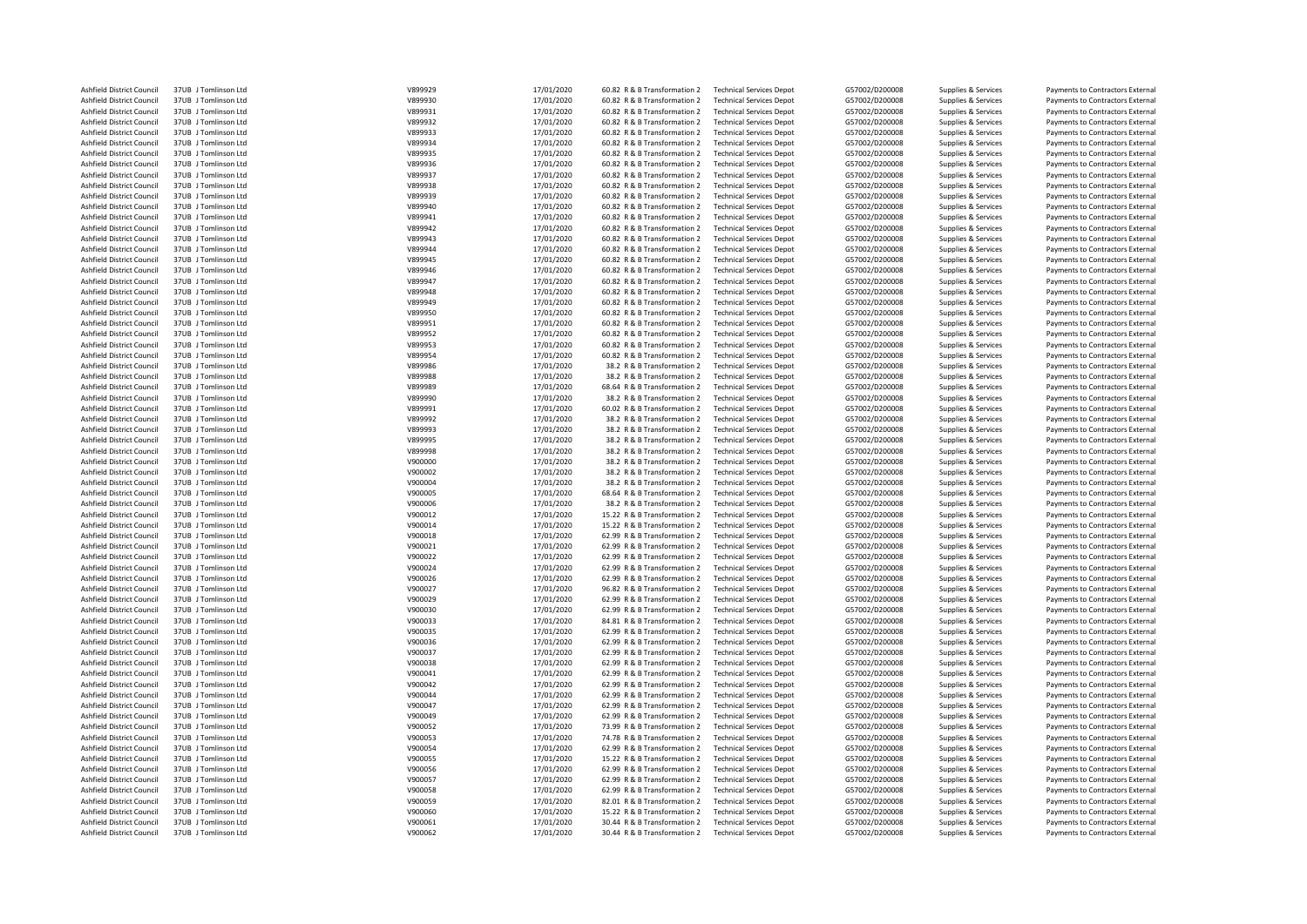| Ashfield District Council | 37UB J Tomlinson Ltd | V899929 | 17/01/2020 | 60.82 R & B Transformation 2 | <b>Technical Services Depot</b> | G57002/D200008 | Supplies & Services | Payments to Contractors External |
|---------------------------|----------------------|---------|------------|------------------------------|---------------------------------|----------------|---------------------|----------------------------------|
| Ashfield District Council | 37UB J Tomlinson Ltd | V899930 | 17/01/2020 | 60.82 R & B Transformation 2 | <b>Technical Services Depot</b> | G57002/D200008 | Supplies & Services | Payments to Contractors External |
| Ashfield District Council | 37UB J Tomlinson Ltd | V899931 | 17/01/2020 | 60.82 R & B Transformation 2 | <b>Technical Services Depot</b> | G57002/D200008 | Supplies & Services | Payments to Contractors External |
| Ashfield District Council | 37UB J Tomlinson Ltd | V899932 | 17/01/2020 | 60.82 R & B Transformation 2 | <b>Technical Services Depot</b> | G57002/D200008 | Supplies & Services | Payments to Contractors External |
| Ashfield District Council | 37UB J Tomlinson Ltd | V899933 | 17/01/2020 | 60.82 R & B Transformation 2 | <b>Technical Services Depot</b> | G57002/D200008 | Supplies & Services | Payments to Contractors External |
| Ashfield District Council | 37UB J Tomlinson Ltd | V899934 | 17/01/2020 | 60.82 R & B Transformation 2 | <b>Technical Services Depot</b> | G57002/D200008 | Supplies & Services | Payments to Contractors External |
| Ashfield District Council | 37UB J Tomlinson Ltd | V899935 | 17/01/2020 | 60.82 R & B Transformation 2 | <b>Technical Services Depot</b> | G57002/D200008 | Supplies & Services | Payments to Contractors External |
| Ashfield District Council | 37UB J Tomlinson Ltd | V899936 | 17/01/2020 | 60.82 R & B Transformation 2 | <b>Technical Services Depot</b> | G57002/D200008 | Supplies & Services | Payments to Contractors External |
| Ashfield District Council | 37UB J Tomlinson Ltd | V899937 | 17/01/2020 | 60.82 R & B Transformation 2 |                                 | G57002/D200008 |                     |                                  |
|                           |                      |         |            |                              | <b>Technical Services Depot</b> |                | Supplies & Services | Payments to Contractors External |
| Ashfield District Council | 37UB J Tomlinson Ltd | V899938 | 17/01/2020 | 60.82 R & B Transformation 2 | <b>Technical Services Depot</b> | G57002/D200008 | Supplies & Services | Payments to Contractors External |
| Ashfield District Council | 37UB J Tomlinson Ltd | V899939 | 17/01/2020 | 60.82 R & B Transformation 2 | <b>Technical Services Depot</b> | G57002/D200008 | Supplies & Services | Payments to Contractors External |
| Ashfield District Council | 37UB J Tomlinson Ltd | V899940 | 17/01/2020 | 60.82 R & B Transformation 2 | <b>Technical Services Depot</b> | G57002/D200008 | Supplies & Services | Payments to Contractors External |
| Ashfield District Council | 37UB J Tomlinson Ltd | V899941 | 17/01/2020 | 60.82 R & B Transformation 2 | <b>Technical Services Depot</b> | G57002/D200008 | Supplies & Services | Payments to Contractors External |
| Ashfield District Council | 37UB J Tomlinson Ltd | V899942 | 17/01/2020 | 60.82 R & B Transformation 2 | <b>Technical Services Depot</b> | G57002/D200008 | Supplies & Services | Payments to Contractors External |
| Ashfield District Council | 37UB J Tomlinson Ltd | V899943 | 17/01/2020 | 60.82 R & B Transformation 2 | <b>Technical Services Depot</b> | G57002/D200008 | Supplies & Services | Payments to Contractors External |
| Ashfield District Council | 37UB J Tomlinson Ltd | V899944 | 17/01/2020 | 60.82 R & B Transformation 2 | <b>Technical Services Depot</b> | G57002/D200008 | Supplies & Services | Payments to Contractors External |
| Ashfield District Council | 37UB J Tomlinson Ltd | V899945 | 17/01/2020 | 60.82 R & B Transformation 2 | <b>Technical Services Depot</b> | G57002/D200008 | Supplies & Services | Payments to Contractors External |
| Ashfield District Council | 37UB   Tomlinson Itd | V899946 | 17/01/2020 | 60.82 R & B Transformation 2 | <b>Technical Services Depot</b> | G57002/D200008 | Supplies & Services | Payments to Contractors External |
| Ashfield District Council | 37UB J Tomlinson Ltd | V899947 | 17/01/2020 | 60.82 R & B Transformation 2 | <b>Technical Services Depot</b> | G57002/D200008 | Supplies & Services | Payments to Contractors External |
| Ashfield District Council | 37UB J Tomlinson Ltd | V899948 | 17/01/2020 | 60.82 R & B Transformation 2 | <b>Technical Services Depot</b> | G57002/D200008 | Supplies & Services | Payments to Contractors External |
| Ashfield District Council | 37UB J Tomlinson Ltd | V899949 | 17/01/2020 | 60.82 R & B Transformation 2 | <b>Technical Services Depot</b> | G57002/D200008 | Supplies & Services | Payments to Contractors External |
| Ashfield District Council | 37UB J Tomlinson Ltd | V899950 | 17/01/2020 | 60.82 R & B Transformation 2 | <b>Technical Services Depot</b> | G57002/D200008 | Supplies & Services | Payments to Contractors External |
| Ashfield District Council | 37UB J Tomlinson Ltd | V899951 | 17/01/2020 | 60.82 R & B Transformation 2 | <b>Technical Services Depot</b> | G57002/D200008 | Supplies & Services | Payments to Contractors External |
| Ashfield District Council | 37UB J Tomlinson Ltd | V899952 | 17/01/2020 | 60.82 R & B Transformation 2 | <b>Technical Services Depot</b> | G57002/D200008 | Supplies & Services | Payments to Contractors External |
| Ashfield District Council | 37UB J Tomlinson Ltd | V899953 | 17/01/2020 | 60.82 R & B Transformation 2 | <b>Technical Services Depot</b> | G57002/D200008 | Supplies & Services | Payments to Contractors External |
| Ashfield District Council | 37UB J Tomlinson Ltd | V899954 |            | 60.82 R & B Transformation 2 | <b>Technical Services Depot</b> | G57002/D200008 |                     | Payments to Contractors External |
|                           |                      |         | 17/01/2020 |                              | <b>Technical Services Depot</b> |                | Supplies & Services |                                  |
| Ashfield District Council | 37UB J Tomlinson Ltd | V899986 | 17/01/2020 | 38.2 R & B Transformation 2  |                                 | G57002/D200008 | Supplies & Services | Payments to Contractors External |
| Ashfield District Council | 37UB J Tomlinson Ltd | V899988 | 17/01/2020 | 38.2 R & B Transformation 2  | <b>Technical Services Depot</b> | G57002/D200008 | Supplies & Services | Payments to Contractors External |
| Ashfield District Council | 37UB J Tomlinson Ltd | V899989 | 17/01/2020 | 68.64 R & B Transformation 2 | <b>Technical Services Depot</b> | G57002/D200008 | Supplies & Services | Payments to Contractors External |
| Ashfield District Council | 37UB J Tomlinson Ltd | V899990 | 17/01/2020 | 38.2 R & B Transformation 2  | <b>Technical Services Depot</b> | G57002/D200008 | Supplies & Services | Payments to Contractors External |
| Ashfield District Council | 37UB J Tomlinson Ltd | V899991 | 17/01/2020 | 60.02 R & B Transformation 2 | <b>Technical Services Depot</b> | G57002/D200008 | Supplies & Services | Payments to Contractors External |
| Ashfield District Council | 37UB J Tomlinson Ltd | V899992 | 17/01/2020 | 38.2 R & B Transformation 2  | <b>Technical Services Depot</b> | G57002/D200008 | Supplies & Services | Payments to Contractors External |
| Ashfield District Council | 37UB J Tomlinson Ltd | V899993 | 17/01/2020 | 38.2 R & B Transformation 2  | <b>Technical Services Depot</b> | G57002/D200008 | Supplies & Services | Payments to Contractors External |
| Ashfield District Council | 37UB J Tomlinson Ltd | V899995 | 17/01/2020 | 38.2 R & B Transformation 2  | <b>Technical Services Depot</b> | G57002/D200008 | Supplies & Services | Payments to Contractors External |
| Ashfield District Council | 37UB J Tomlinson Ltd | V899998 | 17/01/2020 | 38.2 R & B Transformation 2  | <b>Technical Services Depot</b> | G57002/D200008 | Supplies & Services | Payments to Contractors External |
| Ashfield District Council | 37UB J Tomlinson Ltd | V900000 | 17/01/2020 | 38.2 R & B Transformation 2  | <b>Technical Services Depot</b> | G57002/D200008 | Supplies & Services | Payments to Contractors External |
| Ashfield District Council | 37UB J Tomlinson Ltd | V900002 | 17/01/2020 | 38.2 R & B Transformation 2  | <b>Technical Services Depot</b> | G57002/D200008 | Supplies & Services | Payments to Contractors External |
| Ashfield District Council | 37UB J Tomlinson Ltd | V900004 | 17/01/2020 | 38.2 R & B Transformation 2  | <b>Technical Services Depot</b> | G57002/D200008 | Supplies & Services | Payments to Contractors External |
| Ashfield District Council | 37UB J Tomlinson Ltd | V900005 | 17/01/2020 | 68.64 R & B Transformation 2 | <b>Technical Services Depot</b> | G57002/D200008 | Supplies & Services | Payments to Contractors External |
| Ashfield District Council | 37UB J Tomlinson Ltd | V900006 | 17/01/2020 | 38.2 R & B Transformation 2  | <b>Technical Services Depot</b> | G57002/D200008 | Supplies & Services | Payments to Contractors External |
| Ashfield District Council | 37UB J Tomlinson Ltd | V900012 | 17/01/2020 | 15.22 R & B Transformation 2 | <b>Technical Services Depot</b> | G57002/D200008 | Supplies & Services | Payments to Contractors External |
| Ashfield District Council | 37UB J Tomlinson Ltd | V900014 | 17/01/2020 | 15.22 R & B Transformation 2 | <b>Technical Services Depot</b> | G57002/D200008 | Supplies & Services | Payments to Contractors External |
|                           |                      |         |            |                              |                                 |                |                     |                                  |
| Ashfield District Council | 37UB J Tomlinson Ltd | V900018 | 17/01/2020 | 62.99 R & B Transformation 2 | <b>Technical Services Depot</b> | G57002/D200008 | Supplies & Services | Payments to Contractors External |
| Ashfield District Council | 37UB J Tomlinson Ltd | V900021 | 17/01/2020 | 62.99 R & B Transformation 2 | <b>Technical Services Depot</b> | G57002/D200008 | Supplies & Services | Payments to Contractors External |
| Ashfield District Council | 37UB J Tomlinson Ltd | V900022 | 17/01/2020 | 62.99 R & B Transformation 2 | <b>Technical Services Depot</b> | G57002/D200008 | Supplies & Services | Payments to Contractors External |
| Ashfield District Council | 37UB J Tomlinson Ltd | V900024 | 17/01/2020 | 62.99 R & B Transformation 2 | <b>Technical Services Depot</b> | G57002/D200008 | Supplies & Services | Payments to Contractors External |
| Ashfield District Council | 37UB J Tomlinson Ltd | V900026 | 17/01/2020 | 62.99 R & B Transformation 2 | <b>Technical Services Depot</b> | G57002/D200008 | Supplies & Services | Payments to Contractors External |
| Ashfield District Council | 37UB J Tomlinson Ltd | V900027 | 17/01/2020 | 96.82 R & B Transformation 2 | <b>Technical Services Depot</b> | G57002/D200008 | Supplies & Services | Payments to Contractors External |
| Ashfield District Council | 37UB J Tomlinson Ltd | V900029 | 17/01/2020 | 62.99 R & B Transformation 2 | <b>Technical Services Depot</b> | G57002/D200008 | Supplies & Services | Payments to Contractors External |
| Ashfield District Council | 37UB J Tomlinson Ltd | V900030 | 17/01/2020 | 62.99 R & B Transformation 2 | <b>Technical Services Depot</b> | G57002/D200008 | Supplies & Services | Payments to Contractors External |
| Ashfield District Council | 37UB J Tomlinson Ltd | V900033 | 17/01/2020 | 84.81 R & B Transformation 2 | <b>Technical Services Depot</b> | G57002/D200008 | Supplies & Services | Payments to Contractors External |
| Ashfield District Council | 37UB J Tomlinson Ltd | V900035 | 17/01/2020 | 62.99 R & B Transformation 2 | <b>Technical Services Depot</b> | G57002/D200008 | Supplies & Services | Payments to Contractors External |
| Ashfield District Council | 37UB J Tomlinson Ltd | V900036 | 17/01/2020 | 62.99 R & B Transformation 2 | <b>Technical Services Depot</b> | G57002/D200008 | Supplies & Services | Payments to Contractors External |
| Ashfield District Council | 37UB J Tomlinson Ltd | V900037 | 17/01/2020 | 62.99 R & B Transformation 2 | <b>Technical Services Depot</b> | G57002/D200008 | Supplies & Services | Payments to Contractors External |
| Ashfield District Council | 37UB J Tomlinson Ltd | V900038 | 17/01/2020 | 62.99 R & B Transformation 2 | <b>Technical Services Depot</b> | G57002/D200008 | Supplies & Services | Payments to Contractors External |
| Ashfield District Council | 37UB J Tomlinson Ltd | V900041 | 17/01/2020 | 62.99 R & B Transformation 2 | <b>Technical Services Depot</b> | G57002/D200008 | Supplies & Services | Payments to Contractors External |
| Ashfield District Council | 37UB J Tomlinson Ltd | V900042 | 17/01/2020 | 62.99 R & B Transformation 2 | <b>Technical Services Depot</b> | G57002/D200008 | Supplies & Services | Payments to Contractors External |
| Ashfield District Council | 37UB J Tomlinson Ltd | V900044 | 17/01/2020 | 62.99 R & B Transformation 2 | <b>Technical Services Depot</b> | G57002/D200008 | Supplies & Services | Payments to Contractors External |
| Ashfield District Council | 37UB J Tomlinson Ltd | V900047 | 17/01/2020 | 62.99 R & B Transformation 2 | <b>Technical Services Depot</b> | G57002/D200008 | Supplies & Services | Payments to Contractors External |
| Ashfield District Council | 37UB J Tomlinson Ltd | V900049 | 17/01/2020 | 62.99 R & B Transformation 2 | <b>Technical Services Depot</b> | G57002/D200008 | Supplies & Services | Payments to Contractors External |
|                           |                      |         |            |                              |                                 |                |                     |                                  |
| Ashfield District Council | 37UB J Tomlinson Ltd | V900052 | 17/01/2020 | 73.99 R & B Transformation 2 | <b>Technical Services Depot</b> | G57002/D200008 | Supplies & Services | Payments to Contractors External |
| Ashfield District Council | 37UB J Tomlinson Ltd | V900053 | 17/01/2020 | 74.78 R & B Transformation 2 | <b>Technical Services Depot</b> | G57002/D200008 | Supplies & Services | Payments to Contractors External |
| Ashfield District Council | 37UB J Tomlinson Ltd | V900054 | 17/01/2020 | 62.99 R & B Transformation 2 | <b>Technical Services Depot</b> | G57002/D200008 | Supplies & Services | Payments to Contractors External |
| Ashfield District Council | 37UB J Tomlinson Ltd | V900055 | 17/01/2020 | 15.22 R & B Transformation 2 | <b>Technical Services Depot</b> | G57002/D200008 | Supplies & Services | Payments to Contractors External |
| Ashfield District Council | 37UB J Tomlinson Ltd | V900056 | 17/01/2020 | 62.99 R & B Transformation 2 | <b>Technical Services Depot</b> | G57002/D200008 | Supplies & Services | Payments to Contractors External |
| Ashfield District Council | 37UB J Tomlinson Ltd | V900057 | 17/01/2020 | 62.99 R & B Transformation 2 | <b>Technical Services Depot</b> | G57002/D200008 | Supplies & Services | Payments to Contractors External |
| Ashfield District Council | 37UB J Tomlinson Ltd | V900058 | 17/01/2020 | 62.99 R & B Transformation 2 | <b>Technical Services Depot</b> | G57002/D200008 | Supplies & Services | Payments to Contractors External |
| Ashfield District Council | 37UB J Tomlinson Ltd | V900059 | 17/01/2020 | 82.01 R & B Transformation 2 | <b>Technical Services Depot</b> | G57002/D200008 | Supplies & Services | Payments to Contractors External |
| Ashfield District Council | 37UB J Tomlinson Ltd | V900060 | 17/01/2020 | 15.22 R & B Transformation 2 | <b>Technical Services Depot</b> | G57002/D200008 | Supplies & Services | Payments to Contractors External |
| Ashfield District Council | 37UB J Tomlinson Ltd | V900061 | 17/01/2020 | 30.44 R & B Transformation 2 | <b>Technical Services Depot</b> | G57002/D200008 | Supplies & Services | Payments to Contractors External |
| Ashfield District Council | 37UB J Tomlinson Ltd | V900062 | 17/01/2020 | 30.44 R & B Transformation 2 | <b>Technical Services Depot</b> | G57002/D200008 | Supplies & Services | Payments to Contractors External |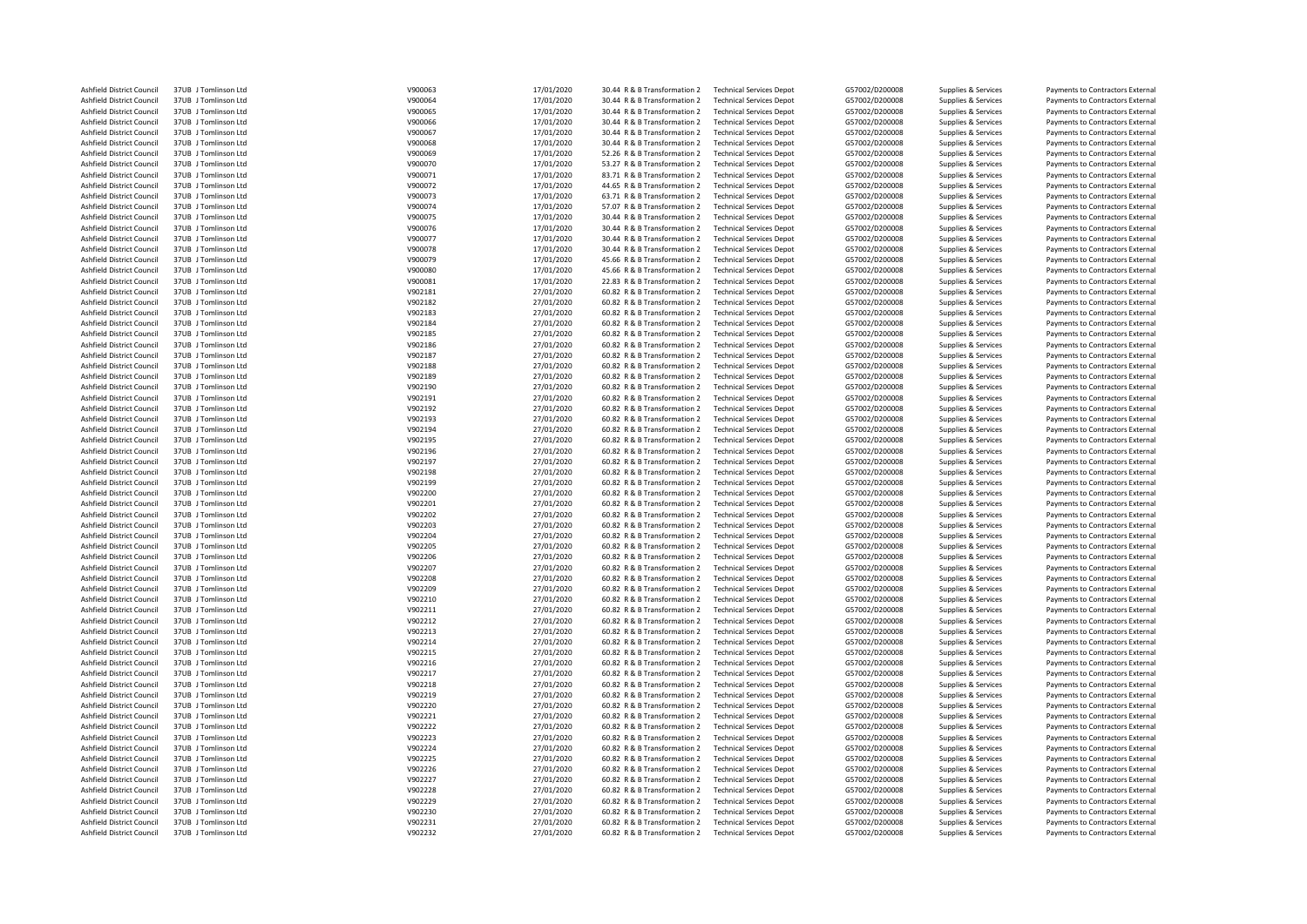| Ashfield District Council | 37UB J Tomlinson Ltd | V900063 | 17/01/2020 | 30.44 R & B Transformation 2 | <b>Technical Services Depot</b> | G57002/D200008 | Supplies & Services | Payments to Contractors External |
|---------------------------|----------------------|---------|------------|------------------------------|---------------------------------|----------------|---------------------|----------------------------------|
| Ashfield District Council | 37UB J Tomlinson Ltd | V900064 | 17/01/2020 | 30.44 R & B Transformation 2 | <b>Technical Services Depot</b> | G57002/D200008 | Supplies & Services | Payments to Contractors External |
| Ashfield District Council | 37UB J Tomlinson Ltd | V900065 | 17/01/2020 | 30.44 R & B Transformation 2 | <b>Technical Services Depot</b> | G57002/D200008 | Supplies & Services | Payments to Contractors External |
| Ashfield District Council | 37UB J Tomlinson Ltd | V900066 | 17/01/2020 | 30.44 R & B Transformation 2 | <b>Technical Services Depot</b> | G57002/D200008 | Supplies & Services | Payments to Contractors External |
| Ashfield District Council | 37UB J Tomlinson Ltd | V900067 | 17/01/2020 | 30.44 R & B Transformation 2 | <b>Technical Services Depot</b> | G57002/D200008 | Supplies & Services | Payments to Contractors External |
| Ashfield District Council | 37UB J Tomlinson Ltd | V900068 | 17/01/2020 | 30.44 R & B Transformation 2 | <b>Technical Services Depot</b> | G57002/D200008 | Supplies & Services | Payments to Contractors External |
| Ashfield District Council | 37UB J Tomlinson Ltd | V900069 | 17/01/2020 | 52.26 R & B Transformation 2 | <b>Technical Services Depot</b> | G57002/D200008 | Supplies & Services | Payments to Contractors External |
| Ashfield District Council | 37UB J Tomlinson Ltd | V900070 | 17/01/2020 | 53.27 R & B Transformation 2 | <b>Technical Services Depot</b> | G57002/D200008 | Supplies & Services | Payments to Contractors External |
| Ashfield District Council | 37UB J Tomlinson Ltd | V900071 | 17/01/2020 | 83.71 R & B Transformation 2 |                                 | G57002/D200008 |                     |                                  |
|                           |                      |         |            |                              | <b>Technical Services Depot</b> |                | Supplies & Services | Payments to Contractors External |
| Ashfield District Council | 37UB J Tomlinson Ltd | V900072 | 17/01/2020 | 44.65 R & B Transformation 2 | <b>Technical Services Depot</b> | G57002/D200008 | Supplies & Services | Payments to Contractors External |
| Ashfield District Council | 37UB J Tomlinson Ltd | V900073 | 17/01/2020 | 63.71 R & B Transformation 2 | <b>Technical Services Depot</b> | G57002/D200008 | Supplies & Services | Payments to Contractors External |
| Ashfield District Council | 37UB J Tomlinson Ltd | V900074 | 17/01/2020 | 57.07 R & B Transformation 2 | <b>Technical Services Depot</b> | G57002/D200008 | Supplies & Services | Payments to Contractors External |
| Ashfield District Council | 37UB J Tomlinson Ltd | V900075 | 17/01/2020 | 30.44 R & B Transformation 2 | <b>Technical Services Depot</b> | G57002/D200008 | Supplies & Services | Payments to Contractors External |
| Ashfield District Council | 37UB J Tomlinson Ltd | V900076 | 17/01/2020 | 30.44 R & B Transformation 2 | <b>Technical Services Depot</b> | G57002/D200008 | Supplies & Services | Payments to Contractors External |
| Ashfield District Council | 37UB J Tomlinson Ltd | V900077 | 17/01/2020 | 30.44 R & B Transformation 2 | <b>Technical Services Depot</b> | G57002/D200008 | Supplies & Services | Payments to Contractors External |
| Ashfield District Council | 37UB J Tomlinson Ltd | V900078 | 17/01/2020 | 30.44 R & B Transformation 2 | <b>Technical Services Depot</b> | G57002/D200008 | Supplies & Services | Payments to Contractors External |
| Ashfield District Council | 37UB J Tomlinson Ltd | V900079 | 17/01/2020 | 45.66 R & B Transformation 2 | <b>Technical Services Depot</b> | G57002/D200008 | Supplies & Services | Payments to Contractors External |
| Ashfield District Council | 37UB J Tomlinson Ltd | V900080 | 17/01/2020 | 45.66 R & B Transformation 2 | <b>Technical Services Depot</b> | G57002/D200008 | Supplies & Services | Payments to Contractors External |
| Ashfield District Council | 37UB J Tomlinson Ltd | V900081 | 17/01/2020 | 22.83 R & B Transformation 2 | <b>Technical Services Depot</b> | G57002/D200008 | Supplies & Services | Payments to Contractors External |
| Ashfield District Council | 37UB J Tomlinson Ltd | V902181 | 27/01/2020 | 60.82 R & B Transformation 2 | <b>Technical Services Depot</b> | G57002/D200008 | Supplies & Services | Payments to Contractors External |
| Ashfield District Council | 37UB J Tomlinson Ltd | V902182 | 27/01/2020 | 60.82 R & B Transformation 2 | <b>Technical Services Depot</b> | G57002/D200008 | Supplies & Services | Payments to Contractors External |
| Ashfield District Council | 37UB J Tomlinson Ltd | V902183 | 27/01/2020 | 60.82 R & B Transformation 2 | <b>Technical Services Depot</b> | G57002/D200008 | Supplies & Services | Payments to Contractors External |
| Ashfield District Council | 37UB J Tomlinson Ltd | V902184 | 27/01/2020 | 60.82 R & B Transformation 2 | <b>Technical Services Depot</b> | G57002/D200008 | Supplies & Services | Payments to Contractors External |
| Ashfield District Council | 37UB J Tomlinson Ltd | V902185 | 27/01/2020 | 60.82 R & B Transformation 2 | <b>Technical Services Depot</b> | G57002/D200008 | Supplies & Services | Payments to Contractors External |
| Ashfield District Council | 37UB J Tomlinson Ltd | V902186 | 27/01/2020 | 60.82 R & B Transformation 2 | <b>Technical Services Depot</b> | G57002/D200008 | Supplies & Services | Payments to Contractors External |
| Ashfield District Council | 37UB J Tomlinson Ltd | V902187 |            | 60.82 R & B Transformation 2 | <b>Technical Services Depot</b> | G57002/D200008 |                     | Payments to Contractors External |
|                           |                      |         | 27/01/2020 |                              | <b>Technical Services Depot</b> |                | Supplies & Services |                                  |
| Ashfield District Council | 37UB J Tomlinson Ltd | V902188 | 27/01/2020 | 60.82 R & B Transformation 2 |                                 | G57002/D200008 | Supplies & Services | Payments to Contractors External |
| Ashfield District Council | 37UB J Tomlinson Ltd | V902189 | 27/01/2020 | 60.82 R & B Transformation 2 | <b>Technical Services Depot</b> | G57002/D200008 | Supplies & Services | Payments to Contractors External |
| Ashfield District Council | 37UB J Tomlinson Ltd | V902190 | 27/01/2020 | 60.82 R & B Transformation 2 | <b>Technical Services Depot</b> | G57002/D200008 | Supplies & Services | Payments to Contractors External |
| Ashfield District Council | 37UB J Tomlinson Ltd | V902191 | 27/01/2020 | 60.82 R & B Transformation 2 | <b>Technical Services Depot</b> | G57002/D200008 | Supplies & Services | Payments to Contractors External |
| Ashfield District Council | 37UB J Tomlinson Ltd | V902192 | 27/01/2020 | 60.82 R & B Transformation 2 | <b>Technical Services Depot</b> | G57002/D200008 | Supplies & Services | Payments to Contractors External |
| Ashfield District Council | 37UB J Tomlinson Ltd | V902193 | 27/01/2020 | 60.82 R & B Transformation 2 | <b>Technical Services Depot</b> | G57002/D200008 | Supplies & Services | Payments to Contractors External |
| Ashfield District Council | 37UB J Tomlinson Ltd | V902194 | 27/01/2020 | 60.82 R & B Transformation 2 | <b>Technical Services Depot</b> | G57002/D200008 | Supplies & Services | Payments to Contractors External |
| Ashfield District Council | 37UB J Tomlinson Ltd | V902195 | 27/01/2020 | 60.82 R & B Transformation 2 | <b>Technical Services Depot</b> | G57002/D200008 | Supplies & Services | Payments to Contractors External |
| Ashfield District Council | 37UB J Tomlinson Ltd | V902196 | 27/01/2020 | 60.82 R & B Transformation 2 | <b>Technical Services Depot</b> | G57002/D200008 | Supplies & Services | Payments to Contractors External |
| Ashfield District Council | 37UB J Tomlinson Ltd | V902197 | 27/01/2020 | 60.82 R & B Transformation 2 | <b>Technical Services Depot</b> | G57002/D200008 | Supplies & Services | Payments to Contractors External |
| Ashfield District Council | 37UB J Tomlinson Ltd | V902198 | 27/01/2020 | 60.82 R & B Transformation 2 | <b>Technical Services Depot</b> | G57002/D200008 | Supplies & Services | Payments to Contractors External |
| Ashfield District Council | 37UB J Tomlinson Ltd | V902199 | 27/01/2020 | 60.82 R & B Transformation 2 | <b>Technical Services Depot</b> | G57002/D200008 | Supplies & Services | Payments to Contractors External |
| Ashfield District Council | 37UB J Tomlinson Ltd | V902200 | 27/01/2020 | 60.82 R & B Transformation 2 | <b>Technical Services Depot</b> | G57002/D200008 | Supplies & Services | Payments to Contractors External |
| Ashfield District Council | 37UB J Tomlinson Ltd | V902201 | 27/01/2020 | 60.82 R & B Transformation 2 | <b>Technical Services Depot</b> | G57002/D200008 | Supplies & Services | Payments to Contractors External |
| Ashfield District Council | 37UB J Tomlinson Ltd | V902202 | 27/01/2020 | 60.82 R & B Transformation 2 | <b>Technical Services Depot</b> | G57002/D200008 | Supplies & Services | Payments to Contractors External |
| Ashfield District Council | 37UB J Tomlinson Ltd | V902203 | 27/01/2020 | 60.82 R & B Transformation 2 | <b>Technical Services Depot</b> | G57002/D200008 | Supplies & Services | Payments to Contractors External |
|                           |                      |         |            |                              |                                 |                |                     |                                  |
| Ashfield District Council | 37UB J Tomlinson Ltd | V902204 | 27/01/2020 | 60.82 R & B Transformation 2 | <b>Technical Services Depot</b> | G57002/D200008 | Supplies & Services | Payments to Contractors External |
| Ashfield District Council | 37UB J Tomlinson Ltd | V902205 | 27/01/2020 | 60.82 R & B Transformation 2 | <b>Technical Services Depot</b> | G57002/D200008 | Supplies & Services | Payments to Contractors External |
| Ashfield District Council | 37UB J Tomlinson Ltd | V902206 | 27/01/2020 | 60.82 R & B Transformation 2 | <b>Technical Services Depot</b> | G57002/D200008 | Supplies & Services | Payments to Contractors External |
| Ashfield District Council | 37UB J Tomlinson Ltd | V902207 | 27/01/2020 | 60.82 R & B Transformation 2 | <b>Technical Services Depot</b> | G57002/D200008 | Supplies & Services | Payments to Contractors External |
| Ashfield District Council | 37UB J Tomlinson Ltd | V902208 | 27/01/2020 | 60.82 R & B Transformation 2 | <b>Technical Services Depot</b> | G57002/D200008 | Supplies & Services | Payments to Contractors External |
| Ashfield District Council | 37UB J Tomlinson Ltd | V902209 | 27/01/2020 | 60.82 R & B Transformation 2 | <b>Technical Services Depot</b> | G57002/D200008 | Supplies & Services | Payments to Contractors External |
| Ashfield District Council | 37UB J Tomlinson Ltd | V902210 | 27/01/2020 | 60.82 R & B Transformation 2 | <b>Technical Services Depot</b> | G57002/D200008 | Supplies & Services | Payments to Contractors External |
| Ashfield District Council | 37UB J Tomlinson Ltd | V902211 | 27/01/2020 | 60.82 R & B Transformation 2 | <b>Technical Services Depot</b> | G57002/D200008 | Supplies & Services | Payments to Contractors External |
| Ashfield District Council | 37UB J Tomlinson Ltd | V902212 | 27/01/2020 | 60.82 R & B Transformation 2 | <b>Technical Services Depot</b> | G57002/D200008 | Supplies & Services | Payments to Contractors External |
| Ashfield District Council | 37UB J Tomlinson Ltd | V902213 | 27/01/2020 | 60.82 R & B Transformation 2 | <b>Technical Services Depot</b> | G57002/D200008 | Supplies & Services | Payments to Contractors External |
| Ashfield District Council | 37UB J Tomlinson Ltd | V902214 | 27/01/2020 | 60.82 R & B Transformation 2 | <b>Technical Services Depot</b> | G57002/D200008 | Supplies & Services | Payments to Contractors External |
| Ashfield District Council | 37UB J Tomlinson Ltd | V902215 | 27/01/2020 | 60.82 R & B Transformation 2 | <b>Technical Services Depot</b> | G57002/D200008 | Supplies & Services | Payments to Contractors External |
| Ashfield District Council | 37UB J Tomlinson Ltd | V902216 | 27/01/2020 | 60.82 R & B Transformation 2 | <b>Technical Services Depot</b> | G57002/D200008 | Supplies & Services | Payments to Contractors External |
| Ashfield District Council | 37UB J Tomlinson Ltd | V902217 | 27/01/2020 | 60.82 R & B Transformation 2 | <b>Technical Services Depot</b> | G57002/D200008 | Supplies & Services | Payments to Contractors External |
| Ashfield District Council | 37UB J Tomlinson Ltd | V902218 | 27/01/2020 | 60.82 R & B Transformation 2 | <b>Technical Services Depot</b> | G57002/D200008 | Supplies & Services | Payments to Contractors External |
| Ashfield District Council | 37UB J Tomlinson Ltd | V902219 | 27/01/2020 | 60.82 R & B Transformation 2 | <b>Technical Services Depot</b> | G57002/D200008 | Supplies & Services | Payments to Contractors External |
| Ashfield District Council | 37UB J Tomlinson Ltd | V902220 | 27/01/2020 | 60.82 R & B Transformation 2 | <b>Technical Services Depot</b> | G57002/D200008 | Supplies & Services | Payments to Contractors External |
| Ashfield District Council | 37UB J Tomlinson Ltd | V902221 | 27/01/2020 | 60.82 R & B Transformation 2 |                                 | G57002/D200008 |                     |                                  |
|                           |                      |         |            |                              | <b>Technical Services Depot</b> |                | Supplies & Services | Payments to Contractors External |
| Ashfield District Council | 37UB J Tomlinson Ltd | V902222 | 27/01/2020 | 60.82 R & B Transformation 2 | <b>Technical Services Depot</b> | G57002/D200008 | Supplies & Services | Payments to Contractors External |
| Ashfield District Council | 37UB J Tomlinson Ltd | V902223 | 27/01/2020 | 60.82 R & B Transformation 2 | <b>Technical Services Depot</b> | G57002/D200008 | Supplies & Services | Payments to Contractors External |
| Ashfield District Council | 37UB J Tomlinson Ltd | V902224 | 27/01/2020 | 60.82 R & B Transformation 2 | <b>Technical Services Depot</b> | G57002/D200008 | Supplies & Services | Payments to Contractors External |
| Ashfield District Council | 37UB J Tomlinson Ltd | V902225 | 27/01/2020 | 60.82 R & B Transformation 2 | <b>Technical Services Depot</b> | G57002/D200008 | Supplies & Services | Payments to Contractors External |
| Ashfield District Council | 37UB J Tomlinson Ltd | V902226 | 27/01/2020 | 60.82 R & B Transformation 2 | <b>Technical Services Depot</b> | G57002/D200008 | Supplies & Services | Payments to Contractors External |
| Ashfield District Council | 37UB J Tomlinson Ltd | V902227 | 27/01/2020 | 60.82 R & B Transformation 2 | <b>Technical Services Depot</b> | G57002/D200008 | Supplies & Services | Payments to Contractors External |
| Ashfield District Council | 37UB J Tomlinson Ltd | V902228 | 27/01/2020 | 60.82 R & B Transformation 2 | <b>Technical Services Depot</b> | G57002/D200008 | Supplies & Services | Payments to Contractors External |
| Ashfield District Council | 37UB J Tomlinson Ltd | V902229 | 27/01/2020 | 60.82 R & B Transformation 2 | <b>Technical Services Depot</b> | G57002/D200008 | Supplies & Services | Payments to Contractors External |
| Ashfield District Council | 37UB J Tomlinson Ltd | V902230 | 27/01/2020 | 60.82 R & B Transformation 2 | <b>Technical Services Depot</b> | G57002/D200008 | Supplies & Services | Payments to Contractors External |
| Ashfield District Council | 37UB J Tomlinson Ltd | V902231 | 27/01/2020 | 60.82 R & B Transformation 2 | <b>Technical Services Depot</b> | G57002/D200008 | Supplies & Services | Payments to Contractors External |
| Ashfield District Council | 37UB J Tomlinson Ltd | V902232 | 27/01/2020 | 60.82 R & B Transformation 2 | <b>Technical Services Depot</b> | G57002/D200008 | Supplies & Services | Payments to Contractors External |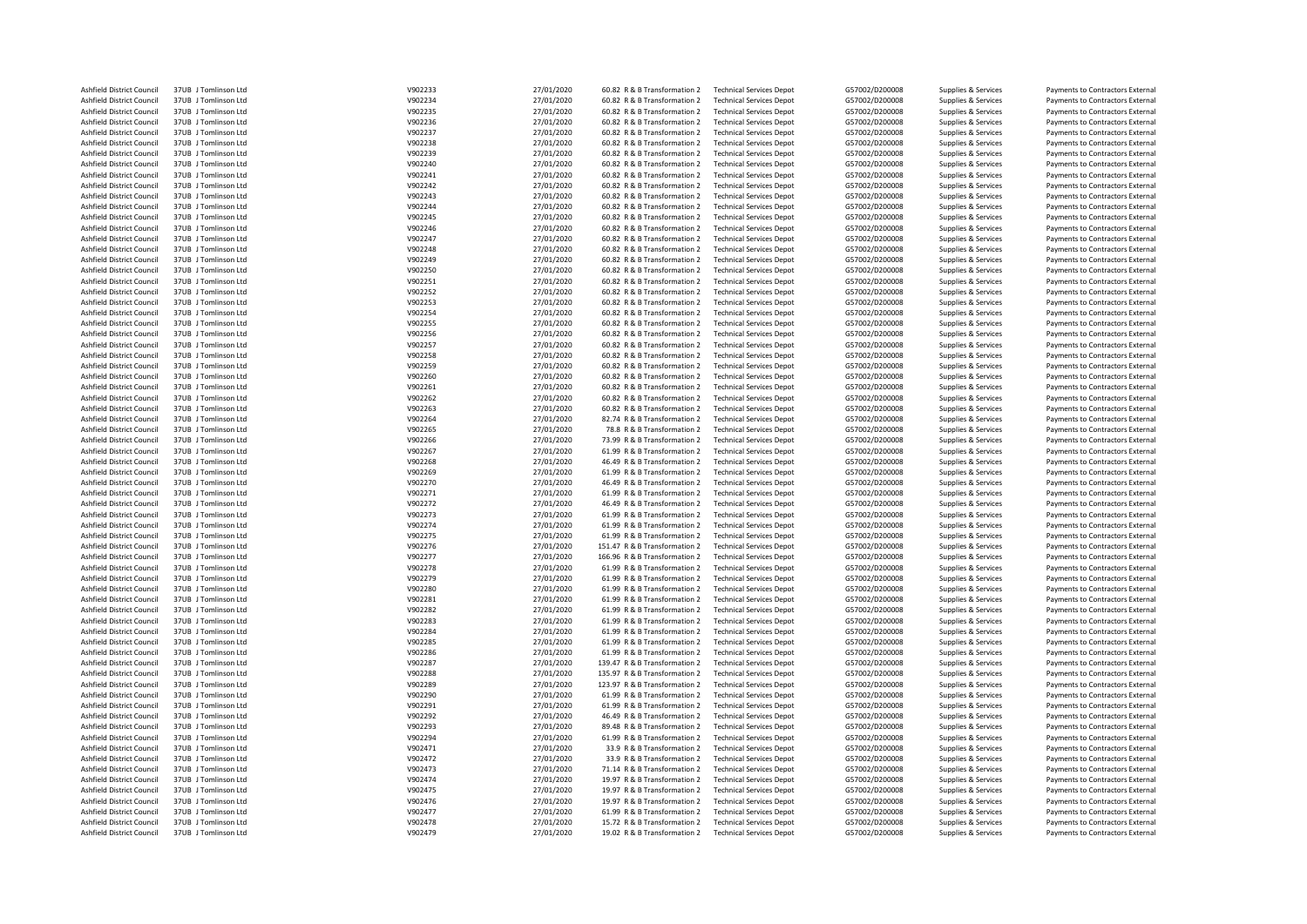| Ashfield District Council                              | 37UB J Tomlinson Ltd | V902233 | 27/01/2020 | 60.82 R & B Transformation 2  | <b>Technical Services Depot</b> | G57002/D200008 | Supplies & Services                        | Payments to Contractors External                                     |
|--------------------------------------------------------|----------------------|---------|------------|-------------------------------|---------------------------------|----------------|--------------------------------------------|----------------------------------------------------------------------|
| Ashfield District Council                              | 37UB J Tomlinson Ltd | V902234 | 27/01/2020 | 60.82 R & B Transformation 2  | <b>Technical Services Depot</b> | G57002/D200008 | Supplies & Services                        | Payments to Contractors External                                     |
| Ashfield District Council                              | 37UB J Tomlinson Ltd | V902235 | 27/01/2020 | 60.82 R & B Transformation 2  | <b>Technical Services Depot</b> | G57002/D200008 | Supplies & Services                        | Payments to Contractors External                                     |
| Ashfield District Council                              | 37UB J Tomlinson Ltd | V902236 | 27/01/2020 | 60.82 R & B Transformation 2  | <b>Technical Services Depot</b> | G57002/D200008 | Supplies & Services                        | Payments to Contractors External                                     |
| Ashfield District Council                              | 37UB J Tomlinson Ltd | V902237 | 27/01/2020 | 60.82 R & B Transformation 2  | <b>Technical Services Depot</b> | G57002/D200008 | Supplies & Services                        | Payments to Contractors External                                     |
| Ashfield District Council                              | 37UB J Tomlinson Ltd | V902238 | 27/01/2020 | 60.82 R & B Transformation 2  | <b>Technical Services Depot</b> | G57002/D200008 | Supplies & Services                        | Payments to Contractors External                                     |
| Ashfield District Council                              | 37UB J Tomlinson Ltd | V902239 | 27/01/2020 | 60.82 R & B Transformation 2  | <b>Technical Services Depot</b> | G57002/D200008 | Supplies & Services                        | Payments to Contractors External                                     |
| Ashfield District Council                              | 37UB J Tomlinson Ltd | V902240 | 27/01/2020 | 60.82 R & B Transformation 2  | <b>Technical Services Depot</b> | G57002/D200008 | Supplies & Services                        | Payments to Contractors External                                     |
| Ashfield District Council                              | 37UB J Tomlinson Ltd | V902241 | 27/01/2020 | 60.82 R & B Transformation 2  | <b>Technical Services Depot</b> | G57002/D200008 | Supplies & Services                        | Payments to Contractors External                                     |
| Ashfield District Council                              | 37UB J Tomlinson Ltd | V902242 | 27/01/2020 | 60.82 R & B Transformation 2  | <b>Technical Services Depot</b> | G57002/D200008 | Supplies & Services                        | Payments to Contractors External                                     |
|                                                        |                      |         |            |                               |                                 |                |                                            |                                                                      |
| Ashfield District Council                              | 37UB J Tomlinson Ltd | V902243 | 27/01/2020 | 60.82 R & B Transformation 2  | <b>Technical Services Depot</b> | G57002/D200008 | Supplies & Services                        | Payments to Contractors External                                     |
| Ashfield District Council                              | 37UB J Tomlinson Ltd | V902244 | 27/01/2020 | 60.82 R & B Transformation 2  | <b>Technical Services Depot</b> | G57002/D200008 | Supplies & Services                        | Payments to Contractors External                                     |
| Ashfield District Council                              | 37UB J Tomlinson Ltd | V902245 | 27/01/2020 | 60.82 R & B Transformation 2  | <b>Technical Services Depot</b> | G57002/D200008 | Supplies & Services                        | Payments to Contractors External                                     |
| Ashfield District Council                              | 37UB J Tomlinson Ltd | V902246 | 27/01/2020 | 60.82 R & B Transformation 2  | <b>Technical Services Depot</b> | G57002/D200008 | Supplies & Services                        | Payments to Contractors External                                     |
| Ashfield District Council                              | 37UB J Tomlinson Ltd | V902247 | 27/01/2020 | 60.82 R & B Transformation 2  | <b>Technical Services Depot</b> | G57002/D200008 | Supplies & Services                        | Payments to Contractors External                                     |
| Ashfield District Council                              | 37UB J Tomlinson Ltd | V902248 | 27/01/2020 | 60.82 R & B Transformation 2  | <b>Technical Services Depot</b> | G57002/D200008 | Supplies & Services                        | Payments to Contractors External                                     |
| Ashfield District Council                              | 37UB J Tomlinson Ltd | V902249 | 27/01/2020 | 60.82 R & B Transformation 2  | <b>Technical Services Depot</b> | G57002/D200008 | Supplies & Services                        | Payments to Contractors External                                     |
| Ashfield District Council                              | 37UB   Tomlinson Itd | V902250 | 27/01/2020 | 60.82 R & B Transformation 2  | <b>Technical Services Depot</b> | G57002/D200008 | Supplies & Services                        | Payments to Contractors External                                     |
| Ashfield District Council                              | 37UB J Tomlinson Ltd | V902251 | 27/01/2020 | 60.82 R & B Transformation 2  | <b>Technical Services Depot</b> | G57002/D200008 | Supplies & Services                        | Payments to Contractors External                                     |
| Ashfield District Council                              | 37UB J Tomlinson Ltd | V902252 | 27/01/2020 | 60.82 R & B Transformation 2  | <b>Technical Services Depot</b> | G57002/D200008 | Supplies & Services                        | Payments to Contractors External                                     |
| Ashfield District Council                              | 37UB J Tomlinson Ltd | V902253 | 27/01/2020 | 60.82 R & B Transformation 2  | <b>Technical Services Depot</b> | G57002/D200008 | Supplies & Services                        | Payments to Contractors External                                     |
| Ashfield District Council                              | 37UB J Tomlinson Ltd | V902254 | 27/01/2020 | 60.82 R & B Transformation 2  | <b>Technical Services Depot</b> | G57002/D200008 | Supplies & Services                        | Payments to Contractors External                                     |
| Ashfield District Council                              | 37UB J Tomlinson Ltd | V902255 | 27/01/2020 | 60.82 R & B Transformation 2  | <b>Technical Services Depot</b> | G57002/D200008 | Supplies & Services                        | Payments to Contractors External                                     |
| Ashfield District Council                              | 37UB J Tomlinson Ltd | V902256 | 27/01/2020 | 60.82 R & B Transformation 2  | <b>Technical Services Depot</b> | G57002/D200008 | Supplies & Services                        | Payments to Contractors External                                     |
| Ashfield District Council                              | 37UB J Tomlinson Ltd | V902257 | 27/01/2020 | 60.82 R & B Transformation 2  | <b>Technical Services Depot</b> | G57002/D200008 | Supplies & Services                        | Payments to Contractors External                                     |
| Ashfield District Council                              | 37UB J Tomlinson Ltd | V902258 | 27/01/2020 | 60.82 R & B Transformation 2  | <b>Technical Services Depot</b> | G57002/D200008 | Supplies & Services                        | Payments to Contractors External                                     |
| Ashfield District Council                              | 37UB J Tomlinson Ltd | V902259 | 27/01/2020 | 60.82 R & B Transformation 2  | <b>Technical Services Depot</b> | G57002/D200008 | Supplies & Services                        | Payments to Contractors External                                     |
| Ashfield District Council                              | 37UB J Tomlinson Ltd | V902260 | 27/01/2020 | 60.82 R & B Transformation 2  | <b>Technical Services Depot</b> | G57002/D200008 | Supplies & Services                        | Payments to Contractors External                                     |
| Ashfield District Council                              | 37UB J Tomlinson Ltd | V902261 | 27/01/2020 | 60.82 R & B Transformation 2  | <b>Technical Services Depot</b> | G57002/D200008 | Supplies & Services                        | Payments to Contractors External                                     |
| Ashfield District Council                              | 37UB J Tomlinson Ltd | V902262 | 27/01/2020 | 60.82 R & B Transformation 2  | <b>Technical Services Depot</b> | G57002/D200008 | Supplies & Services                        | Payments to Contractors External                                     |
| Ashfield District Council                              | 37UB J Tomlinson Ltd | V902263 | 27/01/2020 | 60.82 R & B Transformation 2  | <b>Technical Services Depot</b> | G57002/D200008 | Supplies & Services                        | Payments to Contractors External                                     |
| Ashfield District Council                              | 37UB J Tomlinson Ltd | V902264 | 27/01/2020 | 82.74 R & B Transformation 2  | <b>Technical Services Depot</b> | G57002/D200008 |                                            |                                                                      |
|                                                        |                      |         |            |                               |                                 |                | Supplies & Services                        | Payments to Contractors External                                     |
| Ashfield District Council                              | 37UB J Tomlinson Ltd | V902265 | 27/01/2020 | 78.8 R & B Transformation 2   | <b>Technical Services Depot</b> | G57002/D200008 | Supplies & Services                        | Payments to Contractors External                                     |
| Ashfield District Council                              | 37UB J Tomlinson Ltd | V902266 | 27/01/2020 | 73.99 R & B Transformation 2  | <b>Technical Services Depot</b> | G57002/D200008 | Supplies & Services                        | Payments to Contractors External                                     |
| Ashfield District Council                              | 37UB J Tomlinson Ltd | V902267 | 27/01/2020 | 61.99 R & B Transformation 2  | <b>Technical Services Depot</b> | G57002/D200008 | Supplies & Services                        | Payments to Contractors External                                     |
| Ashfield District Council                              | 37UB J Tomlinson Ltd | V902268 | 27/01/2020 | 46.49 R & B Transformation 2  | <b>Technical Services Depot</b> | G57002/D200008 | Supplies & Services                        | Payments to Contractors External                                     |
| Ashfield District Council                              | 37UB J Tomlinson Ltd | V902269 | 27/01/2020 | 61.99 R & B Transformation 2  | <b>Technical Services Depot</b> | G57002/D200008 | Supplies & Services                        | Payments to Contractors External                                     |
| Ashfield District Council                              | 37UB J Tomlinson Ltd | V902270 | 27/01/2020 | 46.49 R & B Transformation 2  | <b>Technical Services Depot</b> | G57002/D200008 | Supplies & Services                        | Payments to Contractors External                                     |
| Ashfield District Council                              | 37UB J Tomlinson Ltd | V902271 | 27/01/2020 | 61.99 R & B Transformation 2  | <b>Technical Services Depot</b> | G57002/D200008 | Supplies & Services                        | Payments to Contractors External                                     |
| Ashfield District Council                              | 37UB J Tomlinson Ltd | V902272 | 27/01/2020 | 46.49 R & B Transformation 2  | <b>Technical Services Depot</b> | G57002/D200008 | Supplies & Services                        | Payments to Contractors External                                     |
| Ashfield District Council                              | 37UB J Tomlinson Ltd | V902273 | 27/01/2020 | 61.99 R & B Transformation 2  | <b>Technical Services Depot</b> | G57002/D200008 | Supplies & Services                        | Payments to Contractors External                                     |
| Ashfield District Council                              | 37UB J Tomlinson Ltd | V902274 | 27/01/2020 | 61.99 R & B Transformation 2  | <b>Technical Services Depot</b> | G57002/D200008 | Supplies & Services                        | Payments to Contractors External                                     |
| Ashfield District Council                              | 37UB J Tomlinson Ltd | V902275 | 27/01/2020 | 61.99 R & B Transformation 2  | <b>Technical Services Depot</b> | G57002/D200008 | Supplies & Services                        | Payments to Contractors External                                     |
| Ashfield District Council                              | 37UB J Tomlinson Ltd | V902276 | 27/01/2020 | 151.47 R & B Transformation 2 | <b>Technical Services Depot</b> | G57002/D200008 | Supplies & Services                        | Payments to Contractors External                                     |
| Ashfield District Council                              | 37UB J Tomlinson Ltd | V902277 | 27/01/2020 | 166.96 R & B Transformation 2 | <b>Technical Services Depot</b> | G57002/D200008 | Supplies & Services                        | Payments to Contractors External                                     |
| Ashfield District Council                              | 37UB J Tomlinson Ltd | V902278 | 27/01/2020 | 61.99 R & B Transformation 2  | <b>Technical Services Depot</b> | G57002/D200008 | Supplies & Services                        | Payments to Contractors External                                     |
| Ashfield District Council                              | 37UB J Tomlinson Ltd | V902279 | 27/01/2020 | 61.99 R & B Transformation 2  | <b>Technical Services Depot</b> | G57002/D200008 | Supplies & Services                        | Payments to Contractors External                                     |
| Ashfield District Council                              | 37UB J Tomlinson Ltd | V902280 | 27/01/2020 | 61.99 R & B Transformation 2  | <b>Technical Services Depot</b> | G57002/D200008 | Supplies & Services                        | Payments to Contractors External                                     |
| Ashfield District Council                              | 37UB J Tomlinson Ltd | V902281 | 27/01/2020 | 61.99 R & B Transformation 2  | <b>Technical Services Depot</b> | G57002/D200008 | Supplies & Services                        | Payments to Contractors External                                     |
| Ashfield District Council                              | 37UB J Tomlinson Ltd | V902282 | 27/01/2020 | 61.99 R & B Transformation 2  | <b>Technical Services Depot</b> | G57002/D200008 | Supplies & Services                        | Payments to Contractors External                                     |
| Ashfield District Council                              | 37UB J Tomlinson Ltd | V902283 | 27/01/2020 | 61.99 R & B Transformation 2  | <b>Technical Services Depot</b> | G57002/D200008 | Supplies & Services                        | Payments to Contractors External                                     |
| Ashfield District Council                              | 37UB J Tomlinson Ltd | V902284 | 27/01/2020 | 61.99 R & B Transformation 2  | <b>Technical Services Depot</b> | G57002/D200008 | Supplies & Services                        | Payments to Contractors External                                     |
| Ashfield District Council                              | 37UB J Tomlinson Ltd | V902285 | 27/01/2020 | 61.99 R & B Transformation 2  | <b>Technical Services Depot</b> | G57002/D200008 | Supplies & Services                        | Payments to Contractors External                                     |
| Ashfield District Council                              | 37UB J Tomlinson Ltd | V902286 | 27/01/2020 | 61.99 R & B Transformation 2  | <b>Technical Services Depot</b> | G57002/D200008 | Supplies & Services                        | Payments to Contractors External                                     |
| Ashfield District Council                              | 37UB J Tomlinson Ltd | V902287 | 27/01/2020 | 139.47 R & B Transformation 2 | <b>Technical Services Depot</b> | G57002/D200008 | Supplies & Services                        | Payments to Contractors External                                     |
| Ashfield District Council                              | 37UB J Tomlinson Ltd | V902288 | 27/01/2020 | 135.97 R & B Transformation 2 | <b>Technical Services Depot</b> | G57002/D200008 | Supplies & Services                        | Payments to Contractors External                                     |
| Ashfield District Council                              | 37UB J Tomlinson Ltd | V902289 | 27/01/2020 | 123.97 R & B Transformation 2 | <b>Technical Services Depot</b> | G57002/D200008 | Supplies & Services                        | Payments to Contractors External                                     |
| Ashfield District Council                              | 37UB J Tomlinson Ltd | V902290 | 27/01/2020 | 61.99 R & B Transformation 2  | <b>Technical Services Depot</b> | G57002/D200008 | Supplies & Services                        | Payments to Contractors External                                     |
| Ashfield District Council                              | 37UB J Tomlinson Ltd | V902291 | 27/01/2020 | 61.99 R & B Transformation 2  | <b>Technical Services Depot</b> | G57002/D200008 | Supplies & Services                        | Payments to Contractors External                                     |
| Ashfield District Council                              | 37UB J Tomlinson Ltd | V902292 | 27/01/2020 | 46.49 R & B Transformation 2  | <b>Technical Services Depot</b> | G57002/D200008 | Supplies & Services                        | Payments to Contractors External                                     |
| Ashfield District Council                              | 37UB J Tomlinson Ltd | V902293 | 27/01/2020 | 89.48 R & B Transformation 2  | <b>Technical Services Depot</b> | G57002/D200008 | Supplies & Services                        | Payments to Contractors External                                     |
|                                                        | 37UB J Tomlinson Ltd | V902294 | 27/01/2020 | 61.99 R & B Transformation 2  | <b>Technical Services Depot</b> | G57002/D200008 |                                            |                                                                      |
| Ashfield District Council<br>Ashfield District Council | 37UB J Tomlinson Ltd | V902471 | 27/01/2020 | 33.9 R & B Transformation 2   | <b>Technical Services Depot</b> | G57002/D200008 | Supplies & Services<br>Supplies & Services | Payments to Contractors External<br>Payments to Contractors External |
| Ashfield District Council                              | 37UB J Tomlinson Ltd | V902472 |            |                               |                                 |                |                                            |                                                                      |
|                                                        |                      |         | 27/01/2020 | 33.9 R & B Transformation 2   | <b>Technical Services Depot</b> | G57002/D200008 | Supplies & Services                        | Payments to Contractors External                                     |
| Ashfield District Council                              | 37UB J Tomlinson Ltd | V902473 | 27/01/2020 | 71.14 R & B Transformation 2  | <b>Technical Services Depot</b> | G57002/D200008 | Supplies & Services                        | Payments to Contractors External                                     |
| Ashfield District Council                              | 37UB J Tomlinson Ltd | V902474 | 27/01/2020 | 19.97 R & B Transformation 2  | <b>Technical Services Depot</b> | G57002/D200008 | Supplies & Services                        | Payments to Contractors External                                     |
| Ashfield District Council                              | 37UB J Tomlinson Ltd | V902475 | 27/01/2020 | 19.97 R & B Transformation 2  | <b>Technical Services Depot</b> | G57002/D200008 | Supplies & Services                        | Payments to Contractors External                                     |
| Ashfield District Council                              | 37UB J Tomlinson Ltd | V902476 | 27/01/2020 | 19.97 R & B Transformation 2  | <b>Technical Services Depot</b> | G57002/D200008 | Supplies & Services                        | Payments to Contractors External                                     |
| Ashfield District Council                              | 37UB J Tomlinson Ltd | V902477 | 27/01/2020 | 61.99 R & B Transformation 2  | <b>Technical Services Depot</b> | G57002/D200008 | Supplies & Services                        | Payments to Contractors External                                     |
| Ashfield District Council                              | 37UB J Tomlinson Ltd | V902478 | 27/01/2020 | 15.72 R & B Transformation 2  | <b>Technical Services Depot</b> | G57002/D200008 | Supplies & Services                        | Payments to Contractors External                                     |
| Ashfield District Council                              | 37UB J Tomlinson Ltd | V902479 | 27/01/2020 | 19.02 R & B Transformation 2  | <b>Technical Services Depot</b> | G57002/D200008 | Supplies & Services                        | Payments to Contractors External                                     |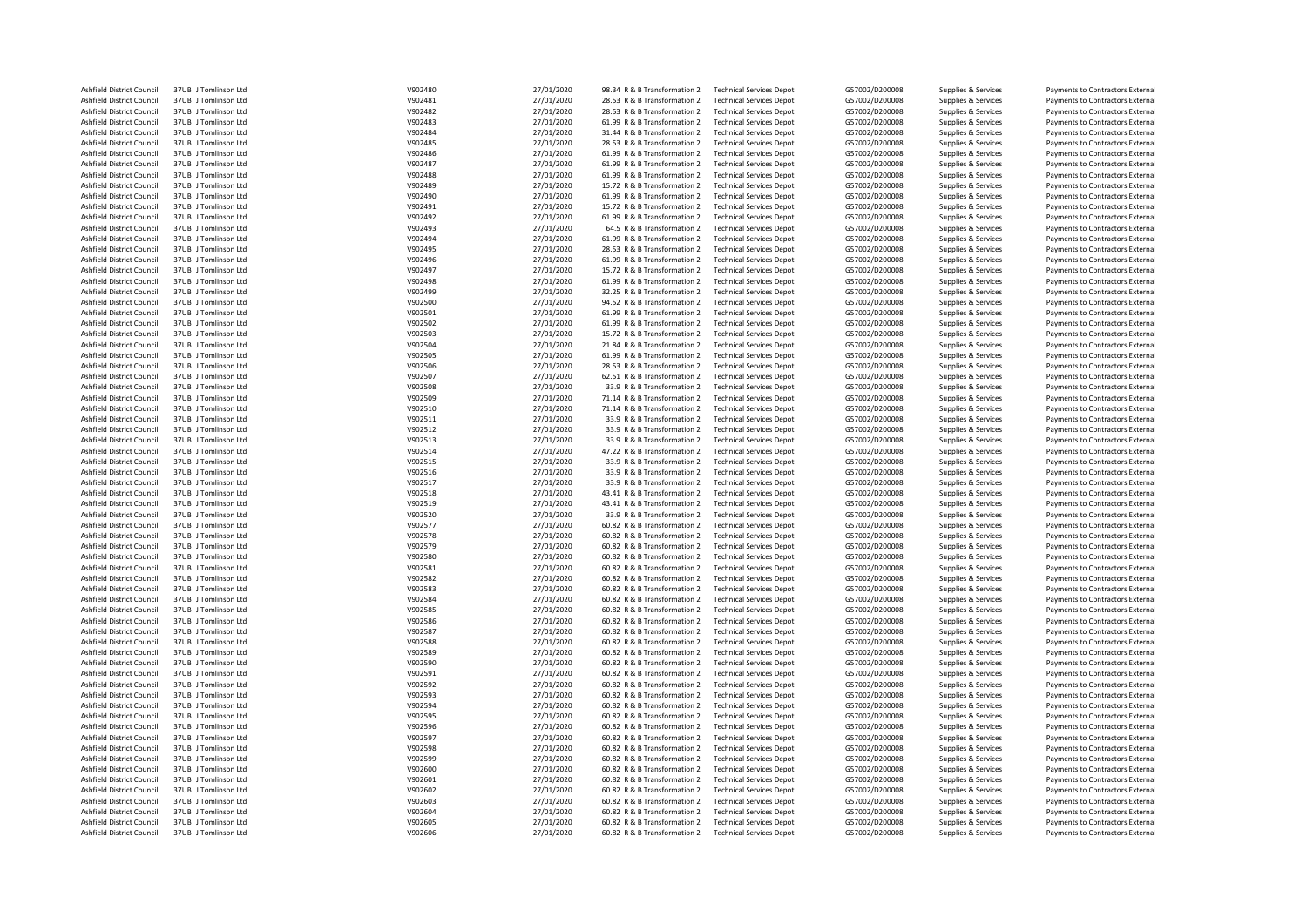| Ashfield District Council | 37UB J Tomlinson Ltd | V902480 | 27/01/2020 | 98.34 R & B Transformation 2 | <b>Technical Services Depot</b> | G57002/D200008 | Supplies & Services | Payments to Contractors External |
|---------------------------|----------------------|---------|------------|------------------------------|---------------------------------|----------------|---------------------|----------------------------------|
| Ashfield District Council | 37UB J Tomlinson Ltd | V902481 | 27/01/2020 | 28.53 R & B Transformation 2 | <b>Technical Services Depot</b> | G57002/D200008 | Supplies & Services | Payments to Contractors External |
| Ashfield District Council | 37UB J Tomlinson Ltd | V902482 | 27/01/2020 | 28.53 R & B Transformation 2 | <b>Technical Services Depot</b> | G57002/D200008 | Supplies & Services | Payments to Contractors External |
| Ashfield District Council | 37UB J Tomlinson Ltd | V902483 | 27/01/2020 | 61.99 R & B Transformation 2 | <b>Technical Services Depot</b> | G57002/D200008 | Supplies & Services | Payments to Contractors External |
| Ashfield District Council | 37UB J Tomlinson Ltd | V902484 | 27/01/2020 | 31.44 R & B Transformation 2 | <b>Technical Services Depot</b> | G57002/D200008 | Supplies & Services | Payments to Contractors External |
| Ashfield District Council | 37UB J Tomlinson Ltd | V902485 | 27/01/2020 | 28.53 R & B Transformation 2 | <b>Technical Services Depot</b> | G57002/D200008 | Supplies & Services | Payments to Contractors External |
| Ashfield District Council | 37UB J Tomlinson Ltd | V902486 | 27/01/2020 | 61.99 R & B Transformation 2 | <b>Technical Services Depot</b> | G57002/D200008 | Supplies & Services | Payments to Contractors External |
|                           |                      |         |            |                              |                                 |                |                     |                                  |
| Ashfield District Council | 37UB J Tomlinson Ltd | V902487 | 27/01/2020 | 61.99 R & B Transformation 2 | <b>Technical Services Depot</b> | G57002/D200008 | Supplies & Services | Payments to Contractors External |
| Ashfield District Council | 37UB J Tomlinson Ltd | V902488 | 27/01/2020 | 61.99 R & B Transformation 2 | <b>Technical Services Depot</b> | G57002/D200008 | Supplies & Services | Payments to Contractors External |
| Ashfield District Council | 37UB J Tomlinson Ltd | V902489 | 27/01/2020 | 15.72 R & B Transformation 2 | <b>Technical Services Depot</b> | G57002/D200008 | Supplies & Services | Payments to Contractors External |
| Ashfield District Council | 37UB J Tomlinson Ltd | V902490 | 27/01/2020 | 61.99 R & B Transformation 2 | <b>Technical Services Depot</b> | G57002/D200008 | Supplies & Services | Payments to Contractors External |
| Ashfield District Council | 37UB J Tomlinson Ltd | V902491 | 27/01/2020 | 15.72 R & B Transformation 2 | <b>Technical Services Depot</b> | G57002/D200008 | Supplies & Services | Payments to Contractors External |
| Ashfield District Council | 37UB J Tomlinson Ltd | V902492 | 27/01/2020 | 61.99 R & B Transformation 2 | <b>Technical Services Depot</b> | G57002/D200008 | Supplies & Services | Payments to Contractors External |
| Ashfield District Council | 37UB J Tomlinson Ltd | V902493 | 27/01/2020 | 64.5 R & B Transformation 2  | <b>Technical Services Depot</b> | G57002/D200008 | Supplies & Services | Payments to Contractors External |
| Ashfield District Council | 37UB J Tomlinson Ltd | V902494 | 27/01/2020 | 61.99 R & B Transformation 2 | <b>Technical Services Depot</b> | G57002/D200008 | Supplies & Services | Payments to Contractors External |
| Ashfield District Council | 37UB J Tomlinson Ltd | V902495 | 27/01/2020 | 28.53 R & B Transformation 2 | <b>Technical Services Depot</b> | G57002/D200008 | Supplies & Services | Payments to Contractors External |
| Ashfield District Council | 37UB J Tomlinson Ltd | V902496 | 27/01/2020 | 61.99 R & B Transformation 2 | <b>Technical Services Depot</b> | G57002/D200008 | Supplies & Services | Payments to Contractors External |
| Ashfield District Council | 37UB J Tomlinson Ltd | V902497 | 27/01/2020 | 15.72 R & B Transformation 2 | <b>Technical Services Depot</b> | G57002/D200008 | Supplies & Services | Payments to Contractors External |
| Ashfield District Council | 37UB J Tomlinson Ltd | V902498 | 27/01/2020 | 61.99 R & B Transformation 2 | <b>Technical Services Depot</b> | G57002/D200008 | Supplies & Services | Payments to Contractors External |
| Ashfield District Council | 37UB J Tomlinson Ltd | V902499 | 27/01/2020 | 32.25 R & B Transformation 2 | <b>Technical Services Depot</b> | G57002/D200008 | Supplies & Services | Payments to Contractors External |
| Ashfield District Council | 37UB J Tomlinson Ltd | V902500 |            | 94.52 R & B Transformation 2 | <b>Technical Services Depot</b> | G57002/D200008 |                     | Payments to Contractors External |
|                           |                      |         | 27/01/2020 |                              |                                 |                | Supplies & Services |                                  |
| Ashfield District Council | 37UB J Tomlinson Ltd | V902501 | 27/01/2020 | 61.99 R & B Transformation 2 | <b>Technical Services Depot</b> | G57002/D200008 | Supplies & Services | Payments to Contractors External |
| Ashfield District Council | 37UB J Tomlinson Ltd | V902502 | 27/01/2020 | 61.99 R & B Transformation 2 | <b>Technical Services Depot</b> | G57002/D200008 | Supplies & Services | Payments to Contractors External |
| Ashfield District Council | 37UB J Tomlinson Ltd | V902503 | 27/01/2020 | 15.72 R & B Transformation 2 | <b>Technical Services Depot</b> | G57002/D200008 | Supplies & Services | Payments to Contractors External |
| Ashfield District Council | 37UB J Tomlinson Ltd | V902504 | 27/01/2020 | 21.84 R & B Transformation 2 | <b>Technical Services Depot</b> | G57002/D200008 | Supplies & Services | Payments to Contractors External |
| Ashfield District Council | 37UB J Tomlinson Ltd | V902505 | 27/01/2020 | 61.99 R & B Transformation 2 | <b>Technical Services Depot</b> | G57002/D200008 | Supplies & Services | Payments to Contractors External |
| Ashfield District Council | 37UB J Tomlinson Ltd | V902506 | 27/01/2020 | 28.53 R & B Transformation 2 | <b>Technical Services Depot</b> | G57002/D200008 | Supplies & Services | Payments to Contractors External |
| Ashfield District Council | 37UB J Tomlinson Ltd | V902507 | 27/01/2020 | 62.51 R & B Transformation 2 | <b>Technical Services Depot</b> | G57002/D200008 | Supplies & Services | Payments to Contractors External |
| Ashfield District Council | 37UB J Tomlinson Ltd | V902508 | 27/01/2020 | 33.9 R & B Transformation 2  | <b>Technical Services Depot</b> | G57002/D200008 | Supplies & Services | Payments to Contractors External |
| Ashfield District Council | 37UB J Tomlinson Ltd | V902509 | 27/01/2020 | 71.14 R & B Transformation 2 | <b>Technical Services Depot</b> | G57002/D200008 | Supplies & Services | Payments to Contractors External |
| Ashfield District Council | 37UB J Tomlinson Ltd | V902510 | 27/01/2020 | 71.14 R & B Transformation 2 | <b>Technical Services Depot</b> | G57002/D200008 | Supplies & Services | Payments to Contractors External |
| Ashfield District Council | 37UB J Tomlinson Ltd | V902511 | 27/01/2020 | 33.9 R & B Transformation 2  | <b>Technical Services Depot</b> | G57002/D200008 | Supplies & Services | Payments to Contractors External |
| Ashfield District Council | 37UB J Tomlinson Ltd | V902512 | 27/01/2020 | 33.9 R & B Transformation 2  | <b>Technical Services Depot</b> | G57002/D200008 | Supplies & Services | Payments to Contractors External |
| Ashfield District Council | 37UB J Tomlinson Ltd | V902513 | 27/01/2020 | 33.9 R & B Transformation 2  | <b>Technical Services Depot</b> | G57002/D200008 | Supplies & Services | Payments to Contractors External |
| Ashfield District Council | 37UB J Tomlinson Ltd | V902514 | 27/01/2020 | 47.22 R & B Transformation 2 | <b>Technical Services Depot</b> | G57002/D200008 | Supplies & Services | Payments to Contractors External |
|                           | 37UB Tomlinson Itd   |         |            |                              |                                 |                |                     |                                  |
| Ashfield District Council |                      | V902515 | 27/01/2020 | 33.9 R & B Transformation 2  | <b>Technical Services Depot</b> | G57002/D200008 | Supplies & Services | Payments to Contractors External |
| Ashfield District Council | 37UB J Tomlinson Ltd | V902516 | 27/01/2020 | 33.9 R & B Transformation 2  | <b>Technical Services Depot</b> | G57002/D200008 | Supplies & Services | Payments to Contractors External |
| Ashfield District Council | 37UB J Tomlinson Ltd | V902517 | 27/01/2020 | 33.9 R & B Transformation 2  | <b>Technical Services Depot</b> | G57002/D200008 | Supplies & Services | Payments to Contractors External |
| Ashfield District Council | 37UB J Tomlinson Ltd | V902518 | 27/01/2020 | 43.41 R & B Transformation 2 | <b>Technical Services Depot</b> | G57002/D200008 | Supplies & Services | Payments to Contractors External |
| Ashfield District Council | 37UB J Tomlinson Ltd | V902519 | 27/01/2020 | 43.41 R & B Transformation 2 | <b>Technical Services Depot</b> | G57002/D200008 | Supplies & Services | Payments to Contractors External |
| Ashfield District Council | 37UB J Tomlinson Ltd | V902520 | 27/01/2020 | 33.9 R & B Transformation 2  | <b>Technical Services Depot</b> | G57002/D200008 | Supplies & Services | Payments to Contractors External |
| Ashfield District Council | 37UB J Tomlinson Ltd | V902577 | 27/01/2020 | 60.82 R & B Transformation 2 | <b>Technical Services Depot</b> | G57002/D200008 | Supplies & Services | Payments to Contractors External |
| Ashfield District Council | 37UB J Tomlinson Ltd | V902578 | 27/01/2020 | 60.82 R & B Transformation 2 | <b>Technical Services Depot</b> | G57002/D200008 | Supplies & Services | Payments to Contractors External |
| Ashfield District Council | 37UB J Tomlinson Ltd | V902579 | 27/01/2020 | 60.82 R & B Transformation 2 | <b>Technical Services Depot</b> | G57002/D200008 | Supplies & Services | Payments to Contractors External |
| Ashfield District Council | 37UB J Tomlinson Ltd | V902580 | 27/01/2020 | 60.82 R & B Transformation 2 | <b>Technical Services Depot</b> | G57002/D200008 | Supplies & Services | Payments to Contractors External |
| Ashfield District Council | 37UB J Tomlinson Ltd | V902581 | 27/01/2020 | 60.82 R & B Transformation 2 | <b>Technical Services Depot</b> | G57002/D200008 | Supplies & Services | Payments to Contractors External |
| Ashfield District Council | 37UB J Tomlinson Ltd | V902582 | 27/01/2020 | 60.82 R & B Transformation 2 | <b>Technical Services Depot</b> | G57002/D200008 | Supplies & Services | Payments to Contractors External |
| Ashfield District Council | 37UB J Tomlinson Ltd | V902583 | 27/01/2020 | 60.82 R & B Transformation 2 | <b>Technical Services Depot</b> | G57002/D200008 | Supplies & Services | Payments to Contractors External |
| Ashfield District Council | 37UB J Tomlinson Ltd | V902584 | 27/01/2020 | 60.82 R & B Transformation 2 | <b>Technical Services Depot</b> | G57002/D200008 | Supplies & Services | Payments to Contractors External |
| Ashfield District Council | 37UB J Tomlinson Ltd | V902585 | 27/01/2020 | 60.82 R & B Transformation 2 | <b>Technical Services Depot</b> | G57002/D200008 | Supplies & Services | Payments to Contractors External |
|                           |                      |         |            |                              |                                 |                |                     |                                  |
| Ashfield District Council | 37UB J Tomlinson Ltd | V902586 | 27/01/2020 | 60.82 R & B Transformation 2 | <b>Technical Services Depot</b> | G57002/D200008 | Supplies & Services | Payments to Contractors External |
| Ashfield District Council | 37UB J Tomlinson Ltd | V902587 | 27/01/2020 | 60.82 R & B Transformation 2 | <b>Technical Services Depot</b> | G57002/D200008 | Supplies & Services | Payments to Contractors External |
| Ashfield District Council | 37UB J Tomlinson Ltd | V902588 | 27/01/2020 | 60.82 R & B Transformation 2 | <b>Technical Services Depot</b> | G57002/D200008 | Supplies & Services | Payments to Contractors External |
| Ashfield District Council | 37UB J Tomlinson Ltd | V902589 | 27/01/2020 | 60.82 R & B Transformation 2 | <b>Technical Services Depot</b> | G57002/D200008 | Supplies & Services | Payments to Contractors External |
| Ashfield District Council | 37UB J Tomlinson Ltd | V902590 | 27/01/2020 | 60.82 R & B Transformation 2 | <b>Technical Services Depot</b> | G57002/D200008 | Supplies & Services | Payments to Contractors External |
| Ashfield District Council | 37UB J Tomlinson Ltd | V902591 | 27/01/2020 | 60.82 R & B Transformation 2 | <b>Technical Services Depot</b> | G57002/D200008 | Supplies & Services | Payments to Contractors External |
| Ashfield District Council | 37UB J Tomlinson Ltd | V902592 | 27/01/2020 | 60.82 R & B Transformation 2 | <b>Technical Services Depot</b> | G57002/D200008 | Supplies & Services | Payments to Contractors External |
| Ashfield District Council | 37UB J Tomlinson Ltd | V902593 | 27/01/2020 | 60.82 R & B Transformation 2 | <b>Technical Services Depot</b> | G57002/D200008 | Supplies & Services | Payments to Contractors External |
| Ashfield District Council | 37UB J Tomlinson Ltd | V902594 | 27/01/2020 | 60.82 R & B Transformation 2 | <b>Technical Services Depot</b> | G57002/D200008 | Supplies & Services | Payments to Contractors External |
| Ashfield District Council | 37UB J Tomlinson Ltd | V902595 | 27/01/2020 | 60.82 R & B Transformation 2 | <b>Technical Services Depot</b> | G57002/D200008 | Supplies & Services | Payments to Contractors External |
| Ashfield District Council | 37UB J Tomlinson Ltd | V902596 | 27/01/2020 | 60.82 R & B Transformation 2 | <b>Technical Services Depot</b> | G57002/D200008 | Supplies & Services | Payments to Contractors External |
| Ashfield District Council | 37UB J Tomlinson Ltd | V902597 | 27/01/2020 | 60.82 R & B Transformation 2 | <b>Technical Services Depot</b> | G57002/D200008 | Supplies & Services | Payments to Contractors External |
| Ashfield District Council | 37UB J Tomlinson Ltd | V902598 | 27/01/2020 | 60.82 R & B Transformation 2 | <b>Technical Services Depot</b> | G57002/D200008 | Supplies & Services | Payments to Contractors External |
| Ashfield District Council | 37UB J Tomlinson Ltd | V902599 | 27/01/2020 | 60.82 R & B Transformation 2 | <b>Technical Services Depot</b> | G57002/D200008 | Supplies & Services | Payments to Contractors External |
| Ashfield District Council | 37UB J Tomlinson Ltd | V902600 | 27/01/2020 | 60.82 R & B Transformation 2 | <b>Technical Services Depot</b> | G57002/D200008 | Supplies & Services | Payments to Contractors External |
| Ashfield District Council | 37UB J Tomlinson Ltd | V902601 | 27/01/2020 | 60.82 R & B Transformation 2 | <b>Technical Services Depot</b> | G57002/D200008 | Supplies & Services | Payments to Contractors External |
|                           |                      |         |            |                              |                                 |                |                     |                                  |
| Ashfield District Council | 37UB J Tomlinson Ltd | V902602 | 27/01/2020 | 60.82 R & B Transformation 2 | <b>Technical Services Depot</b> | G57002/D200008 | Supplies & Services | Payments to Contractors External |
| Ashfield District Council | 37UB J Tomlinson Ltd | V902603 | 27/01/2020 | 60.82 R & B Transformation 2 | <b>Technical Services Depot</b> | G57002/D200008 | Supplies & Services | Payments to Contractors External |
| Ashfield District Council | 37UB J Tomlinson Ltd | V902604 | 27/01/2020 | 60.82 R & B Transformation 2 | <b>Technical Services Depot</b> | G57002/D200008 | Supplies & Services | Payments to Contractors External |
| Ashfield District Council | 37UB J Tomlinson Ltd | V902605 | 27/01/2020 | 60.82 R & B Transformation 2 | <b>Technical Services Depot</b> | G57002/D200008 | Supplies & Services | Payments to Contractors External |
| Ashfield District Council | 37UB J Tomlinson Ltd | V902606 | 27/01/2020 | 60.82 R & B Transformation 2 | <b>Technical Services Depot</b> | G57002/D200008 | Supplies & Services | Payments to Contractors External |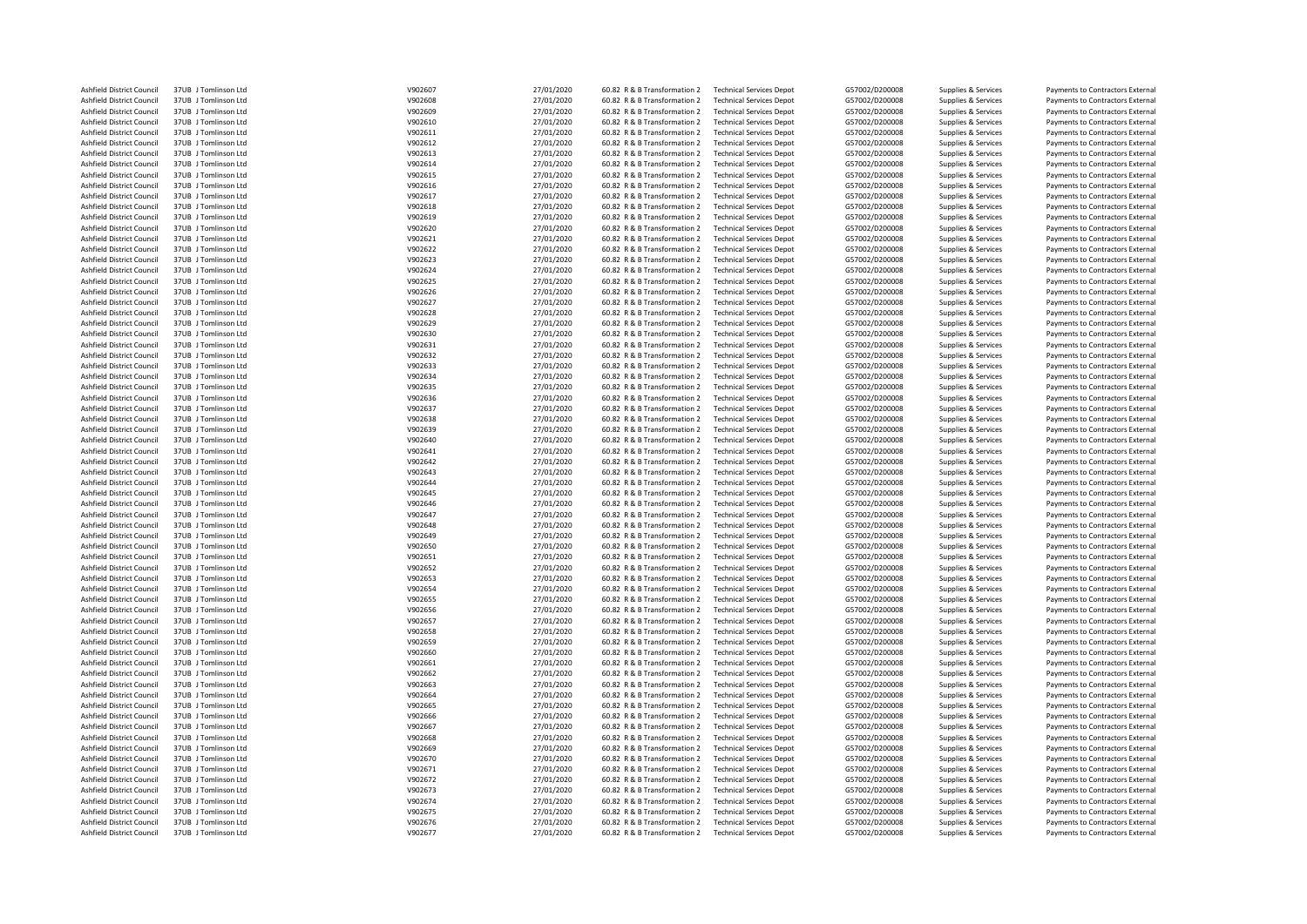| Ashfield District Council | 37UB J Tomlinson Ltd | V902607 | 27/01/2020 | 60.82 R & B Transformation 2 | <b>Technical Services Depot</b> | G57002/D200008 | Supplies & Services | Payments to Contractors External |
|---------------------------|----------------------|---------|------------|------------------------------|---------------------------------|----------------|---------------------|----------------------------------|
| Ashfield District Council | 37UB J Tomlinson Ltd | V902608 | 27/01/2020 | 60.82 R & B Transformation 2 | <b>Technical Services Depot</b> | G57002/D200008 | Supplies & Services | Payments to Contractors External |
| Ashfield District Council | 37UB J Tomlinson Ltd | V902609 | 27/01/2020 | 60.82 R & B Transformation 2 | <b>Technical Services Depot</b> | G57002/D200008 | Supplies & Services | Payments to Contractors External |
| Ashfield District Council | 37UB J Tomlinson Ltd | V902610 | 27/01/2020 | 60.82 R & B Transformation 2 | <b>Technical Services Depot</b> | G57002/D200008 | Supplies & Services | Payments to Contractors External |
| Ashfield District Council | 37UB J Tomlinson Ltd | V902611 | 27/01/2020 | 60.82 R & B Transformation 2 | <b>Technical Services Depot</b> | G57002/D200008 | Supplies & Services | Payments to Contractors External |
| Ashfield District Council | 37UB J Tomlinson Ltd | V902612 | 27/01/2020 | 60.82 R & B Transformation 2 | <b>Technical Services Depot</b> | G57002/D200008 | Supplies & Services | Payments to Contractors External |
| Ashfield District Council | 37UB J Tomlinson Ltd | V902613 | 27/01/2020 | 60.82 R & B Transformation 2 | <b>Technical Services Depot</b> | G57002/D200008 | Supplies & Services | Payments to Contractors External |
| Ashfield District Council | 37UB J Tomlinson Ltd | V902614 | 27/01/2020 | 60.82 R & B Transformation 2 | <b>Technical Services Depot</b> | G57002/D200008 | Supplies & Services | Payments to Contractors External |
| Ashfield District Council | 37UB J Tomlinson Ltd | V902615 | 27/01/2020 | 60.82 R & B Transformation 2 | <b>Technical Services Depot</b> | G57002/D200008 | Supplies & Services | Payments to Contractors External |
| Ashfield District Council | 37UB J Tomlinson Ltd | V902616 | 27/01/2020 | 60.82 R & B Transformation 2 | <b>Technical Services Depot</b> | G57002/D200008 | Supplies & Services | Payments to Contractors External |
| Ashfield District Council | 37UB J Tomlinson Ltd | V902617 | 27/01/2020 | 60.82 R & B Transformation 2 | <b>Technical Services Depot</b> | G57002/D200008 | Supplies & Services | Payments to Contractors External |
| Ashfield District Council | 37UB J Tomlinson Ltd | V902618 | 27/01/2020 | 60.82 R & B Transformation 2 | <b>Technical Services Depot</b> | G57002/D200008 | Supplies & Services | Payments to Contractors External |
| Ashfield District Council | 37UB J Tomlinson Ltd | V902619 | 27/01/2020 | 60.82 R & B Transformation 2 | <b>Technical Services Depot</b> | G57002/D200008 | Supplies & Services | Payments to Contractors External |
| Ashfield District Council | 37UB J Tomlinson Ltd | V902620 | 27/01/2020 | 60.82 R & B Transformation 2 | <b>Technical Services Depot</b> | G57002/D200008 | Supplies & Services | Payments to Contractors External |
| Ashfield District Council | 37UB J Tomlinson Ltd | V902621 | 27/01/2020 | 60.82 R & B Transformation 2 | <b>Technical Services Depot</b> | G57002/D200008 | Supplies & Services | Payments to Contractors External |
| Ashfield District Council | 37UB J Tomlinson Ltd | V902622 | 27/01/2020 | 60.82 R & B Transformation 2 | <b>Technical Services Depot</b> | G57002/D200008 | Supplies & Services | Payments to Contractors External |
| Ashfield District Council | 37UB J Tomlinson Ltd | V902623 | 27/01/2020 | 60.82 R & B Transformation 2 | <b>Technical Services Depot</b> | G57002/D200008 | Supplies & Services | Payments to Contractors External |
| Ashfield District Council | 37UB   Tomlinson Itd | V902624 | 27/01/2020 | 60.82 R & B Transformation 2 | <b>Technical Services Depot</b> | G57002/D200008 | Supplies & Services |                                  |
|                           |                      | V902625 |            |                              |                                 |                |                     | Payments to Contractors External |
| Ashfield District Council | 37UB J Tomlinson Ltd |         | 27/01/2020 | 60.82 R & B Transformation 2 | <b>Technical Services Depot</b> | G57002/D200008 | Supplies & Services | Payments to Contractors External |
| Ashfield District Council | 37UB J Tomlinson Ltd | V902626 | 27/01/2020 | 60.82 R & B Transformation 2 | <b>Technical Services Depot</b> | G57002/D200008 | Supplies & Services | Payments to Contractors External |
| Ashfield District Council | 37UB J Tomlinson Ltd | V902627 | 27/01/2020 | 60.82 R & B Transformation 2 | <b>Technical Services Depot</b> | G57002/D200008 | Supplies & Services | Payments to Contractors External |
| Ashfield District Council | 37UB J Tomlinson Ltd | V902628 | 27/01/2020 | 60.82 R & B Transformation 2 | <b>Technical Services Depot</b> | G57002/D200008 | Supplies & Services | Payments to Contractors External |
| Ashfield District Council | 37UB J Tomlinson Ltd | V902629 | 27/01/2020 | 60.82 R & B Transformation 2 | <b>Technical Services Depot</b> | G57002/D200008 | Supplies & Services | Payments to Contractors External |
| Ashfield District Council | 37UB J Tomlinson Ltd | V902630 | 27/01/2020 | 60.82 R & B Transformation 2 | <b>Technical Services Depot</b> | G57002/D200008 | Supplies & Services | Payments to Contractors External |
| Ashfield District Council | 37UB J Tomlinson Ltd | V902631 | 27/01/2020 | 60.82 R & B Transformation 2 | <b>Technical Services Depot</b> | G57002/D200008 | Supplies & Services | Payments to Contractors External |
| Ashfield District Council | 37UB J Tomlinson Ltd | V902632 | 27/01/2020 | 60.82 R & B Transformation 2 | <b>Technical Services Depot</b> | G57002/D200008 | Supplies & Services | Payments to Contractors External |
| Ashfield District Council | 37UB J Tomlinson Ltd | V902633 | 27/01/2020 | 60.82 R & B Transformation 2 | <b>Technical Services Depot</b> | G57002/D200008 | Supplies & Services | Payments to Contractors External |
| Ashfield District Council | 37UB J Tomlinson Ltd | V902634 | 27/01/2020 | 60.82 R & B Transformation 2 | <b>Technical Services Depot</b> | G57002/D200008 | Supplies & Services | Payments to Contractors External |
| Ashfield District Council | 37UB J Tomlinson Ltd | V902635 | 27/01/2020 | 60.82 R & B Transformation 2 | <b>Technical Services Depot</b> | G57002/D200008 | Supplies & Services | Payments to Contractors External |
| Ashfield District Council | 37UB J Tomlinson Ltd | V902636 | 27/01/2020 | 60.82 R & B Transformation 2 | <b>Technical Services Depot</b> | G57002/D200008 | Supplies & Services | Payments to Contractors External |
| Ashfield District Council | 37UB J Tomlinson Ltd | V902637 | 27/01/2020 | 60.82 R & B Transformation 2 | <b>Technical Services Depot</b> | G57002/D200008 | Supplies & Services | Payments to Contractors External |
| Ashfield District Council | 37UB J Tomlinson Ltd | V902638 | 27/01/2020 | 60.82 R & B Transformation 2 | <b>Technical Services Depot</b> | G57002/D200008 | Supplies & Services | Payments to Contractors External |
| Ashfield District Council | 37UB J Tomlinson Ltd | V902639 | 27/01/2020 | 60.82 R & B Transformation 2 | <b>Technical Services Depot</b> | G57002/D200008 | Supplies & Services | Payments to Contractors External |
| Ashfield District Council | 37UB J Tomlinson Ltd | V902640 | 27/01/2020 | 60.82 R & B Transformation 2 | <b>Technical Services Depot</b> | G57002/D200008 | Supplies & Services | Payments to Contractors External |
| Ashfield District Council | 37UB J Tomlinson Ltd | V902641 | 27/01/2020 | 60.82 R & B Transformation 2 | <b>Technical Services Depot</b> | G57002/D200008 | Supplies & Services | Payments to Contractors External |
| Ashfield District Council | 37UB J Tomlinson Ltd | V902642 | 27/01/2020 | 60.82 R & B Transformation 2 | <b>Technical Services Depot</b> | G57002/D200008 | Supplies & Services | Payments to Contractors External |
| Ashfield District Council | 37UB J Tomlinson Ltd | V902643 | 27/01/2020 | 60.82 R & B Transformation 2 | <b>Technical Services Depot</b> | G57002/D200008 | Supplies & Services | Payments to Contractors External |
| Ashfield District Council | 37UB J Tomlinson Ltd | V902644 | 27/01/2020 | 60.82 R & B Transformation 2 | <b>Technical Services Depot</b> | G57002/D200008 | Supplies & Services | Payments to Contractors External |
| Ashfield District Council | 37UB J Tomlinson Ltd | V902645 | 27/01/2020 | 60.82 R & B Transformation 2 | <b>Technical Services Depot</b> | G57002/D200008 | Supplies & Services | Payments to Contractors External |
| Ashfield District Council | 37UB J Tomlinson Ltd | V902646 | 27/01/2020 | 60.82 R & B Transformation 2 | <b>Technical Services Depot</b> | G57002/D200008 | Supplies & Services | Payments to Contractors External |
| Ashfield District Council | 37UB J Tomlinson Ltd | V902647 | 27/01/2020 | 60.82 R & B Transformation 2 | <b>Technical Services Depot</b> | G57002/D200008 | Supplies & Services | Payments to Contractors External |
| Ashfield District Council | 37UB J Tomlinson Ltd | V902648 | 27/01/2020 | 60.82 R & B Transformation 2 | <b>Technical Services Depot</b> | G57002/D200008 | Supplies & Services | Payments to Contractors External |
| Ashfield District Council | 37UB J Tomlinson Ltd | V902649 | 27/01/2020 | 60.82 R & B Transformation 2 | <b>Technical Services Depot</b> | G57002/D200008 | Supplies & Services | Payments to Contractors External |
| Ashfield District Council | 37UB J Tomlinson Ltd | V902650 | 27/01/2020 | 60.82 R & B Transformation 2 | <b>Technical Services Depot</b> | G57002/D200008 | Supplies & Services | Payments to Contractors External |
| Ashfield District Council | 37UB J Tomlinson Ltd | V902651 | 27/01/2020 | 60.82 R & B Transformation 2 | <b>Technical Services Depot</b> | G57002/D200008 | Supplies & Services | Payments to Contractors External |
| Ashfield District Council | 37UB J Tomlinson Ltd | V902652 | 27/01/2020 | 60.82 R & B Transformation 2 | <b>Technical Services Depot</b> | G57002/D200008 | Supplies & Services | Payments to Contractors External |
| Ashfield District Council | 37UB J Tomlinson Ltd | V902653 | 27/01/2020 | 60.82 R & B Transformation 2 | <b>Technical Services Depot</b> | G57002/D200008 | Supplies & Services | Payments to Contractors External |
| Ashfield District Council | 37UB J Tomlinson Ltd | V902654 | 27/01/2020 | 60.82 R & B Transformation 2 | <b>Technical Services Depot</b> | G57002/D200008 | Supplies & Services | Payments to Contractors External |
| Ashfield District Council | 37UB J Tomlinson Ltd | V902655 | 27/01/2020 | 60.82 R & B Transformation 2 | <b>Technical Services Depot</b> | G57002/D200008 | Supplies & Services | Payments to Contractors External |
| Ashfield District Council | 37UB J Tomlinson Ltd | V902656 | 27/01/2020 | 60.82 R & B Transformation 2 | <b>Technical Services Depot</b> | G57002/D200008 | Supplies & Services | Payments to Contractors External |
| Ashfield District Council | 37UB J Tomlinson Ltd | V902657 | 27/01/2020 | 60.82 R & B Transformation 2 | <b>Technical Services Depot</b> | G57002/D200008 | Supplies & Services | Payments to Contractors External |
| Ashfield District Council | 37UB J Tomlinson Ltd | V902658 | 27/01/2020 | 60.82 R & B Transformation 2 | <b>Technical Services Depot</b> | G57002/D200008 | Supplies & Services | Payments to Contractors External |
| Ashfield District Council | 37UB J Tomlinson Ltd | V902659 | 27/01/2020 | 60.82 R & B Transformation 2 | <b>Technical Services Depot</b> | G57002/D200008 | Supplies & Services |                                  |
| Ashfield District Council | 37UB J Tomlinson Ltd | V902660 |            | 60.82 R & B Transformation 2 | <b>Technical Services Depot</b> | G57002/D200008 |                     | Payments to Contractors External |
| Ashfield District Council | 37UB J Tomlinson Ltd | V902661 | 27/01/2020 | 60.82 R & B Transformation 2 |                                 | G57002/D200008 | Supplies & Services | Payments to Contractors External |
|                           |                      |         | 27/01/2020 |                              | <b>Technical Services Depot</b> |                | Supplies & Services | Payments to Contractors External |
| Ashfield District Council | 37UB J Tomlinson Ltd | V902662 | 27/01/2020 | 60.82 R & B Transformation 2 | <b>Technical Services Depot</b> | G57002/D200008 | Supplies & Services | Payments to Contractors External |
| Ashfield District Council | 37UB J Tomlinson Ltd | V902663 | 27/01/2020 | 60.82 R & B Transformation 2 | <b>Technical Services Depot</b> | G57002/D200008 | Supplies & Services | Payments to Contractors External |
| Ashfield District Council | 37UB J Tomlinson Ltd | V902664 | 27/01/2020 | 60.82 R & B Transformation 2 | <b>Technical Services Depot</b> | G57002/D200008 | Supplies & Services | Payments to Contractors External |
| Ashfield District Council | 37UB J Tomlinson Ltd | V902665 | 27/01/2020 | 60.82 R & B Transformation 2 | <b>Technical Services Depot</b> | G57002/D200008 | Supplies & Services | Payments to Contractors External |
| Ashfield District Council | 37UB J Tomlinson Ltd | V902666 | 27/01/2020 | 60.82 R & B Transformation 2 | <b>Technical Services Depot</b> | G57002/D200008 | Supplies & Services | Payments to Contractors External |
| Ashfield District Council | 37UB J Tomlinson Ltd | V902667 | 27/01/2020 | 60.82 R & B Transformation 2 | <b>Technical Services Depot</b> | G57002/D200008 | Supplies & Services | Payments to Contractors External |
| Ashfield District Council | 37UB J Tomlinson Ltd | V902668 | 27/01/2020 | 60.82 R & B Transformation 2 | <b>Technical Services Depot</b> | G57002/D200008 | Supplies & Services | Payments to Contractors External |
| Ashfield District Council | 37UB J Tomlinson Ltd | V902669 | 27/01/2020 | 60.82 R & B Transformation 2 | <b>Technical Services Depot</b> | G57002/D200008 | Supplies & Services | Payments to Contractors External |
| Ashfield District Council | 37UB J Tomlinson Ltd | V902670 | 27/01/2020 | 60.82 R & B Transformation 2 | <b>Technical Services Depot</b> | G57002/D200008 | Supplies & Services | Payments to Contractors External |
| Ashfield District Council | 37UB J Tomlinson Ltd | V902671 | 27/01/2020 | 60.82 R & B Transformation 2 | <b>Technical Services Depot</b> | G57002/D200008 | Supplies & Services | Payments to Contractors External |
| Ashfield District Council | 37UB J Tomlinson Ltd | V902672 | 27/01/2020 | 60.82 R & B Transformation 2 | <b>Technical Services Depot</b> | G57002/D200008 | Supplies & Services | Payments to Contractors External |
| Ashfield District Council | 37UB J Tomlinson Ltd | V902673 | 27/01/2020 | 60.82 R & B Transformation 2 | <b>Technical Services Depot</b> | G57002/D200008 | Supplies & Services | Payments to Contractors External |
| Ashfield District Council | 37UB J Tomlinson Ltd | V902674 | 27/01/2020 | 60.82 R & B Transformation 2 | <b>Technical Services Depot</b> | G57002/D200008 | Supplies & Services | Payments to Contractors External |
| Ashfield District Council | 37UB J Tomlinson Ltd | V902675 | 27/01/2020 | 60.82 R & B Transformation 2 | <b>Technical Services Depot</b> | G57002/D200008 | Supplies & Services | Payments to Contractors External |
| Ashfield District Council | 37UB J Tomlinson Ltd | V902676 | 27/01/2020 | 60.82 R & B Transformation 2 | <b>Technical Services Depot</b> | G57002/D200008 | Supplies & Services | Payments to Contractors External |
| Ashfield District Council | 37UB J Tomlinson Ltd | V902677 | 27/01/2020 | 60.82 R & B Transformation 2 | <b>Technical Services Depot</b> | G57002/D200008 | Supplies & Services | Payments to Contractors External |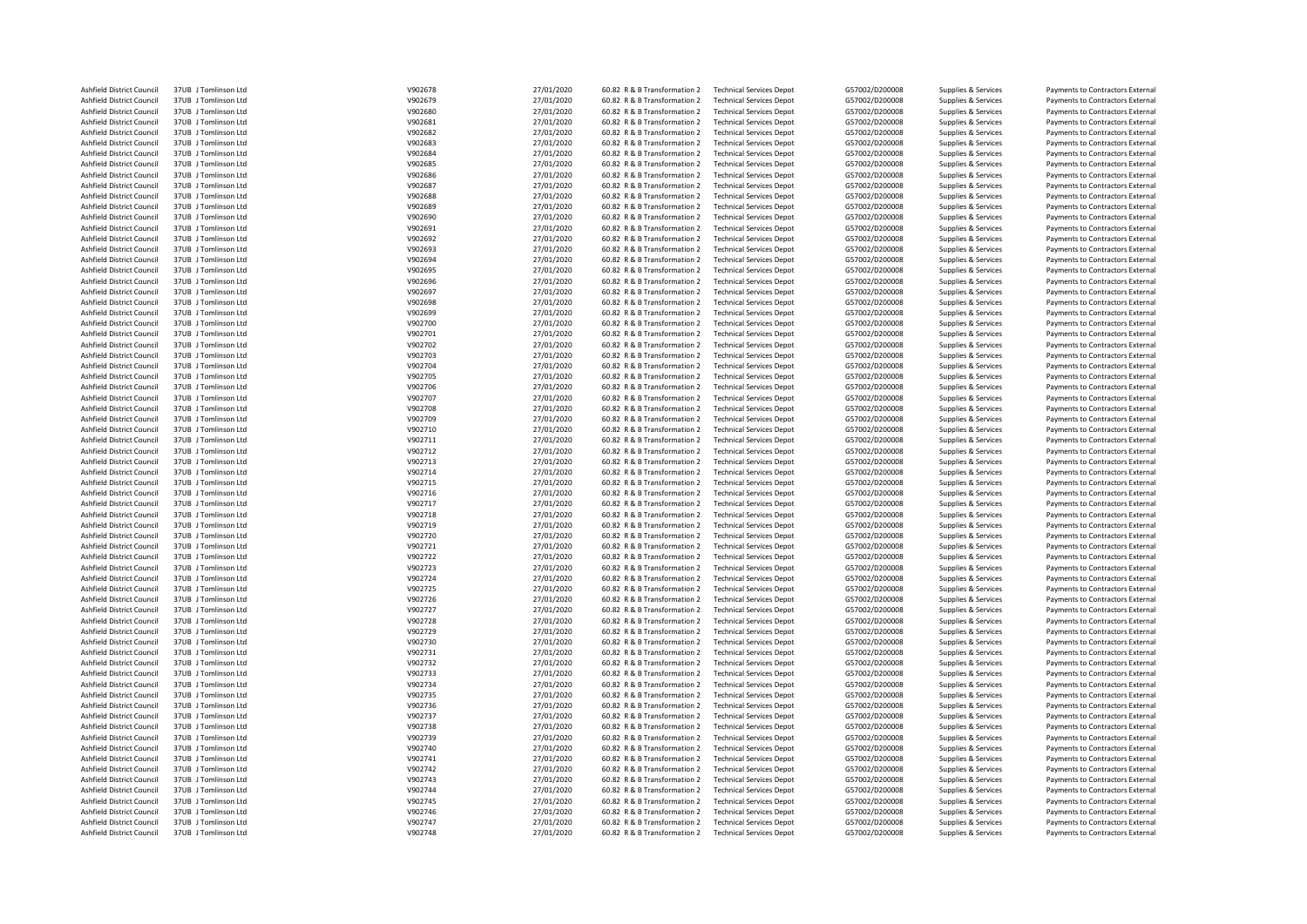| Ashfield District Council | 37UB J Tomlinson Ltd | V902678 | 27/01/2020 | 60.82 R & B Transformation 2 | <b>Technical Services Depot</b> | G57002/D200008 | Supplies & Services | Payments to Contractors External |
|---------------------------|----------------------|---------|------------|------------------------------|---------------------------------|----------------|---------------------|----------------------------------|
| Ashfield District Council | 37UB J Tomlinson Ltd | V902679 | 27/01/2020 | 60.82 R & B Transformation 2 | <b>Technical Services Depot</b> | G57002/D200008 | Supplies & Services | Payments to Contractors External |
| Ashfield District Council | 37UB J Tomlinson Ltd | V902680 | 27/01/2020 | 60.82 R & B Transformation 2 | <b>Technical Services Depot</b> | G57002/D200008 | Supplies & Services | Payments to Contractors External |
| Ashfield District Council | 37UB J Tomlinson Ltd | V902681 | 27/01/2020 | 60.82 R & B Transformation 2 | <b>Technical Services Depot</b> | G57002/D200008 | Supplies & Services | Payments to Contractors External |
|                           |                      |         |            |                              |                                 |                |                     |                                  |
| Ashfield District Council | 37UB J Tomlinson Ltd | V902682 | 27/01/2020 | 60.82 R & B Transformation 2 | <b>Technical Services Depot</b> | G57002/D200008 | Supplies & Services | Payments to Contractors External |
| Ashfield District Council | 37UB J Tomlinson Ltd | V902683 | 27/01/2020 | 60.82 R & B Transformation 2 | <b>Technical Services Depot</b> | G57002/D200008 | Supplies & Services | Payments to Contractors External |
| Ashfield District Council | 37UB J Tomlinson Ltd | V902684 | 27/01/2020 | 60.82 R & B Transformation 2 | <b>Technical Services Depot</b> | G57002/D200008 | Supplies & Services | Payments to Contractors External |
| Ashfield District Council | 37UB J Tomlinson Ltd | V902685 | 27/01/2020 | 60.82 R & B Transformation 2 | <b>Technical Services Depot</b> | G57002/D200008 | Supplies & Services | Payments to Contractors External |
| Ashfield District Council | 37UB J Tomlinson Ltd | V902686 | 27/01/2020 | 60.82 R & B Transformation 2 | <b>Technical Services Depot</b> | G57002/D200008 | Supplies & Services | Payments to Contractors External |
| Ashfield District Council | 37UB J Tomlinson Ltd | V902687 | 27/01/2020 | 60.82 R & B Transformation 2 | <b>Technical Services Depot</b> | G57002/D200008 | Supplies & Services | Payments to Contractors External |
| Ashfield District Council | 37UB J Tomlinson Ltd | V902688 | 27/01/2020 | 60.82 R & B Transformation 2 | <b>Technical Services Depot</b> | G57002/D200008 | Supplies & Services | Payments to Contractors External |
| Ashfield District Council | 37UB J Tomlinson Ltd | V902689 | 27/01/2020 | 60.82 R & B Transformation 2 | <b>Technical Services Depot</b> | G57002/D200008 | Supplies & Services | Payments to Contractors External |
| Ashfield District Council | 37UB J Tomlinson Ltd | V902690 | 27/01/2020 | 60.82 R & B Transformation 2 | <b>Technical Services Depot</b> | G57002/D200008 | Supplies & Services |                                  |
|                           | 37UB J Tomlinson Ltd |         |            |                              |                                 |                |                     | Payments to Contractors External |
| Ashfield District Council |                      | V902691 | 27/01/2020 | 60.82 R & B Transformation 2 | <b>Technical Services Depot</b> | G57002/D200008 | Supplies & Services | Payments to Contractors External |
| Ashfield District Council | 37UB J Tomlinson Ltd | V902692 | 27/01/2020 | 60.82 R & B Transformation 2 | <b>Technical Services Depot</b> | G57002/D200008 | Supplies & Services | Payments to Contractors External |
| Ashfield District Council | 37UB J Tomlinson Ltd | V902693 | 27/01/2020 | 60.82 R & B Transformation 2 | <b>Technical Services Depot</b> | G57002/D200008 | Supplies & Services | Payments to Contractors External |
| Ashfield District Council | 37UB J Tomlinson Ltd | V902694 | 27/01/2020 | 60.82 R & B Transformation 2 | <b>Technical Services Depot</b> | G57002/D200008 | Supplies & Services | Payments to Contractors External |
| Ashfield District Council | 37UB J Tomlinson Ltd | V902695 | 27/01/2020 | 60.82 R & B Transformation 2 | <b>Technical Services Depot</b> | G57002/D200008 | Supplies & Services | Payments to Contractors External |
| Ashfield District Council | 37UB J Tomlinson Ltd | V902696 | 27/01/2020 | 60.82 R & B Transformation 2 | <b>Technical Services Depot</b> | G57002/D200008 | Supplies & Services | Payments to Contractors External |
| Ashfield District Council | 37UB J Tomlinson Ltd | V902697 | 27/01/2020 | 60.82 R & B Transformation 2 | <b>Technical Services Depot</b> | G57002/D200008 | Supplies & Services | Payments to Contractors External |
| Ashfield District Council | 37UB J Tomlinson Ltd | V902698 | 27/01/2020 | 60.82 R & B Transformation 2 | <b>Technical Services Depot</b> | G57002/D200008 | Supplies & Services | Payments to Contractors External |
| Ashfield District Council | 37UB J Tomlinson Ltd | V902699 | 27/01/2020 | 60.82 R & B Transformation 2 | <b>Technical Services Depot</b> | G57002/D200008 | Supplies & Services | Payments to Contractors External |
|                           |                      |         |            | 60.82 R & B Transformation 2 |                                 |                |                     |                                  |
| Ashfield District Council | 37UB J Tomlinson Ltd | V902700 | 27/01/2020 |                              | <b>Technical Services Depot</b> | G57002/D200008 | Supplies & Services | Payments to Contractors External |
| Ashfield District Council | 37UB J Tomlinson Ltd | V902701 | 27/01/2020 | 60.82 R & B Transformation 2 | <b>Technical Services Depot</b> | G57002/D200008 | Supplies & Services | Payments to Contractors External |
| Ashfield District Council | 37UB J Tomlinson Ltd | V902702 | 27/01/2020 | 60.82 R & B Transformation 2 | <b>Technical Services Depot</b> | G57002/D200008 | Supplies & Services | Payments to Contractors External |
| Ashfield District Council | 37UB J Tomlinson Ltd | V902703 | 27/01/2020 | 60.82 R & B Transformation 2 | <b>Technical Services Depot</b> | G57002/D200008 | Supplies & Services | Payments to Contractors External |
| Ashfield District Council | 37UB J Tomlinson Ltd | V902704 | 27/01/2020 | 60.82 R & B Transformation 2 | <b>Technical Services Depot</b> | G57002/D200008 | Supplies & Services | Payments to Contractors External |
| Ashfield District Council | 37UB J Tomlinson Ltd | V902705 | 27/01/2020 | 60.82 R & B Transformation 2 | <b>Technical Services Depot</b> | G57002/D200008 | Supplies & Services | Payments to Contractors External |
| Ashfield District Council | 37UB J Tomlinson Ltd | V902706 | 27/01/2020 | 60.82 R & B Transformation 2 | <b>Technical Services Depot</b> | G57002/D200008 | Supplies & Services | Payments to Contractors External |
| Ashfield District Council | 37UB J Tomlinson Ltd | V902707 | 27/01/2020 | 60.82 R & B Transformation 2 | <b>Technical Services Depot</b> | G57002/D200008 | Supplies & Services | Payments to Contractors External |
| Ashfield District Council | 37UB J Tomlinson Ltd | V902708 | 27/01/2020 | 60.82 R & B Transformation 2 | <b>Technical Services Depot</b> | G57002/D200008 | Supplies & Services | Payments to Contractors External |
| Ashfield District Council | 37UB J Tomlinson Ltd | V902709 | 27/01/2020 | 60.82 R & B Transformation 2 | <b>Technical Services Depot</b> | G57002/D200008 | Supplies & Services | Payments to Contractors External |
|                           |                      |         |            |                              |                                 |                |                     |                                  |
| Ashfield District Council | 37UB J Tomlinson Ltd | V902710 | 27/01/2020 | 60.82 R & B Transformation 2 | <b>Technical Services Depot</b> | G57002/D200008 | Supplies & Services | Payments to Contractors External |
| Ashfield District Council | 37UB J Tomlinson Ltd | V902711 | 27/01/2020 | 60.82 R & B Transformation 2 | <b>Technical Services Depot</b> | G57002/D200008 | Supplies & Services | Payments to Contractors External |
| Ashfield District Council | 37UB J Tomlinson Ltd | V902712 | 27/01/2020 | 60.82 R & B Transformation 2 | <b>Technical Services Depot</b> | G57002/D200008 | Supplies & Services | Payments to Contractors External |
| Ashfield District Council | 37UB Tomlinson Itd   | V902713 | 27/01/2020 | 60.82 R & B Transformation 2 | <b>Technical Services Depot</b> | G57002/D200008 | Supplies & Services | Payments to Contractors External |
| Ashfield District Council | 37UB J Tomlinson Ltd | V902714 | 27/01/2020 | 60.82 R & B Transformation 2 | <b>Technical Services Depot</b> | G57002/D200008 | Supplies & Services | Payments to Contractors External |
| Ashfield District Council | 37UB J Tomlinson Ltd | V902715 | 27/01/2020 | 60.82 R & B Transformation 2 | <b>Technical Services Depot</b> | G57002/D200008 | Supplies & Services | Payments to Contractors External |
| Ashfield District Council | 37UB J Tomlinson Ltd | V902716 | 27/01/2020 | 60.82 R & B Transformation 2 | <b>Technical Services Depot</b> | G57002/D200008 | Supplies & Services | Payments to Contractors External |
| Ashfield District Council | 37UB J Tomlinson Ltd | V902717 | 27/01/2020 | 60.82 R & B Transformation 2 | <b>Technical Services Depot</b> | G57002/D200008 | Supplies & Services | Payments to Contractors External |
| Ashfield District Council | 37UB J Tomlinson Ltd | V902718 | 27/01/2020 | 60.82 R & B Transformation 2 | <b>Technical Services Depot</b> | G57002/D200008 | Supplies & Services | Payments to Contractors External |
| Ashfield District Council | 37UB J Tomlinson Ltd | V902719 | 27/01/2020 | 60.82 R & B Transformation 2 | <b>Technical Services Depot</b> | G57002/D200008 | Supplies & Services | Payments to Contractors External |
| Ashfield District Council | 37UB J Tomlinson Ltd | V902720 |            | 60.82 R & B Transformation 2 | <b>Technical Services Depot</b> | G57002/D200008 |                     |                                  |
|                           |                      |         | 27/01/2020 |                              |                                 |                | Supplies & Services | Payments to Contractors External |
| Ashfield District Council | 37UB J Tomlinson Ltd | V902721 | 27/01/2020 | 60.82 R & B Transformation 2 | <b>Technical Services Depot</b> | G57002/D200008 | Supplies & Services | Payments to Contractors External |
| Ashfield District Council | 37UB J Tomlinson Ltd | V902722 | 27/01/2020 | 60.82 R & B Transformation 2 | <b>Technical Services Depot</b> | G57002/D200008 | Supplies & Services | Payments to Contractors External |
| Ashfield District Council | 37UB J Tomlinson Ltd | V902723 | 27/01/2020 | 60.82 R & B Transformation 2 | <b>Technical Services Depot</b> | G57002/D200008 | Supplies & Services | Payments to Contractors External |
| Ashfield District Council | 37UB J Tomlinson Ltd | V902724 | 27/01/2020 | 60.82 R & B Transformation 2 | <b>Technical Services Depot</b> | G57002/D200008 | Supplies & Services | Payments to Contractors External |
| Ashfield District Council | 37UB J Tomlinson Ltd | V902725 | 27/01/2020 | 60.82 R & B Transformation 2 | <b>Technical Services Depot</b> | G57002/D200008 | Supplies & Services | Payments to Contractors External |
| Ashfield District Council | 37UB J Tomlinson Ltd | V902726 | 27/01/2020 | 60.82 R & B Transformation 2 | <b>Technical Services Depot</b> | G57002/D200008 | Supplies & Services | Payments to Contractors External |
| Ashfield District Council | 37UB J Tomlinson Ltd | V902727 | 27/01/2020 | 60.82 R & B Transformation 2 | <b>Technical Services Depot</b> | G57002/D200008 | Supplies & Services | Payments to Contractors External |
| Ashfield District Council | 37UB J Tomlinson Ltd | V902728 | 27/01/2020 | 60.82 R & B Transformation 2 | <b>Technical Services Depot</b> | G57002/D200008 | Supplies & Services | Payments to Contractors External |
| Ashfield District Council | 37UB J Tomlinson Ltd | V902729 | 27/01/2020 | 60.82 R & B Transformation 2 | <b>Technical Services Depot</b> | G57002/D200008 | Supplies & Services | Payments to Contractors External |
| Ashfield District Council | 37UB J Tomlinson Ltd | V902730 | 27/01/2020 | 60.82 R & B Transformation 2 | <b>Technical Services Depot</b> | G57002/D200008 | Supplies & Services |                                  |
|                           |                      |         |            |                              |                                 |                |                     | Payments to Contractors External |
| Ashfield District Council | 37UB J Tomlinson Ltd | V902731 | 27/01/2020 | 60.82 R & B Transformation 2 | <b>Technical Services Depot</b> | G57002/D200008 | Supplies & Services | Payments to Contractors External |
| Ashfield District Council | 37UB J Tomlinson Ltd | V902732 | 27/01/2020 | 60.82 R & B Transformation 2 | <b>Technical Services Depot</b> | G57002/D200008 | Supplies & Services | Payments to Contractors External |
| Ashfield District Council | 37UB J Tomlinson Ltd | V902733 | 27/01/2020 | 60.82 R & B Transformation 2 | <b>Technical Services Depot</b> | G57002/D200008 | Supplies & Services | Payments to Contractors External |
| Ashfield District Council | 37UB J Tomlinson Ltd | V902734 | 27/01/2020 | 60.82 R & B Transformation 2 | <b>Technical Services Depot</b> | G57002/D200008 | Supplies & Services | Payments to Contractors External |
| Ashfield District Council | 37UB J Tomlinson Ltd | V902735 | 27/01/2020 | 60.82 R & B Transformation 2 | <b>Technical Services Depot</b> | G57002/D200008 | Supplies & Services | Payments to Contractors External |
| Ashfield District Council | 37UB J Tomlinson Ltd | V902736 | 27/01/2020 | 60.82 R & B Transformation 2 | <b>Technical Services Depot</b> | G57002/D200008 | Supplies & Services | Payments to Contractors External |
| Ashfield District Council | 37UB J Tomlinson Ltd | V902737 | 27/01/2020 | 60.82 R & B Transformation 2 | <b>Technical Services Depot</b> | G57002/D200008 | Supplies & Services | Payments to Contractors External |
| Ashfield District Council | 37UB J Tomlinson Ltd | V902738 | 27/01/2020 | 60.82 R & B Transformation 2 | <b>Technical Services Depot</b> | G57002/D200008 | Supplies & Services | Payments to Contractors External |
|                           | 37UB J Tomlinson Ltd | V902739 | 27/01/2020 |                              |                                 | G57002/D200008 |                     |                                  |
| Ashfield District Council |                      |         |            | 60.82 R & B Transformation 2 | <b>Technical Services Depot</b> |                | Supplies & Services | Payments to Contractors External |
| Ashfield District Council | 37UB J Tomlinson Ltd | V902740 | 27/01/2020 | 60.82 R & B Transformation 2 | <b>Technical Services Depot</b> | G57002/D200008 | Supplies & Services | Payments to Contractors External |
| Ashfield District Council | 37UB J Tomlinson Ltd | V902741 | 27/01/2020 | 60.82 R & B Transformation 2 | <b>Technical Services Depot</b> | G57002/D200008 | Supplies & Services | Payments to Contractors External |
| Ashfield District Council | 37UB J Tomlinson Ltd | V902742 | 27/01/2020 | 60.82 R & B Transformation 2 | <b>Technical Services Depot</b> | G57002/D200008 | Supplies & Services | Payments to Contractors External |
| Ashfield District Council | 37UB J Tomlinson Ltd | V902743 | 27/01/2020 | 60.82 R & B Transformation 2 | <b>Technical Services Depot</b> | G57002/D200008 | Supplies & Services | Payments to Contractors External |
| Ashfield District Council | 37UB J Tomlinson Ltd | V902744 | 27/01/2020 | 60.82 R & B Transformation 2 | <b>Technical Services Depot</b> | G57002/D200008 | Supplies & Services | Payments to Contractors External |
| Ashfield District Council | 37UB J Tomlinson Ltd | V902745 | 27/01/2020 | 60.82 R & B Transformation 2 | <b>Technical Services Depot</b> | G57002/D200008 | Supplies & Services | Payments to Contractors External |
| Ashfield District Council | 37UB J Tomlinson Ltd | V902746 | 27/01/2020 | 60.82 R & B Transformation 2 | <b>Technical Services Depot</b> | G57002/D200008 | Supplies & Services | Payments to Contractors External |
| Ashfield District Council | 37UB J Tomlinson Ltd | V902747 | 27/01/2020 | 60.82 R & B Transformation 2 | <b>Technical Services Depot</b> | G57002/D200008 | Supplies & Services | Payments to Contractors External |
| Ashfield District Council | 37UB J Tomlinson Ltd | V902748 | 27/01/2020 | 60.82 R & B Transformation 2 | <b>Technical Services Depot</b> | G57002/D200008 | Supplies & Services | Payments to Contractors External |
|                           |                      |         |            |                              |                                 |                |                     |                                  |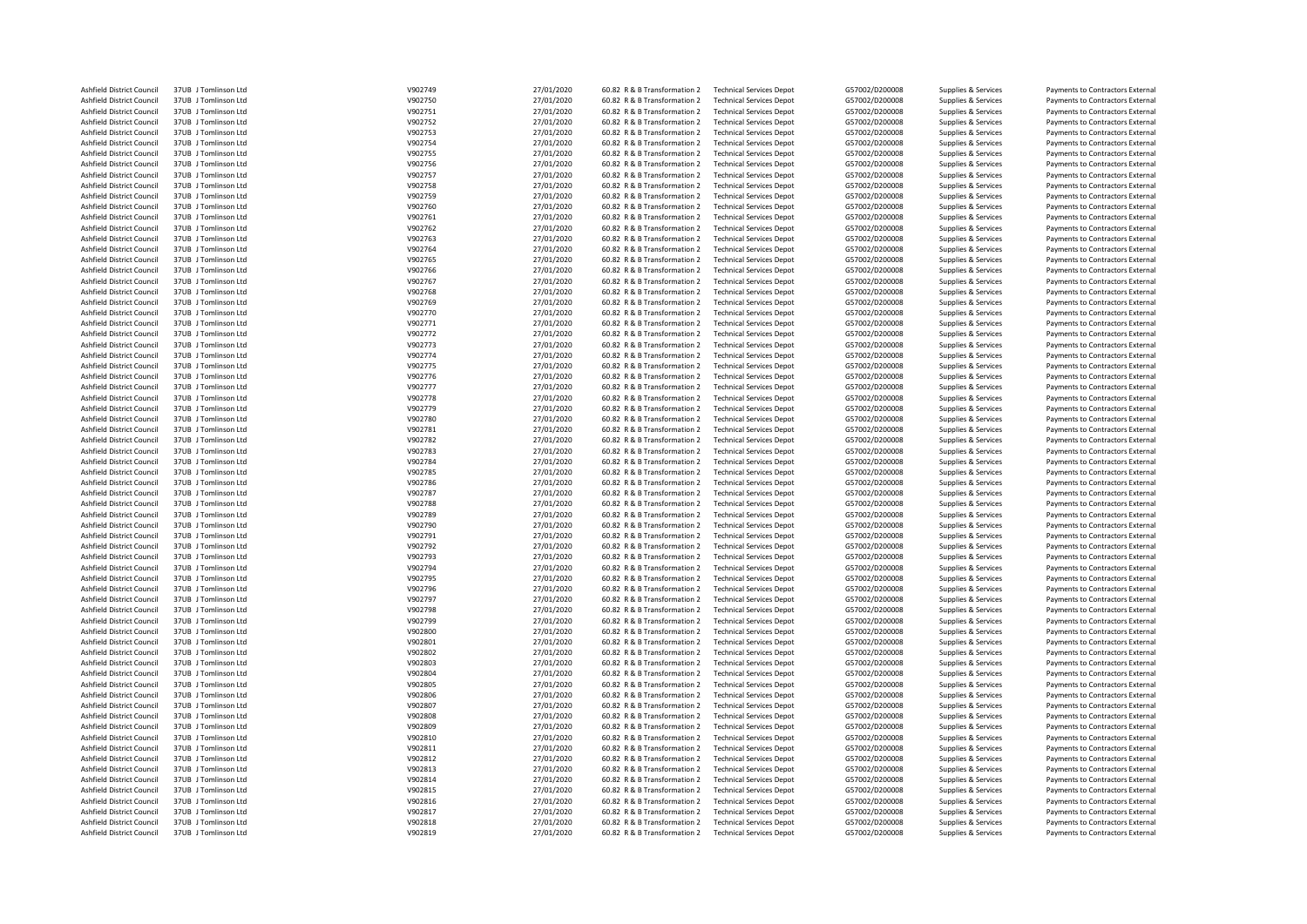| Ashfield District Council | 37UB J Tomlinson Ltd | V902749 | 27/01/2020 | 60.82 R & B Transformation 2 | <b>Technical Services Depot</b> | G57002/D200008 | Supplies & Services | Payments to Contractors External |
|---------------------------|----------------------|---------|------------|------------------------------|---------------------------------|----------------|---------------------|----------------------------------|
| Ashfield District Council | 37UB J Tomlinson Ltd | V902750 | 27/01/2020 | 60.82 R & B Transformation 2 | <b>Technical Services Depot</b> | G57002/D200008 | Supplies & Services | Payments to Contractors External |
| Ashfield District Council | 37UB J Tomlinson Ltd | V902751 | 27/01/2020 | 60.82 R & B Transformation 2 | <b>Technical Services Depot</b> | G57002/D200008 | Supplies & Services | Payments to Contractors External |
| Ashfield District Council | 37UB J Tomlinson Ltd | V902752 | 27/01/2020 | 60.82 R & B Transformation 2 | <b>Technical Services Depot</b> | G57002/D200008 | Supplies & Services | Payments to Contractors External |
|                           |                      |         |            |                              |                                 |                |                     |                                  |
| Ashfield District Council | 37UB J Tomlinson Ltd | V902753 | 27/01/2020 | 60.82 R & B Transformation 2 | <b>Technical Services Depot</b> | G57002/D200008 | Supplies & Services | Payments to Contractors External |
| Ashfield District Council | 37UB J Tomlinson Ltd | V902754 | 27/01/2020 | 60.82 R & B Transformation 2 | <b>Technical Services Depot</b> | G57002/D200008 | Supplies & Services | Payments to Contractors External |
| Ashfield District Council | 37UB J Tomlinson Ltd | V902755 | 27/01/2020 | 60.82 R & B Transformation 2 | <b>Technical Services Depot</b> | G57002/D200008 | Supplies & Services | Payments to Contractors External |
| Ashfield District Council | 37UB J Tomlinson Ltd | V902756 | 27/01/2020 | 60.82 R & B Transformation 2 | <b>Technical Services Depot</b> | G57002/D200008 | Supplies & Services | Payments to Contractors External |
| Ashfield District Council | 37UB J Tomlinson Ltd | V902757 | 27/01/2020 | 60.82 R & B Transformation 2 | <b>Technical Services Depot</b> | G57002/D200008 | Supplies & Services | Payments to Contractors External |
| Ashfield District Council | 37UB J Tomlinson Ltd | V902758 | 27/01/2020 | 60.82 R & B Transformation 2 | <b>Technical Services Depot</b> | G57002/D200008 | Supplies & Services | Payments to Contractors External |
| Ashfield District Council | 37UB J Tomlinson Ltd | V902759 | 27/01/2020 | 60.82 R & B Transformation 2 | <b>Technical Services Depot</b> | G57002/D200008 | Supplies & Services | Payments to Contractors External |
| Ashfield District Council | 37UB J Tomlinson Ltd | V902760 | 27/01/2020 | 60.82 R & B Transformation 2 | <b>Technical Services Depot</b> | G57002/D200008 | Supplies & Services | Payments to Contractors External |
|                           |                      |         |            |                              |                                 |                |                     |                                  |
| Ashfield District Council | 37UB J Tomlinson Ltd | V902761 | 27/01/2020 | 60.82 R & B Transformation 2 | <b>Technical Services Depot</b> | G57002/D200008 | Supplies & Services | Payments to Contractors External |
| Ashfield District Council | 37UB J Tomlinson Ltd | V902762 | 27/01/2020 | 60.82 R & B Transformation 2 | <b>Technical Services Depot</b> | G57002/D200008 | Supplies & Services | Payments to Contractors External |
| Ashfield District Council | 37UB J Tomlinson Ltd | V902763 | 27/01/2020 | 60.82 R & B Transformation 2 | <b>Technical Services Depot</b> | G57002/D200008 | Supplies & Services | Payments to Contractors External |
| Ashfield District Council | 37UB J Tomlinson Ltd | V902764 | 27/01/2020 | 60.82 R & B Transformation 2 | <b>Technical Services Depot</b> | G57002/D200008 | Supplies & Services | Payments to Contractors External |
| Ashfield District Council | 37UB J Tomlinson Ltd | V902765 | 27/01/2020 | 60.82 R & B Transformation 2 | <b>Technical Services Depot</b> | G57002/D200008 | Supplies & Services | Payments to Contractors External |
| Ashfield District Council | 37UB J Tomlinson Ltd | V902766 | 27/01/2020 | 60.82 R & B Transformation 2 | <b>Technical Services Depot</b> | G57002/D200008 | Supplies & Services | Payments to Contractors External |
| Ashfield District Council | 37UB J Tomlinson Ltd | V902767 | 27/01/2020 | 60.82 R & B Transformation 2 | <b>Technical Services Depot</b> | G57002/D200008 | Supplies & Services | Payments to Contractors External |
| Ashfield District Council | 37UB J Tomlinson Ltd | V902768 |            | 60.82 R & B Transformation 2 | <b>Technical Services Depot</b> |                |                     |                                  |
|                           |                      |         | 27/01/2020 |                              |                                 | G57002/D200008 | Supplies & Services | Payments to Contractors External |
| Ashfield District Council | 37UB J Tomlinson Ltd | V902769 | 27/01/2020 | 60.82 R & B Transformation 2 | <b>Technical Services Depot</b> | G57002/D200008 | Supplies & Services | Payments to Contractors External |
| Ashfield District Council | 37UB J Tomlinson Ltd | V902770 | 27/01/2020 | 60.82 R & B Transformation 2 | <b>Technical Services Depot</b> | G57002/D200008 | Supplies & Services | Payments to Contractors External |
| Ashfield District Council | 37UB J Tomlinson Ltd | V902771 | 27/01/2020 | 60.82 R & B Transformation 2 | <b>Technical Services Depot</b> | G57002/D200008 | Supplies & Services | Payments to Contractors External |
| Ashfield District Council | 37UB J Tomlinson Ltd | V902772 | 27/01/2020 | 60.82 R & B Transformation 2 | <b>Technical Services Depot</b> | G57002/D200008 | Supplies & Services | Payments to Contractors External |
| Ashfield District Council | 37UB J Tomlinson Ltd | V902773 | 27/01/2020 | 60.82 R & B Transformation 2 | <b>Technical Services Depot</b> | G57002/D200008 | Supplies & Services | Payments to Contractors External |
| Ashfield District Council | 37UB J Tomlinson Ltd | V902774 | 27/01/2020 | 60.82 R & B Transformation 2 | <b>Technical Services Depot</b> | G57002/D200008 | Supplies & Services | Payments to Contractors External |
|                           |                      |         |            |                              |                                 |                |                     |                                  |
| Ashfield District Council | 37UB J Tomlinson Ltd | V902775 | 27/01/2020 | 60.82 R & B Transformation 2 | <b>Technical Services Depot</b> | G57002/D200008 | Supplies & Services | Payments to Contractors External |
| Ashfield District Council | 37UB J Tomlinson Ltd | V902776 | 27/01/2020 | 60.82 R & B Transformation 2 | <b>Technical Services Depot</b> | G57002/D200008 | Supplies & Services | Payments to Contractors External |
| Ashfield District Council | 37UB J Tomlinson Ltd | V902777 | 27/01/2020 | 60.82 R & B Transformation 2 | <b>Technical Services Depot</b> | G57002/D200008 | Supplies & Services | Payments to Contractors External |
| Ashfield District Council | 37UB J Tomlinson Ltd | V902778 | 27/01/2020 | 60.82 R & B Transformation 2 | <b>Technical Services Depot</b> | G57002/D200008 | Supplies & Services | Payments to Contractors External |
| Ashfield District Council | 37UB J Tomlinson Ltd | V902779 | 27/01/2020 | 60.82 R & B Transformation 2 | <b>Technical Services Depot</b> | G57002/D200008 | Supplies & Services | Payments to Contractors External |
| Ashfield District Council | 37UB J Tomlinson Ltd | V902780 | 27/01/2020 | 60.82 R & B Transformation 2 | <b>Technical Services Depot</b> | G57002/D200008 | Supplies & Services | Payments to Contractors External |
| Ashfield District Council | 37UB J Tomlinson Ltd | V902781 |            | 60.82 R & B Transformation 2 | <b>Technical Services Depot</b> | G57002/D200008 |                     |                                  |
|                           |                      |         | 27/01/2020 |                              |                                 |                | Supplies & Services | Payments to Contractors External |
| Ashfield District Council | 37UB J Tomlinson Ltd | V902782 | 27/01/2020 | 60.82 R & B Transformation 2 | <b>Technical Services Depot</b> | G57002/D200008 | Supplies & Services | Payments to Contractors External |
| Ashfield District Council | 37UB J Tomlinson Ltd | V902783 | 27/01/2020 | 60.82 R & B Transformation 2 | <b>Technical Services Depot</b> | G57002/D200008 | Supplies & Services | Payments to Contractors External |
| Ashfield District Council | 37UB J Tomlinson Ltd | V902784 | 27/01/2020 | 60.82 R & B Transformation 2 | <b>Technical Services Depot</b> | G57002/D200008 | Supplies & Services | Payments to Contractors External |
| Ashfield District Council | 37UB J Tomlinson Ltd | V902785 | 27/01/2020 | 60.82 R & B Transformation 2 | <b>Technical Services Depot</b> | G57002/D200008 | Supplies & Services | Payments to Contractors External |
| Ashfield District Council | 37UB J Tomlinson Ltd | V902786 | 27/01/2020 | 60.82 R & B Transformation 2 | <b>Technical Services Depot</b> | G57002/D200008 | Supplies & Services | Payments to Contractors External |
| Ashfield District Council | 37UB J Tomlinson Ltd | V902787 | 27/01/2020 | 60.82 R & B Transformation 2 | <b>Technical Services Depot</b> | G57002/D200008 | Supplies & Services | Payments to Contractors External |
| Ashfield District Council | 37UB J Tomlinson Ltd | V902788 | 27/01/2020 | 60.82 R & B Transformation 2 | <b>Technical Services Depot</b> | G57002/D200008 | Supplies & Services | Payments to Contractors External |
|                           |                      |         |            |                              |                                 |                |                     |                                  |
| Ashfield District Council | 37UB J Tomlinson Ltd | V902789 | 27/01/2020 | 60.82 R & B Transformation 2 | <b>Technical Services Depot</b> | G57002/D200008 | Supplies & Services | Payments to Contractors External |
| Ashfield District Council | 37UB J Tomlinson Ltd | V902790 | 27/01/2020 | 60.82 R & B Transformation 2 | <b>Technical Services Depot</b> | G57002/D200008 | Supplies & Services | Payments to Contractors External |
| Ashfield District Council | 37UB J Tomlinson Ltd | V902791 | 27/01/2020 | 60.82 R & B Transformation 2 | <b>Technical Services Depot</b> | G57002/D200008 | Supplies & Services | Payments to Contractors External |
| Ashfield District Council | 37UB J Tomlinson Ltd | V902792 | 27/01/2020 | 60.82 R & B Transformation 2 | <b>Technical Services Depot</b> | G57002/D200008 | Supplies & Services | Payments to Contractors External |
| Ashfield District Council | 37UB J Tomlinson Ltd | V902793 | 27/01/2020 | 60.82 R & B Transformation 2 | <b>Technical Services Depot</b> | G57002/D200008 | Supplies & Services | Payments to Contractors External |
| Ashfield District Council | 37UB J Tomlinson Ltd | V902794 | 27/01/2020 | 60.82 R & B Transformation 2 | <b>Technical Services Depot</b> | G57002/D200008 | Supplies & Services | Payments to Contractors External |
| Ashfield District Council | 37UB J Tomlinson Ltd | V902795 | 27/01/2020 | 60.82 R & B Transformation 2 | <b>Technical Services Depot</b> | G57002/D200008 | Supplies & Services | Payments to Contractors External |
|                           |                      |         |            |                              |                                 |                |                     |                                  |
| Ashfield District Council | 37UB J Tomlinson Ltd | V902796 | 27/01/2020 | 60.82 R & B Transformation 2 | <b>Technical Services Depot</b> | G57002/D200008 | Supplies & Services | Payments to Contractors External |
| Ashfield District Council | 37UB J Tomlinson Ltd | V902797 | 27/01/2020 | 60.82 R & B Transformation 2 | <b>Technical Services Depot</b> | G57002/D200008 | Supplies & Services | Payments to Contractors External |
| Ashfield District Council | 37UB J Tomlinson Ltd | V902798 | 27/01/2020 | 60.82 R & B Transformation 2 | <b>Technical Services Depot</b> | G57002/D200008 | Supplies & Services | Payments to Contractors External |
| Ashfield District Council | 37UB J Tomlinson Ltd | V902799 | 27/01/2020 | 60.82 R & B Transformation 2 | <b>Technical Services Depot</b> | G57002/D200008 | Supplies & Services | Payments to Contractors External |
| Ashfield District Council | 37UB J Tomlinson Ltd | V902800 | 27/01/2020 | 60.82 R & B Transformation 2 | <b>Technical Services Depot</b> | G57002/D200008 | Supplies & Services | Payments to Contractors External |
| Ashfield District Council | 37UB J Tomlinson Ltd | V902801 | 27/01/2020 | 60.82 R & B Transformation 2 | <b>Technical Services Depot</b> | G57002/D200008 | Supplies & Services | Payments to Contractors External |
| Ashfield District Council | 37UB J Tomlinson Ltd | V902802 | 27/01/2020 | 60.82 R & B Transformation 2 | <b>Technical Services Depot</b> | G57002/D200008 | Supplies & Services | Payments to Contractors External |
|                           | 37UB J Tomlinson Ltd | V902803 |            |                              |                                 |                |                     |                                  |
| Ashfield District Council |                      |         | 27/01/2020 | 60.82 R & B Transformation 2 | <b>Technical Services Depot</b> | G57002/D200008 | Supplies & Services | Payments to Contractors External |
| Ashfield District Council | 37UB J Tomlinson Ltd | V902804 | 27/01/2020 | 60.82 R & B Transformation 2 | <b>Technical Services Depot</b> | G57002/D200008 | Supplies & Services | Payments to Contractors External |
| Ashfield District Council | 37UB J Tomlinson Ltd | V902805 | 27/01/2020 | 60.82 R & B Transformation 2 | <b>Technical Services Depot</b> | G57002/D200008 | Supplies & Services | Payments to Contractors External |
| Ashfield District Council | 37UB J Tomlinson Ltd | V902806 | 27/01/2020 | 60.82 R & B Transformation 2 | <b>Technical Services Depot</b> | G57002/D200008 | Supplies & Services | Payments to Contractors External |
| Ashfield District Council | 37UB J Tomlinson Ltd | V902807 | 27/01/2020 | 60.82 R & B Transformation 2 | <b>Technical Services Depot</b> | G57002/D200008 | Supplies & Services | Payments to Contractors External |
| Ashfield District Council | 37UB J Tomlinson Ltd | V902808 | 27/01/2020 | 60.82 R & B Transformation 2 | <b>Technical Services Depot</b> | G57002/D200008 | Supplies & Services | Payments to Contractors External |
| Ashfield District Council | 37UB J Tomlinson Ltd | V902809 | 27/01/2020 | 60.82 R & B Transformation 2 | <b>Technical Services Depot</b> | G57002/D200008 | Supplies & Services | Payments to Contractors External |
|                           |                      |         |            |                              |                                 |                |                     |                                  |
| Ashfield District Council | 37UB J Tomlinson Ltd | V902810 | 27/01/2020 | 60.82 R & B Transformation 2 | <b>Technical Services Depot</b> | G57002/D200008 | Supplies & Services | Payments to Contractors External |
| Ashfield District Council | 37UB J Tomlinson Ltd | V902811 | 27/01/2020 | 60.82 R & B Transformation 2 | <b>Technical Services Depot</b> | G57002/D200008 | Supplies & Services | Payments to Contractors External |
| Ashfield District Council | 37UB J Tomlinson Ltd | V902812 | 27/01/2020 | 60.82 R & B Transformation 2 | <b>Technical Services Depot</b> | G57002/D200008 | Supplies & Services | Payments to Contractors External |
| Ashfield District Council | 37UB J Tomlinson Ltd | V902813 | 27/01/2020 | 60.82 R & B Transformation 2 | <b>Technical Services Depot</b> | G57002/D200008 | Supplies & Services | Payments to Contractors External |
| Ashfield District Council | 37UB J Tomlinson Ltd | V902814 | 27/01/2020 | 60.82 R & B Transformation 2 | <b>Technical Services Depot</b> | G57002/D200008 | Supplies & Services | Payments to Contractors External |
| Ashfield District Council | 37UB J Tomlinson Ltd | V902815 | 27/01/2020 | 60.82 R & B Transformation 2 | <b>Technical Services Depot</b> | G57002/D200008 | Supplies & Services | Payments to Contractors External |
| Ashfield District Council | 37UB J Tomlinson Ltd | V902816 | 27/01/2020 | 60.82 R & B Transformation 2 | <b>Technical Services Depot</b> | G57002/D200008 | Supplies & Services | Payments to Contractors External |
| Ashfield District Council | 37UB J Tomlinson Ltd | V902817 | 27/01/2020 | 60.82 R & B Transformation 2 | <b>Technical Services Depot</b> | G57002/D200008 | Supplies & Services | Payments to Contractors External |
|                           |                      |         |            |                              |                                 |                |                     |                                  |
| Ashfield District Council | 37UB J Tomlinson Ltd | V902818 | 27/01/2020 | 60.82 R & B Transformation 2 | <b>Technical Services Depot</b> | G57002/D200008 | Supplies & Services | Payments to Contractors External |
| Ashfield District Council | 37UB J Tomlinson Ltd | V902819 | 27/01/2020 | 60.82 R & B Transformation 2 | <b>Technical Services Depot</b> | G57002/D200008 | Supplies & Services | Payments to Contractors External |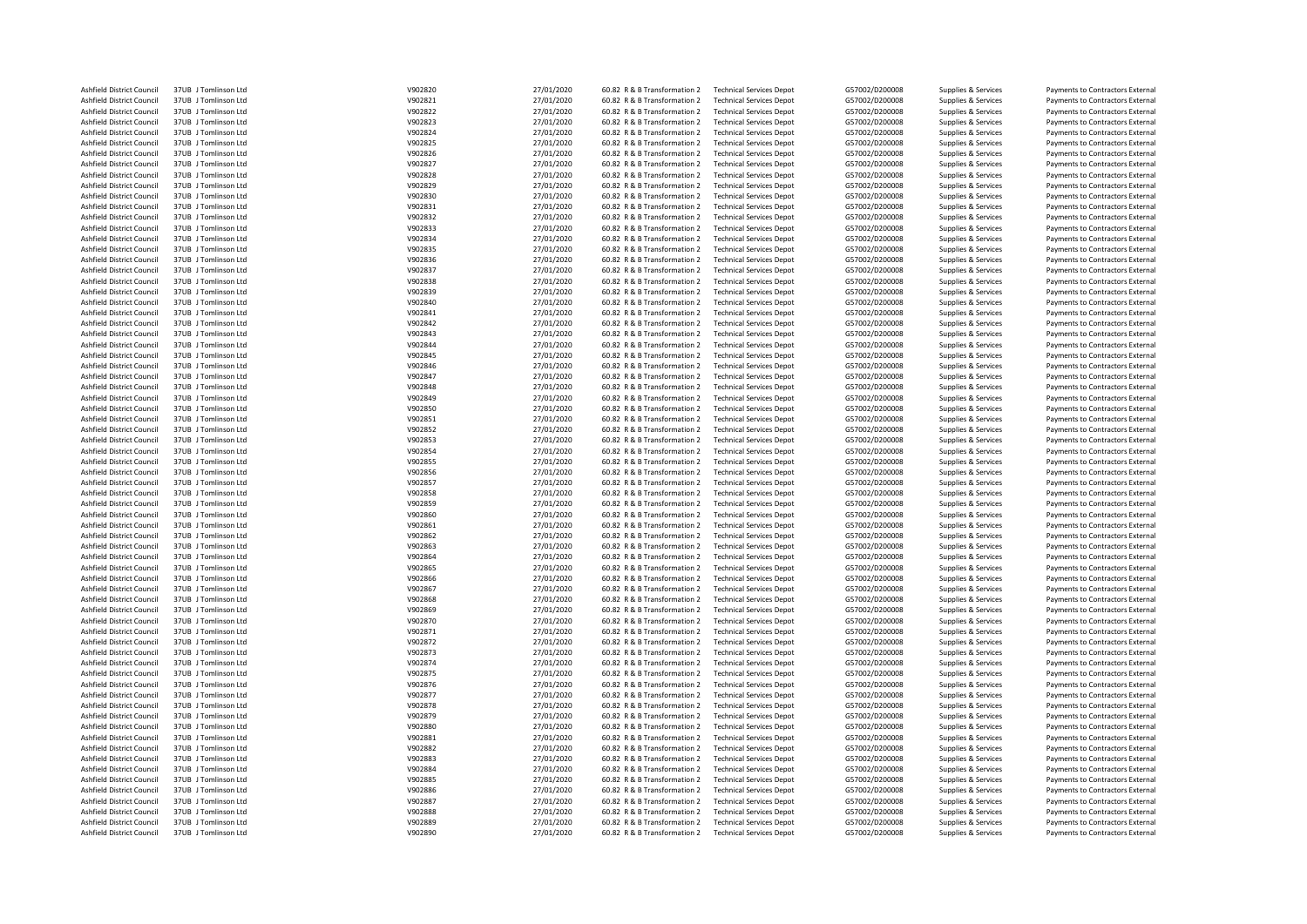| Ashfield District Council | 37UB J Tomlinson Ltd | V902820 | 27/01/2020 | 60.82 R & B Transformation 2 | <b>Technical Services Depot</b> | G57002/D200008 | Supplies & Services | Payments to Contractors External |
|---------------------------|----------------------|---------|------------|------------------------------|---------------------------------|----------------|---------------------|----------------------------------|
| Ashfield District Council | 37UB J Tomlinson Ltd | V902821 | 27/01/2020 | 60.82 R & B Transformation 2 | <b>Technical Services Depot</b> | G57002/D200008 | Supplies & Services | Payments to Contractors External |
| Ashfield District Council | 37UB J Tomlinson Ltd | V902822 | 27/01/2020 | 60.82 R & B Transformation 2 | <b>Technical Services Depot</b> | G57002/D200008 | Supplies & Services | Payments to Contractors External |
| Ashfield District Council | 37UB J Tomlinson Ltd | V902823 | 27/01/2020 | 60.82 R & B Transformation 2 | <b>Technical Services Depot</b> | G57002/D200008 | Supplies & Services | Payments to Contractors External |
| Ashfield District Council | 37UB J Tomlinson Ltd | V902824 | 27/01/2020 | 60.82 R & B Transformation 2 | <b>Technical Services Depot</b> | G57002/D200008 | Supplies & Services | Payments to Contractors External |
| Ashfield District Council | 37UB J Tomlinson Ltd | V902825 | 27/01/2020 | 60.82 R & B Transformation 2 | <b>Technical Services Depot</b> | G57002/D200008 | Supplies & Services | Payments to Contractors External |
| Ashfield District Council | 37UB J Tomlinson Ltd | V902826 | 27/01/2020 | 60.82 R & B Transformation 2 | <b>Technical Services Depot</b> | G57002/D200008 | Supplies & Services | Payments to Contractors External |
|                           |                      |         |            |                              |                                 |                |                     |                                  |
| Ashfield District Council | 37UB J Tomlinson Ltd | V902827 | 27/01/2020 | 60.82 R & B Transformation 2 | <b>Technical Services Depot</b> | G57002/D200008 | Supplies & Services | Payments to Contractors External |
| Ashfield District Council | 37UB J Tomlinson Ltd | V902828 | 27/01/2020 | 60.82 R & B Transformation 2 | <b>Technical Services Depot</b> | G57002/D200008 | Supplies & Services | Payments to Contractors External |
| Ashfield District Council | 37UB J Tomlinson Ltd | V902829 | 27/01/2020 | 60.82 R & B Transformation 2 | <b>Technical Services Depot</b> | G57002/D200008 | Supplies & Services | Payments to Contractors External |
| Ashfield District Council | 37UB J Tomlinson Ltd | V902830 | 27/01/2020 | 60.82 R & B Transformation 2 | <b>Technical Services Depot</b> | G57002/D200008 | Supplies & Services | Payments to Contractors External |
| Ashfield District Council | 37UB J Tomlinson Ltd | V902831 | 27/01/2020 | 60.82 R & B Transformation 2 | <b>Technical Services Depot</b> | G57002/D200008 | Supplies & Services | Payments to Contractors External |
| Ashfield District Council | 37UB J Tomlinson Ltd | V902832 | 27/01/2020 | 60.82 R & B Transformation 2 | <b>Technical Services Depot</b> | G57002/D200008 | Supplies & Services | Payments to Contractors External |
| Ashfield District Council | 37UB J Tomlinson Ltd | V902833 | 27/01/2020 | 60.82 R & B Transformation 2 | <b>Technical Services Depot</b> | G57002/D200008 | Supplies & Services | Payments to Contractors External |
| Ashfield District Council | 37UB J Tomlinson Ltd | V902834 | 27/01/2020 | 60.82 R & B Transformation 2 | <b>Technical Services Depot</b> | G57002/D200008 | Supplies & Services | Payments to Contractors External |
| Ashfield District Council | 37UB J Tomlinson Ltd | V902835 | 27/01/2020 | 60.82 R & B Transformation 2 | <b>Technical Services Depot</b> | G57002/D200008 | Supplies & Services | Payments to Contractors External |
| Ashfield District Council | 37UB J Tomlinson Ltd | V902836 | 27/01/2020 | 60.82 R & B Transformation 2 | <b>Technical Services Depot</b> | G57002/D200008 | Supplies & Services | Payments to Contractors External |
| Ashfield District Council | 37UB J Tomlinson Ltd | V902837 | 27/01/2020 | 60.82 R & B Transformation 2 | <b>Technical Services Depot</b> | G57002/D200008 | Supplies & Services | Payments to Contractors External |
| Ashfield District Council | 37UB J Tomlinson Ltd | V902838 | 27/01/2020 | 60.82 R & B Transformation 2 | <b>Technical Services Depot</b> | G57002/D200008 | Supplies & Services | Payments to Contractors External |
| Ashfield District Council | 37UB J Tomlinson Ltd | V902839 | 27/01/2020 | 60.82 R & B Transformation 2 | <b>Technical Services Depot</b> | G57002/D200008 | Supplies & Services | Payments to Contractors External |
| Ashfield District Council | 37UB J Tomlinson Ltd | V902840 | 27/01/2020 | 60.82 R & B Transformation 2 | <b>Technical Services Depot</b> | G57002/D200008 | Supplies & Services | Payments to Contractors External |
|                           |                      | V902841 |            |                              |                                 |                |                     |                                  |
| Ashfield District Council | 37UB J Tomlinson Ltd |         | 27/01/2020 | 60.82 R & B Transformation 2 | <b>Technical Services Depot</b> | G57002/D200008 | Supplies & Services | Payments to Contractors External |
| Ashfield District Council | 37UB J Tomlinson Ltd | V902842 | 27/01/2020 | 60.82 R & B Transformation 2 | <b>Technical Services Depot</b> | G57002/D200008 | Supplies & Services | Payments to Contractors External |
| Ashfield District Council | 37UB J Tomlinson Ltd | V902843 | 27/01/2020 | 60.82 R & B Transformation 2 | <b>Technical Services Depot</b> | G57002/D200008 | Supplies & Services | Payments to Contractors External |
| Ashfield District Council | 37UB J Tomlinson Ltd | V902844 | 27/01/2020 | 60.82 R & B Transformation 2 | <b>Technical Services Depot</b> | G57002/D200008 | Supplies & Services | Payments to Contractors External |
| Ashfield District Council | 37UB J Tomlinson Ltd | V902845 | 27/01/2020 | 60.82 R & B Transformation 2 | <b>Technical Services Depot</b> | G57002/D200008 | Supplies & Services | Payments to Contractors External |
| Ashfield District Council | 37UB J Tomlinson Ltd | V902846 | 27/01/2020 | 60.82 R & B Transformation 2 | <b>Technical Services Depot</b> | G57002/D200008 | Supplies & Services | Payments to Contractors External |
| Ashfield District Council | 37UB J Tomlinson Ltd | V902847 | 27/01/2020 | 60.82 R & B Transformation 2 | <b>Technical Services Depot</b> | G57002/D200008 | Supplies & Services | Payments to Contractors External |
| Ashfield District Council | 37UB J Tomlinson Ltd | V902848 | 27/01/2020 | 60.82 R & B Transformation 2 | <b>Technical Services Depot</b> | G57002/D200008 | Supplies & Services | Payments to Contractors External |
| Ashfield District Council | 37UB J Tomlinson Ltd | V902849 | 27/01/2020 | 60.82 R & B Transformation 2 | <b>Technical Services Depot</b> | G57002/D200008 | Supplies & Services | Payments to Contractors External |
| Ashfield District Council | 37UB J Tomlinson Ltd | V902850 | 27/01/2020 | 60.82 R & B Transformation 2 | <b>Technical Services Depot</b> | G57002/D200008 | Supplies & Services | Payments to Contractors External |
| Ashfield District Council | 37UB J Tomlinson Ltd | V902851 | 27/01/2020 | 60.82 R & B Transformation 2 | <b>Technical Services Depot</b> | G57002/D200008 | Supplies & Services | Payments to Contractors External |
| Ashfield District Council | 37UB J Tomlinson Ltd | V902852 | 27/01/2020 | 60.82 R & B Transformation 2 | <b>Technical Services Depot</b> | G57002/D200008 | Supplies & Services | Payments to Contractors External |
| Ashfield District Council | 37UB J Tomlinson Ltd | V902853 | 27/01/2020 | 60.82 R & B Transformation 2 | <b>Technical Services Depot</b> | G57002/D200008 | Supplies & Services | Payments to Contractors External |
| Ashfield District Council | 37UB J Tomlinson Ltd | V902854 | 27/01/2020 | 60.82 R & B Transformation 2 | <b>Technical Services Depot</b> | G57002/D200008 | Supplies & Services | Payments to Contractors External |
|                           | 37UB Tomlinson Itd   | V902855 |            |                              |                                 | G57002/D200008 |                     | Payments to Contractors External |
| Ashfield District Council |                      |         | 27/01/2020 | 60.82 R & B Transformation 2 | <b>Technical Services Depot</b> |                | Supplies & Services |                                  |
| Ashfield District Council | 37UB J Tomlinson Ltd | V902856 | 27/01/2020 | 60.82 R & B Transformation 2 | <b>Technical Services Depot</b> | G57002/D200008 | Supplies & Services | Payments to Contractors External |
| Ashfield District Council | 37UB J Tomlinson Ltd | V902857 | 27/01/2020 | 60.82 R & B Transformation 2 | <b>Technical Services Depot</b> | G57002/D200008 | Supplies & Services | Payments to Contractors External |
| Ashfield District Council | 37UB J Tomlinson Ltd | V902858 | 27/01/2020 | 60.82 R & B Transformation 2 | <b>Technical Services Depot</b> | G57002/D200008 | Supplies & Services | Payments to Contractors External |
| Ashfield District Council | 37UB J Tomlinson Ltd | V902859 | 27/01/2020 | 60.82 R & B Transformation 2 | <b>Technical Services Depot</b> | G57002/D200008 | Supplies & Services | Payments to Contractors External |
| Ashfield District Council | 37UB J Tomlinson Ltd | V902860 | 27/01/2020 | 60.82 R & B Transformation 2 | <b>Technical Services Depot</b> | G57002/D200008 | Supplies & Services | Payments to Contractors External |
| Ashfield District Council | 37UB J Tomlinson Ltd | V902861 | 27/01/2020 | 60.82 R & B Transformation 2 | <b>Technical Services Depot</b> | G57002/D200008 | Supplies & Services | Payments to Contractors External |
| Ashfield District Council | 37UB J Tomlinson Ltd | V902862 | 27/01/2020 | 60.82 R & B Transformation 2 | <b>Technical Services Depot</b> | G57002/D200008 | Supplies & Services | Payments to Contractors External |
| Ashfield District Council | 37UB J Tomlinson Ltd | V902863 | 27/01/2020 | 60.82 R & B Transformation 2 | <b>Technical Services Depot</b> | G57002/D200008 | Supplies & Services | Payments to Contractors External |
| Ashfield District Council | 37UB J Tomlinson Ltd | V902864 | 27/01/2020 | 60.82 R & B Transformation 2 | <b>Technical Services Depot</b> | G57002/D200008 | Supplies & Services | Payments to Contractors External |
| Ashfield District Council | 37UB J Tomlinson Ltd | V902865 | 27/01/2020 | 60.82 R & B Transformation 2 | <b>Technical Services Depot</b> | G57002/D200008 | Supplies & Services | Payments to Contractors External |
| Ashfield District Council | 37UB J Tomlinson Ltd | V902866 | 27/01/2020 | 60.82 R & B Transformation 2 | <b>Technical Services Depot</b> | G57002/D200008 | Supplies & Services | Payments to Contractors External |
| Ashfield District Council | 37UB J Tomlinson Ltd | V902867 | 27/01/2020 | 60.82 R & B Transformation 2 | <b>Technical Services Depot</b> | G57002/D200008 | Supplies & Services | Payments to Contractors External |
| Ashfield District Council | 37UB J Tomlinson Ltd | V902868 | 27/01/2020 | 60.82 R & B Transformation 2 | <b>Technical Services Depot</b> | G57002/D200008 | Supplies & Services | Payments to Contractors External |
| Ashfield District Council | 37UB J Tomlinson Ltd | V902869 | 27/01/2020 | 60.82 R & B Transformation 2 | <b>Technical Services Depot</b> | G57002/D200008 | Supplies & Services | Payments to Contractors External |
| Ashfield District Council | 37UB J Tomlinson Ltd | V902870 |            |                              |                                 | G57002/D200008 |                     |                                  |
|                           |                      |         | 27/01/2020 | 60.82 R & B Transformation 2 | <b>Technical Services Depot</b> |                | Supplies & Services | Payments to Contractors External |
| Ashfield District Council | 37UB J Tomlinson Ltd | V902871 | 27/01/2020 | 60.82 R & B Transformation 2 | <b>Technical Services Depot</b> | G57002/D200008 | Supplies & Services | Payments to Contractors External |
| Ashfield District Council | 37UB J Tomlinson Ltd | V902872 | 27/01/2020 | 60.82 R & B Transformation 2 | <b>Technical Services Depot</b> | G57002/D200008 | Supplies & Services | Payments to Contractors External |
| Ashfield District Council | 37UB J Tomlinson Ltd | V902873 | 27/01/2020 | 60.82 R & B Transformation 2 | <b>Technical Services Depot</b> | G57002/D200008 | Supplies & Services | Payments to Contractors External |
| Ashfield District Council | 37UB J Tomlinson Ltd | V902874 | 27/01/2020 | 60.82 R & B Transformation 2 | <b>Technical Services Depot</b> | G57002/D200008 | Supplies & Services | Payments to Contractors External |
| Ashfield District Council | 37UB J Tomlinson Ltd | V902875 | 27/01/2020 | 60.82 R & B Transformation 2 | <b>Technical Services Depot</b> | G57002/D200008 | Supplies & Services | Payments to Contractors External |
| Ashfield District Council | 37UB J Tomlinson Ltd | V902876 | 27/01/2020 | 60.82 R & B Transformation 2 | <b>Technical Services Depot</b> | G57002/D200008 | Supplies & Services | Payments to Contractors External |
| Ashfield District Council | 37UB J Tomlinson Ltd | V902877 | 27/01/2020 | 60.82 R & B Transformation 2 | <b>Technical Services Depot</b> | G57002/D200008 | Supplies & Services | Payments to Contractors External |
| Ashfield District Council | 37UB J Tomlinson Ltd | V902878 | 27/01/2020 | 60.82 R & B Transformation 2 | <b>Technical Services Depot</b> | G57002/D200008 | Supplies & Services | Payments to Contractors External |
| Ashfield District Council | 37UB J Tomlinson Ltd | V902879 | 27/01/2020 | 60.82 R & B Transformation 2 | <b>Technical Services Depot</b> | G57002/D200008 | Supplies & Services | Payments to Contractors External |
| Ashfield District Council | 37UB J Tomlinson Ltd | V902880 | 27/01/2020 | 60.82 R & B Transformation 2 | <b>Technical Services Depot</b> | G57002/D200008 | Supplies & Services | Payments to Contractors External |
| Ashfield District Council | 37UB J Tomlinson Ltd | V902881 | 27/01/2020 | 60.82 R & B Transformation 2 | <b>Technical Services Depot</b> | G57002/D200008 | Supplies & Services | Payments to Contractors External |
| Ashfield District Council | 37UB J Tomlinson Ltd | V902882 | 27/01/2020 | 60.82 R & B Transformation 2 | <b>Technical Services Depot</b> | G57002/D200008 | Supplies & Services | Payments to Contractors External |
| Ashfield District Council | 37UB J Tomlinson Ltd | V902883 | 27/01/2020 | 60.82 R & B Transformation 2 | <b>Technical Services Depot</b> | G57002/D200008 | Supplies & Services | Payments to Contractors External |
| Ashfield District Council | 37UB J Tomlinson Ltd | V902884 | 27/01/2020 | 60.82 R & B Transformation 2 | <b>Technical Services Depot</b> | G57002/D200008 | Supplies & Services | Payments to Contractors External |
| Ashfield District Council | 37UB J Tomlinson Ltd | V902885 | 27/01/2020 | 60.82 R & B Transformation 2 | <b>Technical Services Depot</b> | G57002/D200008 | Supplies & Services | Payments to Contractors External |
|                           |                      |         |            |                              |                                 |                |                     |                                  |
| Ashfield District Council | 37UB J Tomlinson Ltd | V902886 | 27/01/2020 | 60.82 R & B Transformation 2 | <b>Technical Services Depot</b> | G57002/D200008 | Supplies & Services | Payments to Contractors External |
| Ashfield District Council | 37UB J Tomlinson Ltd | V902887 | 27/01/2020 | 60.82 R & B Transformation 2 | <b>Technical Services Depot</b> | G57002/D200008 | Supplies & Services | Payments to Contractors External |
| Ashfield District Council | 37UB J Tomlinson Ltd | V902888 | 27/01/2020 | 60.82 R & B Transformation 2 | <b>Technical Services Depot</b> | G57002/D200008 | Supplies & Services | Payments to Contractors External |
| Ashfield District Council | 37UB J Tomlinson Ltd | V902889 | 27/01/2020 | 60.82 R & B Transformation 2 | <b>Technical Services Depot</b> | G57002/D200008 | Supplies & Services | Payments to Contractors External |
| Ashfield District Council | 37UB J Tomlinson Ltd | V902890 | 27/01/2020 | 60.82 R & B Transformation 2 | <b>Technical Services Depot</b> | G57002/D200008 | Supplies & Services | Payments to Contractors External |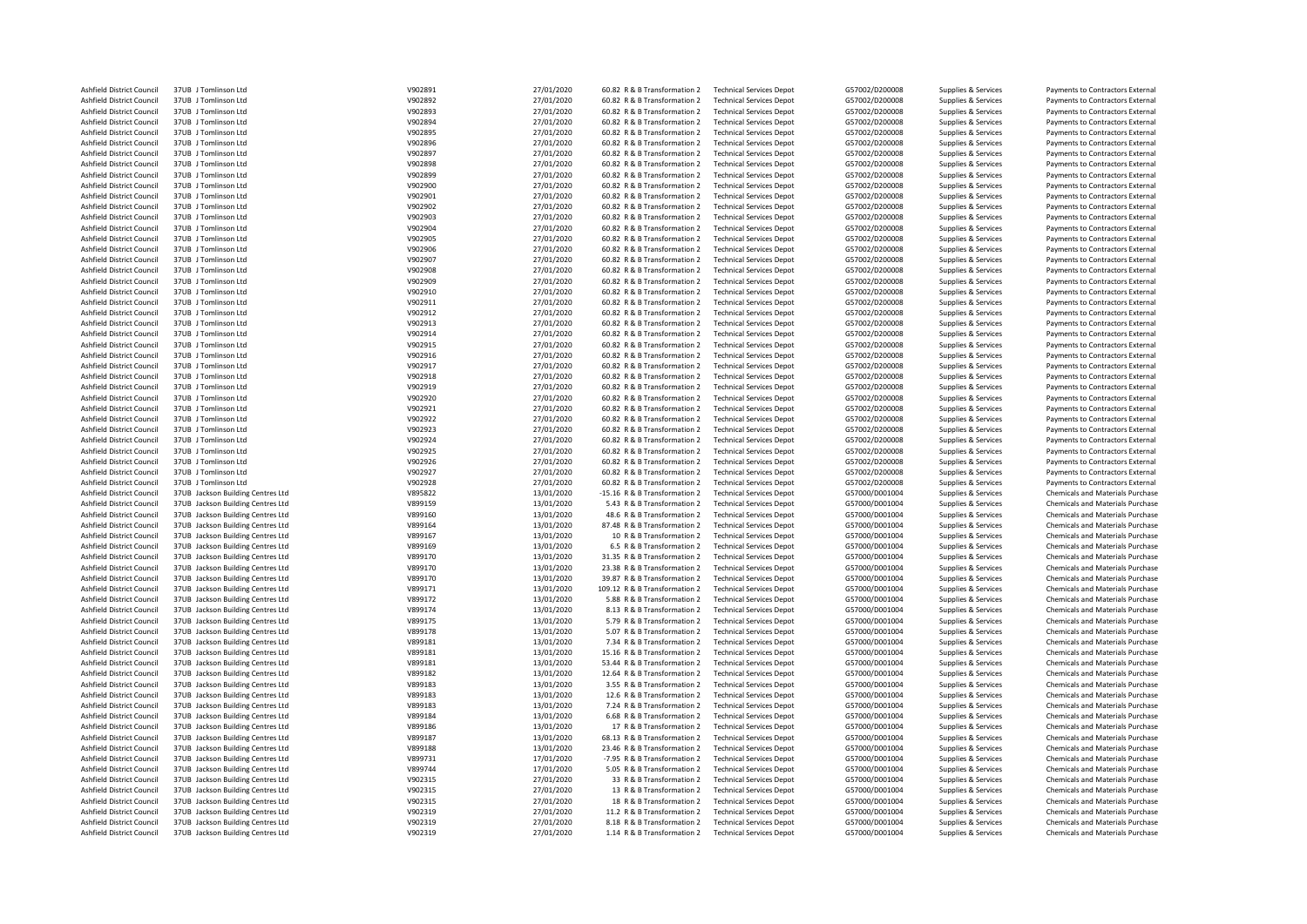| <b>Ashfield District Council</b>                       | 37UB J Tomlinson Ltd                                                   | V902891            | 27/01/2020               | 60.82 R & B Transformation 2                               | <b>Technical Services Depot</b>                                    | G57002/D200008                   | Supplies & Services                        | Payments to Contractors External                                     |
|--------------------------------------------------------|------------------------------------------------------------------------|--------------------|--------------------------|------------------------------------------------------------|--------------------------------------------------------------------|----------------------------------|--------------------------------------------|----------------------------------------------------------------------|
|                                                        |                                                                        |                    |                          |                                                            |                                                                    |                                  |                                            |                                                                      |
| <b>Ashfield District Council</b>                       | 37UB J Tomlinson Ltd                                                   | V902892            | 27/01/2020               | 60.82 R & B Transformation 2                               | <b>Technical Services Depot</b>                                    | G57002/D200008                   | Supplies & Services                        | Payments to Contractors External                                     |
| <b>Ashfield District Council</b>                       | 37UB J Tomlinson Ltd                                                   | V902893            | 27/01/2020               | 60.82 R & B Transformation 2                               | <b>Technical Services Depot</b>                                    | G57002/D200008                   | Supplies & Services                        | Payments to Contractors External                                     |
| Ashfield District Council                              | 37UB J Tomlinson Ltd                                                   | V902894            | 27/01/2020               | 60.82 R & B Transformation 2                               | <b>Technical Services Depot</b>                                    | G57002/D200008                   | Supplies & Services                        | Payments to Contractors External                                     |
| Ashfield District Council                              | 37UB J Tomlinson Ltd                                                   | V902895            | 27/01/2020               | 60.82 R & B Transformation 2                               | <b>Technical Services Depot</b>                                    | G57002/D200008                   | Supplies & Services                        | Payments to Contractors External                                     |
|                                                        |                                                                        |                    |                          |                                                            |                                                                    |                                  |                                            |                                                                      |
| Ashfield District Council                              | 37UB J Tomlinson Ltd                                                   | V902896            | 27/01/2020               | 60.82 R & B Transformation 2                               | <b>Technical Services Depot</b>                                    | G57002/D200008                   | Supplies & Services                        | Payments to Contractors External                                     |
| <b>Ashfield District Council</b>                       | 37UB J Tomlinson Ltd                                                   | V902897            | 27/01/2020               | 60.82 R & B Transformation 2                               | <b>Technical Services Depot</b>                                    | G57002/D200008                   | Supplies & Services                        | Payments to Contractors External                                     |
| Ashfield District Council                              | 37UB J Tomlinson Ltd                                                   | V902898            | 27/01/2020               | 60.82 R & B Transformation 2                               | <b>Technical Services Depot</b>                                    | G57002/D200008                   | Supplies & Services                        | Payments to Contractors External                                     |
|                                                        |                                                                        |                    |                          |                                                            |                                                                    |                                  |                                            |                                                                      |
| Ashfield District Council                              | 37UB J Tomlinson Ltd                                                   | V902899            | 27/01/2020               | 60.82 R & B Transformation 2                               | <b>Technical Services Depot</b>                                    | G57002/D200008                   | Supplies & Services                        | Payments to Contractors External                                     |
| <b>Ashfield District Council</b>                       | 37UB J Tomlinson Ltd                                                   | V902900            | 27/01/2020               | 60.82 R & B Transformation 2                               | <b>Technical Services Depot</b>                                    | G57002/D200008                   | Supplies & Services                        | Payments to Contractors External                                     |
| Ashfield District Council                              | 37UB J Tomlinson Ltd                                                   | V902901            | 27/01/2020               | 60.82 R & B Transformation 2                               | <b>Technical Services Depot</b>                                    | G57002/D200008                   | Supplies & Services                        | Payments to Contractors External                                     |
| Ashfield District Council                              | 37UB J Tomlinson Ltd                                                   | V902902            | 27/01/2020               | 60.82 R & B Transformation 2                               | <b>Technical Services Depot</b>                                    | G57002/D200008                   | Supplies & Services                        | Payments to Contractors External                                     |
|                                                        |                                                                        |                    |                          |                                                            |                                                                    |                                  |                                            |                                                                      |
| Ashfield District Council                              | 37UB J Tomlinson Ltd                                                   | V902903            | 27/01/2020               | 60.82 R & B Transformation 2                               | <b>Technical Services Depot</b>                                    | G57002/D200008                   | Supplies & Services                        | Payments to Contractors External                                     |
| Ashfield District Council                              | 37UB J Tomlinson Ltd                                                   | V902904            | 27/01/2020               | 60.82 R & B Transformation 2                               | <b>Technical Services Depot</b>                                    | G57002/D200008                   | Supplies & Services                        | Payments to Contractors External                                     |
| <b>Ashfield District Council</b>                       | 37UB J Tomlinson Ltd                                                   | V902905            | 27/01/2020               | 60.82 R & B Transformation 2                               | <b>Technical Services Depot</b>                                    | G57002/D200008                   | Supplies & Services                        | Payments to Contractors External                                     |
|                                                        |                                                                        |                    |                          |                                                            |                                                                    |                                  |                                            |                                                                      |
| Ashfield District Council                              | 37UB J Tomlinson Ltd                                                   | V902906            | 27/01/2020               | 60.82 R & B Transformation 2                               | <b>Technical Services Depot</b>                                    | G57002/D200008                   | Supplies & Services                        | Payments to Contractors External                                     |
| Ashfield District Council                              | 37UB J Tomlinson Ltd                                                   | V902907            | 27/01/2020               | 60.82 R & B Transformation 2                               | <b>Technical Services Depot</b>                                    | G57002/D200008                   | Supplies & Services                        | Payments to Contractors External                                     |
| Ashfield District Council                              | 37UB J Tomlinson Ltd                                                   | V902908            | 27/01/2020               | 60.82 R & B Transformation 2                               | <b>Technical Services Depot</b>                                    | G57002/D200008                   | Supplies & Services                        | Payments to Contractors External                                     |
|                                                        |                                                                        |                    |                          |                                                            |                                                                    |                                  |                                            |                                                                      |
| Ashfield District Council                              | 37UB J Tomlinson Ltd                                                   | V902909            | 27/01/2020               | 60.82 R & B Transformation 2                               | <b>Technical Services Depot</b>                                    | G57002/D200008                   | Supplies & Services                        | Payments to Contractors External                                     |
| Ashfield District Council                              | 37UB J Tomlinson Ltd                                                   | V902910            | 27/01/2020               | 60.82 R & B Transformation 2                               | <b>Technical Services Depot</b>                                    | G57002/D200008                   | Supplies & Services                        | Payments to Contractors External                                     |
| Ashfield District Council                              | 37UB J Tomlinson Ltd                                                   | V902911            | 27/01/2020               | 60.82 R & B Transformation 2                               | <b>Technical Services Depot</b>                                    | G57002/D200008                   | Supplies & Services                        | Payments to Contractors External                                     |
|                                                        | 37UB J Tomlinson Ltd                                                   |                    |                          |                                                            |                                                                    |                                  |                                            |                                                                      |
| Ashfield District Council                              |                                                                        | V902912            | 27/01/2020               | 60.82 R & B Transformation 2                               | <b>Technical Services Depot</b>                                    | G57002/D200008                   | Supplies & Services                        | Payments to Contractors External                                     |
| Ashfield District Council                              | 37UB J Tomlinson Ltd                                                   | V902913            | 27/01/2020               | 60.82 R & B Transformation 2                               | <b>Technical Services Depot</b>                                    | G57002/D200008                   | Supplies & Services                        | Payments to Contractors External                                     |
| Ashfield District Council                              | 37UB J Tomlinson Ltd                                                   | V902914            | 27/01/2020               | 60.82 R & B Transformation 2                               | <b>Technical Services Depot</b>                                    | G57002/D200008                   | Supplies & Services                        | Payments to Contractors External                                     |
| <b>Ashfield District Council</b>                       | 37UB J Tomlinson Ltd                                                   | V902915            |                          | 60.82 R & B Transformation 2                               | <b>Technical Services Depot</b>                                    | G57002/D200008                   |                                            | Payments to Contractors External                                     |
|                                                        |                                                                        |                    | 27/01/2020               |                                                            |                                                                    |                                  | Supplies & Services                        |                                                                      |
| <b>Ashfield District Council</b>                       | 37UB J Tomlinson Ltd                                                   | V902916            | 27/01/2020               | 60.82 R & B Transformation 2                               | <b>Technical Services Depot</b>                                    | G57002/D200008                   | Supplies & Services                        | Payments to Contractors External                                     |
| Ashfield District Council                              | 37UB J Tomlinson Ltd                                                   | V902917            | 27/01/2020               | 60.82 R & B Transformation 2                               | <b>Technical Services Depot</b>                                    | G57002/D200008                   | Supplies & Services                        | Payments to Contractors External                                     |
| Ashfield District Council                              | 37UB J Tomlinson Ltd                                                   | V902918            | 27/01/2020               | 60.82 R & B Transformation 2                               | <b>Technical Services Depot</b>                                    | G57002/D200008                   | Supplies & Services                        | Payments to Contractors External                                     |
|                                                        |                                                                        |                    |                          |                                                            |                                                                    |                                  |                                            |                                                                      |
| Ashfield District Council                              | 37UB J Tomlinson Ltd                                                   | V902919            | 27/01/2020               | 60.82 R & B Transformation 2                               | <b>Technical Services Depot</b>                                    | G57002/D200008                   | Supplies & Services                        | Payments to Contractors External                                     |
| Ashfield District Council                              | 37UB J Tomlinson Ltd                                                   | V902920            | 27/01/2020               | 60.82 R & B Transformation 2                               | <b>Technical Services Depot</b>                                    | G57002/D200008                   | Supplies & Services                        | Payments to Contractors External                                     |
| Ashfield District Council                              | 37UB J Tomlinson Ltd                                                   | V902921            | 27/01/2020               | 60.82 R & B Transformation 2                               | <b>Technical Services Depot</b>                                    | G57002/D200008                   | Supplies & Services                        | Payments to Contractors External                                     |
|                                                        |                                                                        |                    |                          |                                                            |                                                                    |                                  |                                            |                                                                      |
| Ashfield District Council                              | 37UB J Tomlinson Ltd                                                   | V902922            | 27/01/2020               | 60.82 R & B Transformation 2                               | <b>Technical Services Depot</b>                                    | G57002/D200008                   | Supplies & Services                        | Payments to Contractors External                                     |
| Ashfield District Council                              | 37UB J Tomlinson Ltd                                                   | V902923            | 27/01/2020               | 60.82 R & B Transformation 2                               | <b>Technical Services Depot</b>                                    | G57002/D200008                   | Supplies & Services                        | Payments to Contractors External                                     |
| <b>Ashfield District Council</b>                       | 37UB J Tomlinson Ltd                                                   | V902924            | 27/01/2020               | 60.82 R & B Transformation 2                               | <b>Technical Services Depot</b>                                    | G57002/D200008                   | Supplies & Services                        | Payments to Contractors External                                     |
| Ashfield District Council                              | 37UB J Tomlinson Ltd                                                   | V902925            | 27/01/2020               | 60.82 R & B Transformation 2                               | <b>Technical Services Depot</b>                                    | G57002/D200008                   | Supplies & Services                        | Payments to Contractors External                                     |
|                                                        |                                                                        |                    |                          |                                                            |                                                                    |                                  |                                            |                                                                      |
| Ashfield District Council                              | 37UB J Tomlinson Ltd                                                   | V902926            | 27/01/2020               | 60.82 R & B Transformation 2                               | <b>Technical Services Depot</b>                                    | G57002/D200008                   | Supplies & Services                        | Payments to Contractors External                                     |
| Ashfield District Council                              | 37UB J Tomlinson Ltd                                                   | V902927            | 27/01/2020               | 60.82 R & B Transformation 2                               | <b>Technical Services Depot</b>                                    | G57002/D200008                   | Supplies & Services                        | Payments to Contractors External                                     |
| Ashfield District Council                              | 37UB J Tomlinson Ltd                                                   | V902928            | 27/01/2020               | 60.82 R & B Transformation 2                               | <b>Technical Services Depot</b>                                    | G57002/D200008                   | Supplies & Services                        | Payments to Contractors External                                     |
|                                                        |                                                                        |                    |                          |                                                            |                                                                    |                                  |                                            |                                                                      |
| <b>Ashfield District Council</b>                       | 37UB Jackson Building Centres Ltd                                      | V895822            | 13/01/2020               | -15.16 R & B Transformation 2                              | <b>Technical Services Depot</b>                                    | G57000/D001004                   | Supplies & Services                        | Chemicals and Materials Purchase                                     |
| Ashfield District Council                              | 37UB Jackson Building Centres Ltd                                      | V899159            | 13/01/2020               | 5.43 R & B Transformation 2                                | <b>Technical Services Depot</b>                                    | G57000/D001004                   | Supplies & Services                        | <b>Chemicals and Materials Purchase</b>                              |
| Ashfield District Council                              | 37UB Jackson Building Centres Ltd                                      | V899160            | 13/01/2020               | 48.6 R & B Transformation 2                                | <b>Technical Services Depot</b>                                    | G57000/D001004                   | Supplies & Services                        | Chemicals and Materials Purchase                                     |
|                                                        |                                                                        |                    |                          |                                                            |                                                                    |                                  |                                            |                                                                      |
| Ashfield District Council                              | 37UB Jackson Building Centres Ltd                                      | V899164            | 13/01/2020               | 87.48 R & B Transformation 2                               | <b>Technical Services Depot</b>                                    | G57000/D001004                   | Supplies & Services                        | Chemicals and Materials Purchase                                     |
| Ashfield District Council                              | 37UB Jackson Building Centres Ltd                                      | V899167            | 13/01/2020               | 10 R & B Transformation 2                                  | <b>Technical Services Depot</b>                                    | G57000/D001004                   | Supplies & Services                        | Chemicals and Materials Purchase                                     |
| <b>Ashfield District Council</b>                       | 37UB Jackson Building Centres Ltd                                      | V899169            | 13/01/2020               | 6.5 R & B Transformation 2                                 | <b>Technical Services Depot</b>                                    | G57000/D001004                   | Supplies & Services                        | Chemicals and Materials Purchase                                     |
|                                                        |                                                                        |                    | 13/01/2020               |                                                            |                                                                    |                                  |                                            |                                                                      |
| Ashfield District Council                              | 37UB Jackson Building Centres Ltd                                      | V899170            |                          | 31.35 R & B Transformation 2                               | <b>Technical Services Depot</b>                                    | G57000/D001004                   | Supplies & Services                        | Chemicals and Materials Purchase                                     |
| Ashfield District Council                              | 37UB Jackson Building Centres Ltd                                      | V899170            | 13/01/2020               | 23.38 R & B Transformation 2                               | <b>Technical Services Depot</b>                                    | G57000/D001004                   | Supplies & Services                        | Chemicals and Materials Purchase                                     |
| <b>Ashfield District Council</b>                       | 37UB Jackson Building Centres Ltd                                      | V899170            | 13/01/2020               | 39.87 R & B Transformation 2                               | <b>Technical Services Depot</b>                                    | G57000/D001004                   | Supplies & Services                        | Chemicals and Materials Purchase                                     |
| Ashfield District Council                              | 37UB Jackson Building Centres Ltd                                      | V899171            | 13/01/2020               | 109.12 R & B Transformation 2                              | <b>Technical Services Depot</b>                                    | G57000/D001004                   | Supplies & Services                        | Chemicals and Materials Purchase                                     |
|                                                        |                                                                        |                    |                          |                                                            |                                                                    |                                  |                                            |                                                                      |
| <b>Ashfield District Council</b>                       | 37UB Jackson Building Centres Ltd                                      | V899172            | 13/01/2020               | 5.88 R & B Transformation 2                                | <b>Technical Services Depot</b>                                    | G57000/D001004                   | Supplies & Services                        | <b>Chemicals and Materials Purchase</b>                              |
| Ashfield District Council                              | 37UB Jackson Building Centres Ltd                                      | V899174            | 13/01/2020               | 8.13 R & B Transformation 2                                | <b>Technical Services Depot</b>                                    | G57000/D001004                   | Supplies & Services                        | <b>Chemicals and Materials Purchase</b>                              |
| Ashfield District Council                              | 37UB Jackson Building Centres Ltd                                      | V899175            | 13/01/2020               | 5.79 R & B Transformation 2                                | <b>Technical Services Depot</b>                                    | G57000/D001004                   | Supplies & Services                        | Chemicals and Materials Purchase                                     |
| Ashfield District Council                              | 37UB Jackson Building Centres Ltd                                      | V899178            | 13/01/2020               | 5.07 R & B Transformation 2                                | <b>Technical Services Depot</b>                                    | G57000/D001004                   | Supplies & Services                        | <b>Chemicals and Materials Purchase</b>                              |
|                                                        |                                                                        |                    |                          |                                                            |                                                                    |                                  |                                            |                                                                      |
| Ashfield District Council                              | 37UB Jackson Building Centres Ltd                                      | V899181            | 13/01/2020               | 7.34 R & B Transformation 2                                | <b>Technical Services Depot</b>                                    | G57000/D001004                   | Supplies & Services                        | Chemicals and Materials Purchase                                     |
| Ashfield District Council                              | 37UB Jackson Building Centres Ltd                                      | V899181            | 13/01/2020               | 15.16 R & B Transformation 2                               | <b>Technical Services Depot</b>                                    | G57000/D001004                   | Supplies & Services                        | <b>Chemicals and Materials Purchase</b>                              |
| Ashfield District Council                              | 37UB Jackson Building Centres Ltd                                      | V899181            | 13/01/2020               | 53.44 R & B Transformation 2                               | <b>Technical Services Depot</b>                                    | G57000/D001004                   | Supplies & Services                        | Chemicals and Materials Purchase                                     |
|                                                        |                                                                        |                    |                          |                                                            |                                                                    |                                  |                                            |                                                                      |
| Ashfield District Council                              | 37UB Jackson Building Centres Ltd                                      | V899182            | 13/01/2020               | 12.64 R & B Transformation 2                               | <b>Technical Services Depot</b>                                    | G57000/D001004                   | Supplies & Services                        | Chemicals and Materials Purchase                                     |
| Ashfield District Council                              | 37UB Jackson Building Centres Ltd                                      | V899183            | 13/01/2020               | 3.55 R & B Transformation 2                                | <b>Technical Services Depot</b>                                    | G57000/D001004                   | Supplies & Services                        | Chemicals and Materials Purchase                                     |
| Ashfield District Council                              | 37UB Jackson Building Centres Ltd                                      | V899183            | 13/01/2020               | 12.6 R & B Transformation 2                                | <b>Technical Services Depot</b>                                    | G57000/D001004                   | Supplies & Services                        | <b>Chemicals and Materials Purchase</b>                              |
|                                                        |                                                                        |                    |                          |                                                            |                                                                    |                                  |                                            | <b>Chemicals and Materials Purchase</b>                              |
| Ashfield District Council                              | 37UB Jackson Building Centres Ltd                                      | V899183            | 13/01/2020               | 7.24 R & B Transformation 2                                | <b>Technical Services Depot</b>                                    | G57000/D001004                   | Supplies & Services                        |                                                                      |
| Ashfield District Council                              | 37UB Jackson Building Centres Ltd                                      | V899184            | 13/01/2020               | 6.68 R & B Transformation 2                                | <b>Technical Services Depot</b>                                    | G57000/D001004                   | Supplies & Services                        | <b>Chemicals and Materials Purchase</b>                              |
| Ashfield District Council                              | 37UB Jackson Building Centres Ltd                                      | V899186            | 13/01/2020               | 17 R & B Transformation 2                                  | <b>Technical Services Depot</b>                                    | G57000/D001004                   | Supplies & Services                        | Chemicals and Materials Purchase                                     |
| <b>Ashfield District Council</b>                       | 37UB Jackson Building Centres Ltd                                      | V899187            | 13/01/2020               | 68.13 R & B Transformation 2                               | <b>Technical Services Depot</b>                                    | G57000/D001004                   | Supplies & Services                        | Chemicals and Materials Purchase                                     |
|                                                        |                                                                        |                    |                          |                                                            |                                                                    |                                  |                                            |                                                                      |
| <b>Ashfield District Council</b>                       | 37UB Jackson Building Centres Ltd                                      | V899188            | 13/01/2020               | 23.46 R & B Transformation 2                               | <b>Technical Services Depot</b>                                    | G57000/D001004                   | Supplies & Services                        | Chemicals and Materials Purchase                                     |
| Ashfield District Council                              | 37UB Jackson Building Centres Ltd                                      | V899731            | 17/01/2020               | -7.95 R & B Transformation 2                               | <b>Technical Services Depot</b>                                    | G57000/D001004                   | Supplies & Services                        | Chemicals and Materials Purchase                                     |
| Ashfield District Council                              | 37UB Jackson Building Centres Ltd                                      | V899744            | 17/01/2020               | 5.05 R & B Transformation 2                                | <b>Technical Services Depot</b>                                    | G57000/D001004                   | Supplies & Services                        | Chemicals and Materials Purchase                                     |
|                                                        |                                                                        |                    |                          |                                                            |                                                                    |                                  |                                            |                                                                      |
| Ashfield District Council                              | 37UB Jackson Building Centres Ltd                                      | V902315            | 27/01/2020               | 33 R & B Transformation 2                                  | <b>Technical Services Depot</b>                                    | G57000/D001004                   | Supplies & Services                        | Chemicals and Materials Purchase                                     |
| <b>Ashfield District Council</b>                       | 37UB Jackson Building Centres Ltd                                      | V902315            | 27/01/2020               | 13 R & B Transformation 2                                  | <b>Technical Services Depot</b>                                    | G57000/D001004                   | Supplies & Services                        | Chemicals and Materials Purchase                                     |
| <b>Ashfield District Council</b>                       | 37UB Jackson Building Centres Ltd                                      | V902315            | 27/01/2020               | 18 R & B Transformation 2                                  | <b>Technical Services Depot</b>                                    | G57000/D001004                   | Supplies & Services                        | Chemicals and Materials Purchase                                     |
| Ashfield District Council                              |                                                                        |                    |                          |                                                            |                                                                    |                                  |                                            |                                                                      |
|                                                        |                                                                        |                    |                          |                                                            |                                                                    |                                  |                                            |                                                                      |
|                                                        | 37UB Jackson Building Centres Ltd                                      | V902319            | 27/01/2020               | 11.2 R & B Transformation 2                                | <b>Technical Services Depot</b>                                    | G57000/D001004                   | Supplies & Services                        | <b>Chemicals and Materials Purchase</b>                              |
| Ashfield District Council<br>Ashfield District Council | 37UB Jackson Building Centres Ltd<br>37UB Jackson Building Centres Ltd | V902319<br>V902319 | 27/01/2020<br>27/01/2020 | 8.18 R & B Transformation 2<br>1.14 R & B Transformation 2 | <b>Technical Services Depot</b><br><b>Technical Services Depot</b> | G57000/D001004<br>G57000/D001004 | Supplies & Services<br>Supplies & Services | Chemicals and Materials Purchase<br>Chemicals and Materials Purchase |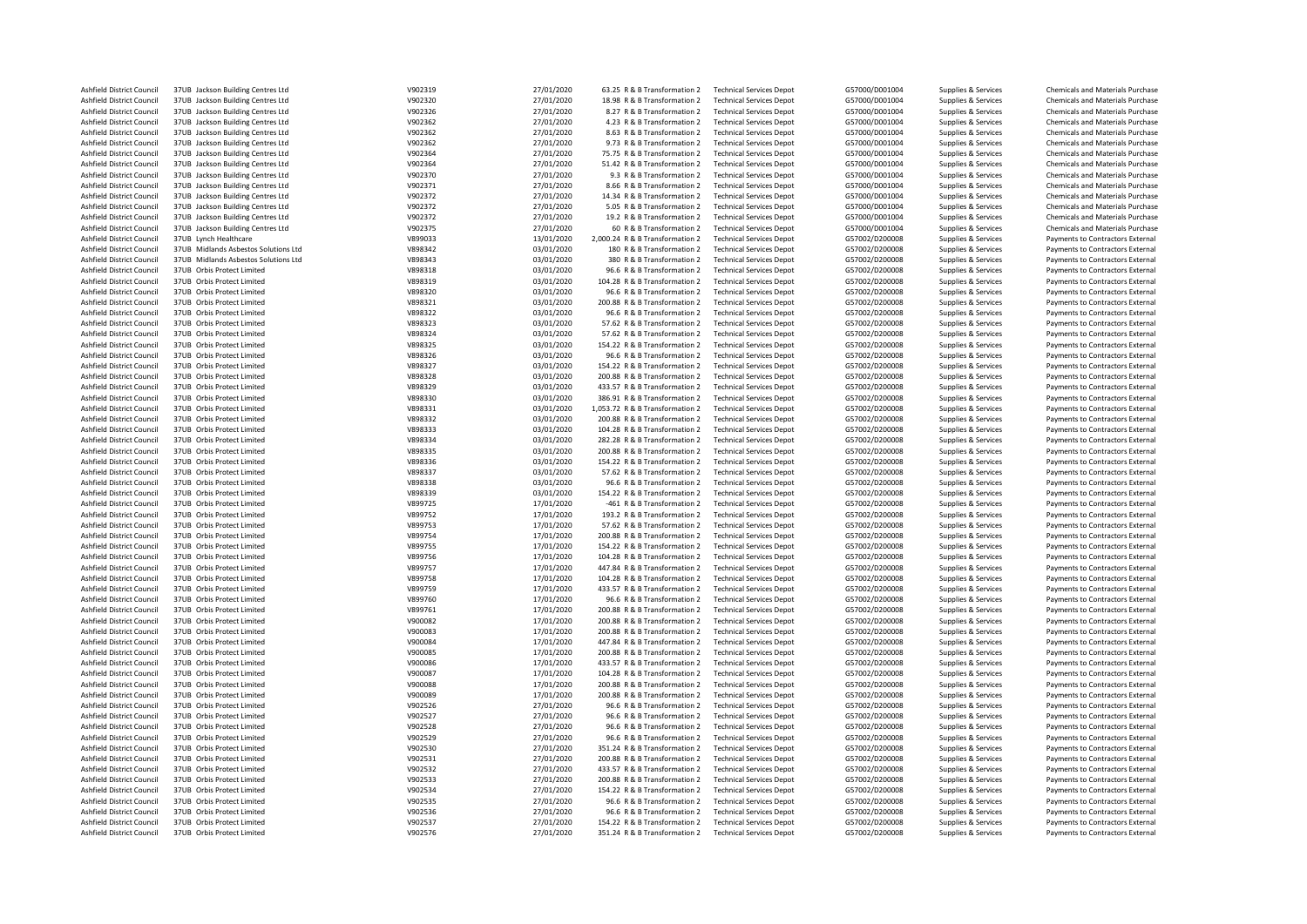| <b>Ashfield District Council</b>                       | 37UB Jackson Building Centres Ltd                        | V902319            | 27/01/2020               | 63.25 R & B Transformation 2                                   | <b>Technical Services Depot</b>                                    | G57000/D001004                   | Supplies & Services                        | Chemicals and Materials Purchase                                     |
|--------------------------------------------------------|----------------------------------------------------------|--------------------|--------------------------|----------------------------------------------------------------|--------------------------------------------------------------------|----------------------------------|--------------------------------------------|----------------------------------------------------------------------|
| <b>Ashfield District Council</b>                       | 37UB Jackson Building Centres Ltd                        | V902320            | 27/01/2020               | 18.98 R & B Transformation 2                                   | <b>Technical Services Depot</b>                                    | G57000/D001004                   | Supplies & Services                        | Chemicals and Materials Purchase                                     |
| <b>Ashfield District Council</b>                       | 37UB Jackson Building Centres Ltd                        | V902326            | 27/01/2020               | 8.27 R & B Transformation 2                                    | <b>Technical Services Depot</b>                                    | G57000/D001004                   | Supplies & Services                        | Chemicals and Materials Purchase                                     |
| Ashfield District Council                              | 37UB Jackson Building Centres Ltd                        | V902362            | 27/01/2020               | 4.23 R & B Transformation 2                                    | <b>Technical Services Depot</b>                                    | G57000/D001004                   | Supplies & Services                        | <b>Chemicals and Materials Purchase</b>                              |
| Ashfield District Council                              | 37UB Jackson Building Centres Ltd                        | V902362            | 27/01/2020               | 8.63 R & B Transformation 2                                    | <b>Technical Services Depot</b>                                    | G57000/D001004                   | Supplies & Services                        | Chemicals and Materials Purchase                                     |
|                                                        |                                                          |                    |                          |                                                                |                                                                    |                                  |                                            |                                                                      |
| Ashfield District Council                              | 37UB Jackson Building Centres Ltd                        | V902362            | 27/01/2020               | 9.73 R & B Transformation 2                                    | <b>Technical Services Depot</b>                                    | G57000/D001004                   | Supplies & Services                        | <b>Chemicals and Materials Purchase</b>                              |
| <b>Ashfield District Council</b>                       | 37UB Jackson Building Centres Ltd                        | V902364            | 27/01/2020               | 75.75 R & B Transformation 2                                   | <b>Technical Services Depot</b>                                    | G57000/D001004                   | Supplies & Services                        | Chemicals and Materials Purchase                                     |
| Ashfield District Council                              | 37UB Jackson Building Centres Ltd                        | V902364            | 27/01/2020               | 51.42 R & B Transformation 2                                   | <b>Technical Services Depot</b>                                    | G57000/D001004                   | Supplies & Services                        | <b>Chemicals and Materials Purchase</b>                              |
| Ashfield District Council                              | 37UB Jackson Building Centres Ltd                        | V902370            | 27/01/2020               | 9.3 R & B Transformation 2                                     | <b>Technical Services Depot</b>                                    | G57000/D001004                   | Supplies & Services                        | Chemicals and Materials Purchase                                     |
| <b>Ashfield District Council</b>                       | 37UB Jackson Building Centres Ltd                        | V902371            | 27/01/2020               | 8.66 R & B Transformation 2                                    | <b>Technical Services Depot</b>                                    | G57000/D001004                   | Supplies & Services                        | Chemicals and Materials Purchase                                     |
| Ashfield District Council                              | 37UB Jackson Building Centres Ltd                        | V902372            | 27/01/2020               | 14.34 R & B Transformation 2                                   | <b>Technical Services Depot</b>                                    | G57000/D001004                   | Supplies & Services                        | Chemicals and Materials Purchase                                     |
| Ashfield District Council                              | 37UB Jackson Building Centres Ltd                        | V902372            | 27/01/2020               | 5.05 R & B Transformation 2                                    | <b>Technical Services Depot</b>                                    | G57000/D001004                   | Supplies & Services                        | Chemicals and Materials Purchase                                     |
|                                                        |                                                          |                    |                          |                                                                |                                                                    |                                  |                                            |                                                                      |
| Ashfield District Council                              | 37UB Jackson Building Centres Ltd                        | V902372            | 27/01/2020               | 19.2 R & B Transformation 2                                    | <b>Technical Services Depot</b>                                    | G57000/D001004                   | Supplies & Services                        | <b>Chemicals and Materials Purchase</b>                              |
| Ashfield District Council                              | 37UB Jackson Building Centres Ltd                        | V902375            | 27/01/2020               | 60 R & B Transformation 2                                      | <b>Technical Services Depot</b>                                    | G57000/D001004                   | Supplies & Services                        | Chemicals and Materials Purchase                                     |
| <b>Ashfield District Council</b>                       | 37UB Lynch Healthcare                                    | V899033            | 13/01/2020               | 2,000.24 R & B Transformation 2                                | <b>Technical Services Depot</b>                                    | G57002/D200008                   | Supplies & Services                        | Payments to Contractors External                                     |
| Ashfield District Council                              | 37UB Midlands Asbestos Solutions Ltd                     | V898342            | 03/01/2020               | 180 R & B Transformation 2                                     | <b>Technical Services Depot</b>                                    | G57002/D200008                   | Supplies & Services                        | Payments to Contractors External                                     |
| <b>Ashfield District Council</b>                       | 37UB Midlands Asbestos Solutions Ltd                     | V898343            | 03/01/2020               | 380 R & B Transformation 2                                     | <b>Technical Services Depot</b>                                    | G57002/D200008                   | Supplies & Services                        | Payments to Contractors External                                     |
| Ashfield District Council                              | 37UB Orbis Protect Limited                               | V898318            | 03/01/2020               | 96.6 R & B Transformation 2                                    | <b>Technical Services Depot</b>                                    | G57002/D200008                   | Supplies & Services                        | Payments to Contractors External                                     |
|                                                        |                                                          |                    |                          |                                                                |                                                                    |                                  |                                            |                                                                      |
| Ashfield District Council                              | 37UB Orbis Protect Limited                               | V898319            | 03/01/2020               | 104.28 R & B Transformation 2                                  | <b>Technical Services Depot</b>                                    | G57002/D200008                   | Supplies & Services                        | Payments to Contractors External                                     |
| Ashfield District Council                              | 37UB Orbis Protect Limited                               | V898320            | 03/01/2020               | 96.6 R & B Transformation 2                                    | <b>Technical Services Depot</b>                                    | G57002/D200008                   | Supplies & Services                        | Payments to Contractors External                                     |
| Ashfield District Council                              | 37UB Orbis Protect Limited                               | V898321            | 03/01/2020               | 200.88 R & B Transformation 2                                  | <b>Technical Services Depot</b>                                    | G57002/D200008                   | Supplies & Services                        | Payments to Contractors External                                     |
| Ashfield District Council                              | 37UB Orbis Protect Limited                               | V898322            | 03/01/2020               | 96.6 R & B Transformation 2                                    | <b>Technical Services Depot</b>                                    | G57002/D200008                   | Supplies & Services                        | Payments to Contractors External                                     |
| Ashfield District Council                              | 37UB Orbis Protect Limited                               | V898323            | 03/01/2020               | 57.62 R & B Transformation 2                                   | <b>Technical Services Depot</b>                                    | G57002/D200008                   | Supplies & Services                        | Payments to Contractors External                                     |
| Ashfield District Council                              | 37UB Orbis Protect Limited                               | V898324            | 03/01/2020               | 57.62 R & B Transformation 2                                   | <b>Technical Services Depot</b>                                    | G57002/D200008                   | Supplies & Services                        | Payments to Contractors External                                     |
|                                                        |                                                          |                    |                          |                                                                |                                                                    |                                  |                                            |                                                                      |
| <b>Ashfield District Council</b>                       | 37UB Orbis Protect Limited                               | V898325            | 03/01/2020               | 154.22 R & B Transformation 2                                  | <b>Technical Services Depot</b>                                    | G57002/D200008                   | Supplies & Services                        | Payments to Contractors External                                     |
| <b>Ashfield District Council</b>                       | 37UB Orbis Protect Limited                               | V898326            | 03/01/2020               | 96.6 R & B Transformation 2                                    | <b>Technical Services Depot</b>                                    | G57002/D200008                   | Supplies & Services                        | Payments to Contractors External                                     |
| Ashfield District Council                              | 37UB Orbis Protect Limited                               | V898327            | 03/01/2020               | 154.22 R & B Transformation 2                                  | <b>Technical Services Depot</b>                                    | G57002/D200008                   | Supplies & Services                        | Payments to Contractors External                                     |
| Ashfield District Council                              | 37UB Orbis Protect Limited                               | V898328            | 03/01/2020               | 200.88 R & B Transformation 2                                  | <b>Technical Services Depot</b>                                    | G57002/D200008                   | Supplies & Services                        | Payments to Contractors External                                     |
| Ashfield District Council                              | 37UB Orbis Protect Limited                               | V898329            | 03/01/2020               | 433.57 R & B Transformation 2                                  | <b>Technical Services Depot</b>                                    | G57002/D200008                   | Supplies & Services                        | Payments to Contractors External                                     |
| Ashfield District Council                              | 37UB Orbis Protect Limited                               | V898330            | 03/01/2020               | 386.91 R & B Transformation 2                                  | <b>Technical Services Depot</b>                                    | G57002/D200008                   | Supplies & Services                        | Payments to Contractors External                                     |
|                                                        |                                                          | V898331            |                          |                                                                |                                                                    | G57002/D200008                   |                                            |                                                                      |
| Ashfield District Council                              | 37UB Orbis Protect Limited                               |                    | 03/01/2020               | 1,053.72 R & B Transformation 2                                | <b>Technical Services Depot</b>                                    |                                  | Supplies & Services                        | Payments to Contractors External                                     |
| Ashfield District Council                              | 37UB Orbis Protect Limited                               | V898332            | 03/01/2020               | 200.88 R & B Transformation 2                                  | <b>Technical Services Depot</b>                                    | G57002/D200008                   | Supplies & Services                        | Payments to Contractors External                                     |
| Ashfield District Council                              | 37UB Orbis Protect Limited                               | V898333            | 03/01/2020               | 104.28 R & B Transformation 2                                  | <b>Technical Services Depot</b>                                    | G57002/D200008                   | Supplies & Services                        | Payments to Contractors External                                     |
| <b>Ashfield District Council</b>                       | 37UB Orbis Protect Limited                               | V898334            | 03/01/2020               | 282.28 R & B Transformation 2                                  | <b>Technical Services Depot</b>                                    | G57002/D200008                   | Supplies & Services                        | Payments to Contractors External                                     |
| Ashfield District Council                              | 37UB Orbis Protect Limited                               | V898335            | 03/01/2020               | 200.88 R & B Transformation 2                                  | <b>Technical Services Depot</b>                                    | G57002/D200008                   | Supplies & Services                        | Payments to Contractors External                                     |
| Ashfield District Council                              | 37UB Orbis Protect Limited                               | V898336            | 03/01/2020               | 154.22 R & B Transformation 2                                  | <b>Technical Services Depot</b>                                    | G57002/D200008                   | Supplies & Services                        | Payments to Contractors External                                     |
|                                                        |                                                          |                    |                          |                                                                |                                                                    |                                  |                                            |                                                                      |
| Ashfield District Council                              | 37UB Orbis Protect Limited                               | V898337            | 03/01/2020               | 57.62 R & B Transformation 2                                   | <b>Technical Services Depot</b>                                    | G57002/D200008                   | Supplies & Services                        | Payments to Contractors External                                     |
| Ashfield District Council                              | 37UB Orbis Protect Limited                               | V898338            | 03/01/2020               | 96.6 R & B Transformation 2                                    | <b>Technical Services Depot</b>                                    | G57002/D200008                   | Supplies & Services                        | Payments to Contractors External                                     |
| <b>Ashfield District Council</b>                       | 37UB Orbis Protect Limited                               | V898339            | 03/01/2020               | 154.22 R & B Transformation 2                                  | <b>Technical Services Depot</b>                                    | G57002/D200008                   | Supplies & Services                        | Payments to Contractors External                                     |
| Ashfield District Council                              | 37UB Orbis Protect Limited                               | V899725            | 17/01/2020               | -461 R & B Transformation 2                                    | <b>Technical Services Depot</b>                                    | G57002/D200008                   | Supplies & Services                        | Payments to Contractors External                                     |
| Ashfield District Council                              | 37UB Orbis Protect Limited                               | V899752            | 17/01/2020               | 193.2 R & B Transformation 2                                   | <b>Technical Services Depot</b>                                    | G57002/D200008                   | Supplies & Services                        | Payments to Contractors External                                     |
| Ashfield District Council                              | 37UB Orbis Protect Limited                               | V899753            | 17/01/2020               | 57.62 R & B Transformation 2                                   | <b>Technical Services Depot</b>                                    | G57002/D200008                   | Supplies & Services                        | Payments to Contractors External                                     |
|                                                        |                                                          |                    |                          |                                                                |                                                                    |                                  |                                            |                                                                      |
| Ashfield District Council                              | 37UB Orbis Protect Limited                               | V899754            | 17/01/2020               | 200.88 R & B Transformation 2                                  | <b>Technical Services Depot</b>                                    | G57002/D200008                   | Supplies & Services                        | Payments to Contractors External                                     |
| <b>Ashfield District Council</b>                       | 37UB Orbis Protect Limited                               | V899755            | 17/01/2020               | 154.22 R & B Transformation 2                                  | <b>Technical Services Depot</b>                                    | G57002/D200008                   | Supplies & Services                        | Payments to Contractors External                                     |
| Ashfield District Council                              | 37UB Orbis Protect Limited                               | V899756            | 17/01/2020               | 104.28 R & B Transformation 2                                  | <b>Technical Services Depot</b>                                    | G57002/D200008                   | Supplies & Services                        | Payments to Contractors External                                     |
| Ashfield District Council                              | 37UB Orbis Protect Limited                               | V899757            | 17/01/2020               | 447.84 R & B Transformation 2                                  | <b>Technical Services Depot</b>                                    | G57002/D200008                   | Supplies & Services                        | Payments to Contractors External                                     |
| <b>Ashfield District Council</b>                       | 37UB Orbis Protect Limited                               | V899758            | 17/01/2020               | 104.28 R & B Transformation 2                                  | <b>Technical Services Depot</b>                                    | G57002/D200008                   | Supplies & Services                        | Payments to Contractors External                                     |
| Ashfield District Council                              | 37UB Orbis Protect Limited                               | V899759            | 17/01/2020               | 433.57 R & B Transformation 2                                  | <b>Technical Services Depot</b>                                    | G57002/D200008                   | Supplies & Services                        | Payments to Contractors External                                     |
| <b>Ashfield District Council</b>                       | 37UB Orbis Protect Limited                               | V899760            | 17/01/2020               | 96.6 R & B Transformation 2                                    | <b>Technical Services Depot</b>                                    | G57002/D200008                   |                                            |                                                                      |
|                                                        |                                                          |                    |                          |                                                                |                                                                    |                                  | Supplies & Services                        | Payments to Contractors External                                     |
| Ashfield District Council                              | 37UB Orbis Protect Limited                               | V899761            | 17/01/2020               | 200.88 R & B Transformation 2                                  | <b>Technical Services Depot</b>                                    | G57002/D200008                   | Supplies & Services                        | Payments to Contractors External                                     |
| Ashfield District Council                              | 37UB Orbis Protect Limited                               | V900082            | 17/01/2020               | 200.88 R & B Transformation 2                                  | <b>Technical Services Depot</b>                                    | G57002/D200008                   | Supplies & Services                        | Payments to Contractors External                                     |
| Ashfield District Council                              | 37UB Orbis Protect Limited                               | V900083            | 17/01/2020               | 200.88 R & B Transformation 2                                  | <b>Technical Services Depot</b>                                    | G57002/D200008                   | Supplies & Services                        | Payments to Contractors External                                     |
| Ashfield District Council                              | 37UB Orbis Protect Limited                               | V900084            | 17/01/2020               | 447.84 R & B Transformation 2                                  | <b>Technical Services Depot</b>                                    | G57002/D200008                   | Supplies & Services                        | Payments to Contractors External                                     |
| <b>Ashfield District Council</b>                       | 37UB Orbis Protect Limited                               | V900085            | 17/01/2020               | 200.88 R & B Transformation 2                                  | <b>Technical Services Depot</b>                                    | G57002/D200008                   | Supplies & Services                        | Payments to Contractors External                                     |
| Ashfield District Council                              | 37UB Orbis Protect Limited                               | V900086            | 17/01/2020               | 433.57 R & B Transformation 2                                  | <b>Technical Services Depot</b>                                    | G57002/D200008                   | Supplies & Services                        | Payments to Contractors External                                     |
|                                                        |                                                          |                    |                          |                                                                |                                                                    |                                  |                                            |                                                                      |
| Ashfield District Council                              | 37UB Orbis Protect Limited                               | V900087            | 17/01/2020               | 104.28 R & B Transformation 2                                  | <b>Technical Services Depot</b>                                    | G57002/D200008                   | Supplies & Services                        | Payments to Contractors External                                     |
| Ashfield District Council                              | 37UB Orbis Protect Limited                               | V900088            | 17/01/2020               | 200.88 R & B Transformation 2                                  | <b>Technical Services Depot</b>                                    | G57002/D200008                   | Supplies & Services                        | Payments to Contractors External                                     |
| <b>Ashfield District Council</b>                       | 37UB Orbis Protect Limited                               | V900089            | 17/01/2020               | 200.88 R & B Transformation 2                                  | <b>Technical Services Depot</b>                                    | G57002/D200008                   | Supplies & Services                        | Payments to Contractors External                                     |
| Ashfield District Council                              | 37UB Orbis Protect Limited                               | V902526            | 27/01/2020               | 96.6 R & B Transformation 2                                    | <b>Technical Services Depot</b>                                    | G57002/D200008                   | Supplies & Services                        | Payments to Contractors External                                     |
| Ashfield District Council                              | 37UB Orbis Protect Limited                               | V902527            | 27/01/2020               | 96.6 R & B Transformation 2                                    | <b>Technical Services Depot</b>                                    | G57002/D200008                   | Supplies & Services                        | Payments to Contractors External                                     |
| Ashfield District Council                              | 37UB Orbis Protect Limited                               | V902528            | 27/01/2020               | 96.6 R & B Transformation 2                                    | <b>Technical Services Depot</b>                                    | G57002/D200008                   | Supplies & Services                        | Payments to Contractors External                                     |
|                                                        |                                                          |                    |                          |                                                                |                                                                    |                                  |                                            |                                                                      |
| <b>Ashfield District Council</b>                       | 37UB Orbis Protect Limited                               | V902529            | 27/01/2020               | 96.6 R & B Transformation 2                                    | <b>Technical Services Depot</b>                                    | G57002/D200008                   | Supplies & Services                        | Payments to Contractors External                                     |
| <b>Ashfield District Council</b>                       | 37UB Orbis Protect Limited                               | V902530            | 27/01/2020               | 351.24 R & B Transformation 2                                  | <b>Technical Services Depot</b>                                    | G57002/D200008                   | Supplies & Services                        | Payments to Contractors External                                     |
| Ashfield District Council                              | 37UB Orbis Protect Limited                               | V902531            | 27/01/2020               | 200.88 R & B Transformation 2                                  | <b>Technical Services Depot</b>                                    | G57002/D200008                   | Supplies & Services                        | Payments to Contractors External                                     |
| Ashfield District Council                              | 37UB Orbis Protect Limited                               | V902532            | 27/01/2020               | 433.57 R & B Transformation 2                                  | <b>Technical Services Depot</b>                                    | G57002/D200008                   | Supplies & Services                        | Payments to Contractors External                                     |
| Ashfield District Council                              | 37UB Orbis Protect Limited                               | V902533            | 27/01/2020               | 200.88 R & B Transformation 2                                  | <b>Technical Services Depot</b>                                    | G57002/D200008                   | Supplies & Services                        | Payments to Contractors External                                     |
| Ashfield District Council                              | 37UB Orbis Protect Limited                               | V902534            | 27/01/2020               | 154.22 R & B Transformation 2                                  | <b>Technical Services Depot</b>                                    | G57002/D200008                   | Supplies & Services                        | Payments to Contractors External                                     |
| <b>Ashfield District Council</b>                       | 37UB Orbis Protect Limited                               | V902535            | 27/01/2020               | 96.6 R & B Transformation 2                                    | <b>Technical Services Depot</b>                                    | G57002/D200008                   |                                            |                                                                      |
|                                                        |                                                          |                    |                          |                                                                |                                                                    |                                  | Supplies & Services                        | Payments to Contractors External                                     |
| Ashfield District Council                              | 37UB Orbis Protect Limited                               | V902536            | 27/01/2020               | 96.6 R & B Transformation 2                                    | <b>Technical Services Depot</b>                                    | G57002/D200008                   | Supplies & Services                        | Payments to Contractors External                                     |
|                                                        |                                                          |                    |                          |                                                                |                                                                    |                                  |                                            |                                                                      |
| Ashfield District Council<br>Ashfield District Council | 37UB Orbis Protect Limited<br>37UB Orbis Protect Limited | V902537<br>V902576 | 27/01/2020<br>27/01/2020 | 154.22 R & B Transformation 2<br>351.24 R & B Transformation 2 | <b>Technical Services Depot</b><br><b>Technical Services Depot</b> | G57002/D200008<br>G57002/D200008 | Supplies & Services<br>Supplies & Services | Payments to Contractors External<br>Payments to Contractors External |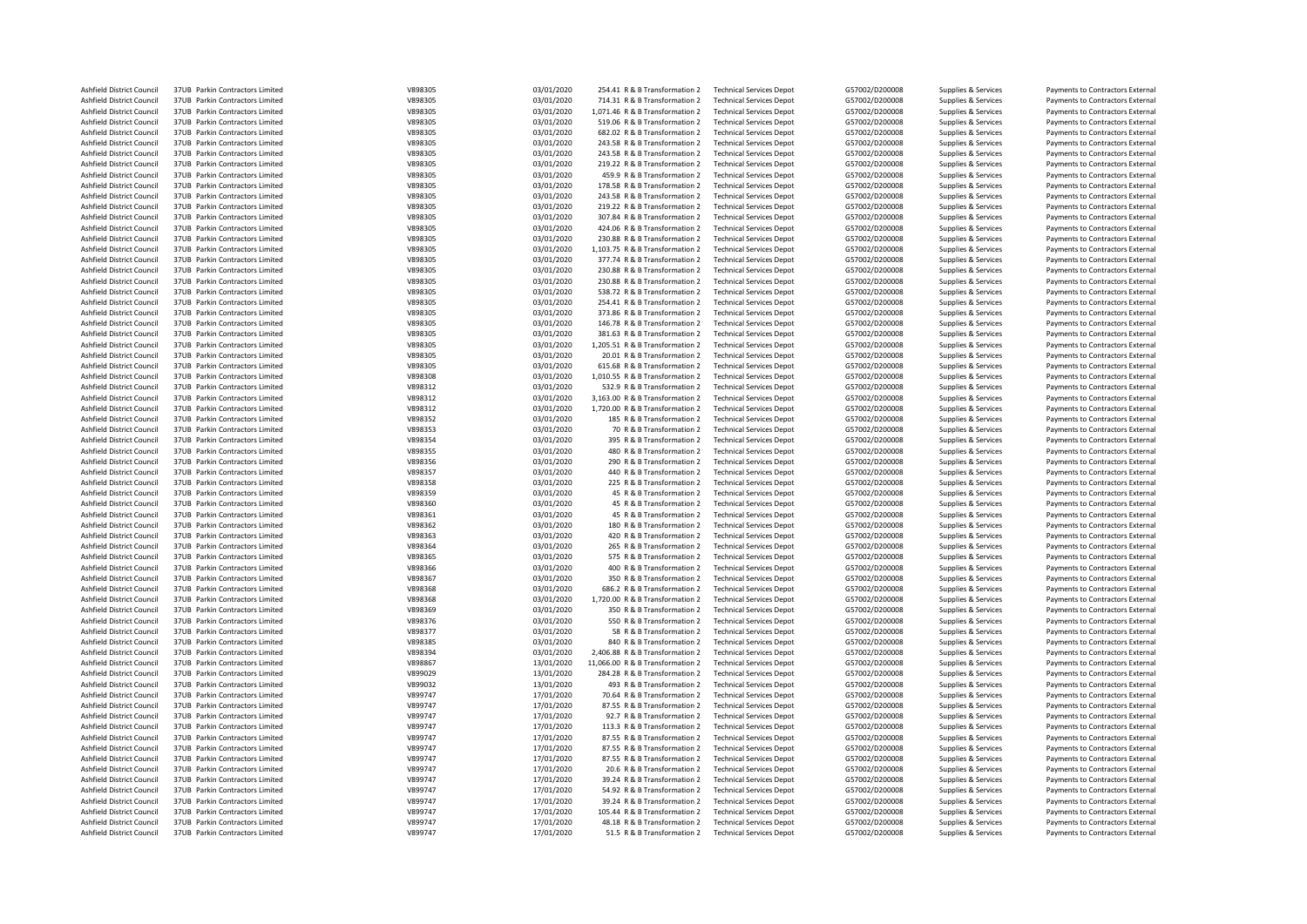| Ashfield District Council | 37UB Parkin Contractors Limited | V898305 | 03/01/2020 | 254.41 R & B Transformation 2    | <b>Technical Services Depot</b> | G57002/D200008 | Supplies & Services | Payments to Contractors External |
|---------------------------|---------------------------------|---------|------------|----------------------------------|---------------------------------|----------------|---------------------|----------------------------------|
| Ashfield District Council | 37UB Parkin Contractors Limited | V898305 | 03/01/2020 | 714.31 R & B Transformation 2    | <b>Technical Services Depot</b> | G57002/D200008 | Supplies & Services | Payments to Contractors External |
| Ashfield District Council | 37UB Parkin Contractors Limited | V898305 | 03/01/2020 | 1,071.46 R & B Transformation 2  | <b>Technical Services Depot</b> | G57002/D200008 | Supplies & Services | Payments to Contractors External |
| Ashfield District Council | 37UB Parkin Contractors Limited | V898305 | 03/01/2020 | 519.06 R & B Transformation 2    | <b>Technical Services Depot</b> | G57002/D200008 | Supplies & Services | Payments to Contractors External |
|                           |                                 |         |            |                                  |                                 |                |                     |                                  |
| Ashfield District Council | 37UB Parkin Contractors Limited | V898305 | 03/01/2020 | 682.02 R & B Transformation 2    | <b>Technical Services Depot</b> | G57002/D200008 | Supplies & Services | Payments to Contractors External |
| Ashfield District Council | 37UB Parkin Contractors Limited | V898305 | 03/01/2020 | 243.58 R & B Transformation 2    | <b>Technical Services Depot</b> | G57002/D200008 | Supplies & Services | Payments to Contractors External |
| Ashfield District Council | 37UB Parkin Contractors Limited | V898305 | 03/01/2020 | 243.58 R & B Transformation 2    | <b>Technical Services Depot</b> | G57002/D200008 | Supplies & Services | Payments to Contractors External |
| Ashfield District Council | 37UB Parkin Contractors Limited | V898305 | 03/01/2020 | 219.22 R & B Transformation 2    | <b>Technical Services Depot</b> | G57002/D200008 | Supplies & Services | Payments to Contractors External |
| Ashfield District Council | 37UB Parkin Contractors Limited | V898305 | 03/01/2020 | 459.9 R & B Transformation 2     | <b>Technical Services Depot</b> | G57002/D200008 | Supplies & Services | Payments to Contractors External |
| Ashfield District Council | 37UB Parkin Contractors Limited | V898305 | 03/01/2020 | 178.58 R & B Transformation 2    | <b>Technical Services Depot</b> | G57002/D200008 | Supplies & Services | Payments to Contractors External |
| Ashfield District Council | 37UB Parkin Contractors Limited | V898305 | 03/01/2020 | 243.58 R & B Transformation 2    | <b>Technical Services Depot</b> | G57002/D200008 | Supplies & Services | Payments to Contractors External |
| Ashfield District Council | 37UB Parkin Contractors Limited | V898305 | 03/01/2020 | 219.22 R & B Transformation 2    | <b>Technical Services Depot</b> | G57002/D200008 | Supplies & Services | Payments to Contractors External |
| Ashfield District Council | 37UB Parkin Contractors Limited | V898305 | 03/01/2020 | 307.84 R & B Transformation 2    | <b>Technical Services Depot</b> | G57002/D200008 | Supplies & Services | Payments to Contractors External |
|                           |                                 |         |            |                                  |                                 |                |                     |                                  |
| Ashfield District Council | 37UB Parkin Contractors Limited | V898305 | 03/01/2020 | 424.06 R & B Transformation 2    | <b>Technical Services Depot</b> | G57002/D200008 | Supplies & Services | Payments to Contractors External |
| Ashfield District Council | 37UB Parkin Contractors Limited | V898305 | 03/01/2020 | 230.88 R & B Transformation 2    | <b>Technical Services Depot</b> | G57002/D200008 | Supplies & Services | Payments to Contractors External |
| Ashfield District Council | 37UB Parkin Contractors Limited | V898305 | 03/01/2020 | 1,103.75 R & B Transformation 2  | <b>Technical Services Depot</b> | G57002/D200008 | Supplies & Services | Payments to Contractors External |
| Ashfield District Council | 37UB Parkin Contractors Limited | V898305 | 03/01/2020 | 377.74 R & B Transformation 2    | <b>Technical Services Depot</b> | G57002/D200008 | Supplies & Services | Payments to Contractors External |
| Ashfield District Council | 37UB Parkin Contractors Limited | V898305 | 03/01/2020 | 230.88 R & B Transformation 2    | <b>Technical Services Depot</b> | G57002/D200008 | Supplies & Services | Payments to Contractors External |
| Ashfield District Council | 37UB Parkin Contractors Limited | V898305 | 03/01/2020 | 230.88 R & B Transformation 2    | <b>Technical Services Depot</b> | G57002/D200008 | Supplies & Services | Payments to Contractors External |
| Ashfield District Council | 37UB Parkin Contractors Limited | V898305 | 03/01/2020 | 538.72 R & B Transformation 2    | <b>Technical Services Depot</b> | G57002/D200008 | Supplies & Services | Payments to Contractors External |
| Ashfield District Council | 37UB Parkin Contractors Limited | V898305 | 03/01/2020 | 254.41 R & B Transformation 2    | <b>Technical Services Depot</b> | G57002/D200008 | Supplies & Services | Payments to Contractors External |
| Ashfield District Council | 37UB Parkin Contractors Limited | V898305 | 03/01/2020 | 373.86 R & B Transformation 2    | <b>Technical Services Depot</b> | G57002/D200008 | Supplies & Services | Payments to Contractors External |
| Ashfield District Council | 37UB Parkin Contractors Limited | V898305 | 03/01/2020 | 146.78 R & B Transformation 2    | <b>Technical Services Depot</b> | G57002/D200008 | Supplies & Services | Payments to Contractors External |
|                           |                                 |         |            |                                  |                                 |                |                     |                                  |
| Ashfield District Council | 37UB Parkin Contractors Limited | V898305 | 03/01/2020 | 381.63 R & B Transformation 2    | <b>Technical Services Depot</b> | G57002/D200008 | Supplies & Services | Payments to Contractors External |
| Ashfield District Council | 37UB Parkin Contractors Limited | V898305 | 03/01/2020 | 1,205.51 R & B Transformation 2  | <b>Technical Services Depot</b> | G57002/D200008 | Supplies & Services | Payments to Contractors External |
| Ashfield District Council | 37UB Parkin Contractors Limited | V898305 | 03/01/2020 | 20.01 R & B Transformation 2     | <b>Technical Services Depot</b> | G57002/D200008 | Supplies & Services | Payments to Contractors External |
| Ashfield District Council | 37UB Parkin Contractors Limited | V898305 | 03/01/2020 | 615.68 R & B Transformation 2    | <b>Technical Services Depot</b> | G57002/D200008 | Supplies & Services | Payments to Contractors External |
| Ashfield District Council | 37UB Parkin Contractors Limited | V898308 | 03/01/2020 | 1,010.55 R & B Transformation 2  | <b>Technical Services Depot</b> | G57002/D200008 | Supplies & Services | Payments to Contractors External |
| Ashfield District Council | 37UB Parkin Contractors Limited | V898312 | 03/01/2020 | 532.9 R & B Transformation 2     | <b>Technical Services Depot</b> | G57002/D200008 | Supplies & Services | Payments to Contractors External |
| Ashfield District Council | 37UB Parkin Contractors Limited | V898312 | 03/01/2020 | 3,163.00 R & B Transformation 2  | <b>Technical Services Depot</b> | G57002/D200008 | Supplies & Services | Payments to Contractors External |
| Ashfield District Council | 37UB Parkin Contractors Limited | V898312 | 03/01/2020 | 1,720.00 R & B Transformation 2  | <b>Technical Services Depot</b> | G57002/D200008 | Supplies & Services | Payments to Contractors External |
| Ashfield District Council | 37UB Parkin Contractors Limited | V898352 | 03/01/2020 | 185 R & B Transformation 2       | <b>Technical Services Depot</b> | G57002/D200008 | Supplies & Services | Payments to Contractors External |
|                           |                                 | V898353 |            |                                  |                                 |                |                     |                                  |
| Ashfield District Council | 37UB Parkin Contractors Limited |         | 03/01/2020 | 70 R & B Transformation 2        | <b>Technical Services Depot</b> | G57002/D200008 | Supplies & Services | Payments to Contractors External |
| Ashfield District Council | 37UB Parkin Contractors Limited | V898354 | 03/01/2020 | 395 R & B Transformation 2       | <b>Technical Services Depot</b> | G57002/D200008 | Supplies & Services | Payments to Contractors External |
| Ashfield District Council | 37UB Parkin Contractors Limited | V898355 | 03/01/2020 | 480 R & B Transformation 2       | <b>Technical Services Depot</b> | G57002/D200008 | Supplies & Services | Payments to Contractors External |
| Ashfield District Council | 37UB Parkin Contractors Limited | V898356 | 03/01/2020 | 290 R & B Transformation 2       | <b>Technical Services Depot</b> | G57002/D200008 | Supplies & Services | Payments to Contractors External |
| Ashfield District Council | 37UB Parkin Contractors Limited | V898357 | 03/01/2020 | 440 R & B Transformation 2       | <b>Technical Services Depot</b> | G57002/D200008 | Supplies & Services | Payments to Contractors External |
| Ashfield District Council | 37UB Parkin Contractors Limited | V898358 | 03/01/2020 | 225 R & B Transformation 2       | <b>Technical Services Depot</b> | G57002/D200008 | Supplies & Services | Payments to Contractors External |
| Ashfield District Council | 37UB Parkin Contractors Limited | V898359 | 03/01/2020 | 45 R & B Transformation 2        | <b>Technical Services Depot</b> | G57002/D200008 | Supplies & Services | Payments to Contractors External |
| Ashfield District Council | 37UB Parkin Contractors Limited | V898360 | 03/01/2020 | 45 R & B Transformation 2        | <b>Technical Services Depot</b> | G57002/D200008 | Supplies & Services | Payments to Contractors External |
| Ashfield District Council | 37UB Parkin Contractors Limited | V898361 | 03/01/2020 | 45 R & B Transformation 2        | <b>Technical Services Depot</b> | G57002/D200008 | Supplies & Services | Payments to Contractors External |
| Ashfield District Council | 37UB Parkin Contractors Limited | V898362 | 03/01/2020 | 180 R & B Transformation 2       | <b>Technical Services Depot</b> | G57002/D200008 | Supplies & Services | Payments to Contractors External |
|                           |                                 |         |            |                                  |                                 |                |                     |                                  |
| Ashfield District Council | 37UB Parkin Contractors Limited | V898363 | 03/01/2020 | 420 R & B Transformation 2       | <b>Technical Services Depot</b> | G57002/D200008 | Supplies & Services | Payments to Contractors External |
| Ashfield District Council | 37UB Parkin Contractors Limited | V898364 | 03/01/2020 | 265 R & B Transformation 2       | <b>Technical Services Depot</b> | G57002/D200008 | Supplies & Services | Payments to Contractors External |
| Ashfield District Council | 37UB Parkin Contractors Limited | V898365 | 03/01/2020 | 575 R & B Transformation 2       | <b>Technical Services Depot</b> | G57002/D200008 | Supplies & Services | Payments to Contractors External |
| Ashfield District Council | 37UB Parkin Contractors Limited | V898366 | 03/01/2020 | 400 R & B Transformation 2       | <b>Technical Services Depot</b> | G57002/D200008 | Supplies & Services | Payments to Contractors External |
| Ashfield District Council | 37UB Parkin Contractors Limited | V898367 | 03/01/2020 | 350 R & B Transformation 2       | <b>Technical Services Depot</b> | G57002/D200008 | Supplies & Services | Payments to Contractors External |
| Ashfield District Council | 37UB Parkin Contractors Limited | V898368 | 03/01/2020 | 686.2 R & B Transformation 2     | <b>Technical Services Depot</b> | G57002/D200008 | Supplies & Services | Payments to Contractors External |
| Ashfield District Council | 37UB Parkin Contractors Limited | V898368 | 03/01/2020 | 1,720.00 R & B Transformation 2  | <b>Technical Services Depot</b> | G57002/D200008 | Supplies & Services | Payments to Contractors External |
| Ashfield District Council | 37UB Parkin Contractors Limited | V898369 | 03/01/2020 | 350 R & B Transformation 2       | <b>Technical Services Depot</b> | G57002/D200008 | Supplies & Services | Payments to Contractors External |
| Ashfield District Council | 37UB Parkin Contractors Limited | V898376 | 03/01/2020 | 550 R & B Transformation 2       | <b>Technical Services Depot</b> | G57002/D200008 | Supplies & Services | Payments to Contractors External |
| Ashfield District Council | 37UB Parkin Contractors Limited | V898377 | 03/01/2020 | 58 R & B Transformation 2        | <b>Technical Services Depot</b> | G57002/D200008 | Supplies & Services | Payments to Contractors External |
|                           |                                 |         |            |                                  |                                 |                |                     |                                  |
| Ashfield District Council | 37UB Parkin Contractors Limited | V898385 | 03/01/2020 | 840 R & B Transformation 2       | <b>Technical Services Depot</b> | G57002/D200008 | Supplies & Services | Payments to Contractors External |
| Ashfield District Council | 37UB Parkin Contractors Limited | V898394 | 03/01/2020 | 2,406.88 R & B Transformation 2  | <b>Technical Services Depot</b> | G57002/D200008 | Supplies & Services | Payments to Contractors External |
| Ashfield District Council | 37UB Parkin Contractors Limited | V898867 | 13/01/2020 | 11,066.00 R & B Transformation 2 | <b>Technical Services Depot</b> | G57002/D200008 | Supplies & Services | Payments to Contractors External |
| Ashfield District Council | 37UB Parkin Contractors Limited | V899029 | 13/01/2020 | 284.28 R & B Transformation 2    | <b>Technical Services Depot</b> | G57002/D200008 | Supplies & Services | Payments to Contractors External |
| Ashfield District Council | 37UB Parkin Contractors Limited | V899032 | 13/01/2020 | 493 R & B Transformation 2       | <b>Technical Services Depot</b> | G57002/D200008 | Supplies & Services | Payments to Contractors External |
| Ashfield District Council | 37UB Parkin Contractors Limited | V899747 | 17/01/2020 | 70.64 R & B Transformation 2     | <b>Technical Services Depot</b> | G57002/D200008 | Supplies & Services | Payments to Contractors External |
| Ashfield District Council | 37UB Parkin Contractors Limited | V899747 | 17/01/2020 | 87.55 R & B Transformation 2     | <b>Technical Services Depot</b> | G57002/D200008 | Supplies & Services | Payments to Contractors External |
| Ashfield District Council | 37UB Parkin Contractors Limited | V899747 | 17/01/2020 | 92.7 R & B Transformation 2      | <b>Technical Services Depot</b> | G57002/D200008 | Supplies & Services | Payments to Contractors External |
| Ashfield District Council | 37UB Parkin Contractors Limited | V899747 | 17/01/2020 | 113.3 R & B Transformation 2     | <b>Technical Services Depot</b> | G57002/D200008 | Supplies & Services | Payments to Contractors External |
|                           |                                 |         |            |                                  |                                 |                |                     |                                  |
| Ashfield District Council | 37UB Parkin Contractors Limited | V899747 | 17/01/2020 | 87.55 R & B Transformation 2     | <b>Technical Services Depot</b> | G57002/D200008 | Supplies & Services | Payments to Contractors External |
| Ashfield District Council | 37UB Parkin Contractors Limited | V899747 | 17/01/2020 | 87.55 R & B Transformation 2     | <b>Technical Services Depot</b> | G57002/D200008 | Supplies & Services | Payments to Contractors External |
| Ashfield District Council | 37UB Parkin Contractors Limited | V899747 | 17/01/2020 | 87.55 R & B Transformation 2     | <b>Technical Services Depot</b> | G57002/D200008 | Supplies & Services | Payments to Contractors External |
| Ashfield District Council | 37UB Parkin Contractors Limited | V899747 | 17/01/2020 | 20.6 R & B Transformation 2      | <b>Technical Services Depot</b> | G57002/D200008 | Supplies & Services | Payments to Contractors External |
| Ashfield District Council | 37UB Parkin Contractors Limited | V899747 | 17/01/2020 | 39.24 R & B Transformation 2     | <b>Technical Services Depot</b> | G57002/D200008 | Supplies & Services | Payments to Contractors External |
| Ashfield District Council | 37UB Parkin Contractors Limited | V899747 | 17/01/2020 | 54.92 R & B Transformation 2     | <b>Technical Services Depot</b> | G57002/D200008 | Supplies & Services | Payments to Contractors External |
| Ashfield District Council | 37UB Parkin Contractors Limited | V899747 | 17/01/2020 | 39.24 R & B Transformation 2     | <b>Technical Services Depot</b> | G57002/D200008 | Supplies & Services | Payments to Contractors External |
| Ashfield District Council | 37UB Parkin Contractors Limited | V899747 | 17/01/2020 | 105.44 R & B Transformation 2    | <b>Technical Services Depot</b> | G57002/D200008 | Supplies & Services | Payments to Contractors External |
| Ashfield District Council | 37UB Parkin Contractors Limited | V899747 | 17/01/2020 | 48.18 R & B Transformation 2     | <b>Technical Services Depot</b> | G57002/D200008 | Supplies & Services | Payments to Contractors External |
| Ashfield District Council | 37UB Parkin Contractors Limited | V899747 | 17/01/2020 | 51.5 R & B Transformation 2      | <b>Technical Services Depot</b> | G57002/D200008 | Supplies & Services | Payments to Contractors External |
|                           |                                 |         |            |                                  |                                 |                |                     |                                  |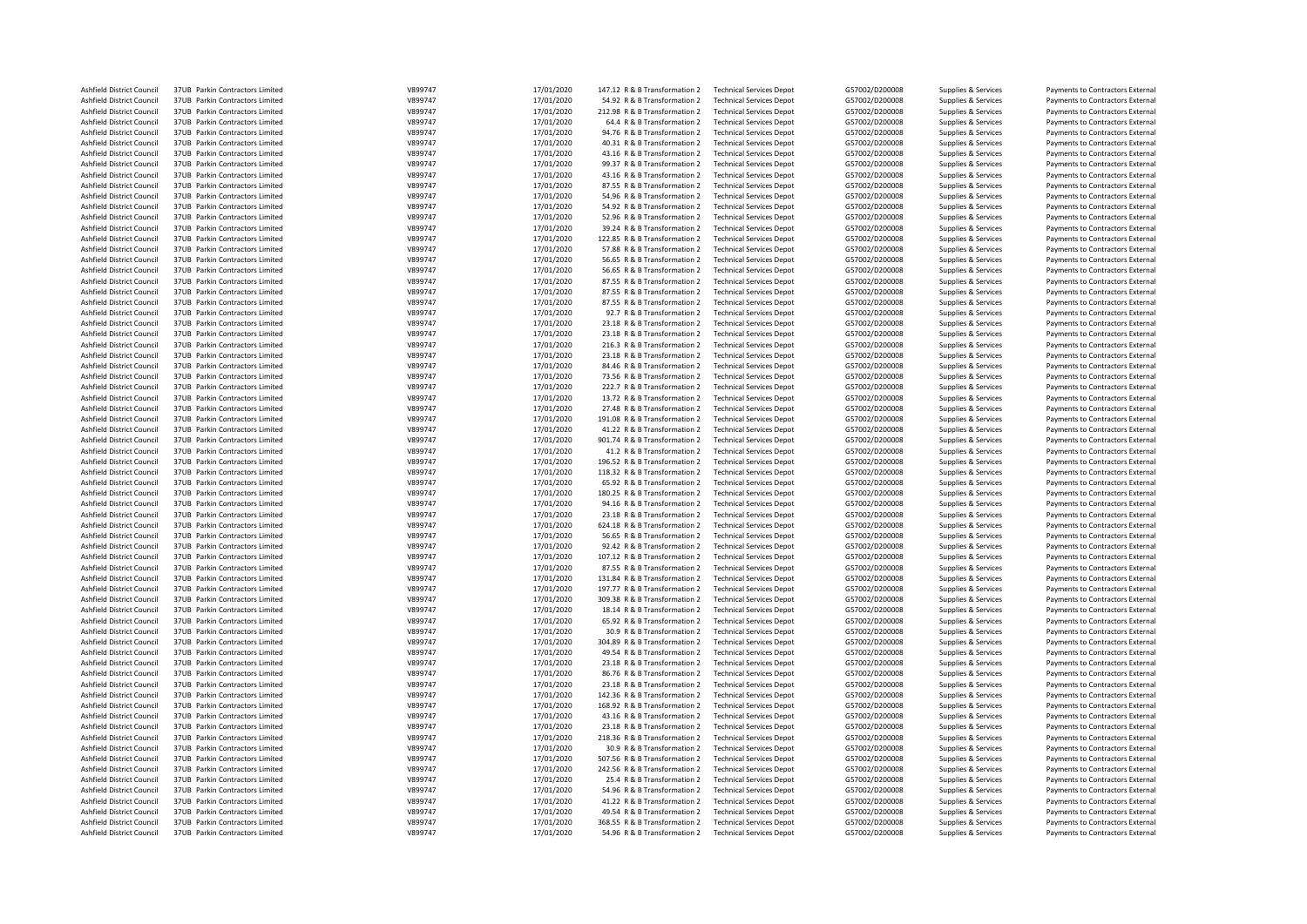| Ashfield District Council | 37UB Parkin Contractors Limited | V899747 | 17/01/2020 | 147.12 R & B Transformation 2 | <b>Technical Services Depot</b> | G57002/D200008 | Supplies & Services | Payments to Contractors External |
|---------------------------|---------------------------------|---------|------------|-------------------------------|---------------------------------|----------------|---------------------|----------------------------------|
| Ashfield District Council | 37UB Parkin Contractors Limited | V899747 | 17/01/2020 | 54.92 R & B Transformation 2  | <b>Technical Services Depot</b> | G57002/D200008 | Supplies & Services | Payments to Contractors External |
| Ashfield District Council | 37UB Parkin Contractors Limited | V899747 | 17/01/2020 | 212.98 R & B Transformation 2 | <b>Technical Services Depot</b> | G57002/D200008 | Supplies & Services | Payments to Contractors External |
| Ashfield District Council | 37UB Parkin Contractors Limited | V899747 | 17/01/2020 | 64.4 R & B Transformation 2   | <b>Technical Services Depot</b> | G57002/D200008 | Supplies & Services | Payments to Contractors External |
| Ashfield District Council | 37UB Parkin Contractors Limited | V899747 | 17/01/2020 | 94.76 R & B Transformation 2  | <b>Technical Services Depot</b> | G57002/D200008 | Supplies & Services | Payments to Contractors External |
| Ashfield District Council | 37UB Parkin Contractors Limited | V899747 | 17/01/2020 | 40.31 R & B Transformation 2  | <b>Technical Services Depot</b> | G57002/D200008 | Supplies & Services | Payments to Contractors External |
| Ashfield District Council | 37UB Parkin Contractors Limited | V899747 | 17/01/2020 | 43.16 R & B Transformation 2  | <b>Technical Services Depot</b> | G57002/D200008 | Supplies & Services | Payments to Contractors External |
| Ashfield District Council | 37UB Parkin Contractors Limited | V899747 |            | 99.37 R & B Transformation 2  | <b>Technical Services Depot</b> | G57002/D200008 |                     | Payments to Contractors External |
|                           |                                 |         | 17/01/2020 |                               |                                 |                | Supplies & Services |                                  |
| Ashfield District Council | 37UB Parkin Contractors Limited | V899747 | 17/01/2020 | 43.16 R & B Transformation 2  | <b>Technical Services Depot</b> | G57002/D200008 | Supplies & Services | Payments to Contractors External |
| Ashfield District Council | 37UB Parkin Contractors Limited | V899747 | 17/01/2020 | 87.55 R & B Transformation 2  | <b>Technical Services Depot</b> | G57002/D200008 | Supplies & Services | Payments to Contractors External |
| Ashfield District Council | 37UB Parkin Contractors Limited | V899747 | 17/01/2020 | 54.96 R & B Transformation 2  | <b>Technical Services Depot</b> | G57002/D200008 | Supplies & Services | Payments to Contractors External |
| Ashfield District Council | 37UB Parkin Contractors Limited | V899747 | 17/01/2020 | 54.92 R & B Transformation 2  | <b>Technical Services Depot</b> | G57002/D200008 | Supplies & Services | Payments to Contractors External |
| Ashfield District Council | 37UB Parkin Contractors Limited | V899747 | 17/01/2020 | 52.96 R & B Transformation 2  | <b>Technical Services Depot</b> | G57002/D200008 | Supplies & Services | Payments to Contractors External |
| Ashfield District Council | 37UB Parkin Contractors Limited | V899747 | 17/01/2020 | 39.24 R & B Transformation 2  | <b>Technical Services Depot</b> | G57002/D200008 | Supplies & Services | Payments to Contractors External |
| Ashfield District Council | 37UB Parkin Contractors Limited | V899747 | 17/01/2020 | 122.85 R & B Transformation 2 | <b>Technical Services Depot</b> | G57002/D200008 | Supplies & Services | Payments to Contractors External |
| Ashfield District Council | 37UB Parkin Contractors Limited | V899747 | 17/01/2020 | 57.88 R & B Transformation 2  | <b>Technical Services Depot</b> | G57002/D200008 | Supplies & Services | Payments to Contractors External |
| Ashfield District Council | 37UB Parkin Contractors Limited | V899747 | 17/01/2020 | 56.65 R & B Transformation 2  | <b>Technical Services Depot</b> | G57002/D200008 | Supplies & Services | Payments to Contractors External |
| Ashfield District Council | 37UB Parkin Contractors Limited | V899747 | 17/01/2020 | 56.65 R & B Transformation 2  | <b>Technical Services Depot</b> | G57002/D200008 | Supplies & Services | Payments to Contractors External |
|                           |                                 |         |            |                               |                                 |                |                     |                                  |
| Ashfield District Council | 37UB Parkin Contractors Limited | V899747 | 17/01/2020 | 87.55 R & B Transformation 2  | <b>Technical Services Depot</b> | G57002/D200008 | Supplies & Services | Payments to Contractors External |
| Ashfield District Council | 37UB Parkin Contractors Limited | V899747 | 17/01/2020 | 87.55 R & B Transformation 2  | <b>Technical Services Depot</b> | G57002/D200008 | Supplies & Services | Payments to Contractors External |
| Ashfield District Council | 37UB Parkin Contractors Limited | V899747 | 17/01/2020 | 87.55 R & B Transformation 2  | <b>Technical Services Depot</b> | G57002/D200008 | Supplies & Services | Payments to Contractors External |
| Ashfield District Council | 37UB Parkin Contractors Limited | V899747 | 17/01/2020 | 92.7 R & B Transformation 2   | <b>Technical Services Depot</b> | G57002/D200008 | Supplies & Services | Payments to Contractors External |
| Ashfield District Council | 37UB Parkin Contractors Limited | V899747 | 17/01/2020 | 23.18 R & B Transformation 2  | <b>Technical Services Depot</b> | G57002/D200008 | Supplies & Services | Payments to Contractors External |
| Ashfield District Council | 37UB Parkin Contractors Limited | V899747 | 17/01/2020 | 23.18 R & B Transformation 2  | <b>Technical Services Depot</b> | G57002/D200008 | Supplies & Services | Payments to Contractors External |
| Ashfield District Council | 37UB Parkin Contractors Limited | V899747 | 17/01/2020 | 216.3 R & B Transformation 2  | <b>Technical Services Depot</b> | G57002/D200008 | Supplies & Services | Payments to Contractors External |
| Ashfield District Council | 37UB Parkin Contractors Limited | V899747 | 17/01/2020 | 23.18 R & B Transformation 2  | <b>Technical Services Depot</b> | G57002/D200008 | Supplies & Services | Payments to Contractors External |
| Ashfield District Council | 37UB Parkin Contractors Limited | V899747 | 17/01/2020 | 84.46 R & B Transformation 2  | <b>Technical Services Depot</b> | G57002/D200008 | Supplies & Services | Payments to Contractors External |
| Ashfield District Council | 37UB Parkin Contractors Limited | V899747 | 17/01/2020 | 73.56 R & B Transformation 2  | <b>Technical Services Depot</b> | G57002/D200008 | Supplies & Services |                                  |
|                           |                                 |         |            |                               |                                 |                |                     | Payments to Contractors External |
| Ashfield District Council | 37UB Parkin Contractors Limited | V899747 | 17/01/2020 | 222.7 R & B Transformation 2  | <b>Technical Services Depot</b> | G57002/D200008 | Supplies & Services | Payments to Contractors External |
| Ashfield District Council | 37UB Parkin Contractors Limited | V899747 | 17/01/2020 | 13.72 R & B Transformation 2  | <b>Technical Services Depot</b> | G57002/D200008 | Supplies & Services | Payments to Contractors External |
| Ashfield District Council | 37UB Parkin Contractors Limited | V899747 | 17/01/2020 | 27.48 R & B Transformation 2  | <b>Technical Services Depot</b> | G57002/D200008 | Supplies & Services | Payments to Contractors External |
| Ashfield District Council | 37UB Parkin Contractors Limited | V899747 | 17/01/2020 | 191.08 R & B Transformation 2 | <b>Technical Services Depot</b> | G57002/D200008 | Supplies & Services | Payments to Contractors External |
| Ashfield District Council | 37UB Parkin Contractors Limited | V899747 | 17/01/2020 | 41.22 R & B Transformation 2  | <b>Technical Services Depot</b> | G57002/D200008 | Supplies & Services | Payments to Contractors External |
| Ashfield District Council | 37UB Parkin Contractors Limited | V899747 | 17/01/2020 | 901.74 R & B Transformation 2 | <b>Technical Services Depot</b> | G57002/D200008 | Supplies & Services | Payments to Contractors External |
| Ashfield District Council | 37UB Parkin Contractors Limited | V899747 | 17/01/2020 | 41.2 R & B Transformation 2   | <b>Technical Services Depot</b> | G57002/D200008 | Supplies & Services | Payments to Contractors External |
| Ashfield District Council | 37UB Parkin Contractors Limited | V899747 | 17/01/2020 | 196.52 R & B Transformation 2 | <b>Technical Services Depot</b> | G57002/D200008 | Supplies & Services | Payments to Contractors External |
| Ashfield District Council | 37UB Parkin Contractors Limited | V899747 | 17/01/2020 | 118.32 R & B Transformation 2 | <b>Technical Services Depot</b> | G57002/D200008 | Supplies & Services | Payments to Contractors External |
| Ashfield District Council | 37UB Parkin Contractors Limited | V899747 | 17/01/2020 | 65.92 R & B Transformation 2  | <b>Technical Services Depot</b> | G57002/D200008 | Supplies & Services | Payments to Contractors External |
|                           |                                 |         |            |                               |                                 |                |                     |                                  |
| Ashfield District Council | 37UB Parkin Contractors Limited | V899747 | 17/01/2020 | 180.25 R & B Transformation 2 | <b>Technical Services Depot</b> | G57002/D200008 | Supplies & Services | Payments to Contractors External |
| Ashfield District Council | 37UB Parkin Contractors Limited | V899747 | 17/01/2020 | 94.16 R & B Transformation 2  | <b>Technical Services Depot</b> | G57002/D200008 | Supplies & Services | Payments to Contractors External |
| Ashfield District Council | 37UB Parkin Contractors Limited | V899747 | 17/01/2020 | 23.18 R & B Transformation 2  | <b>Technical Services Depot</b> | G57002/D200008 | Supplies & Services | Payments to Contractors External |
| Ashfield District Council | 37UB Parkin Contractors Limited | V899747 | 17/01/2020 | 624.18 R & B Transformation 2 | <b>Technical Services Depot</b> | G57002/D200008 | Supplies & Services | Payments to Contractors External |
| Ashfield District Council | 37UB Parkin Contractors Limited | V899747 | 17/01/2020 | 56.65 R & B Transformation 2  | <b>Technical Services Depot</b> | G57002/D200008 | Supplies & Services | Payments to Contractors External |
| Ashfield District Council | 37UB Parkin Contractors Limited | V899747 | 17/01/2020 | 92.42 R & B Transformation 2  | <b>Technical Services Depot</b> | G57002/D200008 | Supplies & Services | Payments to Contractors External |
| Ashfield District Council | 37UB Parkin Contractors Limited | V899747 | 17/01/2020 | 107.12 R & B Transformation 2 | <b>Technical Services Depot</b> | G57002/D200008 | Supplies & Services | Payments to Contractors External |
| Ashfield District Council | 37UB Parkin Contractors Limited | V899747 | 17/01/2020 | 87.55 R & B Transformation 2  | <b>Technical Services Depot</b> | G57002/D200008 | Supplies & Services | Payments to Contractors External |
| Ashfield District Council | 37UB Parkin Contractors Limited | V899747 | 17/01/2020 | 131.84 R & B Transformation 2 | <b>Technical Services Depot</b> | G57002/D200008 | Supplies & Services | Payments to Contractors External |
| Ashfield District Council | 37UB Parkin Contractors Limited | V899747 | 17/01/2020 | 197.77 R & B Transformation 2 | <b>Technical Services Depot</b> | G57002/D200008 | Supplies & Services | Payments to Contractors External |
|                           |                                 |         |            |                               |                                 |                |                     |                                  |
| Ashfield District Council | 37UB Parkin Contractors Limited | V899747 | 17/01/2020 | 309.38 R & B Transformation 2 | <b>Technical Services Depot</b> | G57002/D200008 | Supplies & Services | Payments to Contractors External |
| Ashfield District Council | 37UB Parkin Contractors Limited | V899747 | 17/01/2020 | 18.14 R & B Transformation 2  | <b>Technical Services Depot</b> | G57002/D200008 | Supplies & Services | Payments to Contractors External |
| Ashfield District Council | 37UB Parkin Contractors Limited | V899747 | 17/01/2020 | 65.92 R & B Transformation 2  | <b>Technical Services Depot</b> | G57002/D200008 | Supplies & Services | Payments to Contractors External |
| Ashfield District Council | 37UB Parkin Contractors Limited | V899747 | 17/01/2020 | 30.9 R & B Transformation 2   | <b>Technical Services Depot</b> | G57002/D200008 | Supplies & Services | Payments to Contractors External |
| Ashfield District Council | 37UB Parkin Contractors Limited | V899747 | 17/01/2020 | 304.89 R & B Transformation 2 | <b>Technical Services Depot</b> | G57002/D200008 | Supplies & Services | Payments to Contractors External |
| Ashfield District Council | 37UB Parkin Contractors Limited | V899747 | 17/01/2020 | 49.54 R & B Transformation 2  | <b>Technical Services Depot</b> | G57002/D200008 | Supplies & Services | Payments to Contractors External |
| Ashfield District Council | 37UB Parkin Contractors Limited | V899747 | 17/01/2020 | 23.18 R & B Transformation 2  | <b>Technical Services Depot</b> | G57002/D200008 | Supplies & Services | Payments to Contractors External |
| Ashfield District Council | 37UB Parkin Contractors Limited | V899747 | 17/01/2020 | 86.76 R & B Transformation 2  | <b>Technical Services Depot</b> | G57002/D200008 | Supplies & Services | Payments to Contractors External |
| Ashfield District Council | 37UB Parkin Contractors Limited | V899747 | 17/01/2020 | 23.18 R & B Transformation 2  | <b>Technical Services Depot</b> | G57002/D200008 | Supplies & Services | Payments to Contractors External |
| Ashfield District Council | 37UB Parkin Contractors Limited | V899747 | 17/01/2020 | 142.36 R & B Transformation 2 | <b>Technical Services Depot</b> | G57002/D200008 | Supplies & Services | Payments to Contractors External |
| Ashfield District Council | 37UB Parkin Contractors Limited | V899747 | 17/01/2020 | 168.92 R & B Transformation 2 | <b>Technical Services Depot</b> | G57002/D200008 |                     |                                  |
|                           |                                 |         |            |                               |                                 |                | Supplies & Services | Payments to Contractors External |
| Ashfield District Council | 37UB Parkin Contractors Limited | V899747 | 17/01/2020 | 43.16 R & B Transformation 2  | <b>Technical Services Depot</b> | G57002/D200008 | Supplies & Services | Payments to Contractors External |
| Ashfield District Council | 37UB Parkin Contractors Limited | V899747 | 17/01/2020 | 23.18 R & B Transformation 2  | <b>Technical Services Depot</b> | G57002/D200008 | Supplies & Services | Payments to Contractors External |
| Ashfield District Council | 37UB Parkin Contractors Limited | V899747 | 17/01/2020 | 218.36 R & B Transformation 2 | <b>Technical Services Depot</b> | G57002/D200008 | Supplies & Services | Payments to Contractors External |
| Ashfield District Council | 37UB Parkin Contractors Limited | V899747 | 17/01/2020 | 30.9 R & B Transformation 2   | <b>Technical Services Depot</b> | G57002/D200008 | Supplies & Services | Payments to Contractors External |
| Ashfield District Council | 37UB Parkin Contractors Limited | V899747 | 17/01/2020 | 507.56 R & B Transformation 2 | <b>Technical Services Depot</b> | G57002/D200008 | Supplies & Services | Payments to Contractors External |
| Ashfield District Council | 37UB Parkin Contractors Limited | V899747 | 17/01/2020 | 242.56 R & B Transformation 2 | <b>Technical Services Depot</b> | G57002/D200008 | Supplies & Services | Payments to Contractors External |
| Ashfield District Council | 37UB Parkin Contractors Limited | V899747 | 17/01/2020 | 25.4 R & B Transformation 2   | <b>Technical Services Depot</b> | G57002/D200008 | Supplies & Services | Payments to Contractors External |
| Ashfield District Council | 37UB Parkin Contractors Limited | V899747 | 17/01/2020 | 54.96 R & B Transformation 2  | <b>Technical Services Depot</b> | G57002/D200008 | Supplies & Services | Payments to Contractors External |
| Ashfield District Council | 37UB Parkin Contractors Limited | V899747 | 17/01/2020 | 41.22 R & B Transformation 2  | <b>Technical Services Depot</b> | G57002/D200008 | Supplies & Services | Payments to Contractors External |
| Ashfield District Council | 37UB Parkin Contractors Limited | V899747 | 17/01/2020 | 49.54 R & B Transformation 2  | <b>Technical Services Depot</b> | G57002/D200008 | Supplies & Services | Payments to Contractors External |
| Ashfield District Council | 37UB Parkin Contractors Limited | V899747 | 17/01/2020 | 368.55 R & B Transformation 2 | <b>Technical Services Depot</b> | G57002/D200008 |                     | Payments to Contractors External |
|                           |                                 | V899747 |            |                               |                                 |                | Supplies & Services |                                  |
| Ashfield District Council | 37UB Parkin Contractors Limited |         | 17/01/2020 | 54.96 R & B Transformation 2  | <b>Technical Services Depot</b> | G57002/D200008 | Supplies & Services | Payments to Contractors External |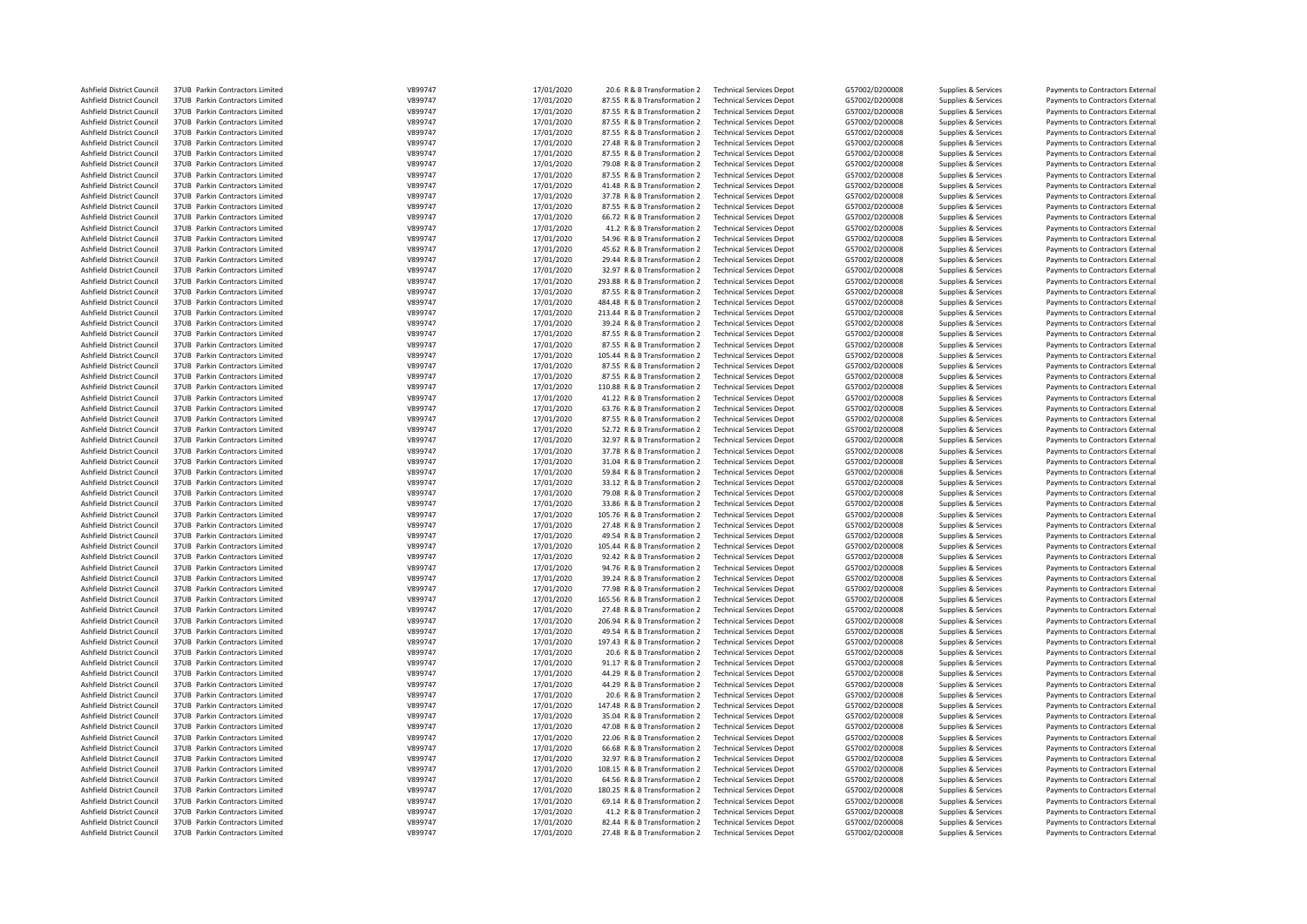| Ashfield District Council        | 37UB Parkin Contractors Limited | V899747 | 17/01/2020 | 20.6 R & B Transformation 2   | <b>Technical Services Depot</b> | G57002/D200008 | Supplies & Services | Payments to Contractors External |
|----------------------------------|---------------------------------|---------|------------|-------------------------------|---------------------------------|----------------|---------------------|----------------------------------|
| Ashfield District Council        | 37UB Parkin Contractors Limited | V899747 | 17/01/2020 | 87.55 R & B Transformation 2  | <b>Technical Services Depot</b> | G57002/D200008 | Supplies & Services | Payments to Contractors External |
| Ashfield District Council        | 37UB Parkin Contractors Limited | V899747 | 17/01/2020 | 87.55 R & B Transformation 2  | <b>Technical Services Depot</b> | G57002/D200008 | Supplies & Services | Payments to Contractors External |
| Ashfield District Council        | 37UB Parkin Contractors Limited | V899747 | 17/01/2020 | 87.55 R & B Transformation 2  | <b>Technical Services Depot</b> | G57002/D200008 | Supplies & Services | Payments to Contractors External |
| Ashfield District Council        | 37UB Parkin Contractors Limited | V899747 | 17/01/2020 | 87.55 R & B Transformation 2  | <b>Technical Services Depot</b> | G57002/D200008 | Supplies & Services | Payments to Contractors External |
| Ashfield District Council        | 37UB Parkin Contractors Limited | V899747 | 17/01/2020 | 27.48 R & B Transformation 2  | <b>Technical Services Depot</b> | G57002/D200008 | Supplies & Services | Payments to Contractors External |
| Ashfield District Council        | 37UB Parkin Contractors Limited | V899747 | 17/01/2020 | 87.55 R & B Transformation 2  | <b>Technical Services Depot</b> | G57002/D200008 | Supplies & Services | Payments to Contractors External |
| Ashfield District Council        | 37UB Parkin Contractors Limited | V899747 | 17/01/2020 | 79.08 R & B Transformation 2  | <b>Technical Services Depot</b> | G57002/D200008 | Supplies & Services | Payments to Contractors External |
| Ashfield District Council        | 37UB Parkin Contractors Limited | V899747 | 17/01/2020 | 87.55 R & B Transformation 2  | <b>Technical Services Depot</b> | G57002/D200008 | Supplies & Services | Payments to Contractors External |
| Ashfield District Council        | 37UB Parkin Contractors Limited | V899747 | 17/01/2020 | 41.48 R & B Transformation 2  | <b>Technical Services Depot</b> | G57002/D200008 | Supplies & Services | Payments to Contractors External |
| Ashfield District Council        | 37UB Parkin Contractors Limited | V899747 | 17/01/2020 | 37.78 R & B Transformation 2  | <b>Technical Services Depot</b> | G57002/D200008 | Supplies & Services | Payments to Contractors External |
| Ashfield District Council        | 37UB Parkin Contractors Limited | V899747 | 17/01/2020 | 87.55 R & B Transformation 2  | <b>Technical Services Depot</b> | G57002/D200008 | Supplies & Services | Payments to Contractors External |
|                                  |                                 | V899747 |            |                               |                                 |                |                     |                                  |
| Ashfield District Council        | 37UB Parkin Contractors Limited |         | 17/01/2020 | 66.72 R & B Transformation 2  | <b>Technical Services Depot</b> | G57002/D200008 | Supplies & Services | Payments to Contractors External |
| Ashfield District Council        | 37UB Parkin Contractors Limited | V899747 | 17/01/2020 | 41.2 R & B Transformation 2   | <b>Technical Services Depot</b> | G57002/D200008 | Supplies & Services | Payments to Contractors External |
| Ashfield District Council        | 37UB Parkin Contractors Limited | V899747 | 17/01/2020 | 54.96 R & B Transformation 2  | <b>Technical Services Depot</b> | G57002/D200008 | Supplies & Services | Payments to Contractors External |
| Ashfield District Council        | 37UB Parkin Contractors Limited | V899747 | 17/01/2020 | 45.62 R & B Transformation 2  | <b>Technical Services Depot</b> | G57002/D200008 | Supplies & Services | Payments to Contractors External |
| Ashfield District Council        | 37UB Parkin Contractors Limited | V899747 | 17/01/2020 | 29.44 R & B Transformation 2  | <b>Technical Services Depot</b> | G57002/D200008 | Supplies & Services | Payments to Contractors External |
| Ashfield District Council        | 37UB Parkin Contractors Limited | V899747 | 17/01/2020 | 32.97 R & B Transformation 2  | <b>Technical Services Depot</b> | G57002/D200008 | Supplies & Services | Payments to Contractors External |
| Ashfield District Council        | 37UB Parkin Contractors Limited | V899747 | 17/01/2020 | 293.88 R & B Transformation 2 | <b>Technical Services Depot</b> | G57002/D200008 | Supplies & Services | Payments to Contractors External |
| Ashfield District Council        | 37UB Parkin Contractors Limited | V899747 | 17/01/2020 | 87.55 R & B Transformation 2  | <b>Technical Services Depot</b> | G57002/D200008 | Supplies & Services | Payments to Contractors External |
| Ashfield District Council        | 37UB Parkin Contractors Limited | V899747 | 17/01/2020 | 484.48 R & B Transformation 2 | <b>Technical Services Depot</b> | G57002/D200008 | Supplies & Services | Payments to Contractors External |
| Ashfield District Council        | 37UB Parkin Contractors Limited | V899747 | 17/01/2020 | 213.44 R & B Transformation 2 | <b>Technical Services Depot</b> | G57002/D200008 | Supplies & Services | Payments to Contractors External |
| Ashfield District Council        | 37UB Parkin Contractors Limited | V899747 | 17/01/2020 | 39.24 R & B Transformation 2  | <b>Technical Services Depot</b> | G57002/D200008 | Supplies & Services | Payments to Contractors External |
| Ashfield District Council        | 37UB Parkin Contractors Limited | V899747 | 17/01/2020 | 87.55 R & B Transformation 2  | <b>Technical Services Depot</b> | G57002/D200008 | Supplies & Services | Payments to Contractors External |
| Ashfield District Council        | 37UB Parkin Contractors Limited | V899747 | 17/01/2020 | 87.55 R & B Transformation 2  | <b>Technical Services Depot</b> | G57002/D200008 | Supplies & Services | Payments to Contractors External |
| Ashfield District Council        | 37UB Parkin Contractors Limited | V899747 | 17/01/2020 | 105.44 R & B Transformation 2 | <b>Technical Services Depot</b> | G57002/D200008 | Supplies & Services | Payments to Contractors External |
| Ashfield District Council        | 37UB Parkin Contractors Limited | V899747 | 17/01/2020 | 87.55 R & B Transformation 2  | <b>Technical Services Depot</b> | G57002/D200008 | Supplies & Services | Payments to Contractors External |
| Ashfield District Council        | 37UB Parkin Contractors Limited | V899747 | 17/01/2020 | 87.55 R & B Transformation 2  | <b>Technical Services Depot</b> | G57002/D200008 |                     | Payments to Contractors External |
|                                  |                                 |         |            |                               |                                 |                | Supplies & Services |                                  |
| Ashfield District Council        | 37UB Parkin Contractors Limited | V899747 | 17/01/2020 | 110.88 R & B Transformation 2 | <b>Technical Services Depot</b> | G57002/D200008 | Supplies & Services | Payments to Contractors External |
| Ashfield District Council        | 37UB Parkin Contractors Limited | V899747 | 17/01/2020 | 41.22 R & B Transformation 2  | <b>Technical Services Depot</b> | G57002/D200008 | Supplies & Services | Payments to Contractors External |
| Ashfield District Council        | 37UB Parkin Contractors Limited | V899747 | 17/01/2020 | 63.76 R & B Transformation 2  | <b>Technical Services Depot</b> | G57002/D200008 | Supplies & Services | Payments to Contractors External |
| Ashfield District Council        | 37UB Parkin Contractors Limited | V899747 | 17/01/2020 | 87.55 R & B Transformation 2  | <b>Technical Services Depot</b> | G57002/D200008 | Supplies & Services | Payments to Contractors External |
| Ashfield District Council        | 37UB Parkin Contractors Limited | V899747 | 17/01/2020 | 52.72 R & B Transformation 2  | <b>Technical Services Depot</b> | G57002/D200008 | Supplies & Services | Payments to Contractors External |
| Ashfield District Council        | 37UB Parkin Contractors Limited | V899747 | 17/01/2020 | 32.97 R & B Transformation 2  | <b>Technical Services Depot</b> | G57002/D200008 | Supplies & Services | Payments to Contractors External |
| Ashfield District Council        | 37UB Parkin Contractors Limited | V899747 | 17/01/2020 | 37.78 R & B Transformation 2  | <b>Technical Services Depot</b> | G57002/D200008 | Supplies & Services | Payments to Contractors External |
| Ashfield District Council        | 37UB Parkin Contractors Limited | V899747 | 17/01/2020 | 31.04 R & B Transformation 2  | <b>Technical Services Depot</b> | G57002/D200008 | Supplies & Services | Payments to Contractors External |
| Ashfield District Council        | 37UB Parkin Contractors Limited | V899747 | 17/01/2020 | 59.84 R & B Transformation 2  | <b>Technical Services Depot</b> | G57002/D200008 | Supplies & Services | Payments to Contractors External |
| Ashfield District Council        | 37UB Parkin Contractors Limited | V899747 | 17/01/2020 | 33.12 R & B Transformation 2  | <b>Technical Services Depot</b> | G57002/D200008 | Supplies & Services | Payments to Contractors External |
| Ashfield District Council        | 37UB Parkin Contractors Limited | V899747 | 17/01/2020 | 79.08 R & B Transformation 2  | <b>Technical Services Depot</b> | G57002/D200008 | Supplies & Services | Payments to Contractors External |
| Ashfield District Council        | 37UB Parkin Contractors Limited | V899747 | 17/01/2020 | 33.86 R & B Transformation 2  | <b>Technical Services Depot</b> | G57002/D200008 | Supplies & Services | Payments to Contractors External |
| Ashfield District Council        | 37UB Parkin Contractors Limited | V899747 | 17/01/2020 | 105.76 R & B Transformation 2 | <b>Technical Services Depot</b> | G57002/D200008 | Supplies & Services | Payments to Contractors External |
| Ashfield District Council        | 37UB Parkin Contractors Limited | V899747 | 17/01/2020 | 27.48 R & B Transformation 2  | <b>Technical Services Depot</b> | G57002/D200008 | Supplies & Services | Payments to Contractors External |
| Ashfield District Council        | 37UB Parkin Contractors Limited | V899747 | 17/01/2020 | 49.54 R & B Transformation 2  | <b>Technical Services Depot</b> | G57002/D200008 | Supplies & Services | Payments to Contractors External |
| Ashfield District Council        | 37UB Parkin Contractors Limited | V899747 | 17/01/2020 | 105.44 R & B Transformation 2 | <b>Technical Services Depot</b> | G57002/D200008 | Supplies & Services | Payments to Contractors External |
|                                  |                                 |         |            |                               |                                 |                |                     |                                  |
| Ashfield District Council        | 37UB Parkin Contractors Limited | V899747 | 17/01/2020 | 92.42 R & B Transformation 2  | <b>Technical Services Depot</b> | G57002/D200008 | Supplies & Services | Payments to Contractors External |
| Ashfield District Council        | 37UB Parkin Contractors Limited | V899747 | 17/01/2020 | 94.76 R & B Transformation 2  | <b>Technical Services Depot</b> | G57002/D200008 | Supplies & Services | Payments to Contractors External |
| Ashfield District Council        | 37UB Parkin Contractors Limited | V899747 | 17/01/2020 | 39.24 R & B Transformation 2  | <b>Technical Services Depot</b> | G57002/D200008 | Supplies & Services | Payments to Contractors External |
| Ashfield District Council        | 37UB Parkin Contractors Limited | V899747 | 17/01/2020 | 77.98 R & B Transformation 2  | <b>Technical Services Depot</b> | G57002/D200008 | Supplies & Services | Payments to Contractors External |
| Ashfield District Council        | 37UB Parkin Contractors Limited | V899747 | 17/01/2020 | 165.56 R & B Transformation 2 | <b>Technical Services Depot</b> | G57002/D200008 | Supplies & Services | Payments to Contractors External |
| Ashfield District Council        | 37UB Parkin Contractors Limited | V899747 | 17/01/2020 | 27.48 R & B Transformation 2  | <b>Technical Services Depot</b> | G57002/D200008 | Supplies & Services | Payments to Contractors External |
| Ashfield District Council        | 37UB Parkin Contractors Limited | V899747 | 17/01/2020 | 206.94 R & B Transformation 2 | <b>Technical Services Depot</b> | G57002/D200008 | Supplies & Services | Payments to Contractors External |
| Ashfield District Council        | 37UB Parkin Contractors Limited | V899747 | 17/01/2020 | 49.54 R & B Transformation 2  | <b>Technical Services Depot</b> | G57002/D200008 | Supplies & Services | Payments to Contractors External |
| Ashfield District Council        | 37UB Parkin Contractors Limited | V899747 | 17/01/2020 | 197.43 R & B Transformation 2 | <b>Technical Services Depot</b> | G57002/D200008 | Supplies & Services | Payments to Contractors External |
| Ashfield District Council        | 37UB Parkin Contractors Limited | V899747 | 17/01/2020 | 20.6 R & B Transformation 2   | <b>Technical Services Depot</b> | G57002/D200008 | Supplies & Services | Payments to Contractors External |
| Ashfield District Council        | 37UB Parkin Contractors Limited | V899747 | 17/01/2020 | 91.17 R & B Transformation 2  | <b>Technical Services Depot</b> | G57002/D200008 | Supplies & Services | Payments to Contractors External |
| Ashfield District Council        | 37UB Parkin Contractors Limited | V899747 | 17/01/2020 | 44.29 R & B Transformation 2  | <b>Technical Services Depot</b> | G57002/D200008 | Supplies & Services | Payments to Contractors External |
| Ashfield District Council        | 37UB Parkin Contractors Limited | V899747 | 17/01/2020 | 44.29 R & B Transformation 2  | <b>Technical Services Depot</b> | G57002/D200008 | Supplies & Services | Payments to Contractors External |
| Ashfield District Council        | 37UB Parkin Contractors Limited | V899747 | 17/01/2020 | 20.6 R & B Transformation 2   | <b>Technical Services Depot</b> | G57002/D200008 | Supplies & Services | Payments to Contractors External |
| Ashfield District Council        | 37UB Parkin Contractors Limited | V899747 | 17/01/2020 | 147.48 R & B Transformation 2 | <b>Technical Services Depot</b> | G57002/D200008 | Supplies & Services | Payments to Contractors External |
| Ashfield District Council        | 37UB Parkin Contractors Limited | V899747 | 17/01/2020 | 35.04 R & B Transformation 2  | <b>Technical Services Depot</b> | G57002/D200008 | Supplies & Services | Payments to Contractors External |
|                                  |                                 |         |            |                               |                                 |                |                     |                                  |
| Ashfield District Council        | 37UB Parkin Contractors Limited | V899747 | 17/01/2020 | 47.08 R & B Transformation 2  | <b>Technical Services Depot</b> | G57002/D200008 | Supplies & Services | Payments to Contractors External |
| <b>Ashfield District Council</b> | 37UB Parkin Contractors Limited | V899747 | 17/01/2020 | 22.06 R & B Transformation 2  | <b>Technical Services Depot</b> | G57002/D200008 | Supplies & Services | Payments to Contractors External |
| Ashfield District Council        | 37UB Parkin Contractors Limited | V899747 | 17/01/2020 | 66.68 R & B Transformation 2  | <b>Technical Services Depot</b> | G57002/D200008 | Supplies & Services | Payments to Contractors External |
| Ashfield District Council        | 37UB Parkin Contractors Limited | V899747 | 17/01/2020 | 32.97 R & B Transformation 2  | <b>Technical Services Depot</b> | G57002/D200008 | Supplies & Services | Payments to Contractors External |
| Ashfield District Council        | 37UB Parkin Contractors Limited | V899747 | 17/01/2020 | 108.15 R & B Transformation 2 | <b>Technical Services Depot</b> | G57002/D200008 | Supplies & Services | Payments to Contractors External |
| Ashfield District Council        | 37UB Parkin Contractors Limited | V899747 | 17/01/2020 | 64.56 R & B Transformation 2  | <b>Technical Services Depot</b> | G57002/D200008 | Supplies & Services | Payments to Contractors External |
| Ashfield District Council        | 37UB Parkin Contractors Limited | V899747 | 17/01/2020 | 180.25 R & B Transformation 2 | <b>Technical Services Depot</b> | G57002/D200008 | Supplies & Services | Payments to Contractors External |
| Ashfield District Council        | 37UB Parkin Contractors Limited | V899747 | 17/01/2020 | 69.14 R & B Transformation 2  | <b>Technical Services Depot</b> | G57002/D200008 | Supplies & Services | Payments to Contractors External |
| Ashfield District Council        | 37UB Parkin Contractors Limited | V899747 | 17/01/2020 | 41.2 R & B Transformation 2   | <b>Technical Services Depot</b> | G57002/D200008 | Supplies & Services | Payments to Contractors External |
| Ashfield District Council        | 37UB Parkin Contractors Limited | V899747 | 17/01/2020 | 82.44 R & B Transformation 2  | <b>Technical Services Depot</b> | G57002/D200008 | Supplies & Services | Payments to Contractors External |
| Ashfield District Council        | 37UB Parkin Contractors Limited | V899747 | 17/01/2020 | 27.48 R & B Transformation 2  | <b>Technical Services Depot</b> | G57002/D200008 | Supplies & Services | Payments to Contractors External |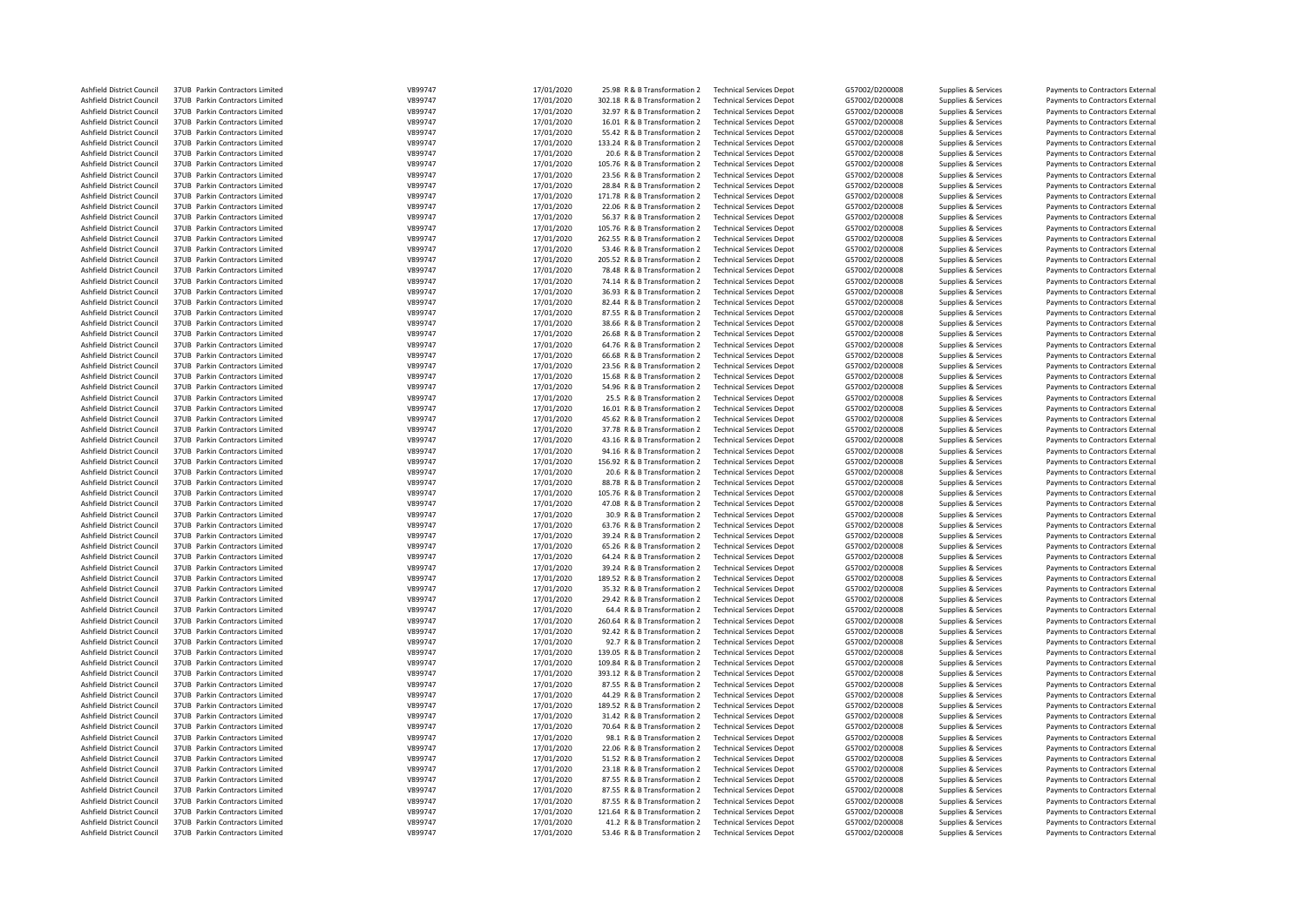| Ashfield District Council                              | 37UB Parkin Contractors Limited                                    | V899747            | 17/01/2020               | 25.98 R & B Transformation 2                                | <b>Technical Services Depot</b>                                    | G57002/D200008 | Supplies & Services                        | Payments to Contractors External                                     |
|--------------------------------------------------------|--------------------------------------------------------------------|--------------------|--------------------------|-------------------------------------------------------------|--------------------------------------------------------------------|----------------|--------------------------------------------|----------------------------------------------------------------------|
| Ashfield District Council                              | 37UB Parkin Contractors Limited                                    | V899747            | 17/01/2020               | 302.18 R & B Transformation 2                               | <b>Technical Services Depot</b>                                    | G57002/D200008 | Supplies & Services                        | Payments to Contractors External                                     |
| Ashfield District Council                              | 37UB Parkin Contractors Limited                                    | V899747            | 17/01/2020               | 32.97 R & B Transformation 2                                | <b>Technical Services Depot</b>                                    | G57002/D200008 | Supplies & Services                        | Payments to Contractors External                                     |
| Ashfield District Council                              | 37UB Parkin Contractors Limited                                    | V899747            | 17/01/2020               | 16.01 R & B Transformation 2                                | <b>Technical Services Depot</b>                                    | G57002/D200008 | Supplies & Services                        | Payments to Contractors External                                     |
| Ashfield District Council                              | 37UB Parkin Contractors Limited                                    | V899747            | 17/01/2020               | 55.42 R & B Transformation 2                                | <b>Technical Services Depot</b>                                    | G57002/D200008 | Supplies & Services                        | Payments to Contractors External                                     |
| Ashfield District Council                              | 37UB Parkin Contractors Limited                                    | V899747            | 17/01/2020               | 133.24 R & B Transformation 2                               | <b>Technical Services Depot</b>                                    | G57002/D200008 | Supplies & Services                        | Payments to Contractors External                                     |
| Ashfield District Council                              | 37UB Parkin Contractors Limited                                    | V899747            | 17/01/2020               | 20.6 R & B Transformation 2                                 | <b>Technical Services Depot</b>                                    | G57002/D200008 | Supplies & Services                        | Payments to Contractors External                                     |
| Ashfield District Council                              | 37UB Parkin Contractors Limited                                    | V899747            | 17/01/2020               | 105.76 R & B Transformation 2                               | <b>Technical Services Depot</b>                                    | G57002/D200008 | Supplies & Services                        | Payments to Contractors External                                     |
| Ashfield District Council                              | 37UB Parkin Contractors Limited                                    | V899747            | 17/01/2020               | 23.56 R & B Transformation 2                                | <b>Technical Services Depot</b>                                    | G57002/D200008 | Supplies & Services                        | Payments to Contractors External                                     |
| Ashfield District Council                              | 37UB Parkin Contractors Limited                                    | V899747            | 17/01/2020               | 28.84 R & B Transformation 2                                | <b>Technical Services Depot</b>                                    | G57002/D200008 | Supplies & Services                        | Payments to Contractors External                                     |
| Ashfield District Council                              | 37UB Parkin Contractors Limited                                    | V899747            | 17/01/2020               | 171.78 R & B Transformation 2                               | <b>Technical Services Depot</b>                                    | G57002/D200008 | Supplies & Services                        | Payments to Contractors External                                     |
| Ashfield District Council                              | 37UB Parkin Contractors Limited                                    | V899747            | 17/01/2020               | 22.06 R & B Transformation 2                                | <b>Technical Services Depot</b>                                    | G57002/D200008 | Supplies & Services                        | Payments to Contractors External                                     |
|                                                        |                                                                    | V899747            | 17/01/2020               |                                                             |                                                                    | G57002/D200008 |                                            |                                                                      |
| Ashfield District Council                              | 37UB Parkin Contractors Limited                                    |                    |                          | 56.37 R & B Transformation 2                                | <b>Technical Services Depot</b>                                    |                | Supplies & Services                        | Payments to Contractors External                                     |
| Ashfield District Council                              | 37UB Parkin Contractors Limited                                    | V899747            | 17/01/2020               | 105.76 R & B Transformation 2                               | <b>Technical Services Depot</b>                                    | G57002/D200008 | Supplies & Services                        | Payments to Contractors External                                     |
| Ashfield District Council                              | 37UB Parkin Contractors Limited                                    | V899747            | 17/01/2020               | 262.55 R & B Transformation 2                               | <b>Technical Services Depot</b>                                    | G57002/D200008 | Supplies & Services                        | Payments to Contractors External                                     |
| Ashfield District Council                              | 37UB Parkin Contractors Limited                                    | V899747            | 17/01/2020               | 53.46 R & B Transformation 2                                | <b>Technical Services Depot</b>                                    | G57002/D200008 | Supplies & Services                        | Payments to Contractors External                                     |
| Ashfield District Council                              | 37UB Parkin Contractors Limited                                    | V899747            | 17/01/2020               | 205.52 R & B Transformation 2                               | <b>Technical Services Depot</b>                                    | G57002/D200008 | Supplies & Services                        | Payments to Contractors External                                     |
| Ashfield District Council                              | 37UB Parkin Contractors Limited                                    | V899747            | 17/01/2020               | 78.48 R & B Transformation 2                                | <b>Technical Services Depot</b>                                    | G57002/D200008 | Supplies & Services                        | Payments to Contractors External                                     |
| Ashfield District Council                              | 37UB Parkin Contractors Limited                                    | V899747            | 17/01/2020               | 74.14 R & B Transformation 2                                | <b>Technical Services Depot</b>                                    | G57002/D200008 | Supplies & Services                        | Payments to Contractors External                                     |
| Ashfield District Council                              | 37UB Parkin Contractors Limited                                    | V899747            | 17/01/2020               | 36.93 R & B Transformation 2                                | <b>Technical Services Depot</b>                                    | G57002/D200008 | Supplies & Services                        | Payments to Contractors External                                     |
| Ashfield District Council                              | 37UB Parkin Contractors Limited                                    | V899747            | 17/01/2020               | 82.44 R & B Transformation 2                                | <b>Technical Services Depot</b>                                    | G57002/D200008 | Supplies & Services                        | Payments to Contractors External                                     |
| Ashfield District Council                              | 37UB Parkin Contractors Limited                                    | V899747            | 17/01/2020               | 87.55 R & B Transformation 2                                | <b>Technical Services Depot</b>                                    | G57002/D200008 | Supplies & Services                        | Payments to Contractors External                                     |
| Ashfield District Council                              | 37UB Parkin Contractors Limited                                    | V899747            | 17/01/2020               | 38.66 R & B Transformation 2                                | <b>Technical Services Depot</b>                                    | G57002/D200008 | Supplies & Services                        | Payments to Contractors External                                     |
| Ashfield District Council                              | 37UB Parkin Contractors Limited                                    | V899747            | 17/01/2020               | 26.68 R & B Transformation 2                                | <b>Technical Services Depot</b>                                    | G57002/D200008 | Supplies & Services                        | Payments to Contractors External                                     |
| Ashfield District Council                              | 37UB Parkin Contractors Limited                                    | V899747            | 17/01/2020               | 64.76 R & B Transformation 2                                | <b>Technical Services Depot</b>                                    | G57002/D200008 | Supplies & Services                        | Payments to Contractors External                                     |
| Ashfield District Council                              | 37UB Parkin Contractors Limited                                    | V899747            | 17/01/2020               | 66.68 R & B Transformation 2                                | <b>Technical Services Depot</b>                                    | G57002/D200008 | Supplies & Services                        | Payments to Contractors External                                     |
| Ashfield District Council                              | 37UB Parkin Contractors Limited                                    | V899747            | 17/01/2020               | 23.56 R & B Transformation 2                                | <b>Technical Services Depot</b>                                    | G57002/D200008 | Supplies & Services                        | Payments to Contractors External                                     |
| Ashfield District Council                              | 37UB Parkin Contractors Limited                                    | V899747            | 17/01/2020               | 15.68 R & B Transformation 2                                | <b>Technical Services Depot</b>                                    | G57002/D200008 | Supplies & Services                        | Payments to Contractors External                                     |
| Ashfield District Council                              | 37UB Parkin Contractors Limited                                    | V899747            |                          | 54.96 R & B Transformation 2                                | <b>Technical Services Depot</b>                                    | G57002/D200008 |                                            | Payments to Contractors External                                     |
|                                                        |                                                                    | V899747            | 17/01/2020<br>17/01/2020 |                                                             |                                                                    | G57002/D200008 | Supplies & Services                        |                                                                      |
| Ashfield District Council<br>Ashfield District Council | 37UB Parkin Contractors Limited<br>37UB Parkin Contractors Limited | V899747            | 17/01/2020               | 25.5 R & B Transformation 2<br>16.01 R & B Transformation 2 | <b>Technical Services Depot</b><br><b>Technical Services Depot</b> | G57002/D200008 | Supplies & Services<br>Supplies & Services | Payments to Contractors External<br>Payments to Contractors External |
| Ashfield District Council                              |                                                                    | V899747            |                          |                                                             |                                                                    |                |                                            |                                                                      |
|                                                        | 37UB Parkin Contractors Limited                                    |                    | 17/01/2020               | 45.62 R & B Transformation 2                                | <b>Technical Services Depot</b>                                    | G57002/D200008 | Supplies & Services                        | Payments to Contractors External                                     |
| Ashfield District Council                              | 37UB Parkin Contractors Limited                                    | V899747            | 17/01/2020               | 37.78 R & B Transformation 2                                | <b>Technical Services Depot</b>                                    | G57002/D200008 | Supplies & Services                        | Payments to Contractors External                                     |
| Ashfield District Council                              | 37UB Parkin Contractors Limited                                    | V899747            | 17/01/2020               | 43.16 R & B Transformation 2                                | <b>Technical Services Depot</b>                                    | G57002/D200008 | Supplies & Services                        | Payments to Contractors External                                     |
| Ashfield District Council                              | 37UB Parkin Contractors Limited                                    | V899747            | 17/01/2020               | 94.16 R & B Transformation 2                                | <b>Technical Services Depot</b>                                    | G57002/D200008 | Supplies & Services                        | Payments to Contractors External                                     |
| Ashfield District Council                              | 37UB Parkin Contractors Limited                                    | V899747            | 17/01/2020               | 156.92 R & B Transformation 2                               | <b>Technical Services Depot</b>                                    | G57002/D200008 | Supplies & Services                        | Payments to Contractors External                                     |
| Ashfield District Council                              | 37UB Parkin Contractors Limited                                    | V899747            | 17/01/2020               | 20.6 R & B Transformation 2                                 | <b>Technical Services Depot</b>                                    | G57002/D200008 | Supplies & Services                        | Payments to Contractors External                                     |
| Ashfield District Council                              | 37UB Parkin Contractors Limited                                    | V899747            | 17/01/2020               | 88.78 R & B Transformation 2                                | <b>Technical Services Depot</b>                                    | G57002/D200008 | Supplies & Services                        | Payments to Contractors External                                     |
| Ashfield District Council                              | 37UB Parkin Contractors Limited                                    | V899747            | 17/01/2020               | 105.76 R & B Transformation 2                               | <b>Technical Services Depot</b>                                    | G57002/D200008 | Supplies & Services                        | Payments to Contractors External                                     |
| Ashfield District Council                              | 37UB Parkin Contractors Limited                                    | V899747            | 17/01/2020               | 47.08 R & B Transformation 2                                | <b>Technical Services Depot</b>                                    | G57002/D200008 | Supplies & Services                        | Payments to Contractors External                                     |
| Ashfield District Council                              | 37UB Parkin Contractors Limited                                    | V899747            | 17/01/2020               | 30.9 R & B Transformation 2                                 | <b>Technical Services Depot</b>                                    | G57002/D200008 | Supplies & Services                        | Payments to Contractors External                                     |
| Ashfield District Council                              | 37UB Parkin Contractors Limited                                    | V899747            | 17/01/2020               | 63.76 R & B Transformation 2                                | <b>Technical Services Depot</b>                                    | G57002/D200008 | Supplies & Services                        | Payments to Contractors External                                     |
| Ashfield District Council                              | 37UB Parkin Contractors Limited                                    | V899747            | 17/01/2020               | 39.24 R & B Transformation 2                                | <b>Technical Services Depot</b>                                    | G57002/D200008 | Supplies & Services                        | Payments to Contractors External                                     |
| Ashfield District Council                              | 37UB Parkin Contractors Limited                                    | V899747            | 17/01/2020               | 65.26 R & B Transformation 2                                | <b>Technical Services Depot</b>                                    | G57002/D200008 | Supplies & Services                        | Payments to Contractors External                                     |
| Ashfield District Council                              | 37UB Parkin Contractors Limited                                    | V899747            | 17/01/2020               | 64.24 R & B Transformation 2                                | <b>Technical Services Depot</b>                                    | G57002/D200008 | Supplies & Services                        | Payments to Contractors External                                     |
| Ashfield District Council                              | 37UB Parkin Contractors Limited                                    | V899747            | 17/01/2020               | 39.24 R & B Transformation 2                                | <b>Technical Services Depot</b>                                    | G57002/D200008 | Supplies & Services                        | Payments to Contractors External                                     |
| Ashfield District Council                              | 37UB Parkin Contractors Limited                                    | V899747            | 17/01/2020               | 189.52 R & B Transformation 2                               | <b>Technical Services Depot</b>                                    | G57002/D200008 | Supplies & Services                        | Payments to Contractors External                                     |
|                                                        |                                                                    |                    |                          |                                                             |                                                                    |                |                                            |                                                                      |
| Ashfield District Council                              | 37UB Parkin Contractors Limited                                    | V899747            | 17/01/2020               | 35.32 R & B Transformation 2                                | <b>Technical Services Depot</b>                                    | G57002/D200008 | Supplies & Services                        | Payments to Contractors External                                     |
| Ashfield District Council                              | 37UB Parkin Contractors Limited<br>37UB Parkin Contractors Limited | V899747<br>V899747 | 17/01/2020               | 29.42 R & B Transformation 2                                | <b>Technical Services Depot</b>                                    | G57002/D200008 | Supplies & Services                        | Payments to Contractors External                                     |
| Ashfield District Council                              |                                                                    |                    | 17/01/2020               | 64.4 R & B Transformation 2                                 | <b>Technical Services Depot</b>                                    | G57002/D200008 | Supplies & Services                        | Payments to Contractors External                                     |
| Ashfield District Council                              | 37UB Parkin Contractors Limited                                    | V899747            | 17/01/2020               | 260.64 R & B Transformation 2                               | <b>Technical Services Depot</b>                                    | G57002/D200008 | Supplies & Services                        | Payments to Contractors External                                     |
| Ashfield District Council                              | 37UB Parkin Contractors Limited                                    | V899747            | 17/01/2020               | 92.42 R & B Transformation 2                                | <b>Technical Services Depot</b>                                    | G57002/D200008 | Supplies & Services                        | Payments to Contractors External                                     |
| Ashfield District Council                              | 37UB Parkin Contractors Limited                                    | V899747            | 17/01/2020               | 92.7 R & B Transformation 2                                 | <b>Technical Services Depot</b>                                    | G57002/D200008 | Supplies & Services                        | Payments to Contractors External                                     |
| Ashfield District Council                              | 37UB Parkin Contractors Limited                                    | V899747            | 17/01/2020               | 139.05 R & B Transformation 2                               | <b>Technical Services Depot</b>                                    | G57002/D200008 | Supplies & Services                        | Payments to Contractors External                                     |
| Ashfield District Council                              | 37UB Parkin Contractors Limited                                    | V899747            | 17/01/2020               | 109.84 R & B Transformation 2                               | <b>Technical Services Depot</b>                                    | G57002/D200008 | Supplies & Services                        | Payments to Contractors External                                     |
| Ashfield District Council                              | 37UB Parkin Contractors Limited                                    | V899747            | 17/01/2020               | 393.12 R & B Transformation 2                               | <b>Technical Services Depot</b>                                    | G57002/D200008 | Supplies & Services                        | Payments to Contractors External                                     |
| Ashfield District Council                              | 37UB Parkin Contractors Limited                                    | V899747            | 17/01/2020               | 87.55 R & B Transformation 2                                | <b>Technical Services Depot</b>                                    | G57002/D200008 | Supplies & Services                        | Payments to Contractors External                                     |
| Ashfield District Council                              | 37UB Parkin Contractors Limited                                    | V899747            | 17/01/2020               | 44.29 R & B Transformation 2                                | <b>Technical Services Depot</b>                                    | G57002/D200008 | Supplies & Services                        | Payments to Contractors External                                     |
| Ashfield District Council                              | 37UB Parkin Contractors Limited                                    | V899747            | 17/01/2020               | 189.52 R & B Transformation 2                               | <b>Technical Services Depot</b>                                    | G57002/D200008 | Supplies & Services                        | Payments to Contractors External                                     |
| Ashfield District Council                              | 37UB Parkin Contractors Limited                                    | V899747            | 17/01/2020               | 31.42 R & B Transformation 2                                | <b>Technical Services Depot</b>                                    | G57002/D200008 | Supplies & Services                        | Payments to Contractors External                                     |
| Ashfield District Council                              | 37UB Parkin Contractors Limited                                    | V899747            | 17/01/2020               | 70.64 R & B Transformation 2                                | <b>Technical Services Depot</b>                                    | G57002/D200008 | Supplies & Services                        | Payments to Contractors External                                     |
| <b>Ashfield District Council</b>                       | 37UB Parkin Contractors Limited                                    | V899747            | 17/01/2020               | 98.1 R & B Transformation 2                                 | <b>Technical Services Depot</b>                                    | G57002/D200008 | Supplies & Services                        | Payments to Contractors External                                     |
| Ashfield District Council                              | 37UB Parkin Contractors Limited                                    | V899747            | 17/01/2020               | 22.06 R & B Transformation 2                                | <b>Technical Services Depot</b>                                    | G57002/D200008 | Supplies & Services                        | Payments to Contractors External                                     |
| Ashfield District Council                              | 37UB Parkin Contractors Limited                                    | V899747            | 17/01/2020               | 51.52 R & B Transformation 2                                | <b>Technical Services Depot</b>                                    | G57002/D200008 | Supplies & Services                        | Payments to Contractors External                                     |
| Ashfield District Council                              | 37UB Parkin Contractors Limited                                    | V899747            | 17/01/2020               | 23.18 R & B Transformation 2                                | <b>Technical Services Depot</b>                                    | G57002/D200008 | Supplies & Services                        | Payments to Contractors External                                     |
| Ashfield District Council                              | 37UB Parkin Contractors Limited                                    | V899747            | 17/01/2020               | 87.55 R & B Transformation 2                                | <b>Technical Services Depot</b>                                    | G57002/D200008 | Supplies & Services                        | Payments to Contractors External                                     |
|                                                        |                                                                    | V899747            | 17/01/2020               |                                                             |                                                                    | G57002/D200008 |                                            |                                                                      |
| Ashfield District Council                              | 37UB Parkin Contractors Limited                                    |                    |                          | 87.55 R & B Transformation 2                                | <b>Technical Services Depot</b>                                    |                | Supplies & Services                        | Payments to Contractors External                                     |
| Ashfield District Council                              | 37UB Parkin Contractors Limited                                    | V899747<br>V899747 | 17/01/2020               | 87.55 R & B Transformation 2                                | <b>Technical Services Depot</b>                                    | G57002/D200008 | Supplies & Services                        | Payments to Contractors External                                     |
| Ashfield District Council                              | 37UB Parkin Contractors Limited                                    |                    | 17/01/2020               | 121.64 R & B Transformation 2                               | <b>Technical Services Depot</b>                                    | G57002/D200008 | Supplies & Services                        | Payments to Contractors External                                     |
| Ashfield District Council                              | 37UB Parkin Contractors Limited                                    | V899747            | 17/01/2020               | 41.2 R & B Transformation 2                                 | <b>Technical Services Depot</b>                                    | G57002/D200008 | Supplies & Services                        | Payments to Contractors External                                     |
| Ashfield District Council                              | 37UB Parkin Contractors Limited                                    | V899747            | 17/01/2020               | 53.46 R & B Transformation 2                                | <b>Technical Services Depot</b>                                    | G57002/D200008 | Supplies & Services                        | Payments to Contractors External                                     |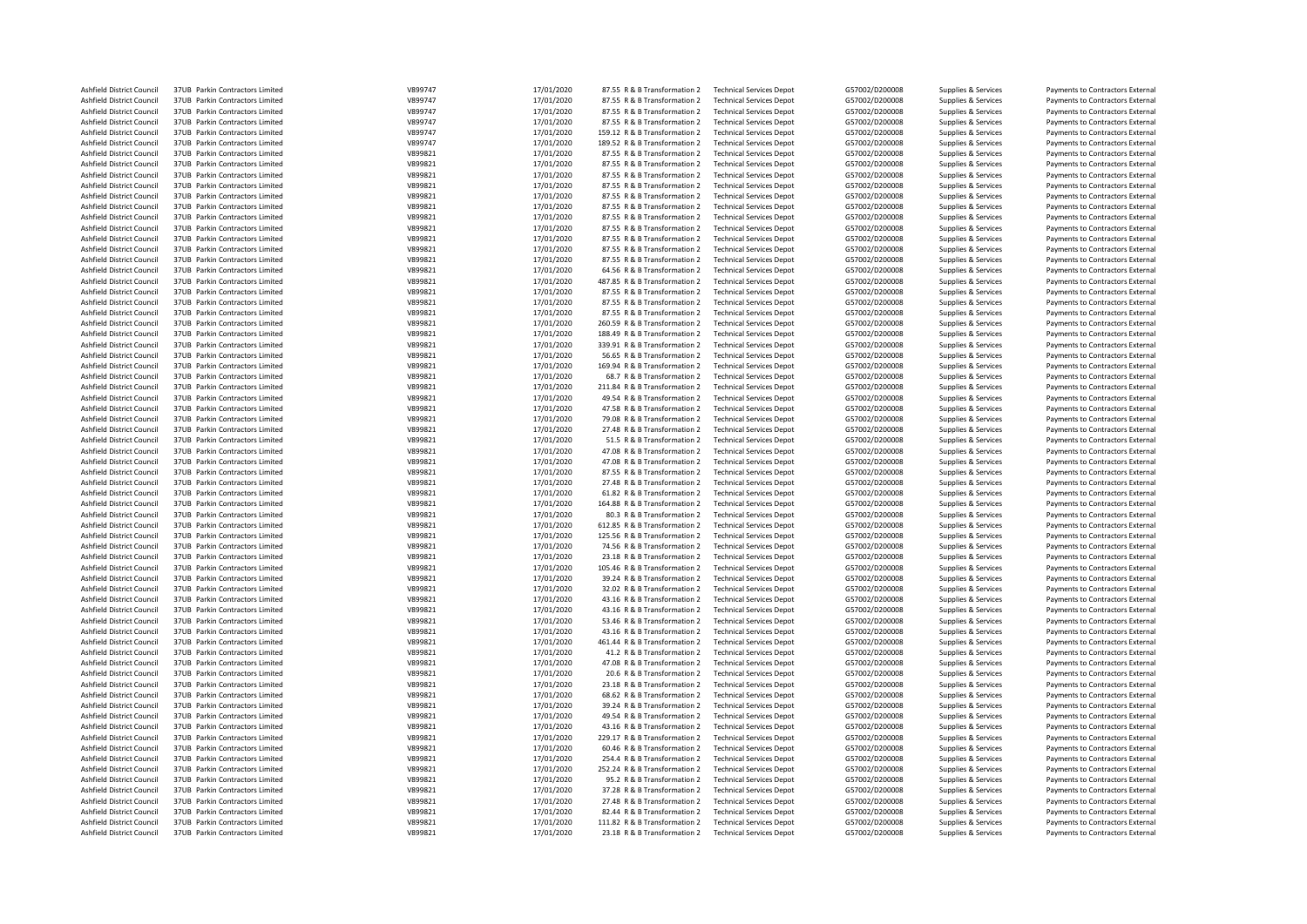| Ashfield District Council                              | 37UB Parkin Contractors Limited                                    | V899747            | 17/01/2020 | 87.55 R & B Transformation 2                                  | <b>Technical Services Depot</b>                                    | G57002/D200008                   | Supplies & Services | Payments to Contractors External |
|--------------------------------------------------------|--------------------------------------------------------------------|--------------------|------------|---------------------------------------------------------------|--------------------------------------------------------------------|----------------------------------|---------------------|----------------------------------|
| Ashfield District Council                              | 37UB Parkin Contractors Limited                                    | V899747            | 17/01/2020 | 87.55 R & B Transformation 2                                  | <b>Technical Services Depot</b>                                    | G57002/D200008                   | Supplies & Services | Payments to Contractors External |
| Ashfield District Council                              | 37UB Parkin Contractors Limited                                    | V899747            | 17/01/2020 | 87.55 R & B Transformation 2                                  | <b>Technical Services Depot</b>                                    | G57002/D200008                   | Supplies & Services | Payments to Contractors External |
| Ashfield District Council                              | 37UB Parkin Contractors Limited                                    | V899747            | 17/01/2020 | 87.55 R & B Transformation 2                                  | <b>Technical Services Depot</b>                                    | G57002/D200008                   | Supplies & Services | Payments to Contractors External |
| Ashfield District Council                              | 37UB Parkin Contractors Limited                                    | V899747            | 17/01/2020 | 159.12 R & B Transformation 2                                 | <b>Technical Services Depot</b>                                    | G57002/D200008                   | Supplies & Services | Payments to Contractors External |
| Ashfield District Council                              | 37UB Parkin Contractors Limited                                    | V899747            | 17/01/2020 | 189.52 R & B Transformation 2                                 | <b>Technical Services Depot</b>                                    | G57002/D200008                   | Supplies & Services | Payments to Contractors External |
| Ashfield District Council                              | 37UB Parkin Contractors Limited                                    | V899821            | 17/01/2020 | 87.55 R & B Transformation 2                                  | <b>Technical Services Depot</b>                                    | G57002/D200008                   | Supplies & Services | Payments to Contractors External |
| Ashfield District Council                              | 37UB Parkin Contractors Limited                                    | V899821            | 17/01/2020 | 87.55 R & B Transformation 2                                  | <b>Technical Services Depot</b>                                    | G57002/D200008                   | Supplies & Services | Payments to Contractors External |
| Ashfield District Council                              | 37UB Parkin Contractors Limited                                    | V899821            | 17/01/2020 | 87.55 R & B Transformation 2                                  | <b>Technical Services Depot</b>                                    | G57002/D200008                   | Supplies & Services | Payments to Contractors External |
|                                                        |                                                                    | V899821            | 17/01/2020 |                                                               |                                                                    | G57002/D200008                   |                     |                                  |
| Ashfield District Council                              | 37UB Parkin Contractors Limited                                    |                    |            | 87.55 R & B Transformation 2                                  | <b>Technical Services Depot</b>                                    |                                  | Supplies & Services | Payments to Contractors External |
| Ashfield District Council                              | 37UB Parkin Contractors Limited                                    | V899821            | 17/01/2020 | 87.55 R & B Transformation 2                                  | <b>Technical Services Depot</b>                                    | G57002/D200008                   | Supplies & Services | Payments to Contractors External |
| Ashfield District Council                              | 37UB Parkin Contractors Limited                                    | V899821            | 17/01/2020 | 87.55 R & B Transformation 2                                  | <b>Technical Services Depot</b>                                    | G57002/D200008                   | Supplies & Services | Payments to Contractors External |
| Ashfield District Council                              | 37UB Parkin Contractors Limited                                    | V899821            | 17/01/2020 | 87.55 R & B Transformation 2                                  | <b>Technical Services Depot</b>                                    | G57002/D200008                   | Supplies & Services | Payments to Contractors External |
| Ashfield District Council                              | 37UB Parkin Contractors Limited                                    | V899821            | 17/01/2020 | 87.55 R & B Transformation 2                                  | <b>Technical Services Depot</b>                                    | G57002/D200008                   | Supplies & Services | Payments to Contractors External |
| Ashfield District Council                              | 37UB Parkin Contractors Limited                                    | V899821            | 17/01/2020 | 87.55 R & B Transformation 2                                  | <b>Technical Services Depot</b>                                    | G57002/D200008                   | Supplies & Services | Payments to Contractors External |
| Ashfield District Council                              | 37UB Parkin Contractors Limited                                    | V899821            | 17/01/2020 | 87.55 R & B Transformation 2                                  | <b>Technical Services Depot</b>                                    | G57002/D200008                   | Supplies & Services | Payments to Contractors External |
| Ashfield District Council                              | 37UB Parkin Contractors Limited                                    | V899821            | 17/01/2020 | 87.55 R & B Transformation 2                                  | <b>Technical Services Depot</b>                                    | G57002/D200008                   | Supplies & Services | Payments to Contractors External |
| Ashfield District Council                              | 37UB Parkin Contractors Limited                                    | V899821            | 17/01/2020 | 64.56 R & B Transformation 2                                  | <b>Technical Services Depot</b>                                    | G57002/D200008                   | Supplies & Services | Payments to Contractors External |
| Ashfield District Council                              | 37UB Parkin Contractors Limited                                    | V899821            | 17/01/2020 | 487.85 R & B Transformation 2                                 | <b>Technical Services Depot</b>                                    | G57002/D200008                   | Supplies & Services | Payments to Contractors External |
| Ashfield District Council                              | 37UB Parkin Contractors Limited                                    | V899821            | 17/01/2020 | 87.55 R & B Transformation 2                                  | <b>Technical Services Depot</b>                                    | G57002/D200008                   | Supplies & Services | Payments to Contractors External |
| Ashfield District Council                              | 37UB Parkin Contractors Limited                                    | V899821            | 17/01/2020 | 87.55 R & B Transformation 2                                  | <b>Technical Services Depot</b>                                    | G57002/D200008                   | Supplies & Services | Payments to Contractors External |
| Ashfield District Council                              | 37UB Parkin Contractors Limited                                    | V899821            | 17/01/2020 | 87.55 R & B Transformation 2                                  | <b>Technical Services Depot</b>                                    | G57002/D200008                   | Supplies & Services | Payments to Contractors External |
| Ashfield District Council                              | 37UB Parkin Contractors Limited                                    | V899821            | 17/01/2020 | 260.59 R & B Transformation 2                                 | <b>Technical Services Depot</b>                                    | G57002/D200008                   | Supplies & Services | Payments to Contractors External |
| Ashfield District Council                              | 37UB Parkin Contractors Limited                                    | V899821            | 17/01/2020 | 188.49 R & B Transformation 2                                 | <b>Technical Services Depot</b>                                    | G57002/D200008                   | Supplies & Services | Payments to Contractors External |
| Ashfield District Council                              | 37UB Parkin Contractors Limited                                    | V899821            | 17/01/2020 | 339.91 R & B Transformation 2                                 | <b>Technical Services Depot</b>                                    | G57002/D200008                   | Supplies & Services | Payments to Contractors External |
| Ashfield District Council                              | 37UB Parkin Contractors Limited                                    | V899821            | 17/01/2020 | 56.65 R & B Transformation 2                                  | <b>Technical Services Depot</b>                                    | G57002/D200008                   | Supplies & Services | Payments to Contractors External |
| Ashfield District Council                              | 37UB Parkin Contractors Limited                                    | V899821            | 17/01/2020 | 169.94 R & B Transformation 2                                 | <b>Technical Services Depot</b>                                    | G57002/D200008                   | Supplies & Services | Payments to Contractors External |
| Ashfield District Council                              | 37UB Parkin Contractors Limited                                    | V899821            | 17/01/2020 | 68.7 R & B Transformation 2                                   | <b>Technical Services Depot</b>                                    | G57002/D200008                   | Supplies & Services | Payments to Contractors External |
| Ashfield District Council                              | 37UB Parkin Contractors Limited                                    | V899821            |            | 211.84 R & B Transformation 2                                 | <b>Technical Services Depot</b>                                    | G57002/D200008                   |                     | Payments to Contractors External |
|                                                        |                                                                    | V899821            | 17/01/2020 |                                                               |                                                                    |                                  | Supplies & Services |                                  |
| Ashfield District Council                              | 37UB Parkin Contractors Limited                                    |                    | 17/01/2020 | 49.54 R & B Transformation 2                                  | <b>Technical Services Depot</b>                                    | G57002/D200008                   | Supplies & Services | Payments to Contractors External |
| Ashfield District Council                              | 37UB Parkin Contractors Limited                                    | V899821            | 17/01/2020 | 47.58 R & B Transformation 2                                  | <b>Technical Services Depot</b>                                    | G57002/D200008                   | Supplies & Services | Payments to Contractors External |
| Ashfield District Council                              | 37UB Parkin Contractors Limited                                    | V899821            | 17/01/2020 | 79.08 R & B Transformation 2                                  | <b>Technical Services Depot</b>                                    | G57002/D200008                   | Supplies & Services | Payments to Contractors External |
| Ashfield District Council                              | 37UB Parkin Contractors Limited                                    | V899821            | 17/01/2020 | 27.48 R & B Transformation 2                                  | <b>Technical Services Depot</b>                                    | G57002/D200008                   | Supplies & Services | Payments to Contractors External |
| Ashfield District Council                              | 37UB Parkin Contractors Limited                                    | V899821            | 17/01/2020 | 51.5 R & B Transformation 2                                   | <b>Technical Services Depot</b>                                    | G57002/D200008                   | Supplies & Services | Payments to Contractors External |
| Ashfield District Council                              | 37UB Parkin Contractors Limited                                    | V899821            | 17/01/2020 | 47.08 R & B Transformation 2                                  | <b>Technical Services Depot</b>                                    | G57002/D200008                   | Supplies & Services | Payments to Contractors External |
| Ashfield District Council                              | 37UB Parkin Contractors Limited                                    | V899821            | 17/01/2020 | 47.08 R & B Transformation 2                                  | <b>Technical Services Depot</b>                                    | G57002/D200008                   | Supplies & Services | Payments to Contractors External |
| Ashfield District Council                              | 37UB Parkin Contractors Limited                                    | V899821            | 17/01/2020 | 87.55 R & B Transformation 2                                  | <b>Technical Services Depot</b>                                    | G57002/D200008                   | Supplies & Services | Payments to Contractors External |
| Ashfield District Council                              | 37UB Parkin Contractors Limited                                    | V899821            | 17/01/2020 | 27.48 R & B Transformation 2                                  | <b>Technical Services Depot</b>                                    | G57002/D200008                   | Supplies & Services | Payments to Contractors External |
| Ashfield District Council                              | 37UB Parkin Contractors Limited                                    | V899821            | 17/01/2020 | 61.82 R & B Transformation 2                                  | <b>Technical Services Depot</b>                                    | G57002/D200008                   | Supplies & Services | Payments to Contractors External |
| Ashfield District Council                              | 37UB Parkin Contractors Limited                                    | V899821            | 17/01/2020 | 164.88 R & B Transformation 2                                 | <b>Technical Services Depot</b>                                    | G57002/D200008                   | Supplies & Services | Payments to Contractors External |
| Ashfield District Council                              | 37UB Parkin Contractors Limited                                    | V899821            | 17/01/2020 | 80.3 R & B Transformation 2                                   | <b>Technical Services Depot</b>                                    | G57002/D200008                   | Supplies & Services | Payments to Contractors External |
| Ashfield District Council                              | 37UB Parkin Contractors Limited                                    | V899821            | 17/01/2020 | 612.85 R & B Transformation 2                                 | <b>Technical Services Depot</b>                                    | G57002/D200008                   | Supplies & Services | Payments to Contractors External |
| Ashfield District Council                              | 37UB Parkin Contractors Limited                                    | V899821            | 17/01/2020 | 125.56 R & B Transformation 2                                 | <b>Technical Services Depot</b>                                    | G57002/D200008                   | Supplies & Services | Payments to Contractors External |
| Ashfield District Council                              | 37UB Parkin Contractors Limited                                    | V899821            | 17/01/2020 | 74.56 R & B Transformation 2                                  | <b>Technical Services Depot</b>                                    | G57002/D200008                   | Supplies & Services | Payments to Contractors External |
| Ashfield District Council                              | 37UB Parkin Contractors Limited                                    | V899821            | 17/01/2020 | 23.18 R & B Transformation 2                                  | <b>Technical Services Depot</b>                                    | G57002/D200008                   | Supplies & Services | Payments to Contractors External |
| Ashfield District Council                              | 37UB Parkin Contractors Limited                                    | V899821            | 17/01/2020 | 105.46 R & B Transformation 2                                 | <b>Technical Services Depot</b>                                    | G57002/D200008                   | Supplies & Services | Payments to Contractors External |
| Ashfield District Council                              | 37UB Parkin Contractors Limited                                    | V899821            | 17/01/2020 | 39.24 R & B Transformation 2                                  | <b>Technical Services Depot</b>                                    | G57002/D200008                   | Supplies & Services | Payments to Contractors External |
| Ashfield District Council                              | 37UB Parkin Contractors Limited                                    | V899821            | 17/01/2020 | 32.02 R & B Transformation 2                                  | <b>Technical Services Depot</b>                                    | G57002/D200008                   | Supplies & Services | Payments to Contractors External |
| Ashfield District Council                              | 37UB Parkin Contractors Limited                                    | V899821            | 17/01/2020 | 43.16 R & B Transformation 2                                  | <b>Technical Services Depot</b>                                    | G57002/D200008                   | Supplies & Services | Payments to Contractors External |
| Ashfield District Council                              | 37UB Parkin Contractors Limited                                    | V899821            | 17/01/2020 | 43.16 R & B Transformation 2                                  | <b>Technical Services Depot</b>                                    | G57002/D200008                   | Supplies & Services | Payments to Contractors External |
| Ashfield District Council                              | 37UB Parkin Contractors Limited                                    | V899821            | 17/01/2020 | 53.46 R & B Transformation 2                                  | <b>Technical Services Depot</b>                                    | G57002/D200008                   | Supplies & Services |                                  |
|                                                        |                                                                    |                    |            |                                                               |                                                                    |                                  |                     | Payments to Contractors External |
| Ashfield District Council<br>Ashfield District Council | 37UB Parkin Contractors Limited<br>37UB Parkin Contractors Limited | V899821<br>V899821 | 17/01/2020 | 43.16 R & B Transformation 2<br>461.44 R & B Transformation 2 | <b>Technical Services Depot</b><br><b>Technical Services Depot</b> | G57002/D200008<br>G57002/D200008 | Supplies & Services | Payments to Contractors External |
|                                                        |                                                                    |                    | 17/01/2020 |                                                               |                                                                    |                                  | Supplies & Services | Payments to Contractors External |
| Ashfield District Council                              | 37UB Parkin Contractors Limited                                    | V899821            | 17/01/2020 | 41.2 R & B Transformation 2                                   | <b>Technical Services Depot</b>                                    | G57002/D200008                   | Supplies & Services | Payments to Contractors External |
| Ashfield District Council                              | 37UB Parkin Contractors Limited                                    | V899821            | 17/01/2020 | 47.08 R & B Transformation 2                                  | <b>Technical Services Depot</b>                                    | G57002/D200008                   | Supplies & Services | Payments to Contractors External |
| Ashfield District Council                              | 37UB Parkin Contractors Limited                                    | V899821            | 17/01/2020 | 20.6 R & B Transformation 2                                   | <b>Technical Services Depot</b>                                    | G57002/D200008                   | Supplies & Services | Payments to Contractors External |
| Ashfield District Council                              | 37UB Parkin Contractors Limited                                    | V899821            | 17/01/2020 | 23.18 R & B Transformation 2                                  | <b>Technical Services Depot</b>                                    | G57002/D200008                   | Supplies & Services | Payments to Contractors External |
| Ashfield District Council                              | 37UB Parkin Contractors Limited                                    | V899821            | 17/01/2020 | 68.62 R & B Transformation 2                                  | <b>Technical Services Depot</b>                                    | G57002/D200008                   | Supplies & Services | Payments to Contractors External |
| Ashfield District Council                              | 37UB Parkin Contractors Limited                                    | V899821            | 17/01/2020 | 39.24 R & B Transformation 2                                  | <b>Technical Services Depot</b>                                    | G57002/D200008                   | Supplies & Services | Payments to Contractors External |
| Ashfield District Council                              | 37UB Parkin Contractors Limited                                    | V899821            | 17/01/2020 | 49.54 R & B Transformation 2                                  | <b>Technical Services Depot</b>                                    | G57002/D200008                   | Supplies & Services | Payments to Contractors External |
| Ashfield District Council                              | 37UB Parkin Contractors Limited                                    | V899821            | 17/01/2020 | 43.16 R & B Transformation 2                                  | <b>Technical Services Depot</b>                                    | G57002/D200008                   | Supplies & Services | Payments to Contractors External |
| <b>Ashfield District Council</b>                       | 37UB Parkin Contractors Limited                                    | V899821            | 17/01/2020 | 229.17 R & B Transformation 2                                 | <b>Technical Services Depot</b>                                    | G57002/D200008                   | Supplies & Services | Payments to Contractors External |
| Ashfield District Council                              | 37UB Parkin Contractors Limited                                    | V899821            | 17/01/2020 | 60.46 R & B Transformation 2                                  | <b>Technical Services Depot</b>                                    | G57002/D200008                   | Supplies & Services | Payments to Contractors External |
| Ashfield District Council                              | 37UB Parkin Contractors Limited                                    | V899821            | 17/01/2020 | 254.4 R & B Transformation 2                                  | <b>Technical Services Depot</b>                                    | G57002/D200008                   | Supplies & Services | Payments to Contractors External |
| Ashfield District Council                              | 37UB Parkin Contractors Limited                                    | V899821            | 17/01/2020 | 252.24 R & B Transformation 2                                 | <b>Technical Services Depot</b>                                    | G57002/D200008                   | Supplies & Services | Payments to Contractors External |
| Ashfield District Council                              | 37UB Parkin Contractors Limited                                    | V899821            | 17/01/2020 | 95.2 R & B Transformation 2                                   | <b>Technical Services Depot</b>                                    | G57002/D200008                   | Supplies & Services | Payments to Contractors External |
| Ashfield District Council                              | 37UB Parkin Contractors Limited                                    | V899821            | 17/01/2020 | 37.28 R & B Transformation 2                                  | <b>Technical Services Depot</b>                                    | G57002/D200008                   | Supplies & Services | Payments to Contractors External |
| Ashfield District Council                              | 37UB Parkin Contractors Limited                                    | V899821            | 17/01/2020 | 27.48 R & B Transformation 2                                  | <b>Technical Services Depot</b>                                    | G57002/D200008                   | Supplies & Services | Payments to Contractors External |
| Ashfield District Council                              | 37UB Parkin Contractors Limited                                    | V899821            | 17/01/2020 | 82.44 R & B Transformation 2                                  | <b>Technical Services Depot</b>                                    | G57002/D200008                   | Supplies & Services | Payments to Contractors External |
| Ashfield District Council                              | 37UB Parkin Contractors Limited                                    | V899821            | 17/01/2020 | 111.82 R & B Transformation 2                                 | <b>Technical Services Depot</b>                                    | G57002/D200008                   | Supplies & Services | Payments to Contractors External |
| Ashfield District Council                              | 37UB Parkin Contractors Limited                                    | V899821            | 17/01/2020 | 23.18 R & B Transformation 2                                  | <b>Technical Services Depot</b>                                    | G57002/D200008                   | Supplies & Services | Payments to Contractors External |
|                                                        |                                                                    |                    |            |                                                               |                                                                    |                                  |                     |                                  |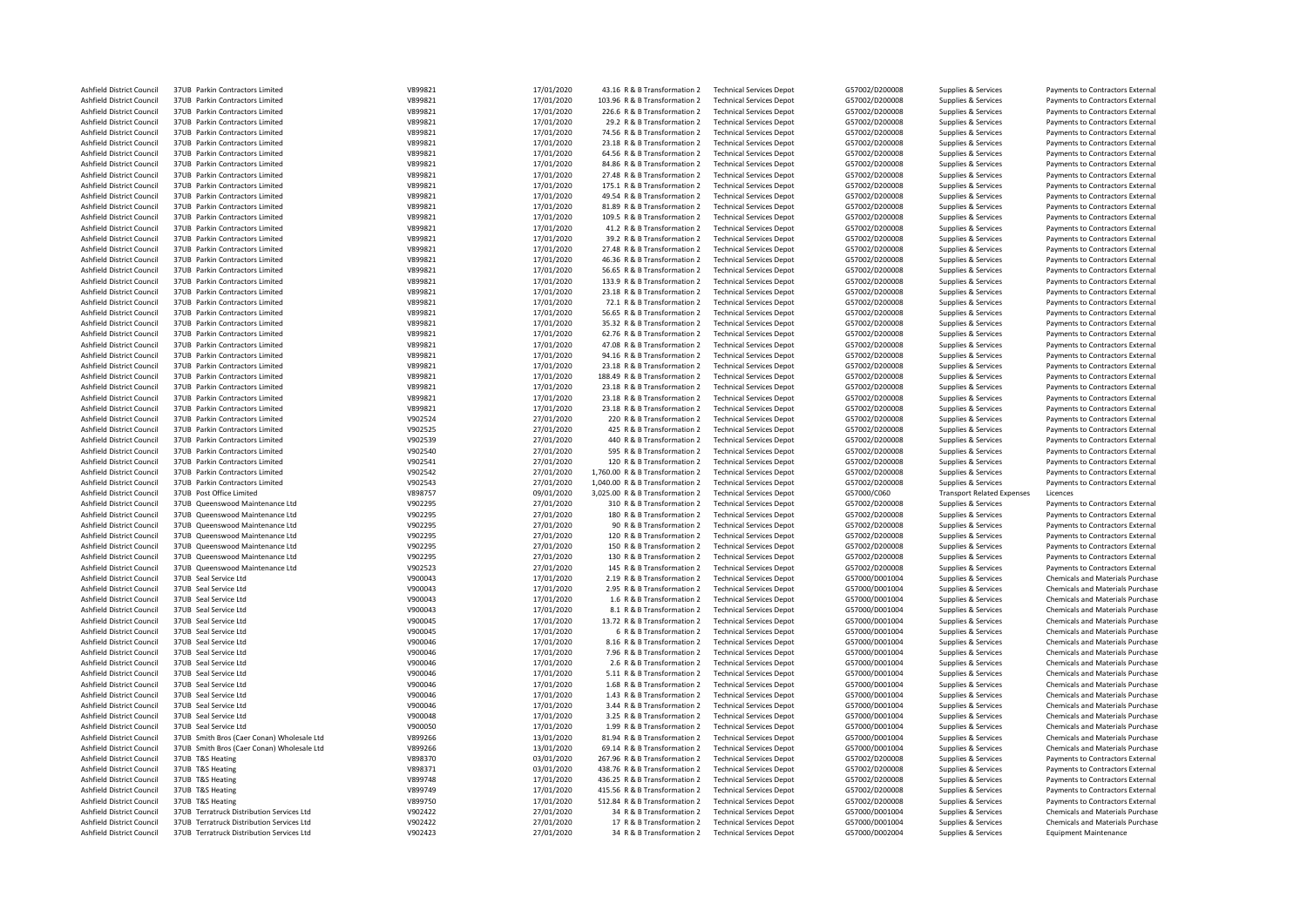| Ashfield District Council        | 37UB Parkin Contractors Limited            | V899821 | 17/01/2020               | 43.16 R & B Transformation 2    | <b>Technical Services Depot</b> | G57002/D200008 | Supplies & Services               | Payments to Contractors External        |
|----------------------------------|--------------------------------------------|---------|--------------------------|---------------------------------|---------------------------------|----------------|-----------------------------------|-----------------------------------------|
| Ashfield District Council        | 37UB Parkin Contractors Limited            | V899821 | 17/01/2020               | 103.96 R & B Transformation 2   | <b>Technical Services Depot</b> | G57002/D200008 | Supplies & Services               | Payments to Contractors External        |
| Ashfield District Council        | 37UB Parkin Contractors Limited            | V899821 | 17/01/2020               | 226.6 R & B Transformation 2    | <b>Technical Services Depot</b> | G57002/D200008 | Supplies & Services               | Payments to Contractors External        |
| Ashfield District Council        | 37UB Parkin Contractors Limited            | V899821 | 17/01/2020               | 29.2 R & B Transformation 2     | <b>Technical Services Depot</b> | G57002/D200008 | Supplies & Services               | Payments to Contractors External        |
| Ashfield District Council        | 37UB Parkin Contractors Limited            | V899821 | 17/01/2020               | 74.56 R & B Transformation 2    | <b>Technical Services Depot</b> | G57002/D200008 | Supplies & Services               | Payments to Contractors External        |
| Ashfield District Council        | 37UB Parkin Contractors Limited            | V899821 | 17/01/2020               | 23.18 R & B Transformation 2    | <b>Technical Services Depot</b> | G57002/D200008 | Supplies & Services               | Payments to Contractors External        |
| Ashfield District Council        | 37UB Parkin Contractors Limited            | V899821 | 17/01/2020               | 64.56 R & B Transformation 2    | <b>Technical Services Depot</b> | G57002/D200008 | Supplies & Services               | Payments to Contractors External        |
| Ashfield District Council        | 37UB Parkin Contractors Limited            | V899821 | 17/01/2020               | 84.86 R & B Transformation 2    | <b>Technical Services Depot</b> | G57002/D200008 | Supplies & Services               | Payments to Contractors External        |
| Ashfield District Council        | 37UB Parkin Contractors Limited            | V899821 | 17/01/2020               | 27.48 R & B Transformation 2    | <b>Technical Services Depot</b> | G57002/D200008 | Supplies & Services               | Payments to Contractors External        |
| Ashfield District Council        | 37UB Parkin Contractors Limited            | V899821 | 17/01/2020               | 175.1 R & B Transformation 2    | <b>Technical Services Depot</b> | G57002/D200008 | Supplies & Services               | Payments to Contractors External        |
| Ashfield District Council        | 37UB Parkin Contractors Limited            | V899821 | 17/01/2020               | 49.54 R & B Transformation 2    | <b>Technical Services Depot</b> | G57002/D200008 | Supplies & Services               | Payments to Contractors External        |
| Ashfield District Council        | 37UB Parkin Contractors Limited            | V899821 | 17/01/2020               | 81.89 R & B Transformation 2    | <b>Technical Services Depot</b> | G57002/D200008 | Supplies & Services               | Payments to Contractors External        |
| Ashfield District Council        | 37UB Parkin Contractors Limited            | V899821 | 17/01/2020               | 109.5 R & B Transformation 2    | <b>Technical Services Depot</b> | G57002/D200008 | Supplies & Services               | Payments to Contractors External        |
| Ashfield District Council        | 37UB Parkin Contractors Limited            | V899821 | 17/01/2020               | 41.2 R & B Transformation 2     | <b>Technical Services Depot</b> | G57002/D200008 | Supplies & Services               | Payments to Contractors External        |
| Ashfield District Council        | 37UB Parkin Contractors Limited            | V899821 | 17/01/2020               | 39.2 R & B Transformation 2     | <b>Technical Services Depot</b> | G57002/D200008 | Supplies & Services               | Payments to Contractors External        |
| Ashfield District Council        | 37UB Parkin Contractors Limited            | V899821 | 17/01/2020               | 27.48 R & B Transformation 2    | <b>Technical Services Depot</b> | G57002/D200008 | Supplies & Services               | Payments to Contractors External        |
| Ashfield District Council        | 37UB Parkin Contractors Limited            | V899821 | 17/01/2020               | 46.36 R & B Transformation 2    | <b>Technical Services Depot</b> | G57002/D200008 | Supplies & Services               | Payments to Contractors External        |
| Ashfield District Council        | 37UB Parkin Contractors Limited            | V899821 | 17/01/2020               | 56.65 R & B Transformation 2    | <b>Technical Services Depot</b> | G57002/D200008 | Supplies & Services               | Payments to Contractors External        |
| Ashfield District Council        | 37UB Parkin Contractors Limited            | V899821 | 17/01/2020               | 133.9 R & B Transformation 2    | <b>Technical Services Depot</b> | G57002/D200008 | Supplies & Services               | Payments to Contractors External        |
|                                  | 37UB Parkin Contractors Limited            | V899821 |                          |                                 |                                 |                |                                   |                                         |
| Ashfield District Council        | 37UB Parkin Contractors Limited            | V899821 | 17/01/2020               | 23.18 R & B Transformation 2    | <b>Technical Services Depot</b> | G57002/D200008 | Supplies & Services               | Payments to Contractors External        |
| Ashfield District Council        |                                            |         | 17/01/2020<br>17/01/2020 | 72.1 R & B Transformation 2     | <b>Technical Services Depot</b> | G57002/D200008 | Supplies & Services               | Payments to Contractors External        |
| Ashfield District Council        | 37UB Parkin Contractors Limited            | V899821 |                          | 56.65 R & B Transformation 2    | <b>Technical Services Depot</b> | G57002/D200008 | Supplies & Services               | Payments to Contractors External        |
| Ashfield District Council        | 37UB Parkin Contractors Limited            | V899821 | 17/01/2020               | 35.32 R & B Transformation 2    | <b>Technical Services Depot</b> | G57002/D200008 | Supplies & Services               | Payments to Contractors External        |
| Ashfield District Council        | 37UB Parkin Contractors Limited            | V899821 | 17/01/2020               | 62.76 R & B Transformation 2    | <b>Technical Services Depot</b> | G57002/D200008 | Supplies & Services               | Payments to Contractors External        |
| Ashfield District Council        | 37UB Parkin Contractors Limited            | V899821 | 17/01/2020               | 47.08 R & B Transformation 2    | <b>Technical Services Depot</b> | G57002/D200008 | Supplies & Services               | Payments to Contractors External        |
| Ashfield District Council        | 37UB Parkin Contractors Limited            | V899821 | 17/01/2020               | 94.16 R & B Transformation 2    | <b>Technical Services Depot</b> | G57002/D200008 | Supplies & Services               | Payments to Contractors External        |
| Ashfield District Council        | 37UB Parkin Contractors Limited            | V899821 | 17/01/2020               | 23.18 R & B Transformation 2    | <b>Technical Services Depot</b> | G57002/D200008 | Supplies & Services               | Payments to Contractors External        |
| Ashfield District Council        | 37UB Parkin Contractors Limited            | V899821 | 17/01/2020               | 188.49 R & B Transformation 2   | <b>Technical Services Depot</b> | G57002/D200008 | Supplies & Services               | Payments to Contractors External        |
| Ashfield District Council        | 37UB Parkin Contractors Limited            | V899821 | 17/01/2020               | 23.18 R & B Transformation 2    | <b>Technical Services Depot</b> | G57002/D200008 | Supplies & Services               | Payments to Contractors External        |
| Ashfield District Council        | 37UB Parkin Contractors Limited            | V899821 | 17/01/2020               | 23.18 R & B Transformation 2    | <b>Technical Services Depot</b> | G57002/D200008 | Supplies & Services               | Payments to Contractors External        |
| Ashfield District Council        | 37UB Parkin Contractors Limited            | V899821 | 17/01/2020               | 23.18 R & B Transformation 2    | <b>Technical Services Depot</b> | G57002/D200008 | Supplies & Services               | Payments to Contractors External        |
| Ashfield District Council        | 37UB Parkin Contractors Limited            | V902524 | 27/01/2020               | 220 R & B Transformation 2      | <b>Technical Services Depot</b> | G57002/D200008 | Supplies & Services               | Payments to Contractors External        |
| Ashfield District Council        | 37UB Parkin Contractors Limited            | V902525 | 27/01/2020               | 425 R & B Transformation 2      | <b>Technical Services Depot</b> | G57002/D200008 | Supplies & Services               | Payments to Contractors External        |
| Ashfield District Council        | 37UB Parkin Contractors Limited            | V902539 | 27/01/2020               | 440 R & B Transformation 2      | <b>Technical Services Depot</b> | G57002/D200008 | Supplies & Services               | Payments to Contractors External        |
| Ashfield District Council        | 37UB Parkin Contractors Limited            | V902540 | 27/01/2020               | 595 R & B Transformation 2      | <b>Technical Services Depot</b> | G57002/D200008 | Supplies & Services               | Payments to Contractors External        |
|                                  |                                            | V902541 |                          |                                 |                                 |                |                                   |                                         |
| Ashfield District Council        | 37UB Parkin Contractors Limited            |         | 27/01/2020               | 120 R & B Transformation 2      | <b>Technical Services Depot</b> | G57002/D200008 | Supplies & Services               | Payments to Contractors External        |
| Ashfield District Council        | 37UB Parkin Contractors Limited            | V902542 | 27/01/2020               | 1,760.00 R & B Transformation 2 | <b>Technical Services Depot</b> | G57002/D200008 | Supplies & Services               | Payments to Contractors External        |
| Ashfield District Council        | 37UB Parkin Contractors Limited            | V902543 | 27/01/2020               | 1,040.00 R & B Transformation 2 | <b>Technical Services Depot</b> | G57002/D200008 | Supplies & Services               | Payments to Contractors External        |
| Ashfield District Council        | 37UB Post Office Limited                   | V898757 |                          | 3,025.00 R & B Transformation 2 | <b>Technical Services Depot</b> | G57000/C060    | <b>Transport Related Expenses</b> | Licences                                |
| Ashfield District Council        | 37UB Queenswood Maintenance Ltd            | V902295 | 09/01/2020<br>27/01/2020 | 310 R & B Transformation 2      | <b>Technical Services Depot</b> | G57002/D200008 | Supplies & Services               | Payments to Contractors External        |
| Ashfield District Council        | 37UB Oueenswood Maintenance I td           | V902295 |                          | 180 R & B Transformation 2      | <b>Technical Services Depot</b> | G57002/D200008 |                                   | Payments to Contractors External        |
|                                  | 37UB Queenswood Maintenance Ltd            |         | 27/01/2020               |                                 |                                 |                | Supplies & Services               |                                         |
| Ashfield District Council        | 37UB Queenswood Maintenance Ltd            | V902295 | 27/01/2020               | 90 R & B Transformation 2       | <b>Technical Services Depot</b> | G57002/D200008 | Supplies & Services               | Payments to Contractors External        |
| Ashfield District Council        |                                            | V902295 | 27/01/2020               | 120 R & B Transformation 2      | <b>Technical Services Depot</b> | G57002/D200008 | Supplies & Services               | Payments to Contractors External        |
| Ashfield District Council        | 37UB Queenswood Maintenance Ltd            | V902295 | 27/01/2020               | 150 R & B Transformation 2      | <b>Technical Services Depot</b> | G57002/D200008 | Supplies & Services               | Payments to Contractors External        |
| Ashfield District Council        | 37UB Queenswood Maintenance Ltd            | V902295 | 27/01/2020               | 130 R & B Transformation 2      | <b>Technical Services Depot</b> | G57002/D200008 | Supplies & Services               | Payments to Contractors External        |
| Ashfield District Council        | 37UB Queenswood Maintenance Ltd            | V902523 | 27/01/2020               | 145 R & B Transformation 2      | <b>Technical Services Depot</b> | G57002/D200008 | Supplies & Services               | Payments to Contractors External        |
| Ashfield District Council        | 37UB Seal Service Ltd                      | V900043 | 17/01/2020               | 2.19 R & B Transformation 2     | <b>Technical Services Depot</b> | G57000/D001004 | Supplies & Services               | Chemicals and Materials Purchase        |
| Ashfield District Council        | 37UB Seal Service Ltd                      | V900043 | 17/01/2020               | 2.95 R & B Transformation 2     | <b>Technical Services Depot</b> | G57000/D001004 | Supplies & Services               | Chemicals and Materials Purchase        |
| Ashfield District Council        | 37UB Seal Service Ltd                      | V900043 | 17/01/2020               | 1.6 R & B Transformation 2      | <b>Technical Services Depot</b> | G57000/D001004 | Supplies & Services               | Chemicals and Materials Purchase        |
| Ashfield District Council        | 37UB Seal Service Ltd                      | V900043 | 17/01/2020               | 8.1 R & B Transformation 2      | <b>Technical Services Depot</b> | G57000/D001004 | Supplies & Services               | Chemicals and Materials Purchase        |
| Ashfield District Council        | 37UB Seal Service Ltd                      | V900045 | 17/01/2020               | 13.72 R & B Transformation 2    | <b>Technical Services Depot</b> | G57000/D001004 | Supplies & Services               | <b>Chemicals and Materials Purchase</b> |
| Ashfield District Council        | 37UB Seal Service Ltd                      | V900045 | 17/01/2020               | 6 R & B Transformation 2        | <b>Technical Services Depot</b> | G57000/D001004 | Supplies & Services               | <b>Chemicals and Materials Purchase</b> |
| Ashfield District Council        | 37UB Seal Service Ltd                      | V900046 | 17/01/2020               | 8.16 R & B Transformation 2     | <b>Technical Services Depot</b> | G57000/D001004 | Supplies & Services               | Chemicals and Materials Purchase        |
| Ashfield District Council        | 37UB Seal Service Ltd                      | V900046 | 17/01/2020               | 7.96 R & B Transformation 2     | <b>Technical Services Depot</b> | G57000/D001004 | Supplies & Services               | Chemicals and Materials Purchase        |
| Ashfield District Council        | 37UB Seal Service Ltd                      | V900046 | 17/01/2020               | 2.6 R & B Transformation 2      | <b>Technical Services Depot</b> | G57000/D001004 | Supplies & Services               | <b>Chemicals and Materials Purchase</b> |
| Ashfield District Council        | 37UB Seal Service Ltd                      | V900046 | 17/01/2020               | 5.11 R & B Transformation 2     | <b>Technical Services Depot</b> | G57000/D001004 | Supplies & Services               | <b>Chemicals and Materials Purchase</b> |
| Ashfield District Council        | 37UB Seal Service Ltd                      | V900046 | 17/01/2020               | 1.68 R & B Transformation 2     | <b>Technical Services Depot</b> | G57000/D001004 | Supplies & Services               | Chemicals and Materials Purchase        |
| Ashfield District Council        | 37UB Seal Service Ltd                      | V900046 | 17/01/2020               | 1.43 R & B Transformation 2     | <b>Technical Services Depot</b> | G57000/D001004 | Supplies & Services               | Chemicals and Materials Purchase        |
| Ashfield District Council        | 37UB Seal Service Ltd                      | V900046 | 17/01/2020               | 3.44 R & B Transformation 2     | <b>Technical Services Depot</b> | G57000/D001004 | Supplies & Services               | Chemicals and Materials Purchase        |
| Ashfield District Council        | 37UB Seal Service Ltd                      | V900048 | 17/01/2020               | 3.25 R & B Transformation 2     | <b>Technical Services Depot</b> | G57000/D001004 | Supplies & Services               | <b>Chemicals and Materials Purchase</b> |
| Ashfield District Council        | 37UB Seal Service Ltd                      | V900050 | 17/01/2020               | 1.99 R & B Transformation 2     | <b>Technical Services Depot</b> | G57000/D001004 | Supplies & Services               | Chemicals and Materials Purchase        |
| Ashfield District Council        | 37UB Smith Bros (Caer Conan) Wholesale Ltd | V899266 | 13/01/2020               | 81.94 R & B Transformation 2    | <b>Technical Services Depot</b> | G57000/D001004 | Supplies & Services               | <b>Chemicals and Materials Purchase</b> |
| Ashfield District Council        | 37UB Smith Bros (Caer Conan) Wholesale Ltd | V899266 | 13/01/2020               | 69.14 R & B Transformation 2    | <b>Technical Services Depot</b> | G57000/D001004 | Supplies & Services               | Chemicals and Materials Purchase        |
| Ashfield District Council        | 37UB T&S Heating                           | V898370 | 03/01/2020               | 267.96 R & B Transformation 2   | <b>Technical Services Depot</b> | G57002/D200008 | Supplies & Services               | Payments to Contractors External        |
| Ashfield District Council        | 37UB T&S Heating                           | V898371 | 03/01/2020               | 438.76 R & B Transformation 2   | <b>Technical Services Depot</b> | G57002/D200008 | Supplies & Services               | Payments to Contractors External        |
| Ashfield District Council        | 37UB T&S Heating                           | V899748 | 17/01/2020               | 436.25 R & B Transformation 2   | <b>Technical Services Depot</b> | G57002/D200008 | Supplies & Services               | Payments to Contractors External        |
| Ashfield District Council        | 37UB T&S Heating                           | V899749 | 17/01/2020               | 415.56 R & B Transformation 2   | <b>Technical Services Depot</b> | G57002/D200008 | Supplies & Services               | Payments to Contractors External        |
| Ashfield District Council        | 37UB T&S Heating                           | V899750 | 17/01/2020               | 512.84 R & B Transformation 2   | <b>Technical Services Depot</b> | G57002/D200008 | Supplies & Services               | Payments to Contractors External        |
| <b>Ashfield District Council</b> | 37UB Terratruck Distribution Services Ltd  | V902422 | 27/01/2020               | 34 R & B Transformation 2       | <b>Technical Services Depot</b> | G57000/D001004 | Supplies & Services               | <b>Chemicals and Materials Purchase</b> |
| Ashfield District Council        | 37UB Terratruck Distribution Services Ltd  | V902422 | 27/01/2020               | 17 R & B Transformation 2       | <b>Technical Services Depot</b> | G57000/D001004 | Supplies & Services               | Chemicals and Materials Purchase        |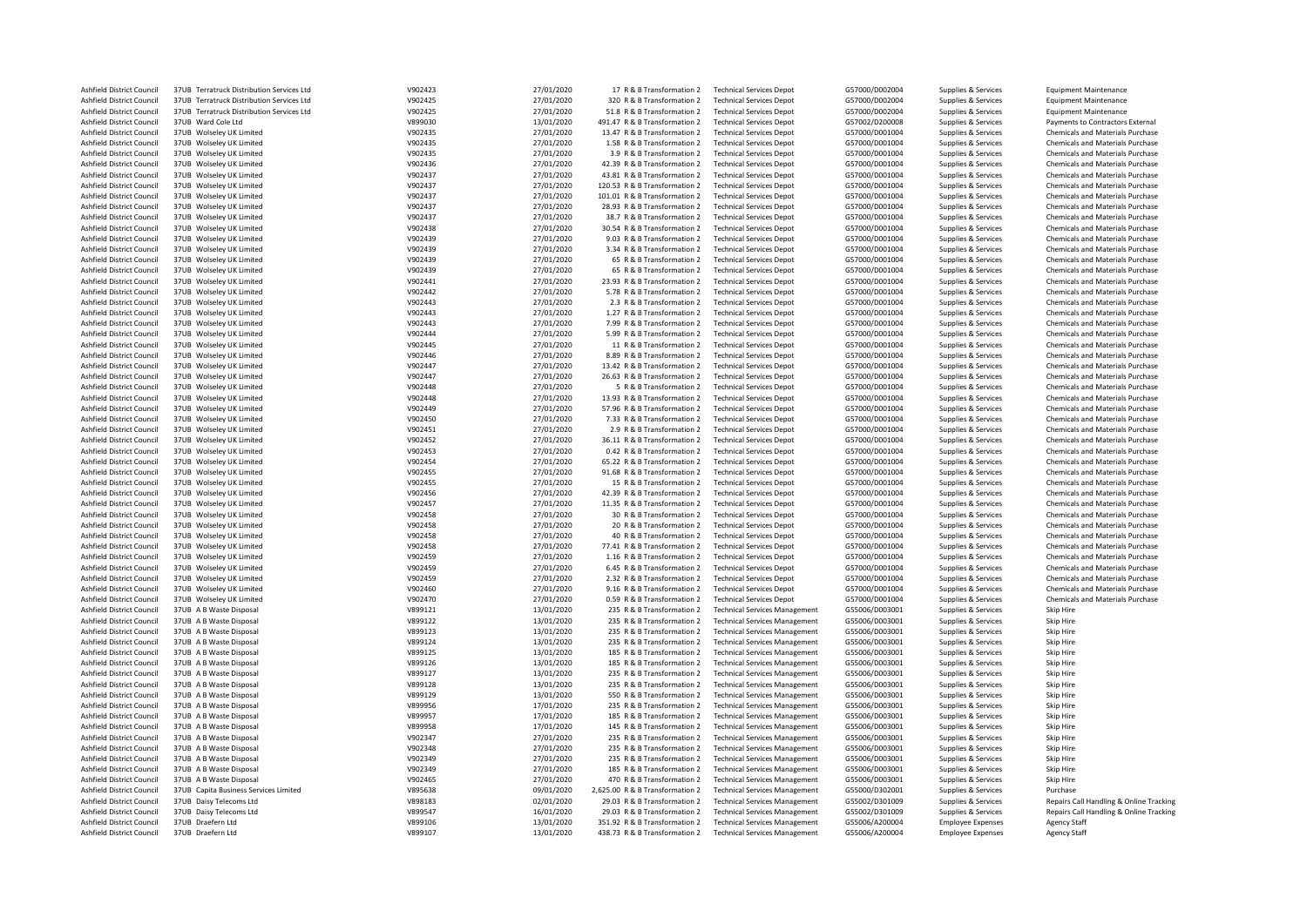| Ashfield District Council | 37UB Terratruck Distribution Services Ltd | V902423 | 27/01/2020 | 17 R & B Transformation 2       | <b>Technical Services Depot</b>      | G57000/D002004 | Supplies & Services      | <b>Equipment Maintenance</b>            |
|---------------------------|-------------------------------------------|---------|------------|---------------------------------|--------------------------------------|----------------|--------------------------|-----------------------------------------|
| Ashfield District Council | 37UB Terratruck Distribution Services Ltd | V902425 | 27/01/2020 | 320 R & B Transformation 2      | <b>Technical Services Depot</b>      | G57000/D002004 | Supplies & Services      | <b>Equipment Maintenance</b>            |
| Ashfield District Council | 37UB Terratruck Distribution Services Ltd | V902425 | 27/01/2020 | 51.8 R & B Transformation 2     | <b>Technical Services Depot</b>      | G57000/D002004 | Supplies & Services      | <b>Equipment Maintenance</b>            |
| Ashfield District Council | 37UB Ward Cole Ltd                        | V899030 | 13/01/2020 | 491.47 R & B Transformation 2   | <b>Technical Services Depot</b>      | G57002/D200008 | Supplies & Services      | Payments to Contractors External        |
|                           |                                           |         |            |                                 |                                      |                |                          |                                         |
| Ashfield District Council | 37UB Wolseley UK Limited                  | V902435 | 27/01/2020 | 13.47 R & B Transformation 2    | <b>Technical Services Depot</b>      | G57000/D001004 | Supplies & Services      | Chemicals and Materials Purchase        |
| Ashfield District Council | 37UB Wolseley UK Limited                  | V902435 | 27/01/2020 | 1.58 R & B Transformation 2     | <b>Technical Services Depot</b>      | G57000/D001004 | Supplies & Services      | Chemicals and Materials Purchase        |
| Ashfield District Council | 37UB Wolseley UK Limited                  | V902435 | 27/01/2020 | 3.9 R & B Transformation 2      | <b>Technical Services Depot</b>      | G57000/D001004 | Supplies & Services      | Chemicals and Materials Purchase        |
| Ashfield District Council | 37UB Wolseley UK Limited                  | V902436 | 27/01/2020 | 42.39 R & B Transformation 2    | <b>Technical Services Depot</b>      | G57000/D001004 | Supplies & Services      | Chemicals and Materials Purchase        |
| Ashfield District Council | 37UB Wolseley UK Limited                  | V902437 | 27/01/2020 | 43.81 R & B Transformation 2    | <b>Technical Services Depot</b>      | G57000/D001004 | Supplies & Services      | Chemicals and Materials Purchase        |
| Ashfield District Council | 37UB Wolseley UK Limited                  | V902437 | 27/01/2020 | 120.53 R & B Transformation 2   | <b>Technical Services Depot</b>      | G57000/D001004 | Supplies & Services      | Chemicals and Materials Purchase        |
| Ashfield District Council | 37UB Wolseley UK Limited                  | V902437 | 27/01/2020 | 101.01 R & B Transformation 2   | <b>Technical Services Depot</b>      | G57000/D001004 | Supplies & Services      | Chemicals and Materials Purchase        |
|                           |                                           |         |            |                                 |                                      |                |                          |                                         |
| Ashfield District Council | 37UB Wolseley UK Limited                  | V902437 | 27/01/2020 | 28.93 R & B Transformation 2    | <b>Technical Services Depot</b>      | G57000/D001004 | Supplies & Services      | Chemicals and Materials Purchase        |
| Ashfield District Council | 37UB Wolseley UK Limited                  | V902437 | 27/01/2020 | 38.7 R & B Transformation 2     | <b>Technical Services Depot</b>      | G57000/D001004 | Supplies & Services      | Chemicals and Materials Purchase        |
| Ashfield District Council | 37UB Wolseley UK Limited                  | V902438 | 27/01/2020 | 30.54 R & B Transformation 2    | <b>Technical Services Depot</b>      | G57000/D001004 | Supplies & Services      | <b>Chemicals and Materials Purchase</b> |
| Ashfield District Council | 37UB Wolseley UK Limited                  | V902439 | 27/01/2020 | 9.03 R & B Transformation 2     | <b>Technical Services Depot</b>      | G57000/D001004 | Supplies & Services      | Chemicals and Materials Purchase        |
| Ashfield District Council | 37UB Wolseley UK Limited                  | V902439 | 27/01/2020 | 3.34 R & B Transformation 2     | <b>Technical Services Depot</b>      | G57000/D001004 | Supplies & Services      | <b>Chemicals and Materials Purchase</b> |
| Ashfield District Council | 37UB Wolseley UK Limited                  | V902439 | 27/01/2020 | 65 R & B Transformation 2       | <b>Technical Services Depot</b>      | G57000/D001004 | Supplies & Services      | Chemicals and Materials Purchase        |
| Ashfield District Council | 37UB Wolseley UK Limited                  | V902439 | 27/01/2020 | 65 R & B Transformation 2       | <b>Technical Services Depot</b>      | G57000/D001004 | Supplies & Services      | Chemicals and Materials Purchase        |
| Ashfield District Council |                                           | V902441 |            |                                 | <b>Technical Services Depot</b>      | G57000/D001004 |                          | <b>Chemicals and Materials Purchase</b> |
|                           | 37UB Wolseley UK Limited                  |         | 27/01/2020 | 23.93 R & B Transformation 2    |                                      |                | Supplies & Services      |                                         |
| Ashfield District Council | 37UB Wolseley UK Limited                  | V902442 | 27/01/2020 | 5.78 R & B Transformation 2     | <b>Technical Services Depot</b>      | G57000/D001004 | Supplies & Services      | Chemicals and Materials Purchase        |
| Ashfield District Council | 37UB Wolseley UK Limited                  | V902443 | 27/01/2020 | 2.3 R & B Transformation 2      | <b>Technical Services Depot</b>      | G57000/D001004 | Supplies & Services      | <b>Chemicals and Materials Purchase</b> |
| Ashfield District Council | 37UB Wolseley UK Limited                  | V902443 | 27/01/2020 | 1.27 R & B Transformation 2     | <b>Technical Services Depot</b>      | G57000/D001004 | Supplies & Services      | <b>Chemicals and Materials Purchase</b> |
| Ashfield District Council | 37UB Wolseley UK Limited                  | V902443 | 27/01/2020 | 7.99 R & B Transformation 2     | <b>Technical Services Depot</b>      | G57000/D001004 | Supplies & Services      | Chemicals and Materials Purchase        |
| Ashfield District Council | 37UB Wolseley UK Limited                  | V902444 | 27/01/2020 | 5.99 R & B Transformation 2     | <b>Technical Services Depot</b>      | G57000/D001004 | Supplies & Services      | <b>Chemicals and Materials Purchase</b> |
| Ashfield District Council | 37UB Wolseley UK Limited                  | V902445 | 27/01/2020 | 11 R & B Transformation 2       | <b>Technical Services Depot</b>      | G57000/D001004 | Supplies & Services      | Chemicals and Materials Purchase        |
|                           |                                           |         |            |                                 |                                      |                |                          |                                         |
| Ashfield District Council | 37UB Wolseley UK Limited                  | V902446 | 27/01/2020 | 8.89 R & B Transformation 2     | <b>Technical Services Depot</b>      | G57000/D001004 | Supplies & Services      | <b>Chemicals and Materials Purchase</b> |
| Ashfield District Council | 37UB Wolseley UK Limited                  | V902447 | 27/01/2020 | 13.42 R & B Transformation 2    | <b>Technical Services Depot</b>      | G57000/D001004 | Supplies & Services      | <b>Chemicals and Materials Purchase</b> |
| Ashfield District Council | 37UB Wolseley UK Limited                  | V902447 | 27/01/2020 | 26.63 R & B Transformation 2    | <b>Technical Services Depot</b>      | G57000/D001004 | Supplies & Services      | Chemicals and Materials Purchase        |
| Ashfield District Council | 37UB Wolseley UK Limited                  | V902448 | 27/01/2020 | 5 R & B Transformation 2        | <b>Technical Services Depot</b>      | G57000/D001004 | Supplies & Services      | Chemicals and Materials Purchase        |
| Ashfield District Council | 37UB Wolseley UK Limited                  | V902448 | 27/01/2020 | 13.93 R & B Transformation 2    | <b>Technical Services Depot</b>      | G57000/D001004 | Supplies & Services      | <b>Chemicals and Materials Purchase</b> |
| Ashfield District Council | 37UB Wolseley UK Limited                  | V902449 | 27/01/2020 | 57.96 R & B Transformation 2    | <b>Technical Services Depot</b>      | G57000/D001004 | Supplies & Services      | <b>Chemicals and Materials Purchase</b> |
| Ashfield District Council | 37UB Wolseley UK Limited                  | V902450 | 27/01/2020 | 7.33 R & B Transformation 2     | <b>Technical Services Depot</b>      | G57000/D001004 | Supplies & Services      | Chemicals and Materials Purchase        |
|                           |                                           |         |            |                                 |                                      |                |                          |                                         |
| Ashfield District Council | 37UB Wolseley UK Limited                  | V902451 | 27/01/2020 | 2.9 R & B Transformation 2      | <b>Technical Services Depot</b>      | G57000/D001004 | Supplies & Services      | Chemicals and Materials Purchase        |
| Ashfield District Council | 37UB Wolseley UK Limited                  | V902452 | 27/01/2020 | 36.11 R & B Transformation 2    | <b>Technical Services Depot</b>      | G57000/D001004 | Supplies & Services      | Chemicals and Materials Purchase        |
| Ashfield District Council | 37UB Wolseley UK Limited                  | V902453 | 27/01/2020 | 0.42 R & B Transformation 2     | <b>Technical Services Depot</b>      | G57000/D001004 | Supplies & Services      | <b>Chemicals and Materials Purchase</b> |
| Ashfield District Council | 37UB Wolseley UK Limited                  | V902454 | 27/01/2020 | 65.22 R & B Transformation 2    | <b>Technical Services Depot</b>      | G57000/D001004 | Supplies & Services      | Chemicals and Materials Purchase        |
| Ashfield District Council | 37UB Wolseley UK Limited                  | V902455 | 27/01/2020 | 91.68 R & B Transformation 2    | <b>Technical Services Depot</b>      | G57000/D001004 | Supplies & Services      | Chemicals and Materials Purchase        |
| Ashfield District Council | 37UB Wolseley UK Limited                  | V902455 | 27/01/2020 | 15 R & B Transformation 2       | <b>Technical Services Depot</b>      | G57000/D001004 | Supplies & Services      | Chemicals and Materials Purchase        |
| Ashfield District Council | 37UB Wolseley UK Limited                  | V902456 | 27/01/2020 | 42.39 R & B Transformation 2    | <b>Technical Services Depot</b>      | G57000/D001004 | Supplies & Services      | Chemicals and Materials Purchase        |
| Ashfield District Council | 37UB Wolseley UK Limited                  | V902457 | 27/01/2020 | 11.35 R & B Transformation 2    | <b>Technical Services Depot</b>      | G57000/D001004 | Supplies & Services      | <b>Chemicals and Materials Purchase</b> |
|                           |                                           |         |            |                                 |                                      |                |                          |                                         |
| Ashfield District Council | 37UB Wolseley UK Limited                  | V902458 | 27/01/2020 | 30 R & B Transformation 2       | <b>Technical Services Depot</b>      | G57000/D001004 | Supplies & Services      | Chemicals and Materials Purchase        |
| Ashfield District Council | 37UB Wolseley UK Limited                  | V902458 | 27/01/2020 | 20 R & B Transformation 2       | <b>Technical Services Depot</b>      | G57000/D001004 | Supplies & Services      | Chemicals and Materials Purchase        |
| Ashfield District Council | 37UB Wolseley UK Limited                  | V902458 | 27/01/2020 | 40 R & B Transformation 2       | <b>Technical Services Depot</b>      | G57000/D001004 | Supplies & Services      | <b>Chemicals and Materials Purchase</b> |
| Ashfield District Council | 37UB Wolseley UK Limited                  | V902458 | 27/01/2020 | 77.41 R & B Transformation 2    | <b>Technical Services Depot</b>      | G57000/D001004 | Supplies & Services      | Chemicals and Materials Purchase        |
| Ashfield District Council | 37UB Wolseley UK Limited                  | V902459 | 27/01/2020 | 1.16 R & B Transformation 2     | <b>Technical Services Depot</b>      | G57000/D001004 | Supplies & Services      | Chemicals and Materials Purchase        |
| Ashfield District Council | 37UB Wolseley UK Limited                  | V902459 | 27/01/2020 | 6.45 R & B Transformation 2     | <b>Technical Services Depot</b>      | G57000/D001004 | Supplies & Services      | Chemicals and Materials Purchase        |
|                           |                                           |         |            |                                 |                                      |                |                          |                                         |
| Ashfield District Council | 37UB Wolseley UK Limited                  | V902459 | 27/01/2020 | 2.32 R & B Transformation 2     | <b>Technical Services Depot</b>      | G57000/D001004 | Supplies & Services      | Chemicals and Materials Purchase        |
| Ashfield District Council | 37UB Wolseley UK Limited                  | V902460 | 27/01/2020 | 9.16 R & B Transformation 2     | <b>Technical Services Depot</b>      | G57000/D001004 | Supplies & Services      | Chemicals and Materials Purchase        |
| Ashfield District Council | 37UB Wolseley UK Limited                  | V902470 | 27/01/2020 | 0.59 R & B Transformation 2     | <b>Technical Services Depot</b>      | G57000/D001004 | Supplies & Services      | Chemicals and Materials Purchase        |
| Ashfield District Council | 37UB A B Waste Disposal                   | V899121 | 13/01/2020 | 235 R & B Transformation 2      | <b>Technical Services Management</b> | G55006/D003001 | Supplies & Services      | Skip Hire                               |
| Ashfield District Council | 37UB A B Waste Disposal                   | V899122 | 13/01/2020 | 235 R & B Transformation 2      | <b>Technical Services Management</b> | G55006/D003001 | Supplies & Services      | Skip Hire                               |
| Ashfield District Council | 37UB A B Waste Disposal                   | V899123 | 13/01/2020 | 235 R & B Transformation 2      | <b>Technical Services Management</b> | G55006/D003001 | Supplies & Services      | Skip Hire                               |
| Ashfield District Council | 37UB A B Waste Disposal                   | V899124 | 13/01/2020 | 235 R & B Transformation 2      | <b>Technical Services Management</b> | G55006/D003001 | Supplies & Services      | Skip Hire                               |
| Ashfield District Council | 37UB A B Waste Disposal                   | V899125 | 13/01/2020 | 185 R & B Transformation 2      | <b>Technical Services Management</b> | G55006/D003001 | Supplies & Services      | Skin Hire                               |
|                           |                                           |         |            |                                 |                                      |                |                          | Skip Hire                               |
| Ashfield District Council | 37UB A B Waste Disposal                   | V899126 | 13/01/2020 | 185 R & B Transformation 2      | <b>Technical Services Management</b> | G55006/D003001 | Supplies & Services      |                                         |
| Ashfield District Council | 37UB A B Waste Disposal                   | V899127 | 13/01/2020 | 235 R & B Transformation 2      | <b>Technical Services Management</b> | G55006/D003001 | Supplies & Services      | Skip Hire                               |
| Ashfield District Council | 37UB A B Waste Disposal                   | V899128 | 13/01/2020 | 235 R & B Transformation 2      | <b>Technical Services Management</b> | G55006/D003001 | Supplies & Services      | Skip Hire                               |
| Ashfield District Council | 37UB A B Waste Disposal                   | V899129 | 13/01/2020 | 550 R & B Transformation 2      | <b>Technical Services Management</b> | G55006/D003001 | Supplies & Services      | Skip Hire                               |
| Ashfield District Council | 37UB A B Waste Disposal                   | V899956 | 17/01/2020 | 235 R & B Transformation 2      | <b>Technical Services Management</b> | G55006/D003001 | Supplies & Services      | Skip Hire                               |
| Ashfield District Council | 37UB A B Waste Disposal                   | V899957 | 17/01/2020 | 185 R & B Transformation 2      | <b>Technical Services Management</b> | G55006/D003001 | Supplies & Services      | Skip Hire                               |
| Ashfield District Council | 37UB A B Waste Disposal                   | V899958 | 17/01/2020 | 145 R & B Transformation 2      | <b>Technical Services Management</b> | G55006/D003001 | Supplies & Services      | Skip Hire                               |
|                           |                                           | V902347 |            |                                 |                                      |                |                          |                                         |
| Ashfield District Council | 37UB A B Waste Disposal                   |         | 27/01/2020 | 235 R & B Transformation 2      | <b>Technical Services Management</b> | G55006/D003001 | Supplies & Services      | Skip Hire                               |
| Ashfield District Council | 37UB A B Waste Disposal                   | V902348 | 27/01/2020 | 235 R & B Transformation 2      | <b>Technical Services Management</b> | G55006/D003001 | Supplies & Services      | Skip Hire                               |
| Ashfield District Council | 37UB A B Waste Disposal                   | V902349 | 27/01/2020 | 235 R & B Transformation 2      | <b>Technical Services Management</b> | G55006/D003001 | Supplies & Services      | Skip Hire                               |
| Ashfield District Council | 37UB A B Waste Disposal                   | V902349 | 27/01/2020 | 185 R & B Transformation 2      | <b>Technical Services Management</b> | G55006/D003001 | Supplies & Services      | Skip Hire                               |
| Ashfield District Council | 37UB A B Waste Disposal                   | V902465 | 27/01/2020 | 470 R & B Transformation 2      | <b>Technical Services Management</b> | G55006/D003001 | Supplies & Services      | Skip Hire                               |
| Ashfield District Council | 37UB Capita Business Services Limited     | V895638 | 09/01/2020 | 2,625.00 R & B Transformation 2 | <b>Technical Services Management</b> | G55000/D302001 | Supplies & Services      | Purchase                                |
| Ashfield District Council | 37UB Daisy Telecoms Ltd                   | V898183 | 02/01/2020 | 29.03 R & B Transformation 2    | <b>Technical Services Management</b> | G55002/D301009 | Supplies & Services      | Repairs Call Handling & Online Tracking |
| Ashfield District Council | 37UB Daisy Telecoms Ltd                   | V899547 | 16/01/2020 | 29.03 R & B Transformation 2    | <b>Technical Services Management</b> | G55002/D301009 | Supplies & Services      | Repairs Call Handling & Online Tracking |
|                           |                                           |         |            |                                 |                                      |                |                          |                                         |
| Ashfield District Council | 37UB Draefern Ltd                         | V899106 | 13/01/2020 | 351.92 R & B Transformation 2   | <b>Technical Services Management</b> | G55006/A200004 | <b>Employee Expenses</b> | <b>Agency Staff</b>                     |
| Ashfield District Council | 37UB Draefern Ltd                         | V899107 | 13/01/2020 | 438.73 R & B Transformation 2   | <b>Technical Services Management</b> | G55006/A200004 | <b>Employee Expenses</b> | <b>Agency Staff</b>                     |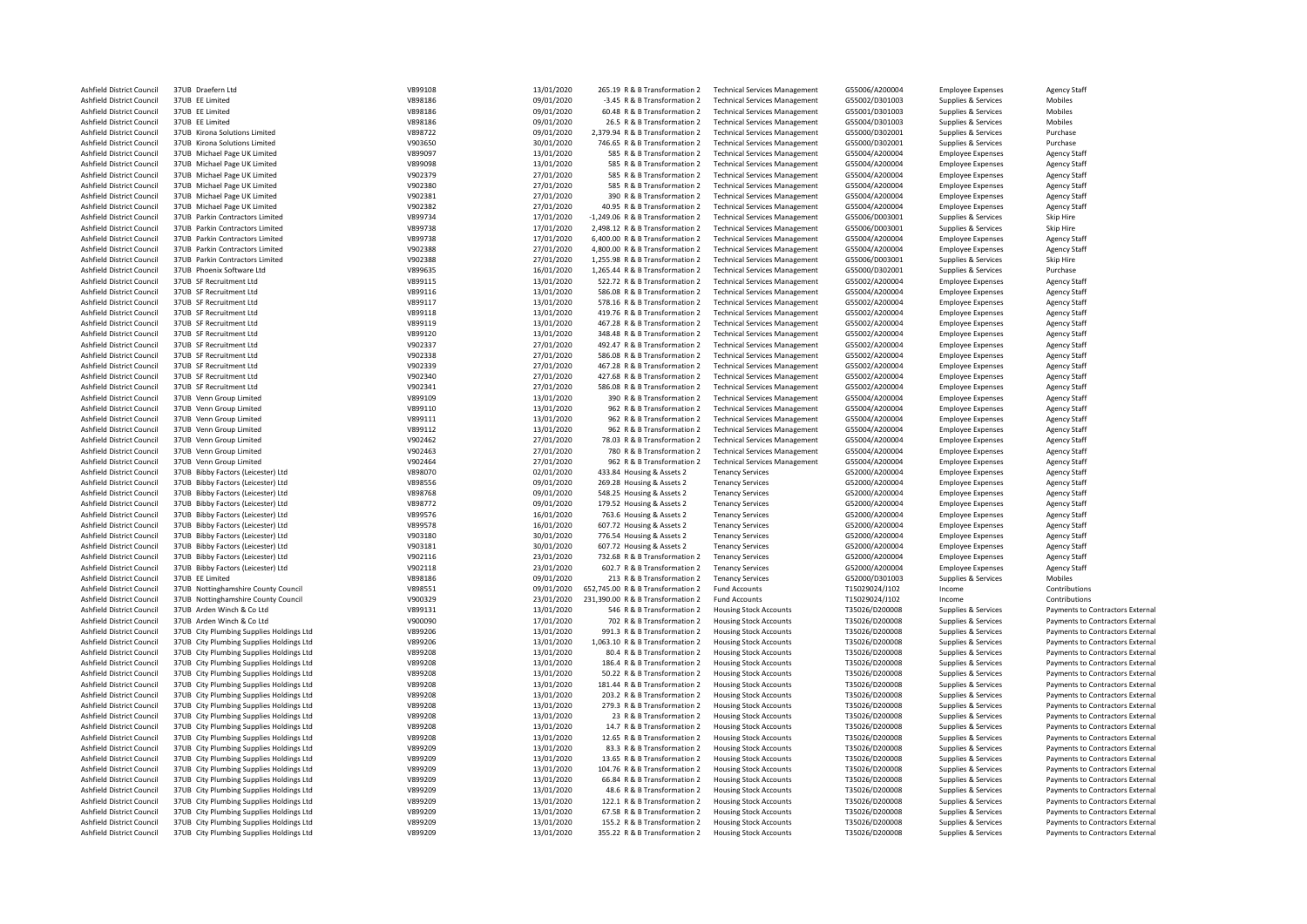| Ashfield District Council        | 37UB Draefern Ltd                        | V899108 | 13/01/2020 | 265.19 R & B Transformation 2     | <b>Technical Services Management</b> | G55006/A200004 | <b>Employee Expenses</b> | <b>Agency Staff</b>              |
|----------------------------------|------------------------------------------|---------|------------|-----------------------------------|--------------------------------------|----------------|--------------------------|----------------------------------|
| Ashfield District Council        | 37UB EE Limited                          | V898186 | 09/01/2020 | -3.45 R & B Transformation 2      | <b>Technical Services Management</b> | G55002/D301003 | Supplies & Services      | Mobiles                          |
| Ashfield District Council        | 37UB EE Limited                          | V898186 | 09/01/2020 | 60.48 R & B Transformation 2      | <b>Technical Services Management</b> | G55001/D301003 | Supplies & Services      | Mobiles                          |
| Ashfield District Council        | 37UB EE Limited                          | V898186 | 09/01/2020 | 26.5 R & B Transformation 2       | <b>Technical Services Management</b> | G55004/D301003 | Supplies & Services      | Mobiles                          |
| Ashfield District Council        | 37UB Kirona Solutions Limited            | V898722 | 09/01/2020 | 2,379.94 R & B Transformation 2   | <b>Technical Services Management</b> | G55000/D302001 | Supplies & Services      | Purchase                         |
| Ashfield District Council        | 37UB Kirona Solutions Limited            | V903650 | 30/01/2020 | 746.65 R & B Transformation 2     | <b>Technical Services Management</b> | G55000/D302001 | Supplies & Services      | Purchase                         |
| Ashfield District Council        | 37UB Michael Page UK Limited             | V899097 | 13/01/2020 | 585 R & B Transformation 2        | <b>Technical Services Management</b> | G55004/A200004 | <b>Employee Expenses</b> | <b>Agency Staff</b>              |
|                                  |                                          |         |            |                                   |                                      |                |                          |                                  |
| Ashfield District Council        | 37UB Michael Page UK Limited             | V899098 | 13/01/2020 | 585 R & B Transformation 2        | <b>Technical Services Management</b> | G55004/A200004 | <b>Employee Expenses</b> | <b>Agency Staff</b>              |
| Ashfield District Council        | 37UB Michael Page UK Limited             | V902379 | 27/01/2020 | 585 R & B Transformation 2        | <b>Technical Services Management</b> | G55004/A200004 | <b>Employee Expenses</b> | <b>Agency Staff</b>              |
| Ashfield District Council        | 37UB Michael Page UK Limited             | V902380 | 27/01/2020 | 585 R & B Transformation 2        | <b>Technical Services Management</b> | G55004/A200004 | <b>Employee Expenses</b> | <b>Agency Staff</b>              |
| Ashfield District Council        | 37UB Michael Page UK Limited             | V902381 | 27/01/2020 | 390 R & B Transformation 2        | <b>Technical Services Management</b> | G55004/A200004 | <b>Employee Expenses</b> | <b>Agency Staff</b>              |
| Ashfield District Council        | 37UB Michael Page UK Limited             | V902382 | 27/01/2020 | 40.95 R & B Transformation 2      | <b>Technical Services Management</b> | G55004/A200004 | <b>Employee Expenses</b> | <b>Agency Staff</b>              |
| Ashfield District Council        | 37UB Parkin Contractors Limited          | V899734 | 17/01/2020 | -1,249.06 R & B Transformation 2  | <b>Technical Services Management</b> | G55006/D003001 | Supplies & Services      | Skip Hire                        |
| Ashfield District Council        | 37UB Parkin Contractors Limited          | V899738 | 17/01/2020 | 2,498.12 R & B Transformation 2   | <b>Technical Services Management</b> | G55006/D003001 | Supplies & Services      | Skip Hire                        |
|                                  |                                          |         |            |                                   |                                      |                |                          |                                  |
| Ashfield District Council        | 37UB Parkin Contractors Limited          | V899738 | 17/01/2020 | 6,400.00 R & B Transformation 2   | <b>Technical Services Management</b> | G55004/A200004 | <b>Employee Expenses</b> | <b>Agency Staff</b>              |
| Ashfield District Council        | 37UB Parkin Contractors Limited          | V902388 | 27/01/2020 | 4,800.00 R & B Transformation 2   | <b>Technical Services Management</b> | G55004/A200004 | <b>Employee Expenses</b> | <b>Agency Staff</b>              |
| Ashfield District Council        | 37UB Parkin Contractors Limited          | V902388 | 27/01/2020 | 1,255.98 R & B Transformation 2   | <b>Technical Services Management</b> | G55006/D003001 | Supplies & Services      | Skip Hire                        |
| Ashfield District Council        | 37UB Phoenix Software Ltd                | V899635 | 16/01/2020 | 1.265.44 R & B Transformation 2   | <b>Technical Services Management</b> | G55000/D302001 | Supplies & Services      | Purchase                         |
| Ashfield District Council        | 37UB SF Recruitment Ltd                  | V899115 | 13/01/2020 | 522.72 R & B Transformation 2     | <b>Technical Services Management</b> | G55002/A200004 | <b>Employee Expenses</b> | <b>Agency Staff</b>              |
| Ashfield District Council        | 37UB SF Recruitment Ltd                  | V899116 | 13/01/2020 | 586.08 R & B Transformation 2     | <b>Technical Services Management</b> | G55004/A200004 | <b>Employee Expenses</b> | <b>Agency Staff</b>              |
| Ashfield District Council        | 37UB SF Recruitment Ltd                  | V899117 | 13/01/2020 | 578.16 R & B Transformation 2     | <b>Technical Services Management</b> | G55002/A200004 | <b>Employee Expenses</b> | <b>Agency Staff</b>              |
|                                  |                                          |         |            |                                   |                                      |                |                          |                                  |
| Ashfield District Council        | 37UB SF Recruitment Ltd                  | V899118 | 13/01/2020 | 419.76 R & B Transformation 2     | <b>Technical Services Management</b> | G55002/A200004 | <b>Employee Expenses</b> | <b>Agency Staff</b>              |
| Ashfield District Council        | 37UB SF Recruitment Ltd                  | V899119 | 13/01/2020 | 467.28 R & B Transformation 2     | <b>Technical Services Management</b> | G55002/A200004 | <b>Employee Expenses</b> | <b>Agency Staff</b>              |
| Ashfield District Council        | 37UB SF Recruitment Ltd                  | V899120 | 13/01/2020 | 348.48 R & B Transformation 2     | <b>Technical Services Management</b> | G55002/A200004 | <b>Employee Expenses</b> | <b>Agency Staff</b>              |
| Ashfield District Council        | 37UB SF Recruitment Ltd                  | V902337 | 27/01/2020 | 492.47 R & B Transformation 2     | <b>Technical Services Management</b> | G55002/A200004 | <b>Employee Expenses</b> | <b>Agency Staff</b>              |
| Ashfield District Council        | 37UB SF Recruitment Ltd                  | V902338 | 27/01/2020 | 586.08 R & B Transformation 2     | <b>Technical Services Management</b> | G55002/A200004 | <b>Employee Expenses</b> | <b>Agency Staff</b>              |
| Ashfield District Council        | 37UB SF Recruitment Ltd                  | V902339 | 27/01/2020 | 467.28 R & B Transformation 2     | <b>Technical Services Management</b> | G55002/A200004 | <b>Employee Expenses</b> | <b>Agency Staff</b>              |
| Ashfield District Council        | 37UB SF Recruitment Ltd                  | V902340 | 27/01/2020 | 427.68 R & B Transformation 2     | <b>Technical Services Management</b> | G55002/A200004 | <b>Employee Expenses</b> | <b>Agency Staff</b>              |
|                                  |                                          |         | 27/01/2020 |                                   |                                      |                |                          |                                  |
| Ashfield District Council        | 37UB SF Recruitment Ltd                  | V902341 |            | 586.08 R & B Transformation 2     | <b>Technical Services Management</b> | G55002/A200004 | <b>Employee Expenses</b> | <b>Agency Staff</b>              |
| Ashfield District Council        | 37UB Venn Group Limited                  | V899109 | 13/01/2020 | 390 R & B Transformation 2        | <b>Technical Services Management</b> | G55004/A200004 | <b>Employee Expenses</b> | <b>Agency Staff</b>              |
| Ashfield District Council        | 37UB Venn Group Limited                  | V899110 | 13/01/2020 | 962 R & B Transformation 2        | <b>Technical Services Management</b> | G55004/A200004 | <b>Employee Expenses</b> | <b>Agency Staff</b>              |
| Ashfield District Council        | 37UB Venn Group Limited                  | V899111 | 13/01/2020 | 962 R & B Transformation 2        | <b>Technical Services Management</b> | G55004/A200004 | <b>Employee Expenses</b> | <b>Agency Staff</b>              |
| Ashfield District Council        | 37UB Venn Group Limited                  | V899112 | 13/01/2020 | 962 R & B Transformation 2        | <b>Technical Services Management</b> | G55004/A200004 | <b>Employee Expenses</b> | <b>Agency Staff</b>              |
| Ashfield District Council        | 37UB Venn Group Limited                  | V902462 | 27/01/2020 | 78.03 R & B Transformation 2      | <b>Technical Services Management</b> | G55004/A200004 | <b>Employee Expenses</b> | <b>Agency Staff</b>              |
| Ashfield District Council        | 37UB Venn Group Limited                  | V902463 | 27/01/2020 | 780 R & B Transformation 2        | <b>Technical Services Management</b> | G55004/A200004 | <b>Employee Expenses</b> | <b>Agency Staff</b>              |
| Ashfield District Council        | 37UB Venn Group Limited                  | V902464 | 27/01/2020 | 962 R & B Transformation 2        | <b>Technical Services Management</b> | G55004/A200004 | <b>Employee Expenses</b> | <b>Agency Staff</b>              |
| Ashfield District Council        |                                          | V898070 |            | 433.84 Housing & Assets 2         | <b>Tenancy Services</b>              |                |                          |                                  |
|                                  | 37UB Bibby Factors (Leicester) Ltd       |         | 02/01/2020 |                                   |                                      | G52000/A200004 | <b>Employee Expenses</b> | <b>Agency Staff</b>              |
| Ashfield District Council        | 37UB Bibby Factors (Leicester) Ltd       | V898556 | 09/01/2020 | 269.28 Housing & Assets 2         | <b>Tenancy Services</b>              | G52000/A200004 | <b>Employee Expenses</b> | <b>Agency Staff</b>              |
| Ashfield District Council        | 37UB Bibby Factors (Leicester) Ltd       | V898768 | 09/01/2020 | 548.25 Housing & Assets 2         | <b>Tenancy Services</b>              | G52000/A200004 | <b>Employee Expenses</b> | <b>Agency Staff</b>              |
| Ashfield District Council        | 37UB Bibby Factors (Leicester) Ltd       | V898772 | 09/01/2020 | 179.52 Housing & Assets 2         | <b>Tenancy Services</b>              | G52000/A200004 | <b>Employee Expenses</b> | <b>Agency Staff</b>              |
| Ashfield District Council        | 37UB Bibby Factors (Leicester) Ltd       | V899576 | 16/01/2020 | 763.6 Housing & Assets 2          | <b>Tenancy Services</b>              | G52000/A200004 | <b>Employee Expenses</b> | <b>Agency Staff</b>              |
| Ashfield District Council        | 37UB Bibby Factors (Leicester) Ltd       | V899578 | 16/01/2020 | 607.72 Housing & Assets 2         | <b>Tenancy Services</b>              | G52000/A200004 | <b>Employee Expenses</b> | <b>Agency Staff</b>              |
| Ashfield District Council        | 37UB Bibby Factors (Leicester) Ltd       | V903180 | 30/01/2020 | 776.54 Housing & Assets 2         | <b>Tenancy Services</b>              | G52000/A200004 | <b>Employee Expenses</b> | <b>Agency Staff</b>              |
| Ashfield District Council        | 37UB Bibby Factors (Leicester) Ltd       | V903181 | 30/01/2020 | 607.72 Housing & Assets 2         | <b>Tenancy Services</b>              | G52000/A200004 | <b>Employee Expenses</b> | <b>Agency Staff</b>              |
| Ashfield District Council        | 37UB Bibby Factors (Leicester) Ltd       | V902116 | 23/01/2020 | 732.68 R & B Transformation 2     | <b>Tenancy Services</b>              | G52000/A200004 |                          | <b>Agency Staff</b>              |
|                                  |                                          |         |            |                                   |                                      |                | <b>Employee Expenses</b> |                                  |
| Ashfield District Council        | 37UB Bibby Factors (Leicester) Ltd       | V902118 | 23/01/2020 | 602.7 R & B Transformation 2      | <b>Tenancy Services</b>              | G52000/A200004 | <b>Employee Expenses</b> | <b>Agency Staff</b>              |
| Ashfield District Council        | 37UB EE Limited                          | V898186 | 09/01/2020 | 213 R & B Transformation 2        | <b>Tenancy Services</b>              | G52000/D301003 | Supplies & Services      | Mobiles                          |
| Ashfield District Council        | 37UB Nottinghamshire County Council      | V898551 | 09/01/2020 | 652,745.00 R & B Transformation 2 | <b>Fund Accounts</b>                 | T15029024/J102 | Income                   | Contributions                    |
| Ashfield District Council        | 37UB Nottinghamshire County Council      | V900329 | 23/01/2020 | 231,390.00 R & B Transformation 2 | <b>Fund Accounts</b>                 | T15029024/J102 | Income                   | Contributions                    |
| Ashfield District Council        | 37UB Arden Winch & Co Ltd                | V899131 | 13/01/2020 | 546 R & B Transformation 2        | <b>Housing Stock Accounts</b>        | T35026/D200008 | Supplies & Services      | Payments to Contractors External |
| Ashfield District Council        | 37UB Arden Winch & Co Ltd                | V900090 | 17/01/2020 | 702 R & B Transformation 2        | <b>Housing Stock Accounts</b>        | T35026/D200008 | Supplies & Services      | Payments to Contractors External |
| Ashfield District Council        | 37UB City Plumbing Supplies Holdings Ltd | V899206 | 13/01/2020 | 991.3 R & B Transformation 2      | <b>Housing Stock Accounts</b>        | T35026/D200008 | Supplies & Services      | Payments to Contractors External |
| Ashfield District Council        | 37UB City Plumbing Supplies Holdings Ltd | V899206 | 13/01/2020 | 1,063.10 R & B Transformation 2   | <b>Housing Stock Accounts</b>        | T35026/D200008 | Supplies & Services      | Payments to Contractors External |
| Ashfield District Council        | 37UB City Plumbing Supplies Holdings Ltd | V899208 | 13/01/2020 | 80.4 R & B Transformation 2       | <b>Housing Stock Accounts</b>        | T35026/D200008 |                          | Payments to Contractors External |
|                                  |                                          |         |            |                                   |                                      |                | Supplies & Services      |                                  |
| Ashfield District Council        | 37UB City Plumbing Supplies Holdings Ltd | V899208 | 13/01/2020 | 186.4 R & B Transformation 2      | <b>Housing Stock Accounts</b>        | T35026/D200008 | Supplies & Services      | Payments to Contractors External |
| Ashfield District Council        | 37UB City Plumbing Supplies Holdings Ltd | V899208 | 13/01/2020 | 50.22 R & B Transformation 2      | <b>Housing Stock Accounts</b>        | T35026/D200008 | Supplies & Services      | Payments to Contractors External |
| Ashfield District Council        | 37UB City Plumbing Supplies Holdings Ltd | V899208 | 13/01/2020 | 181.44 R & B Transformation 2     | <b>Housing Stock Accounts</b>        | T35026/D200008 | Supplies & Services      | Payments to Contractors External |
| Ashfield District Council        | 37UB City Plumbing Supplies Holdings Ltd | V899208 | 13/01/2020 | 203.2 R & B Transformation 2      | <b>Housing Stock Accounts</b>        | T35026/D200008 | Supplies & Services      | Payments to Contractors External |
| Ashfield District Council        | 37UB City Plumbing Supplies Holdings Ltd | V899208 | 13/01/2020 | 279.3 R & B Transformation 2      | <b>Housing Stock Accounts</b>        | T35026/D200008 | Supplies & Services      | Payments to Contractors External |
| Ashfield District Council        | 37UB City Plumbing Supplies Holdings Ltd | V899208 | 13/01/2020 | 23 R & B Transformation 2         | <b>Housing Stock Accounts</b>        | T35026/D200008 | Supplies & Services      | Payments to Contractors External |
| Ashfield District Council        | 37UB City Plumbing Supplies Holdings Ltd | V899208 | 13/01/2020 | 14.7 R & B Transformation 2       | <b>Housing Stock Accounts</b>        | T35026/D200008 | Supplies & Services      | Payments to Contractors External |
| Ashfield District Council        | 37UB City Plumbing Supplies Holdings Ltd | V899208 | 13/01/2020 | 12.65 R & B Transformation 2      | <b>Housing Stock Accounts</b>        | T35026/D200008 | Supplies & Services      | Payments to Contractors External |
|                                  |                                          |         |            |                                   |                                      |                |                          |                                  |
| Ashfield District Council        | 37UB City Plumbing Supplies Holdings Ltd | V899209 | 13/01/2020 | 83.3 R & B Transformation 2       | <b>Housing Stock Accounts</b>        | T35026/D200008 | Supplies & Services      | Payments to Contractors External |
| Ashfield District Council        | 37UB City Plumbing Supplies Holdings Ltd | V899209 | 13/01/2020 | 13.65 R & B Transformation 2      | <b>Housing Stock Accounts</b>        | T35026/D200008 | Supplies & Services      | Payments to Contractors External |
| Ashfield District Council        | 37UB City Plumbing Supplies Holdings Ltd | V899209 | 13/01/2020 | 104.76 R & B Transformation 2     | <b>Housing Stock Accounts</b>        | T35026/D200008 | Supplies & Services      | Payments to Contractors External |
| Ashfield District Council        | 37UB City Plumbing Supplies Holdings Ltd | V899209 | 13/01/2020 | 66.84 R & B Transformation 2      | <b>Housing Stock Accounts</b>        | T35026/D200008 | Supplies & Services      | Payments to Contractors External |
| Ashfield District Council        | 37UB City Plumbing Supplies Holdings Ltd | V899209 | 13/01/2020 | 48.6 R & B Transformation 2       | <b>Housing Stock Accounts</b>        | T35026/D200008 | Supplies & Services      | Payments to Contractors External |
| <b>Ashfield District Council</b> | 37UB City Plumbing Supplies Holdings Ltd | V899209 | 13/01/2020 | 122.1 R & B Transformation 2      | <b>Housing Stock Accounts</b>        | T35026/D200008 | Supplies & Services      | Payments to Contractors External |
| Ashfield District Council        | 37UB City Plumbing Supplies Holdings Ltd | V899209 | 13/01/2020 | 67.58 R & B Transformation 2      | <b>Housing Stock Accounts</b>        | T35026/D200008 | Supplies & Services      | Payments to Contractors External |
| Ashfield District Council        |                                          | V899209 | 13/01/2020 |                                   |                                      | T35026/D200008 |                          |                                  |
|                                  | 37UB City Plumbing Supplies Holdings Ltd |         |            | 155.2 R & B Transformation 2      | <b>Housing Stock Accounts</b>        |                | Supplies & Services      | Payments to Contractors External |
| Ashfield District Council        | 37UB City Plumbing Supplies Holdings Ltd | V899209 | 13/01/2020 | 355.22 R & B Transformation 2     | <b>Housing Stock Accounts</b>        | T35026/D200008 | Supplies & Services      | Payments to Contractors External |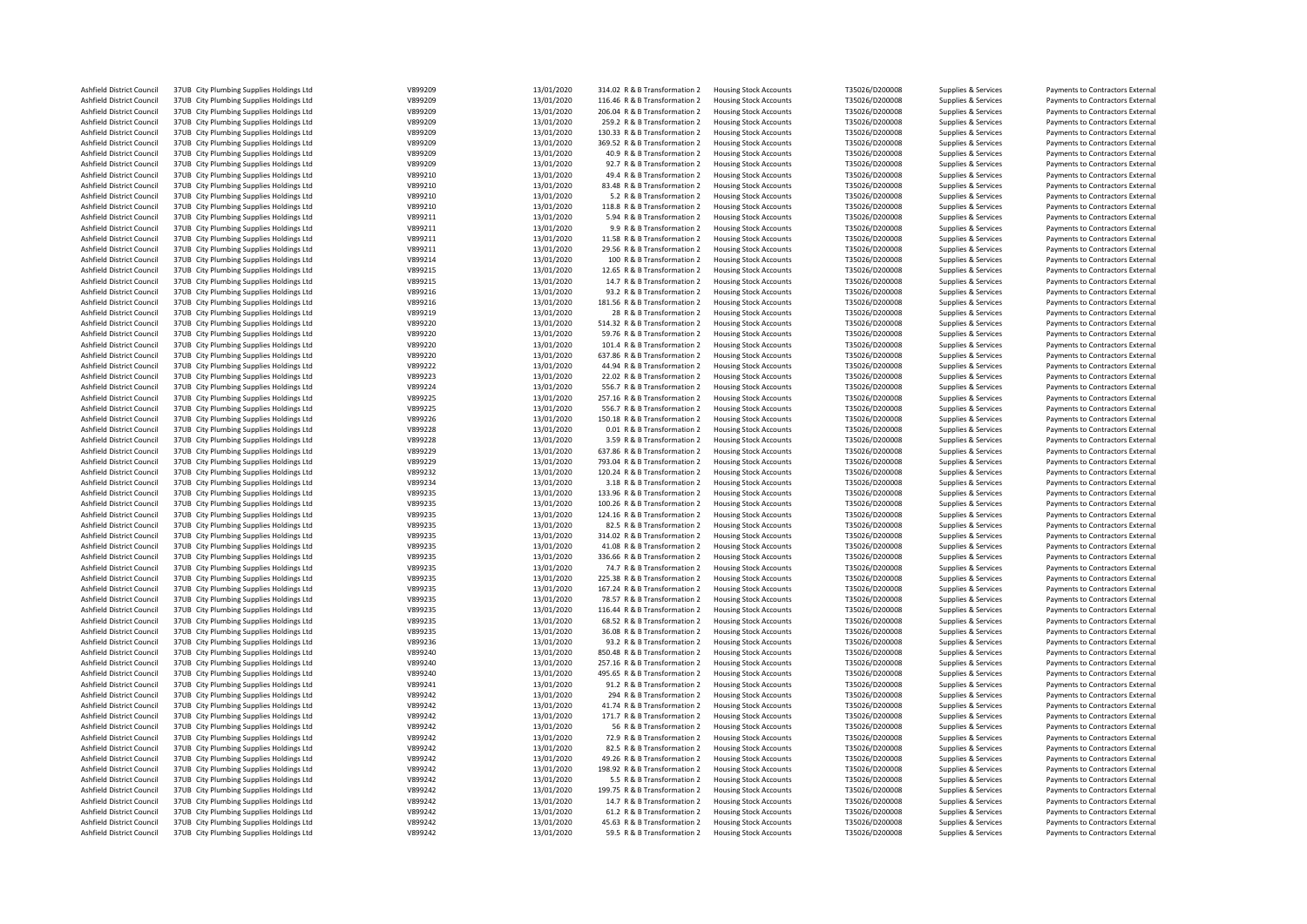| Ashfield District Council | 37UB City Plumbing Supplies Holdings Ltd | V899209 | 13/01/2020 | 314.02 R & B Transformation 2 | <b>Housing Stock Accounts</b> | T35026/D200008 | Supplies & Services | Payments to Contractors External |
|---------------------------|------------------------------------------|---------|------------|-------------------------------|-------------------------------|----------------|---------------------|----------------------------------|
| Ashfield District Council | 37UB City Plumbing Supplies Holdings Ltd | V899209 | 13/01/2020 | 116.46 R & B Transformation 2 | Housing Stock Accounts        | T35026/D200008 | Supplies & Services | Payments to Contractors External |
| Ashfield District Council | 37UB City Plumbing Supplies Holdings Ltd | V899209 | 13/01/2020 | 206.04 R & B Transformation 2 | <b>Housing Stock Accounts</b> | T35026/D200008 | Supplies & Services | Payments to Contractors External |
| Ashfield District Council | 37UB City Plumbing Supplies Holdings Ltd | V899209 | 13/01/2020 | 259.2 R & B Transformation 2  | <b>Housing Stock Accounts</b> | T35026/D200008 | Supplies & Services | Payments to Contractors External |
| Ashfield District Council | 37UB City Plumbing Supplies Holdings Ltd | V899209 | 13/01/2020 | 130.33 R & B Transformation 2 | <b>Housing Stock Accounts</b> | T35026/D200008 |                     | Payments to Contractors External |
|                           |                                          |         |            |                               |                               |                | Supplies & Services |                                  |
| Ashfield District Council | 37UB City Plumbing Supplies Holdings Ltd | V899209 | 13/01/2020 | 369.52 R & B Transformation 2 | <b>Housing Stock Accounts</b> | T35026/D200008 | Supplies & Services | Payments to Contractors External |
| Ashfield District Council | 37UB City Plumbing Supplies Holdings Ltd | V899209 | 13/01/2020 | 40.9 R & B Transformation 2   | <b>Housing Stock Accounts</b> | T35026/D200008 | Supplies & Services | Payments to Contractors External |
| Ashfield District Council | 37UB City Plumbing Supplies Holdings Ltd | V899209 | 13/01/2020 | 92.7 R & B Transformation 2   | <b>Housing Stock Accounts</b> | T35026/D200008 | Supplies & Services | Payments to Contractors External |
| Ashfield District Council | 37UB City Plumbing Supplies Holdings Ltd | V899210 | 13/01/2020 | 49.4 R & B Transformation 2   | <b>Housing Stock Accounts</b> | T35026/D200008 | Supplies & Services | Payments to Contractors External |
| Ashfield District Council | 37UB City Plumbing Supplies Holdings Ltd | V899210 | 13/01/2020 | 83.48 R & B Transformation 2  | <b>Housing Stock Accounts</b> | T35026/D200008 | Supplies & Services | Payments to Contractors External |
| Ashfield District Council | 37UB City Plumbing Supplies Holdings Ltd | V899210 | 13/01/2020 | 5.2 R & B Transformation 2    | <b>Housing Stock Accounts</b> | T35026/D200008 |                     | Payments to Contractors External |
|                           |                                          |         |            |                               |                               |                | Supplies & Services |                                  |
| Ashfield District Council | 37UB City Plumbing Supplies Holdings Ltd | V899210 | 13/01/2020 | 118.8 R & B Transformation 2  | <b>Housing Stock Accounts</b> | T35026/D200008 | Supplies & Services | Payments to Contractors External |
| Ashfield District Council | 37UB City Plumbing Supplies Holdings Ltd | V899211 | 13/01/2020 | 5.94 R & B Transformation 2   | <b>Housing Stock Accounts</b> | T35026/D200008 | Supplies & Services | Payments to Contractors External |
| Ashfield District Council | 37UB City Plumbing Supplies Holdings Ltd | V899211 | 13/01/2020 | 9.9 R & B Transformation 2    | <b>Housing Stock Accounts</b> | T35026/D200008 | Supplies & Services | Payments to Contractors External |
| Ashfield District Council | 37UB City Plumbing Supplies Holdings Ltd | V899211 | 13/01/2020 | 11.58 R & B Transformation 2  | <b>Housing Stock Accounts</b> | T35026/D200008 | Supplies & Services | Payments to Contractors External |
| Ashfield District Council | 37UB City Plumbing Supplies Holdings Ltd | V899211 | 13/01/2020 | 29.56 R & B Transformation 2  | <b>Housing Stock Accounts</b> | T35026/D200008 | Supplies & Services | Payments to Contractors External |
|                           |                                          |         |            |                               |                               |                |                     |                                  |
| Ashfield District Council | 37UB City Plumbing Supplies Holdings Ltd | V899214 | 13/01/2020 | 100 R & B Transformation 2    | <b>Housing Stock Accounts</b> | T35026/D200008 | Supplies & Services | Payments to Contractors External |
| Ashfield District Council | 37UB City Plumbing Supplies Holdings Ltd | V899215 | 13/01/2020 | 12.65 R & B Transformation 2  | <b>Housing Stock Accounts</b> | T35026/D200008 | Supplies & Services | Payments to Contractors External |
| Ashfield District Council | 37UB City Plumbing Supplies Holdings Ltd | V899215 | 13/01/2020 | 14.7 R & B Transformation 2   | <b>Housing Stock Accounts</b> | T35026/D200008 | Supplies & Services | Payments to Contractors External |
| Ashfield District Council | 37UB City Plumbing Supplies Holdings Ltd | V899216 | 13/01/2020 | 93.2 R & B Transformation 2   | <b>Housing Stock Accounts</b> | T35026/D200008 | Supplies & Services | Payments to Contractors External |
| Ashfield District Council | 37UB City Plumbing Supplies Holdings Ltd | V899216 | 13/01/2020 | 181.56 R & B Transformation 2 | <b>Housing Stock Accounts</b> | T35026/D200008 | Supplies & Services | Payments to Contractors External |
| Ashfield District Council | 37UB City Plumbing Supplies Holdings Ltd | V899219 | 13/01/2020 | 28 R & B Transformation 2     | <b>Housing Stock Accounts</b> | T35026/D200008 | Supplies & Services | Payments to Contractors External |
|                           |                                          |         |            |                               |                               |                |                     |                                  |
| Ashfield District Council | 37UB City Plumbing Supplies Holdings Ltd | V899220 | 13/01/2020 | 514.32 R & B Transformation 2 | <b>Housing Stock Accounts</b> | T35026/D200008 | Supplies & Services | Payments to Contractors External |
| Ashfield District Council | 37UB City Plumbing Supplies Holdings Ltd | V899220 | 13/01/2020 | 59.76 R & B Transformation 2  | <b>Housing Stock Accounts</b> | T35026/D200008 | Supplies & Services | Payments to Contractors External |
| Ashfield District Council | 37UB City Plumbing Supplies Holdings Ltd | V899220 | 13/01/2020 | 101.4 R & B Transformation 2  | <b>Housing Stock Accounts</b> | T35026/D200008 | Supplies & Services | Payments to Contractors External |
| Ashfield District Council | 37UB City Plumbing Supplies Holdings Ltd | V899220 | 13/01/2020 | 637.86 R & B Transformation 2 | <b>Housing Stock Accounts</b> | T35026/D200008 | Supplies & Services | Payments to Contractors External |
| Ashfield District Council | 37UB City Plumbing Supplies Holdings Ltd | V899222 | 13/01/2020 | 44.94 R & B Transformation 2  | <b>Housing Stock Accounts</b> | T35026/D200008 | Supplies & Services | Payments to Contractors External |
| Ashfield District Council | 37UB City Plumbing Supplies Holdings Ltd | V899223 | 13/01/2020 | 22.02 R & B Transformation 2  | <b>Housing Stock Accounts</b> | T35026/D200008 | Supplies & Services | Payments to Contractors External |
|                           |                                          |         |            |                               |                               |                |                     |                                  |
| Ashfield District Council | 37UB City Plumbing Supplies Holdings Ltd | V899224 | 13/01/2020 | 556.7 R & B Transformation 2  | <b>Housing Stock Accounts</b> | T35026/D200008 | Supplies & Services | Payments to Contractors External |
| Ashfield District Council | 37UB City Plumbing Supplies Holdings Ltd | V899225 | 13/01/2020 | 257.16 R & B Transformation 2 | <b>Housing Stock Accounts</b> | T35026/D200008 | Supplies & Services | Payments to Contractors External |
| Ashfield District Council | 37UB City Plumbing Supplies Holdings Ltd | V899225 | 13/01/2020 | 556.7 R & B Transformation 2  | <b>Housing Stock Accounts</b> | T35026/D200008 | Supplies & Services | Payments to Contractors External |
| Ashfield District Council | 37UB City Plumbing Supplies Holdings Ltd | V899226 | 13/01/2020 | 150.18 R & B Transformation 2 | <b>Housing Stock Accounts</b> | T35026/D200008 | Supplies & Services | Payments to Contractors External |
| Ashfield District Council | 37UB City Plumbing Supplies Holdings Ltd | V899228 | 13/01/2020 | 0.01 R & B Transformation 2   | <b>Housing Stock Accounts</b> | T35026/D200008 | Supplies & Services | Payments to Contractors External |
| Ashfield District Council |                                          | V899228 | 13/01/2020 | 3.59 R & B Transformation 2   |                               | T35026/D200008 |                     |                                  |
|                           | 37UB City Plumbing Supplies Holdings Ltd |         |            |                               | <b>Housing Stock Accounts</b> |                | Supplies & Services | Payments to Contractors External |
| Ashfield District Council | 37UB City Plumbing Supplies Holdings Ltd | V899229 | 13/01/2020 | 637.86 R & B Transformation 2 | <b>Housing Stock Accounts</b> | T35026/D200008 | Supplies & Services | Payments to Contractors External |
| Ashfield District Council | 37UB City Plumbing Supplies Holdings Ltd | V899229 | 13/01/2020 | 793.04 R & B Transformation 2 | <b>Housing Stock Accounts</b> | T35026/D200008 | Supplies & Services | Payments to Contractors External |
| Ashfield District Council | 37UB City Plumbing Supplies Holdings Ltd | V899232 | 13/01/2020 | 120.24 R & B Transformation 2 | <b>Housing Stock Accounts</b> | T35026/D200008 | Supplies & Services | Payments to Contractors External |
| Ashfield District Council | 37UB City Plumbing Supplies Holdings Ltd | V899234 | 13/01/2020 | 3.18 R & B Transformation 2   | <b>Housing Stock Accounts</b> | T35026/D200008 | Supplies & Services | Payments to Contractors External |
| Ashfield District Council | 37UB City Plumbing Supplies Holdings Ltd | V899235 | 13/01/2020 | 133.96 R & B Transformation 2 | <b>Housing Stock Accounts</b> | T35026/D200008 | Supplies & Services | Payments to Contractors External |
|                           |                                          | V899235 | 13/01/2020 |                               |                               |                |                     |                                  |
| Ashfield District Council | 37UB City Plumbing Supplies Holdings Ltd |         |            | 100.26 R & B Transformation 2 | <b>Housing Stock Accounts</b> | T35026/D200008 | Supplies & Services | Payments to Contractors External |
| Ashfield District Council | 37UB City Plumbing Supplies Holdings Ltd | V899235 | 13/01/2020 | 124.16 R & B Transformation 2 | <b>Housing Stock Accounts</b> | T35026/D200008 | Supplies & Services | Payments to Contractors External |
| Ashfield District Council | 37UB City Plumbing Supplies Holdings Ltd | V899235 | 13/01/2020 | 82.5 R & B Transformation 2   | <b>Housing Stock Accounts</b> | T35026/D200008 | Supplies & Services | Payments to Contractors External |
| Ashfield District Council | 37UB City Plumbing Supplies Holdings Ltd | V899235 | 13/01/2020 | 314.02 R & B Transformation 2 | <b>Housing Stock Accounts</b> | T35026/D200008 | Supplies & Services | Payments to Contractors External |
| Ashfield District Council | 37UB City Plumbing Supplies Holdings Ltd | V899235 | 13/01/2020 | 41.08 R & B Transformation 2  | <b>Housing Stock Accounts</b> | T35026/D200008 | Supplies & Services | Payments to Contractors External |
| Ashfield District Council | 37UB City Plumbing Supplies Holdings Ltd | V899235 | 13/01/2020 | 336.66 R & B Transformation 2 | <b>Housing Stock Accounts</b> | T35026/D200008 | Supplies & Services | Payments to Contractors External |
|                           |                                          |         |            |                               |                               |                |                     |                                  |
| Ashfield District Council | 37UB City Plumbing Supplies Holdings Ltd | V899235 | 13/01/2020 | 74.7 R & B Transformation 2   | <b>Housing Stock Accounts</b> | T35026/D200008 | Supplies & Services | Payments to Contractors External |
| Ashfield District Council | 37UB City Plumbing Supplies Holdings Ltd | V899235 | 13/01/2020 | 225.38 R & B Transformation 2 | <b>Housing Stock Accounts</b> | T35026/D200008 | Supplies & Services | Payments to Contractors External |
| Ashfield District Council | 37UB City Plumbing Supplies Holdings Ltd | V899235 | 13/01/2020 | 167.24 R & B Transformation 2 | <b>Housing Stock Accounts</b> | T35026/D200008 | Supplies & Services | Payments to Contractors External |
| Ashfield District Council | 37UB City Plumbing Supplies Holdings Ltd | V899235 | 13/01/2020 | 78.57 R & B Transformation 2  | <b>Housing Stock Accounts</b> | T35026/D200008 | Supplies & Services | Payments to Contractors External |
| Ashfield District Council | 37UB City Plumbing Supplies Holdings Ltd | V899235 | 13/01/2020 | 116.44 R & B Transformation 2 | <b>Housing Stock Accounts</b> | T35026/D200008 | Supplies & Services | Payments to Contractors External |
| Ashfield District Council | 37UB City Plumbing Supplies Holdings Ltd | V899235 | 13/01/2020 | 68.52 R & B Transformation 2  | <b>Housing Stock Accounts</b> | T35026/D200008 | Supplies & Services | Payments to Contractors External |
|                           |                                          |         |            |                               |                               |                |                     |                                  |
| Ashfield District Council | 37UB City Plumbing Supplies Holdings Ltd | V899235 | 13/01/2020 | 36.08 R & B Transformation 2  | <b>Housing Stock Accounts</b> | T35026/D200008 | Supplies & Services | Payments to Contractors External |
| Ashfield District Council | 37UB City Plumbing Supplies Holdings Ltd | V899236 | 13/01/2020 | 93.2 R & B Transformation 2   | <b>Housing Stock Accounts</b> | T35026/D200008 | Supplies & Services | Payments to Contractors External |
| Ashfield District Council | 37UB City Plumbing Supplies Holdings Ltd | V899240 | 13/01/2020 | 850.48 R & B Transformation 2 | <b>Housing Stock Accounts</b> | T35026/D200008 | Supplies & Services | Payments to Contractors External |
| Ashfield District Council | 37UB City Plumbing Supplies Holdings Ltd | V899240 | 13/01/2020 | 257.16 R & B Transformation 2 | <b>Housing Stock Accounts</b> | T35026/D200008 | Supplies & Services | Payments to Contractors External |
| Ashfield District Council | 37UB City Plumbing Supplies Holdings Ltd | V899240 | 13/01/2020 | 495.65 R & B Transformation 2 | <b>Housing Stock Accounts</b> | T35026/D200008 | Supplies & Services | Payments to Contractors External |
| Ashfield District Council | 37UB City Plumbing Supplies Holdings Ltd | V899241 | 13/01/2020 | 91.2 R & B Transformation 2   | <b>Housing Stock Accounts</b> | T35026/D200008 | Supplies & Services | Payments to Contractors External |
|                           |                                          |         |            |                               |                               |                |                     |                                  |
| Ashfield District Council | 37UB City Plumbing Supplies Holdings Ltd | V899242 | 13/01/2020 | 294 R & B Transformation 2    | <b>Housing Stock Accounts</b> | T35026/D200008 | Supplies & Services | Payments to Contractors External |
| Ashfield District Council | 37UB City Plumbing Supplies Holdings Ltd | V899242 | 13/01/2020 | 41.74 R & B Transformation 2  | <b>Housing Stock Accounts</b> | T35026/D200008 | Supplies & Services | Payments to Contractors External |
| Ashfield District Council | 37UB City Plumbing Supplies Holdings Ltd | V899242 | 13/01/2020 | 171.7 R & B Transformation 2  | <b>Housing Stock Accounts</b> | T35026/D200008 | Supplies & Services | Payments to Contractors External |
| Ashfield District Council | 37UB City Plumbing Supplies Holdings Ltd | V899242 | 13/01/2020 | 56 R & B Transformation 2     | <b>Housing Stock Accounts</b> | T35026/D200008 | Supplies & Services | Payments to Contractors External |
| Ashfield District Council | 37UB City Plumbing Supplies Holdings Ltd | V899242 | 13/01/2020 | 72.9 R & B Transformation 2   | <b>Housing Stock Accounts</b> | T35026/D200008 | Supplies & Services | Payments to Contractors External |
|                           |                                          | V899242 |            |                               |                               |                |                     |                                  |
| Ashfield District Council | 37UB City Plumbing Supplies Holdings Ltd |         | 13/01/2020 | 82.5 R & B Transformation 2   | <b>Housing Stock Accounts</b> | T35026/D200008 | Supplies & Services | Payments to Contractors External |
| Ashfield District Council | 37UB City Plumbing Supplies Holdings Ltd | V899242 | 13/01/2020 | 49.26 R & B Transformation 2  | <b>Housing Stock Accounts</b> | T35026/D200008 | Supplies & Services | Payments to Contractors External |
| Ashfield District Council | 37UB City Plumbing Supplies Holdings Ltd | V899242 | 13/01/2020 | 198.92 R & B Transformation 2 | <b>Housing Stock Accounts</b> | T35026/D200008 | Supplies & Services | Payments to Contractors External |
| Ashfield District Council | 37UB City Plumbing Supplies Holdings Ltd | V899242 | 13/01/2020 | 5.5 R & B Transformation 2    | <b>Housing Stock Accounts</b> | T35026/D200008 | Supplies & Services | Payments to Contractors External |
| Ashfield District Council | 37UB City Plumbing Supplies Holdings Ltd | V899242 | 13/01/2020 | 199.75 R & B Transformation 2 | <b>Housing Stock Accounts</b> | T35026/D200008 | Supplies & Services | Payments to Contractors External |
| Ashfield District Council | 37UB City Plumbing Supplies Holdings Ltd | V899242 | 13/01/2020 | 14.7 R & B Transformation 2   | <b>Housing Stock Accounts</b> | T35026/D200008 | Supplies & Services | Payments to Contractors External |
| Ashfield District Council |                                          | V899242 | 13/01/2020 |                               |                               |                |                     |                                  |
|                           | 37UB City Plumbing Supplies Holdings Ltd |         |            | 61.2 R & B Transformation 2   | <b>Housing Stock Accounts</b> | T35026/D200008 | Supplies & Services | Payments to Contractors External |
| Ashfield District Council | 37UB City Plumbing Supplies Holdings Ltd | V899242 | 13/01/2020 | 45.63 R & B Transformation 2  | <b>Housing Stock Accounts</b> | T35026/D200008 | Supplies & Services | Payments to Contractors External |
| Ashfield District Council | 37UB City Plumbing Supplies Holdings Ltd | V899242 | 13/01/2020 | 59.5 R & B Transformation 2   | <b>Housing Stock Accounts</b> | T35026/D200008 | Supplies & Services | Payments to Contractors External |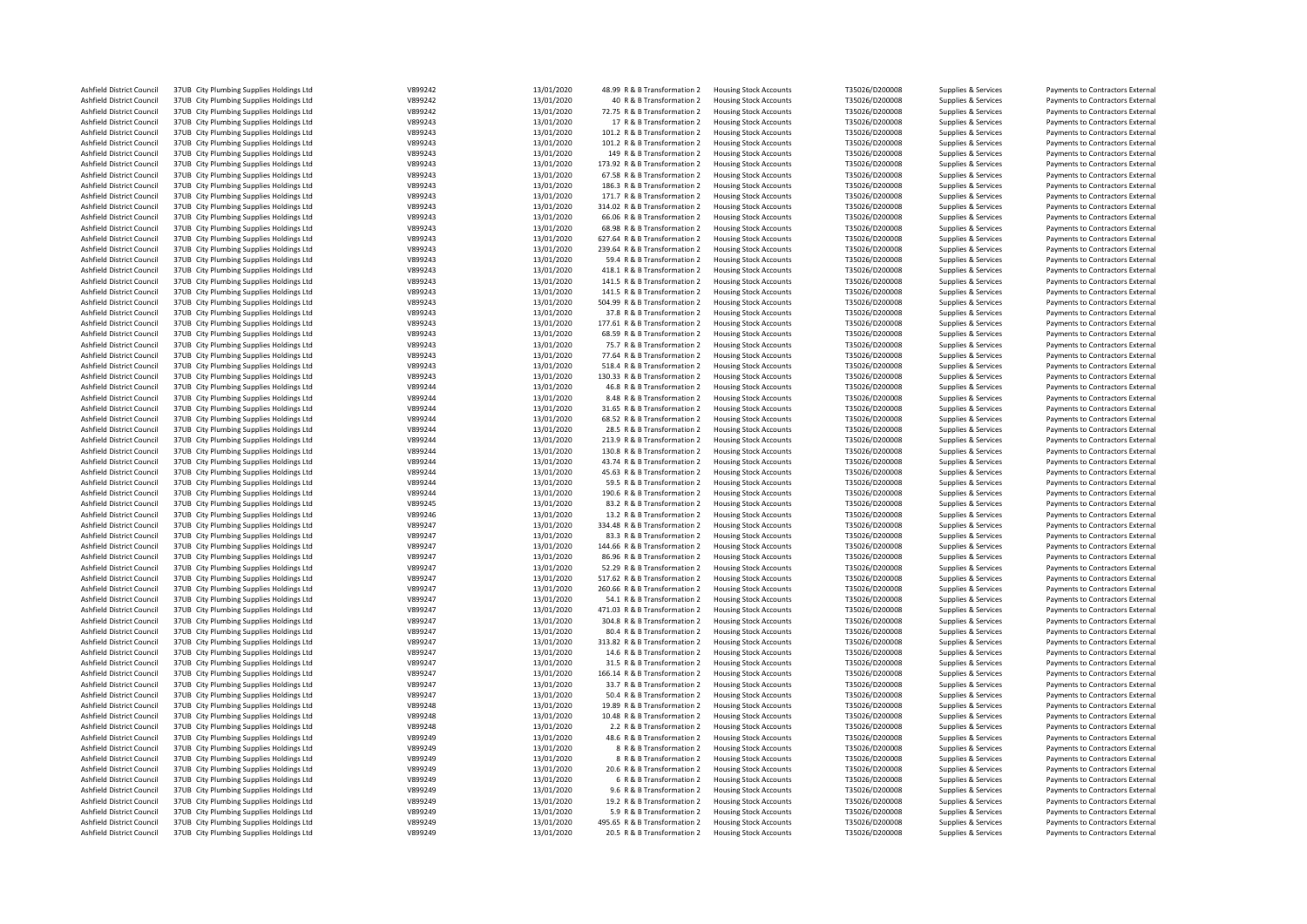| Ashfield District Council | 37UB City Plumbing Supplies Holdings Ltd | V899242 | 13/01/2020 | 48.99 R & B Transformation 2  | <b>Housing Stock Accounts</b> | T35026/D200008 | Supplies & Services | Payments to Contractors External |
|---------------------------|------------------------------------------|---------|------------|-------------------------------|-------------------------------|----------------|---------------------|----------------------------------|
| Ashfield District Council | 37UB City Plumbing Supplies Holdings Ltd | V899242 | 13/01/2020 | 40 R & B Transformation 2     | <b>Housing Stock Accounts</b> | T35026/D200008 | Supplies & Services | Payments to Contractors External |
| Ashfield District Council | 37UB City Plumbing Supplies Holdings Ltd | V899242 | 13/01/2020 | 72.75 R & B Transformation 2  | <b>Housing Stock Accounts</b> | T35026/D200008 | Supplies & Services | Payments to Contractors External |
| Ashfield District Council | 37UB City Plumbing Supplies Holdings Ltd | V899243 | 13/01/2020 | 17 R & B Transformation 2     | <b>Housing Stock Accounts</b> | T35026/D200008 | Supplies & Services | Payments to Contractors External |
| Ashfield District Council | 37UB City Plumbing Supplies Holdings Ltd | V899243 | 13/01/2020 | 101.2 R & B Transformation 2  | <b>Housing Stock Accounts</b> | T35026/D200008 |                     | Payments to Contractors External |
|                           |                                          |         |            |                               |                               |                | Supplies & Services |                                  |
| Ashfield District Council | 37UB City Plumbing Supplies Holdings Ltd | V899243 | 13/01/2020 | 101.2 R & B Transformation 2  | <b>Housing Stock Accounts</b> | T35026/D200008 | Supplies & Services | Payments to Contractors External |
| Ashfield District Council | 37UB City Plumbing Supplies Holdings Ltd | V899243 | 13/01/2020 | 149 R & B Transformation 2    | <b>Housing Stock Accounts</b> | T35026/D200008 | Supplies & Services | Payments to Contractors External |
| Ashfield District Council | 37UB City Plumbing Supplies Holdings Ltd | V899243 | 13/01/2020 | 173.92 R & B Transformation 2 | <b>Housing Stock Accounts</b> | T35026/D200008 | Supplies & Services | Payments to Contractors External |
| Ashfield District Council | 37UB City Plumbing Supplies Holdings Ltd | V899243 | 13/01/2020 | 67.58 R & B Transformation 2  | <b>Housing Stock Accounts</b> | T35026/D200008 | Supplies & Services | Payments to Contractors External |
| Ashfield District Council | 37UB City Plumbing Supplies Holdings Ltd | V899243 | 13/01/2020 | 186.3 R & B Transformation 2  | <b>Housing Stock Accounts</b> | T35026/D200008 | Supplies & Services | Payments to Contractors External |
| Ashfield District Council | 37UB City Plumbing Supplies Holdings Ltd | V899243 | 13/01/2020 | 171.7 R & B Transformation 2  | <b>Housing Stock Accounts</b> | T35026/D200008 |                     | Payments to Contractors External |
|                           |                                          |         |            |                               |                               |                | Supplies & Services |                                  |
| Ashfield District Council | 37UB City Plumbing Supplies Holdings Ltd | V899243 | 13/01/2020 | 314.02 R & B Transformation 2 | <b>Housing Stock Accounts</b> | T35026/D200008 | Supplies & Services | Payments to Contractors External |
| Ashfield District Council | 37UB City Plumbing Supplies Holdings Ltd | V899243 | 13/01/2020 | 66.06 R & B Transformation 2  | <b>Housing Stock Accounts</b> | T35026/D200008 | Supplies & Services | Payments to Contractors External |
| Ashfield District Council | 37UB City Plumbing Supplies Holdings Ltd | V899243 | 13/01/2020 | 68.98 R & B Transformation 2  | <b>Housing Stock Accounts</b> | T35026/D200008 | Supplies & Services | Payments to Contractors External |
| Ashfield District Council | 37UB City Plumbing Supplies Holdings Ltd | V899243 | 13/01/2020 | 627.64 R & B Transformation 2 | <b>Housing Stock Accounts</b> | T35026/D200008 | Supplies & Services | Payments to Contractors External |
| Ashfield District Council | 37UB City Plumbing Supplies Holdings Ltd | V899243 | 13/01/2020 | 239.64 R & B Transformation 2 | <b>Housing Stock Accounts</b> | T35026/D200008 | Supplies & Services | Payments to Contractors External |
|                           |                                          |         |            |                               |                               |                |                     |                                  |
| Ashfield District Council | 37UB City Plumbing Supplies Holdings Ltd | V899243 | 13/01/2020 | 59.4 R & B Transformation 2   | <b>Housing Stock Accounts</b> | T35026/D200008 | Supplies & Services | Payments to Contractors External |
| Ashfield District Council | 37UB City Plumbing Supplies Holdings Ltd | V899243 | 13/01/2020 | 418.1 R & B Transformation 2  | <b>Housing Stock Accounts</b> | T35026/D200008 | Supplies & Services | Payments to Contractors External |
| Ashfield District Council | 37UB City Plumbing Supplies Holdings Ltd | V899243 | 13/01/2020 | 141.5 R & B Transformation 2  | <b>Housing Stock Accounts</b> | T35026/D200008 | Supplies & Services | Payments to Contractors External |
| Ashfield District Council | 37UB City Plumbing Supplies Holdings Ltd | V899243 | 13/01/2020 | 141.5 R & B Transformation 2  | <b>Housing Stock Accounts</b> | T35026/D200008 | Supplies & Services | Payments to Contractors External |
| Ashfield District Council | 37UB City Plumbing Supplies Holdings Ltd | V899243 | 13/01/2020 | 504.99 R & B Transformation 2 | <b>Housing Stock Accounts</b> | T35026/D200008 | Supplies & Services | Payments to Contractors External |
| Ashfield District Council | 37UB City Plumbing Supplies Holdings Ltd | V899243 | 13/01/2020 | 37.8 R & B Transformation 2   | <b>Housing Stock Accounts</b> | T35026/D200008 | Supplies & Services | Payments to Contractors External |
|                           |                                          |         |            |                               |                               |                |                     |                                  |
| Ashfield District Council | 37UB City Plumbing Supplies Holdings Ltd | V899243 | 13/01/2020 | 177.61 R & B Transformation 2 | <b>Housing Stock Accounts</b> | T35026/D200008 | Supplies & Services | Payments to Contractors External |
| Ashfield District Council | 37UB City Plumbing Supplies Holdings Ltd | V899243 | 13/01/2020 | 68.59 R & B Transformation 2  | <b>Housing Stock Accounts</b> | T35026/D200008 | Supplies & Services | Payments to Contractors External |
| Ashfield District Council | 37UB City Plumbing Supplies Holdings Ltd | V899243 | 13/01/2020 | 75.7 R & B Transformation 2   | <b>Housing Stock Accounts</b> | T35026/D200008 | Supplies & Services | Payments to Contractors External |
| Ashfield District Council | 37UB City Plumbing Supplies Holdings Ltd | V899243 | 13/01/2020 | 77.64 R & B Transformation 2  | <b>Housing Stock Accounts</b> | T35026/D200008 | Supplies & Services | Payments to Contractors External |
| Ashfield District Council | 37UB City Plumbing Supplies Holdings Ltd | V899243 | 13/01/2020 | 518.4 R & B Transformation 2  | <b>Housing Stock Accounts</b> | T35026/D200008 | Supplies & Services | Payments to Contractors External |
| Ashfield District Council | 37UB City Plumbing Supplies Holdings Ltd | V899243 | 13/01/2020 | 130.33 R & B Transformation 2 | <b>Housing Stock Accounts</b> | T35026/D200008 | Supplies & Services | Payments to Contractors External |
|                           |                                          |         |            |                               |                               |                |                     |                                  |
| Ashfield District Council | 37UB City Plumbing Supplies Holdings Ltd | V899244 | 13/01/2020 | 46.8 R & B Transformation 2   | <b>Housing Stock Accounts</b> | T35026/D200008 | Supplies & Services | Payments to Contractors External |
| Ashfield District Council | 37UB City Plumbing Supplies Holdings Ltd | V899244 | 13/01/2020 | 8.48 R & B Transformation 2   | <b>Housing Stock Accounts</b> | T35026/D200008 | Supplies & Services | Payments to Contractors External |
| Ashfield District Council | 37UB City Plumbing Supplies Holdings Ltd | V899244 | 13/01/2020 | 31.65 R & B Transformation 2  | <b>Housing Stock Accounts</b> | T35026/D200008 | Supplies & Services | Payments to Contractors External |
| Ashfield District Council | 37UB City Plumbing Supplies Holdings Ltd | V899244 | 13/01/2020 | 68.52 R & B Transformation 2  | <b>Housing Stock Accounts</b> | T35026/D200008 | Supplies & Services | Payments to Contractors External |
| Ashfield District Council | 37UB City Plumbing Supplies Holdings Ltd | V899244 | 13/01/2020 | 28.5 R & B Transformation 2   | <b>Housing Stock Accounts</b> | T35026/D200008 | Supplies & Services | Payments to Contractors External |
| Ashfield District Council |                                          | V899244 | 13/01/2020 | 213.9 R & B Transformation 2  |                               | T35026/D200008 |                     |                                  |
|                           | 37UB City Plumbing Supplies Holdings Ltd |         |            |                               | <b>Housing Stock Accounts</b> |                | Supplies & Services | Payments to Contractors External |
| Ashfield District Council | 37UB City Plumbing Supplies Holdings Ltd | V899244 | 13/01/2020 | 130.8 R & B Transformation 2  | <b>Housing Stock Accounts</b> | T35026/D200008 | Supplies & Services | Payments to Contractors External |
| Ashfield District Council | 37UB City Plumbing Supplies Holdings Ltd | V899244 | 13/01/2020 | 43.74 R & B Transformation 2  | <b>Housing Stock Accounts</b> | T35026/D200008 | Supplies & Services | Payments to Contractors External |
| Ashfield District Council | 37UB City Plumbing Supplies Holdings Ltd | V899244 | 13/01/2020 | 45.63 R & B Transformation 2  | <b>Housing Stock Accounts</b> | T35026/D200008 | Supplies & Services | Payments to Contractors External |
| Ashfield District Council | 37UB City Plumbing Supplies Holdings Ltd | V899244 | 13/01/2020 | 59.5 R & B Transformation 2   | <b>Housing Stock Accounts</b> | T35026/D200008 | Supplies & Services | Payments to Contractors External |
| Ashfield District Council | 37UB City Plumbing Supplies Holdings Ltd | V899244 | 13/01/2020 | 190.6 R & B Transformation 2  | <b>Housing Stock Accounts</b> | T35026/D200008 | Supplies & Services | Payments to Contractors External |
|                           |                                          | V899245 | 13/01/2020 |                               |                               |                |                     |                                  |
| Ashfield District Council | 37UB City Plumbing Supplies Holdings Ltd |         |            | 83.2 R & B Transformation 2   | <b>Housing Stock Accounts</b> | T35026/D200008 | Supplies & Services | Payments to Contractors External |
| Ashfield District Council | 37UB City Plumbing Supplies Holdings Ltd | V899246 | 13/01/2020 | 13.2 R & B Transformation 2   | <b>Housing Stock Accounts</b> | T35026/D200008 | Supplies & Services | Payments to Contractors External |
| Ashfield District Council | 37UB City Plumbing Supplies Holdings Ltd | V899247 | 13/01/2020 | 334.48 R & B Transformation 2 | <b>Housing Stock Accounts</b> | T35026/D200008 | Supplies & Services | Payments to Contractors External |
| Ashfield District Council | 37UB City Plumbing Supplies Holdings Ltd | V899247 | 13/01/2020 | 83.3 R & B Transformation 2   | <b>Housing Stock Accounts</b> | T35026/D200008 | Supplies & Services | Payments to Contractors External |
| Ashfield District Council | 37UB City Plumbing Supplies Holdings Ltd | V899247 | 13/01/2020 | 144.66 R & B Transformation 2 | <b>Housing Stock Accounts</b> | T35026/D200008 | Supplies & Services | Payments to Contractors External |
| Ashfield District Council | 37UB City Plumbing Supplies Holdings Ltd | V899247 | 13/01/2020 | 86.96 R & B Transformation 2  | <b>Housing Stock Accounts</b> | T35026/D200008 | Supplies & Services | Payments to Contractors External |
|                           |                                          |         |            |                               |                               |                |                     |                                  |
| Ashfield District Council | 37UB City Plumbing Supplies Holdings Ltd | V899247 | 13/01/2020 | 52.29 R & B Transformation 2  | <b>Housing Stock Accounts</b> | T35026/D200008 | Supplies & Services | Payments to Contractors External |
| Ashfield District Council | 37UB City Plumbing Supplies Holdings Ltd | V899247 | 13/01/2020 | 517.62 R & B Transformation 2 | <b>Housing Stock Accounts</b> | T35026/D200008 | Supplies & Services | Payments to Contractors External |
| Ashfield District Council | 37UB City Plumbing Supplies Holdings Ltd | V899247 | 13/01/2020 | 260.66 R & B Transformation 2 | <b>Housing Stock Accounts</b> | T35026/D200008 | Supplies & Services | Payments to Contractors External |
| Ashfield District Council | 37UB City Plumbing Supplies Holdings Ltd | V899247 | 13/01/2020 | 54.1 R & B Transformation 2   | <b>Housing Stock Accounts</b> | T35026/D200008 | Supplies & Services | Payments to Contractors External |
| Ashfield District Council | 37UB City Plumbing Supplies Holdings Ltd | V899247 | 13/01/2020 | 471.03 R & B Transformation 2 | <b>Housing Stock Accounts</b> | T35026/D200008 | Supplies & Services | Payments to Contractors External |
| Ashfield District Council | 37UB City Plumbing Supplies Holdings Ltd | V899247 | 13/01/2020 | 304.8 R & B Transformation 2  | <b>Housing Stock Accounts</b> | T35026/D200008 | Supplies & Services | Payments to Contractors External |
|                           |                                          |         |            |                               |                               |                |                     |                                  |
| Ashfield District Council | 37UB City Plumbing Supplies Holdings Ltd | V899247 | 13/01/2020 | 80.4 R & B Transformation 2   | <b>Housing Stock Accounts</b> | T35026/D200008 | Supplies & Services | Payments to Contractors External |
| Ashfield District Council | 37UB City Plumbing Supplies Holdings Ltd | V899247 | 13/01/2020 | 313.82 R & B Transformation 2 | <b>Housing Stock Accounts</b> | T35026/D200008 | Supplies & Services | Payments to Contractors External |
| Ashfield District Council | 37UB City Plumbing Supplies Holdings Ltd | V899247 | 13/01/2020 | 14.6 R & B Transformation 2   | <b>Housing Stock Accounts</b> | T35026/D200008 | Supplies & Services | Payments to Contractors External |
| Ashfield District Council | 37UB City Plumbing Supplies Holdings Ltd | V899247 | 13/01/2020 | 31.5 R & B Transformation 2   | <b>Housing Stock Accounts</b> | T35026/D200008 | Supplies & Services | Payments to Contractors External |
| Ashfield District Council | 37UB City Plumbing Supplies Holdings Ltd | V899247 | 13/01/2020 | 166.14 R & B Transformation 2 | <b>Housing Stock Accounts</b> | T35026/D200008 | Supplies & Services | Payments to Contractors External |
| Ashfield District Council | 37UB City Plumbing Supplies Holdings Ltd | V899247 | 13/01/2020 | 33.7 R & B Transformation 2   | <b>Housing Stock Accounts</b> | T35026/D200008 | Supplies & Services | Payments to Contractors External |
|                           |                                          |         |            |                               |                               |                |                     |                                  |
| Ashfield District Council | 37UB City Plumbing Supplies Holdings Ltd | V899247 | 13/01/2020 | 50.4 R & B Transformation 2   | <b>Housing Stock Accounts</b> | T35026/D200008 | Supplies & Services | Payments to Contractors External |
| Ashfield District Council | 37UB City Plumbing Supplies Holdings Ltd | V899248 | 13/01/2020 | 19.89 R & B Transformation 2  | <b>Housing Stock Accounts</b> | T35026/D200008 | Supplies & Services | Payments to Contractors External |
| Ashfield District Council | 37UB City Plumbing Supplies Holdings Ltd | V899248 | 13/01/2020 | 10.48 R & B Transformation 2  | <b>Housing Stock Accounts</b> | T35026/D200008 | Supplies & Services | Payments to Contractors External |
| Ashfield District Council | 37UB City Plumbing Supplies Holdings Ltd | V899248 | 13/01/2020 | 2.2 R & B Transformation 2    | <b>Housing Stock Accounts</b> | T35026/D200008 | Supplies & Services | Payments to Contractors External |
| Ashfield District Council | 37UB City Plumbing Supplies Holdings Ltd | V899249 | 13/01/2020 | 48.6 R & B Transformation 2   | <b>Housing Stock Accounts</b> | T35026/D200008 | Supplies & Services | Payments to Contractors External |
|                           |                                          | V899249 |            |                               |                               |                |                     |                                  |
| Ashfield District Council | 37UB City Plumbing Supplies Holdings Ltd |         | 13/01/2020 | 8 R & B Transformation 2      | <b>Housing Stock Accounts</b> | T35026/D200008 | Supplies & Services | Payments to Contractors External |
| Ashfield District Council | 37UB City Plumbing Supplies Holdings Ltd | V899249 | 13/01/2020 | 8 R & B Transformation 2      | <b>Housing Stock Accounts</b> | T35026/D200008 | Supplies & Services | Payments to Contractors External |
| Ashfield District Council | 37UB City Plumbing Supplies Holdings Ltd | V899249 | 13/01/2020 | 20.6 R & B Transformation 2   | <b>Housing Stock Accounts</b> | T35026/D200008 | Supplies & Services | Payments to Contractors External |
| Ashfield District Council | 37UB City Plumbing Supplies Holdings Ltd | V899249 | 13/01/2020 | 6 R & B Transformation 2      | <b>Housing Stock Accounts</b> | T35026/D200008 | Supplies & Services | Payments to Contractors External |
| Ashfield District Council | 37UB City Plumbing Supplies Holdings Ltd | V899249 | 13/01/2020 | 9.6 R & B Transformation 2    | <b>Housing Stock Accounts</b> | T35026/D200008 | Supplies & Services | Payments to Contractors External |
| Ashfield District Council | 37UB City Plumbing Supplies Holdings Ltd | V899249 | 13/01/2020 | 19.2 R & B Transformation 2   | <b>Housing Stock Accounts</b> | T35026/D200008 | Supplies & Services | Payments to Contractors External |
| Ashfield District Council |                                          | V899249 | 13/01/2020 |                               |                               |                |                     |                                  |
|                           | 37UB City Plumbing Supplies Holdings Ltd |         |            | 5.9 R & B Transformation 2    | <b>Housing Stock Accounts</b> | T35026/D200008 | Supplies & Services | Payments to Contractors External |
| Ashfield District Council | 37UB City Plumbing Supplies Holdings Ltd | V899249 | 13/01/2020 | 495.65 R & B Transformation 2 | <b>Housing Stock Accounts</b> | T35026/D200008 | Supplies & Services | Payments to Contractors External |
| Ashfield District Council | 37UB City Plumbing Supplies Holdings Ltd | V899249 | 13/01/2020 | 20.5 R & B Transformation 2   | <b>Housing Stock Accounts</b> | T35026/D200008 | Supplies & Services | Payments to Contractors External |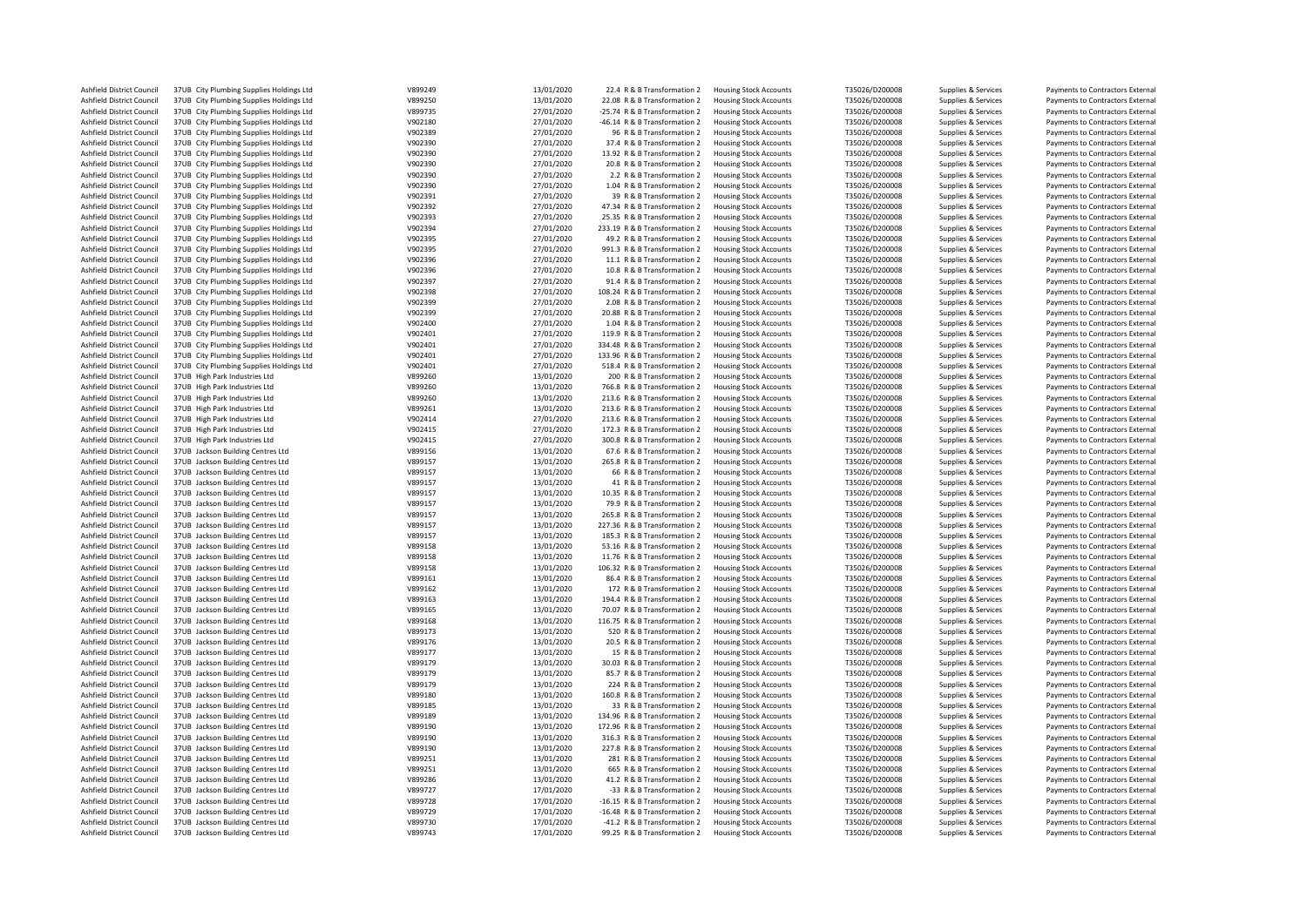| Ashfield District Council | 37UB City Plumbing Supplies Holdings Ltd | V899249 | 13/01/2020 | 22.4 R & B Transformation 2   | <b>Housing Stock Accounts</b> | T35026/D200008 | Supplies & Services | Payments to Contractors External |
|---------------------------|------------------------------------------|---------|------------|-------------------------------|-------------------------------|----------------|---------------------|----------------------------------|
| Ashfield District Council | 37UB City Plumbing Supplies Holdings Ltd | V899250 | 13/01/2020 | 22.08 R & B Transformation 2  | <b>Housing Stock Accounts</b> | T35026/D200008 | Supplies & Services | Payments to Contractors External |
| Ashfield District Council | 37UB City Plumbing Supplies Holdings Ltd | V899735 | 27/01/2020 | -25.74 R & B Transformation 2 | <b>Housing Stock Accounts</b> | T35026/D200008 | Supplies & Services | Payments to Contractors External |
| Ashfield District Council | 37UB City Plumbing Supplies Holdings Ltd | V902180 | 27/01/2020 | -46.14 R & B Transformation 2 | <b>Housing Stock Accounts</b> | T35026/D200008 | Supplies & Services | Payments to Contractors External |
|                           |                                          |         |            |                               |                               |                |                     |                                  |
| Ashfield District Council | 37UB City Plumbing Supplies Holdings Ltd | V902389 | 27/01/2020 | 96 R & B Transformation 2     | <b>Housing Stock Accounts</b> | T35026/D200008 | Supplies & Services | Payments to Contractors External |
| Ashfield District Council | 37UB City Plumbing Supplies Holdings Ltd | V902390 | 27/01/2020 | 37.4 R & B Transformation 2   | <b>Housing Stock Accounts</b> | T35026/D200008 | Supplies & Services | Payments to Contractors External |
| Ashfield District Council | 37UB City Plumbing Supplies Holdings Ltd | V902390 | 27/01/2020 | 13.92 R & B Transformation 2  | <b>Housing Stock Accounts</b> | T35026/D200008 | Supplies & Services | Payments to Contractors External |
| Ashfield District Council | 37UB City Plumbing Supplies Holdings Ltd | V902390 | 27/01/2020 | 20.8 R & B Transformation 2   | <b>Housing Stock Accounts</b> | T35026/D200008 | Supplies & Services | Payments to Contractors External |
| Ashfield District Council | 37UB City Plumbing Supplies Holdings Ltd | V902390 | 27/01/2020 | 2.2 R & B Transformation 2    | <b>Housing Stock Accounts</b> | T35026/D200008 | Supplies & Services | Payments to Contractors External |
| Ashfield District Council | 37UB City Plumbing Supplies Holdings Ltd | V902390 | 27/01/2020 | 1.04 R & B Transformation 2   | <b>Housing Stock Accounts</b> | T35026/D200008 | Supplies & Services | Payments to Contractors External |
|                           |                                          |         |            |                               |                               |                |                     |                                  |
| Ashfield District Council | 37UB City Plumbing Supplies Holdings Ltd | V902391 | 27/01/2020 | 39 R & B Transformation 2     | <b>Housing Stock Accounts</b> | T35026/D200008 | Supplies & Services | Payments to Contractors External |
| Ashfield District Council | 37UB City Plumbing Supplies Holdings Ltd | V902392 | 27/01/2020 | 47.34 R & B Transformation 2  | <b>Housing Stock Accounts</b> | T35026/D200008 | Supplies & Services | Payments to Contractors External |
| Ashfield District Council | 37UB City Plumbing Supplies Holdings Ltd | V902393 | 27/01/2020 | 25.35 R & B Transformation 2  | <b>Housing Stock Accounts</b> | T35026/D200008 | Supplies & Services | Payments to Contractors External |
| Ashfield District Council | 37UB City Plumbing Supplies Holdings Ltd | V902394 | 27/01/2020 | 233.19 R & B Transformation 2 | <b>Housing Stock Accounts</b> | T35026/D200008 | Supplies & Services | Payments to Contractors External |
| Ashfield District Council | 37UB City Plumbing Supplies Holdings Ltd | V902395 | 27/01/2020 | 49.2 R & B Transformation 2   | <b>Housing Stock Accounts</b> | T35026/D200008 | Supplies & Services | Payments to Contractors External |
|                           |                                          |         |            |                               |                               |                |                     |                                  |
| Ashfield District Council | 37UB City Plumbing Supplies Holdings Ltd | V902395 | 27/01/2020 | 991.3 R & B Transformation 2  | <b>Housing Stock Accounts</b> | T35026/D200008 | Supplies & Services | Payments to Contractors External |
| Ashfield District Council | 37UB City Plumbing Supplies Holdings Ltd | V902396 | 27/01/2020 | 11.1 R & B Transformation 2   | <b>Housing Stock Accounts</b> | T35026/D200008 | Supplies & Services | Payments to Contractors External |
| Ashfield District Council | 37UB City Plumbing Supplies Holdings Ltd | V902396 | 27/01/2020 | 10.8 R & B Transformation 2   | <b>Housing Stock Accounts</b> | T35026/D200008 | Supplies & Services | Payments to Contractors External |
| Ashfield District Council | 37UB City Plumbing Supplies Holdings Ltd | V902397 | 27/01/2020 | 91.4 R & B Transformation 2   | <b>Housing Stock Accounts</b> | T35026/D200008 | Supplies & Services | Payments to Contractors External |
| Ashfield District Council | 37UB City Plumbing Supplies Holdings Ltd | V902398 | 27/01/2020 | 108.24 R & B Transformation 2 | <b>Housing Stock Accounts</b> | T35026/D200008 | Supplies & Services | Payments to Contractors External |
|                           |                                          |         |            |                               |                               |                |                     |                                  |
| Ashfield District Council | 37UB City Plumbing Supplies Holdings Ltd | V902399 | 27/01/2020 | 2.08 R & B Transformation 2   | <b>Housing Stock Accounts</b> | T35026/D200008 | Supplies & Services | Payments to Contractors External |
| Ashfield District Council | 37UB City Plumbing Supplies Holdings Ltd | V902399 | 27/01/2020 | 20.88 R & B Transformation 2  | <b>Housing Stock Accounts</b> | T35026/D200008 | Supplies & Services | Payments to Contractors External |
| Ashfield District Council | 37UB City Plumbing Supplies Holdings Ltd | V902400 | 27/01/2020 | 1.04 R & B Transformation 2   | <b>Housing Stock Accounts</b> | T35026/D200008 | Supplies & Services | Payments to Contractors External |
| Ashfield District Council | 37UB City Plumbing Supplies Holdings Ltd | V902401 | 27/01/2020 | 119.9 R & B Transformation 2  | <b>Housing Stock Accounts</b> | T35026/D200008 | Supplies & Services | Payments to Contractors External |
| Ashfield District Council | 37UB City Plumbing Supplies Holdings Ltd | V902401 | 27/01/2020 | 334.48 R & B Transformation 2 | <b>Housing Stock Accounts</b> | T35026/D200008 | Supplies & Services | Payments to Contractors External |
|                           |                                          |         |            |                               |                               |                |                     |                                  |
| Ashfield District Council | 37UB City Plumbing Supplies Holdings Ltd | V902401 | 27/01/2020 | 133.96 R & B Transformation 2 | <b>Housing Stock Accounts</b> | T35026/D200008 | Supplies & Services | Payments to Contractors External |
| Ashfield District Council | 37UB City Plumbing Supplies Holdings Ltd | V902401 | 27/01/2020 | 518.4 R & B Transformation 2  | <b>Housing Stock Accounts</b> | T35026/D200008 | Supplies & Services | Payments to Contractors External |
| Ashfield District Council | 37UB High Park Industries Ltd            | V899260 | 13/01/2020 | 200 R & B Transformation 2    | <b>Housing Stock Accounts</b> | T35026/D200008 | Supplies & Services | Payments to Contractors External |
| Ashfield District Council | 37UB High Park Industries Ltd            | V899260 | 13/01/2020 | 766.8 R & B Transformation 2  | <b>Housing Stock Accounts</b> | T35026/D200008 | Supplies & Services | Payments to Contractors External |
| Ashfield District Council | 37UB High Park Industries Ltd            | V899260 | 13/01/2020 | 213.6 R & B Transformation 2  | <b>Housing Stock Accounts</b> | T35026/D200008 | Supplies & Services | Payments to Contractors External |
|                           |                                          |         |            |                               |                               |                |                     |                                  |
| Ashfield District Council | 37UB High Park Industries Ltd            | V899261 | 13/01/2020 | 213.6 R & B Transformation 2  | <b>Housing Stock Accounts</b> | T35026/D200008 | Supplies & Services | Payments to Contractors External |
| Ashfield District Council | 37UB High Park Industries Ltd            | V902414 | 27/01/2020 | 213.6 R & B Transformation 2  | <b>Housing Stock Accounts</b> | T35026/D200008 | Supplies & Services | Payments to Contractors External |
| Ashfield District Council | 37UB High Park Industries Ltd            | V902415 | 27/01/2020 | 172.3 R & B Transformation 2  | <b>Housing Stock Accounts</b> | T35026/D200008 | Supplies & Services | Payments to Contractors External |
| Ashfield District Council | 37UB High Park Industries Ltd            | V902415 | 27/01/2020 | 300.8 R & B Transformation 2  | <b>Housing Stock Accounts</b> | T35026/D200008 | Supplies & Services | Payments to Contractors External |
| Ashfield District Council | 37UB Jackson Building Centres Ltd        | V899156 | 13/01/2020 | 67.6 R & B Transformation 2   | <b>Housing Stock Accounts</b> | T35026/D200008 | Supplies & Services | Payments to Contractors External |
|                           |                                          |         |            |                               |                               |                |                     |                                  |
| Ashfield District Council | 37UB Jackson Building Centres Ltd        | V899157 | 13/01/2020 | 265.8 R & B Transformation 2  | <b>Housing Stock Accounts</b> | T35026/D200008 | Supplies & Services | Payments to Contractors External |
| Ashfield District Council | 37UB Jackson Building Centres Ltd        | V899157 | 13/01/2020 | 66 R & B Transformation 2     | <b>Housing Stock Accounts</b> | T35026/D200008 | Supplies & Services | Payments to Contractors External |
| Ashfield District Council | 37UB Jackson Building Centres Ltd        | V899157 | 13/01/2020 | 41 R & B Transformation 2     | <b>Housing Stock Accounts</b> | T35026/D200008 | Supplies & Services | Payments to Contractors External |
| Ashfield District Council | 37UB Jackson Building Centres Ltd        | V899157 | 13/01/2020 | 10.35 R & B Transformation 2  | <b>Housing Stock Accounts</b> | T35026/D200008 | Supplies & Services | Payments to Contractors External |
| Ashfield District Council | 37UB Jackson Building Centres Ltd        | V899157 | 13/01/2020 | 79.9 R & B Transformation 2   | <b>Housing Stock Accounts</b> | T35026/D200008 |                     | Payments to Contractors External |
|                           |                                          |         |            |                               |                               |                | Supplies & Services |                                  |
| Ashfield District Council | 37UB Jackson Building Centres Ltd        | V899157 | 13/01/2020 | 265.8 R & B Transformation 2  | <b>Housing Stock Accounts</b> | T35026/D200008 | Supplies & Services | Payments to Contractors External |
| Ashfield District Council | 37UB Jackson Building Centres Ltd        | V899157 | 13/01/2020 | 227.36 R & B Transformation 2 | <b>Housing Stock Accounts</b> | T35026/D200008 | Supplies & Services | Payments to Contractors External |
| Ashfield District Council | 37UB Jackson Building Centres Ltd        | V899157 | 13/01/2020 | 185.3 R & B Transformation 2  | <b>Housing Stock Accounts</b> | T35026/D200008 | Supplies & Services | Payments to Contractors External |
| Ashfield District Council | 37UB Jackson Building Centres Ltd        | V899158 | 13/01/2020 | 53.16 R & B Transformation 2  | <b>Housing Stock Accounts</b> | T35026/D200008 | Supplies & Services | Payments to Contractors External |
|                           |                                          | V899158 | 13/01/2020 |                               |                               |                |                     |                                  |
| Ashfield District Council | 37UB Jackson Building Centres Ltd        |         |            | 11.76 R & B Transformation 2  | <b>Housing Stock Accounts</b> | T35026/D200008 | Supplies & Services | Payments to Contractors External |
| Ashfield District Council | 37UB Jackson Building Centres Ltd        | V899158 | 13/01/2020 | 106.32 R & B Transformation 2 | <b>Housing Stock Accounts</b> | T35026/D200008 | Supplies & Services | Payments to Contractors External |
| Ashfield District Council | 37UB Jackson Building Centres Ltd        | V899161 | 13/01/2020 | 86.4 R & B Transformation 2   | <b>Housing Stock Accounts</b> | T35026/D200008 | Supplies & Services | Payments to Contractors External |
| Ashfield District Council | 37UB Jackson Building Centres Ltd        | V899162 | 13/01/2020 | 172 R & B Transformation 2    | <b>Housing Stock Accounts</b> | T35026/D200008 | Supplies & Services | Payments to Contractors External |
| Ashfield District Council | 37UB Jackson Building Centres Ltd        | V899163 | 13/01/2020 | 194.4 R & B Transformation 2  | <b>Housing Stock Accounts</b> | T35026/D200008 | Supplies & Services | Payments to Contractors External |
| Ashfield District Council | 37UB Jackson Building Centres Ltd        | V899165 | 13/01/2020 | 70.07 R & B Transformation 2  | <b>Housing Stock Accounts</b> | T35026/D200008 | Supplies & Services | Payments to Contractors External |
|                           |                                          |         |            |                               |                               |                |                     |                                  |
| Ashfield District Council | 37UB Jackson Building Centres Ltd        | V899168 | 13/01/2020 | 116.75 R & B Transformation 2 | <b>Housing Stock Accounts</b> | T35026/D200008 | Supplies & Services | Payments to Contractors External |
| Ashfield District Council | 37UB Jackson Building Centres Ltd        | V899173 | 13/01/2020 | 520 R & B Transformation 2    | <b>Housing Stock Accounts</b> | T35026/D200008 | Supplies & Services | Payments to Contractors External |
| Ashfield District Council | 37UB Jackson Building Centres Ltd        | V899176 | 13/01/2020 | 20.5 R & B Transformation 2   | <b>Housing Stock Accounts</b> | T35026/D200008 | Supplies & Services | Payments to Contractors External |
| Ashfield District Council | 37UB Jackson Building Centres Ltd        | V899177 | 13/01/2020 | 15 R & B Transformation 2     | <b>Housing Stock Accounts</b> | T35026/D200008 | Supplies & Services | Payments to Contractors External |
| Ashfield District Council | 37UB Jackson Building Centres Ltd        | V899179 | 13/01/2020 | 30.03 R & B Transformation 2  | <b>Housing Stock Accounts</b> | T35026/D200008 | Supplies & Services | Payments to Contractors External |
|                           |                                          |         |            |                               |                               |                |                     |                                  |
| Ashfield District Council | 37UB Jackson Building Centres Ltd        | V899179 | 13/01/2020 | 85.7 R & B Transformation 2   | <b>Housing Stock Accounts</b> | T35026/D200008 | Supplies & Services | Payments to Contractors External |
| Ashfield District Council | 37UB Jackson Building Centres Ltd        | V899179 | 13/01/2020 | 224 R & B Transformation 2    | <b>Housing Stock Accounts</b> | T35026/D200008 | Supplies & Services | Payments to Contractors External |
| Ashfield District Council | 37UB Jackson Building Centres Ltd        | V899180 | 13/01/2020 | 160.8 R & B Transformation 2  | <b>Housing Stock Accounts</b> | T35026/D200008 | Supplies & Services | Payments to Contractors External |
| Ashfield District Council | 37UB Jackson Building Centres Ltd        | V899185 | 13/01/2020 | 33 R & B Transformation 2     | <b>Housing Stock Accounts</b> | T35026/D200008 | Supplies & Services | Payments to Contractors External |
| Ashfield District Council | 37UB Jackson Building Centres Ltd        | V899189 | 13/01/2020 | 134.96 R & B Transformation 2 | <b>Housing Stock Accounts</b> | T35026/D200008 | Supplies & Services | Payments to Contractors External |
|                           |                                          |         |            |                               |                               |                |                     |                                  |
| Ashfield District Council | 37UB Jackson Building Centres Ltd        | V899190 | 13/01/2020 | 172.96 R & B Transformation 2 | <b>Housing Stock Accounts</b> | T35026/D200008 | Supplies & Services | Payments to Contractors External |
| Ashfield District Council | 37UB Jackson Building Centres Ltd        | V899190 | 13/01/2020 | 316.3 R & B Transformation 2  | <b>Housing Stock Accounts</b> | T35026/D200008 | Supplies & Services | Payments to Contractors External |
| Ashfield District Council | 37UB Jackson Building Centres Ltd        | V899190 | 13/01/2020 | 227.8 R & B Transformation 2  | <b>Housing Stock Accounts</b> | T35026/D200008 | Supplies & Services | Payments to Contractors External |
| Ashfield District Council | 37UB Jackson Building Centres Ltd        | V899251 | 13/01/2020 | 281 R & B Transformation 2    | <b>Housing Stock Accounts</b> | T35026/D200008 | Supplies & Services | Payments to Contractors External |
| Ashfield District Council | 37UB Jackson Building Centres Ltd        | V899251 | 13/01/2020 | 665 R & B Transformation 2    | <b>Housing Stock Accounts</b> | T35026/D200008 | Supplies & Services | Payments to Contractors External |
|                           |                                          | V899286 | 13/01/2020 |                               |                               |                |                     |                                  |
| Ashfield District Council | 37UB Jackson Building Centres Ltd        |         |            | 41.2 R & B Transformation 2   | <b>Housing Stock Accounts</b> | T35026/D200008 | Supplies & Services | Payments to Contractors External |
| Ashfield District Council | 37UB Jackson Building Centres Ltd        | V899727 | 17/01/2020 | -33 R & B Transformation 2    | <b>Housing Stock Accounts</b> | T35026/D200008 | Supplies & Services | Payments to Contractors External |
| Ashfield District Council | 37UB Jackson Building Centres Ltd        | V899728 | 17/01/2020 | -16.15 R & B Transformation 2 | <b>Housing Stock Accounts</b> | T35026/D200008 | Supplies & Services | Payments to Contractors External |
| Ashfield District Council | 37UB Jackson Building Centres Ltd        | V899729 | 17/01/2020 | -16.48 R & B Transformation 2 | <b>Housing Stock Accounts</b> | T35026/D200008 | Supplies & Services | Payments to Contractors External |
| Ashfield District Council | 37UB Jackson Building Centres Ltd        | V899730 | 17/01/2020 | -41.2 R & B Transformation 2  | <b>Housing Stock Accounts</b> | T35026/D200008 | Supplies & Services | Payments to Contractors External |
|                           |                                          |         |            |                               |                               |                |                     |                                  |
| Ashfield District Council | 37UB Jackson Building Centres Ltd        | V899743 | 17/01/2020 | 99.25 R & B Transformation 2  | <b>Housing Stock Accounts</b> | T35026/D200008 | Supplies & Services | Payments to Contractors External |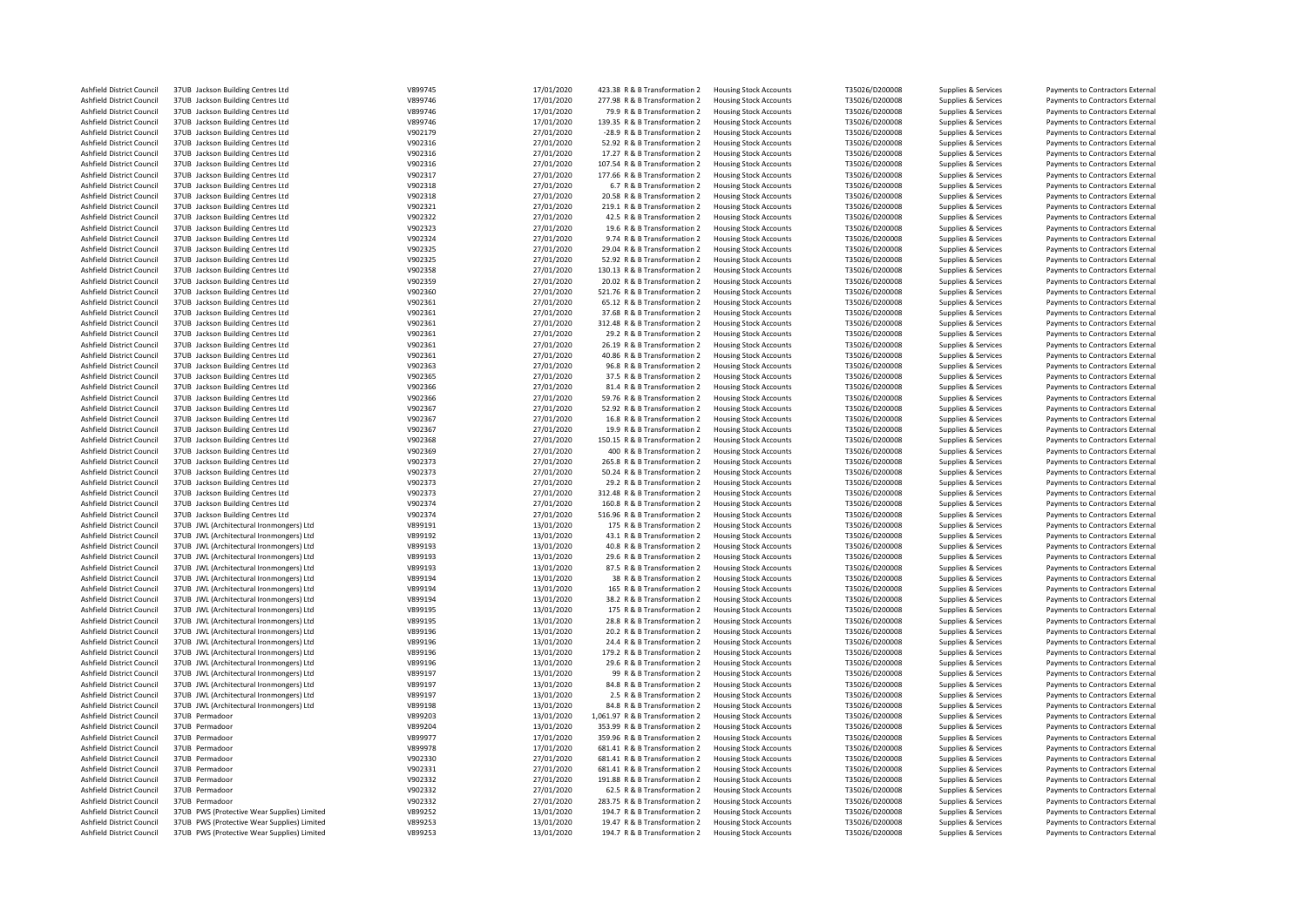| Ashfield District Council                              | 37UB Jackson Building Centres Ltd                                                          | V899745            | 17/01/2020               | 423.38 R & B Transformation 2                                | <b>Housing Stock Accounts</b>                                  | T35026/D200008                   | Supplies & Services                        | Payments to Contractors External                                     |
|--------------------------------------------------------|--------------------------------------------------------------------------------------------|--------------------|--------------------------|--------------------------------------------------------------|----------------------------------------------------------------|----------------------------------|--------------------------------------------|----------------------------------------------------------------------|
| Ashfield District Council                              | 37UB Jackson Building Centres Ltd                                                          | V899746            | 17/01/2020               | 277.98 R & B Transformation 2                                | <b>Housing Stock Accounts</b>                                  | T35026/D200008                   | Supplies & Services                        | Payments to Contractors External                                     |
| Ashfield District Council                              | 37UB Jackson Building Centres Ltd                                                          | V899746            | 17/01/2020               | 79.9 R & B Transformation 2                                  | <b>Housing Stock Accounts</b>                                  | T35026/D200008                   | Supplies & Services                        | Payments to Contractors External                                     |
| Ashfield District Council                              | 37UB Jackson Building Centres Ltd                                                          | V899746            | 17/01/2020               | 139.35 R & B Transformation 2                                | <b>Housing Stock Accounts</b>                                  | T35026/D200008                   | Supplies & Services                        | Payments to Contractors External                                     |
| Ashfield District Council                              |                                                                                            |                    | 27/01/2020               |                                                              |                                                                |                                  |                                            |                                                                      |
|                                                        | 37UB Jackson Building Centres Ltd                                                          | V902179            |                          | -28.9 R & B Transformation 2                                 | <b>Housing Stock Accounts</b>                                  | T35026/D200008                   | Supplies & Services                        | Payments to Contractors External                                     |
| Ashfield District Council                              | 37UB Jackson Building Centres Ltd                                                          | V902316            | 27/01/2020               | 52.92 R & B Transformation 2                                 | <b>Housing Stock Accounts</b>                                  | T35026/D200008                   | Supplies & Services                        | Payments to Contractors External                                     |
| Ashfield District Council                              | 37UB Jackson Building Centres Ltd                                                          | V902316            | 27/01/2020               | 17.27 R & B Transformation 2                                 | <b>Housing Stock Accounts</b>                                  | T35026/D200008                   | Supplies & Services                        | Payments to Contractors External                                     |
| Ashfield District Council                              | 37UB Jackson Building Centres Ltd                                                          | V902316            | 27/01/2020               | 107.54 R & B Transformation 2                                | <b>Housing Stock Accounts</b>                                  | T35026/D200008                   | Supplies & Services                        | Payments to Contractors External                                     |
| Ashfield District Council                              | 37UB Jackson Building Centres Ltd                                                          | V902317            | 27/01/2020               | 177.66 R & B Transformation 2                                | <b>Housing Stock Accounts</b>                                  | T35026/D200008                   | Supplies & Services                        | Payments to Contractors External                                     |
|                                                        |                                                                                            |                    |                          |                                                              |                                                                |                                  |                                            |                                                                      |
| Ashfield District Council                              | 37UB Jackson Building Centres Ltd                                                          | V902318            | 27/01/2020               | 6.7 R & B Transformation 2                                   | <b>Housing Stock Accounts</b>                                  | T35026/D200008                   | Supplies & Services                        | Payments to Contractors External                                     |
| Ashfield District Council                              | 37UB Jackson Building Centres Ltd                                                          | V902318            | 27/01/2020               | 20.58 R & B Transformation 2                                 | <b>Housing Stock Accounts</b>                                  | T35026/D200008                   | Supplies & Services                        | Payments to Contractors External                                     |
| Ashfield District Council                              | 37UB Jackson Building Centres Ltd                                                          | V902321            | 27/01/2020               | 219.1 R & B Transformation 2                                 | <b>Housing Stock Accounts</b>                                  | T35026/D200008                   | Supplies & Services                        | Payments to Contractors External                                     |
| Ashfield District Council                              | 37UB Jackson Building Centres Ltd                                                          | V902322            | 27/01/2020               | 42.5 R & B Transformation 2                                  | <b>Housing Stock Accounts</b>                                  | T35026/D200008                   | Supplies & Services                        | Payments to Contractors External                                     |
|                                                        |                                                                                            |                    |                          |                                                              |                                                                |                                  |                                            |                                                                      |
| Ashfield District Council                              | 37UB Jackson Building Centres Ltd                                                          | V902323            | 27/01/2020               | 19.6 R & B Transformation 2                                  | <b>Housing Stock Accounts</b>                                  | T35026/D200008                   | Supplies & Services                        | Payments to Contractors External                                     |
| Ashfield District Council                              | 37UB Jackson Building Centres Ltd                                                          | V902324            | 27/01/2020               | 9.74 R & B Transformation 2                                  | <b>Housing Stock Accounts</b>                                  | T35026/D200008                   | Supplies & Services                        | Payments to Contractors External                                     |
| Ashfield District Council                              | 37UB Jackson Building Centres Ltd                                                          | V902325            | 27/01/2020               | 29.04 R & B Transformation 2                                 | <b>Housing Stock Accounts</b>                                  | T35026/D200008                   | Supplies & Services                        | Payments to Contractors External                                     |
| Ashfield District Council                              | 37UB Jackson Building Centres Ltd                                                          | V902325            | 27/01/2020               | 52.92 R & B Transformation 2                                 | <b>Housing Stock Accounts</b>                                  | T35026/D200008                   | Supplies & Services                        | Payments to Contractors External                                     |
| Ashfield District Council                              | 37UB Jackson Building Centres Ltd                                                          | V902358            | 27/01/2020               | 130.13 R & B Transformation 2                                | <b>Housing Stock Accounts</b>                                  | T35026/D200008                   | Supplies & Services                        | Payments to Contractors External                                     |
|                                                        |                                                                                            |                    |                          |                                                              |                                                                |                                  |                                            |                                                                      |
| Ashfield District Council                              | 37UB Jackson Building Centres Ltd                                                          | V902359            | 27/01/2020               | 20.02 R & B Transformation 2                                 | <b>Housing Stock Accounts</b>                                  | T35026/D200008                   | Supplies & Services                        | Payments to Contractors External                                     |
| Ashfield District Council                              | 37UB Jackson Building Centres Ltd                                                          | V902360            | 27/01/2020               | 521.76 R & B Transformation 2                                | <b>Housing Stock Accounts</b>                                  | T35026/D200008                   | Supplies & Services                        | Payments to Contractors External                                     |
| Ashfield District Council                              | 37UB Jackson Building Centres Ltd                                                          | V902361            | 27/01/2020               | 65.12 R & B Transformation 2                                 | <b>Housing Stock Accounts</b>                                  | T35026/D200008                   | Supplies & Services                        | Payments to Contractors External                                     |
| Ashfield District Council                              | 37UB Jackson Building Centres Ltd                                                          | V902361            | 27/01/2020               | 37.68 R & B Transformation 2                                 | <b>Housing Stock Accounts</b>                                  | T35026/D200008                   | Supplies & Services                        | Payments to Contractors External                                     |
|                                                        |                                                                                            | V902361            |                          |                                                              |                                                                |                                  |                                            |                                                                      |
| Ashfield District Council                              | 37UB Jackson Building Centres Ltd                                                          |                    | 27/01/2020               | 312.48 R & B Transformation 2                                | <b>Housing Stock Accounts</b>                                  | T35026/D200008                   | Supplies & Services                        | Payments to Contractors External                                     |
| Ashfield District Council                              | 37UB Jackson Building Centres Ltd                                                          | V902361            | 27/01/2020               | 29.2 R & B Transformation 2                                  | <b>Housing Stock Accounts</b>                                  | T35026/D200008                   | Supplies & Services                        | Payments to Contractors External                                     |
| Ashfield District Council                              | 37UB Jackson Building Centres Ltd                                                          | V902361            | 27/01/2020               | 26.19 R & B Transformation 2                                 | <b>Housing Stock Accounts</b>                                  | T35026/D200008                   | Supplies & Services                        | Payments to Contractors External                                     |
| Ashfield District Council                              | 37UB Jackson Building Centres Ltd                                                          | V902361            | 27/01/2020               | 40.86 R & B Transformation 2                                 | <b>Housing Stock Accounts</b>                                  | T35026/D200008                   | Supplies & Services                        | Payments to Contractors External                                     |
| Ashfield District Council                              | 37UB Jackson Building Centres Ltd                                                          | V902363            | 27/01/2020               | 96.8 R & B Transformation 2                                  | <b>Housing Stock Accounts</b>                                  | T35026/D200008                   | Supplies & Services                        | Payments to Contractors External                                     |
|                                                        |                                                                                            |                    |                          |                                                              |                                                                |                                  |                                            |                                                                      |
| Ashfield District Council                              | 37UB Jackson Building Centres Ltd                                                          | V902365            | 27/01/2020               | 37.5 R & B Transformation 2                                  | <b>Housing Stock Accounts</b>                                  | T35026/D200008                   | Supplies & Services                        | Payments to Contractors External                                     |
| Ashfield District Council                              | 37UB Jackson Building Centres Ltd                                                          | V902366            | 27/01/2020               | 81.4 R & B Transformation 2                                  | <b>Housing Stock Accounts</b>                                  | T35026/D200008                   | Supplies & Services                        | Payments to Contractors External                                     |
| Ashfield District Council                              | 37UB Jackson Building Centres Ltd                                                          | V902366            | 27/01/2020               | 59.76 R & B Transformation 2                                 | <b>Housing Stock Accounts</b>                                  | T35026/D200008                   | Supplies & Services                        | Payments to Contractors External                                     |
| Ashfield District Council                              | 37UB Jackson Building Centres Ltd                                                          | V902367            | 27/01/2020               | 52.92 R & B Transformation 2                                 | <b>Housing Stock Accounts</b>                                  | T35026/D200008                   | Supplies & Services                        | Payments to Contractors External                                     |
|                                                        |                                                                                            | V902367            |                          |                                                              |                                                                |                                  |                                            |                                                                      |
| Ashfield District Council                              | 37UB Jackson Building Centres Ltd                                                          |                    | 27/01/2020               | 16.8 R & B Transformation 2                                  | <b>Housing Stock Accounts</b>                                  | T35026/D200008                   | Supplies & Services                        | Payments to Contractors External                                     |
| Ashfield District Council                              | 37UB Jackson Building Centres Ltd                                                          | V902367            | 27/01/2020               | 19.9 R & B Transformation 2                                  | <b>Housing Stock Accounts</b>                                  | T35026/D200008                   | Supplies & Services                        | Payments to Contractors External                                     |
| Ashfield District Council                              | 37UB Jackson Building Centres Ltd                                                          | V902368            | 27/01/2020               | 150.15 R & B Transformation 2                                | <b>Housing Stock Accounts</b>                                  | T35026/D200008                   | Supplies & Services                        | Payments to Contractors External                                     |
| Ashfield District Council                              | 37UB Jackson Building Centres Ltd                                                          | V902369            | 27/01/2020               | 400 R & B Transformation 2                                   | <b>Housing Stock Accounts</b>                                  | T35026/D200008                   | Supplies & Services                        | Payments to Contractors External                                     |
| Ashfield District Council                              | 37UB Jackson Building Centres Ltd                                                          | V902373            | 27/01/2020               | 265.8 R & B Transformation 2                                 |                                                                | T35026/D200008                   |                                            |                                                                      |
|                                                        |                                                                                            |                    |                          |                                                              | <b>Housing Stock Accounts</b>                                  |                                  | Supplies & Services                        | Payments to Contractors External                                     |
| Ashfield District Council                              | 37UB Jackson Building Centres Ltd                                                          | V902373            | 27/01/2020               | 50.24 R & B Transformation 2                                 | <b>Housing Stock Accounts</b>                                  | T35026/D200008                   | Supplies & Services                        | Payments to Contractors External                                     |
| Ashfield District Council                              | 37UB Jackson Building Centres Ltd                                                          | V902373            | 27/01/2020               | 29.2 R & B Transformation 2                                  | <b>Housing Stock Accounts</b>                                  | T35026/D200008                   | Supplies & Services                        | Payments to Contractors External                                     |
| Ashfield District Council                              | 37UB Jackson Building Centres Ltd                                                          | V902373            | 27/01/2020               | 312.48 R & B Transformation 2                                | <b>Housing Stock Accounts</b>                                  | T35026/D200008                   | Supplies & Services                        | Payments to Contractors External                                     |
| Ashfield District Council                              | 37UB Jackson Building Centres Ltd                                                          | V902374            | 27/01/2020               | 160.8 R & B Transformation 2                                 | <b>Housing Stock Accounts</b>                                  | T35026/D200008                   | Supplies & Services                        | Payments to Contractors External                                     |
|                                                        |                                                                                            |                    |                          |                                                              |                                                                |                                  |                                            |                                                                      |
| Ashfield District Council                              | 37UB Jackson Building Centres Ltd                                                          | V902374            | 27/01/2020               | 516.96 R & B Transformation 2                                | <b>Housing Stock Accounts</b>                                  | T35026/D200008                   | Supplies & Services                        | Payments to Contractors External                                     |
| Ashfield District Council                              | 37UB JWL (Architectural Ironmongers) Ltd                                                   | V899191            | 13/01/2020               | 175 R & B Transformation 2                                   | <b>Housing Stock Accounts</b>                                  | T35026/D200008                   | Supplies & Services                        | Payments to Contractors External                                     |
| Ashfield District Council                              | 37UB JWL (Architectural Ironmongers) Ltd                                                   | V899192            | 13/01/2020               | 43.1 R & B Transformation 2                                  | <b>Housing Stock Accounts</b>                                  | T35026/D200008                   | Supplies & Services                        | Payments to Contractors External                                     |
| Ashfield District Council                              | 37UB JWL (Architectural Ironmongers) Ltd                                                   | V899193            | 13/01/2020               | 40.8 R & B Transformation 2                                  | <b>Housing Stock Accounts</b>                                  | T35026/D200008                   | Supplies & Services                        | Payments to Contractors External                                     |
| Ashfield District Council                              | 37UB JWL (Architectural Ironmongers) Ltd                                                   | V899193            | 13/01/2020               |                                                              |                                                                |                                  |                                            |                                                                      |
|                                                        |                                                                                            |                    |                          | 29.6 R & B Transformation 2                                  | <b>Housing Stock Accounts</b>                                  | T35026/D200008                   | Supplies & Services                        | Payments to Contractors External                                     |
| Ashfield District Council                              | 37UB JWL (Architectural Ironmongers) Ltd                                                   | V899193            | 13/01/2020               | 87.5 R & B Transformation 2                                  | <b>Housing Stock Accounts</b>                                  | T35026/D200008                   | Supplies & Services                        | Payments to Contractors External                                     |
| Ashfield District Council                              | 37UB JWL (Architectural Ironmongers) Ltd                                                   | V899194            | 13/01/2020               | 38 R & B Transformation 2                                    | <b>Housing Stock Accounts</b>                                  | T35026/D200008                   | Supplies & Services                        | Payments to Contractors External                                     |
| Ashfield District Council                              | 37UB JWL (Architectural Ironmongers) Ltd                                                   | V899194            | 13/01/2020               | 165 R & B Transformation 2                                   | <b>Housing Stock Accounts</b>                                  | T35026/D200008                   | Supplies & Services                        | Payments to Contractors External                                     |
| Ashfield District Council                              | 37UB JWL (Architectural Ironmongers) Ltd                                                   | V899194            | 13/01/2020               | 38.2 R & B Transformation 2                                  | <b>Housing Stock Accounts</b>                                  | T35026/D200008                   | Supplies & Services                        | Payments to Contractors External                                     |
|                                                        |                                                                                            |                    |                          |                                                              |                                                                |                                  |                                            |                                                                      |
| Ashfield District Council                              | 37UB JWL (Architectural Ironmongers) Ltd                                                   | V899195            | 13/01/2020               | 175 R & B Transformation 2                                   | <b>Housing Stock Accounts</b>                                  | T35026/D200008                   | Supplies & Services                        | Payments to Contractors External                                     |
| Ashfield District Council                              | 37UB JWL (Architectural Ironmongers) Ltd                                                   | V899195            | 13/01/2020               | 28.8 R & B Transformation 2                                  | <b>Housing Stock Accounts</b>                                  | T35026/D200008                   | Supplies & Services                        | Payments to Contractors External                                     |
| Ashfield District Council                              | 37UB JWL (Architectural Ironmongers) Ltd                                                   | V899196            | 13/01/2020               | 20.2 R & B Transformation 2                                  | <b>Housing Stock Accounts</b>                                  | T35026/D200008                   | Supplies & Services                        | Payments to Contractors External                                     |
| Ashfield District Council                              | 37UB JWL (Architectural Ironmongers) Ltd                                                   | V899196            | 13/01/2020               | 24.4 R & B Transformation 2                                  | <b>Housing Stock Accounts</b>                                  | T35026/D200008                   | Supplies & Services                        | Payments to Contractors External                                     |
| Ashfield District Council                              | 37UB JWL (Architectural Ironmongers) Ltd                                                   | V899196            | 13/01/2020               | 179.2 R & B Transformation 2                                 | <b>Housing Stock Accounts</b>                                  | T35026/D200008                   | Supplies & Services                        | Payments to Contractors External                                     |
|                                                        |                                                                                            |                    |                          |                                                              |                                                                |                                  |                                            |                                                                      |
| Ashfield District Council                              | 37UB JWL (Architectural Ironmongers) Ltd                                                   | V899196            | 13/01/2020               | 29.6 R & B Transformation 2                                  | <b>Housing Stock Accounts</b>                                  | T35026/D200008                   | Supplies & Services                        | Payments to Contractors External                                     |
| Ashfield District Council                              | 37UB JWL (Architectural Ironmongers) Ltd                                                   | V899197            | 13/01/2020               | 99 R & B Transformation 2                                    | <b>Housing Stock Accounts</b>                                  | T35026/D200008                   | Supplies & Services                        | Payments to Contractors External                                     |
| Ashfield District Council                              | 37UB JWL (Architectural Ironmongers) Ltd                                                   | V899197            | 13/01/2020               | 84.8 R & B Transformation 2                                  | <b>Housing Stock Accounts</b>                                  | T35026/D200008                   | Supplies & Services                        | Payments to Contractors External                                     |
| Ashfield District Council                              | 37UB JWL (Architectural Ironmongers) Ltd                                                   | V899197            | 13/01/2020               | 2.5 R & B Transformation 2                                   | <b>Housing Stock Accounts</b>                                  | T35026/D200008                   | Supplies & Services                        | Payments to Contractors External                                     |
| Ashfield District Council                              | 37UB JWL (Architectural Ironmongers) Ltd                                                   | V899198            | 13/01/2020               | 84.8 R & B Transformation 2                                  | <b>Housing Stock Accounts</b>                                  | T35026/D200008                   |                                            | Payments to Contractors External                                     |
|                                                        |                                                                                            |                    |                          |                                                              |                                                                |                                  | Supplies & Services                        |                                                                      |
| Ashfield District Council                              | 37UB Permadoor                                                                             | V899203            | 13/01/2020               | 1,061.97 R & B Transformation 2                              | <b>Housing Stock Accounts</b>                                  | T35026/D200008                   | Supplies & Services                        | Payments to Contractors External                                     |
| Ashfield District Council                              | 37UB Permadoor                                                                             | V899204            | 13/01/2020               | 353.99 R & B Transformation 2                                | <b>Housing Stock Accounts</b>                                  | T35026/D200008                   | Supplies & Services                        | Payments to Contractors External                                     |
| Ashfield District Council                              | 37UB Permadoor                                                                             | V899977            | 17/01/2020               | 359.96 R & B Transformation 2                                | <b>Housing Stock Accounts</b>                                  | T35026/D200008                   | Supplies & Services                        | Payments to Contractors External                                     |
| Ashfield District Council                              | 37UB Permadoo                                                                              | V899978            | 17/01/2020               | 681.41 R & B Transformation 2                                | <b>Housing Stock Accounts</b>                                  | T35026/D200008                   | Supplies & Services                        | Payments to Contractors External                                     |
|                                                        |                                                                                            |                    |                          |                                                              |                                                                |                                  |                                            |                                                                      |
| Ashfield District Council                              | 37UB Permadoor                                                                             | V902330            | 27/01/2020               | 681.41 R & B Transformation 2                                | <b>Housing Stock Accounts</b>                                  | T35026/D200008                   | Supplies & Services                        | Payments to Contractors External                                     |
| Ashfield District Council                              | 37UB Permadoo                                                                              | V902331            | 27/01/2020               | 681.41 R & B Transformation 2                                | <b>Housing Stock Accounts</b>                                  | T35026/D200008                   | Supplies & Services                        | Payments to Contractors External                                     |
| Ashfield District Council                              | 37UB Permadoo                                                                              | V902332            | 27/01/2020               | 191.88 R & B Transformation 2                                | <b>Housing Stock Accounts</b>                                  | T35026/D200008                   | Supplies & Services                        | Payments to Contractors External                                     |
|                                                        |                                                                                            |                    |                          |                                                              |                                                                |                                  |                                            |                                                                      |
| Ashfield District Council                              | 37UB Permadoor                                                                             | V902332            |                          | 62.5 R & B Transformation 2                                  |                                                                |                                  |                                            | Payments to Contractors External                                     |
|                                                        |                                                                                            |                    | 27/01/2020               |                                                              | <b>Housing Stock Accounts</b>                                  | T35026/D200008                   | Supplies & Services                        |                                                                      |
| Ashfield District Council                              | 37UB Permadoor                                                                             | V902332            | 27/01/2020               | 283.75 R & B Transformation 2                                | <b>Housing Stock Accounts</b>                                  | T35026/D200008                   | Supplies & Services                        | Payments to Contractors External                                     |
| Ashfield District Council                              | 37UB PWS (Protective Wear Supplies) Limited                                                | V899252            | 13/01/2020               | 194.7 R & B Transformation 2                                 | <b>Housing Stock Accounts</b>                                  | T35026/D200008                   | Supplies & Services                        | Payments to Contractors External                                     |
| Ashfield District Council<br>Ashfield District Council | 37UB PWS (Protective Wear Supplies) Limited<br>37UB PWS (Protective Wear Supplies) Limited | V899253<br>V899253 | 13/01/2020<br>13/01/2020 | 19.47 R & B Transformation 2<br>194.7 R & B Transformation 2 | <b>Housing Stock Accounts</b><br><b>Housing Stock Accounts</b> | T35026/D200008<br>T35026/D200008 | Supplies & Services<br>Supplies & Services | Payments to Contractors External<br>Payments to Contractors External |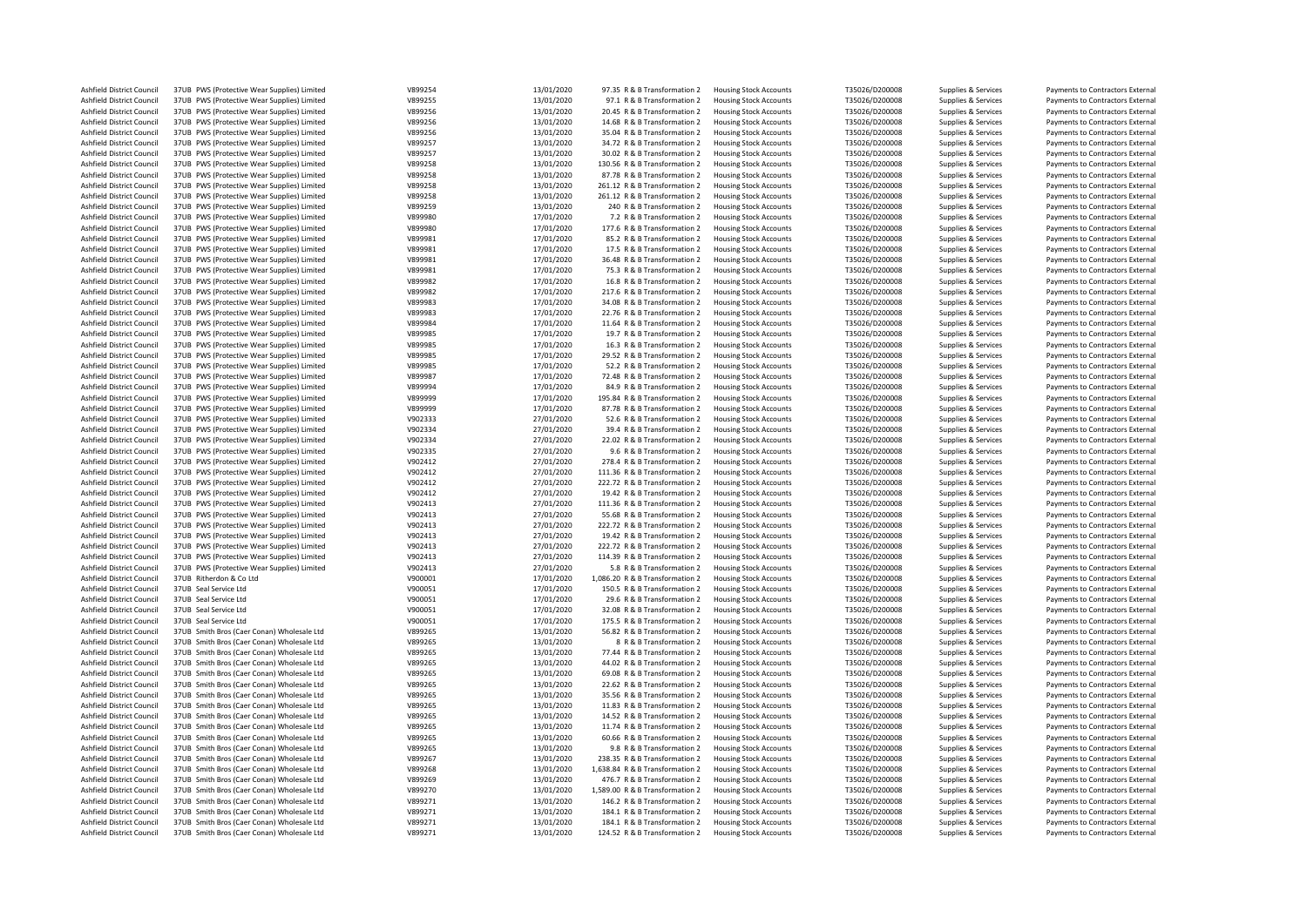| Ashfield District Council | 37UB PWS (Protective Wear Supplies) Limited | V899254 | 13/01/2020 | 97.35 R & B Transformation 2    | <b>Housing Stock Accounts</b> | T35026/D200008 | Supplies & Services | Payments to Contractors External |
|---------------------------|---------------------------------------------|---------|------------|---------------------------------|-------------------------------|----------------|---------------------|----------------------------------|
| Ashfield District Council | 37UB PWS (Protective Wear Supplies) Limited | V899255 | 13/01/2020 | 97.1 R & B Transformation 2     | <b>Housing Stock Accounts</b> | T35026/D200008 | Supplies & Services | Payments to Contractors External |
| Ashfield District Council | 37UB PWS (Protective Wear Supplies) Limited | V899256 | 13/01/2020 | 20.45 R & B Transformation 2    | <b>Housing Stock Accounts</b> | T35026/D200008 | Supplies & Services | Payments to Contractors External |
| Ashfield District Council | 37UB PWS (Protective Wear Supplies) Limited | V899256 | 13/01/2020 | 14.68 R & B Transformation 2    | <b>Housing Stock Accounts</b> | T35026/D200008 | Supplies & Services | Payments to Contractors External |
|                           |                                             |         | 13/01/2020 |                                 |                               |                |                     |                                  |
| Ashfield District Council | 37UB PWS (Protective Wear Supplies) Limited | V899256 |            | 35.04 R & B Transformation 2    | <b>Housing Stock Accounts</b> | T35026/D200008 | Supplies & Services | Payments to Contractors External |
| Ashfield District Council | 37UB PWS (Protective Wear Supplies) Limited | V899257 | 13/01/2020 | 34.72 R & B Transformation 2    | <b>Housing Stock Accounts</b> | T35026/D200008 | Supplies & Services | Payments to Contractors External |
| Ashfield District Council | 37UB PWS (Protective Wear Supplies) Limited | V899257 | 13/01/2020 | 30.02 R & B Transformation 2    | <b>Housing Stock Accounts</b> | T35026/D200008 | Supplies & Services | Payments to Contractors External |
| Ashfield District Council | 37UB PWS (Protective Wear Supplies) Limited | V899258 | 13/01/2020 | 130.56 R & B Transformation 2   | <b>Housing Stock Accounts</b> | T35026/D200008 | Supplies & Services | Payments to Contractors External |
| Ashfield District Council | 37UB PWS (Protective Wear Supplies) Limited | V899258 | 13/01/2020 | 87.78 R & B Transformation 2    | <b>Housing Stock Accounts</b> | T35026/D200008 | Supplies & Services | Payments to Contractors External |
| Ashfield District Council | 37UB PWS (Protective Wear Supplies) Limited | V899258 | 13/01/2020 | 261.12 R & B Transformation 2   | <b>Housing Stock Accounts</b> | T35026/D200008 | Supplies & Services | Payments to Contractors External |
| Ashfield District Council | 37UB PWS (Protective Wear Supplies) Limited | V899258 | 13/01/2020 | 261.12 R & B Transformation 2   | <b>Housing Stock Accounts</b> | T35026/D200008 | Supplies & Services | Payments to Contractors External |
| Ashfield District Council | 37UB PWS (Protective Wear Supplies) Limited | V899259 | 13/01/2020 | 240 R & B Transformation 2      | <b>Housing Stock Accounts</b> | T35026/D200008 | Supplies & Services | Payments to Contractors External |
|                           |                                             |         |            |                                 |                               |                |                     |                                  |
| Ashfield District Council | 37UB PWS (Protective Wear Supplies) Limited | V899980 | 17/01/2020 | 7.2 R & B Transformation 2      | <b>Housing Stock Accounts</b> | T35026/D200008 | Supplies & Services | Payments to Contractors External |
| Ashfield District Council | 37UB PWS (Protective Wear Supplies) Limited | V899980 | 17/01/2020 | 177.6 R & B Transformation 2    | <b>Housing Stock Accounts</b> | T35026/D200008 | Supplies & Services | Payments to Contractors External |
| Ashfield District Council | 37UB PWS (Protective Wear Supplies) Limited | V899981 | 17/01/2020 | 85.2 R & B Transformation 2     | <b>Housing Stock Accounts</b> | T35026/D200008 | Supplies & Services | Payments to Contractors External |
| Ashfield District Council | 37UB PWS (Protective Wear Supplies) Limited | V899981 | 17/01/2020 | 17.5 R & B Transformation 2     | <b>Housing Stock Accounts</b> | T35026/D200008 | Supplies & Services | Payments to Contractors External |
| Ashfield District Council | 37UB PWS (Protective Wear Supplies) Limited | V899981 | 17/01/2020 | 36.48 R & B Transformation 2    | <b>Housing Stock Accounts</b> | T35026/D200008 | Supplies & Services | Payments to Contractors External |
| Ashfield District Council | 37UB PWS (Protective Wear Supplies) Limited | V899981 | 17/01/2020 | 75.3 R & B Transformation 2     | <b>Housing Stock Accounts</b> | T35026/D200008 | Supplies & Services | Payments to Contractors External |
| Ashfield District Council | 37UB PWS (Protective Wear Supplies) Limited | V899982 | 17/01/2020 | 16.8 R & B Transformation 2     | <b>Housing Stock Accounts</b> | T35026/D200008 | Supplies & Services | Payments to Contractors External |
|                           |                                             |         |            |                                 |                               |                |                     |                                  |
| Ashfield District Council | 37UB PWS (Protective Wear Supplies) Limited | V899982 | 17/01/2020 | 217.6 R & B Transformation 2    | <b>Housing Stock Accounts</b> | T35026/D200008 | Supplies & Services | Payments to Contractors External |
| Ashfield District Council | 37UB PWS (Protective Wear Supplies) Limited | V899983 | 17/01/2020 | 34.08 R & B Transformation 2    | <b>Housing Stock Accounts</b> | T35026/D200008 | Supplies & Services | Payments to Contractors External |
| Ashfield District Council | 37UB PWS (Protective Wear Supplies) Limited | V899983 | 17/01/2020 | 22.76 R & B Transformation 2    | <b>Housing Stock Accounts</b> | T35026/D200008 | Supplies & Services | Payments to Contractors External |
| Ashfield District Council | 37UB PWS (Protective Wear Supplies) Limited | V899984 | 17/01/2020 | 11.64 R & B Transformation 2    | <b>Housing Stock Accounts</b> | T35026/D200008 | Supplies & Services | Payments to Contractors External |
| Ashfield District Council | 37UB PWS (Protective Wear Supplies) Limited | V899985 | 17/01/2020 | 19.7 R & B Transformation 2     | <b>Housing Stock Accounts</b> | T35026/D200008 | Supplies & Services | Payments to Contractors External |
| Ashfield District Council | 37UB PWS (Protective Wear Supplies) Limited | V899985 | 17/01/2020 | 16.3 R & B Transformation 2     | <b>Housing Stock Accounts</b> | T35026/D200008 | Supplies & Services | Payments to Contractors External |
| Ashfield District Council | 37UB PWS (Protective Wear Supplies) Limited | V899985 | 17/01/2020 | 29.52 R & B Transformation 2    | <b>Housing Stock Accounts</b> | T35026/D200008 | Supplies & Services | Payments to Contractors External |
|                           |                                             |         |            |                                 |                               |                |                     |                                  |
| Ashfield District Council | 37UB PWS (Protective Wear Supplies) Limited | V899985 | 17/01/2020 | 52.2 R & B Transformation 2     | <b>Housing Stock Accounts</b> | T35026/D200008 | Supplies & Services | Payments to Contractors External |
| Ashfield District Council | 37UB PWS (Protective Wear Supplies) Limited | V899987 | 17/01/2020 | 72.48 R & B Transformation 2    | <b>Housing Stock Accounts</b> | T35026/D200008 | Supplies & Services | Payments to Contractors External |
| Ashfield District Council | 37UB PWS (Protective Wear Supplies) Limited | V899994 | 17/01/2020 | 84.9 R & B Transformation 2     | <b>Housing Stock Accounts</b> | T35026/D200008 | Supplies & Services | Payments to Contractors External |
| Ashfield District Council | 37UB PWS (Protective Wear Supplies) Limited | V899999 | 17/01/2020 | 195.84 R & B Transformation 2   | <b>Housing Stock Accounts</b> | T35026/D200008 | Supplies & Services | Payments to Contractors External |
| Ashfield District Council | 37UB PWS (Protective Wear Supplies) Limited | V899999 | 17/01/2020 | 87.78 R & B Transformation 2    | <b>Housing Stock Accounts</b> | T35026/D200008 | Supplies & Services | Payments to Contractors External |
| Ashfield District Council | 37UB PWS (Protective Wear Supplies) Limited | V902333 | 27/01/2020 | 52.6 R & B Transformation 2     | <b>Housing Stock Accounts</b> | T35026/D200008 | Supplies & Services | Payments to Contractors External |
|                           |                                             |         |            |                                 |                               |                |                     |                                  |
| Ashfield District Council | 37UB PWS (Protective Wear Supplies) Limited | V902334 | 27/01/2020 | 39.4 R & B Transformation 2     | <b>Housing Stock Accounts</b> | T35026/D200008 | Supplies & Services | Payments to Contractors External |
| Ashfield District Council | 37UB PWS (Protective Wear Supplies) Limited | V902334 | 27/01/2020 | 22.02 R & B Transformation 2    | <b>Housing Stock Accounts</b> | T35026/D200008 | Supplies & Services | Payments to Contractors External |
| Ashfield District Council | 37UB PWS (Protective Wear Supplies) Limited | V902335 | 27/01/2020 | 9.6 R & B Transformation 2      | <b>Housing Stock Accounts</b> | T35026/D200008 | Supplies & Services | Payments to Contractors External |
| Ashfield District Council | 37UB PWS (Protective Wear Supplies) Limited | V902412 | 27/01/2020 | 278.4 R & B Transformation 2    | <b>Housing Stock Accounts</b> | T35026/D200008 | Supplies & Services | Payments to Contractors External |
| Ashfield District Council | 37UB PWS (Protective Wear Supplies) Limited | V902412 | 27/01/2020 | 111.36 R & B Transformation 2   | <b>Housing Stock Accounts</b> | T35026/D200008 | Supplies & Services | Payments to Contractors External |
| Ashfield District Council | 37UB PWS (Protective Wear Supplies) Limited | V902412 | 27/01/2020 | 222.72 R & B Transformation 2   | <b>Housing Stock Accounts</b> | T35026/D200008 | Supplies & Services | Payments to Contractors External |
| Ashfield District Council | 37UB PWS (Protective Wear Supplies) Limited | V902412 | 27/01/2020 | 19.42 R & B Transformation 2    | <b>Housing Stock Accounts</b> | T35026/D200008 | Supplies & Services | Payments to Contractors External |
| Ashfield District Council | 37UB PWS (Protective Wear Supplies) Limited | V902413 | 27/01/2020 | 111.36 R & B Transformation 2   | <b>Housing Stock Accounts</b> | T35026/D200008 | Supplies & Services | Payments to Contractors External |
|                           |                                             |         |            |                                 |                               |                |                     |                                  |
| Ashfield District Council | 37UB PWS (Protective Wear Supplies) Limited | V902413 | 27/01/2020 | 55.68 R & B Transformation 2    | <b>Housing Stock Accounts</b> | T35026/D200008 | Supplies & Services | Payments to Contractors External |
| Ashfield District Council | 37UB PWS (Protective Wear Supplies) Limited | V902413 | 27/01/2020 | 222.72 R & B Transformation 2   | <b>Housing Stock Accounts</b> | T35026/D200008 | Supplies & Services | Payments to Contractors External |
| Ashfield District Council | 37UB PWS (Protective Wear Supplies) Limited | V902413 | 27/01/2020 | 19.42 R & B Transformation 2    | <b>Housing Stock Accounts</b> | T35026/D200008 | Supplies & Services | Payments to Contractors External |
| Ashfield District Council | 37UB PWS (Protective Wear Supplies) Limited | V902413 | 27/01/2020 | 222.72 R & B Transformation 2   | <b>Housing Stock Accounts</b> | T35026/D200008 | Supplies & Services | Payments to Contractors External |
| Ashfield District Council | 37UB PWS (Protective Wear Supplies) Limited | V902413 | 27/01/2020 | 114.39 R & B Transformation 2   | <b>Housing Stock Accounts</b> | T35026/D200008 | Supplies & Services | Payments to Contractors External |
| Ashfield District Council | 37UB PWS (Protective Wear Supplies) Limited | V902413 | 27/01/2020 | 5.8 R & B Transformation 2      | <b>Housing Stock Accounts</b> | T35026/D200008 | Supplies & Services | Payments to Contractors External |
|                           |                                             |         |            |                                 |                               |                |                     |                                  |
| Ashfield District Council | 37UB Ritherdon & Co Ltd                     | V900001 | 17/01/2020 | 1,086.20 R & B Transformation 2 | <b>Housing Stock Accounts</b> | T35026/D200008 | Supplies & Services | Payments to Contractors External |
| Ashfield District Council | 37UB Seal Service Ltd                       | V900051 | 17/01/2020 | 150.5 R & B Transformation 2    | <b>Housing Stock Accounts</b> | T35026/D200008 | Supplies & Services | Payments to Contractors External |
| Ashfield District Council | 37UB Seal Service Ltd                       | V900051 | 17/01/2020 | 29.6 R & B Transformation 2     | <b>Housing Stock Accounts</b> | T35026/D200008 | Supplies & Services | Payments to Contractors External |
| Ashfield District Council | 37UB Seal Service Ltd                       | V900051 | 17/01/2020 | 32.08 R & B Transformation 2    | <b>Housing Stock Accounts</b> | T35026/D200008 | Supplies & Services | Payments to Contractors External |
| Ashfield District Council | 37UB Seal Service Ltd                       | V900051 | 17/01/2020 | 175.5 R & B Transformation 2    | <b>Housing Stock Accounts</b> | T35026/D200008 | Supplies & Services | Payments to Contractors External |
| Ashfield District Council | 37UB Smith Bros (Caer Conan) Wholesale Ltd  | V899265 | 13/01/2020 | 56.82 R & B Transformation 2    | <b>Housing Stock Accounts</b> | T35026/D200008 | Supplies & Services | Payments to Contractors External |
| Ashfield District Council | 37UB Smith Bros (Caer Conan) Wholesale Ltd  | V899265 | 13/01/2020 | 8 R & B Transformation 2        | <b>Housing Stock Accounts</b> | T35026/D200008 | Supplies & Services | Payments to Contractors External |
| Ashfield District Council | 37UB Smith Bros (Caer Conan) Wholesale Ltd  | V899265 | 13/01/2020 | 77.44 R & B Transformation 2    |                               | T35026/D200008 | Supplies & Services |                                  |
|                           |                                             |         |            |                                 | <b>Housing Stock Accounts</b> |                |                     | Payments to Contractors External |
| Ashfield District Council | 37UB Smith Bros (Caer Conan) Wholesale Ltd  | V899265 | 13/01/2020 | 44.02 R & B Transformation 2    | <b>Housing Stock Accounts</b> | T35026/D200008 | Supplies & Services | Payments to Contractors External |
| Ashfield District Council | 37UB Smith Bros (Caer Conan) Wholesale Ltd  | V899265 | 13/01/2020 | 69.08 R & B Transformation 2    | <b>Housing Stock Accounts</b> | T35026/D200008 | Supplies & Services | Payments to Contractors External |
| Ashfield District Council | 37UB Smith Bros (Caer Conan) Wholesale Ltd  | V899265 | 13/01/2020 | 22.62 R & B Transformation 2    | <b>Housing Stock Accounts</b> | T35026/D200008 | Supplies & Services | Payments to Contractors External |
| Ashfield District Council | 37UB Smith Bros (Caer Conan) Wholesale Ltd  | V899265 | 13/01/2020 | 35.56 R & B Transformation 2    | <b>Housing Stock Accounts</b> | T35026/D200008 | Supplies & Services | Payments to Contractors External |
| Ashfield District Council | 37UB Smith Bros (Caer Conan) Wholesale Ltd  | V899265 | 13/01/2020 | 11.83 R & B Transformation 2    | <b>Housing Stock Accounts</b> | T35026/D200008 | Supplies & Services | Payments to Contractors External |
| Ashfield District Council | 37UB Smith Bros (Caer Conan) Wholesale Ltd  | V899265 | 13/01/2020 | 14.52 R & B Transformation 2    | <b>Housing Stock Accounts</b> | T35026/D200008 | Supplies & Services | Payments to Contractors External |
|                           |                                             |         |            |                                 |                               |                |                     |                                  |
| Ashfield District Council | 37UB Smith Bros (Caer Conan) Wholesale Ltd  | V899265 | 13/01/2020 | 11.74 R & B Transformation 2    | <b>Housing Stock Accounts</b> | T35026/D200008 | Supplies & Services | Payments to Contractors External |
| Ashfield District Council | 37UB Smith Bros (Caer Conan) Wholesale Ltd  | V899265 | 13/01/2020 | 60.66 R & B Transformation 2    | <b>Housing Stock Accounts</b> | T35026/D200008 | Supplies & Services | Payments to Contractors External |
| Ashfield District Council | 37UB Smith Bros (Caer Conan) Wholesale Ltd  | V899265 | 13/01/2020 | 9.8 R & B Transformation 2      | <b>Housing Stock Accounts</b> | T35026/D200008 | Supplies & Services | Payments to Contractors External |
| Ashfield District Council | 37UB Smith Bros (Caer Conan) Wholesale Ltd  | V899267 | 13/01/2020 | 238.35 R & B Transformation 2   | <b>Housing Stock Accounts</b> | T35026/D200008 | Supplies & Services | Payments to Contractors External |
| Ashfield District Council | 37UB Smith Bros (Caer Conan) Wholesale Ltd  | V899268 | 13/01/2020 | 1,638.84 R & B Transformation 2 | <b>Housing Stock Accounts</b> | T35026/D200008 | Supplies & Services | Payments to Contractors External |
| Ashfield District Council | 37UB Smith Bros (Caer Conan) Wholesale Ltd  | V899269 | 13/01/2020 | 476.7 R & B Transformation 2    | <b>Housing Stock Accounts</b> | T35026/D200008 | Supplies & Services | Payments to Contractors External |
| Ashfield District Council | 37UB Smith Bros (Caer Conan) Wholesale Ltd  | V899270 | 13/01/2020 | 1,589.00 R & B Transformation 2 | <b>Housing Stock Accounts</b> | T35026/D200008 | Supplies & Services | Payments to Contractors External |
| Ashfield District Council | 37UB Smith Bros (Caer Conan) Wholesale Ltd  | V899271 | 13/01/2020 | 146.2 R & B Transformation 2    |                               | T35026/D200008 |                     |                                  |
|                           |                                             |         |            |                                 | <b>Housing Stock Accounts</b> |                | Supplies & Services | Payments to Contractors External |
| Ashfield District Council | 37UB Smith Bros (Caer Conan) Wholesale Ltd  | V899271 | 13/01/2020 | 184.1 R & B Transformation 2    | <b>Housing Stock Accounts</b> | T35026/D200008 | Supplies & Services | Payments to Contractors External |
| Ashfield District Council | 37UB Smith Bros (Caer Conan) Wholesale Ltd  | V899271 | 13/01/2020 | 184.1 R & B Transformation 2    | <b>Housing Stock Accounts</b> | T35026/D200008 | Supplies & Services | Payments to Contractors External |
| Ashfield District Council | 37UB Smith Bros (Caer Conan) Wholesale Ltd  | V899271 | 13/01/2020 | 124.52 R & B Transformation 2   | <b>Housing Stock Accounts</b> | T35026/D200008 | Supplies & Services | Payments to Contractors External |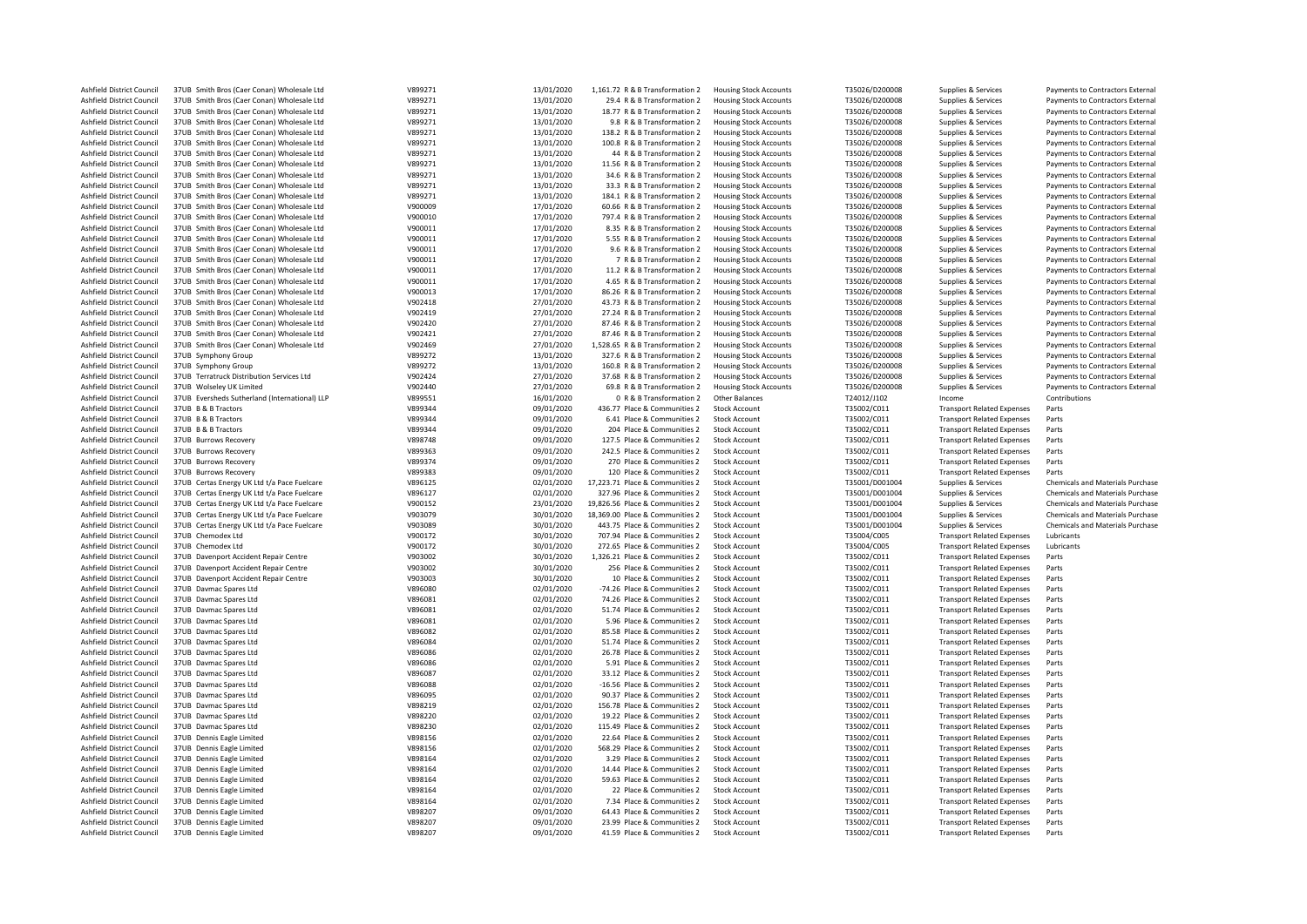| Ashfield District Council                              | 37UB Smith Bros (Caer Conan) Wholesale Ltd             | V899271            | 13/01/2020               | 1,161.72 R & B Transformation 2                            | <b>Housing Stock Accounts</b>                | T35026/D200008             | Supplies & Services                                                    | Payments to Contractors External        |
|--------------------------------------------------------|--------------------------------------------------------|--------------------|--------------------------|------------------------------------------------------------|----------------------------------------------|----------------------------|------------------------------------------------------------------------|-----------------------------------------|
| Ashfield District Council                              | 37UB Smith Bros (Caer Conan) Wholesale Ltd             | V899271            | 13/01/2020               | 29.4 R & B Transformation 2                                | <b>Housing Stock Accounts</b>                | T35026/D200008             | Supplies & Services                                                    | Payments to Contractors External        |
| Ashfield District Council                              | 37UB Smith Bros (Caer Conan) Wholesale Ltd             | V899271            | 13/01/2020               | 18.77 R & B Transformation 2                               | <b>Housing Stock Accounts</b>                | T35026/D200008             | Supplies & Services                                                    | Payments to Contractors External        |
| Ashfield District Council                              | 37UB Smith Bros (Caer Conan) Wholesale Ltd             | V899271            | 13/01/2020               | 9.8 R & B Transformation 2                                 | <b>Housing Stock Accounts</b>                | T35026/D200008             | Supplies & Services                                                    | Payments to Contractors External        |
| Ashfield District Council                              | 37UB Smith Bros (Caer Conan) Wholesale Ltd             | V899271            | 13/01/2020               | 138.2 R & B Transformation 2                               | <b>Housing Stock Accounts</b>                | T35026/D200008             | Supplies & Services                                                    | Payments to Contractors External        |
| Ashfield District Council                              | 37UB Smith Bros (Caer Conan) Wholesale Ltd             | V899271            | 13/01/2020               | 100.8 R & B Transformation 2                               | <b>Housing Stock Accounts</b>                | T35026/D200008             | Supplies & Services                                                    | Payments to Contractors External        |
| Ashfield District Council                              | 37UB Smith Bros (Caer Conan) Wholesale Ltd             | V899271            | 13/01/2020               | 44 R & B Transformation 2                                  | <b>Housing Stock Accounts</b>                | T35026/D200008             | Supplies & Services                                                    | Payments to Contractors External        |
| Ashfield District Council                              | 37UB Smith Bros (Caer Conan) Wholesale Ltd             | V899271            | 13/01/2020               | 11.56 R & B Transformation 2                               | <b>Housing Stock Accounts</b>                | T35026/D200008             | Supplies & Services                                                    | Payments to Contractors External        |
| Ashfield District Council                              | 37UB Smith Bros (Caer Conan) Wholesale Ltd             | V899271            | 13/01/2020               | 34.6 R & B Transformation 2                                | <b>Housing Stock Accounts</b>                | T35026/D200008             | Supplies & Services                                                    | Payments to Contractors External        |
| Ashfield District Council                              | 37UB Smith Bros (Caer Conan) Wholesale Ltd             | V899271            | 13/01/2020               | 33.3 R & B Transformation 2                                | <b>Housing Stock Accounts</b>                | T35026/D200008             | Supplies & Services                                                    | Payments to Contractors External        |
| Ashfield District Council                              | 37UB Smith Bros (Caer Conan) Wholesale Ltd             | V899271            | 13/01/2020               | 184.1 R & B Transformation 2                               | <b>Housing Stock Accounts</b>                | T35026/D200008             | Supplies & Services                                                    | Payments to Contractors External        |
|                                                        |                                                        |                    |                          |                                                            |                                              |                            |                                                                        |                                         |
| Ashfield District Council                              | 37UB Smith Bros (Caer Conan) Wholesale Ltd             | V900009            | 17/01/2020               | 60.66 R & B Transformation 2                               | <b>Housing Stock Accounts</b>                | T35026/D200008             | Supplies & Services                                                    | Payments to Contractors External        |
| Ashfield District Council                              | 37UB Smith Bros (Caer Conan) Wholesale Ltd             | V900010            | 17/01/2020               | 797.4 R & B Transformation 2                               | <b>Housing Stock Accounts</b>                | T35026/D200008             | Supplies & Services                                                    | Payments to Contractors External        |
| Ashfield District Council                              | 37UB Smith Bros (Caer Conan) Wholesale Ltd             | V900011            | 17/01/2020               | 8.35 R & B Transformation 2                                | <b>Housing Stock Accounts</b>                | T35026/D200008             | Supplies & Services                                                    | Payments to Contractors External        |
| Ashfield District Council                              | 37UB Smith Bros (Caer Conan) Wholesale Ltd             | V900011            | 17/01/2020               | 5.55 R & B Transformation 2                                | <b>Housing Stock Accounts</b>                | T35026/D200008             | Supplies & Services                                                    | Payments to Contractors External        |
| Ashfield District Council                              | 37UB Smith Bros (Caer Conan) Wholesale Ltd             | V900011            | 17/01/2020               | 9.6 R & B Transformation 2                                 | <b>Housing Stock Accounts</b>                | T35026/D200008             | Supplies & Services                                                    | Payments to Contractors External        |
| Ashfield District Council                              | 37UB Smith Bros (Caer Conan) Wholesale Ltd             | V900011            | 17/01/2020               | 7 R & B Transformation 2                                   | <b>Housing Stock Accounts</b>                | T35026/D200008             | Supplies & Services                                                    | Payments to Contractors External        |
| Ashfield District Council                              | 37UB Smith Bros (Caer Conan) Wholesale Ltd             | V900011            | 17/01/2020               | 11.2 R & B Transformation 2                                | <b>Housing Stock Accounts</b>                | T35026/D200008             | Supplies & Services                                                    | Payments to Contractors External        |
| Ashfield District Council                              | 37UB Smith Bros (Caer Conan) Wholesale Ltd             | V900011            | 17/01/2020               | 4.65 R & B Transformation 2                                | <b>Housing Stock Accounts</b>                | T35026/D200008             | Supplies & Services                                                    | Payments to Contractors External        |
| Ashfield District Council                              | 37UB Smith Bros (Caer Conan) Wholesale Ltd             | V900013            | 17/01/2020               | 86.26 R & B Transformation 2                               | <b>Housing Stock Accounts</b>                | T35026/D200008             | Supplies & Services                                                    | Payments to Contractors External        |
| Ashfield District Council                              | 37UB Smith Bros (Caer Conan) Wholesale Ltd             | V902418            | 27/01/2020               | 43.73 R & B Transformation 2                               | <b>Housing Stock Accounts</b>                | T35026/D200008             | Supplies & Services                                                    | Payments to Contractors External        |
| Ashfield District Council                              | 37UB Smith Bros (Caer Conan) Wholesale Ltd             | V902419            | 27/01/2020               | 27.24 R & B Transformation 2                               | <b>Housing Stock Accounts</b>                | T35026/D200008             | Supplies & Services                                                    | Payments to Contractors External        |
| Ashfield District Council                              | 37UB Smith Bros (Caer Conan) Wholesale Ltd             | V902420            | 27/01/2020               | 87.46 R & B Transformation 2                               | <b>Housing Stock Accounts</b>                | T35026/D200008             | Supplies & Services                                                    | Payments to Contractors External        |
|                                                        |                                                        | V902421            |                          |                                                            |                                              |                            |                                                                        |                                         |
| Ashfield District Council                              | 37UB Smith Bros (Caer Conan) Wholesale Ltd             |                    | 27/01/2020               | 87.46 R & B Transformation 2                               | <b>Housing Stock Accounts</b>                | T35026/D200008             | Supplies & Services                                                    | Payments to Contractors External        |
| Ashfield District Council                              | 37UB Smith Bros (Caer Conan) Wholesale Ltd             | V902469            | 27/01/2020               | 1,528.65 R & B Transformation 2                            | <b>Housing Stock Accounts</b>                | T35026/D200008             | Supplies & Services                                                    | Payments to Contractors External        |
| Ashfield District Council                              | 37UB Symphony Group                                    | V899272            | 13/01/2020               | 327.6 R & B Transformation 2                               | <b>Housing Stock Accounts</b>                | T35026/D200008             | Supplies & Services                                                    | Payments to Contractors External        |
| Ashfield District Council                              | 37UB Symphony Group                                    | V899272            | 13/01/2020               | 160.8 R & B Transformation 2                               | <b>Housing Stock Accounts</b>                | T35026/D200008             | Supplies & Services                                                    | Payments to Contractors External        |
| Ashfield District Council                              | 37UB Terratruck Distribution Services Ltd              | V902424            | 27/01/2020               | 37.68 R & B Transformation 2                               | <b>Housing Stock Accounts</b>                | T35026/D200008             | Supplies & Services                                                    | Payments to Contractors External        |
| Ashfield District Council                              | 37UB Wolseley UK Limited                               | V902440            | 27/01/2020               | 69.8 R & B Transformation 2                                | <b>Housing Stock Accounts</b>                | T35026/D200008             | Supplies & Services                                                    | Payments to Contractors External        |
| Ashfield District Council                              | 37UB Eversheds Sutherland (International) LLP          | V899551            | 16/01/2020               | 0 R & B Transformation 2                                   | Other Balances                               | T24012/J102                | Income                                                                 | Contributions                           |
| Ashfield District Council                              | 37UB B & B Tractors                                    | V899344            | 09/01/2020               | 436.77 Place & Communities 2                               | <b>Stock Account</b>                         | T35002/C011                | <b>Transport Related Expenses</b>                                      | Parts                                   |
| Ashfield District Council                              | 37UB B & B Tractors                                    | V899344            | 09/01/2020               | 6.41 Place & Communities 2                                 | <b>Stock Account</b>                         | T35002/C011                | <b>Transport Related Expenses</b>                                      | Parts                                   |
| Ashfield District Council                              | 37UB B & B Tractors                                    | V899344            | 09/01/2020               | 204 Place & Communities 2                                  | <b>Stock Account</b>                         | T35002/C011                | <b>Transport Related Expenses</b>                                      | Parts                                   |
| Ashfield District Council                              | 37UB Burrows Recovery                                  | V898748            | 09/01/2020               | 127.5 Place & Communities 2                                | <b>Stock Account</b>                         | T35002/C011                | <b>Transport Related Expenses</b>                                      | Parts                                   |
| Ashfield District Council                              | 37UB Burrows Recovery                                  | V899363            | 09/01/2020               | 242.5 Place & Communities 2                                | <b>Stock Account</b>                         | T35002/C011                | <b>Transport Related Expenses</b>                                      | Parts                                   |
| Ashfield District Council                              | 37UB Burrows Recovery                                  | V899374            | 09/01/2020               | 270 Place & Communities 2                                  | <b>Stock Account</b>                         | T35002/C011                | <b>Transport Related Expenses</b>                                      | Parts                                   |
|                                                        |                                                        |                    |                          |                                                            |                                              |                            |                                                                        |                                         |
|                                                        |                                                        |                    |                          |                                                            |                                              |                            |                                                                        |                                         |
| Ashfield District Council                              | 37UB Burrows Recovery                                  | V899383            | 09/01/2020               | 120 Place & Communities 2                                  | <b>Stock Account</b>                         | T35002/C011                | <b>Transport Related Expenses</b>                                      | Parts                                   |
| Ashfield District Council                              | 37UB Certas Energy UK Ltd t/a Pace Fuelcare            | V896125            | 02/01/2020               | 17,223.71 Place & Communities 2                            | <b>Stock Account</b>                         | T35001/D001004             | Supplies & Services                                                    | Chemicals and Materials Purchase        |
| Ashfield District Council                              | 37UB Certas Energy UK Ltd t/a Pace Fuelcare            | V896127            | 02/01/2020               | 327.96 Place & Communities 2                               | <b>Stock Account</b>                         | T35001/D001004             | Supplies & Services                                                    | Chemicals and Materials Purchase        |
| Ashfield District Council                              | 37UB Certas Energy UK Ltd t/a Pace Fuelcare            | V900152            | 23/01/2020               | 19,826.56 Place & Communities 2                            | <b>Stock Account</b>                         | T35001/D001004             | Supplies & Services                                                    | Chemicals and Materials Purchase        |
| Ashfield District Council                              | 37UB Certas Energy UK Ltd t/a Pace Fuelcare            | V903079            | 30/01/2020               | 18,369.00 Place & Communities 2                            | <b>Stock Account</b>                         | T35001/D001004             | Supplies & Services                                                    | <b>Chemicals and Materials Purchase</b> |
| Ashfield District Council                              | 37UB Certas Energy UK Ltd t/a Pace Fuelcare            | V903089            | 30/01/2020               | 443.75 Place & Communities 2                               | <b>Stock Account</b>                         | T35001/D001004             | Supplies & Services                                                    | <b>Chemicals and Materials Purchase</b> |
| Ashfield District Council                              | 37UB Chemodex Ltd                                      | V900172            | 30/01/2020               | 707.94 Place & Communities 2                               | <b>Stock Account</b>                         | T35004/C005                | <b>Transport Related Expenses</b>                                      | Lubricants                              |
| Ashfield District Council                              | 37UB Chemodex Ltd                                      | V900172            | 30/01/2020               | 272.65 Place & Communities 2                               | <b>Stock Account</b>                         | T35004/C005                | <b>Transport Related Expenses</b>                                      | Lubricants                              |
| Ashfield District Council                              | 37UB Davenport Accident Repair Centre                  | V903002            | 30/01/2020               | 1,326.21 Place & Communities 2                             | <b>Stock Account</b>                         | T35002/C011                | <b>Transport Related Expenses</b>                                      | Parts                                   |
| Ashfield District Council                              |                                                        |                    |                          |                                                            | <b>Stock Account</b>                         |                            |                                                                        |                                         |
|                                                        | 37UB Davenport Accident Repair Centre                  | V903002            | 30/01/2020               | 256 Place & Communities 2                                  |                                              | T35002/C011                | <b>Transport Related Expenses</b>                                      | Parts                                   |
| Ashfield District Council                              | 37UB Davenport Accident Repair Centre                  | V903003            | 30/01/2020               | 10 Place & Communities 2                                   | <b>Stock Account</b>                         | T35002/C011                | <b>Transport Related Expenses</b>                                      | Parts                                   |
| Ashfield District Council                              | 37UB Davmac Spares Ltd                                 | V896080            | 02/01/2020               | -74.26 Place & Communities 2                               | <b>Stock Account</b>                         | T35002/C011                | <b>Transport Related Expenses</b>                                      | Parts                                   |
| Ashfield District Council                              | 37UB Davmac Spares Ltd                                 | V896081            | 02/01/2020               | 74.26 Place & Communities 2                                | <b>Stock Account</b>                         | T35002/C011                | <b>Transport Related Expenses</b>                                      | Parts                                   |
| Ashfield District Council                              | 37UB Daymac Spares Ltd                                 | V896081            | 02/01/2020               | 51.74 Place & Communities 2                                | <b>Stock Account</b>                         | T35002/C011                | <b>Transport Related Expenses</b>                                      | Parts                                   |
| Ashfield District Council                              | 37UB Davmac Spares Ltd                                 | V896081            | 02/01/2020               | 5.96 Place & Communities 2                                 | <b>Stock Account</b>                         | T35002/C011                | <b>Transport Related Expenses</b>                                      | Parts                                   |
| Ashfield District Council                              | 37UB Davmac Spares Ltd                                 | V896082            | 02/01/2020               | 85.58 Place & Communities 2                                | <b>Stock Account</b>                         | T35002/C011                | <b>Transport Related Expenses</b>                                      | Parts                                   |
| Ashfield District Council                              | 37UB Davmac Spares Ltd                                 | V896084            | 02/01/2020               | 51.74 Place & Communities 2                                | <b>Stock Account</b>                         | T35002/C011                | <b>Transport Related Expenses</b>                                      | Parts                                   |
| Ashfield District Council                              | 37UB Davmac Spares Ltd                                 | V896086            | 02/01/2020               | 26.78 Place & Communities 2                                | <b>Stock Account</b>                         | T35002/C011                | <b>Transport Related Expenses</b>                                      | Parts                                   |
| Ashfield District Council                              | 37UB Davmac Spares Ltd                                 | V896086            | 02/01/2020               | 5.91 Place & Communities 2                                 | <b>Stock Account</b>                         | T35002/C011                | <b>Transport Related Expenses</b>                                      | Parts                                   |
| Ashfield District Council                              | 37UB Davmac Spares Ltd                                 | V896087            | 02/01/2020               | 33.12 Place & Communities 2                                | <b>Stock Account</b>                         | T35002/C011                | <b>Transport Related Expenses</b>                                      | Parts                                   |
| Ashfield District Council                              | 37UB Davmac Spares Ltd                                 | V896088            | 02/01/2020               | -16.56 Place & Communities 2                               | <b>Stock Account</b>                         | T35002/C011                | <b>Transport Related Expenses</b>                                      | Parts                                   |
| Ashfield District Council                              | 37UB Davmac Spares Ltd                                 | V896095            | 02/01/2020               | 90.37 Place & Communities 2                                | <b>Stock Account</b>                         | T35002/C011                | <b>Transport Related Expenses</b>                                      | Parts                                   |
| Ashfield District Council                              | 37UB Daymac Spares Ltd                                 | V898219            | 02/01/2020               | 156.78 Place & Communities 2                               | <b>Stock Account</b>                         | T35002/C011                | <b>Transport Related Expenses</b>                                      | Parts                                   |
| Ashfield District Council                              | 37UB Daymac Spares Ltd                                 | V898220            | 02/01/2020               | 19.22 Place & Communities 2                                | <b>Stock Account</b>                         | T35002/C011                | <b>Transport Related Expenses</b>                                      | Parts                                   |
| Ashfield District Council                              | 37UB Davmac Spares Ltd                                 | V898230            | 02/01/2020               | 115.49 Place & Communities 2                               | <b>Stock Account</b>                         | T35002/C011                | <b>Transport Related Expenses</b>                                      | Parts                                   |
| Ashfield District Council                              | 37UB Dennis Eagle Limited                              | V898156            | 02/01/2020               | 22.64 Place & Communities 2                                | <b>Stock Account</b>                         | T35002/C011                | <b>Transport Related Expenses</b>                                      | Parts                                   |
|                                                        | 37UB Dennis Eagle Limited                              | V898156            |                          |                                                            |                                              |                            |                                                                        | Parts                                   |
| Ashfield District Council                              |                                                        |                    | 02/01/2020               | 568.29 Place & Communities 2                               | <b>Stock Account</b>                         | T35002/C011                | <b>Transport Related Expenses</b>                                      |                                         |
| Ashfield District Council                              | 37UB Dennis Eagle Limited                              | V898164            | 02/01/2020               | 3.29 Place & Communities 2                                 | <b>Stock Account</b>                         | T35002/C011                | <b>Transport Related Expenses</b>                                      | Parts                                   |
| Ashfield District Council                              | 37UB Dennis Eagle Limited                              | V898164            | 02/01/2020               | 14.44 Place & Communities 2                                | <b>Stock Account</b>                         | T35002/C011                | <b>Transport Related Expenses</b>                                      | Parts                                   |
| Ashfield District Council                              | 37UB Dennis Eagle Limited                              | V898164            | 02/01/2020               | 59.63 Place & Communities 2                                | <b>Stock Account</b>                         | T35002/C011                | <b>Transport Related Expenses</b>                                      | Parts                                   |
| Ashfield District Council                              | 37UB Dennis Eagle Limited                              | V898164            | 02/01/2020               | 22 Place & Communities 2                                   | <b>Stock Account</b>                         | T35002/C011                | <b>Transport Related Expenses</b>                                      | Parts                                   |
| Ashfield District Council                              | 37UB Dennis Eagle Limited                              | V898164            | 02/01/2020               | 7.34 Place & Communities 2                                 | <b>Stock Account</b>                         | T35002/C011                | <b>Transport Related Expenses</b>                                      | Parts                                   |
| Ashfield District Council                              | 37UB Dennis Eagle Limited                              | V898207            | 09/01/2020               | 64.43 Place & Communities 2                                | <b>Stock Account</b>                         | T35002/C011                | <b>Transport Related Expenses</b>                                      | Parts                                   |
| Ashfield District Council<br>Ashfield District Council | 37UB Dennis Eagle Limited<br>37UB Dennis Eagle Limited | V898207<br>V898207 | 09/01/2020<br>09/01/2020 | 23.99 Place & Communities 2<br>41.59 Place & Communities 2 | <b>Stock Account</b><br><b>Stock Account</b> | T35002/C011<br>T35002/C011 | <b>Transport Related Expenses</b><br><b>Transport Related Expenses</b> | Parts<br>Parts                          |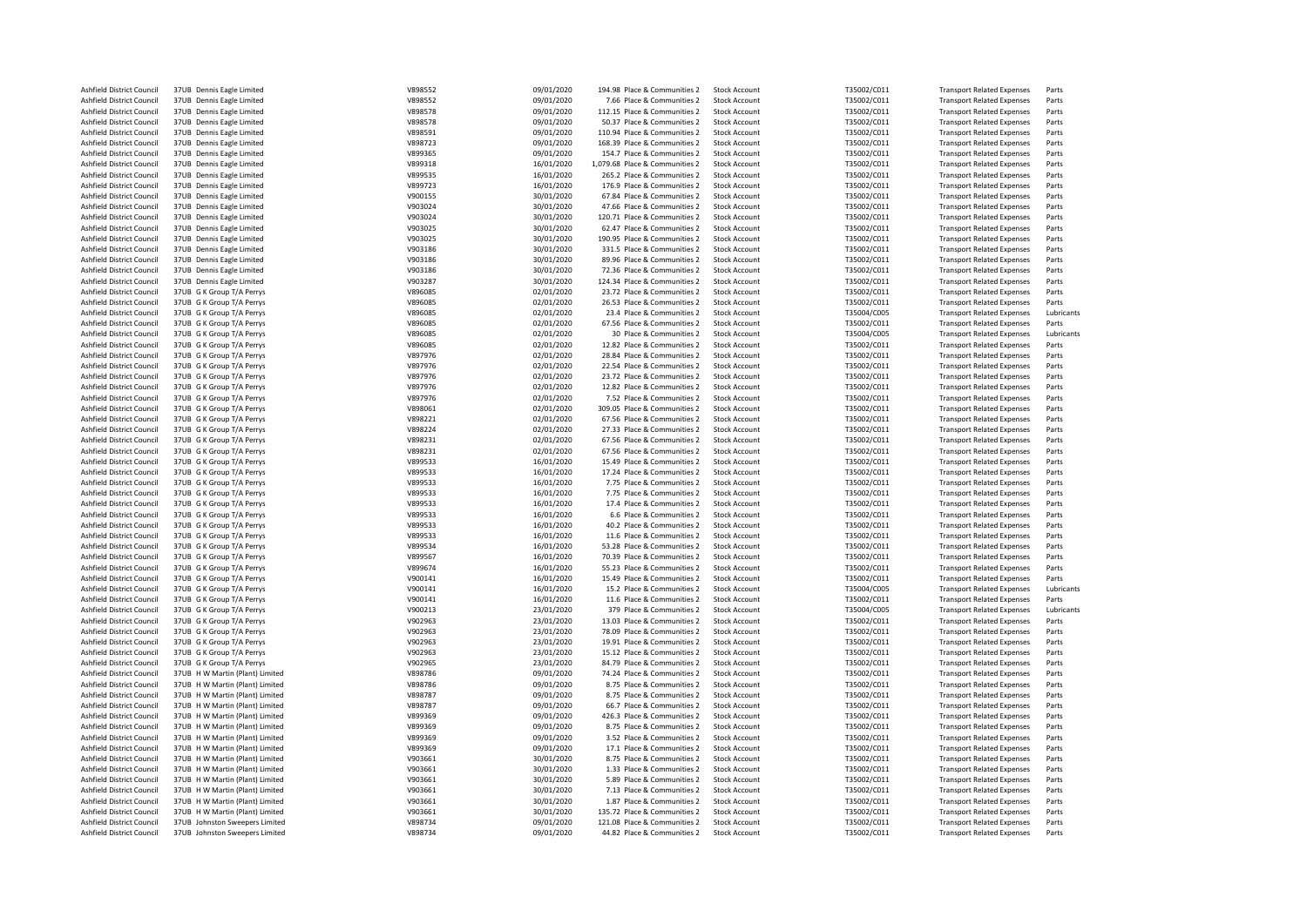| Ashfield District Council | 37UB Dennis Eagle Limited       | V898552 | 09/01/2020 | 194.98 Place & Communities 2   | <b>Stock Account</b> | T35002/C011 | <b>Transport Related Expenses</b> | Parts      |
|---------------------------|---------------------------------|---------|------------|--------------------------------|----------------------|-------------|-----------------------------------|------------|
| Ashfield District Council | 37UB Dennis Eagle Limited       | V898552 | 09/01/2020 | 7.66 Place & Communities 2     | <b>Stock Account</b> | T35002/C011 | <b>Transport Related Expenses</b> | Parts      |
| Ashfield District Council | 37UB Dennis Eagle Limited       | V898578 | 09/01/2020 | 112.15 Place & Communities 2   | <b>Stock Account</b> | T35002/C011 | <b>Transport Related Expenses</b> | Parts      |
| Ashfield District Council | 37UB Dennis Eagle Limited       | V898578 | 09/01/2020 | 50.37 Place & Communities 2    | <b>Stock Account</b> | T35002/C011 | <b>Transport Related Expenses</b> | Parts      |
| Ashfield District Council | 37UB Dennis Eagle Limited       | V898591 | 09/01/2020 | 110.94 Place & Communities 2   | <b>Stock Account</b> | T35002/C011 | <b>Transport Related Expenses</b> | Parts      |
|                           |                                 |         |            |                                |                      |             |                                   |            |
| Ashfield District Council | 37UB Dennis Eagle Limited       | V898723 | 09/01/2020 | 168.39 Place & Communities 2   | <b>Stock Account</b> | T35002/C011 | <b>Transport Related Expenses</b> | Parts      |
| Ashfield District Council | 37UB Dennis Eagle Limited       | V899365 | 09/01/2020 | 154.7 Place & Communities 2    | <b>Stock Account</b> | T35002/C011 | <b>Transport Related Expenses</b> | Parts      |
| Ashfield District Council | 37UB Dennis Eagle Limited       | V899318 | 16/01/2020 | 1,079.68 Place & Communities 2 | <b>Stock Account</b> | T35002/C011 | <b>Transport Related Expenses</b> | Parts      |
| Ashfield District Council | 37UB Dennis Eagle Limited       | V899535 | 16/01/2020 | 265.2 Place & Communities 2    | <b>Stock Account</b> | T35002/C011 | <b>Transport Related Expenses</b> | Parts      |
| Ashfield District Council | 37UB Dennis Eagle Limited       | V899723 | 16/01/2020 | 176.9 Place & Communities 2    | <b>Stock Account</b> | T35002/C011 | <b>Transport Related Expenses</b> | Parts      |
|                           |                                 |         |            |                                |                      |             |                                   |            |
| Ashfield District Council | 37UB Dennis Eagle Limited       | V900155 | 30/01/2020 | 67.84 Place & Communities 2    | <b>Stock Account</b> | T35002/C011 | <b>Transport Related Expenses</b> | Parts      |
| Ashfield District Council | 37UB Dennis Eagle Limited       | V903024 | 30/01/2020 | 47.66 Place & Communities 2    | <b>Stock Account</b> | T35002/C011 | <b>Transport Related Expenses</b> | Parts      |
| Ashfield District Council | 37UB Dennis Eagle Limited       | V903024 | 30/01/2020 | 120.71 Place & Communities 2   | <b>Stock Account</b> | T35002/C011 | <b>Transport Related Expenses</b> | Parts      |
| Ashfield District Council | 37UB Dennis Eagle Limited       | V903025 | 30/01/2020 | 62.47 Place & Communities 2    | <b>Stock Account</b> | T35002/C011 | <b>Transport Related Expenses</b> | Parts      |
| Ashfield District Council | 37UB Dennis Eagle Limited       | V903025 | 30/01/2020 | 190.95 Place & Communities 2   | <b>Stock Account</b> | T35002/C011 | <b>Transport Related Expenses</b> | Parts      |
|                           |                                 |         |            |                                |                      |             |                                   |            |
| Ashfield District Council | 37UB Dennis Eagle Limited       | V903186 | 30/01/2020 | 331.5 Place & Communities 2    | <b>Stock Account</b> | T35002/C011 | <b>Transport Related Expenses</b> | Parts      |
| Ashfield District Council | 37UB Dennis Eagle Limited       | V903186 | 30/01/2020 | 89.96 Place & Communities 2    | <b>Stock Account</b> | T35002/C011 | <b>Transport Related Expenses</b> | Parts      |
| Ashfield District Council | 37UB Dennis Eagle Limited       | V903186 | 30/01/2020 | 72.36 Place & Communities 2    | <b>Stock Account</b> | T35002/C011 | <b>Transport Related Expenses</b> | Parts      |
| Ashfield District Council | 37UB Dennis Eagle Limited       | V903287 | 30/01/2020 | 124.34 Place & Communities 2   | <b>Stock Account</b> | T35002/C011 | <b>Transport Related Expenses</b> | Parts      |
| Ashfield District Council | 37UB G K Group T/A Perrys       | V896085 | 02/01/2020 | 23.72 Place & Communities 2    | <b>Stock Account</b> | T35002/C011 | <b>Transport Related Expenses</b> | Parts      |
| Ashfield District Council | 37UB G K Group T/A Perrys       | V896085 | 02/01/2020 | 26.53 Place & Communities 2    | <b>Stock Account</b> | T35002/C011 | <b>Transport Related Expenses</b> | Parts      |
|                           |                                 |         |            |                                |                      |             |                                   |            |
| Ashfield District Council | 37UB G K Group T/A Perrys       | V896085 | 02/01/2020 | 23.4 Place & Communities 2     | <b>Stock Account</b> | T35004/C005 | <b>Transport Related Expenses</b> | Lubricants |
| Ashfield District Council | 37UB G K Group T/A Perrys       | V896085 | 02/01/2020 | 67.56 Place & Communities 2    | <b>Stock Account</b> | T35002/C011 | <b>Transport Related Expenses</b> | Parts      |
| Ashfield District Council | 37UB G K Group T/A Perrys       | V896085 | 02/01/2020 | 30 Place & Communities 2       | <b>Stock Account</b> | T35004/C005 | <b>Transport Related Expenses</b> | Lubricants |
| Ashfield District Council | 37UB G K Group T/A Perrys       | V896085 | 02/01/2020 | 12.82 Place & Communities 2    | <b>Stock Account</b> | T35002/C011 | <b>Transport Related Expenses</b> | Parts      |
| Ashfield District Council | 37UB G K Group T/A Perrys       | V897976 | 02/01/2020 | 28.84 Place & Communities 2    | <b>Stock Account</b> | T35002/C011 | <b>Transport Related Expenses</b> | Parts      |
|                           |                                 |         |            |                                |                      |             |                                   |            |
| Ashfield District Council | 37UB G K Group T/A Perrys       | V897976 | 02/01/2020 | 22.54 Place & Communities 2    | <b>Stock Account</b> | T35002/C011 | <b>Transport Related Expenses</b> | Parts      |
| Ashfield District Council | 37UB G K Group T/A Perrys       | V897976 | 02/01/2020 | 23.72 Place & Communities 2    | <b>Stock Account</b> | T35002/C011 | <b>Transport Related Expenses</b> | Parts      |
| Ashfield District Council | 37UB G K Group T/A Perrys       | V897976 | 02/01/2020 | 12.82 Place & Communities 2    | <b>Stock Account</b> | T35002/C011 | <b>Transport Related Expenses</b> | Parts      |
| Ashfield District Council | 37UB G K Group T/A Perrys       | V897976 | 02/01/2020 | 7.52 Place & Communities 2     | <b>Stock Account</b> | T35002/C011 | <b>Transport Related Expenses</b> | Parts      |
| Ashfield District Council | 37UB G K Group T/A Perrys       | V898061 | 02/01/2020 | 309.05 Place & Communities 2   | <b>Stock Account</b> | T35002/C011 | <b>Transport Related Expenses</b> | Parts      |
|                           |                                 |         |            |                                |                      |             |                                   |            |
| Ashfield District Council | 37UB G K Group T/A Perrys       | V898221 | 02/01/2020 | 67.56 Place & Communities 2    | <b>Stock Account</b> | T35002/C011 | <b>Transport Related Expenses</b> | Parts      |
| Ashfield District Council | 37UB G K Group T/A Perrys       | V898224 | 02/01/2020 | 27.33 Place & Communities 2    | <b>Stock Account</b> | T35002/C011 | <b>Transport Related Expenses</b> | Parts      |
| Ashfield District Council | 37UB G K Group T/A Perrys       | V898231 | 02/01/2020 | 67.56 Place & Communities 2    | <b>Stock Account</b> | T35002/C011 | <b>Transport Related Expenses</b> | Parts      |
| Ashfield District Council | 37UB G K Group T/A Perrys       | V898231 | 02/01/2020 | 67.56 Place & Communities 2    | <b>Stock Account</b> | T35002/C011 | <b>Transport Related Expenses</b> | Parts      |
| Ashfield District Council | 37UB G K Group T/A Perrys       | V899533 | 16/01/2020 | 15.49 Place & Communities 2    | <b>Stock Account</b> | T35002/C011 | <b>Transport Related Expenses</b> | Parts      |
|                           |                                 |         |            |                                |                      |             |                                   |            |
| Ashfield District Council | 37UB G K Group T/A Perrys       | V899533 | 16/01/2020 | 17.24 Place & Communities 2    | <b>Stock Account</b> | T35002/C011 | <b>Transport Related Expenses</b> | Parts      |
| Ashfield District Council | 37UB G K Group T/A Perrys       | V899533 | 16/01/2020 | 7.75 Place & Communities 2     | <b>Stock Account</b> | T35002/C011 | <b>Transport Related Expenses</b> | Parts      |
| Ashfield District Council | 37UB G K Group T/A Perrys       | V899533 | 16/01/2020 | 7.75 Place & Communities 2     | <b>Stock Account</b> | T35002/C011 | <b>Transport Related Expenses</b> | Parts      |
| Ashfield District Council | 37UB G K Group T/A Perrys       | V899533 | 16/01/2020 | 17.4 Place & Communities 2     | <b>Stock Account</b> | T35002/C011 | <b>Transport Related Expenses</b> | Parts      |
| Ashfield District Council | 37UB G K Group T/A Perrys       | V899533 | 16/01/2020 | 6.6 Place & Communities 2      | <b>Stock Account</b> | T35002/C011 | <b>Transport Related Expenses</b> | Parts      |
|                           |                                 |         |            |                                |                      |             |                                   |            |
| Ashfield District Council | 37UB G K Group T/A Perrys       | V899533 | 16/01/2020 | 40.2 Place & Communities 2     | <b>Stock Account</b> | T35002/C011 | <b>Transport Related Expenses</b> | Parts      |
| Ashfield District Council | 37UB G K Group T/A Perrys       | V899533 | 16/01/2020 | 11.6 Place & Communities 2     | <b>Stock Account</b> | T35002/C011 | <b>Transport Related Expenses</b> | Parts      |
| Ashfield District Council | 37UB G K Group T/A Perrys       | V899534 | 16/01/2020 | 53.28 Place & Communities 2    | <b>Stock Account</b> | T35002/C011 | <b>Transport Related Expenses</b> | Parts      |
| Ashfield District Council | 37UB G K Group T/A Perrys       | V899567 | 16/01/2020 | 70.39 Place & Communities 2    | <b>Stock Account</b> | T35002/C011 | <b>Transport Related Expenses</b> | Parts      |
| Ashfield District Council | 37UB G K Group T/A Perrys       | V899674 | 16/01/2020 | 55.23 Place & Communities 2    | <b>Stock Account</b> | T35002/C011 | <b>Transport Related Expenses</b> | Parts      |
|                           |                                 |         |            |                                |                      |             |                                   |            |
| Ashfield District Council | 37UB G K Group T/A Perrys       | V900141 | 16/01/2020 | 15.49 Place & Communities 2    | <b>Stock Account</b> | T35002/C011 | <b>Transport Related Expenses</b> | Parts      |
| Ashfield District Council | 37UB G K Group T/A Perrys       | V900141 | 16/01/2020 | 15.2 Place & Communities 2     | <b>Stock Account</b> | T35004/C005 | <b>Transport Related Expenses</b> | Lubricants |
| Ashfield District Council | 37UB G K Group T/A Perrys       | V900141 | 16/01/2020 | 11.6 Place & Communities 2     | <b>Stock Account</b> | T35002/C011 | <b>Transport Related Expenses</b> | Parts      |
| Ashfield District Council | 37UB G K Group T/A Perrys       | V900213 | 23/01/2020 | 379 Place & Communities 2      | <b>Stock Account</b> | T35004/C005 | <b>Transport Related Expenses</b> | Lubricants |
| Ashfield District Council | 37UB G K Group T/A Perrys       | V902963 | 23/01/2020 | 13.03 Place & Communities 2    | <b>Stock Account</b> | T35002/C011 | <b>Transport Related Expenses</b> | Parts      |
| Ashfield District Council | 37UB G K Group T/A Perrys       | V902963 | 23/01/2020 | 78.09 Place & Communities 2    | <b>Stock Account</b> | T35002/C011 | <b>Transport Related Expenses</b> | Parts      |
|                           |                                 |         |            |                                |                      |             |                                   |            |
| Ashfield District Council | 37UB G K Group T/A Perrys       | V902963 | 23/01/2020 | 19.91 Place & Communities 2    | <b>Stock Account</b> | T35002/C011 | <b>Transport Related Expenses</b> | Parts      |
| Ashfield District Council | 37UB G K Group T/A Perrys       | V902963 | 23/01/2020 | 15.12 Place & Communities 2    | <b>Stock Account</b> | T35002/C011 | <b>Transport Related Expenses</b> | Parts      |
| Ashfield District Council | 37UB G K Group T/A Perrys       | V902965 | 23/01/2020 | 84.79 Place & Communities 2    | <b>Stock Account</b> | T35002/C011 | <b>Transport Related Expenses</b> | Parts      |
| Ashfield District Council | 37UB H W Martin (Plant) Limited | V898786 | 09/01/2020 | 74.24 Place & Communities 2    | <b>Stock Account</b> | T35002/C011 | <b>Transport Related Expenses</b> | Parts      |
| Ashfield District Council | 37UB H W Martin (Plant) Limited | V898786 | 09/01/2020 | 8.75 Place & Communities 2     | <b>Stock Account</b> | T35002/C011 | <b>Transport Related Expenses</b> | Parts      |
|                           |                                 |         |            |                                |                      |             |                                   |            |
| Ashfield District Council | 37UB H W Martin (Plant) Limited | V898787 | 09/01/2020 | 8.75 Place & Communities 2     | <b>Stock Account</b> | T35002/C011 | <b>Transport Related Expenses</b> | Parts      |
| Ashfield District Council | 37UB H W Martin (Plant) Limited | V898787 | 09/01/2020 | 66.7 Place & Communities 2     | <b>Stock Account</b> | T35002/C011 | <b>Transport Related Expenses</b> | Parts      |
| Ashfield District Council | 37UB H W Martin (Plant) Limited | V899369 | 09/01/2020 | 426.3 Place & Communities 2    | <b>Stock Account</b> | T35002/C011 | <b>Transport Related Expenses</b> | Parts      |
| Ashfield District Council | 37UB H W Martin (Plant) Limited | V899369 | 09/01/2020 | 8.75 Place & Communities 2     | <b>Stock Account</b> | T35002/C011 | <b>Transport Related Expenses</b> | Parts      |
| Ashfield District Council | 37UB H W Martin (Plant) Limited | V899369 | 09/01/2020 | 3.52 Place & Communities 2     | <b>Stock Account</b> | T35002/C011 | <b>Transport Related Expenses</b> | Parts      |
|                           |                                 |         |            |                                |                      |             |                                   |            |
| Ashfield District Council | 37UB H W Martin (Plant) Limited | V899369 | 09/01/2020 | 17.1 Place & Communities 2     | <b>Stock Account</b> | T35002/C011 | <b>Transport Related Expenses</b> | Parts      |
| Ashfield District Council | 37UB H W Martin (Plant) Limited | V903661 | 30/01/2020 | 8.75 Place & Communities 2     | <b>Stock Account</b> | T35002/C011 | <b>Transport Related Expenses</b> | Parts      |
| Ashfield District Council | 37UB H W Martin (Plant) Limited | V903661 | 30/01/2020 | 1.33 Place & Communities 2     | <b>Stock Account</b> | T35002/C011 | <b>Transport Related Expenses</b> | Parts      |
| Ashfield District Council | 37UB H W Martin (Plant) Limited | V903661 | 30/01/2020 | 5.89 Place & Communities 2     | <b>Stock Account</b> | T35002/C011 | <b>Transport Related Expenses</b> | Parts      |
| Ashfield District Council | 37UB H W Martin (Plant) Limited | V903661 | 30/01/2020 | 7.13 Place & Communities 2     | <b>Stock Account</b> | T35002/C011 | <b>Transport Related Expenses</b> | Parts      |
|                           |                                 |         |            |                                |                      |             |                                   |            |
| Ashfield District Council | 37UB H W Martin (Plant) Limited | V903661 | 30/01/2020 | 1.87 Place & Communities 2     | <b>Stock Account</b> | T35002/C011 | <b>Transport Related Expenses</b> | Parts      |
| Ashfield District Council | 37UB H W Martin (Plant) Limited | V903661 | 30/01/2020 | 135.72 Place & Communities 2   | <b>Stock Account</b> | T35002/C011 | <b>Transport Related Expenses</b> | Parts      |
| Ashfield District Council | 37UB Johnston Sweepers Limited  | V898734 | 09/01/2020 | 121.08 Place & Communities 2   | <b>Stock Account</b> | T35002/C011 | <b>Transport Related Expenses</b> | Parts      |
| Ashfield District Council | 37UB Johnston Sweepers Limited  | V898734 | 09/01/2020 | 44.82 Place & Communities 2    | <b>Stock Account</b> | T35002/C011 | <b>Transport Related Expenses</b> | Parts      |
|                           |                                 |         |            |                                |                      |             |                                   |            |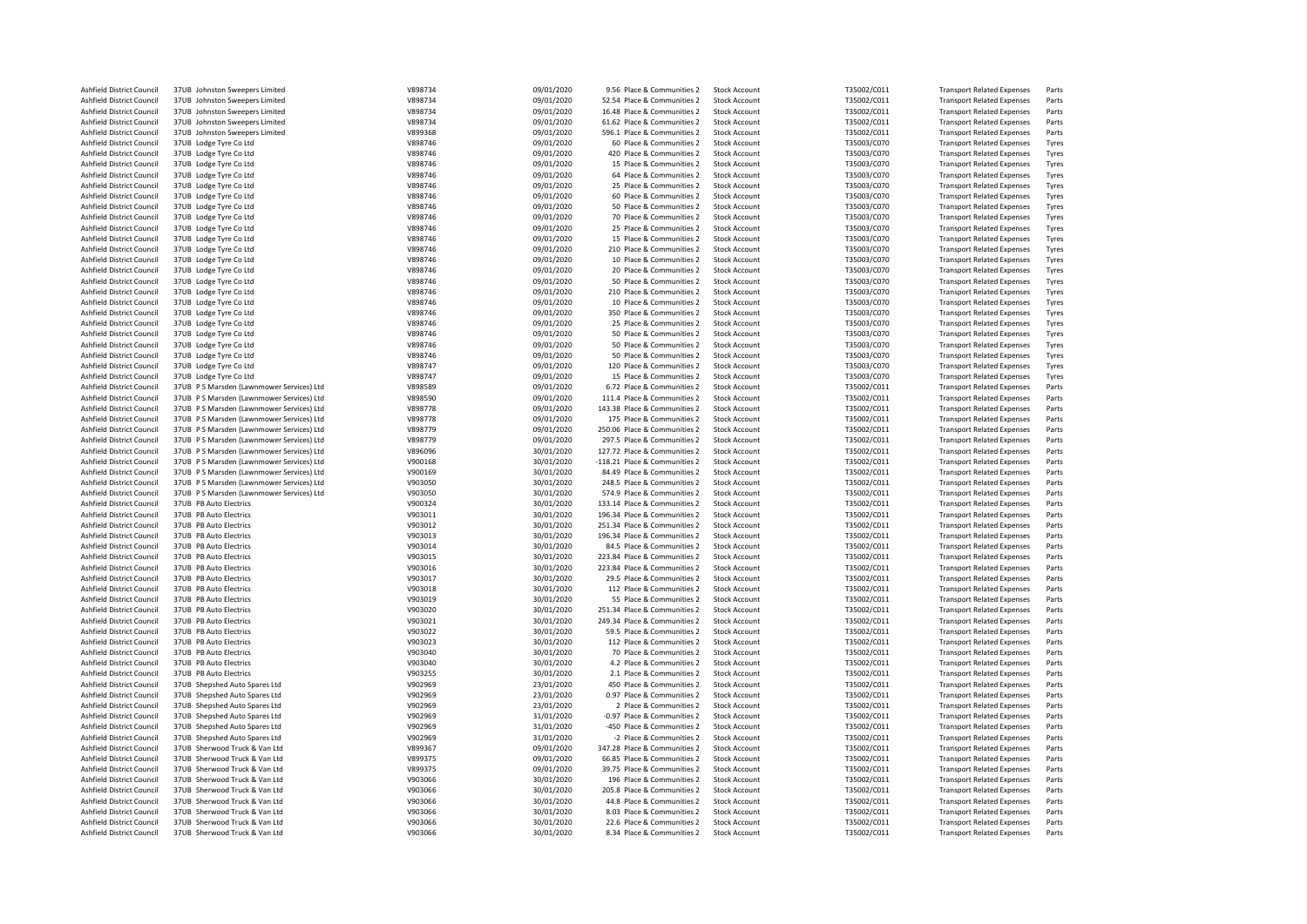| Ashfield District Council | 37UB Johnston Sweepers Limited           | V898734 | 09/01/2020 | 9.56 Place & Communities 2    | <b>Stock Account</b> | T35002/C011 | <b>Transport Related Expenses</b> | Parts |
|---------------------------|------------------------------------------|---------|------------|-------------------------------|----------------------|-------------|-----------------------------------|-------|
| Ashfield District Council | 37UB Johnston Sweepers Limited           | V898734 | 09/01/2020 | 52.54 Place & Communities 2   | <b>Stock Account</b> | T35002/C011 | <b>Transport Related Expenses</b> | Parts |
| Ashfield District Council | 37UB Johnston Sweepers Limited           | V898734 | 09/01/2020 | 16.48 Place & Communities 2   | <b>Stock Account</b> | T35002/C011 | <b>Transport Related Expenses</b> | Parts |
| Ashfield District Council | 37UB Johnston Sweepers Limited           | V898734 | 09/01/2020 | 61.62 Place & Communities 2   | <b>Stock Account</b> | T35002/C011 | <b>Transport Related Expenses</b> | Parts |
| Ashfield District Council | 37UB Johnston Sweepers Limited           | V899368 | 09/01/2020 | 596.1 Place & Communities 2   | <b>Stock Account</b> | T35002/C011 | <b>Transport Related Expenses</b> | Parts |
|                           |                                          |         |            |                               |                      |             |                                   |       |
| Ashfield District Council | 37UB Lodge Tyre Co Ltd                   | V898746 | 09/01/2020 | 60 Place & Communities 2      | <b>Stock Account</b> | T35003/C070 | <b>Transport Related Expenses</b> | Tyres |
| Ashfield District Council | 37UB Lodge Tyre Co Ltd                   | V898746 | 09/01/2020 | 420 Place & Communities 2     | <b>Stock Account</b> | T35003/C070 | <b>Transport Related Expenses</b> | Tyres |
| Ashfield District Council | 37UB Lodge Tyre Co Ltd                   | V898746 | 09/01/2020 | 15 Place & Communities 2      | <b>Stock Account</b> | T35003/C070 | <b>Transport Related Expenses</b> | Tyres |
| Ashfield District Council | 37UB Lodge Tyre Co Ltd                   | V898746 | 09/01/2020 | 64 Place & Communities 2      | Stock Account        | T35003/C070 | <b>Transport Related Expenses</b> | Tyres |
| Ashfield District Council | 37UB Lodge Tyre Co Ltd                   | V898746 | 09/01/2020 | 25 Place & Communities 2      | <b>Stock Account</b> | T35003/C070 | <b>Transport Related Expenses</b> | Tyres |
|                           |                                          |         |            |                               |                      |             |                                   |       |
| Ashfield District Council | 37UB Lodge Tyre Co Ltd                   | V898746 | 09/01/2020 | 60 Place & Communities 2      | <b>Stock Account</b> | T35003/C070 | <b>Transport Related Expenses</b> | Tyres |
| Ashfield District Council | 37UB Lodge Tyre Co Ltd                   | V898746 | 09/01/2020 | 50 Place & Communities 2      | <b>Stock Account</b> | T35003/C070 | <b>Transport Related Expenses</b> | Tyres |
| Ashfield District Council | 37UB Lodge Tyre Co Ltd                   | V898746 | 09/01/2020 | 70 Place & Communities 2      | <b>Stock Account</b> | T35003/C070 | <b>Transport Related Expenses</b> | Tyres |
| Ashfield District Council | 37UB Lodge Tyre Co Ltd                   | V898746 | 09/01/2020 | 25 Place & Communities 2      | <b>Stock Account</b> | T35003/C070 | <b>Transport Related Expenses</b> | Tyres |
| Ashfield District Council | 37UB Lodge Tyre Co Ltd                   | V898746 | 09/01/2020 | 15 Place & Communities 2      | <b>Stock Account</b> | T35003/C070 | <b>Transport Related Expenses</b> | Tyres |
| Ashfield District Council | 37UB Lodge Tyre Co Ltd                   | V898746 | 09/01/2020 | 210 Place & Communities 2     | <b>Stock Account</b> | T35003/C070 | <b>Transport Related Expenses</b> | Tyres |
|                           |                                          |         |            |                               |                      |             |                                   |       |
| Ashfield District Council | 37UB Lodge Tyre Co Ltd                   | V898746 | 09/01/2020 | 10 Place & Communities 2      | <b>Stock Account</b> | T35003/C070 | <b>Transport Related Expenses</b> | Tyres |
| Ashfield District Council | 37UB Lodge Tyre Co Ltd                   | V898746 | 09/01/2020 | 20 Place & Communities 2      | <b>Stock Account</b> | T35003/C070 | <b>Transport Related Expenses</b> | Tyres |
| Ashfield District Council | 37UB Lodge Tyre Co Ltd                   | V898746 | 09/01/2020 | 50 Place & Communities 2      | <b>Stock Account</b> | T35003/C070 | <b>Transport Related Expenses</b> | Tyres |
| Ashfield District Council | 37UB Lodge Tyre Co Ltd                   | V898746 | 09/01/2020 | 210 Place & Communities 2     | <b>Stock Account</b> | T35003/C070 | <b>Transport Related Expenses</b> | Tyres |
| Ashfield District Council | 37UB Lodge Tyre Co Ltd                   | V898746 | 09/01/2020 | 10 Place & Communities 2      | <b>Stock Account</b> | T35003/C070 | <b>Transport Related Expenses</b> | Tyres |
| Ashfield District Council | 37UB Lodge Tyre Co Ltd                   | V898746 | 09/01/2020 | 350 Place & Communities 2     | <b>Stock Account</b> | T35003/C070 | <b>Transport Related Expenses</b> | Tyres |
|                           |                                          |         |            |                               |                      |             |                                   |       |
| Ashfield District Council | 37UB Lodge Tyre Co Ltd                   | V898746 | 09/01/2020 | 25 Place & Communities 2      | <b>Stock Account</b> | T35003/C070 | <b>Transport Related Expenses</b> | Tyres |
| Ashfield District Council | 37UB Lodge Tyre Co Ltd                   | V898746 | 09/01/2020 | 50 Place & Communities 2      | <b>Stock Account</b> | T35003/C070 | <b>Transport Related Expenses</b> | Tyres |
| Ashfield District Council | 37UB Lodge Tyre Co Ltd                   | V898746 | 09/01/2020 | 50 Place & Communities 2      | <b>Stock Account</b> | T35003/C070 | <b>Transport Related Expenses</b> | Tyres |
| Ashfield District Council | 37UB Lodge Tyre Co Ltd                   | V898746 | 09/01/2020 | 50 Place & Communities 2      | <b>Stock Account</b> | T35003/C070 | <b>Transport Related Expenses</b> | Tyres |
| Ashfield District Council | 37UB Lodge Tyre Co Ltd                   | V898747 | 09/01/2020 | 120 Place & Communities 2     | <b>Stock Account</b> | T35003/C070 | <b>Transport Related Expenses</b> | Tyres |
|                           |                                          | V898747 |            |                               |                      |             |                                   |       |
| Ashfield District Council | 37UB Lodge Tyre Co Ltd                   |         | 09/01/2020 | 15 Place & Communities 2      | <b>Stock Account</b> | T35003/C070 | <b>Transport Related Expenses</b> | Tyres |
| Ashfield District Council | 37UB PS Marsden (Lawnmower Services) Ltd | V898589 | 09/01/2020 | 6.72 Place & Communities 2    | <b>Stock Account</b> | T35002/C011 | <b>Transport Related Expenses</b> | Parts |
| Ashfield District Council | 37UB PS Marsden (Lawnmower Services) Ltd | V898590 | 09/01/2020 | 111.4 Place & Communities 2   | <b>Stock Account</b> | T35002/C011 | <b>Transport Related Expenses</b> | Parts |
| Ashfield District Council | 37UB PS Marsden (Lawnmower Services) Ltd | V898778 | 09/01/2020 | 143.38 Place & Communities 2  | <b>Stock Account</b> | T35002/C011 | <b>Transport Related Expenses</b> | Parts |
| Ashfield District Council | 37UB PS Marsden (Lawnmower Services) Ltd | V898778 | 09/01/2020 | 175 Place & Communities 2     | <b>Stock Account</b> | T35002/C011 | <b>Transport Related Expenses</b> | Parts |
| Ashfield District Council | 37UB PS Marsden (Lawnmower Services) Ltd | V898779 | 09/01/2020 | 250.06 Place & Communities 2  | <b>Stock Account</b> | T35002/C011 | <b>Transport Related Expenses</b> | Parts |
|                           |                                          |         |            |                               |                      |             |                                   |       |
| Ashfield District Council | 37UB PS Marsden (Lawnmower Services) Ltd | V898779 | 09/01/2020 | 297.5 Place & Communities 2   | <b>Stock Account</b> | T35002/C011 | <b>Transport Related Expenses</b> | Parts |
| Ashfield District Council | 37UB PS Marsden (Lawnmower Services) Ltd | V896096 | 30/01/2020 | 127.72 Place & Communities 2  | <b>Stock Account</b> | T35002/C011 | <b>Transport Related Expenses</b> | Parts |
| Ashfield District Council | 37UB PS Marsden (Lawnmower Services) Ltd | V900168 | 30/01/2020 | -118.21 Place & Communities 2 | <b>Stock Account</b> | T35002/C011 | <b>Transport Related Expenses</b> | Parts |
| Ashfield District Council | 37UB PS Marsden (Lawnmower Services) Ltd | V900169 | 30/01/2020 | 84.49 Place & Communities 2   | <b>Stock Account</b> | T35002/C011 | <b>Transport Related Expenses</b> | Parts |
| Ashfield District Council | 37UB PS Marsden (Lawnmower Services) Ltd | V903050 | 30/01/2020 | 248.5 Place & Communities 2   | <b>Stock Account</b> | T35002/C011 | <b>Transport Related Expenses</b> | Parts |
|                           |                                          |         |            |                               |                      |             |                                   |       |
| Ashfield District Council | 37UB PS Marsden (Lawnmower Services) Ltd | V903050 | 30/01/2020 | 574.9 Place & Communities 2   | <b>Stock Account</b> | T35002/C011 | <b>Transport Related Expenses</b> | Parts |
| Ashfield District Council | 37UB PB Auto Electrics                   | V900324 | 30/01/2020 | 133.14 Place & Communities 2  | <b>Stock Account</b> | T35002/C011 | <b>Transport Related Expenses</b> | Parts |
| Ashfield District Council | 37UB PB Auto Electrics                   | V903011 | 30/01/2020 | 196.34 Place & Communities 2  | <b>Stock Account</b> | T35002/C011 | <b>Transport Related Expenses</b> | Parts |
| Ashfield District Council | 37UB PB Auto Electrics                   | V903012 | 30/01/2020 | 251.34 Place & Communities 2  | <b>Stock Account</b> | T35002/C011 | <b>Transport Related Expenses</b> | Parts |
| Ashfield District Council | 37UB PB Auto Electrics                   | V903013 | 30/01/2020 | 196.34 Place & Communities 2  | <b>Stock Account</b> | T35002/C011 | <b>Transport Related Expenses</b> | Parts |
|                           |                                          | V903014 | 30/01/2020 |                               |                      | T35002/C011 |                                   | Parts |
| Ashfield District Council | 37UB PB Auto Electrics                   |         |            | 84.5 Place & Communities 2    | <b>Stock Account</b> |             | <b>Transport Related Expenses</b> |       |
| Ashfield District Council | 37UB PB Auto Electrics                   | V903015 | 30/01/2020 | 223.84 Place & Communities 2  | <b>Stock Account</b> | T35002/C011 | <b>Transport Related Expenses</b> | Parts |
| Ashfield District Council | 37UB PB Auto Electrics                   | V903016 | 30/01/2020 | 223.84 Place & Communities 2  | <b>Stock Account</b> | T35002/C011 | <b>Transport Related Expenses</b> | Parts |
| Ashfield District Council | 37UB PB Auto Electrics                   | V903017 | 30/01/2020 | 29.5 Place & Communities 2    | <b>Stock Account</b> | T35002/C011 | <b>Transport Related Expenses</b> | Parts |
| Ashfield District Council | 37UB PB Auto Electrics                   | V903018 | 30/01/2020 | 112 Place & Communities 2     | <b>Stock Account</b> | T35002/C011 | <b>Transport Related Expenses</b> | Parts |
| Ashfield District Council | 37UB PB Auto Electrics                   | V903019 | 30/01/2020 | 55 Place & Communities 2      | <b>Stock Account</b> | T35002/C011 | <b>Transport Related Expenses</b> | Parts |
|                           |                                          |         |            |                               |                      |             |                                   |       |
| Ashfield District Council | 37UB PB Auto Electrics                   | V903020 | 30/01/2020 | 251.34 Place & Communities 2  | <b>Stock Account</b> | T35002/C011 | <b>Transport Related Expenses</b> | Parts |
| Ashfield District Council | 37UB PB Auto Electrics                   | V903021 | 30/01/2020 | 249.34 Place & Communities 2  | <b>Stock Account</b> | T35002/C011 | <b>Transport Related Expenses</b> | Parts |
| Ashfield District Council | 37UB PB Auto Electrics                   | V903022 | 30/01/2020 | 59.5 Place & Communities 2    | <b>Stock Account</b> | T35002/C011 | <b>Transport Related Expenses</b> | Parts |
| Ashfield District Council | 37UB PB Auto Electrics                   | V903023 | 30/01/2020 | 112 Place & Communities 2     | <b>Stock Account</b> | T35002/C011 | <b>Transport Related Expenses</b> | Parts |
| Ashfield District Council | 37UB PB Auto Electrics                   | V903040 | 30/01/2020 | 70 Place & Communities 2      | <b>Stock Account</b> | T35002/C011 | <b>Transport Related Expenses</b> | Parts |
| Ashfield District Council | 37UB PB Auto Electrics                   | V903040 | 30/01/2020 | 4.2 Place & Communities 2     | <b>Stock Account</b> | T35002/C011 | <b>Transport Related Expenses</b> | Parts |
|                           |                                          |         |            |                               |                      |             |                                   |       |
| Ashfield District Council | 37UB PB Auto Electrics                   | V903255 | 30/01/2020 | 2.1 Place & Communities 2     | <b>Stock Account</b> | T35002/C011 | <b>Transport Related Expenses</b> | Parts |
| Ashfield District Council | 37UB Shepshed Auto Spares Ltd            | V902969 | 23/01/2020 | 450 Place & Communities 2     | <b>Stock Account</b> | T35002/C011 | <b>Transport Related Expenses</b> | Parts |
| Ashfield District Council | 37UB Shepshed Auto Spares Ltd            | V902969 | 23/01/2020 | 0.97 Place & Communities 2    | <b>Stock Account</b> | T35002/C011 | <b>Transport Related Expenses</b> | Parts |
| Ashfield District Council | 37UB Shepshed Auto Spares Ltd            | V902969 | 23/01/2020 | 2 Place & Communities 2       | <b>Stock Account</b> | T35002/C011 | <b>Transport Related Expenses</b> | Parts |
| Ashfield District Council | 37UB Shepshed Auto Spares Ltd            | V902969 | 31/01/2020 | -0.97 Place & Communities 2   | <b>Stock Account</b> | T35002/C011 | <b>Transport Related Expenses</b> | Parts |
| Ashfield District Council | 37UB Shepshed Auto Spares Ltd            | V902969 |            | -450 Place & Communities 2    | <b>Stock Account</b> | T35002/C011 | <b>Transport Related Expenses</b> | Parts |
|                           |                                          |         | 31/01/2020 |                               |                      |             |                                   |       |
| Ashfield District Council | 37UB Shepshed Auto Spares Ltd            | V902969 | 31/01/2020 | -2 Place & Communities 2      | <b>Stock Account</b> | T35002/C011 | <b>Transport Related Expenses</b> | Parts |
| Ashfield District Council | 37UB Sherwood Truck & Van Itd            | V899367 | 09/01/2020 | 347.28 Place & Communities 2  | Stock Account        | T35002/C011 | <b>Transport Related Expenses</b> | Parts |
| Ashfield District Council | 37UB Sherwood Truck & Van Ltd            | V899375 | 09/01/2020 | 66.85 Place & Communities 2   | <b>Stock Account</b> | T35002/C011 | <b>Transport Related Expenses</b> | Parts |
| Ashfield District Council | 37UB Sherwood Truck & Van Ltd            | V899375 | 09/01/2020 | 39.75 Place & Communities 2   | <b>Stock Account</b> | T35002/C011 | <b>Transport Related Expenses</b> | Parts |
| Ashfield District Council | 37UB Sherwood Truck & Van Ltd            | V903066 | 30/01/2020 | 196 Place & Communities 2     | <b>Stock Account</b> | T35002/C011 | <b>Transport Related Expenses</b> | Parts |
|                           |                                          |         |            |                               |                      |             |                                   |       |
| Ashfield District Council | 37UB Sherwood Truck & Van Ltd            | V903066 | 30/01/2020 | 205.8 Place & Communities 2   | <b>Stock Account</b> | T35002/C011 | <b>Transport Related Expenses</b> | Parts |
| Ashfield District Council | 37UB Sherwood Truck & Van Ltd            | V903066 | 30/01/2020 | 44.8 Place & Communities 2    | <b>Stock Account</b> | T35002/C011 | <b>Transport Related Expenses</b> | Parts |
| Ashfield District Council | 37UB Sherwood Truck & Van Ltd            | V903066 | 30/01/2020 | 8.03 Place & Communities 2    | <b>Stock Account</b> | T35002/C011 | <b>Transport Related Expenses</b> | Parts |
| Ashfield District Council | 37UB Sherwood Truck & Van Ltd            | V903066 | 30/01/2020 | 22.6 Place & Communities 2    | <b>Stock Account</b> | T35002/C011 | <b>Transport Related Expenses</b> | Parts |
| Ashfield District Council | 37UB Sherwood Truck & Van Ltd            | V903066 | 30/01/2020 | 8.34 Place & Communities 2    | <b>Stock Account</b> | T35002/C011 | <b>Transport Related Expenses</b> | Parts |
|                           |                                          |         |            |                               |                      |             |                                   |       |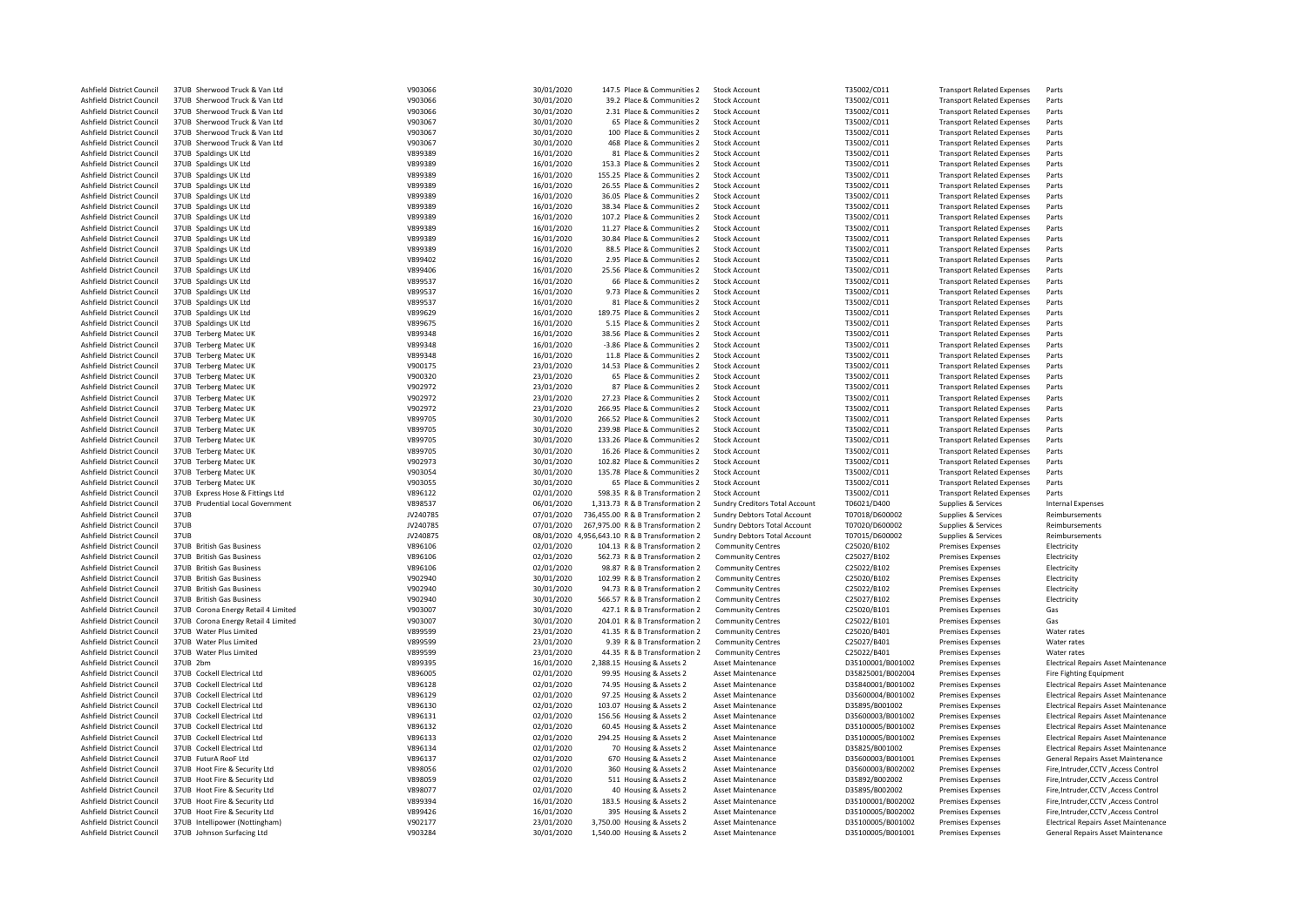| Ashfield District Council | 37UB Sherwood Truck & Van Ltd       | V903066  | 30/01/2020 | 147.5 Place & Communities 2                    | <b>Stock Account</b>           | T35002/C011       | <b>Transport Related Expenses</b> | Parts                                       |
|---------------------------|-------------------------------------|----------|------------|------------------------------------------------|--------------------------------|-------------------|-----------------------------------|---------------------------------------------|
| Ashfield District Council | 37UB Sherwood Truck & Van Ltd       | V903066  | 30/01/2020 | 39.2 Place & Communities 2                     | <b>Stock Account</b>           | T35002/C011       | <b>Transport Related Expenses</b> | Parts                                       |
| Ashfield District Council | 37UB Sherwood Truck & Van Ltd       | V903066  | 30/01/2020 | 2.31 Place & Communities 2                     | <b>Stock Account</b>           | T35002/C011       | <b>Transport Related Expenses</b> | Parts                                       |
| Ashfield District Council | 37UB Sherwood Truck & Van Ltd       | V903067  | 30/01/2020 | 65 Place & Communities 2                       | <b>Stock Account</b>           | T35002/C011       | <b>Transport Related Expenses</b> | Parts                                       |
|                           | 37UB Sherwood Truck & Van Itd       |          |            |                                                |                                |                   |                                   |                                             |
| Ashfield District Council |                                     | V903067  | 30/01/2020 | 100 Place & Communities 2                      | <b>Stock Account</b>           | T35002/C011       | <b>Transport Related Expenses</b> | Parts                                       |
| Ashfield District Council | 37UB Sherwood Truck & Van Ltd       | V903067  | 30/01/2020 | 468 Place & Communities 2                      | <b>Stock Account</b>           | T35002/C011       | <b>Transport Related Expenses</b> | Parts                                       |
| Ashfield District Council | 37UB Spaldings UK Ltd               | V899389  | 16/01/2020 | 81 Place & Communities 2                       | <b>Stock Account</b>           | T35002/C011       | <b>Transport Related Expenses</b> | Parts                                       |
| Ashfield District Council | 37UB Spaldings UK Ltd               | V899389  | 16/01/2020 | 153.3 Place & Communities 2                    | <b>Stock Account</b>           | T35002/C011       | <b>Transport Related Expenses</b> | Parts                                       |
|                           |                                     |          |            |                                                |                                |                   |                                   |                                             |
| Ashfield District Council | 37UB Spaldings UK Ltd               | V899389  | 16/01/2020 | 155.25 Place & Communities 2                   | Stock Account                  | T35002/C011       | <b>Transport Related Expenses</b> | Parts                                       |
| Ashfield District Council | 37UB Spaldings UK Ltd               | V899389  | 16/01/2020 | 26.55 Place & Communities 2                    | <b>Stock Account</b>           | T35002/C011       | <b>Transport Related Expenses</b> | Parts                                       |
| Ashfield District Council | 37UB Spaldings UK Ltd               | V899389  | 16/01/2020 | 36.05 Place & Communities 2                    | <b>Stock Account</b>           | T35002/C011       | <b>Transport Related Expenses</b> | Parts                                       |
| Ashfield District Council | 37UB Spaldings UK Ltd               | V899389  | 16/01/2020 | 38.34 Place & Communities 2                    | <b>Stock Account</b>           | T35002/C011       | <b>Transport Related Expenses</b> | Parts                                       |
|                           |                                     |          |            |                                                |                                |                   |                                   |                                             |
| Ashfield District Council | 37UB Spaldings UK Ltd               | V899389  | 16/01/2020 | 107.2 Place & Communities 2                    | <b>Stock Account</b>           | T35002/C011       | <b>Transport Related Expenses</b> | Parts                                       |
| Ashfield District Council | 37UB Spaldings UK Ltd               | V899389  | 16/01/2020 | 11.27 Place & Communities 2                    | <b>Stock Account</b>           | T35002/C011       | <b>Transport Related Expenses</b> | Parts                                       |
| Ashfield District Council | 37UB Spaldings UK Ltd               | V899389  | 16/01/2020 | 30.84 Place & Communities 2                    | <b>Stock Account</b>           | T35002/C011       | <b>Transport Related Expenses</b> | Parts                                       |
| Ashfield District Council | 37UB Spaldings UK Ltd               | V899389  | 16/01/2020 | 88.5 Place & Communities 2                     | <b>Stock Account</b>           | T35002/C011       | <b>Transport Related Expenses</b> | Parts                                       |
|                           |                                     |          |            |                                                |                                |                   |                                   |                                             |
| Ashfield District Council | 37UB Spaldings UK Ltd               | V899402  | 16/01/2020 | 2.95 Place & Communities 2                     | <b>Stock Account</b>           | T35002/C011       | <b>Transport Related Expenses</b> | Parts                                       |
| Ashfield District Council | 37UB Spaldings UK Ltd               | V899406  | 16/01/2020 | 25.56 Place & Communities 2                    | <b>Stock Account</b>           | T35002/C011       | <b>Transport Related Expenses</b> | Parts                                       |
| Ashfield District Council | 37UB Spaldings UK Ltd               | V899537  | 16/01/2020 | 66 Place & Communities 2                       | <b>Stock Account</b>           | T35002/C011       | <b>Transport Related Expenses</b> | Parts                                       |
| Ashfield District Council | 37UB Spaldings UK Ltd               | V899537  | 16/01/2020 | 9.73 Place & Communities 2                     | <b>Stock Account</b>           | T35002/C011       | <b>Transport Related Expenses</b> | Parts                                       |
|                           |                                     |          |            |                                                |                                |                   |                                   |                                             |
| Ashfield District Council | 37UB Spaldings UK Ltd               | V899537  | 16/01/2020 | 81 Place & Communities 2                       | <b>Stock Account</b>           | T35002/C011       | <b>Transport Related Expenses</b> | Parts                                       |
| Ashfield District Council | 37UB Spaldings UK Ltd               | V899629  | 16/01/2020 | 189.75 Place & Communities 2                   | <b>Stock Account</b>           | T35002/C011       | <b>Transport Related Expenses</b> | Parts                                       |
| Ashfield District Council | 37UB Spaldings UK Ltd               | V899675  | 16/01/2020 | 5.15 Place & Communities 2                     | Stock Account                  | T35002/C011       | <b>Transport Related Expenses</b> | Parts                                       |
| Ashfield District Council | 37UB Terberg Matec UK               | V899348  | 16/01/2020 | 38.56 Place & Communities 2                    | <b>Stock Account</b>           | T35002/C011       | <b>Transport Related Expenses</b> | Parts                                       |
|                           |                                     |          |            |                                                |                                |                   |                                   |                                             |
| Ashfield District Council | 37UB Terberg Matec UK               | V899348  | 16/01/2020 | -3.86 Place & Communities 2                    | <b>Stock Account</b>           | T35002/C011       | <b>Transport Related Expenses</b> | Parts                                       |
| Ashfield District Council | 37UB Terberg Matec UK               | V899348  | 16/01/2020 | 11.8 Place & Communities 2                     | <b>Stock Account</b>           | T35002/C011       | <b>Transport Related Expenses</b> | Parts                                       |
| Ashfield District Council | 37UB Terberg Matec UK               | V900175  | 23/01/2020 | 14.53 Place & Communities 2                    | <b>Stock Account</b>           | T35002/C011       | <b>Transport Related Expenses</b> | Parts                                       |
| Ashfield District Council | 37UB Terberg Matec UK               | V900320  | 23/01/2020 | 65 Place & Communities 2                       | <b>Stock Account</b>           | T35002/C011       | <b>Transport Related Expenses</b> | Parts                                       |
|                           |                                     |          |            |                                                |                                |                   |                                   |                                             |
| Ashfield District Council | 37UB Terberg Matec UK               | V902972  | 23/01/2020 | 87 Place & Communities 2                       | <b>Stock Account</b>           | T35002/C011       | <b>Transport Related Expenses</b> | Parts                                       |
| Ashfield District Council | 37UB Terberg Matec UK               | V902972  | 23/01/2020 | 27.23 Place & Communities 2                    | <b>Stock Account</b>           | T35002/C011       | <b>Transport Related Expenses</b> | Parts                                       |
| Ashfield District Council | 37UB Terberg Matec UK               | V902972  | 23/01/2020 | 266.95 Place & Communities 2                   | <b>Stock Account</b>           | T35002/C011       | <b>Transport Related Expenses</b> | Parts                                       |
| Ashfield District Council | 37UB Terberg Matec UK               | V899705  | 30/01/2020 | 266.52 Place & Communities 2                   | <b>Stock Account</b>           | T35002/C011       | <b>Transport Related Expenses</b> | Parts                                       |
|                           |                                     |          |            |                                                |                                |                   |                                   |                                             |
| Ashfield District Council | 37UB Terberg Matec UK               | V899705  | 30/01/2020 | 239.98 Place & Communities 2                   | <b>Stock Account</b>           | T35002/C011       | <b>Transport Related Expenses</b> | Parts                                       |
| Ashfield District Council | 37UB Terberg Matec UK               | V899705  | 30/01/2020 | 133.26 Place & Communities 2                   | <b>Stock Account</b>           | T35002/C011       | <b>Transport Related Expenses</b> | Parts                                       |
| Ashfield District Council | 37UB Terberg Matec UK               | V899705  | 30/01/2020 | 16.26 Place & Communities 2                    | <b>Stock Account</b>           | T35002/C011       | <b>Transport Related Expenses</b> | Parts                                       |
| Ashfield District Council | 37UB Terberg Matec UK               | V902973  | 30/01/2020 | 102.82 Place & Communities 2                   | <b>Stock Account</b>           | T35002/C011       | <b>Transport Related Expenses</b> | Parts                                       |
|                           |                                     |          |            |                                                |                                |                   |                                   |                                             |
| Ashfield District Council | 37UB Terberg Matec UK               | V903054  | 30/01/2020 | 135.78 Place & Communities 2                   | <b>Stock Account</b>           | T35002/C011       | <b>Transport Related Expenses</b> | Parts                                       |
| Ashfield District Council | 37UB Terberg Matec UK               | V903055  | 30/01/2020 | 65 Place & Communities 2                       | <b>Stock Account</b>           | T35002/C011       | <b>Transport Related Expenses</b> | Parts                                       |
| Ashfield District Council | 37UB Express Hose & Fittings Ltd    | V896122  | 02/01/2020 | 598.35 R & B Transformation 2                  | <b>Stock Account</b>           | T35002/C011       | <b>Transport Related Expenses</b> | Parts                                       |
| Ashfield District Council | 37UB Prudential Local Government    | V898537  | 06/01/2020 | 1,313.73 R & B Transformation 2                | Sundry Creditors Total Account | T06021/D400       | Supplies & Services               | Internal Expenses                           |
|                           |                                     |          |            |                                                |                                |                   |                                   |                                             |
| Ashfield District Council | 37UB                                | JV240785 | 07/01/2020 | 736,455.00 R & B Transformation 2              | Sundry Debtors Total Account   | T07018/D600002    | Supplies & Services               | Reimbursements                              |
| Ashfield District Council | 37UB                                | JV240785 | 07/01/2020 | 267,975.00 R & B Transformation 2              | Sundry Debtors Total Account   | T07020/D600002    | Supplies & Services               | Reimbursements                              |
| Ashfield District Council | 37UB                                | JV240875 |            | 08/01/2020 4,956,643.10 R & B Transformation 2 | Sundry Debtors Total Account   | T07015/D600002    | Supplies & Services               | Reimbursements                              |
| Ashfield District Council | 37UB British Gas Business           | V896106  | 02/01/2020 | 104.13 R & B Transformation 2                  | <b>Community Centres</b>       | C25020/B102       | <b>Premises Expenses</b>          | Electricity                                 |
|                           |                                     |          |            |                                                |                                |                   |                                   |                                             |
| Ashfield District Council | 37UB British Gas Business           | V896106  | 02/01/2020 | 562.73 R & B Transformation 2                  | <b>Community Centres</b>       | C25027/B102       | <b>Premises Expenses</b>          | Electricity                                 |
| Ashfield District Council | 37UB British Gas Business           | V896106  | 02/01/2020 | 98.87 R & B Transformation 2                   | <b>Community Centres</b>       | C25022/B102       | <b>Premises Expenses</b>          | Electricity                                 |
| Ashfield District Council | 37UB British Gas Business           | V902940  | 30/01/2020 | 102.99 R & B Transformation 2                  | <b>Community Centres</b>       | C25020/B102       | <b>Premises Expenses</b>          | Electricity                                 |
| Ashfield District Council | 37UB British Gas Business           | V902940  | 30/01/2020 | 94.73 R & B Transformation 2                   | <b>Community Centres</b>       | C25022/B102       | <b>Premises Expenses</b>          | Electricity                                 |
|                           |                                     |          |            |                                                |                                |                   |                                   |                                             |
| Ashfield District Council | 37UB British Gas Business           | V902940  | 30/01/2020 | 566.57 R & B Transformation 2                  | <b>Community Centres</b>       | C25027/B102       | <b>Premises Expenses</b>          | Electricity                                 |
| Ashfield District Council | 37UB Corona Energy Retail 4 Limited | V903007  | 30/01/2020 | 427.1 R & B Transformation 2                   | <b>Community Centres</b>       | C25020/B101       | <b>Premises Expenses</b>          | Gas                                         |
| Ashfield District Council | 37UB Corona Energy Retail 4 Limited | V903007  | 30/01/2020 | 204.01 R & B Transformation 2                  | <b>Community Centres</b>       | C25022/B101       | <b>Premises Expenses</b>          | Gas                                         |
| Ashfield District Council | 37UB Water Plus Limited             | V899599  | 23/01/2020 | 41.35 R & B Transformation 2                   | <b>Community Centres</b>       | C25020/B401       | <b>Premises Expenses</b>          | Water rates                                 |
|                           |                                     |          |            |                                                |                                |                   |                                   |                                             |
| Ashfield District Council | 37UB Water Plus Limited             | V899599  | 23/01/2020 | 9.39 R & B Transformation 2                    | <b>Community Centres</b>       | C25027/B401       | <b>Premises Expenses</b>          | Water rates                                 |
| Ashfield District Council | 37UB Water Plus Limited             | V899599  | 23/01/2020 | 44.35 R & B Transformation 2                   | <b>Community Centres</b>       | C25022/B401       | <b>Premises Expenses</b>          | Water rates                                 |
| Ashfield District Council | 37UB 2bm                            | V899395  | 16/01/2020 | 2,388.15 Housing & Assets 2                    | <b>Asset Maintenance</b>       | D35100001/B001002 | <b>Premises Expenses</b>          | <b>Electrical Repairs Asset Maintenance</b> |
| Ashfield District Council | 37UB Cockell Electrical Ltd         | V896005  | 02/01/2020 | 99.95 Housing & Assets 2                       | Asset Maintenance              | D35825001/B002004 | <b>Premises Expenses</b>          | <b>Fire Fighting Equipment</b>              |
|                           |                                     |          |            |                                                |                                |                   |                                   |                                             |
| Ashfield District Council | 37UB Cockell Electrical Ltd         | V896128  | 02/01/2020 | 74.95 Housing & Assets 2                       | <b>Asset Maintenance</b>       | D35840001/B001002 | <b>Premises Expenses</b>          | <b>Electrical Repairs Asset Maintenance</b> |
| Ashfield District Council | 37UB Cockell Electrical Ltd         | V896129  | 02/01/2020 | 97.25 Housing & Assets 2                       | Asset Maintenance              | D35600004/B001002 | Premises Expenses                 | <b>Electrical Repairs Asset Maintenance</b> |
| Ashfield District Council | 37UB Cockell Electrical Ltd         | V896130  | 02/01/2020 | 103.07 Housing & Assets 2                      | <b>Asset Maintenance</b>       | D35895/B001002    | <b>Premises Expenses</b>          | <b>Electrical Repairs Asset Maintenance</b> |
| Ashfield District Council | 37UB Cockell Electrical Ltd         |          |            |                                                | <b>Asset Maintenance</b>       | D35600003/B001002 |                                   |                                             |
|                           |                                     | V896131  | 02/01/2020 | 156.56 Housing & Assets 2                      |                                |                   | <b>Premises Expenses</b>          | Electrical Repairs Asset Maintenance        |
| Ashfield District Council | 37UB Cockell Electrical Ltd         | V896132  | 02/01/2020 | 60.45 Housing & Assets 2                       | Asset Maintenance              | D35100005/B001002 | <b>Premises Expenses</b>          | <b>Electrical Repairs Asset Maintenance</b> |
| Ashfield District Council | 37UB Cockell Electrical Ltd         | V896133  | 02/01/2020 | 294.25 Housing & Assets 2                      | Asset Maintenance              | D35100005/B001002 | <b>Premises Expenses</b>          | <b>Electrical Repairs Asset Maintenance</b> |
| Ashfield District Council | 37UB Cockell Electrical Ltd         | V896134  | 02/01/2020 | 70 Housing & Assets 2                          | <b>Asset Maintenance</b>       | D35825/B001002    | <b>Premises Expenses</b>          | <b>Electrical Repairs Asset Maintenance</b> |
| Ashfield District Council | 37UB FuturA RooF Ltd                | V896137  | 02/01/2020 | 670 Housing & Assets 2                         | Asset Maintenance              | D35600003/B001001 | <b>Premises Expenses</b>          | General Repairs Asset Maintenance           |
|                           |                                     |          |            |                                                |                                |                   |                                   |                                             |
| Ashfield District Council | 37UB Hoot Fire & Security Ltd       | V898056  | 02/01/2020 | 360 Housing & Assets 2                         | Asset Maintenance              | D35600003/B002002 | <b>Premises Expenses</b>          | Fire, Intruder, CCTV, Access Control        |
| Ashfield District Council | 37UB Hoot Fire & Security Ltd       | V898059  | 02/01/2020 | 511 Housing & Assets 2                         | Asset Maintenance              | D35892/B002002    | <b>Premises Expenses</b>          | Fire, Intruder, CCTV, Access Control        |
| Ashfield District Council | 37UB Hoot Fire & Security Ltd       | V898077  | 02/01/2020 | 40 Housing & Assets 2                          | Asset Maintenance              | D35895/B002002    | <b>Premises Expenses</b>          | Fire, Intruder, CCTV, Access Control        |
| Ashfield District Council | 37UB Hoot Fire & Security Ltd       | V899394  | 16/01/2020 | 183.5 Housing & Assets 2                       | <b>Asset Maintenance</b>       | D35100001/B002002 | <b>Premises Expenses</b>          | Fire.Intruder.CCTV .Access Control          |
|                           |                                     |          |            |                                                |                                |                   |                                   |                                             |
| Ashfield District Council | 37UB Hoot Fire & Security Ltd       | V899426  | 16/01/2020 | 395 Housing & Assets 2                         | <b>Asset Maintenance</b>       | D35100005/B002002 | <b>Premises Expenses</b>          | Fire, Intruder, CCTV, Access Control        |
| Ashfield District Council | 37UB Intellipower (Nottingham)      | V902177  | 23/01/2020 | 3,750.00 Housing & Assets 2                    | <b>Asset Maintenance</b>       | D35100005/B001002 | <b>Premises Expenses</b>          | <b>Electrical Repairs Asset Maintenance</b> |
| Ashfield District Council | 37UB Johnson Surfacing Ltd          | V903284  | 30/01/2020 | 1,540.00 Housing & Assets 2                    | Asset Maintenance              | D35100005/B001001 | <b>Premises Expenses</b>          | General Repairs Asset Maintenance           |
|                           |                                     |          |            |                                                |                                |                   |                                   |                                             |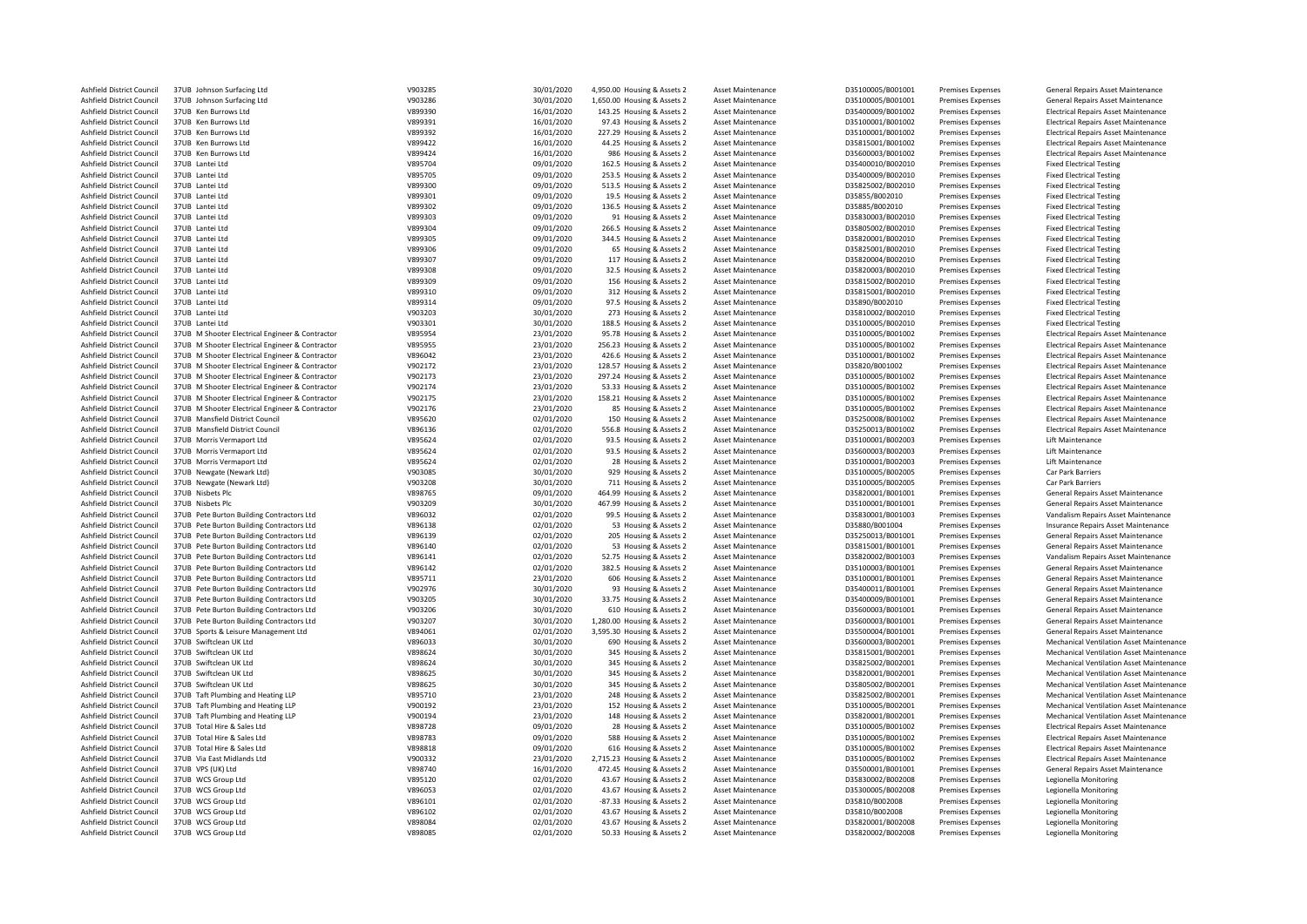| Ashfield District Council | 37UB Johnson Surfacing Ltd                      | V903285 | 30/01/2020 | 4,950.00 Housing & Assets 2 | Asset Maintenance        | D35100005/B001001 | <b>Premises Expenses</b> | General Repairs Asset Maintenance               |
|---------------------------|-------------------------------------------------|---------|------------|-----------------------------|--------------------------|-------------------|--------------------------|-------------------------------------------------|
| Ashfield District Council | 37UB Johnson Surfacing Ltd                      | V903286 | 30/01/2020 | 1,650.00 Housing & Assets 2 | <b>Asset Maintenance</b> | D35100005/B001001 | <b>Premises Expenses</b> | General Repairs Asset Maintenance               |
| Ashfield District Council | 37UB Ken Burrows Ltd                            | V899390 | 16/01/2020 | 143.25 Housing & Assets 2   | Asset Maintenance        | D35400009/B001002 | <b>Premises Expenses</b> | <b>Electrical Repairs Asset Maintenance</b>     |
| Ashfield District Council | 37UB Ken Burrows Ltd                            | V899391 | 16/01/2020 | 97.43 Housing & Assets 2    | <b>Asset Maintenance</b> | D35100001/B001002 | <b>Premises Expenses</b> | <b>Electrical Repairs Asset Maintenance</b>     |
| Ashfield District Council | 37UB Ken Burrows Ltd                            | V899392 | 16/01/2020 | 227.29 Housing & Assets 2   | Asset Maintenance        | D35100001/B001002 | <b>Premises Expenses</b> | <b>Electrical Repairs Asset Maintenance</b>     |
| Ashfield District Council | 37UB Ken Burrows Ltd                            | V899422 | 16/01/2020 | 44.25 Housing & Assets 2    | Asset Maintenance        | D35815001/B001002 | Premises Expenses        | <b>Electrical Repairs Asset Maintenance</b>     |
|                           | 37UB Ken Burrows Itd                            | V899424 |            |                             | <b>Asset Maintenance</b> |                   |                          |                                                 |
| Ashfield District Council |                                                 |         | 16/01/2020 | 986 Housing & Assets 2      |                          | D35600003/B001002 | Premises Expenses        | <b>Electrical Repairs Asset Maintenance</b>     |
| Ashfield District Council | 37UB Lantei Ltd                                 | V895704 | 09/01/2020 | 162.5 Housing & Assets 2    | <b>Asset Maintenance</b> | D35400010/B002010 | <b>Premises Expenses</b> | <b>Fixed Electrical Testing</b>                 |
| Ashfield District Council | 37UB Lantei Ltd                                 | V895705 | 09/01/2020 | 253.5 Housing & Assets 2    | <b>Asset Maintenance</b> | D35400009/B002010 | Premises Expenses        | <b>Fixed Electrical Testing</b>                 |
| Ashfield District Council | 37UB Lantei Itd                                 | V899300 | 09/01/2020 | 513.5 Housing & Assets 2    | Asset Maintenance        | D35825002/B002010 | <b>Premises Expenses</b> | <b>Fixed Electrical Testing</b>                 |
| Ashfield District Council | 37UB Lantei Ltd                                 | V899301 | 09/01/2020 | 19.5 Housing & Assets 2     | Asset Maintenance        | D35855/B002010    | <b>Premises Expenses</b> | <b>Fixed Electrical Testing</b>                 |
| Ashfield District Council | 37UB Lantei Ltd                                 | V899302 | 09/01/2020 | 136.5 Housing & Assets 2    | Asset Maintenance        | D35885/B002010    | <b>Premises Expenses</b> | <b>Fixed Electrical Testing</b>                 |
| Ashfield District Council | 37UB Lantei Ltd                                 | V899303 | 09/01/2020 | 91 Housing & Assets 2       | <b>Asset Maintenance</b> | D35830003/B002010 | <b>Premises Expenses</b> | <b>Fixed Electrical Testing</b>                 |
| Ashfield District Council | 37UB Lantei Ltd                                 | V899304 | 09/01/2020 | 266.5 Housing & Assets 2    | Asset Maintenance        | D35805002/B002010 | <b>Premises Expenses</b> | <b>Fixed Electrical Testing</b>                 |
| Ashfield District Council | 37UB Lantei Ltd                                 | V899305 | 09/01/2020 | 344.5 Housing & Assets 2    | Asset Maintenance        | D35820001/B002010 | Premises Expenses        | <b>Fixed Electrical Testing</b>                 |
| Ashfield District Council | 37UB Lantei Ltd                                 | V899306 | 09/01/2020 | 65 Housing & Assets 2       |                          | D35825001/B002010 |                          |                                                 |
|                           |                                                 |         |            |                             | <b>Asset Maintenance</b> |                   | Premises Expenses        | <b>Fixed Electrical Testing</b>                 |
| Ashfield District Council | 37UB Lantei Ltd                                 | V899307 | 09/01/2020 | 117 Housing & Assets 2      | Asset Maintenance        | D35820004/B002010 | <b>Premises Expenses</b> | <b>Fixed Electrical Testing</b>                 |
| Ashfield District Council | 37UB Lantei Ltd                                 | V899308 | 09/01/2020 | 32.5 Housing & Assets 2     | <b>Asset Maintenance</b> | D35820003/B002010 | Premises Expenses        | <b>Fixed Electrical Testing</b>                 |
| Ashfield District Council | 37UB Lantei Ltd                                 | V899309 | 09/01/2020 | 156 Housing & Assets 2      | <b>Asset Maintenance</b> | D35815002/B002010 | <b>Premises Expenses</b> | <b>Fixed Electrical Testing</b>                 |
| Ashfield District Council | 37UB Lantei Ltd                                 | V899310 | 09/01/2020 | 312 Housing & Assets 2      | <b>Asset Maintenance</b> | D35815001/B002010 | <b>Premises Expenses</b> | <b>Fixed Electrical Testing</b>                 |
| Ashfield District Council | 37UB Lantei Ltd                                 | V899314 | 09/01/2020 | 97.5 Housing & Assets 2     | Asset Maintenance        | D35890/B002010    | <b>Premises Expenses</b> | <b>Fixed Electrical Testing</b>                 |
| Ashfield District Council | 37UB Lantei Ltd                                 | V903203 | 30/01/2020 | 273 Housing & Assets 2      | <b>Asset Maintenance</b> | D35810002/B002010 | <b>Premises Expenses</b> | <b>Fixed Electrical Testing</b>                 |
| Ashfield District Council | 37UB Lantei Ltd                                 | V903301 | 30/01/2020 | 188.5 Housing & Assets 2    | Asset Maintenance        | D35100005/B002010 | <b>Premises Expenses</b> | <b>Fixed Electrical Testing</b>                 |
| Ashfield District Council | 37UB M Shooter Electrical Engineer & Contractor | V895954 | 23/01/2020 | 95.78 Housing & Assets 2    | Asset Maintenance        | D35100005/B001002 | <b>Premises Expenses</b> | <b>Electrical Repairs Asset Maintenance</b>     |
|                           |                                                 |         |            |                             |                          |                   |                          |                                                 |
| Ashfield District Council | 37UB M Shooter Electrical Engineer & Contractor | V895955 | 23/01/2020 | 256.23 Housing & Assets 2   | Asset Maintenance        | D35100005/B001002 | Premises Expenses        | <b>Electrical Repairs Asset Maintenance</b>     |
| Ashfield District Council | 37UB M Shooter Electrical Engineer & Contractor | V896042 | 23/01/2020 | 426.6 Housing & Assets 2    | Asset Maintenance        | D35100001/B001002 | <b>Premises Expenses</b> | <b>Electrical Repairs Asset Maintenance</b>     |
| Ashfield District Council | 37UB M Shooter Electrical Engineer & Contractor | V902172 | 23/01/2020 | 128.57 Housing & Assets 2   | <b>Asset Maintenance</b> | D35820/B001002    | Premises Expenses        | <b>Electrical Repairs Asset Maintenance</b>     |
| Ashfield District Council | 37UB M Shooter Electrical Engineer & Contractor | V902173 | 23/01/2020 | 297.24 Housing & Assets 2   | Asset Maintenance        | D35100005/B001002 | <b>Premises Expenses</b> | <b>Electrical Repairs Asset Maintenance</b>     |
| Ashfield District Council | 37UB M Shooter Electrical Engineer & Contractor | V902174 | 23/01/2020 | 53.33 Housing & Assets 2    | Asset Maintenance        | D35100005/B001002 | <b>Premises Expenses</b> | <b>Electrical Repairs Asset Maintenance</b>     |
| Ashfield District Council | 37UB M Shooter Electrical Engineer & Contractor | V902175 | 23/01/2020 | 158.21 Housing & Assets 2   | Asset Maintenance        | D35100005/B001002 | Premises Expenses        | <b>Electrical Repairs Asset Maintenance</b>     |
| Ashfield District Council | 37UB M Shooter Electrical Engineer & Contractor | V902176 | 23/01/2020 | 85 Housing & Assets 2       | Asset Maintenance        | D35100005/B001002 | Premises Expenses        | <b>Electrical Repairs Asset Maintenance</b>     |
| Ashfield District Council | 37UB Mansfield District Council                 | V895620 | 02/01/2020 | 150 Housing & Assets 2      | Asset Maintenance        | D35250008/B001002 | Premises Expenses        | <b>Electrical Repairs Asset Maintenance</b>     |
| Ashfield District Council | 37UB Mansfield District Council                 | V896136 | 02/01/2020 | 556.8 Housing & Assets 2    | <b>Asset Maintenance</b> | D35250013/B001002 | Premises Expenses        | <b>Electrical Repairs Asset Maintenance</b>     |
|                           |                                                 |         |            |                             |                          |                   |                          |                                                 |
| Ashfield District Council | 37UB Morris Vermaport Ltd                       | V895624 | 02/01/2020 | 93.5 Housing & Assets 2     | <b>Asset Maintenance</b> | D35100001/B002003 | <b>Premises Expenses</b> | Lift Maintenance                                |
| Ashfield District Council | 37UB Morris Vermaport Ltd                       | V895624 | 02/01/2020 | 93.5 Housing & Assets 2     | Asset Maintenance        | D35600003/B002003 | <b>Premises Expenses</b> | Lift Maintenance                                |
| Ashfield District Council | 37UB Morris Vermaport Ltd                       | V895624 | 02/01/2020 | 28 Housing & Assets 2       | Asset Maintenance        | D35100001/B002003 | <b>Premises Expenses</b> | Lift Maintenance                                |
| Ashfield District Council | 37UB Newgate (Newark Ltd)                       | V903085 | 30/01/2020 | 929 Housing & Assets 2      | Asset Maintenance        | D35100005/B002005 | Premises Expenses        | Car Park Barriers                               |
| Ashfield District Council | 37UB Newgate (Newark Ltd)                       | V903208 | 30/01/2020 | 711 Housing & Assets 2      | <b>Asset Maintenance</b> | D35100005/B002005 | <b>Premises Expenses</b> | Car Park Barriers                               |
| Ashfield District Council | 37UB Nisbets Plc                                | V898765 | 09/01/2020 | 464.99 Housing & Assets 2   | Asset Maintenance        | D35820001/B001001 | <b>Premises Expenses</b> | General Repairs Asset Maintenance               |
| Ashfield District Council | 37UB Nisbets Plc                                | V903209 | 30/01/2020 | 467.99 Housing & Assets 2   | Asset Maintenance        | D35100001/B001001 | Premises Expenses        | General Repairs Asset Maintenance               |
| Ashfield District Council | 37UB Pete Burton Building Contractors Ltd       | V896032 | 02/01/2020 | 99.5 Housing & Assets 2     | <b>Asset Maintenance</b> | D35830001/B001003 | <b>Premises Expenses</b> | Vandalism Repairs Asset Maintenance             |
| Ashfield District Council | 37UB Pete Burton Building Contractors Ltd       | V896138 | 02/01/2020 | 53 Housing & Assets 2       | Asset Maintenance        | D35880/B001004    | Premises Expenses        | Insurance Repairs Asset Maintenance             |
|                           |                                                 |         |            |                             |                          |                   |                          |                                                 |
| Ashfield District Council | 37UB Pete Burton Building Contractors Ltd       | V896139 | 02/01/2020 | 205 Housing & Assets 2      | Asset Maintenance        | D35250013/B001001 | Premises Expenses        | General Repairs Asset Maintenance               |
| Ashfield District Council | 37UB Pete Burton Building Contractors Ltd       | V896140 | 02/01/2020 | 53 Housing & Assets 2       | Asset Maintenance        | D35815001/B001001 | <b>Premises Expenses</b> | General Repairs Asset Maintenance               |
| Ashfield District Council | 37UB Pete Burton Building Contractors Ltd       | V896141 | 02/01/2020 | 52.75 Housing & Assets 2    | Asset Maintenance        | D35820002/B001003 | Premises Expenses        | Vandalism Repairs Asset Maintenance             |
| Ashfield District Council | 37UB Pete Burton Building Contractors Ltd       | V896142 | 02/01/2020 | 382.5 Housing & Assets 2    | Asset Maintenance        | D35100003/B001001 | <b>Premises Expenses</b> | General Repairs Asset Maintenance               |
| Ashfield District Council | 37UB Pete Burton Building Contractors Ltd       | V895711 | 23/01/2020 | 606 Housing & Assets 2      | <b>Asset Maintenance</b> | D35100001/B001001 | <b>Premises Expenses</b> | General Repairs Asset Maintenance               |
| Ashfield District Council | 37UB Pete Burton Building Contractors Ltd       | V902976 | 30/01/2020 | 93 Housing & Assets 2       | Asset Maintenance        | D35400011/B001001 | <b>Premises Expenses</b> | General Repairs Asset Maintenance               |
| Ashfield District Council | 37UB Pete Burton Building Contractors Ltd       | V903205 | 30/01/2020 | 33.75 Housing & Assets 2    | Asset Maintenance        | D35400009/B001001 | Premises Expenses        | General Repairs Asset Maintenance               |
| Ashfield District Council | 37UB Pete Burton Building Contractors Ltd       | V903206 | 30/01/2020 | 610 Housing & Assets 2      | <b>Asset Maintenance</b> | D35600003/B001001 | Premises Expenses        | General Repairs Asset Maintenance               |
| Ashfield District Council | 37UB Pete Burton Building Contractors Ltd       | V903207 | 30/01/2020 | 1,280.00 Housing & Assets 2 | <b>Asset Maintenance</b> | D35600003/B001001 | Premises Expenses        | General Repairs Asset Maintenance               |
|                           |                                                 | V894061 |            |                             |                          | D35500004/B001001 |                          |                                                 |
| Ashfield District Council | 37UB Sports & Leisure Management Ltd            |         | 02/01/2020 | 3,595.30 Housing & Assets 2 | Asset Maintenance        |                   | <b>Premises Expenses</b> | General Repairs Asset Maintenance               |
| Ashfield District Council | 37UB Swiftclean UK Ltd                          | V896033 | 30/01/2020 | 690 Housing & Assets 2      | <b>Asset Maintenance</b> | D35600003/B002001 | <b>Premises Expenses</b> | Mechanical Ventilation Asset Maintenance        |
| Ashfield District Council | 37UB Swiftclean UK Ltd                          | V898624 | 30/01/2020 | 345 Housing & Assets 2      | Asset Maintenance        | D35815001/B002001 | Premises Expenses        | Mechanical Ventilation Asset Maintenance        |
| Ashfield District Council | 37UB Swiftclean UK Itd                          | V898624 | 30/01/2020 | 345 Housing & Assets 2      | <b>Asset Maintenance</b> | D35825002/B002001 | <b>Premises Expenses</b> | Mechanical Ventilation Asset Maintenance        |
| Ashfield District Council | 37UB Swiftclean UK Ltd                          | V898625 | 30/01/2020 | 345 Housing & Assets 2      | <b>Asset Maintenance</b> | D35820001/B002001 | <b>Premises Expenses</b> | <b>Mechanical Ventilation Asset Maintenance</b> |
| Ashfield District Council | 37UB Swiftclean UK Ltd                          | V898625 | 30/01/2020 | 345 Housing & Assets 2      | Asset Maintenance        | D35805002/B002001 | <b>Premises Expenses</b> | Mechanical Ventilation Asset Maintenance        |
| Ashfield District Council | 37UB Taft Plumbing and Heating LLP              | V895710 | 23/01/2020 | 248 Housing & Assets 2      | Asset Maintenance        | D35825002/B002001 | Premises Expenses        | Mechanical Ventilation Asset Maintenance        |
| Ashfield District Council | 37UB Taft Plumbing and Heating LLP              | V900192 | 23/01/2020 | 152 Housing & Assets 2      | Asset Maintenance        | D35100005/B002001 | Premises Expenses        | <b>Mechanical Ventilation Asset Maintenance</b> |
| Ashfield District Council | 37UB Taft Plumbing and Heating LLP              | V900194 | 23/01/2020 | 148 Housing & Assets 2      | <b>Asset Maintenance</b> | D35820001/B002001 | <b>Premises Expenses</b> | Mechanical Ventilation Asset Maintenance        |
|                           | 37UB Total Hire & Sales Ltd                     |         |            |                             |                          |                   |                          |                                                 |
| Ashfield District Council |                                                 | V898728 | 09/01/2020 | 28 Housing & Assets 2       | Asset Maintenance        | D35100005/B001002 | Premises Expenses        | <b>Electrical Repairs Asset Maintenance</b>     |
| Ashfield District Council | 37UB Total Hire & Sales Ltd                     | V898783 | 09/01/2020 | 588 Housing & Assets 2      | <b>Asset Maintenance</b> | D35100005/B001002 | <b>Premises Expenses</b> | <b>Electrical Repairs Asset Maintenance</b>     |
| Ashfield District Council | 37UB Total Hire & Sales Ltd                     | V898818 | 09/01/2020 | 616 Housing & Assets 2      | Asset Maintenance        | D35100005/B001002 | <b>Premises Expenses</b> | <b>Electrical Repairs Asset Maintenance</b>     |
| Ashfield District Council | 37UB Via East Midlands Ltd                      | V900332 | 23/01/2020 | 2,715.23 Housing & Assets 2 | Asset Maintenance        | D35100005/B001002 | <b>Premises Expenses</b> | <b>Electrical Repairs Asset Maintenance</b>     |
| Ashfield District Council | 37UB VPS (UK) Ltd                               | V898740 | 16/01/2020 | 472.45 Housing & Assets 2   | <b>Asset Maintenance</b> | D35500001/B001001 | Premises Expenses        | General Repairs Asset Maintenance               |
| Ashfield District Council | 37UB WCS Group Ltd                              | V895120 | 02/01/2020 | 43.67 Housing & Assets 2    | Asset Maintenance        | D35830002/B002008 | Premises Expenses        | <b>Legionella Monitoring</b>                    |
| Ashfield District Council | 37UB WCS Group Ltd                              | V896053 | 02/01/2020 | 43.67 Housing & Assets 2    | Asset Maintenance        | D35300005/B002008 | Premises Expenses        | Legionella Monitoring                           |
| Ashfield District Council | 37UB WCS Group Ltd                              | V896101 | 02/01/2020 | -87.33 Housing & Assets 2   | Asset Maintenance        | D35810/B002008    | Premises Expenses        | Legionella Monitoring                           |
| Ashfield District Council | 37UB WCS Group Ltd                              | V896102 | 02/01/2020 | 43.67 Housing & Assets 2    | <b>Asset Maintenance</b> | D35810/B002008    | <b>Premises Expenses</b> | Legionella Monitoring                           |
|                           |                                                 |         |            |                             |                          |                   |                          |                                                 |
| Ashfield District Council | 37UB WCS Group Ltd                              | V898084 | 02/01/2020 | 43.67 Housing & Assets 2    | Asset Maintenance        | D35820001/B002008 | Premises Expenses        | Legionella Monitoring                           |
| Ashfield District Council | 37UB WCS Group Ltd                              | V898085 | 02/01/2020 | 50.33 Housing & Assets 2    | Asset Maintenance        | D35820002/B002008 | Premises Expenses        | Legionella Monitoring                           |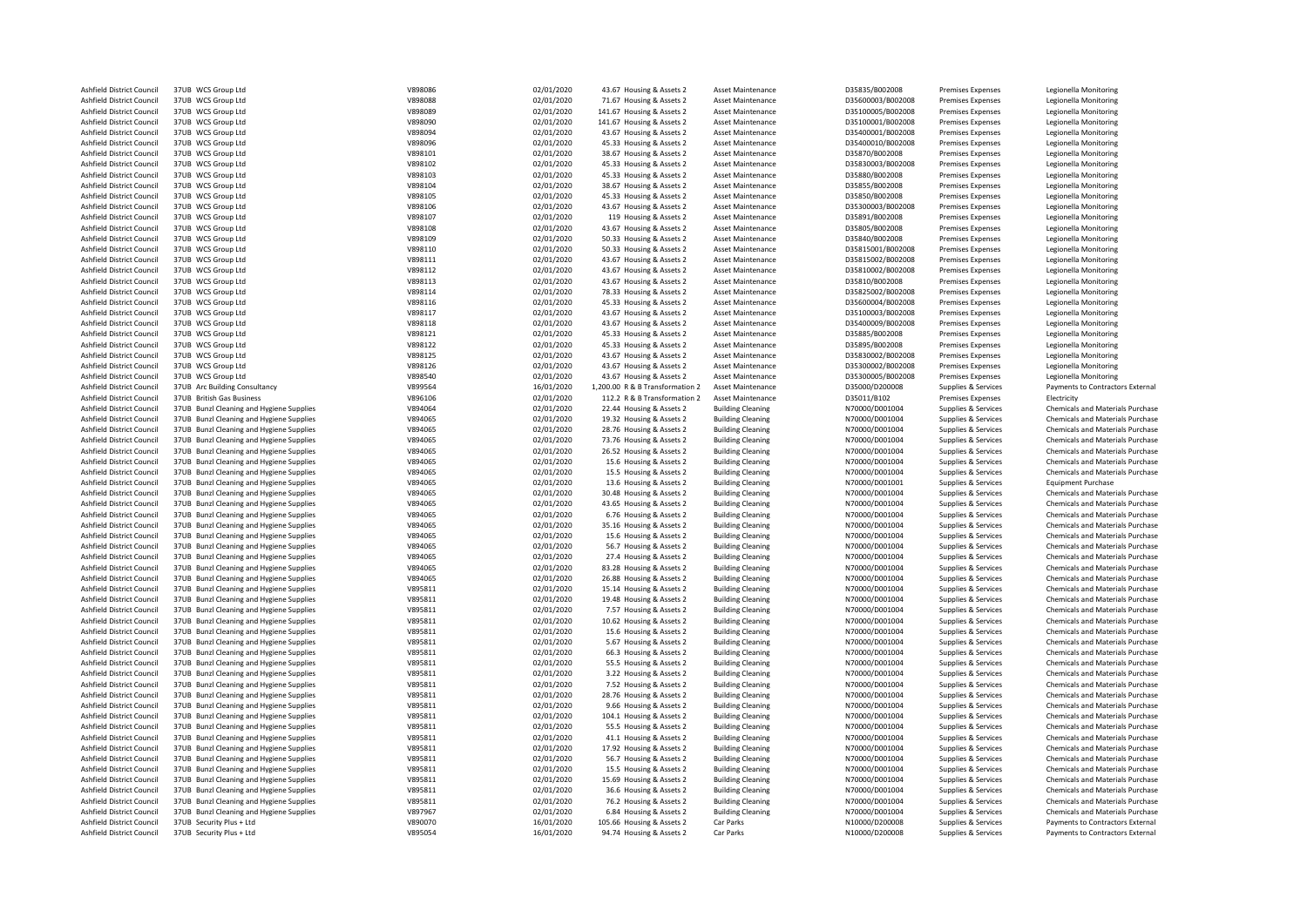| Ashfield District Council | 37UB WCS Group Ltd                       | V898086 | 02/01/2020 | 43.67 Housing & Assets 2        | Asset Maintenance        | D35835/B002008    | <b>Premises Expenses</b> | Legionella Monitoring                   |
|---------------------------|------------------------------------------|---------|------------|---------------------------------|--------------------------|-------------------|--------------------------|-----------------------------------------|
| Ashfield District Council | 37UB WCS Group Ltd                       | V898088 | 02/01/2020 | 71.67 Housing & Assets 2        | Asset Maintenance        | D35600003/B002008 | <b>Premises Expenses</b> | Legionella Monitoring                   |
| Ashfield District Council | 37UB WCS Group Ltd                       | V898089 | 02/01/2020 | 141.67 Housing & Assets 2       | Asset Maintenance        | D35100005/B002008 | <b>Premises Expenses</b> | Legionella Monitoring                   |
| Ashfield District Council | 37UB WCS Group Ltd                       | V898090 | 02/01/2020 | 141.67 Housing & Assets 2       | Asset Maintenance        | D35100001/B002008 | <b>Premises Expenses</b> | Legionella Monitoring                   |
| Ashfield District Council | 37UB WCS Group Ltd                       | V898094 | 02/01/2020 | 43.67 Housing & Assets 2        | Asset Maintenance        | D35400001/B002008 | Premises Expenses        | Legionella Monitoring                   |
| Ashfield District Council | 37UB WCS Group Ltd                       | V898096 | 02/01/2020 | 45.33 Housing & Assets 2        | Asset Maintenance        | D35400010/B002008 | <b>Premises Expenses</b> | Legionella Monitoring                   |
| Ashfield District Council | 37UB WCS Group Ltd                       | V898101 | 02/01/2020 | 38.67 Housing & Assets 2        | Asset Maintenance        | D35870/B002008    | <b>Premises Expenses</b> | Legionella Monitoring                   |
| Ashfield District Council | 37UB WCS Group Ltd                       | V898102 | 02/01/2020 | 45.33 Housing & Assets 2        | <b>Asset Maintenance</b> | D35830003/B002008 | <b>Premises Expenses</b> | Legionella Monitoring                   |
|                           |                                          |         |            |                                 |                          |                   |                          |                                         |
| Ashfield District Council | 37UB WCS Group Ltd                       | V898103 | 02/01/2020 | 45.33 Housing & Assets 2        | Asset Maintenance        | D35880/B002008    | <b>Premises Expenses</b> | Legionella Monitoring                   |
| Ashfield District Council | 37UB WCS Group Ltd                       | V898104 | 02/01/2020 | 38.67 Housing & Assets 2        | Asset Maintenance        | D35855/B002008    | <b>Premises Expenses</b> | Legionella Monitorina                   |
| Ashfield District Council | 37UB WCS Group Ltd                       | V898105 | 02/01/2020 | 45.33 Housing & Assets 2        | Asset Maintenance        | D35850/B002008    | <b>Premises Expenses</b> | Legionella Monitoring                   |
| Ashfield District Council | 37UB WCS Group Ltd                       | V898106 | 02/01/2020 | 43.67 Housing & Assets 2        | Asset Maintenance        | D35300003/B002008 | <b>Premises Expenses</b> | Legionella Monitoring                   |
| Ashfield District Council | 37UB WCS Group Ltd                       | V898107 | 02/01/2020 | 119 Housing & Assets 2          | Asset Maintenance        | D35891/B002008    | <b>Premises Expenses</b> | Legionella Monitoring                   |
| Ashfield District Council | 37UB WCS Group Ltd                       | V898108 | 02/01/2020 | 43.67 Housing & Assets 2        | Asset Maintenance        | D35805/B002008    | <b>Premises Expenses</b> | Legionella Monitoring                   |
| Ashfield District Council | 37UB WCS Group Ltd                       | V898109 | 02/01/2020 | 50.33 Housing & Assets 2        | Asset Maintenance        | D35840/B002008    | Premises Expenses        | Legionella Monitoring                   |
| Ashfield District Council | 37UB WCS Group Ltd                       | V898110 | 02/01/2020 | 50.33 Housing & Assets 2        | Asset Maintenance        | D35815001/B002008 | <b>Premises Expenses</b> | Legionella Monitoring                   |
| Ashfield District Council | 37UB WCS Group Ltd                       | V898111 | 02/01/2020 | 43.67 Housing & Assets 2        | <b>Asset Maintenance</b> | D35815002/B002008 | <b>Premises Expenses</b> | Legionella Monitoring                   |
| Ashfield District Council | 37UB WCS Group Ltd                       | V898112 | 02/01/2020 | 43.67 Housing & Assets 2        | Asset Maintenance        | D35810002/B002008 | <b>Premises Expenses</b> | Legionella Monitoring                   |
| Ashfield District Council | 37UB WCS Group Ltd                       | V898113 | 02/01/2020 | 43.67 Housing & Assets 2        | Asset Maintenance        | D35810/B002008    | <b>Premises Expenses</b> | Legionella Monitoring                   |
| Ashfield District Council | 37UB WCS Group Ltd                       | V898114 | 02/01/2020 | 78.33 Housing & Assets 2        | Asset Maintenance        | D35825002/B002008 | <b>Premises Expenses</b> | Legionella Monitoring                   |
| Ashfield District Council | 37UB WCS Group Ltd                       | V898116 | 02/01/2020 | 45.33 Housing & Assets 2        | Asset Maintenance        | D35600004/B002008 | <b>Premises Expenses</b> | Legionella Monitoring                   |
| Ashfield District Council | 37UB WCS Group Ltd                       | V898117 |            |                                 | <b>Asset Maintenance</b> | D35100003/B002008 |                          |                                         |
|                           |                                          |         | 02/01/2020 | 43.67 Housing & Assets 2        |                          |                   | <b>Premises Expenses</b> | Legionella Monitoring                   |
| Ashfield District Council | 37UB WCS Group Ltd                       | V898118 | 02/01/2020 | 43.67 Housing & Assets 2        | <b>Asset Maintenance</b> | D35400009/B002008 | <b>Premises Expenses</b> | Legionella Monitoring                   |
| Ashfield District Council | 37UB WCS Group Ltd                       | V898121 | 02/01/2020 | 45.33 Housing & Assets 2        | Asset Maintenance        | D35885/B002008    | <b>Premises Expenses</b> | Legionella Monitoring                   |
| Ashfield District Council | 37UB WCS Group Ltd                       | V898122 | 02/01/2020 | 45.33 Housing & Assets 2        | Asset Maintenance        | D35895/B002008    | <b>Premises Expenses</b> | Legionella Monitoring                   |
| Ashfield District Council | 37UB WCS Group Ltd                       | V898125 | 02/01/2020 | 43.67 Housing & Assets 2        | Asset Maintenance        | D35830002/B002008 | <b>Premises Expenses</b> | Legionella Monitoring                   |
| Ashfield District Council | 37UB WCS Group Ltd                       | V898126 | 02/01/2020 | 43.67 Housing & Assets 2        | Asset Maintenance        | D35300002/B002008 | <b>Premises Expenses</b> | Legionella Monitoring                   |
| Ashfield District Council | 37UB WCS Group Ltd                       | V898540 | 02/01/2020 | 43.67 Housing & Assets 2        | Asset Maintenance        | D35300005/B002008 | Premises Expenses        | Legionella Monitoring                   |
| Ashfield District Council | 37UB Arc Building Consultancy            | V899564 | 16/01/2020 | 1,200.00 R & B Transformation 2 | Asset Maintenance        | D35000/D200008    | Supplies & Services      | Payments to Contractors External        |
| Ashfield District Council | 37UB British Gas Business                | V896106 | 02/01/2020 | 112.2 R & B Transformation 2    | <b>Asset Maintenance</b> | D35011/B102       | <b>Premises Expenses</b> | Electricity                             |
| Ashfield District Council | 37UB Bunzl Cleaning and Hygiene Supplies | V894064 | 02/01/2020 | 22.44 Housing & Assets 2        | <b>Building Cleaning</b> | N70000/D001004    | Supplies & Services      | Chemicals and Materials Purchase        |
| Ashfield District Council | 37UB Bunzl Cleaning and Hygiene Supplies | V894065 | 02/01/2020 | 19.32 Housing & Assets 2        | <b>Building Cleaning</b> | N70000/D001004    | Supplies & Services      | Chemicals and Materials Purchase        |
| Ashfield District Council | 37UB Bunzl Cleaning and Hygiene Supplies | V894065 | 02/01/2020 | 28.76 Housing & Assets 2        | <b>Building Cleaning</b> | N70000/D001004    | Supplies & Services      | Chemicals and Materials Purchase        |
| Ashfield District Council | 37UB Bunzl Cleaning and Hygiene Supplies | V894065 | 02/01/2020 | 73.76 Housing & Assets 2        | <b>Building Cleaning</b> | N70000/D001004    | Supplies & Services      | Chemicals and Materials Purchase        |
| Ashfield District Council | 37UB Bunzl Cleaning and Hygiene Supplies | V894065 | 02/01/2020 | 26.52 Housing & Assets 2        | <b>Building Cleaning</b> | N70000/D001004    | Supplies & Services      | Chemicals and Materials Purchase        |
| Ashfield District Council | 37UB Bunzl Cleaning and Hygiene Supplies | V894065 | 02/01/2020 | 15.6 Housing & Assets 2         | <b>Building Cleaning</b> | N70000/D001004    | Supplies & Services      | Chemicals and Materials Purchase        |
|                           |                                          | V894065 |            |                                 |                          |                   |                          |                                         |
| Ashfield District Council | 37UB Bunzl Cleaning and Hygiene Supplies |         | 02/01/2020 | 15.5 Housing & Assets 2         | <b>Building Cleaning</b> | N70000/D001004    | Supplies & Services      | Chemicals and Materials Purchase        |
| Ashfield District Council | 37UB Bunzl Cleaning and Hygiene Supplies | V894065 | 02/01/2020 | 13.6 Housing & Assets 2         | <b>Building Cleaning</b> | N70000/D001001    | Supplies & Services      | <b>Equipment Purchase</b>               |
| Ashfield District Council | 37UB Bunzl Cleaning and Hygiene Supplies | V894065 | 02/01/2020 | 30.48 Housing & Assets 2        | <b>Building Cleaning</b> | N70000/D001004    | Supplies & Services      | Chemicals and Materials Purchase        |
| Ashfield District Council | 37UB Bunzl Cleaning and Hygiene Supplies | V894065 | 02/01/2020 | 43.65 Housing & Assets 2        | <b>Building Cleaning</b> | N70000/D001004    | Supplies & Services      | Chemicals and Materials Purchase        |
| Ashfield District Council | 37UB Bunzl Cleaning and Hygiene Supplies | V894065 | 02/01/2020 | 6.76 Housing & Assets 2         | <b>Building Cleaning</b> | N70000/D001004    | Supplies & Services      | Chemicals and Materials Purchase        |
| Ashfield District Council | 37UB Bunzl Cleaning and Hygiene Supplies | V894065 | 02/01/2020 | 35.16 Housing & Assets 2        | <b>Building Cleaning</b> | N70000/D001004    | Supplies & Services      | <b>Chemicals and Materials Purchase</b> |
| Ashfield District Council | 37UB Bunzl Cleaning and Hygiene Supplies | V894065 | 02/01/2020 | 15.6 Housing & Assets 2         | <b>Building Cleaning</b> | N70000/D001004    | Supplies & Services      | <b>Chemicals and Materials Purchase</b> |
| Ashfield District Council | 37UB Bunzl Cleaning and Hygiene Supplies | V894065 | 02/01/2020 | 56.7 Housing & Assets 2         | <b>Building Cleaning</b> | N70000/D001004    | Supplies & Services      | Chemicals and Materials Purchase        |
| Ashfield District Council | 37UB Bunzl Cleaning and Hygiene Supplies | V894065 | 02/01/2020 | 27.4 Housing & Assets 2         | <b>Building Cleaning</b> | N70000/D001004    | Supplies & Services      | Chemicals and Materials Purchase        |
| Ashfield District Council | 37UB Bunzl Cleaning and Hygiene Supplies | V894065 | 02/01/2020 | 83.28 Housing & Assets 2        | <b>Building Cleaning</b> | N70000/D001004    | Supplies & Services      | Chemicals and Materials Purchase        |
| Ashfield District Council | 37UB Bunzl Cleaning and Hygiene Supplies | V894065 | 02/01/2020 | 26.88 Housing & Assets 2        | <b>Building Cleaning</b> | N70000/D001004    | Supplies & Services      | Chemicals and Materials Purchase        |
| Ashfield District Council | 37UB Bunzl Cleaning and Hygiene Supplies | V895811 | 02/01/2020 | 15.14 Housing & Assets 2        | <b>Building Cleaning</b> | N70000/D001004    | Supplies & Services      | Chemicals and Materials Purchase        |
| Ashfield District Council | 37UB Bunzl Cleaning and Hygiene Supplies | V895811 | 02/01/2020 | 19.48 Housing & Assets 2        | <b>Building Cleaning</b> | N70000/D001004    | Supplies & Services      | Chemicals and Materials Purchase        |
| Ashfield District Council | 37UB Bunzl Cleaning and Hygiene Supplies | V895811 | 02/01/2020 | 7.57 Housing & Assets 2         | <b>Building Cleaning</b> | N70000/D001004    | Supplies & Services      | Chemicals and Materials Purchase        |
| Ashfield District Council | 37UB Bunzl Cleaning and Hygiene Supplies | V895811 | 02/01/2020 | 10.62 Housing & Assets 2        | <b>Building Cleaning</b> | N70000/D001004    | Supplies & Services      | <b>Chemicals and Materials Purchase</b> |
| Ashfield District Council | 37UB Bunzl Cleaning and Hygiene Supplies | V895811 | 02/01/2020 | 15.6 Housing & Assets 2         | <b>Building Cleaning</b> | N70000/D001004    | Supplies & Services      | Chemicals and Materials Purchase        |
| Ashfield District Council |                                          | V895811 | 02/01/2020 | 5.67 Housing & Assets 2         | <b>Building Cleaning</b> | N70000/D001004    |                          | Chemicals and Materials Purchase        |
|                           | 37UB Bunzl Cleaning and Hygiene Supplies |         |            |                                 |                          |                   | Supplies & Services      |                                         |
| Ashfield District Council | 37UB Bunzl Cleaning and Hygiene Supplies | V895811 | 02/01/2020 | 66.3 Housing & Assets 2         | <b>Building Cleaning</b> | N70000/D001004    | Supplies & Services      | Chemicals and Materials Purchase        |
| Ashfield District Council | 37UB Bunzl Cleaning and Hygiene Supplies | V895811 | 02/01/2020 | 55.5 Housing & Assets 2         | <b>Building Cleaning</b> | N70000/D001004    | Supplies & Services      | Chemicals and Materials Purchase        |
| Ashfield District Council | 37UB Bunzl Cleaning and Hygiene Supplies | V895811 | 02/01/2020 | 3.22 Housing & Assets 2         | <b>Building Cleaning</b> | N70000/D001004    | Supplies & Services      | Chemicals and Materials Purchase        |
| Ashfield District Council | 37UB Bunzl Cleaning and Hygiene Supplies | V895811 | 02/01/2020 | 7.52 Housing & Assets 2         | <b>Building Cleaning</b> | N70000/D001004    | Supplies & Services      | Chemicals and Materials Purchase        |
| Ashfield District Council | 37UB Bunzl Cleaning and Hygiene Supplies | V895811 | 02/01/2020 | 28.76 Housing & Assets 2        | <b>Building Cleaning</b> | N70000/D001004    | Supplies & Services      | <b>Chemicals and Materials Purchase</b> |
| Ashfield District Council | 37UB Bunzl Cleaning and Hygiene Supplies | V895811 | 02/01/2020 | 9.66 Housing & Assets 2         | <b>Building Cleaning</b> | N70000/D001004    | Supplies & Services      | <b>Chemicals and Materials Purchase</b> |
| Ashfield District Council | 37UB Bunzl Cleaning and Hygiene Supplies | V895811 | 02/01/2020 | 104.1 Housing & Assets 2        | <b>Building Cleaning</b> | N70000/D001004    | Supplies & Services      | <b>Chemicals and Materials Purchase</b> |
| Ashfield District Council | 37UB Bunzl Cleaning and Hygiene Supplies | V895811 | 02/01/2020 | 55.5 Housing & Assets 2         | <b>Building Cleaning</b> | N70000/D001004    | Supplies & Services      | Chemicals and Materials Purchase        |
| Ashfield District Council | 37UB Bunzl Cleaning and Hygiene Supplies | V895811 | 02/01/2020 | 41.1 Housing & Assets 2         | <b>Building Cleaning</b> | N70000/D001004    | Supplies & Services      | <b>Chemicals and Materials Purchase</b> |
| Ashfield District Council | 37UB Bunzl Cleaning and Hygiene Supplies | V895811 | 02/01/2020 | 17.92 Housing & Assets 2        | <b>Building Cleaning</b> | N70000/D001004    | Supplies & Services      | Chemicals and Materials Purchase        |
| Ashfield District Council | 37UB Bunzl Cleaning and Hygiene Supplies | V895811 | 02/01/2020 | 56.7 Housing & Assets 2         | <b>Building Cleaning</b> | N70000/D001004    | Supplies & Services      | Chemicals and Materials Purchase        |
| Ashfield District Council | 37UB Bunzl Cleaning and Hygiene Supplies | V895811 | 02/01/2020 | 15.5 Housing & Assets 2         | <b>Building Cleaning</b> | N70000/D001004    | Supplies & Services      | Chemicals and Materials Purchase        |
| Ashfield District Council | 37UB Bunzl Cleaning and Hygiene Supplies | V895811 | 02/01/2020 | 15.69 Housing & Assets 2        | <b>Building Cleaning</b> | N70000/D001004    | Supplies & Services      | Chemicals and Materials Purchase        |
| Ashfield District Council | 37UB Bunzl Cleaning and Hygiene Supplies | V895811 | 02/01/2020 | 36.6 Housing & Assets 2         | <b>Building Cleaning</b> | N70000/D001004    |                          | <b>Chemicals and Materials Purchase</b> |
|                           |                                          |         |            |                                 |                          |                   | Supplies & Services      |                                         |
| Ashfield District Council | 37UB Bunzl Cleaning and Hygiene Supplies | V895811 | 02/01/2020 | 76.2 Housing & Assets 2         | <b>Building Cleaning</b> | N70000/D001004    | Supplies & Services      | <b>Chemicals and Materials Purchase</b> |
| Ashfield District Council | 37UB Bunzl Cleaning and Hygiene Supplies | V897967 | 02/01/2020 | 6.84 Housing & Assets 2         | <b>Building Cleaning</b> | N70000/D001004    | Supplies & Services      | Chemicals and Materials Purchase        |
| Ashfield District Council | 37UB Security Plus + Ltd                 | V890070 | 16/01/2020 | 105.66 Housing & Assets 2       | Car Parks                | N10000/D200008    | Supplies & Services      | Payments to Contractors External        |
| Ashfield District Council | 37UB Security Plus + Ltd                 | V895054 | 16/01/2020 | 94.74 Housing & Assets 2        | Car Parks                | N10000/D200008    | Supplies & Services      | Payments to Contractors External        |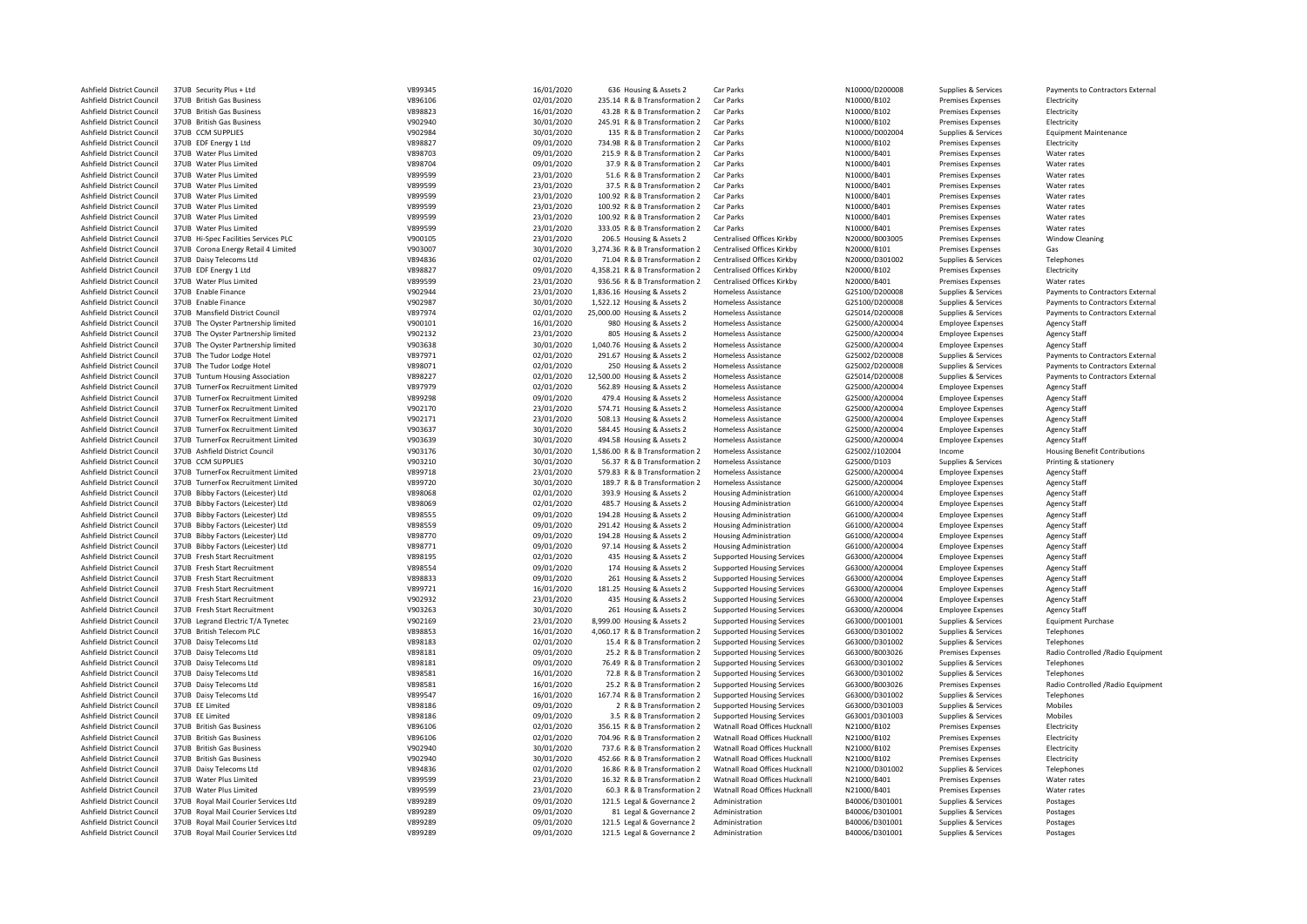| Ashfield District Council | 37UB Security Plus + Ltd             | V899345 | 16/01/2020 | 636 Housing & Assets 2          | Car Parks                         | N10000/D200008 | Supplies & Services                        | Payments to Contractors External     |
|---------------------------|--------------------------------------|---------|------------|---------------------------------|-----------------------------------|----------------|--------------------------------------------|--------------------------------------|
| Ashfield District Council | 37UB British Gas Business            | V896106 | 02/01/2020 | 235.14 R & B Transformation 2   | Car Parks                         | N10000/B102    | <b>Premises Expenses</b>                   | Electricity                          |
| Ashfield District Council | 37UB British Gas Business            | V898823 | 16/01/2020 | 43.28 R & B Transformation 2    | Car Parks                         | N10000/B102    | Premises Expenses                          | Electricity                          |
| Ashfield District Council | 37UB British Gas Business            | V902940 | 30/01/2020 | 245.91 R & B Transformation 2   | Car Parks                         | N10000/B102    | Premises Expenses                          | Electricity                          |
| Ashfield District Council | 37UB CCM SUPPLIES                    | V902984 | 30/01/2020 | 135 R & B Transformation 2      | Car Parks                         | N10000/D002004 | Supplies & Services                        | <b>Equipment Maintenance</b>         |
| Ashfield District Council | 37UB EDF Energy 1 Ltd                | V898827 | 09/01/2020 | 734.98 R & B Transformation 2   | Car Parks                         | N10000/B102    | Premises Expenses                          | Electricity                          |
| Ashfield District Council | 37UB Water Plus Limited              | V898703 | 09/01/2020 | 215.9 R & B Transformation 2    | Car Parks                         | N10000/B401    | <b>Premises Expenses</b>                   | Water rates                          |
| Ashfield District Council | 37UB Water Plus Limited              | V898704 | 09/01/2020 | 37.9 R & B Transformation 2     | Car Parks                         | N10000/B401    | <b>Premises Expenses</b>                   | Water rates                          |
| Ashfield District Council | 37UB Water Plus Limited              | V899599 | 23/01/2020 | 51.6 R & B Transformation 2     | Car Parks                         | N10000/B401    | <b>Premises Expenses</b>                   | Water rates                          |
| Ashfield District Council | 37UB Water Plus Limited              | V899599 | 23/01/2020 | 37.5 R & B Transformation 2     | Car Parks                         | N10000/B401    | Premises Expenses                          | Water rates                          |
| Ashfield District Council | 37UB Water Plus Limited              | V899599 | 23/01/2020 | 100.92 R & B Transformation 2   | Car Parks                         | N10000/B401    | Premises Expenses                          | Water rates                          |
| Ashfield District Council | 37UB Water Plus Limited              |         |            | 100.92 R & B Transformation 2   | Car Parks                         | N10000/B401    | <b>Premises Expenses</b>                   | Water rates                          |
|                           |                                      | V899599 | 23/01/2020 |                                 |                                   |                |                                            |                                      |
| Ashfield District Council | 37UB Water Plus Limited              | V899599 | 23/01/2020 | 100.92 R & B Transformation 2   | Car Parks                         | N10000/B401    | Premises Expenses                          | Water rates                          |
| Ashfield District Council | 37UB Water Plus Limited              | V899599 | 23/01/2020 | 333.05 R & B Transformation 2   | Car Parks                         | N10000/B401    | <b>Premises Expenses</b>                   | Water rates                          |
| Ashfield District Council | 37UB Hi-Spec Facilities Services PLC | V900105 | 23/01/2020 | 206.5 Housing & Assets 2        | Centralised Offices Kirkby        | N20000/B003005 | Premises Expenses                          | <b>Window Cleaning</b>               |
| Ashfield District Council | 37UB Corona Energy Retail 4 Limited  | V903007 | 30/01/2020 | 3,274.36 R & B Transformation 2 | <b>Centralised Offices Kirkby</b> | N20000/B101    | <b>Premises Expenses</b>                   | Gas                                  |
| Ashfield District Council | 37UB Daisy Telecoms Ltd              | V894836 | 02/01/2020 | 71.04 R & B Transformation 2    | Centralised Offices Kirkby        | N20000/D301002 | Supplies & Services                        | Telephones                           |
| Ashfield District Council | 37UB EDF Energy 1 Ltd                | V898827 | 09/01/2020 | 4,358.21 R & B Transformation 2 | Centralised Offices Kirkby        | N20000/B102    | <b>Premises Expenses</b>                   | Electricity                          |
| Ashfield District Council | 37UB Water Plus Limited              | V899599 | 23/01/2020 | 936.56 R & B Transformation 2   | Centralised Offices Kirkby        | N20000/B401    | <b>Premises Expenses</b>                   | Water rates                          |
| Ashfield District Council | 37UB Enable Finance                  | V902944 | 23/01/2020 | 1,836.16 Housing & Assets 2     | Homeless Assistance               | G25100/D200008 | Supplies & Services                        | Payments to Contractors External     |
| Ashfield District Council | 37UB Enable Finance                  | V902987 | 30/01/2020 | 1,522.12 Housing & Assets 2     | <b>Homeless Assistance</b>        | G25100/D200008 | Supplies & Services                        | Payments to Contractors External     |
| Ashfield District Council | 37UB Mansfield District Council      | V897974 | 02/01/2020 | 25,000.00 Housing & Assets 2    | <b>Homeless Assistance</b>        | G25014/D200008 | Supplies & Services                        | Payments to Contractors External     |
| Ashfield District Council | 37UB The Oyster Partnership limited  | V900101 | 16/01/2020 | 980 Housing & Assets 2          | <b>Homeless Assistance</b>        | G25000/A200004 | <b>Employee Expenses</b>                   | <b>Agency Staff</b>                  |
| Ashfield District Council | 37UB The Oyster Partnership limited  | V902132 | 23/01/2020 | 805 Housing & Assets 2          | <b>Homeless Assistance</b>        | G25000/A200004 | <b>Employee Expenses</b>                   | <b>Agency Staff</b>                  |
| Ashfield District Council | 37UB The Oyster Partnership limited  | V903638 |            | 1,040.76 Housing & Assets 2     | <b>Homeless Assistance</b>        | G25000/A200004 | <b>Employee Expenses</b>                   | <b>Agency Staff</b>                  |
|                           |                                      |         | 30/01/2020 |                                 |                                   |                |                                            |                                      |
| Ashfield District Council | 37UB The Tudor Lodge Hotel           | V897971 | 02/01/2020 | 291.67 Housing & Assets 2       | <b>Homeless Assistance</b>        | G25002/D200008 | Supplies & Services                        | Payments to Contractors External     |
| Ashfield District Council | 37UB The Tudor Lodge Hotel           | V898071 | 02/01/2020 | 250 Housing & Assets 2          | <b>Homeless Assistance</b>        | G25002/D200008 | Supplies & Services                        | Payments to Contractors External     |
| Ashfield District Council | 37UB Tuntum Housing Association      | V898227 | 02/01/2020 | 12,500.00 Housing & Assets 2    | <b>Homeless Assistance</b>        | G25014/D200008 | Supplies & Services                        | Payments to Contractors External     |
| Ashfield District Council | 37UB TurnerFox Recruitment Limited   | V897979 | 02/01/2020 | 562.89 Housing & Assets 2       | <b>Homeless Assistance</b>        | G25000/A200004 | <b>Employee Expenses</b>                   | <b>Agency Staff</b>                  |
| Ashfield District Council | 37UB TurnerFox Recruitment Limited   | V899298 | 09/01/2020 | 479.4 Housing & Assets 2        | <b>Homeless Assistance</b>        | G25000/A200004 | <b>Employee Expenses</b>                   | <b>Agency Staff</b>                  |
| Ashfield District Council | 37UB TurnerFox Recruitment Limited   | V902170 | 23/01/2020 | 574.71 Housing & Assets 2       | <b>Homeless Assistance</b>        | G25000/A200004 | <b>Employee Expenses</b>                   | <b>Agency Staff</b>                  |
| Ashfield District Council | 37UB TurnerFox Recruitment Limited   | V902171 | 23/01/2020 | 508.13 Housing & Assets 2       | <b>Homeless Assistance</b>        | G25000/A200004 | <b>Employee Expenses</b>                   | <b>Agency Staff</b>                  |
| Ashfield District Council | 37UB TurnerFox Recruitment Limited   | V903637 | 30/01/2020 | 584.45 Housing & Assets 2       | <b>Homeless Assistance</b>        | G25000/A200004 | <b>Employee Expenses</b>                   | <b>Agency Staff</b>                  |
| Ashfield District Council | 37UB TurnerFox Recruitment Limited   | V903639 | 30/01/2020 | 494.58 Housing & Assets 2       | <b>Homeless Assistance</b>        | G25000/A200004 | <b>Employee Expenses</b>                   | <b>Agency Staff</b>                  |
| Ashfield District Council | 37UB Ashfield District Council       | V903176 | 30/01/2020 | 1,586.00 R & B Transformation 2 | <b>Homeless Assistance</b>        | G25002/J102004 | Income                                     | <b>Housing Benefit Contributions</b> |
| Ashfield District Council | 37UB CCM SUPPLIES                    | V903210 | 30/01/2020 | 56.37 R & B Transformation 2    | <b>Homeless Assistance</b>        | G25000/D103    | Supplies & Services                        | Printing & stationery                |
| Ashfield District Council | 37UB TurnerFox Recruitment Limited   | V899718 | 23/01/2020 | 579.83 R & B Transformation 2   | Homeless Assistance               | G25000/A200004 | <b>Employee Expenses</b>                   | <b>Agency Staff</b>                  |
| Ashfield District Council | 37UB TurnerFox Recruitment Limited   | V899720 | 30/01/2020 | 189.7 R & B Transformation 2    | <b>Homeless Assistance</b>        | G25000/A200004 | <b>Employee Expenses</b>                   | <b>Agency Staff</b>                  |
| Ashfield District Council | 37UB Bibby Factors (Leicester) Ltd   | V898068 | 02/01/2020 | 393.9 Housing & Assets 2        | <b>Housing Administration</b>     | G61000/A200004 | <b>Employee Expenses</b>                   | <b>Agency Staff</b>                  |
|                           | 37UB Bibby Factors (Leicester) Ltd   | V898069 |            | 485.7 Housing & Assets 2        |                                   | G61000/A200004 |                                            |                                      |
| Ashfield District Council |                                      |         | 02/01/2020 |                                 | <b>Housing Administration</b>     |                | <b>Employee Expenses</b>                   | <b>Agency Staff</b>                  |
| Ashfield District Council | 37UB Bibby Factors (Leicester) Ltd   | V898555 | 09/01/2020 | 194.28 Housing & Assets 2       | <b>Housing Administration</b>     | G61000/A200004 | <b>Employee Expenses</b>                   | <b>Agency Staff</b>                  |
| Ashfield District Council | 37UB Bibby Factors (Leicester) Ltd   | V898559 | 09/01/2020 | 291.42 Housing & Assets 2       | <b>Housing Administration</b>     | G61000/A200004 | <b>Employee Expenses</b>                   | <b>Agency Staff</b>                  |
| Ashfield District Council | 37UB Bibby Factors (Leicester) Ltd   | V898770 | 09/01/2020 | 194.28 Housing & Assets 2       | <b>Housing Administration</b>     | G61000/A200004 | <b>Employee Expenses</b>                   | <b>Agency Staff</b>                  |
| Ashfield District Council | 37UB Bibby Factors (Leicester) Ltd   | V898771 | 09/01/2020 | 97.14 Housing & Assets 2        | <b>Housing Administration</b>     | G61000/A200004 | <b>Employee Expenses</b>                   | <b>Agency Staff</b>                  |
| Ashfield District Council | 37UB Fresh Start Recruitment         | V898195 | 02/01/2020 | 435 Housing & Assets 2          | <b>Supported Housing Services</b> | G63000/A200004 | <b>Employee Expenses</b>                   | <b>Agency Staff</b>                  |
| Ashfield District Council | 37UB Fresh Start Recruitment         | V898554 | 09/01/2020 | 174 Housing & Assets 2          | <b>Supported Housing Services</b> | G63000/A200004 | <b>Employee Expenses</b>                   | <b>Agency Staff</b>                  |
| Ashfield District Council | 37UB Fresh Start Recruitment         | V898833 | 09/01/2020 | 261 Housing & Assets 2          | <b>Supported Housing Services</b> | G63000/A200004 | <b>Employee Expenses</b>                   | <b>Agency Staff</b>                  |
| Ashfield District Council | 37UB Fresh Start Recruitment         | V899721 | 16/01/2020 | 181.25 Housing & Assets 2       | <b>Supported Housing Services</b> | G63000/A200004 | <b>Employee Expenses</b>                   | <b>Agency Staff</b>                  |
| Ashfield District Council | 37UB Fresh Start Recruitment         | V902932 | 23/01/2020 | 435 Housing & Assets 2          | <b>Supported Housing Services</b> | G63000/A200004 | <b>Employee Expenses</b>                   | <b>Agency Staff</b>                  |
| Ashfield District Council | 37UB Fresh Start Recruitment         | V903263 | 30/01/2020 | 261 Housing & Assets 2          | <b>Supported Housing Services</b> | G63000/A200004 | <b>Employee Expenses</b>                   | <b>Agency Staff</b>                  |
| Ashfield District Council | 37UB Legrand Electric T/A Tynetec    | V902169 | 23/01/2020 | 8,999.00 Housing & Assets 2     | <b>Supported Housing Services</b> | G63000/D001001 | Supplies & Services                        | <b>Equipment Purchase</b>            |
| Ashfield District Council | 37UB British Telecom PLC             | V898853 | 16/01/2020 | 4,060.17 R & B Transformation 2 | <b>Supported Housing Services</b> | G63000/D301002 | Supplies & Services                        | Telephones                           |
| Ashfield District Council | 37UB Daisy Telecoms Ltd              | V898183 | 02/01/2020 | 15.4 R & B Transformation 2     | <b>Supported Housing Services</b> | G63000/D301002 | Supplies & Services                        | Telephones                           |
| Ashfield District Council | 37UB Daisy Telecoms Ltd              | V898181 | 09/01/2020 | 25.2 R & B Transformation 2     | <b>Supported Housing Services</b> | G63000/B003026 | Premises Expenses                          | Radio Controlled / Radio Equipment   |
| Ashfield District Council | 37UB Daisy Telecoms Ltd              | V898181 | 09/01/2020 | 76.49 R & B Transformation 2    | <b>Supported Housing Services</b> | G63000/D301002 | Supplies & Services                        | Telephones                           |
|                           |                                      |         |            |                                 |                                   |                |                                            |                                      |
| Ashfield District Council | 37UB Daisy Telecoms Ltd              | V898581 | 16/01/2020 | 72.8 R & B Transformation 2     | <b>Supported Housing Services</b> | G63000/D301002 | Supplies & Services                        | Telephones                           |
| Ashfield District Council | 37UB Daisy Telecoms Ltd              | V898581 | 16/01/2020 | 25.2 R & B Transformation 2     | <b>Supported Housing Services</b> | G63000/B003026 | Premises Expenses                          | Radio Controlled / Radio Equipment   |
| Ashfield District Council | 37UB Daisy Telecoms Ltd              | V899547 | 16/01/2020 | 167.74 R & B Transformation 2   | <b>Supported Housing Services</b> | G63000/D301002 | Supplies & Services                        | Telephones                           |
| Ashfield District Council | 37UB EE Limited                      | V898186 | 09/01/2020 | 2 R & B Transformation 2        | Supported Housing Services        | G63000/D301003 | Supplies & Services                        | Mobiles                              |
| Ashfield District Council | 37UB EE Limited                      | V898186 | 09/01/2020 | 3.5 R & B Transformation 2      | <b>Supported Housing Services</b> | G63001/D301003 | Supplies & Services                        | Mobiles                              |
| Ashfield District Council | 37UB British Gas Business            | V896106 | 02/01/2020 | 356.15 R & B Transformation 2   | Watnall Road Offices Hucknall     | N21000/B102    | <b>Premises Expenses</b>                   | Electricity                          |
| Ashfield District Council | 37UB British Gas Business            | V896106 | 02/01/2020 | 704.96 R & B Transformation 2   | Watnall Road Offices Hucknall     | N21000/B102    | <b>Premises Expenses</b>                   | Electricity                          |
| Ashfield District Council | 37UB British Gas Business            | V902940 | 30/01/2020 | 737.6 R & B Transformation 2    | Watnall Road Offices Hucknall     | N21000/B102    | <b>Premises Expenses</b>                   | Electricity                          |
| Ashfield District Council | 37UB British Gas Business            | V902940 | 30/01/2020 | 452.66 R & B Transformation 2   | Watnall Road Offices Hucknall     | N21000/B102    | Premises Expenses                          | Electricity                          |
| Ashfield District Council | 37UB Daisy Telecoms Ltd              | V894836 | 02/01/2020 | 16.86 R & B Transformation 2    | Watnall Road Offices Hucknall     | N21000/D301002 | Supplies & Services                        | Telephones                           |
| Ashfield District Council | 37UB Water Plus Limited              | V899599 | 23/01/2020 | 16.32 R & B Transformation 2    | Watnall Road Offices Hucknall     | N21000/B401    | <b>Premises Expenses</b>                   | Water rates                          |
| Ashfield District Council | 37UB Water Plus Limited              | V899599 | 23/01/2020 | 60.3 R & B Transformation 2     | Watnall Road Offices Hucknall     | N21000/B401    | <b>Premises Expenses</b>                   | Water rates                          |
| Ashfield District Council | 37UB Royal Mail Courier Services Ltd | V899289 | 09/01/2020 | 121.5 Legal & Governance 2      | Administration                    | B40006/D301001 | Supplies & Services                        | Postages                             |
| Ashfield District Council | 37UB Royal Mail Courier Services Ltd | V899289 | 09/01/2020 | 81 Legal & Governance 2         | Administration                    | B40006/D301001 | Supplies & Services                        | Postages                             |
| Ashfield District Council | 37UB Royal Mail Courier Services Ltd | V899289 | 09/01/2020 | 121.5 Legal & Governance 2      | Administration                    | B40006/D301001 |                                            |                                      |
| Ashfield District Council | 37UB Royal Mail Courier Services Ltd | V899289 | 09/01/2020 | 121.5 Legal & Governance 2      | Administration                    | B40006/D301001 | Supplies & Services<br>Supplies & Services | Postages<br>Postages                 |
|                           |                                      |         |            |                                 |                                   |                |                                            |                                      |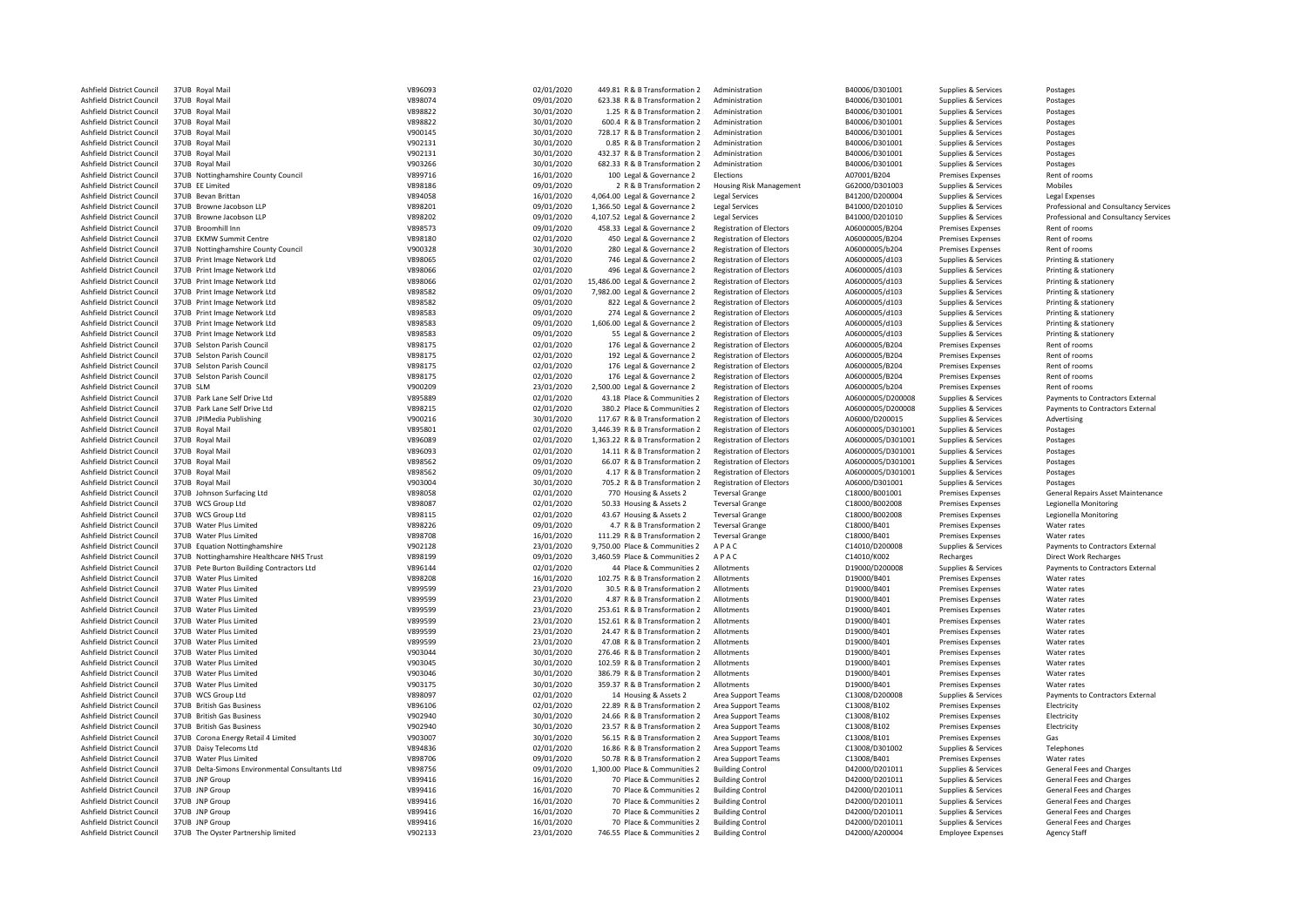| Ashfield District Council | 37UB Royal Mail                                 | V896093 | 02/01/2020 | 449.81 R & B Transformation 2   | Administration                  | B40006/D301001    | Supplies & Services      | Postages                              |
|---------------------------|-------------------------------------------------|---------|------------|---------------------------------|---------------------------------|-------------------|--------------------------|---------------------------------------|
| Ashfield District Council | 37UB Royal Mail                                 | V898074 | 09/01/2020 | 623.38 R & B Transformation 2   | Administration                  | B40006/D301001    | Supplies & Services      | Postages                              |
| Ashfield District Council | 37UB Royal Mail                                 | V898822 | 30/01/2020 | 1.25 R & B Transformation 2     | Administration                  | B40006/D301001    | Supplies & Services      | Postages                              |
| Ashfield District Council | 37UB Royal Mail                                 | V898822 | 30/01/2020 | 600.4 R & B Transformation 2    | Administration                  | B40006/D301001    | Supplies & Services      | Postages                              |
| Ashfield District Council | 37UB Royal Mail                                 | V900145 | 30/01/2020 | 728.17 R & B Transformation 2   | Administration                  | B40006/D301001    | Supplies & Services      | Postages                              |
| Ashfield District Council | 37UB Royal Mail                                 | V902131 | 30/01/2020 | 0.85 R & B Transformation 2     | Administration                  | B40006/D301001    | Supplies & Services      | Postages                              |
| Ashfield District Council | 37UB Royal Mail                                 | V902131 | 30/01/2020 | 432.37 R & B Transformation 2   | Administration                  | B40006/D301001    | Supplies & Services      | Postages                              |
|                           |                                                 |         |            |                                 |                                 |                   |                          |                                       |
| Ashfield District Council | 37UB Royal Mail                                 | V903266 | 30/01/2020 | 682.33 R & B Transformation 2   | Administration                  | B40006/D301001    | Supplies & Services      | Postages                              |
| Ashfield District Council | 37UB Nottinghamshire County Council             | V899716 | 16/01/2020 | 100 Legal & Governance 2        | Elections                       | A07001/B204       | Premises Expenses        | Rent of rooms                         |
| Ashfield District Council | 37UB EE Limited                                 | V898186 | 09/01/2020 | 2 R & B Transformation 2        | <b>Housing Risk Management</b>  | G62000/D301003    | Supplies & Services      | Mobiles                               |
| Ashfield District Council | 37UB Bevan Brittan                              | V894058 | 16/01/2020 | 4,064.00 Legal & Governance 2   | <b>Legal Services</b>           | B41200/D200004    | Supplies & Services      | Legal Expenses                        |
| Ashfield District Council | 37UB Browne Jacobson LLP                        | V898201 | 09/01/2020 | 1,366.50 Legal & Governance 2   | Legal Services                  | B41000/D201010    | Supplies & Services      | Professional and Consultancy Services |
| Ashfield District Council | 37UB Browne Jacobson UP                         | V898202 | 09/01/2020 | 4,107.52 Legal & Governance 2   | <b>Legal Services</b>           | B41000/D201010    | Supplies & Services      | Professional and Consultancy Services |
| Ashfield District Council | 37UB Broomhill Inn                              | V898573 | 09/01/2020 | 458.33 Legal & Governance 2     | <b>Registration of Electors</b> | A06000005/B204    | Premises Expenses        | Rent of rooms                         |
| Ashfield District Council | 37UB EKMW Summit Centre                         | V898180 | 02/01/2020 | 450 Legal & Governance 2        | <b>Registration of Electors</b> | A06000005/B204    | Premises Expenses        | Rent of rooms                         |
| Ashfield District Council | 37UB Nottinghamshire County Council             | V900328 | 30/01/2020 | 280 Legal & Governance 2        | <b>Registration of Electors</b> | A06000005/b204    | Premises Expenses        | Rent of rooms                         |
| Ashfield District Council | 37UB Print Image Network Ltd                    | V898065 | 02/01/2020 | 746 Legal & Governance 2        | <b>Registration of Electors</b> | A06000005/d103    | Supplies & Services      | Printing & stationery                 |
|                           |                                                 | V898066 |            |                                 |                                 |                   |                          |                                       |
| Ashfield District Council | 37UB Print Image Network Ltd                    |         | 02/01/2020 | 496 Legal & Governance 2        | <b>Registration of Electors</b> | A06000005/d103    | Supplies & Services      | Printing & stationery                 |
| Ashfield District Council | 37UB Print Image Network Ltd                    | V898066 | 02/01/2020 | 15,486.00 Legal & Governance 2  | <b>Registration of Electors</b> | A06000005/d103    | Supplies & Services      | Printing & stationery                 |
| Ashfield District Council | 37UB Print Image Network Ltd                    | V898582 | 09/01/2020 | 7,982.00 Legal & Governance 2   | <b>Registration of Electors</b> | A06000005/d103    | Supplies & Services      | Printing & stationery                 |
| Ashfield District Council | 37UB Print Image Network Ltd                    | V898582 | 09/01/2020 | 822 Legal & Governance 2        | <b>Registration of Electors</b> | A06000005/d103    | Supplies & Services      | Printing & stationery                 |
| Ashfield District Council | 37UB Print Image Network Ltd                    | V898583 | 09/01/2020 | 274 Legal & Governance 2        | <b>Registration of Electors</b> | A06000005/d103    | Supplies & Services      | Printing & stationery                 |
| Ashfield District Council | 37UB Print Image Network Ltd                    | V898583 | 09/01/2020 | 1,606.00 Legal & Governance 2   | <b>Registration of Electors</b> | A06000005/d103    | Supplies & Services      | Printing & stationery                 |
| Ashfield District Council | 37UB Print Image Network Ltd                    | V898583 | 09/01/2020 | 55 Legal & Governance 2         | <b>Registration of Electors</b> | A06000005/d103    | Supplies & Services      | Printing & stationery                 |
| Ashfield District Council | 37UB Selston Parish Council                     | V898175 | 02/01/2020 | 176 Legal & Governance 2        | <b>Registration of Electors</b> | A06000005/B204    | Premises Expenses        | Rent of rooms                         |
| Ashfield District Council | 37UB Selston Parish Council                     | V898175 | 02/01/2020 | 192 Legal & Governance 2        | <b>Registration of Electors</b> | A06000005/B204    | Premises Expenses        | Rent of rooms                         |
| Ashfield District Council | 37UB Selston Parish Council                     | V898175 | 02/01/2020 | 176 Legal & Governance 2        | <b>Registration of Electors</b> | A06000005/B204    | Premises Expenses        | Rent of rooms                         |
| Ashfield District Council | 37UB Selston Parish Council                     | V898175 | 02/01/2020 | 176 Legal & Governance 2        | <b>Registration of Electors</b> | A06000005/B204    | Premises Expenses        | Rent of rooms                         |
| Ashfield District Council | 37UB SIM                                        | V900209 | 23/01/2020 | 2,500.00 Legal & Governance 2   | <b>Registration of Electors</b> | A06000005/b204    | Premises Expenses        | Rent of rooms                         |
|                           |                                                 |         |            |                                 |                                 |                   |                          |                                       |
| Ashfield District Council | 37UB Park Lane Self Drive Ltd                   | V895889 | 02/01/2020 | 43.18 Place & Communities 2     | <b>Registration of Electors</b> | A06000005/D200008 | Supplies & Services      | Payments to Contractors External      |
| Ashfield District Council | 37UB Park Lane Self Drive Ltd.                  | V898215 | 02/01/2020 | 380.2 Place & Communities 2     | <b>Registration of Electors</b> | A06000005/D200008 | Supplies & Services      | Payments to Contractors External      |
| Ashfield District Council | 37UB JPIMedia Publishing                        | V900216 | 30/01/2020 | 117.67 R & B Transformation 2   | <b>Registration of Electors</b> | A06000/D200015    | Supplies & Services      | Advertising                           |
| Ashfield District Council | 37UB Royal Mail                                 | V895801 | 02/01/2020 | 3,446.39 R & B Transformation 2 | <b>Registration of Electors</b> | A06000005/D301001 | Supplies & Services      | Postages                              |
| Ashfield District Council | 37UB Royal Mail                                 | V896089 | 02/01/2020 | 1,363.22 R & B Transformation 2 | <b>Registration of Electors</b> | A06000005/D301001 | Supplies & Services      | Postages                              |
| Ashfield District Council | 37UB Royal Mail                                 | V896093 | 02/01/2020 | 14.11 R & B Transformation 2    | <b>Registration of Electors</b> | A06000005/D301001 | Supplies & Services      | Postages                              |
| Ashfield District Council | 37UB Royal Mail                                 | V898562 | 09/01/2020 | 66.07 R & B Transformation 2    | <b>Registration of Electors</b> | A06000005/D301001 | Supplies & Services      | Postages                              |
| Ashfield District Council | 37UB Royal Mail                                 | V898562 | 09/01/2020 | 4.17 R & B Transformation 2     | <b>Registration of Electors</b> | A06000005/D301001 | Supplies & Services      | Postages                              |
| Ashfield District Council | 37UB Royal Mail                                 | V903004 | 30/01/2020 | 705.2 R & B Transformation 2    | <b>Registration of Electors</b> | A06000/D301001    | Supplies & Services      | Postages                              |
| Ashfield District Council | 37UB Johnson Surfacing Ltd                      | V898058 | 02/01/2020 | 770 Housing & Assets 2          | <b>Teversal Grange</b>          | C18000/B001001    | Premises Expenses        | General Repairs Asset Maintenance     |
| Ashfield District Council | 37UB WCS Group Ltd                              | V898087 | 02/01/2020 | 50.33 Housing & Assets 2        | <b>Teversal Grange</b>          | C18000/B002008    | Premises Expenses        | Legionella Monitoring                 |
|                           |                                                 |         |            |                                 |                                 |                   |                          |                                       |
| Ashfield District Council | 37UB WCS Group Ltd                              | V898115 | 02/01/2020 | 43.67 Housing & Assets 2        | <b>Teversal Grange</b>          | C18000/B002008    | Premises Expenses        | Legionella Monitoring                 |
| Ashfield District Council | 37UB Water Plus Limited                         | V898226 | 09/01/2020 | 4.7 R & B Transformation 2      | <b>Teversal Grange</b>          | C18000/B401       | <b>Premises Expenses</b> | Water rates                           |
| Ashfield District Council | 37UB Water Plus Limited                         | V898708 | 16/01/2020 | 111.29 R & B Transformation 2   | <b>Teversal Grange</b>          | C18000/B401       | <b>Premises Expenses</b> | Water rates                           |
| Ashfield District Council | 37UB Equation Nottinghamshire                   | V902128 | 23/01/2020 | 9,750.00 Place & Communities 2  | APAC                            | C14010/D200008    | Supplies & Services      | Payments to Contractors External      |
| Ashfield District Council | 37UB Nottinghamshire Healthcare NHS Trust       | V898199 | 09/01/2020 | 3,460.59 Place & Communities 2  | APAC                            | C14010/K002       | Recharges                | <b>Direct Work Recharges</b>          |
| Ashfield District Council | 37UB Pete Burton Building Contractors Ltd       | V896144 | 02/01/2020 | 44 Place & Communities 2        | Allotments                      | D19000/D200008    | Supplies & Services      | Payments to Contractors External      |
| Ashfield District Council | 37UB Water Plus Limited                         | V898208 | 16/01/2020 | 102.75 R & B Transformation 2   | Allotments                      | D19000/B401       | Premises Expenses        | Water rates                           |
| Ashfield District Council | 37UB Water Plus Limited                         | V899599 | 23/01/2020 | 30.5 R & B Transformation 2     | Allotments                      | D19000/B401       | Premises Expenses        | Water rates                           |
| Ashfield District Council | 37UB Water Plus Limited                         | V899599 | 23/01/2020 | 4.87 R & B Transformation 2     | Allotments                      | D19000/B401       | Premises Expenses        | Water rates                           |
| Ashfield District Council | 37UB Water Plus Limited                         | V899599 | 23/01/2020 | 253.61 R & B Transformation 2   | Allotments                      | D19000/B401       | Premises Expenses        | Water rates                           |
| Ashfield District Council | 37UB Water Plus Limited                         | V899599 | 23/01/2020 | 152.61 R & B Transformation 2   | Allotments                      | D19000/B401       | <b>Premises Expenses</b> | Water rates                           |
| Ashfield District Council | 37UB Water Plus Limited                         | V899599 | 23/01/2020 | 24.47 R & B Transformation 2    | Allotments                      | D19000/B401       | Premises Expenses        | Water rates                           |
|                           |                                                 |         |            |                                 | Allotments                      |                   |                          |                                       |
| Ashfield District Council | 37UB Water Plus Limited                         | V899599 | 23/01/2020 | 47.08 R & B Transformation 2    |                                 | D19000/B401       | Premises Expenses        | Water rates                           |
| Ashfield District Council | 37UB Water Plus Limited                         | V903044 | 30/01/2020 | 276.46 R & B Transformation 2   | Allotments                      | D19000/B401       | <b>Premises Expenses</b> | Water rates                           |
| Ashfield District Council | 37UB Water Plus Limited                         | V903045 | 30/01/2020 | 102.59 R & B Transformation 2   | Allotments                      | D19000/B401       | <b>Premises Expenses</b> | Water rates                           |
| Ashfield District Council | 37UB Water Plus Limited                         | V903046 | 30/01/2020 | 386.79 R & B Transformation 2   | Allotments                      | D19000/B401       | <b>Premises Expenses</b> | Water rates                           |
| Ashfield District Council | 37UB Water Plus Limited                         | V903175 | 30/01/2020 | 359.37 R & B Transformation 2   | Allotments                      | D19000/B401       | Premises Expenses        | Water rates                           |
| Ashfield District Council | 37UB WCS Group Ltd                              | V898097 | 02/01/2020 | 14 Housing & Assets 2           | Area Support Teams              | C13008/D200008    | Supplies & Services      | Payments to Contractors External      |
| Ashfield District Council | 37UB British Gas Business                       | V896106 | 02/01/2020 | 22.89 R & B Transformation 2    | Area Support Teams              | C13008/B102       | Premises Expenses        | Electricity                           |
| Ashfield District Council | 37UB British Gas Business                       | V902940 | 30/01/2020 | 24.66 R & B Transformation 2    | Area Support Teams              | C13008/B102       | Premises Expenses        | Electricity                           |
| Ashfield District Council | 37UB British Gas Business                       | V902940 | 30/01/2020 | 23.57 R & B Transformation 2    | Area Support Teams              | C13008/B102       | <b>Premises Expenses</b> | Electricity                           |
| Ashfield District Council | 37UB Corona Energy Retail 4 Limited             | V903007 | 30/01/2020 | 56.15 R & B Transformation 2    | Area Support Teams              | C13008/B101       | <b>Premises Expenses</b> | Gas                                   |
| Ashfield District Council | 37UB Daisy Telecoms Ltd                         | V894836 | 02/01/2020 | 16.86 R & B Transformation 2    | Area Support Teams              | C13008/D301002    | Supplies & Services      | Telephones                            |
|                           |                                                 |         |            |                                 |                                 |                   |                          |                                       |
| Ashfield District Council | 37UB Water Plus Limited                         | V898706 | 09/01/2020 | 50.78 R & B Transformation 2    | Area Support Teams              | C13008/B401       | Premises Expenses        | Water rates                           |
| Ashfield District Council | 37UB Delta-Simons Environmental Consultants Ltd | V898756 | 09/01/2020 | 1,300.00 Place & Communities 2  | <b>Building Control</b>         | D42000/D201011    | Supplies & Services      | General Fees and Charges              |
| Ashfield District Council | 37UB JNP Group                                  | V899416 | 16/01/2020 | 70 Place & Communities 2        | <b>Building Control</b>         | D42000/D201011    | Supplies & Services      | General Fees and Charges              |
| Ashfield District Council | 37UB JNP Group                                  | V899416 | 16/01/2020 | 70 Place & Communities 2        | <b>Building Control</b>         | D42000/D201011    | Supplies & Services      | General Fees and Charges              |
| Ashfield District Council | 37UB JNP Group                                  | V899416 | 16/01/2020 | 70 Place & Communities 2        | <b>Building Control</b>         | D42000/D201011    | Supplies & Services      | General Fees and Charges              |
| Ashfield District Council | 37UB JNP Group                                  | V899416 | 16/01/2020 | 70 Place & Communities 2        | <b>Building Control</b>         | D42000/D201011    | Supplies & Services      | General Fees and Charges              |
| Ashfield District Council | 37UB JNP Group                                  | V899416 | 16/01/2020 | 70 Place & Communities 2        | <b>Building Control</b>         | D42000/D201011    | Supplies & Services      | General Fees and Charges              |
| Ashfield District Council | 37UB The Oyster Partnership limited             | V902133 | 23/01/2020 | 746.55 Place & Communities 2    | <b>Building Control</b>         | D42000/A200004    | <b>Employee Expenses</b> | <b>Agency Staff</b>                   |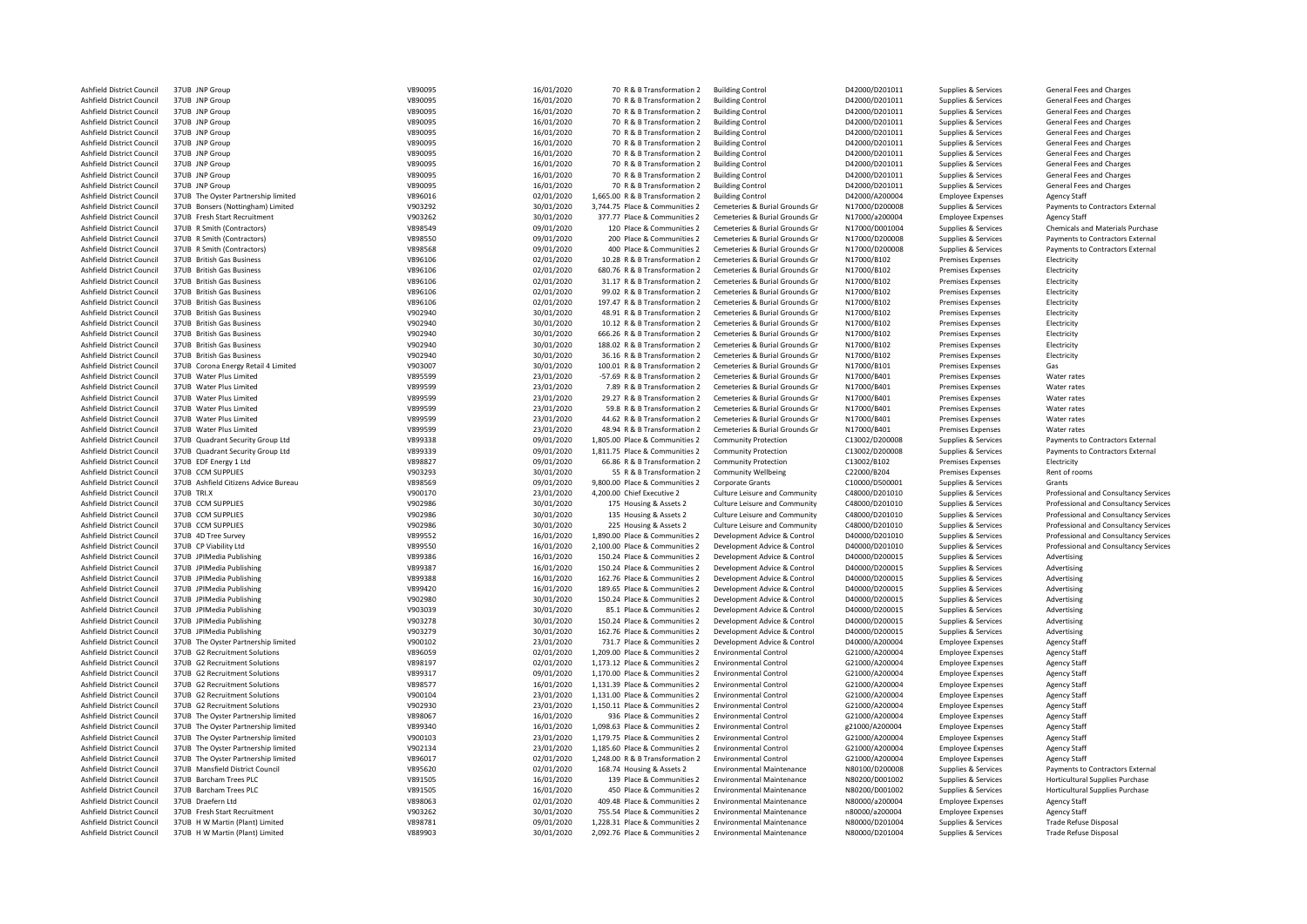|                           | 37UB JNP Group                       | V890095 | 16/01/2020 | 70 R & B Transformation 2       | <b>Building Control</b>          | D42000/D201011 | Supplies & Services      | General Fees and Charges              |
|---------------------------|--------------------------------------|---------|------------|---------------------------------|----------------------------------|----------------|--------------------------|---------------------------------------|
| Ashfield District Council |                                      |         |            |                                 |                                  |                |                          |                                       |
| Ashfield District Council | 37UB JNP Group                       | V890095 | 16/01/2020 | 70 R & B Transformation 2       | <b>Building Control</b>          | D42000/D201011 | Supplies & Services      | General Fees and Charges              |
| Ashfield District Council | 37UB JNP Group                       | V890095 | 16/01/2020 | 70 R & B Transformation 2       | <b>Building Control</b>          | D42000/D201011 | Supplies & Services      | General Fees and Charges              |
| Ashfield District Council | 37UB JNP Group                       | V890095 | 16/01/2020 | 70 R & B Transformation 2       | <b>Building Control</b>          | D42000/D201011 | Supplies & Services      | General Fees and Charges              |
| Ashfield District Council | 37UB JNP Group                       | V890095 | 16/01/2020 | 70 R & B Transformation 2       | <b>Building Control</b>          | D42000/D201011 |                          | General Fees and Charges              |
|                           |                                      |         |            |                                 |                                  |                | Supplies & Services      |                                       |
| Ashfield District Council | 37UB JNP Group                       | V890095 | 16/01/2020 | 70 R & B Transformation 2       | <b>Building Control</b>          | D42000/D201011 | Supplies & Services      | General Fees and Charges              |
| Ashfield District Council | 37UB JNP Group                       | V890095 | 16/01/2020 | 70 R & B Transformation 2       | <b>Building Control</b>          | D42000/D201011 | Supplies & Services      | General Fees and Charges              |
| Ashfield District Council | 37UB JNP Group                       | V890095 | 16/01/2020 | 70 R & B Transformation 2       | <b>Building Control</b>          | D42000/D201011 | Supplies & Services      | General Fees and Charges              |
|                           |                                      |         |            |                                 |                                  |                |                          |                                       |
| Ashfield District Council | 37UB JNP Group                       | V890095 | 16/01/2020 | 70 R & B Transformation 2       | <b>Building Control</b>          | D42000/D201011 | Supplies & Services      | General Fees and Charges              |
| Ashfield District Council | 37UB JNP Group                       | V890095 | 16/01/2020 | 70 R & B Transformation 2       | <b>Building Control</b>          | D42000/D201011 | Supplies & Services      | General Fees and Charges              |
| Ashfield District Council | 37UB The Oyster Partnership limited  | V896016 | 02/01/2020 | 1,665.00 R & B Transformation 2 | <b>Building Control</b>          | D42000/A200004 | <b>Employee Expenses</b> | <b>Agency Staff</b>                   |
| Ashfield District Council | 37UB Bonsers (Nottingham) Limited    | V903292 |            | 3,744.75 Place & Communities 2  | Cemeteries & Burial Grounds Gr   | N17000/D200008 |                          | Payments to Contractors External      |
|                           |                                      |         | 30/01/2020 |                                 |                                  |                | Supplies & Services      |                                       |
| Ashfield District Council | 37UB Fresh Start Recruitment         | V903262 | 30/01/2020 | 377.77 Place & Communities 2    | Cemeteries & Burial Grounds Gr   | N17000/a200004 | <b>Employee Expenses</b> | <b>Agency Staff</b>                   |
| Ashfield District Council | 37UB R Smith (Contractors)           | V898549 | 09/01/2020 | 120 Place & Communities 2       | Cemeteries & Burial Grounds Gr   | N17000/D001004 | Supplies & Services      | Chemicals and Materials Purchase      |
| Ashfield District Council | 37UB R Smith (Contractors)           | V898550 | 09/01/2020 | 200 Place & Communities 2       | Cemeteries & Burial Grounds Gr   | N17000/D200008 | Supplies & Services      | Payments to Contractors External      |
|                           |                                      |         |            |                                 |                                  |                |                          |                                       |
| Ashfield District Council | 37UB R Smith (Contractors)           | V898568 | 09/01/2020 | 400 Place & Communities 2       | Cemeteries & Burial Grounds Gr   | N17000/D200008 | Supplies & Services      | Payments to Contractors External      |
| Ashfield District Council | 37UB British Gas Business            | V896106 | 02/01/2020 | 10.28 R & B Transformation 2    | Cemeteries & Burial Grounds Gr   | N17000/B102    | <b>Premises Expenses</b> | Electricity                           |
| Ashfield District Council | 37UB British Gas Business            | V896106 | 02/01/2020 | 680.76 R & B Transformation 2   | Cemeteries & Burial Grounds Gr   | N17000/B102    | <b>Premises Expenses</b> | Electricity                           |
|                           |                                      |         |            |                                 |                                  |                |                          |                                       |
| Ashfield District Council | 37UB British Gas Business            | V896106 | 02/01/2020 | 31.17 R & B Transformation 2    | Cemeteries & Burial Grounds Gr   | N17000/B102    | <b>Premises Expenses</b> | Electricity                           |
| Ashfield District Council | 37UB British Gas Business            | V896106 | 02/01/2020 | 99.02 R & B Transformation 2    | Cemeteries & Burial Grounds Gr   | N17000/B102    | <b>Premises Expenses</b> | Electricity                           |
| Ashfield District Council | 37UB British Gas Business            | V896106 | 02/01/2020 | 197.47 R & B Transformation 2   | Cemeteries & Burial Grounds Gr   | N17000/B102    | <b>Premises Expenses</b> | Electricity                           |
|                           |                                      |         |            |                                 | Cemeteries & Burial Grounds Gr   |                |                          |                                       |
| Ashfield District Council | 37UB British Gas Business            | V902940 | 30/01/2020 | 48.91 R & B Transformation 2    |                                  | N17000/B102    | <b>Premises Expenses</b> | Electricity                           |
| Ashfield District Council | 37UB British Gas Business            | V902940 | 30/01/2020 | 10.12 R & B Transformation 2    | Cemeteries & Burial Grounds Gr   | N17000/B102    | <b>Premises Expenses</b> | Electricity                           |
| Ashfield District Council | 37UB British Gas Business            | V902940 | 30/01/2020 | 666.26 R & B Transformation 2   | Cemeteries & Burial Grounds Gr   | N17000/B102    | <b>Premises Expenses</b> | Electricity                           |
| Ashfield District Council | 37UB British Gas Business            | V902940 | 30/01/2020 | 188.02 R & B Transformation 2   | Cemeteries & Burial Grounds Gr   | N17000/B102    | <b>Premises Expenses</b> | Electricity                           |
|                           |                                      |         |            |                                 |                                  |                |                          |                                       |
| Ashfield District Council | 37UB British Gas Business            | V902940 | 30/01/2020 | 36.16 R & B Transformation 2    | Cemeteries & Burial Grounds Gr   | N17000/B102    | <b>Premises Expenses</b> | Electricity                           |
| Ashfield District Council | 37UB Corona Energy Retail 4 Limited  | V903007 | 30/01/2020 | 100.01 R & B Transformation 2   | Cemeteries & Burial Grounds Gr   | N17000/B101    | <b>Premises Expenses</b> | Gas                                   |
| Ashfield District Council | 37UB Water Plus Limited              | V895599 | 23/01/2020 | -57.69 R & B Transformation 2   | Cemeteries & Burial Grounds Gr   | N17000/B401    | <b>Premises Expenses</b> | Water rates                           |
|                           |                                      |         |            |                                 |                                  |                |                          |                                       |
| Ashfield District Council | 37UB Water Plus Limited              | V899599 | 23/01/2020 | 7.89 R & B Transformation 2     | Cemeteries & Burial Grounds Gr   | N17000/B401    | <b>Premises Expenses</b> | Water rates                           |
| Ashfield District Council | 37UB Water Plus Limited              | V899599 | 23/01/2020 | 29.27 R & B Transformation 2    | Cemeteries & Burial Grounds Gr   | N17000/B401    | Premises Expenses        | Water rates                           |
| Ashfield District Council | 37UB Water Plus Limited              | V899599 | 23/01/2020 | 59.8 R & B Transformation 2     | Cemeteries & Burial Grounds Gr   | N17000/B401    | <b>Premises Expenses</b> | Water rates                           |
|                           |                                      |         |            |                                 |                                  |                |                          |                                       |
| Ashfield District Council | 37UB Water Plus Limited              | V899599 | 23/01/2020 | 44.62 R & B Transformation 2    | Cemeteries & Burial Grounds Gr   | N17000/B401    | <b>Premises Expenses</b> | Water rates                           |
| Ashfield District Council | 37UB Water Plus Limited              | V899599 | 23/01/2020 | 48.94 R & B Transformation 2    | Cemeteries & Burial Grounds Gr   | N17000/B401    | Premises Expenses        | Water rates                           |
| Ashfield District Council | 37UB Quadrant Security Group Ltd     | V899338 | 09/01/2020 | 1,805.00 Place & Communities 2  | <b>Community Protection</b>      | C13002/D200008 | Supplies & Services      | Payments to Contractors External      |
| Ashfield District Council | 37UB Quadrant Security Group Ltd     | V899339 | 09/01/2020 | 1,811.75 Place & Communities 2  | <b>Community Protection</b>      | C13002/D200008 | Supplies & Services      | Payments to Contractors External      |
|                           |                                      |         |            |                                 |                                  |                |                          |                                       |
| Ashfield District Council | 37UB EDF Energy 1 Ltd                | V898827 | 09/01/2020 | 66.86 R & B Transformation 2    | <b>Community Protection</b>      | C13002/B102    | <b>Premises Expenses</b> | Electricity                           |
| Ashfield District Council | 37UB CCM SUPPLIES                    | V903293 | 30/01/2020 | 55 R & B Transformation 2       | <b>Community Wellbeing</b>       | C22000/B204    | <b>Premises Expenses</b> | Rent of rooms                         |
| Ashfield District Council | 37UB Ashfield Citizens Advice Bureau | V898569 | 09/01/2020 | 9,800.00 Place & Communities 2  | Corporate Grants                 | C10000/D500001 | Supplies & Services      | Grants                                |
|                           |                                      |         |            |                                 |                                  |                |                          |                                       |
| Ashfield District Council | 37UB TRI.X                           | V900170 | 23/01/2020 | 4,200.00 Chief Executive 2      | Culture Leisure and Community    | C48000/D201010 | Supplies & Services      | Professional and Consultancy Services |
| Ashfield District Council | 37UB CCM SUPPLIES                    | V902986 | 30/01/2020 | 175 Housing & Assets 2          | Culture Leisure and Community    | C48000/D201010 | Supplies & Services      | Professional and Consultancy Services |
| Ashfield District Council | 37UB CCM SUPPLIES                    | V902986 | 30/01/2020 | 135 Housing & Assets 2          | Culture Leisure and Community    | C48000/D201010 | Supplies & Services      | Professional and Consultancy Services |
|                           |                                      |         |            |                                 |                                  |                |                          |                                       |
| Ashfield District Council | 37UB CCM SUPPLIES                    | V902986 | 30/01/2020 | 225 Housing & Assets 2          | Culture Leisure and Community    | C48000/D201010 | Supplies & Services      | Professional and Consultancy Services |
| Ashfield District Council | 37UB 4D Tree Survey                  | V899552 | 16/01/2020 | 1,890.00 Place & Communities 2  | Development Advice & Control     | D40000/D201010 | Supplies & Services      | Professional and Consultancy Services |
| Ashfield District Council | 37UB CP Viability Ltd                | V899550 | 16/01/2020 | 2,100.00 Place & Communities 2  | Development Advice & Control     | D40000/D201010 | Supplies & Services      | Professional and Consultancy Services |
|                           |                                      |         |            |                                 |                                  |                |                          |                                       |
| Ashfield District Council | 37UB JPIMedia Publishing             |         |            |                                 |                                  |                |                          |                                       |
| Ashfield District Council |                                      | V899386 | 16/01/2020 | 150.24 Place & Communities 2    | Development Advice & Control     | D40000/D200015 | Supplies & Services      | Advertising                           |
| Ashfield District Council | 37UB JPIMedia Publishing             | V899387 | 16/01/2020 | 150.24 Place & Communities 2    | Development Advice & Control     | D40000/D200015 | Supplies & Services      | Advertising                           |
|                           |                                      |         |            |                                 |                                  |                |                          |                                       |
|                           | 37UB JPIMedia Publishing             | V899388 | 16/01/2020 | 162.76 Place & Communities 2    | Development Advice & Control     | D40000/D200015 | Supplies & Services      | Advertising                           |
| Ashfield District Council | 37UB JPIMedia Publishing             | V899420 | 16/01/2020 | 189.65 Place & Communities 2    | Development Advice & Control     | D40000/D200015 | Supplies & Services      | Advertising                           |
| Ashfield District Council | 37UB JPIMedia Publishing             | V902980 | 30/01/2020 | 150.24 Place & Communities 2    | Development Advice & Control     | D40000/D200015 | Supplies & Services      | Advertising                           |
| Ashfield District Council | 37UB JPIMedia Publishing             | V903039 | 30/01/2020 | 85.1 Place & Communities 2      | Development Advice & Control     | D40000/D200015 | Supplies & Services      | Advertising                           |
|                           |                                      |         |            |                                 |                                  |                |                          |                                       |
| Ashfield District Council | 37UB JPIMedia Publishing             | V903278 | 30/01/2020 | 150.24 Place & Communities 2    | Development Advice & Control     | D40000/D200015 | Supplies & Services      | Advertising                           |
| Ashfield District Council | 37UB JPIMedia Publishing             | V903279 | 30/01/2020 | 162.76 Place & Communities 2    | Development Advice & Control     | D40000/D200015 | Supplies & Services      | Advertising                           |
| Ashfield District Council | 37UB The Oyster Partnership limited  | V900102 | 23/01/2020 | 731.7 Place & Communities 2     | Development Advice & Control     | D40000/A200004 | <b>Employee Expenses</b> | <b>Agency Staff</b>                   |
| Ashfield District Council | 37UB G2 Recruitment Solutions        | V896059 | 02/01/2020 | 1,209.00 Place & Communities 2  | <b>Environmental Control</b>     | G21000/A200004 |                          | <b>Agency Staff</b>                   |
|                           |                                      |         |            |                                 |                                  |                | <b>Employee Expenses</b> |                                       |
| Ashfield District Council | 37UB G2 Recruitment Solutions        | V898197 | 02/01/2020 | 1,173.12 Place & Communities 2  | <b>Environmental Control</b>     | G21000/A200004 | <b>Employee Expenses</b> | <b>Agency Staff</b>                   |
| Ashfield District Council | 37UB G2 Recruitment Solutions        | V899317 | 09/01/2020 | 1,170.00 Place & Communities 2  | <b>Environmental Control</b>     | G21000/A200004 | <b>Employee Expenses</b> | <b>Agency Staff</b>                   |
| Ashfield District Council | 37UB G2 Recruitment Solutions        | V898577 | 16/01/2020 | 1,131.39 Place & Communities 2  | <b>Environmental Control</b>     | G21000/A200004 | <b>Employee Expenses</b> | <b>Agency Staff</b>                   |
| Ashfield District Council | 37UB G2 Recruitment Solutions        |         |            | 1.131.00 Place & Communities 2  | <b>Environmental Control</b>     |                |                          |                                       |
|                           |                                      | V900104 | 23/01/2020 |                                 |                                  | G21000/A200004 | <b>Employee Expenses</b> | <b>Agency Staff</b>                   |
| Ashfield District Council | 37UB G2 Recruitment Solutions        | V902930 | 23/01/2020 | 1,150.11 Place & Communities 2  | <b>Environmental Control</b>     | G21000/A200004 | <b>Employee Expenses</b> | <b>Agency Staff</b>                   |
| Ashfield District Council | 37UB The Oyster Partnership limited  | V898067 | 16/01/2020 | 936 Place & Communities 2       | <b>Environmental Control</b>     | G21000/A200004 | <b>Employee Expenses</b> | <b>Agency Staff</b>                   |
|                           |                                      |         |            |                                 |                                  |                |                          |                                       |
| Ashfield District Council | 37UB The Oyster Partnership limited  | V899340 | 16/01/2020 | 1,098.63 Place & Communities 2  | <b>Environmental Control</b>     | g21000/A200004 | <b>Employee Expenses</b> | <b>Agency Staff</b>                   |
| Ashfield District Council | 37UB The Oyster Partnership limited  | V900103 | 23/01/2020 | 1,179.75 Place & Communities 2  | <b>Environmental Control</b>     | G21000/A200004 | <b>Employee Expenses</b> | <b>Agency Staff</b>                   |
| Ashfield District Council | 37UB The Oyster Partnership limited  | V902134 | 23/01/2020 | 1,185.60 Place & Communities 2  | <b>Environmental Control</b>     | G21000/A200004 | <b>Employee Expenses</b> | <b>Agency Staff</b>                   |
| Ashfield District Council | 37UB The Oyster Partnership limited  | V896017 |            | 1,248.00 R & B Transformation 2 | <b>Environmental Control</b>     | G21000/A200004 |                          | <b>Agency Staff</b>                   |
|                           |                                      |         | 02/01/2020 |                                 |                                  |                | <b>Employee Expenses</b> |                                       |
| Ashfield District Council | 37UB Mansfield District Council      | V895620 | 02/01/2020 | 168.74 Housing & Assets 2       | <b>Environmental Maintenance</b> | N80100/D200008 | Supplies & Services      | Payments to Contractors External      |
| Ashfield District Council | 37UB Barcham Trees PLC               | V891505 | 16/01/2020 | 139 Place & Communities 2       | <b>Environmental Maintenance</b> | N80200/D001002 | Supplies & Services      | Horticultural Supplies Purchase       |
| Ashfield District Council | 37UB Barcham Trees PLC               | V891505 | 16/01/2020 | 450 Place & Communities 2       | <b>Environmental Maintenance</b> | N80200/D001002 | Supplies & Services      | Horticultural Supplies Purchase       |
|                           | 37UB Draefern Itd                    |         |            |                                 | <b>Environmental Maintenance</b> |                |                          |                                       |
| Ashfield District Council |                                      | V898063 | 02/01/2020 | 409.48 Place & Communities 2    |                                  | N80000/a200004 | <b>Employee Expenses</b> | <b>Agency Staff</b>                   |
| Ashfield District Council | 37UB Fresh Start Recruitment         | V903262 | 30/01/2020 | 755.54 Place & Communities 2    | <b>Environmental Maintenance</b> | n80000/a200004 | <b>Employee Expenses</b> | <b>Agency Staff</b>                   |
| Ashfield District Council | 37UB H W Martin (Plant) Limited      | V898781 | 09/01/2020 | 1,228.31 Place & Communities 2  | <b>Environmental Maintenance</b> | N80000/D201004 | Supplies & Services      | <b>Trade Refuse Disposal</b>          |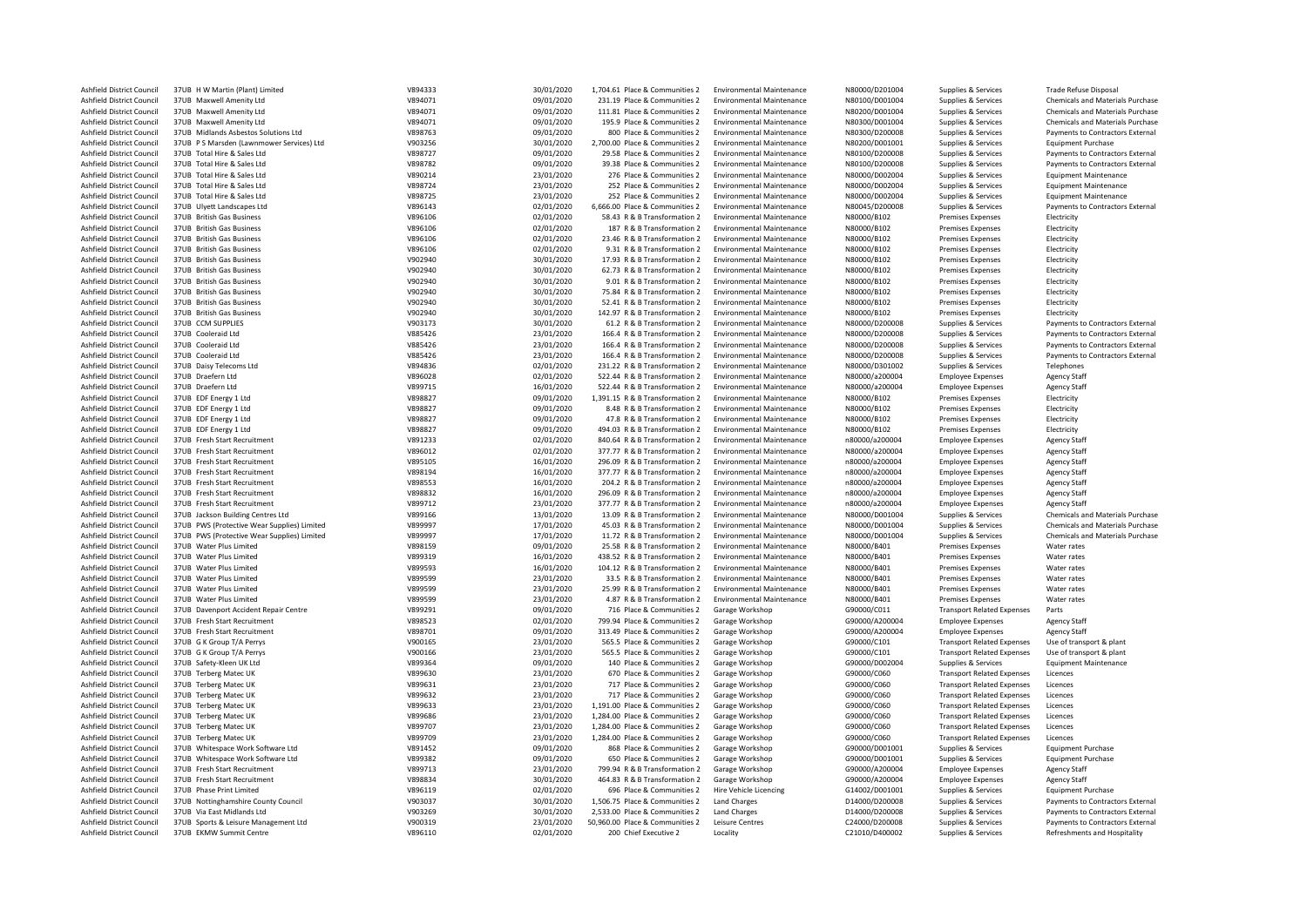| Ashfield District Council        | 37UB H W Martin (Plant) Limited                              | V894333            | 30/01/2020 | 1,704.61 Place & Communities 2                               | <b>Environmental Maintenance</b>                                     | N80000/D201004                   | Supplies & Services               | Trade Refuse Disposal                      |
|----------------------------------|--------------------------------------------------------------|--------------------|------------|--------------------------------------------------------------|----------------------------------------------------------------------|----------------------------------|-----------------------------------|--------------------------------------------|
| Ashfield District Council        | 37UB Maxwell Amenity Ltd                                     | V894071            | 09/01/2020 | 231.19 Place & Communities 2                                 | <b>Environmental Maintenance</b>                                     | N80100/D001004                   | Supplies & Services               | Chemicals and Materials Purchase           |
| Ashfield District Council        | 37UB Maxwell Amenity Ltd                                     | V894071            | 09/01/2020 | 111.81 Place & Communities 2                                 | <b>Environmental Maintenance</b>                                     | N80200/D001004                   | Supplies & Services               | Chemicals and Materials Purchase           |
| Ashfield District Council        | 37UB Maxwell Amenity Ltd                                     | V894071            | 09/01/2020 | 195.9 Place & Communities 2                                  | <b>Environmental Maintenance</b>                                     | N80300/D001004                   | Supplies & Services               | <b>Chemicals and Materials Purchase</b>    |
| Ashfield District Council        | 37UB Midlands Asbestos Solutions Ltd                         | V898763            | 09/01/2020 | 800 Place & Communities 2                                    | <b>Environmental Maintenance</b>                                     | N80300/D200008                   | Supplies & Services               | Payments to Contractors External           |
| Ashfield District Council        | 37UB PS Marsden (Lawnmower Services) Ltd                     | V903256            | 30/01/2020 | 2,700.00 Place & Communities 2                               | <b>Environmental Maintenance</b>                                     | N80200/D001001                   | Supplies & Services               | <b>Equipment Purchase</b>                  |
| Ashfield District Council        | 37UB Total Hire & Sales Ltd                                  | V898727            | 09/01/2020 | 29.58 Place & Communities 2                                  | <b>Environmental Maintenance</b>                                     | N80100/D200008                   | Supplies & Services               | Payments to Contractors External           |
| Ashfield District Council        | 37UB Total Hire & Sales Ltd                                  | V898782            | 09/01/2020 | 39.38 Place & Communities 2                                  | <b>Environmental Maintenance</b>                                     | N80100/D200008                   | Supplies & Services               | Payments to Contractors External           |
|                                  |                                                              |                    |            |                                                              |                                                                      |                                  |                                   |                                            |
| Ashfield District Council        | 37UB Total Hire & Sales Ltd                                  | V890214            | 23/01/2020 | 276 Place & Communities 2                                    | <b>Environmental Maintenance</b>                                     | N80000/D002004                   | Supplies & Services               | <b>Equipment Maintenance</b>               |
| Ashfield District Council        | 37UB Total Hire & Sales Ltd                                  | V898724            | 23/01/2020 | 252 Place & Communities 2                                    | <b>Environmental Maintenance</b>                                     | N80000/D002004                   | Supplies & Services               | <b>Equipment Maintenance</b>               |
| Ashfield District Council        | 37UB Total Hire & Sales Ltd                                  | V898725            | 23/01/2020 | 252 Place & Communities 2                                    | <b>Environmental Maintenance</b>                                     | N80000/D002004                   | Supplies & Services               | <b>Equipment Maintenance</b>               |
| Ashfield District Council        | 37UB Ulyett Landscapes Ltd                                   | V896143            | 02/01/2020 | 6,666.00 Place & Communities 2                               | <b>Environmental Maintenance</b>                                     | N80045/D200008                   | Supplies & Services               | Payments to Contractors External           |
| Ashfield District Council        | 37UB British Gas Business                                    | V896106            | 02/01/2020 | 58.43 R & B Transformation 2                                 | <b>Environmental Maintenance</b>                                     | N80000/B102                      | Premises Expenses                 | Electricity                                |
| Ashfield District Council        | 37UB British Gas Business                                    | V896106            | 02/01/2020 | 187 R & B Transformation 2                                   | <b>Environmental Maintenance</b>                                     | N80000/B102                      | Premises Expenses                 | Electricity                                |
| Ashfield District Council        | 37UB British Gas Business                                    | V896106            | 02/01/2020 | 23.46 R & B Transformation 2                                 | <b>Environmental Maintenance</b>                                     | N80000/B102                      | Premises Expenses                 | Electricity                                |
| Ashfield District Council        | 37UB British Gas Business                                    | V896106            | 02/01/2020 | 9.31 R & B Transformation 2                                  | <b>Environmental Maintenance</b>                                     | N80000/B102                      | Premises Expenses                 | Electricity                                |
| Ashfield District Council        | 37UB British Gas Business                                    | V902940            | 30/01/2020 | 17.93 R & B Transformation 2                                 | <b>Environmental Maintenance</b>                                     | N80000/B102                      | <b>Premises Expenses</b>          | Electricity                                |
| Ashfield District Council        | 37UB British Gas Business                                    | V902940            | 30/01/2020 | 62.73 R & B Transformation 2                                 | <b>Environmental Maintenance</b>                                     | N80000/B102                      | <b>Premises Expenses</b>          | Electricity                                |
| Ashfield District Council        | 37UB British Gas Business                                    | V902940            | 30/01/2020 | 9.01 R & B Transformation 2                                  | <b>Environmental Maintenance</b>                                     | N80000/B102                      | Premises Expenses                 | Electricity                                |
| Ashfield District Council        | 37UB British Gas Business                                    | V902940            | 30/01/2020 | 75.84 R & B Transformation 2                                 | <b>Environmental Maintenance</b>                                     | N80000/B102                      | Premises Expenses                 | Electricity                                |
| Ashfield District Council        | 37UB British Gas Business                                    | V902940            | 30/01/2020 | 52.41 R & B Transformation 2                                 | <b>Environmental Maintenance</b>                                     | N80000/B102                      | <b>Premises Expenses</b>          | Electricity                                |
| Ashfield District Council        | 37UB British Gas Business                                    | V902940            | 30/01/2020 | 142.97 R & B Transformation 2                                | <b>Environmental Maintenance</b>                                     | N80000/B102                      | Premises Expenses                 | Electricity                                |
| Ashfield District Council        | 37UB CCM SUPPLIES                                            | V903173            | 30/01/2020 | 61.2 R & B Transformation 2                                  | <b>Environmental Maintenance</b>                                     | N80000/D200008                   | Supplies & Services               | Payments to Contractors External           |
| Ashfield District Council        | 37UB Cooleraid Ltd                                           | V885426            | 23/01/2020 | 166.4 R & B Transformation 2                                 | <b>Environmental Maintenance</b>                                     | N80000/D200008                   | Supplies & Services               | Payments to Contractors External           |
| Ashfield District Council        | 37UB Cooleraid Ltd                                           | V885426            | 23/01/2020 | 166.4 R & B Transformation 2                                 | <b>Environmental Maintenance</b>                                     | N80000/D200008                   | Supplies & Services               | Payments to Contractors External           |
| Ashfield District Council        | 37UB Cooleraid Ltd                                           | V885426            | 23/01/2020 | 166.4 R & B Transformation 2                                 | <b>Environmental Maintenance</b>                                     | N80000/D200008                   | Supplies & Services               | Payments to Contractors External           |
| Ashfield District Council        | 37UB Daisy Telecoms Ltd                                      | V894836            | 02/01/2020 | 231.22 R & B Transformation 2                                | <b>Environmental Maintenance</b>                                     | N80000/D301002                   | Supplies & Services               | Telephones                                 |
| Ashfield District Council        | 37UB Draefern Ltd                                            | V896028            | 02/01/2020 | 522.44 R & B Transformation 2                                | <b>Environmental Maintenance</b>                                     | N80000/a200004                   | <b>Employee Expenses</b>          | <b>Agency Staff</b>                        |
|                                  |                                                              |                    |            |                                                              |                                                                      |                                  |                                   |                                            |
| Ashfield District Council        | 37UB Draefern Ltd                                            | V899715            | 16/01/2020 | 522.44 R & B Transformation 2                                | <b>Environmental Maintenance</b>                                     | N80000/a200004                   | <b>Employee Expenses</b>          | <b>Agency Staff</b>                        |
| Ashfield District Council        | 37UB EDF Energy 1 Ltd                                        | V898827            | 09/01/2020 | 1,391.15 R & B Transformation 2                              | <b>Environmental Maintenance</b><br><b>Environmental Maintenance</b> | N80000/B102                      | Premises Expenses                 | Electricity                                |
| Ashfield District Council        | 37UB EDF Energy 1 Ltd                                        | V898827            | 09/01/2020 | 8.48 R & B Transformation 2                                  |                                                                      | N80000/B102                      | Premises Expenses                 | Electricity                                |
| Ashfield District Council        | 37UB EDF Energy 1 Ltd                                        | V898827            | 09/01/2020 | 47.8 R & B Transformation 2                                  | <b>Environmental Maintenance</b>                                     | N80000/B102                      | <b>Premises Expenses</b>          | Electricity                                |
| Ashfield District Council        | 37UB EDF Energy 1 Ltd                                        | V898827            | 09/01/2020 | 494.03 R & B Transformation 2                                | <b>Environmental Maintenance</b>                                     | N80000/B102                      | Premises Expenses                 | Electricity                                |
| Ashfield District Council        | 37UB Fresh Start Recruitment                                 | V891233            | 02/01/2020 | 840.64 R & B Transformation 2                                | <b>Environmental Maintenance</b>                                     | n80000/a200004                   | <b>Employee Expenses</b>          | <b>Agency Staff</b>                        |
| Ashfield District Council        | 37UB Fresh Start Recruitment                                 | V896012            | 02/01/2020 | 377.77 R & B Transformation 2                                | <b>Environmental Maintenance</b>                                     | N80000/a200004                   | <b>Employee Expenses</b>          | <b>Agency Staff</b>                        |
| Ashfield District Council        | 37UB Fresh Start Recruitment                                 | V895105            | 16/01/2020 | 296.09 R & B Transformation 2                                | <b>Environmental Maintenance</b>                                     | n80000/a200004                   | <b>Employee Expenses</b>          | <b>Agency Staff</b>                        |
| Ashfield District Council        | 37UB Fresh Start Recruitment                                 | V898194            | 16/01/2020 | 377.77 R & B Transformation 2                                | <b>Environmental Maintenance</b>                                     | n80000/a200004                   | <b>Employee Expenses</b>          | <b>Agency Staff</b>                        |
| Ashfield District Council        | 37UB Fresh Start Recruitment                                 | V898553            | 16/01/2020 | 204.2 R & B Transformation 2                                 | <b>Environmental Maintenance</b>                                     | n80000/a200004                   | <b>Employee Expenses</b>          | <b>Agency Staff</b>                        |
| Ashfield District Council        | 37UB Fresh Start Recruitment                                 | V898832            | 16/01/2020 | 296.09 R & B Transformation 2                                | <b>Environmental Maintenance</b>                                     | n80000/a200004                   | <b>Employee Expenses</b>          | <b>Agency Staff</b>                        |
| <b>Ashfield District Council</b> | 37UB Fresh Start Recruitment                                 | V899712            | 23/01/2020 | 377.77 R & B Transformation 2                                | <b>Environmental Maintenance</b>                                     | n80000/a200004                   | <b>Employee Expenses</b>          | <b>Agency Staff</b>                        |
| Ashfield District Council        | 37UB Jackson Building Centres Ltd                            | V899166            | 13/01/2020 | 13.09 R & B Transformation 2                                 | <b>Environmental Maintenance</b>                                     | N80000/D001004                   | Supplies & Services               | Chemicals and Materials Purchase           |
| Ashfield District Council        | 37UB PWS (Protective Wear Supplies) Limited                  | V899997            | 17/01/2020 | 45.03 R & B Transformation 2                                 | <b>Environmental Maintenance</b>                                     | N80000/D001004                   | Supplies & Services               | Chemicals and Materials Purchase           |
| Ashfield District Council        | 37UB PWS (Protective Wear Supplies) Limited                  | V899997            | 17/01/2020 | 11.72 R & B Transformation 2                                 | <b>Environmental Maintenance</b>                                     | N80000/D001004                   | Supplies & Services               | <b>Chemicals and Materials Purchase</b>    |
| Ashfield District Council        | 37UB Water Plus Limited                                      | V898159            | 09/01/2020 | 25.58 R & B Transformation 2                                 | <b>Environmental Maintenance</b>                                     | N80000/B401                      | <b>Premises Expenses</b>          | Water rates                                |
| Ashfield District Council        | 37UB Water Plus Limited                                      | V899319            | 16/01/2020 | 438.52 R & B Transformation 2                                | <b>Environmental Maintenance</b>                                     | N80000/B401                      | Premises Expenses                 | Water rates                                |
| Ashfield District Council        | 37UB Water Plus Limited                                      | V899593            | 16/01/2020 | 104.12 R & B Transformation 2                                | <b>Environmental Maintenance</b>                                     | N80000/B401                      | Premises Expenses                 | Water rates                                |
| Ashfield District Council        | 37UB Water Plus Limited                                      | V899599            | 23/01/2020 | 33.5 R & B Transformation 2                                  | <b>Environmental Maintenance</b>                                     | N80000/B401                      | Premises Expenses                 | Water rates                                |
| Ashfield District Council        | 37UB Water Plus Limited                                      | V899599            | 23/01/2020 | 25.99 R & B Transformation 2                                 | <b>Environmental Maintenance</b>                                     | N80000/B401                      | Premises Expenses                 | Water rates                                |
| Ashfield District Council        | 37UB Water Plus Limited                                      | V899599            | 23/01/2020 | 4.87 R & B Transformation 2                                  | <b>Environmental Maintenance</b>                                     | N80000/B401                      | <b>Premises Expenses</b>          | Water rates                                |
|                                  |                                                              |                    |            |                                                              |                                                                      | G90000/C011                      |                                   | Parts                                      |
| Ashfield District Council        | 37UB Davenport Accident Repair Centre                        | V899291            | 09/01/2020 | 716 Place & Communities 2                                    | Garage Workshop                                                      |                                  | <b>Transport Related Expenses</b> |                                            |
| Ashfield District Council        | 37UB Fresh Start Recruitment<br>37UB Fresh Start Recruitment | V898523<br>V898701 | 02/01/2020 | 799.94 Place & Communities 2<br>313.49 Place & Communities 2 | Garage Workshop                                                      | G90000/A200004<br>G90000/A200004 | <b>Employee Expenses</b>          | <b>Agency Staff</b><br><b>Agency Staff</b> |
| Ashfield District Council        |                                                              |                    | 09/01/2020 |                                                              | Garage Workshop                                                      |                                  | <b>Employee Expenses</b>          |                                            |
| Ashfield District Council        | 37UB G K Group T/A Perrys                                    | V900165            | 23/01/2020 | 565.5 Place & Communities 2                                  | Garage Workshop                                                      | G90000/C101                      | <b>Transport Related Expenses</b> | Use of transport & plant                   |
| Ashfield District Council        | 37UB G K Group T/A Perrys                                    | V900166            | 23/01/2020 | 565.5 Place & Communities 2                                  | Garage Workshop                                                      | G90000/C101                      | <b>Transport Related Expenses</b> | Use of transport & plant                   |
| Ashfield District Council        | 37UB Safety-Kleen UK Ltd                                     | V899364            | 09/01/2020 | 140 Place & Communities 2                                    | Garage Workshop                                                      | G90000/D002004                   | Supplies & Services               | <b>Equipment Maintenance</b>               |
| Ashfield District Council        | 37UB Terberg Matec UK                                        | V899630            | 23/01/2020 | 670 Place & Communities 2                                    | Garage Workshop                                                      | G90000/C060                      | <b>Transport Related Expenses</b> | Licences                                   |
| Ashfield District Council        | 37UB Terberg Matec UK                                        | V899631            | 23/01/2020 | 717 Place & Communities 2                                    | Garage Workshop                                                      | G90000/C060                      | <b>Transport Related Expenses</b> | Licences                                   |
| Ashfield District Council        | 37UB Terberg Matec UK                                        | V899632            | 23/01/2020 | 717 Place & Communities 2                                    | Garage Workshop                                                      | G90000/C060                      | <b>Transport Related Expenses</b> | Licences                                   |
| Ashfield District Council        | 37UB Terberg Matec UK                                        | V899633            | 23/01/2020 | 1,191.00 Place & Communities 2                               | Garage Workshop                                                      | G90000/C060                      | <b>Transport Related Expenses</b> | Licences                                   |
| Ashfield District Council        | 37UB Terberg Matec UK                                        | V899686            | 23/01/2020 | 1,284.00 Place & Communities 2                               | Garage Workshop                                                      | G90000/C060                      | <b>Transport Related Expenses</b> | Licences                                   |
| Ashfield District Council        | 37UB Terberg Matec UK                                        | V899707            | 23/01/2020 | 1,284.00 Place & Communities 2                               | Garage Workshop                                                      | G90000/C060                      | <b>Transport Related Expenses</b> | Licences                                   |
| Ashfield District Council        | 37UB Terberg Matec UK                                        | V899709            | 23/01/2020 | 1,284.00 Place & Communities 2                               | Garage Workshop                                                      | G90000/C060                      | <b>Transport Related Expenses</b> | Licences                                   |
| Ashfield District Council        | 37UB Whitespace Work Software Ltd                            | V891452            | 09/01/2020 | 868 Place & Communities 2                                    | Garage Workshop                                                      | G90000/D001001                   | Supplies & Services               | <b>Equipment Purchase</b>                  |
| Ashfield District Council        | 37UB Whitespace Work Software Ltd                            | V899382            | 09/01/2020 | 650 Place & Communities 2                                    | Garage Workshop                                                      | G90000/D001001                   | Supplies & Services               | <b>Equipment Purchase</b>                  |
| Ashfield District Council        | 37UB Fresh Start Recruitment                                 | V899713            | 23/01/2020 | 799.94 R & B Transformation 2                                | Garage Workshop                                                      | G90000/A200004                   | <b>Employee Expenses</b>          | <b>Agency Staff</b>                        |
| Ashfield District Council        | 37UB Fresh Start Recruitment                                 | V898834            | 30/01/2020 | 464.83 R & B Transformation 2                                | Garage Workshop                                                      | G90000/A200004                   | <b>Employee Expenses</b>          | <b>Agency Staff</b>                        |
| Ashfield District Council        | 37UB Phase Print Limited                                     | V896119            | 02/01/2020 | 696 Place & Communities 2                                    | <b>Hire Vehicle Licencing</b>                                        | G14002/D001001                   | Supplies & Services               | <b>Equipment Purchase</b>                  |
| Ashfield District Council        | 37UB Nottinghamshire County Council                          | V903037            | 30/01/2020 | 1.506.75 Place & Communities 2                               | <b>Land Charges</b>                                                  | D14000/D200008                   | Supplies & Services               | Payments to Contractors External           |
| Ashfield District Council        | 37UB Via East Midlands Ltd                                   | V903269            | 30/01/2020 | 2,533.00 Place & Communities 2                               | <b>Land Charges</b>                                                  | D14000/D200008                   | Supplies & Services               | Payments to Contractors External           |
| Ashfield District Council        | 37UB Sports & Leisure Management Ltd                         | V900319            | 23/01/2020 | 50,960.00 Place & Communities 2                              | Leisure Centres                                                      | C24000/D200008                   | Supplies & Services               | Payments to Contractors External           |
| Ashfield District Council        | 37UB EKMW Summit Centre                                      | V896110            | 02/01/2020 | 200 Chief Executive 2                                        | Locality                                                             | C21010/D400002                   | Supplies & Services               | Refreshments and Hospitality               |
|                                  |                                                              |                    |            |                                                              |                                                                      |                                  |                                   |                                            |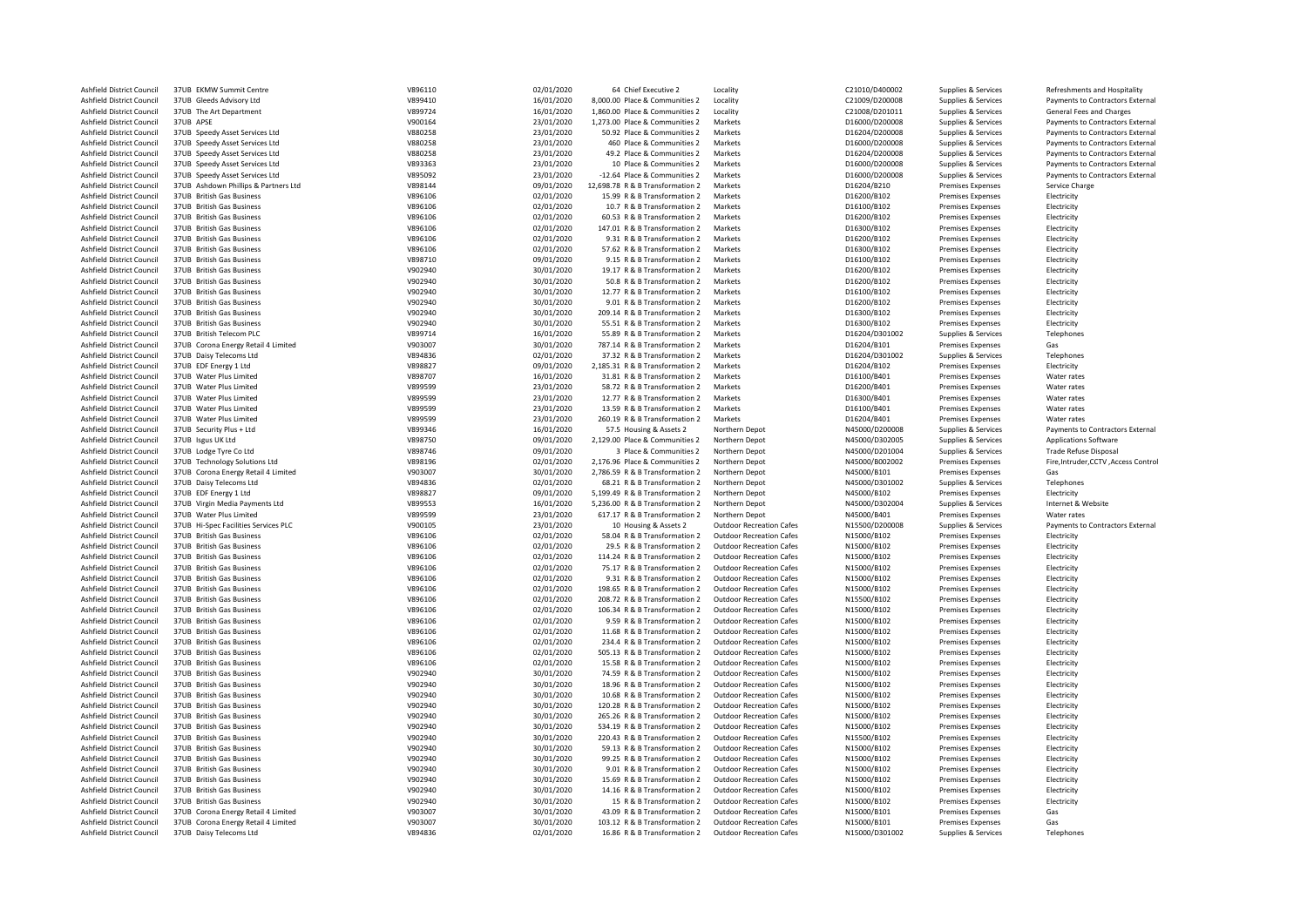| Ashfield District Council | 37UB EKMW Summit Centre              | V896110 | 02/01/2020 | 64 Chief Executive 2             | Locality                        | C21010/D400002 | Supplies & Services      | Refreshments and Hospitality         |
|---------------------------|--------------------------------------|---------|------------|----------------------------------|---------------------------------|----------------|--------------------------|--------------------------------------|
| Ashfield District Council | 37UB Gleeds Advisory Ltd             | V899410 | 16/01/2020 | 8,000.00 Place & Communities 2   | Locality                        | C21009/D200008 | Supplies & Services      | Payments to Contractors External     |
| Ashfield District Council | 37UB The Art Department              | V899724 | 16/01/2020 | 1,860.00 Place & Communities 2   | Locality                        | C21008/D201011 | Supplies & Services      | General Fees and Charges             |
| Ashfield District Council | 37UB APSE                            | V900164 | 23/01/2020 | 1,273.00 Place & Communities 2   | Markets                         | D16000/D200008 | Supplies & Services      | Payments to Contractors External     |
| Ashfield District Council | 37UB Speedy Asset Services Ltd       | V880258 | 23/01/2020 | 50.92 Place & Communities 2      | Markets                         | D16204/D200008 | Supplies & Services      | Payments to Contractors External     |
| Ashfield District Council | 37UB Speedy Asset Services Ltd       | V880258 | 23/01/2020 | 460 Place & Communities 2        | Markets                         | D16000/D200008 | Supplies & Services      | Payments to Contractors External     |
| Ashfield District Council | 37UB Speedy Asset Services Ltd       | V880258 | 23/01/2020 | 49.2 Place & Communities 2       | Markets                         | D16204/D200008 | Supplies & Services      | Payments to Contractors External     |
| Ashfield District Council | 37UB Speedy Asset Services Ltd       | V893363 | 23/01/2020 | 10 Place & Communities 2         | Markets                         | D16000/D200008 | Supplies & Services      | Payments to Contractors External     |
|                           |                                      |         | 23/01/2020 |                                  | Markets                         | D16000/D200008 |                          |                                      |
| Ashfield District Council | 37UB Speedy Asset Services Ltd       | V895092 |            | -12.64 Place & Communities 2     |                                 |                | Supplies & Services      | Payments to Contractors External     |
| Ashfield District Council | 37UB Ashdown Phillips & Partners Ltd | V898144 | 09/01/2020 | 12,698.78 R & B Transformation 2 | Markets                         | D16204/B210    | <b>Premises Expenses</b> | Service Charge                       |
| Ashfield District Council | 37UB British Gas Business            | V896106 | 02/01/2020 | 15.99 R & B Transformation 2     | Markets                         | D16200/B102    | <b>Premises Expenses</b> | Electricity                          |
| Ashfield District Council | 37UB British Gas Business            | V896106 | 02/01/2020 | 10.7 R & B Transformation 2      | Markets                         | D16100/B102    | <b>Premises Expenses</b> | Electricity                          |
| Ashfield District Council | 37UB British Gas Business            | V896106 | 02/01/2020 | 60.53 R & B Transformation 2     | Markets                         | D16200/B102    | <b>Premises Expenses</b> | Electricity                          |
| Ashfield District Council | 37UB British Gas Business            | V896106 | 02/01/2020 | 147.01 R & B Transformation 2    | Markets                         | D16300/B102    | <b>Premises Expenses</b> | Electricity                          |
| Ashfield District Council | 37UB British Gas Business            | V896106 | 02/01/2020 | 9.31 R & B Transformation 2      | Markets                         | D16200/B102    | <b>Premises Expenses</b> | Electricity                          |
| Ashfield District Council | 37UB British Gas Business            | V896106 | 02/01/2020 | 57.62 R & B Transformation 2     | Markets                         | D16300/B102    | <b>Premises Expenses</b> | Electricity                          |
| Ashfield District Council | 37UB British Gas Business            | V898710 | 09/01/2020 | 9.15 R & B Transformation 2      | Markets                         | D16100/B102    | <b>Premises Expenses</b> | Electricity                          |
| Ashfield District Council | 37UB British Gas Business            | V902940 | 30/01/2020 | 19.17 R & B Transformation 2     | Markets                         | D16200/B102    | <b>Premises Expenses</b> | Electricity                          |
| Ashfield District Council | 37UB British Gas Business            | V902940 | 30/01/2020 | 50.8 R & B Transformation 2      | Markets                         | D16200/B102    | <b>Premises Expenses</b> | Electricity                          |
| Ashfield District Council | 37UB British Gas Business            | V902940 | 30/01/2020 | 12.77 R & B Transformation 2     | Markets                         | D16100/B102    | Premises Expenses        | Electricity                          |
| Ashfield District Council | 37UB British Gas Business            | V902940 | 30/01/2020 | 9.01 R & B Transformation 2      | Markets                         | D16200/B102    | <b>Premises Expenses</b> | Electricity                          |
| Ashfield District Council | 37UB British Gas Business            | V902940 | 30/01/2020 | 209.14 R & B Transformation 2    | Markets                         | D16300/B102    | <b>Premises Expenses</b> | Electricity                          |
| Ashfield District Council | 37UB British Gas Business            | V902940 | 30/01/2020 | 55.51 R & B Transformation 2     | Markets                         | D16300/B102    | Premises Expenses        | Electricity                          |
| Ashfield District Council | 37UB British Telecom PLC             | V899714 | 16/01/2020 | 55.89 R & B Transformation 2     | Markets                         | D16204/D301002 | Supplies & Services      | Telephones                           |
| Ashfield District Council | 37UB Corona Energy Retail 4 Limited  | V903007 | 30/01/2020 | 787.14 R & B Transformation 2    | Markets                         | D16204/B101    | <b>Premises Expenses</b> | Gas                                  |
| Ashfield District Council | 37UB Daisy Telecoms Ltd              | V894836 | 02/01/2020 | 37.32 R & B Transformation 2     | Markets                         | D16204/D301002 | Supplies & Services      | Telephones                           |
| Ashfield District Council | 37UB EDF Energy 1 Ltd                | V898827 | 09/01/2020 | 2,185.31 R & B Transformation 2  | Markets                         | D16204/B102    | Premises Expenses        | Electricity                          |
| Ashfield District Council | 37UB Water Plus Limited              | V898707 | 16/01/2020 | 31.81 R & B Transformation 2     | Markets                         | D16100/B401    |                          | Water rates                          |
| Ashfield District Council | 37UB Water Plus Limited              | V899599 |            | 58.72 R & B Transformation 2     | Markets                         |                | <b>Premises Expenses</b> | Water rates                          |
|                           |                                      |         | 23/01/2020 |                                  |                                 | D16200/B401    | <b>Premises Expenses</b> |                                      |
| Ashfield District Council | 37UB Water Plus Limited              | V899599 | 23/01/2020 | 12.77 R & B Transformation 2     | Markets                         | D16300/B401    | <b>Premises Expenses</b> | Water rates                          |
| Ashfield District Council | 37UB Water Plus Limited              | V899599 | 23/01/2020 | 13.59 R & B Transformation 2     | Markets                         | D16100/B401    | <b>Premises Expenses</b> | Water rates                          |
| Ashfield District Council | 37UB Water Plus Limited              | V899599 | 23/01/2020 | 260.19 R & B Transformation 2    | Markets                         | D16204/B401    | <b>Premises Expenses</b> | Water rates                          |
| Ashfield District Council | 37UB Security Plus + Ltd             | V899346 | 16/01/2020 | 57.5 Housing & Assets 2          | Northern Depot                  | N45000/D200008 | Supplies & Services      | Payments to Contractors External     |
| Ashfield District Council | 37UB Isgus UK Ltd                    | V898750 | 09/01/2020 | 2,129.00 Place & Communities 2   | Northern Depot                  | N45000/D302005 | Supplies & Services      | Applications Software                |
| Ashfield District Council | 37UB Lodge Tyre Co Ltd               | V898746 | 09/01/2020 | 3 Place & Communities 2          | Northern Depot                  | N45000/D201004 | Supplies & Services      | <b>Trade Refuse Disposal</b>         |
| Ashfield District Council | 37UB Technology Solutions Ltd        | V898196 | 02/01/2020 | 2,176.96 Place & Communities 2   | Northern Depot                  | N45000/B002002 | <b>Premises Expenses</b> | Fire, Intruder, CCTV, Access Control |
| Ashfield District Council | 37UB Corona Energy Retail 4 Limited  | V903007 | 30/01/2020 | 2,786.59 R & B Transformation 2  | Northern Depot                  | N45000/B101    | <b>Premises Expenses</b> | Gas                                  |
| Ashfield District Council | 37UB Daisy Telecoms Ltd              | V894836 | 02/01/2020 | 68.21 R & B Transformation 2     | Northern Depot                  | N45000/D301002 | Supplies & Services      | Telephones                           |
| Ashfield District Council | 37UB EDF Energy 1 Ltd                | V898827 | 09/01/2020 | 5,199.49 R & B Transformation 2  | Northern Depot                  | N45000/B102    | <b>Premises Expenses</b> | Electricity                          |
| Ashfield District Council | 37UB Virgin Media Payments Ltd       | V899553 | 16/01/2020 | 5,236.00 R & B Transformation 2  | Northern Depot                  | N45000/D302004 | Supplies & Services      | Internet & Website                   |
| Ashfield District Council | 37UB Water Plus Limited              | V899599 | 23/01/2020 | 617.17 R & B Transformation 2    | Northern Depot                  | N45000/B401    | <b>Premises Expenses</b> | Water rates                          |
| Ashfield District Council | 37UB Hi-Spec Facilities Services PLC | V900105 | 23/01/2020 | 10 Housing & Assets 2            | <b>Outdoor Recreation Cafes</b> | N15500/D200008 | Supplies & Services      | Payments to Contractors External     |
| Ashfield District Council | 37UB British Gas Business            | V896106 | 02/01/2020 | 58.04 R & B Transformation 2     | <b>Outdoor Recreation Cafes</b> | N15000/B102    | <b>Premises Expenses</b> | Electricity                          |
| Ashfield District Council | 37UB British Gas Business            | V896106 | 02/01/2020 | 29.5 R & B Transformation 2      | <b>Outdoor Recreation Cafes</b> | N15000/B102    | <b>Premises Expenses</b> | Electricity                          |
| Ashfield District Council | 37UB British Gas Business            | V896106 | 02/01/2020 | 114.24 R & B Transformation 2    | <b>Outdoor Recreation Cafes</b> | N15000/B102    | <b>Premises Expenses</b> | Electricity                          |
| Ashfield District Council | 37UB British Gas Business            | V896106 | 02/01/2020 | 75.17 R & B Transformation 2     | <b>Outdoor Recreation Cafes</b> | N15000/B102    | <b>Premises Expenses</b> | Electricity                          |
| Ashfield District Council | 37UB British Gas Business            | V896106 | 02/01/2020 | 9.31 R & B Transformation 2      | <b>Outdoor Recreation Cafes</b> | N15000/B102    | <b>Premises Expenses</b> | Electricity                          |
| Ashfield District Council | 37UB British Gas Business            | V896106 | 02/01/2020 | 198.65 R & B Transformation 2    | <b>Outdoor Recreation Cafes</b> | N15000/B102    | <b>Premises Expenses</b> | Electricity                          |
| Ashfield District Council | 37UB British Gas Business            | V896106 | 02/01/2020 | 208.72 R & B Transformation 2    | Outdoor Recreation Cafes        | N15500/B102    | <b>Premises Expenses</b> | Electricity                          |
| Ashfield District Council | 37UB British Gas Business            | V896106 | 02/01/2020 | 106.34 R & B Transformation 2    | <b>Outdoor Recreation Cafes</b> | N15000/B102    | <b>Premises Expenses</b> | Electricity                          |
|                           |                                      |         |            |                                  |                                 |                |                          |                                      |
| Ashfield District Council | 37UB British Gas Business            | V896106 | 02/01/2020 | 9.59 R & B Transformation 2      | <b>Outdoor Recreation Cafes</b> | N15000/B102    | <b>Premises Expenses</b> | Electricity                          |
| Ashfield District Council | 37UB British Gas Business            | V896106 | 02/01/2020 | 11.68 R & B Transformation 2     | <b>Outdoor Recreation Cafes</b> | N15000/B102    | <b>Premises Expenses</b> | Electricity                          |
| Ashfield District Council | 37UB British Gas Business            | V896106 | 02/01/2020 | 234.4 R & B Transformation 2     | <b>Outdoor Recreation Cafes</b> | N15000/B102    | <b>Premises Expenses</b> | Electricity                          |
| Ashfield District Council | 37UB British Gas Business            | V896106 | 02/01/2020 | 505.13 R & B Transformation 2    | <b>Outdoor Recreation Cafes</b> | N15000/B102    | <b>Premises Expenses</b> | Electricity                          |
| Ashfield District Council | 37UB British Gas Business            | V896106 | 02/01/2020 | 15.58 R & B Transformation 2     | <b>Outdoor Recreation Cafes</b> | N15000/B102    | <b>Premises Expenses</b> | Electricity                          |
| Ashfield District Council | 37UB British Gas Business            | V902940 | 30/01/2020 | 74.59 R & B Transformation 2     | <b>Outdoor Recreation Cafes</b> | N15000/B102    | <b>Premises Expenses</b> | Electricity                          |
| Ashfield District Council | 37UB British Gas Business            | V902940 | 30/01/2020 | 18.96 R & B Transformation 2     | <b>Outdoor Recreation Cafes</b> | N15000/B102    | <b>Premises Expenses</b> | Electricity                          |
| Ashfield District Council | 37UB British Gas Business            | V902940 | 30/01/2020 | 10.68 R & B Transformation 2     | <b>Outdoor Recreation Cafes</b> | N15000/B102    | <b>Premises Expenses</b> | Electricity                          |
| Ashfield District Council | 37UB British Gas Business            | V902940 | 30/01/2020 | 120.28 R & B Transformation 2    | <b>Outdoor Recreation Cafes</b> | N15000/B102    | <b>Premises Expenses</b> | Electricity                          |
| Ashfield District Council | 37UB British Gas Business            | V902940 | 30/01/2020 | 265.26 R & B Transformation 2    | <b>Outdoor Recreation Cafes</b> | N15000/B102    | <b>Premises Expenses</b> | Electricity                          |
| Ashfield District Council | 37UB British Gas Business            | V902940 | 30/01/2020 | 534.19 R & B Transformation 2    | <b>Outdoor Recreation Cafes</b> | N15000/B102    | <b>Premises Expenses</b> | Electricity                          |
| Ashfield District Council | 37UB British Gas Business            | V902940 | 30/01/2020 | 220.43 R & B Transformation 2    | <b>Outdoor Recreation Cafes</b> | N15500/B102    | <b>Premises Expenses</b> | Electricity                          |
| Ashfield District Council | 37UB British Gas Business            | V902940 | 30/01/2020 | 59.13 R & B Transformation 2     | Outdoor Recreation Cafes        | N15000/B102    | <b>Premises Expenses</b> | Electricity                          |
| Ashfield District Council | 37UB British Gas Business            | V902940 | 30/01/2020 | 99.25 R & B Transformation 2     | <b>Outdoor Recreation Cafes</b> | N15000/B102    | Premises Expenses        | Electricity                          |
| Ashfield District Council | 37UB British Gas Business            | V902940 | 30/01/2020 | 9.01 R & B Transformation 2      | <b>Outdoor Recreation Cafes</b> | N15000/B102    | <b>Premises Expenses</b> | Electricity                          |
| Ashfield District Council | 37UB British Gas Business            | V902940 | 30/01/2020 | 15.69 R & B Transformation 2     | <b>Outdoor Recreation Cafes</b> | N15000/B102    | <b>Premises Expenses</b> | Electricity                          |
| Ashfield District Council | 37UB British Gas Business            | V902940 | 30/01/2020 | 14.16 R & B Transformation 2     | <b>Outdoor Recreation Cafes</b> | N15000/B102    | <b>Premises Expenses</b> | Electricity                          |
| Ashfield District Council | 37UB British Gas Business            | V902940 | 30/01/2020 | 15 R & B Transformation 2        | Outdoor Recreation Cafes        | N15000/B102    | <b>Premises Expenses</b> | Electricity                          |
| Ashfield District Council | 37UB Corona Energy Retail 4 Limited  | V903007 | 30/01/2020 | 43.09 R & B Transformation 2     | <b>Outdoor Recreation Cafes</b> | N15000/B101    | <b>Premises Expenses</b> | Gas                                  |
| Ashfield District Council | 37UB Corona Energy Retail 4 Limited  | V903007 | 30/01/2020 | 103.12 R & B Transformation 2    | <b>Outdoor Recreation Cafes</b> | N15000/B101    | <b>Premises Expenses</b> | Gas                                  |
| Ashfield District Council | 37UB Daisy Telecoms Ltd              | V894836 | 02/01/2020 | 16.86 R & B Transformation 2     | <b>Outdoor Recreation Cafes</b> | N15000/D301002 | Supplies & Services      | Telephones                           |
|                           |                                      |         |            |                                  |                                 |                |                          |                                      |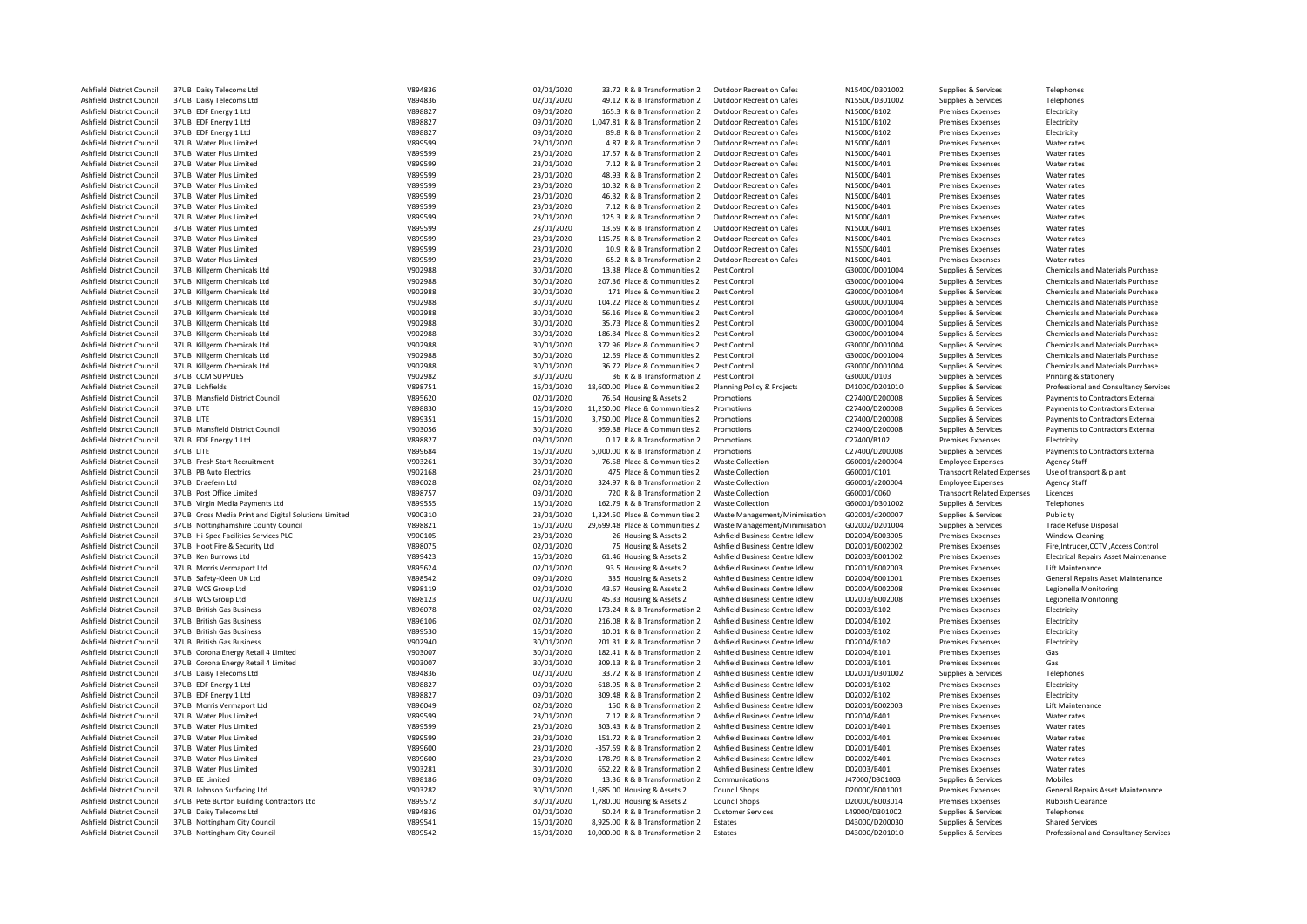| Ashfield District Council                              |                                                              |                    |                          |                                                                     |                                 |                                  |                                            |                                                                 |
|--------------------------------------------------------|--------------------------------------------------------------|--------------------|--------------------------|---------------------------------------------------------------------|---------------------------------|----------------------------------|--------------------------------------------|-----------------------------------------------------------------|
|                                                        | 37UB Daisy Telecoms Ltd                                      | V894836            | 02/01/2020               | 33.72 R & B Transformation 2                                        | <b>Outdoor Recreation Cafes</b> | N15400/D301002                   | Supplies & Services                        | Telephones                                                      |
| Ashfield District Council                              | 37UB Daisy Telecoms Ltd                                      | V894836            | 02/01/2020               | 49.12 R & B Transformation 2                                        | <b>Outdoor Recreation Cafes</b> | N15500/D301002                   | Supplies & Services                        | Telephones                                                      |
| Ashfield District Council                              | 37UB EDF Energy 1 Ltd                                        | V898827            | 09/01/2020               | 165.3 R & B Transformation 2                                        | <b>Outdoor Recreation Cafes</b> | N15000/B102                      | Premises Expenses                          | Electricity                                                     |
| Ashfield District Council                              | 37UB EDF Energy 1 Ltd                                        | V898827            | 09/01/2020               | 1,047.81 R & B Transformation 2                                     | <b>Outdoor Recreation Cafes</b> | N15100/B102                      | Premises Expenses                          | Electricity                                                     |
|                                                        |                                                              |                    |                          |                                                                     |                                 |                                  |                                            |                                                                 |
| Ashfield District Council                              | 37UB EDF Energy 1 Ltd                                        | V898827            | 09/01/2020               | 89.8 R & B Transformation 2                                         | <b>Outdoor Recreation Cafes</b> | N15000/B102                      | <b>Premises Expenses</b>                   | Electricity                                                     |
| Ashfield District Council                              | 37UB Water Plus Limited                                      | V899599            | 23/01/2020               | 4.87 R & B Transformation 2                                         | <b>Outdoor Recreation Cafes</b> | N15000/B401                      | Premises Expenses                          | Water rates                                                     |
| Ashfield District Council                              | 37UB Water Plus Limited                                      | V899599            | 23/01/2020               | 17.57 R & B Transformation 2                                        | <b>Outdoor Recreation Cafes</b> | N15000/B401                      | <b>Premises Expenses</b>                   | Water rates                                                     |
| Ashfield District Council                              | 37UB Water Plus Limited                                      | V899599            | 23/01/2020               | 7.12 R & B Transformation 2                                         | <b>Outdoor Recreation Cafes</b> | N15000/B401                      | Premises Expenses                          | Water rates                                                     |
|                                                        |                                                              |                    |                          |                                                                     |                                 |                                  |                                            |                                                                 |
| Ashfield District Council                              | 37UB Water Plus Limited                                      | V899599            | 23/01/2020               | 48.93 R & B Transformation 2                                        | <b>Outdoor Recreation Cafes</b> | N15000/B401                      | Premises Expenses                          | Water rates                                                     |
| Ashfield District Council                              | 37UB Water Plus Limited                                      | V899599            | 23/01/2020               | 10.32 R & B Transformation 2                                        | <b>Outdoor Recreation Cafes</b> | N15000/B401                      | Premises Expenses                          | Water rates                                                     |
| Ashfield District Council                              | 37UB Water Plus Limited                                      | V899599            | 23/01/2020               | 46.32 R & B Transformation 2                                        | <b>Outdoor Recreation Cafes</b> | N15000/B401                      | Premises Expenses                          | Water rates                                                     |
| Ashfield District Council                              | 37UB Water Plus Limited                                      | V899599            | 23/01/2020               | 7.12 R & B Transformation 2                                         | <b>Outdoor Recreation Cafes</b> | N15000/B401                      | Premises Expenses                          | Water rates                                                     |
|                                                        |                                                              |                    |                          |                                                                     |                                 |                                  |                                            |                                                                 |
| Ashfield District Council                              | 37UB Water Plus Limited                                      | V899599            | 23/01/2020               | 125.3 R & B Transformation 2                                        | <b>Outdoor Recreation Cafes</b> | N15000/B401                      | <b>Premises Expenses</b>                   | Water rates                                                     |
| Ashfield District Council                              | 37UB Water Plus Limited                                      | V899599            | 23/01/2020               | 13.59 R & B Transformation 2                                        | <b>Outdoor Recreation Cafes</b> | N15000/B401                      | Premises Expenses                          | Water rates                                                     |
| Ashfield District Council                              | 37UB Water Plus Limited                                      | V899599            | 23/01/2020               | 115.75 R & B Transformation 2                                       | <b>Outdoor Recreation Cafes</b> | N15000/B401                      | Premises Expenses                          | Water rates                                                     |
|                                                        |                                                              |                    |                          |                                                                     |                                 |                                  |                                            |                                                                 |
| Ashfield District Council                              | 37UB Water Plus Limited                                      | V899599            | 23/01/2020               | 10.9 R & B Transformation 2                                         | <b>Outdoor Recreation Cafes</b> | N15500/B401                      | Premises Expenses                          | Water rates                                                     |
| Ashfield District Council                              | 37UB Water Plus Limited                                      | V899599            | 23/01/2020               | 65.2 R & B Transformation 2                                         | <b>Outdoor Recreation Cafes</b> | N15000/B401                      | Premises Expenses                          | Water rates                                                     |
| Ashfield District Council                              | 37UB Killgerm Chemicals Ltd                                  | V902988            | 30/01/2020               | 13.38 Place & Communities 2                                         | Pest Control                    | G30000/D001004                   | Supplies & Services                        | Chemicals and Materials Purchase                                |
| Ashfield District Council                              | 37UB Killgerm Chemicals Ltd                                  | V902988            | 30/01/2020               | 207.36 Place & Communities 2                                        | Pest Control                    | G30000/D001004                   | Supplies & Services                        | Chemicals and Materials Purchase                                |
|                                                        |                                                              |                    |                          |                                                                     |                                 |                                  |                                            |                                                                 |
| Ashfield District Council                              | 37UB Killgerm Chemicals Ltd                                  | V902988            | 30/01/2020               | 171 Place & Communities 2                                           | Pest Control                    | G30000/D001004                   | Supplies & Services                        | Chemicals and Materials Purchase                                |
| <b>Ashfield District Council</b>                       | 37UB Killgerm Chemicals Ltd                                  | V902988            | 30/01/2020               | 104.22 Place & Communities 2                                        | Pest Control                    | G30000/D001004                   | Supplies & Services                        | <b>Chemicals and Materials Purchase</b>                         |
| Ashfield District Council                              | 37UB Killgerm Chemicals Ltd                                  | V902988            | 30/01/2020               | 56.16 Place & Communities 2                                         | Pest Control                    | G30000/D001004                   | Supplies & Services                        | <b>Chemicals and Materials Purchase</b>                         |
| Ashfield District Council                              | 37UB Killgerm Chemicals Ltd                                  | V902988            | 30/01/2020               | 35.73 Place & Communities 2                                         | Pest Control                    | G30000/D001004                   | Supplies & Services                        | <b>Chemicals and Materials Purchase</b>                         |
|                                                        |                                                              |                    |                          |                                                                     |                                 |                                  |                                            |                                                                 |
| Ashfield District Council                              | 37UB Killgerm Chemicals Ltd                                  | V902988            | 30/01/2020               | 186.84 Place & Communities 2                                        | Pest Control                    | G30000/D001004                   | Supplies & Services                        | Chemicals and Materials Purchase                                |
| Ashfield District Council                              | 37UB Killgerm Chemicals Ltd                                  | V902988            | 30/01/2020               | 372.96 Place & Communities 2                                        | Pest Control                    | G30000/D001004                   | Supplies & Services                        | Chemicals and Materials Purchase                                |
| Ashfield District Council                              | 37UB Killgerm Chemicals Ltd                                  | V902988            | 30/01/2020               | 12.69 Place & Communities 2                                         | Pest Control                    | G30000/D001004                   | Supplies & Services                        | <b>Chemicals and Materials Purchase</b>                         |
|                                                        |                                                              |                    |                          |                                                                     |                                 |                                  |                                            |                                                                 |
| Ashfield District Council                              | 37UB Killgerm Chemicals Ltd                                  | V902988            | 30/01/2020               | 36.72 Place & Communities 2                                         | Pest Control                    | G30000/D001004                   | Supplies & Services                        | Chemicals and Materials Purchase                                |
| Ashfield District Council                              | 37UB CCM SUPPLIES                                            | V902982            | 30/01/2020               | 36 R & B Transformation 2                                           | Pest Control                    | G30000/D103                      | Supplies & Services                        | Printing & stationery                                           |
| Ashfield District Council                              | 37UB Lichfields                                              | V898751            | 16/01/2020               | 18,600.00 Place & Communities 2                                     | Planning Policy & Projects      | D41000/D201010                   | Supplies & Services                        | Professional and Consultancy Services                           |
| Ashfield District Council                              | 37UB Mansfield District Council                              | V895620            | 02/01/2020               | 76.64 Housing & Assets 2                                            | Promotions                      | C27400/D200008                   | Supplies & Services                        | Payments to Contractors External                                |
| Ashfield District Council                              | 37UB LITE                                                    | V898830            |                          | 11,250.00 Place & Communities 2                                     | Promotions                      | C27400/D200008                   |                                            | Payments to Contractors External                                |
|                                                        |                                                              |                    | 16/01/2020               |                                                                     |                                 |                                  | Supplies & Services                        |                                                                 |
| Ashfield District Council                              | 37UB LITE                                                    | V899351            | 16/01/2020               | 3,750.00 Place & Communities 2                                      | Promotions                      | C27400/D200008                   | Supplies & Services                        | Payments to Contractors External                                |
| Ashfield District Council                              | 37UB Mansfield District Council                              | V903056            | 30/01/2020               | 959.38 Place & Communities 2                                        | Promotions                      | C27400/D200008                   | Supplies & Services                        | Payments to Contractors External                                |
| Ashfield District Council                              | 37UB EDF Energy 1 Ltd                                        | V898827            | 09/01/2020               | 0.17 R & B Transformation 2                                         | Promotions                      | C27400/B102                      | Premises Expenses                          | Electricity                                                     |
| Ashfield District Council                              | 37UB LITE                                                    | V899684            |                          | 5,000.00 R & B Transformation 2                                     | Promotions                      | C27400/D200008                   |                                            | Payments to Contractors External                                |
|                                                        |                                                              |                    | 16/01/2020               |                                                                     |                                 |                                  | Supplies & Services                        |                                                                 |
| Ashfield District Council                              | 37UB Fresh Start Recruitment                                 | V903261            | 30/01/2020               | 76.58 Place & Communities 2                                         | <b>Waste Collection</b>         | G60001/a200004                   | <b>Employee Expenses</b>                   | <b>Agency Staff</b>                                             |
| Ashfield District Council                              | 37UB PB Auto Electrics                                       | V902168            | 23/01/2020               | 475 Place & Communities 2                                           | <b>Waste Collection</b>         | G60001/C101                      | <b>Transport Related Expenses</b>          | Use of transport & plant                                        |
| Ashfield District Council                              | 37UB Draefern Ltd                                            | V896028            | 02/01/2020               | 324.97 R & B Transformation 2                                       | <b>Waste Collection</b>         | G60001/a200004                   | <b>Employee Expenses</b>                   | <b>Agency Staff</b>                                             |
|                                                        |                                                              |                    |                          |                                                                     |                                 |                                  |                                            |                                                                 |
| Ashfield District Council                              | 37UB Post Office Limited                                     | V898757            | 09/01/2020               | 720 R & B Transformation 2                                          | <b>Waste Collection</b>         | G60001/C060                      | <b>Transport Related Expenses</b>          | Licences                                                        |
| <b>Ashfield District Council</b>                       | 37UB Virgin Media Payments Ltd                               | V899555            | 16/01/2020               | 162.79 R & B Transformation 2                                       | Waste Collection                | G60001/D301002                   | Supplies & Services                        | Telephones                                                      |
|                                                        |                                                              |                    | 23/01/2020               | 1,324.50 Place & Communities 2                                      | Waste Management/Minimisation   | G02001/d200007                   | Supplies & Services                        | Publicity                                                       |
|                                                        |                                                              |                    |                          |                                                                     |                                 |                                  |                                            |                                                                 |
| Ashfield District Council                              | 37UB Cross Media Print and Digital Solutions Limited         | V900310            |                          |                                                                     |                                 |                                  |                                            |                                                                 |
| Ashfield District Council                              | 37UB Nottinghamshire County Council                          | V898821            | 16/01/2020               | 29,699.48 Place & Communities 2                                     | Waste Management/Minimisation   | G02002/D201004                   | Supplies & Services                        | <b>Trade Refuse Disposal</b>                                    |
| Ashfield District Council                              | 37UB Hi-Spec Facilities Services PLC                         | V900105            | 23/01/2020               | 26 Housing & Assets 2                                               | Ashfield Business Centre Idlew  | D02004/B003005                   | Premises Expenses                          | <b>Window Cleaning</b>                                          |
| Ashfield District Council                              | 37UB Hoot Fire & Security Ltd                                | V898075            | 02/01/2020               | 75 Housing & Assets 2                                               | Ashfield Business Centre Idlew  | D02001/B002002                   | Premises Expenses                          | Fire, Intruder, CCTV, Access Control                            |
|                                                        |                                                              |                    |                          |                                                                     |                                 |                                  |                                            |                                                                 |
| Ashfield District Council                              | 37UB Ken Burrows Ltd                                         | V899423            | 16/01/2020               | 61.46 Housing & Assets 2                                            | Ashfield Business Centre Idlew  | D02003/B001002                   | Premises Expenses                          | <b>Electrical Repairs Asset Maintenance</b>                     |
| Ashfield District Council                              | 37UB Morris Vermaport Ltd                                    | V895624            | 02/01/2020               | 93.5 Housing & Assets 2                                             | Ashfield Business Centre Idlew  | D02001/B002003                   | Premises Expenses                          | Lift Maintenance                                                |
| Ashfield District Council                              | 37UB Safety-Kleen UK Ltd                                     | V898542            | 09/01/2020               | 335 Housing & Assets 2                                              | Ashfield Business Centre Idlew  | D02004/B001001                   | Premises Expenses                          | General Repairs Asset Maintenance                               |
| Ashfield District Council                              | 37UB WCS Group Ltd                                           | V898119            | 02/01/2020               | 43.67 Housing & Assets 2                                            | Ashfield Business Centre Idlew  | D02004/B002008                   | Premises Expenses                          | Legionella Monitoring                                           |
|                                                        |                                                              |                    |                          |                                                                     |                                 |                                  |                                            |                                                                 |
| Ashfield District Council                              | 37UB WCS Group Ltd                                           | V898123            | 02/01/2020               | 45.33 Housing & Assets 2                                            | Ashfield Business Centre Idlew  | D02003/B002008                   | Premises Expenses                          | Legionella Monitoring                                           |
| Ashfield District Council                              | 37UB British Gas Business                                    | V896078            | 02/01/2020               | 173.24 R & B Transformation 2                                       | Ashfield Business Centre Idlew  | D02003/B102                      | <b>Premises Expenses</b>                   | Electricity                                                     |
| Ashfield District Council                              | 37UB British Gas Business                                    | V896106            | 02/01/2020               | 216.08 R & B Transformation 2                                       | Ashfield Business Centre Idlew  | D02004/B102                      | <b>Premises Expenses</b>                   | Electricity                                                     |
| Ashfield District Council                              | 37UB British Gas Business                                    | V899530            | 16/01/2020               | 10.01 R & B Transformation 2                                        | Ashfield Business Centre Idlew  | D02003/B102                      | Premises Expenses                          | Electricity                                                     |
| Ashfield District Council                              | 37UB British Gas Business                                    | V902940            | 30/01/2020               | 201.31 R & B Transformation 2                                       | Ashfield Business Centre Idlew  | D02004/B102                      | <b>Premises Expenses</b>                   | Electricity                                                     |
|                                                        |                                                              |                    |                          |                                                                     |                                 |                                  |                                            |                                                                 |
| Ashfield District Council                              | 37UB Corona Energy Retail 4 Limited                          | V903007            | 30/01/2020               | 182.41 R & B Transformation 2                                       | Ashfield Business Centre Idlew  | D02004/B101                      | Premises Expenses                          | Gas                                                             |
| Ashfield District Council                              | 37UB Corona Energy Retail 4 Limited                          | V903007            | 30/01/2020               | 309.13 R & B Transformation 2                                       | Ashfield Business Centre Idlew  | D02003/B101                      | Premises Expenses                          | Gas                                                             |
| Ashfield District Council                              | 37UB Daisy Telecoms Ltd                                      | V894836            | 02/01/2020               | 33.72 R & B Transformation 2                                        | Ashfield Business Centre Idlew  | D02001/D301002                   | Supplies & Services                        | Telephones                                                      |
|                                                        |                                                              |                    |                          |                                                                     | Ashfield Business Centre Idlew  |                                  |                                            |                                                                 |
| Ashfield District Council                              | 37UB EDF Energy 1 Ltd                                        | V898827            | 09/01/2020               | 618.95 R & B Transformation 2                                       |                                 | D02001/B102                      | Premises Expenses                          | Electricity                                                     |
| <b>Ashfield District Council</b>                       | 37UB EDF Energy 1 Ltd                                        | V898827            | 09/01/2020               | 309.48 R & B Transformation 2                                       | Ashfield Business Centre Idlew  | D02002/B102                      | <b>Premises Expenses</b>                   | Flectricity                                                     |
| Ashfield District Council                              | 37UB Morris Vermaport Ltd                                    | V896049            | 02/01/2020               | 150 R & B Transformation 2                                          | Ashfield Business Centre Idlew  | D02001/B002003                   | <b>Premises Expenses</b>                   | Lift Maintenance                                                |
| Ashfield District Council                              | 37UB Water Plus Limited                                      | V899599            | 23/01/2020               | 7.12 R & B Transformation 2                                         | Ashfield Business Centre Idlew  | D02004/B401                      | <b>Premises Expenses</b>                   | Water rates                                                     |
|                                                        |                                                              |                    |                          |                                                                     |                                 |                                  |                                            |                                                                 |
| Ashfield District Council                              | 37UB Water Plus Limited                                      | V899599            | 23/01/2020               | 303.43 R & B Transformation 2                                       | Ashfield Business Centre Idlew  | D02001/B401                      | Premises Expenses                          | Water rates                                                     |
| Ashfield District Council                              | 37UB Water Plus Limited                                      | V899599            | 23/01/2020               | 151.72 R & B Transformation 2                                       | Ashfield Business Centre Idlew  | D02002/B401                      | <b>Premises Expenses</b>                   | Water rates                                                     |
| Ashfield District Council                              | 37UB Water Plus Limited                                      | V899600            | 23/01/2020               | -357.59 R & B Transformation 2                                      | Ashfield Business Centre Idlew  | D02001/B401                      | <b>Premises Expenses</b>                   | Water rates                                                     |
| Ashfield District Council                              | 37UB Water Plus Limited                                      | V899600            | 23/01/2020               | -178.79 R & B Transformation 2                                      | Ashfield Business Centre Idlew  | D02002/B401                      |                                            | Water rates                                                     |
|                                                        |                                                              |                    |                          |                                                                     | Ashfield Business Centre Idlew  |                                  | Premises Expenses                          |                                                                 |
| Ashfield District Council                              | 37UB Water Plus Limited                                      | V903281            | 30/01/2020               | 652.22 R & B Transformation 2                                       |                                 | D02003/B401                      | <b>Premises Expenses</b>                   | Water rates                                                     |
| Ashfield District Council                              | 37UB FF Limited                                              | V898186            | 09/01/2020               | 13.36 R & B Transformation 2                                        | Communications                  | J47000/D301003                   | Supplies & Services                        | Mobiles                                                         |
| Ashfield District Council                              | 37UB Johnson Surfacing Ltd                                   | V903282            | 30/01/2020               | 1,685.00 Housing & Assets 2                                         | <b>Council Shops</b>            | D20000/B001001                   | Premises Expenses                          | General Repairs Asset Maintenance                               |
| Ashfield District Council                              | 37UB Pete Burton Building Contractors Ltd                    | V899572            | 30/01/2020               | 1,780.00 Housing & Assets 2                                         | Council Shops                   | D20000/B003014                   |                                            | Rubbish Clearance                                               |
|                                                        |                                                              |                    |                          |                                                                     |                                 |                                  | Premises Expenses                          |                                                                 |
| Ashfield District Council                              | 37UB Daisy Telecoms Ltd                                      | V894836            | 02/01/2020               | 50.24 R & B Transformation 2                                        | <b>Customer Services</b>        | L49000/D301002                   | Supplies & Services                        | Telephones                                                      |
| Ashfield District Council<br>Ashfield District Council | 37UB Nottingham City Council<br>37UB Nottingham City Council | V899541<br>V899542 | 16/01/2020<br>16/01/2020 | 8,925.00 R & B Transformation 2<br>10,000.00 R & B Transformation 2 | Estates<br>Estates              | D43000/D200030<br>D43000/D201010 | Supplies & Services<br>Supplies & Services | <b>Shared Services</b><br>Professional and Consultancy Services |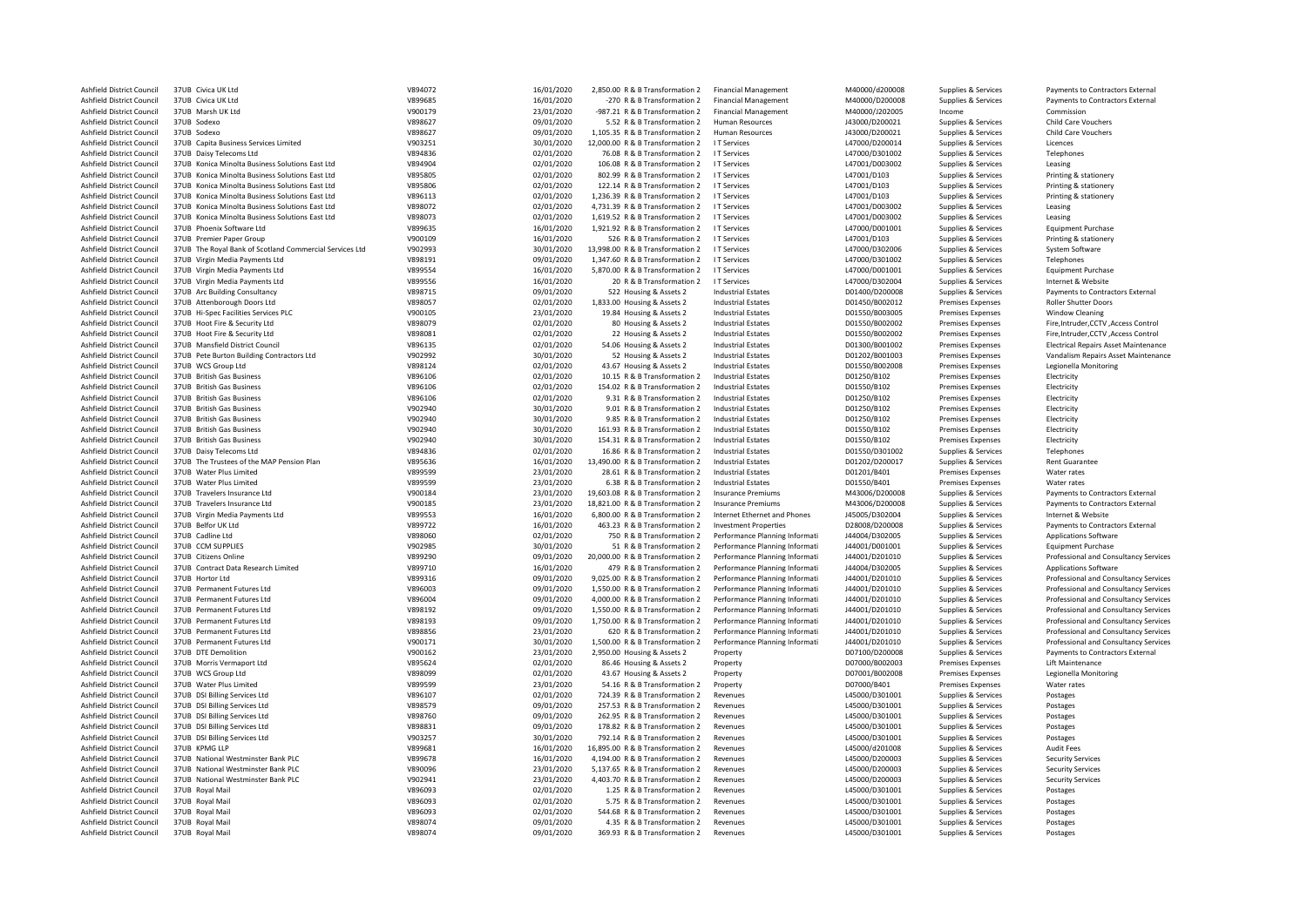| Ashfield District Council        | 37UB Civica UK Ltd                                      | V894072 | 16/01/2020 | 2.850.00 R & B Transformation 2  | <b>Financial Management</b>    | M40000/d200008 | Supplies & Services      | Payments to Contractors External            |
|----------------------------------|---------------------------------------------------------|---------|------------|----------------------------------|--------------------------------|----------------|--------------------------|---------------------------------------------|
| Ashfield District Council        | 37UB Civica UK Ltd                                      | V899685 | 16/01/2020 | -270 R & B Transformation 2      | <b>Financial Management</b>    | M40000/D200008 | Supplies & Services      | Payments to Contractors External            |
| Ashfield District Council        | 37UB Marsh UK Ltd                                       | V900179 | 23/01/2020 | -987.21 R & B Transformation 2   | <b>Financial Management</b>    | M40000/J202005 | Income                   | Commission                                  |
| Ashfield District Council        | 37UB Sodexo                                             | V898627 | 09/01/2020 | 5.52 R & B Transformation 2      | Human Resources                | J43000/D200021 | Supplies & Services      | Child Care Vouchers                         |
| Ashfield District Council        | 37UB Sodexo                                             | V898627 | 09/01/2020 | 1,105.35 R & B Transformation 2  | Human Resources                | J43000/D200021 | Supplies & Services      | <b>Child Care Vouchers</b>                  |
| <b>Ashfield District Council</b> | 37UB Capita Business Services Limited                   | V903251 | 30/01/2020 | 12.000.00 R & B Transformation 2 | <b>IT Services</b>             | L47000/D200014 | Supplies & Services      | Licences                                    |
| Ashfield District Council        | 37UB Daisy Telecoms Ltd                                 | V894836 | 02/01/2020 | 76.08 R & B Transformation 2     | I T Services                   | L47000/D301002 | Supplies & Services      | Telephones                                  |
| Ashfield District Council        | 37UB Konica Minolta Business Solutions East Ltd         | V894904 | 02/01/2020 | 106.08 R & B Transformation 2    | I T Services                   | L47001/D003002 | Supplies & Services      | Leasing                                     |
| Ashfield District Council        | 37UB Konica Minolta Business Solutions East Ltd         | V895805 | 02/01/2020 | 802.99 R & B Transformation 2    | <b>IT Services</b>             | L47001/D103    | Supplies & Services      | Printing & stationery                       |
| Ashfield District Council        | 37UB Konica Minolta Business Solutions East Ltd         | V895806 | 02/01/2020 | 122.14 R & B Transformation 2    | I T Services                   | L47001/D103    | Supplies & Services      | Printing & stationery                       |
| Ashfield District Council        | 37UB Konica Minolta Business Solutions East Ltd         | V896113 | 02/01/2020 | 1,236.39 R & B Transformation 2  | <b>IT Services</b>             | L47001/D103    | Supplies & Services      | Printing & stationery                       |
| Ashfield District Council        | 37UB Konica Minolta Business Solutions East Ltd         | V898072 | 02/01/2020 | 4,731.39 R & B Transformation 2  | <b>IT Services</b>             | L47001/D003002 | Supplies & Services      | Leasing                                     |
|                                  |                                                         |         |            |                                  |                                |                |                          |                                             |
| Ashfield District Council        | 37UB Konica Minolta Business Solutions East Ltd         | V898073 | 02/01/2020 | 1,619.52 R & B Transformation 2  | <b>I T Services</b>            | L47001/D003002 | Supplies & Services      | Leasing                                     |
| Ashfield District Council        | 37UB Phoenix Software Ltd                               | V899635 | 16/01/2020 | 1,921.92 R & B Transformation 2  | I T Services                   | L47000/D001001 | Supplies & Services      | <b>Equipment Purchase</b>                   |
| Ashfield District Council        | 37UB Premier Paper Group                                | V900109 | 16/01/2020 | 526 R & B Transformation 2       | I T Services                   | L47001/D103    | Supplies & Services      | Printing & stationery                       |
| Ashfield District Council        | 37UB The Royal Bank of Scotland Commercial Services Ltd | V902993 | 30/01/2020 | 13,998.00 R & B Transformation 2 | I T Services                   | L47000/D302006 | Supplies & Services      | System Software                             |
| Ashfield District Council        | 37UB Virgin Media Payments Ltd                          | V898191 | 09/01/2020 | 1,347.60 R & B Transformation 2  | I T Services                   | L47000/D301002 | Supplies & Services      | Telephones                                  |
| Ashfield District Council        | 37UB Virgin Media Payments Ltd                          | V899554 | 16/01/2020 | 5,870.00 R & B Transformation 2  | <b>IT Services</b>             | L47000/D001001 | Supplies & Services      | <b>Equipment Purchase</b>                   |
| Ashfield District Council        | 37UB Virgin Media Payments Ltd                          | V899556 | 16/01/2020 | 20 R & B Transformation 2        | I T Services                   | L47000/D302004 | Supplies & Services      | Internet & Website                          |
| Ashfield District Council        | 37UB Arc Building Consultancy                           | V898715 | 09/01/2020 | 522 Housing & Assets 2           | <b>Industrial Estates</b>      | D01400/D200008 | Supplies & Services      | Payments to Contractors External            |
| Ashfield District Council        | 37UB Attenborough Doors Ltd                             | V898057 | 02/01/2020 | 1,833.00 Housing & Assets 2      | <b>Industrial Estates</b>      | D01450/B002012 | Premises Expenses        | <b>Roller Shutter Doors</b>                 |
| Ashfield District Council        | 37UB Hi-Spec Facilities Services PLC                    | V900105 | 23/01/2020 | 19.84 Housing & Assets 2         | <b>Industrial Estates</b>      | D01550/B003005 | Premises Expenses        | <b>Window Cleaning</b>                      |
| Ashfield District Council        | 37UB Hoot Fire & Security Ltd                           | V898079 | 02/01/2020 | 80 Housing & Assets 2            | <b>Industrial Estates</b>      | D01550/B002002 | <b>Premises Expenses</b> | Fire, Intruder, CCTV, Access Control        |
| Ashfield District Council        | 37UB Hoot Fire & Security Ltd                           | V898081 | 02/01/2020 | 22 Housing & Assets 2            | <b>Industrial Estates</b>      | D01550/B002002 | <b>Premises Expenses</b> | Fire, Intruder, CCTV, Access Control        |
| Ashfield District Council        | 37UB Mansfield District Council                         | V896135 | 02/01/2020 | 54.06 Housing & Assets 2         | <b>Industrial Estates</b>      | D01300/B001002 | Premises Expenses        | <b>Electrical Repairs Asset Maintenance</b> |
| Ashfield District Council        | 37UB Pete Burton Building Contractors Ltd               | V902992 | 30/01/2020 | 52 Housing & Assets 2            | <b>Industrial Estates</b>      | D01202/B001003 | <b>Premises Expenses</b> | Vandalism Repairs Asset Maintenance         |
| Ashfield District Council        | 37UB WCS Group Ltd                                      | V898124 | 02/01/2020 | 43.67 Housing & Assets 2         | <b>Industrial Estates</b>      | D01550/B002008 | <b>Premises Expenses</b> | Legionella Monitoring                       |
| Ashfield District Council        | 37UB British Gas Business                               | V896106 | 02/01/2020 | 10.15 R & B Transformation 2     | <b>Industrial Estates</b>      | D01250/B102    | <b>Premises Expenses</b> | Electricity                                 |
|                                  |                                                         |         |            |                                  |                                |                |                          |                                             |
| Ashfield District Council        | 37UB British Gas Business                               | V896106 | 02/01/2020 | 154.02 R & B Transformation 2    | <b>Industrial Estates</b>      | D01550/B102    | <b>Premises Expenses</b> | Electricity                                 |
| Ashfield District Council        | 37UB British Gas Business                               | V896106 | 02/01/2020 | 9.31 R & B Transformation 2      | <b>Industrial Estates</b>      | D01250/B102    | <b>Premises Expenses</b> | Electricity                                 |
| Ashfield District Council        | 37UB British Gas Business                               | V902940 | 30/01/2020 | 9.01 R & B Transformation 2      | <b>Industrial Estates</b>      | D01250/B102    | <b>Premises Expenses</b> | Electricity                                 |
| Ashfield District Council        | 37UB British Gas Business                               | V902940 | 30/01/2020 | 9.85 R & B Transformation 2      | <b>Industrial Estates</b>      | D01250/B102    | Premises Expenses        | Electricity                                 |
| Ashfield District Council        | 37UB British Gas Business                               | V902940 | 30/01/2020 | 161.93 R & B Transformation 2    | <b>Industrial Estates</b>      | D01550/B102    | Premises Expenses        | Electricity                                 |
| Ashfield District Council        | 37UB British Gas Business                               | V902940 | 30/01/2020 | 154.31 R & B Transformation 2    | <b>Industrial Estates</b>      | D01550/B102    | Premises Expenses        | Electricity                                 |
| Ashfield District Council        | 37UB Daisy Telecoms Ltd                                 | V894836 | 02/01/2020 | 16.86 R & B Transformation 2     | <b>Industrial Estates</b>      | D01550/D301002 | Supplies & Services      | Telephones                                  |
| Ashfield District Council        | 37UB The Trustees of the MAP Pension Plan               | V895636 | 16/01/2020 | 13,490.00 R & B Transformation 2 | <b>Industrial Estates</b>      | D01202/D200017 | Supplies & Services      | Rent Guarantee                              |
| Ashfield District Council        | 37UB Water Plus Limited                                 | V899599 | 23/01/2020 | 28.61 R & B Transformation 2     | <b>Industrial Estates</b>      | D01201/B401    | <b>Premises Expenses</b> | Water rates                                 |
| Ashfield District Council        | 37UB Water Plus Limited                                 | V899599 | 23/01/2020 | 6.38 R & B Transformation 2      | <b>Industrial Estates</b>      | D01550/B401    | <b>Premises Expenses</b> | Water rates                                 |
| Ashfield District Council        | 37UB Travelers Insurance Ltd                            | V900184 | 23/01/2020 | 19,603.08 R & B Transformation 2 | <b>Insurance Premiums</b>      | M43006/D200008 | Supplies & Services      | Payments to Contractors External            |
| Ashfield District Council        | 37UB Travelers Insurance Ltd                            | V900185 | 23/01/2020 | 18,821.00 R & B Transformation 2 | <b>Insurance Premiums</b>      | M43006/D200008 | Supplies & Services      | Payments to Contractors External            |
| Ashfield District Council        | 37UB Virgin Media Payments Ltd                          | V899553 | 16/01/2020 | 6,800.00 R & B Transformation 2  | Internet Ethernet and Phones   | J45005/D302004 | Supplies & Services      | Internet & Website                          |
| Ashfield District Council        | 37UB Belfor UK Ltd                                      | V899722 | 16/01/2020 | 463.23 R & B Transformation 2    | <b>Investment Properties</b>   | D28008/D200008 | Supplies & Services      | Payments to Contractors External            |
|                                  | 37UB Cadline Ltd                                        | V898060 |            | 750 R & B Transformation 2       | Performance Planning Informati |                | Supplies & Services      |                                             |
| Ashfield District Council        |                                                         |         | 02/01/2020 |                                  |                                | J44004/D302005 |                          | Applications Software                       |
| Ashfield District Council        | 37UB CCM SUPPLIES                                       | V902985 | 30/01/2020 | 51 R & B Transformation 2        | Performance Planning Informati | J44001/D001001 | Supplies & Services      | <b>Equipment Purchase</b>                   |
| Ashfield District Council        | 37UB Citizens Online                                    | V899290 | 09/01/2020 | 20,000.00 R & B Transformation 2 | Performance Planning Informati | J44001/D201010 | Supplies & Services      | Professional and Consultancy Services       |
| Ashfield District Council        | 37UB Contract Data Research Limited                     | V899710 | 16/01/2020 | 479 R & B Transformation 2       | Performance Planning Informati | J44004/D302005 | Supplies & Services      | Applications Software                       |
| Ashfield District Council        | 37UB Hortor Ltd                                         | V899316 | 09/01/2020 | 9,025.00 R & B Transformation 2  | Performance Planning Informati | J44001/D201010 | Supplies & Services      | Professional and Consultancy Services       |
| Ashfield District Council        | 37UB Permanent Futures Ltd                              | V896003 | 09/01/2020 | 1,550.00 R & B Transformation 2  | Performance Planning Informati | J44001/D201010 | Supplies & Services      | Professional and Consultancy Services       |
| Ashfield District Council        | 37UB Permanent Futures Ltd                              | V896004 | 09/01/2020 | 4,000.00 R & B Transformation 2  | Performance Planning Informati | J44001/D201010 | Supplies & Services      | Professional and Consultancy Services       |
| Ashfield District Council        | 37UB Permanent Futures Ltd                              | V898192 | 09/01/2020 | 1,550.00 R & B Transformation 2  | Performance Planning Informati | J44001/D201010 | Supplies & Services      | Professional and Consultancy Services       |
| Ashfield District Council        | 37UB Permanent Futures Ltd                              | V898193 | 09/01/2020 | 1,750.00 R & B Transformation 2  | Performance Planning Informati | J44001/D201010 | Supplies & Services      | Professional and Consultancy Services       |
| Ashfield District Council        | 37UB Permanent Futures Ltd                              | V898856 | 23/01/2020 | 620 R & B Transformation 2       | Performance Planning Informati | J44001/D201010 | Supplies & Services      | Professional and Consultancy Services       |
| Ashfield District Council        | 37UB Permanent Futures Ltd                              | V900171 | 30/01/2020 | 1,500.00 R & B Transformation 2  | Performance Planning Informati | J44001/D201010 | Supplies & Services      | Professional and Consultancy Services       |
| Ashfield District Council        | 37UB DTE Demolition                                     | V900162 | 23/01/2020 | 2,950.00 Housing & Assets 2      | Property                       | D07100/D200008 | Supplies & Services      | Payments to Contractors External            |
| Ashfield District Council        | 37UB Morris Vermaport Ltd                               | V895624 | 02/01/2020 | 86.46 Housing & Assets 2         | Property                       | D07000/B002003 | <b>Premises Expenses</b> | Lift Maintenance                            |
| Ashfield District Council        | 37UB WCS Group Ltd                                      | V898099 | 02/01/2020 | 43.67 Housing & Assets 2         | Property                       | D07001/B002008 | <b>Premises Expenses</b> | Legionella Monitoring                       |
| Ashfield District Council        | 37UB Water Plus Limited                                 | V899599 | 23/01/2020 | 54.16 R & B Transformation 2     | Property                       | D07000/B401    | <b>Premises Expenses</b> | Water rates                                 |
| Ashfield District Council        | 37UB DSI Billing Services Ltd                           | V896107 | 02/01/2020 | 724.39 R & B Transformation 2    | Revenues                       | L45000/D301001 | Supplies & Services      | Postages                                    |
| Ashfield District Council        | 37UB DSI Billing Services Ltd                           | V898579 | 09/01/2020 | 257.53 R & B Transformation 2    | Revenues                       | L45000/D301001 | Supplies & Services      | Postages                                    |
|                                  |                                                         | V898760 |            |                                  |                                |                |                          |                                             |
| Ashfield District Council        | 37UB DSI Billing Services Ltd                           |         | 09/01/2020 | 262.95 R & B Transformation 2    | Revenues                       | L45000/D301001 | Supplies & Services      | Postages                                    |
| Ashfield District Council        | 37UB DSI Billing Services Ltd                           | V898831 | 09/01/2020 | 178.82 R & B Transformation 2    | Revenues                       | L45000/D301001 | Supplies & Services      | Postages                                    |
| Ashfield District Council        | 37UB DSI Billing Services Ltd                           | V903257 | 30/01/2020 | 792.14 R & B Transformation 2    | Revenues                       | L45000/D301001 | Supplies & Services      | Postages                                    |
| Ashfield District Council        | 37UB KPMG IIP                                           | V899681 | 16/01/2020 | 16,895.00 R & B Transformation 2 | Revenues                       | L45000/d201008 | Supplies & Services      | <b>Audit Fees</b>                           |
| Ashfield District Council        | 37UB National Westminster Bank PLC                      | V899678 | 16/01/2020 | 4,194.00 R & B Transformation 2  | Revenues                       | L45000/D200003 | Supplies & Services      | <b>Security Services</b>                    |
| Ashfield District Council        | 37UB National Westminster Bank PLC                      | V890096 | 23/01/2020 | 5,137.65 R & B Transformation 2  | Revenues                       | L45000/D200003 | Supplies & Services      | <b>Security Services</b>                    |
| Ashfield District Council        | 37UB National Westminster Bank PLC                      | V902941 | 23/01/2020 | 4,403.70 R & B Transformation 2  | Revenues                       | L45000/D200003 | Supplies & Services      | <b>Security Services</b>                    |
| Ashfield District Council        | 37UB Royal Mail                                         | V896093 | 02/01/2020 | 1.25 R & B Transformation 2      | Revenues                       | L45000/D301001 | Supplies & Services      | Postages                                    |
| Ashfield District Council        | 37UB Royal Mail                                         | V896093 | 02/01/2020 | 5.75 R & B Transformation 2      | Revenues                       | L45000/D301001 | Supplies & Services      | Postages                                    |
| Ashfield District Council        | 37UB Royal Mail                                         | V896093 | 02/01/2020 | 544.68 R & B Transformation 2    | Revenues                       | L45000/D301001 | Supplies & Services      | Postages                                    |
| Ashfield District Council        | 37UB Royal Mail                                         | V898074 | 09/01/2020 | 4.35 R & B Transformation 2      | Revenues                       | L45000/D301001 | Supplies & Services      | Postages                                    |
| Ashfield District Council        | 37UB Royal Mail                                         | V898074 | 09/01/2020 | 369.93 R & B Transformation 2    | Revenues                       | L45000/D301001 | Supplies & Services      | Postages                                    |
|                                  |                                                         |         |            |                                  |                                |                |                          |                                             |